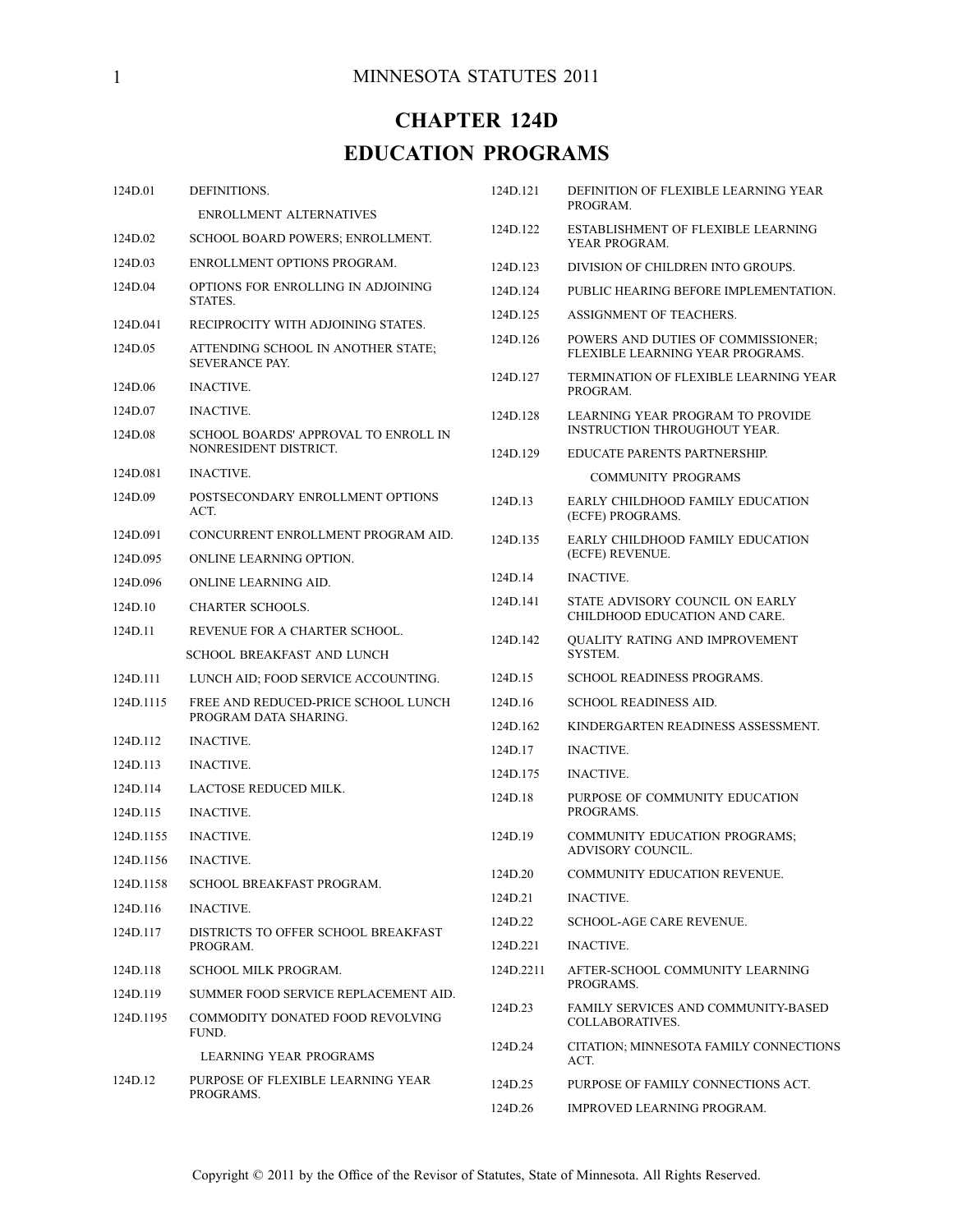# **CHAPTER 124D EDUCATION PROGRAMS**

| 124D.01   | DEFINITIONS.                                                       | 124D.121            | DEFINITION OF FLEXIBLE LEARNING YEAR<br>PROGRAM.                       |
|-----------|--------------------------------------------------------------------|---------------------|------------------------------------------------------------------------|
| 124D.02   | <b>ENROLLMENT ALTERNATIVES</b><br>SCHOOL BOARD POWERS; ENROLLMENT. | 124D.122            | ESTABLISHMENT OF FLEXIBLE LEARNING<br>YEAR PROGRAM.                    |
| 124D.03   | ENROLLMENT OPTIONS PROGRAM.                                        | 124D.123            | DIVISION OF CHILDREN INTO GROUPS.                                      |
| 124D.04   | OPTIONS FOR ENROLLING IN ADJOINING<br>STATES.                      | 124D.124            | PUBLIC HEARING BEFORE IMPLEMENTATION.                                  |
| 124D.041  | RECIPROCITY WITH ADJOINING STATES.                                 | 124D.125            | ASSIGNMENT OF TEACHERS.                                                |
| 124D.05   | ATTENDING SCHOOL IN ANOTHER STATE;<br><b>SEVERANCE PAY.</b>        | 124D.126            | POWERS AND DUTIES OF COMMISSIONER;<br>FLEXIBLE LEARNING YEAR PROGRAMS. |
| 124D.06   | <b>INACTIVE.</b>                                                   | 124D.127            | TERMINATION OF FLEXIBLE LEARNING YEAR<br>PROGRAM.                      |
| 124D.07   | <b>INACTIVE.</b>                                                   | 124D.128            | LEARNING YEAR PROGRAM TO PROVIDE                                       |
| 124D.08   | SCHOOL BOARDS' APPROVAL TO ENROLL IN                               |                     | <b>INSTRUCTION THROUGHOUT YEAR.</b>                                    |
|           | NONRESIDENT DISTRICT.                                              | 124D.129            | EDUCATE PARENTS PARTNERSHIP.                                           |
| 124D.081  | <b>INACTIVE.</b>                                                   |                     | <b>COMMUNITY PROGRAMS</b>                                              |
| 124D.09   | POSTSECONDARY ENROLLMENT OPTIONS<br>ACT.                           | 124D.13             | EARLY CHILDHOOD FAMILY EDUCATION<br>(ECFE) PROGRAMS.                   |
| 124D.091  | CONCURRENT ENROLLMENT PROGRAM AID.                                 | 124D.135            | EARLY CHILDHOOD FAMILY EDUCATION<br>(ECFE) REVENUE.                    |
| 124D.095  | ONLINE LEARNING OPTION.                                            | 124D.14             | <b>INACTIVE.</b>                                                       |
| 124D.096  | ONLINE LEARNING AID.                                               | 124D.141            | STATE ADVISORY COUNCIL ON EARLY                                        |
| 124D.10   | <b>CHARTER SCHOOLS.</b>                                            |                     | CHILDHOOD EDUCATION AND CARE.                                          |
| 124D.11   | REVENUE FOR A CHARTER SCHOOL.                                      | 124D.142            | QUALITY RATING AND IMPROVEMENT                                         |
|           | SCHOOL BREAKFAST AND LUNCH                                         |                     | SYSTEM.                                                                |
| 124D.111  | LUNCH AID; FOOD SERVICE ACCOUNTING.                                | 124D.15             | SCHOOL READINESS PROGRAMS.                                             |
| 124D.1115 | FREE AND REDUCED-PRICE SCHOOL LUNCH<br>PROGRAM DATA SHARING.       | 124D.16<br>124D.162 | <b>SCHOOL READINESS AID.</b><br>KINDERGARTEN READINESS ASSESSMENT.     |
| 124D.112  | <b>INACTIVE.</b>                                                   | 124D.17             | <b>INACTIVE.</b>                                                       |
| 124D.113  | <b>INACTIVE.</b>                                                   |                     |                                                                        |
| 124D.114  | LACTOSE REDUCED MILK.                                              | 124D.175            | <b>INACTIVE.</b>                                                       |
| 124D.115  | <b>INACTIVE.</b>                                                   | 124D.18             | PURPOSE OF COMMUNITY EDUCATION<br>PROGRAMS.                            |
| 124D.1155 | <b>INACTIVE.</b>                                                   | 124D.19             | <b>COMMUNITY EDUCATION PROGRAMS;</b><br><b>ADVISORY COUNCIL.</b>       |
| 124D.1156 | <b>INACTIVE.</b>                                                   | 124D.20             | COMMUNITY EDUCATION REVENUE.                                           |
| 124D.1158 | SCHOOL BREAKFAST PROGRAM.                                          | 124D.21             | <b>INACTIVE.</b>                                                       |
| 124D.116  | <b>INACTIVE.</b>                                                   | 124D.22             | <b>SCHOOL-AGE CARE REVENUE.</b>                                        |
| 124D.117  | DISTRICTS TO OFFER SCHOOL BREAKFAST<br>PROGRAM.                    | 124D.221            | <b>INACTIVE.</b>                                                       |
| 124D.118  | SCHOOL MILK PROGRAM.                                               | 124D.2211           | AFTER-SCHOOL COMMUNITY LEARNING                                        |
| 124D.119  | SUMMER FOOD SERVICE REPLACEMENT AID.                               |                     | PROGRAMS.                                                              |
| 124D.1195 | COMMODITY DONATED FOOD REVOLVING<br>FUND.                          | 124D.23             | FAMILY SERVICES AND COMMUNITY-BASED<br>COLLABORATIVES.                 |
|           | <b>LEARNING YEAR PROGRAMS</b>                                      | 124D.24             | CITATION; MINNESOTA FAMILY CONNECTIONS<br>ACT.                         |
| 124D.12   | PURPOSE OF FLEXIBLE LEARNING YEAR<br>PROGRAMS.                     | 124D.25             | PURPOSE OF FAMILY CONNECTIONS ACT.                                     |
|           |                                                                    | 124D.26             | IMPROVED LEARNING PROGRAM.                                             |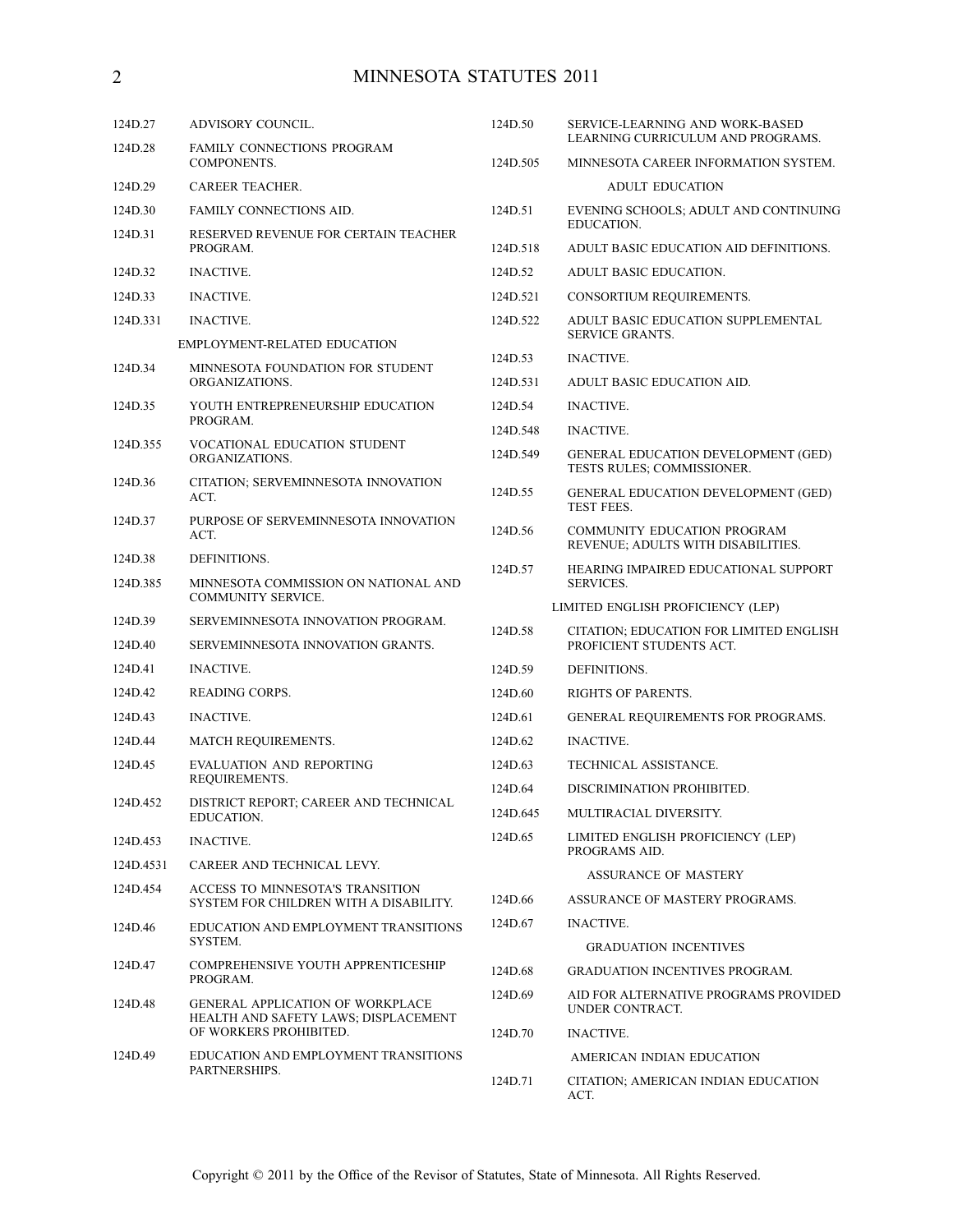# 2 MINNESOTA STATUTES 2011

| 124D.27   | ADVISORY COUNCIL.                                                               | 124D.50  | <b>SERVICE-LEARNING AND WORK-BASED</b><br>LEARNING CURRICULUM AND PROGRAMS.                              |
|-----------|---------------------------------------------------------------------------------|----------|----------------------------------------------------------------------------------------------------------|
| 124D.28   | FAMILY CONNECTIONS PROGRAM<br>COMPONENTS.                                       | 124D.505 | MINNESOTA CAREER INFORMATION SYSTEM.                                                                     |
| 124D.29   | <b>CAREER TEACHER.</b>                                                          |          | <b>ADULT EDUCATION</b>                                                                                   |
| 124D.30   | FAMILY CONNECTIONS AID.                                                         | 124D.51  | EVENING SCHOOLS; ADULT AND CONTINUING<br><b>EDUCATION.</b>                                               |
| 124D.31   | RESERVED REVENUE FOR CERTAIN TEACHER<br>PROGRAM.                                | 124D.518 | ADULT BASIC EDUCATION AID DEFINITIONS.                                                                   |
| 124D.32   | <b>INACTIVE.</b>                                                                | 124D.52  | ADULT BASIC EDUCATION.                                                                                   |
| 124D.33   | <b>INACTIVE.</b>                                                                | 124D.521 | CONSORTIUM REQUIREMENTS.                                                                                 |
| 124D.331  | <b>INACTIVE.</b>                                                                | 124D.522 | ADULT BASIC EDUCATION SUPPLEMENTAL                                                                       |
|           | EMPLOYMENT-RELATED EDUCATION                                                    |          | <b>SERVICE GRANTS.</b>                                                                                   |
| 124D.34   | MINNESOTA FOUNDATION FOR STUDENT<br>ORGANIZATIONS.                              | 124D.53  | <b>INACTIVE.</b>                                                                                         |
|           |                                                                                 | 124D.531 | ADULT BASIC EDUCATION AID.                                                                               |
| 124D.35   | YOUTH ENTREPRENEURSHIP EDUCATION<br>PROGRAM.                                    | 124D.54  | <b>INACTIVE.</b>                                                                                         |
| 124D.355  | VOCATIONAL EDUCATION STUDENT                                                    | 124D.548 | <b>INACTIVE.</b>                                                                                         |
|           | ORGANIZATIONS.                                                                  | 124D.549 | <b>GENERAL EDUCATION DEVELOPMENT (GED)</b><br>TESTS RULES; COMMISSIONER.                                 |
| 124D.36   | CITATION; SERVEMINNESOTA INNOVATION<br>ACT.                                     | 124D.55  | GENERAL EDUCATION DEVELOPMENT (GED)<br><b>TEST FEES.</b>                                                 |
| 124D.37   | PURPOSE OF SERVEMINNESOTA INNOVATION<br>ACT.                                    | 124D.56  | <b>COMMUNITY EDUCATION PROGRAM</b><br>REVENUE; ADULTS WITH DISABILITIES.                                 |
| 124D.38   | DEFINITIONS.                                                                    | 124D.57  | HEARING IMPAIRED EDUCATIONAL SUPPORT                                                                     |
| 124D.385  | MINNESOTA COMMISSION ON NATIONAL AND<br><b>COMMUNITY SERVICE.</b>               |          | <b>SERVICES.</b>                                                                                         |
| 124D.39   | SERVEMINNESOTA INNOVATION PROGRAM.                                              |          | LIMITED ENGLISH PROFICIENCY (LEP)<br>CITATION; EDUCATION FOR LIMITED ENGLISH<br>PROFICIENT STUDENTS ACT. |
| 124D.40   | SERVEMINNESOTA INNOVATION GRANTS.                                               | 124D.58  |                                                                                                          |
| 124D.41   | <b>INACTIVE.</b>                                                                | 124D.59  | DEFINITIONS.                                                                                             |
| 124D.42   | <b>READING CORPS.</b>                                                           | 124D.60  | <b>RIGHTS OF PARENTS.</b>                                                                                |
| 124D.43   | <b>INACTIVE.</b>                                                                | 124D.61  | GENERAL REQUIREMENTS FOR PROGRAMS.                                                                       |
| 124D.44   | <b>MATCH REQUIREMENTS.</b>                                                      | 124D.62  | <b>INACTIVE.</b>                                                                                         |
| 124D.45   | <b>EVALUATION AND REPORTING</b>                                                 | 124D.63  | TECHNICAL ASSISTANCE.                                                                                    |
|           | REQUIREMENTS.                                                                   | 124D.64  | DISCRIMINATION PROHIBITED.                                                                               |
| 124D.452  | DISTRICT REPORT, CAREER AND TECHNICAL<br><b>EDUCATION.</b>                      | 124D.645 | MULTIRACIAL DIVERSITY.                                                                                   |
| 124D.453  | <b>INACTIVE.</b>                                                                | 124D.65  | LIMITED ENGLISH PROFICIENCY (LEP)<br>PROGRAMS AID.                                                       |
| 124D.4531 | CAREER AND TECHNICAL LEVY.                                                      |          | <b>ASSURANCE OF MASTERY</b>                                                                              |
| 124D.454  | ACCESS TO MINNESOTA'S TRANSITION<br>SYSTEM FOR CHILDREN WITH A DISABILITY.      | 124D.66  | ASSURANCE OF MASTERY PROGRAMS.                                                                           |
| 124D.46   | EDUCATION AND EMPLOYMENT TRANSITIONS<br>SYSTEM.                                 | 124D.67  | <b>INACTIVE.</b>                                                                                         |
| 124D.47   | COMPREHENSIVE YOUTH APPRENTICESHIP                                              |          | <b>GRADUATION INCENTIVES</b>                                                                             |
|           | PROGRAM.                                                                        | 124D.68  | <b>GRADUATION INCENTIVES PROGRAM.</b>                                                                    |
| 124D.48   | <b>GENERAL APPLICATION OF WORKPLACE</b><br>HEALTH AND SAFETY LAWS; DISPLACEMENT | 124D.69  | AID FOR ALTERNATIVE PROGRAMS PROVIDED<br>UNDER CONTRACT.                                                 |
| 124D.49   | OF WORKERS PROHIBITED.<br>EDUCATION AND EMPLOYMENT TRANSITIONS<br>PARTNERSHIPS. | 124D.70  | <b>INACTIVE.</b>                                                                                         |
|           |                                                                                 |          | AMERICAN INDIAN EDUCATION                                                                                |
|           |                                                                                 | 124D.71  | CITATION; AMERICAN INDIAN EDUCATION<br>ACT.                                                              |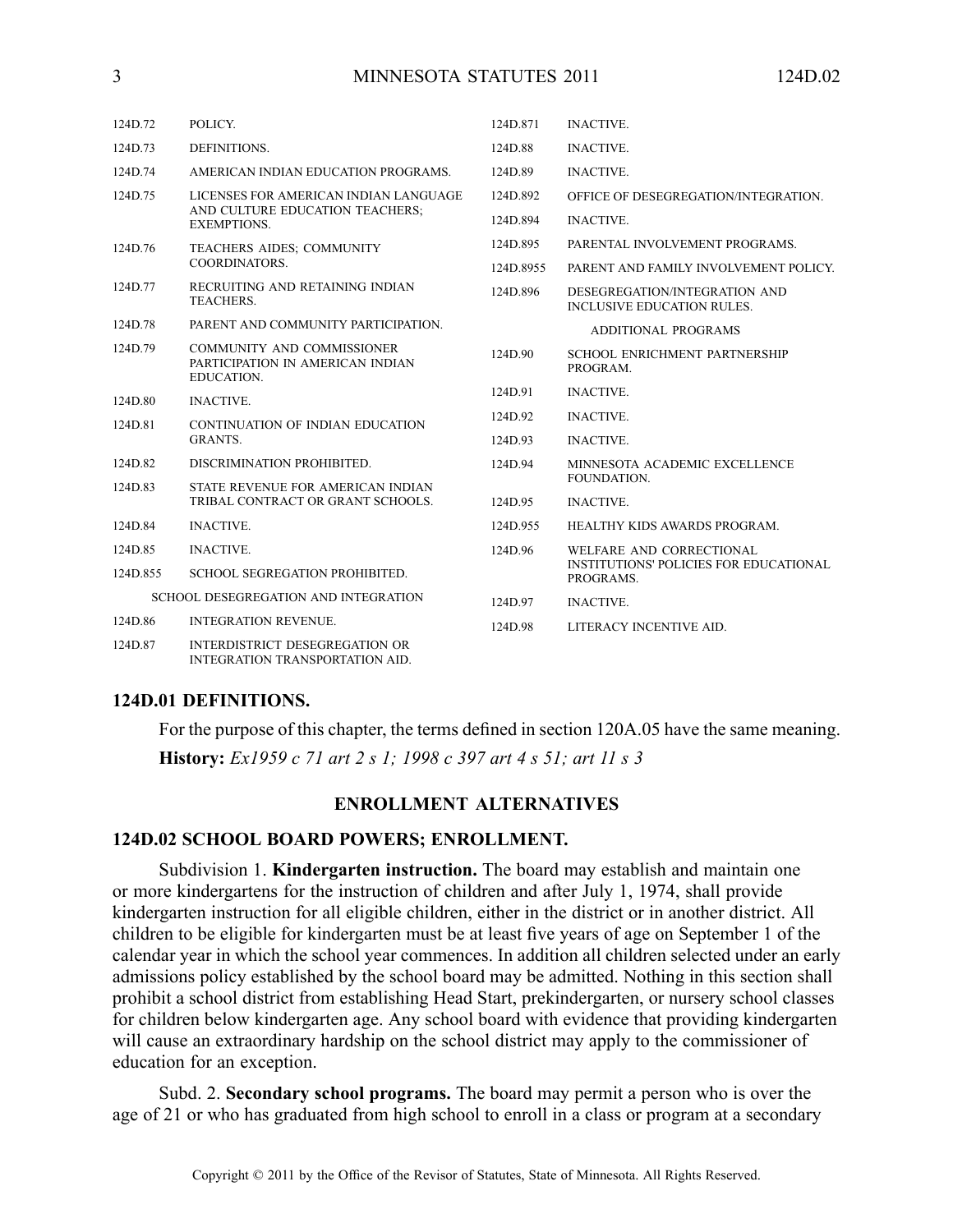| 124D.72                              | POLICY.                                                                                        | 124D.871  | <b>INACTIVE.</b>                                                                       |
|--------------------------------------|------------------------------------------------------------------------------------------------|-----------|----------------------------------------------------------------------------------------|
| 124D.73                              | DEFINITIONS.                                                                                   | 124D.88   | <b>INACTIVE.</b>                                                                       |
| 124D.74                              | AMERICAN INDIAN EDUCATION PROGRAMS.                                                            | 124D.89   | <b>INACTIVE.</b>                                                                       |
| 124D.75                              | LICENSES FOR AMERICAN INDIAN LANGUAGE<br>AND CULTURE EDUCATION TEACHERS:<br><b>EXEMPTIONS.</b> | 124D.892  | OFFICE OF DESEGREGATION/INTEGRATION.                                                   |
|                                      |                                                                                                | 124D.894  | <b>INACTIVE.</b>                                                                       |
| 124D.76                              | TEACHERS AIDES; COMMUNITY<br>COORDINATORS.                                                     | 124D.895  | PARENTAL INVOLVEMENT PROGRAMS.                                                         |
|                                      |                                                                                                | 124D.8955 | PARENT AND FAMILY INVOLVEMENT POLICY.                                                  |
| 124D.77                              | RECRUITING AND RETAINING INDIAN<br>TEACHERS.                                                   | 124D.896  | DESEGREGATION/INTEGRATION AND<br><b>INCLUSIVE EDUCATION RULES.</b>                     |
| 124D.78                              | PARENT AND COMMUNITY PARTICIPATION.                                                            |           | <b>ADDITIONAL PROGRAMS</b>                                                             |
| 124D.79                              | <b>COMMUNITY AND COMMISSIONER</b><br>PARTICIPATION IN AMERICAN INDIAN<br>EDUCATION.            | 124D.90   | <b>SCHOOL ENRICHMENT PARTNERSHIP</b><br>PROGRAM.                                       |
| 124D.80                              | <b>INACTIVE.</b>                                                                               | 124D.91   | <b>INACTIVE.</b>                                                                       |
| 124D.81                              | CONTINUATION OF INDIAN EDUCATION<br><b>GRANTS.</b>                                             | 124D.92   | <b>INACTIVE.</b>                                                                       |
|                                      |                                                                                                | 124D.93   | <b>INACTIVE.</b>                                                                       |
| 124D.82                              | DISCRIMINATION PROHIBITED.                                                                     | 124D.94   | MINNESOTA ACADEMIC EXCELLENCE<br>FOUNDATION.                                           |
| 124D.83                              | STATE REVENUE FOR AMERICAN INDIAN                                                              |           |                                                                                        |
|                                      | TRIBAL CONTRACT OR GRANT SCHOOLS.                                                              | 124D.95   | <b>INACTIVE.</b>                                                                       |
| 124D.84                              | <b>INACTIVE.</b>                                                                               | 124D.955  | HEALTHY KIDS AWARDS PROGRAM.                                                           |
| 124D.85                              | <b>INACTIVE.</b>                                                                               | 124D.96   | WELFARE AND CORRECTIONAL<br><b>INSTITUTIONS' POLICIES FOR EDUCATIONAL</b><br>PROGRAMS. |
| 124D.855                             | <b>SCHOOL SEGREGATION PROHIBITED.</b>                                                          |           |                                                                                        |
| SCHOOL DESEGREGATION AND INTEGRATION |                                                                                                | 124D.97   | <b>INACTIVE.</b>                                                                       |
| 124D.86                              | <b>INTEGRATION REVENUE.</b>                                                                    | 124D.98   | LITERACY INCENTIVE AID.                                                                |
| 124D.87                              | <b>INTERDISTRICT DESEGREGATION OR</b><br><b>INTEGRATION TRANSPORTATION AID.</b>                |           |                                                                                        |

# **124D.01 DEFINITIONS.**

For the purpose of this chapter, the terms defined in section 120A.05 have the same meaning. **History:** *Ex1959 <sup>c</sup> 71 art 2 <sup>s</sup> 1; 1998 <sup>c</sup> 397 art 4 <sup>s</sup> 51; art 11 <sup>s</sup> 3*

#### **ENROLLMENT ALTERNATIVES**

#### **124D.02 SCHOOL BOARD POWERS; ENROLLMENT.**

Subdivision 1. **Kindergarten instruction.** The board may establish and maintain one or more kindergartens for the instruction of children and after July 1, 1974, shall provide kindergarten instruction for all eligible children, either in the district or in another district. All children to be eligible for kindergarten must be at least five years of age on September 1 of the calendar year in which the school year commences. In addition all children selected under an early admissions policy established by the school board may be admitted. Nothing in this section shall prohibit <sup>a</sup> school district from establishing Head Start, prekindergarten, or nursery school classes for children below kindergarten age. Any school board with evidence that providing kindergarten will cause an extraordinary hardship on the school district may apply to the commissioner of education for an exception.

Subd. 2. **Secondary school programs.** The board may permit <sup>a</sup> person who is over the age of 21 or who has graduated from high school to enroll in <sup>a</sup> class or program at <sup>a</sup> secondary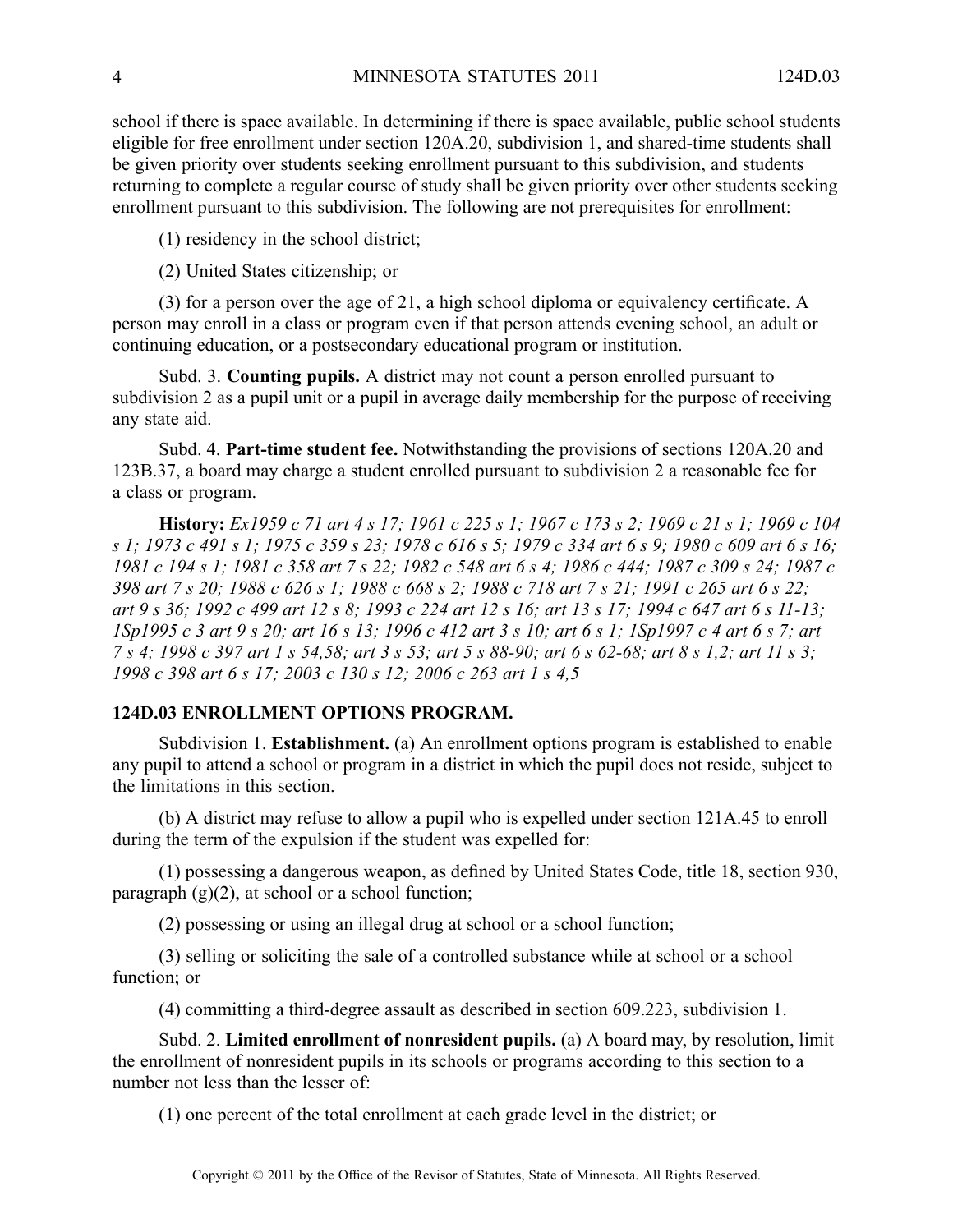school if there is space available. In determining if there is space available, public school students eligible for free enrollment under section 120A.20, subdivision 1, and shared-time students shall be given priority over students seeking enrollment pursuan<sup>t</sup> to this subdivision, and students returning to complete <sup>a</sup> regular course of study shall be given priority over other students seeking enrollment pursuan<sup>t</sup> to this subdivision. The following are not prerequisites for enrollment:

(1) residency in the school district;

(2) United States citizenship; or

(3) for <sup>a</sup> person over the age of 21, <sup>a</sup> high school diploma or equivalency certificate. A person may enroll in <sup>a</sup> class or program even if that person attends evening school, an adult or continuing education, or <sup>a</sup> postsecondary educational program or institution.

Subd. 3. **Counting pupils.** A district may not count <sup>a</sup> person enrolled pursuan<sup>t</sup> to subdivision 2 as <sup>a</sup> pupil unit or <sup>a</sup> pupil in average daily membership for the purpose of receiving any state aid.

Subd. 4. **Part-time student fee.** Notwithstanding the provisions of sections 120A.20 and 123B.37, <sup>a</sup> board may charge <sup>a</sup> student enrolled pursuan<sup>t</sup> to subdivision 2 <sup>a</sup> reasonable fee for <sup>a</sup> class or program.

History: Ex1959 c 71 art 4 s 17; 1961 c 225 s 1; 1967 c 173 s 2; 1969 c 21 s 1; 1969 c 104 s 1; 1973 c 491 s 1; 1975 c 359 s 23; 1978 c 616 s 5; 1979 c 334 art 6 s 9; 1980 c 609 art 6 s 16; 1981 c 194 s 1; 1981 c 358 art 7 s 22; 1982 c 548 art 6 s 4; 1986 c 444; 1987 c 309 s 24; 1987 c 398 art 7 s 20; 1988 c 626 s 1; 1988 c 668 s 2; 1988 c 718 art 7 s 21; 1991 c 265 art 6 s 22; art 9 s 36; 1992 c 499 art 12 s 8; 1993 c 224 art 12 s 16; art 13 s 17; 1994 c 647 art 6 s 11-13; ISp1995 c 3 art 9 s 20; art 16 s 13; 1996 c 412 art 3 s 10; art 6 s 1; 1Sp1997 c 4 art 6 s 7; art 7 s 4; 1998 c 397 art 1 s 54,58; art 3 s 53; art 5 s 88-90; art 6 s 62-68; art 8 s 1,2; art 11 s 3; *1998 <sup>c</sup> 398 art 6 <sup>s</sup> 17; 2003 <sup>c</sup> 130 <sup>s</sup> 12; 2006 <sup>c</sup> 263 art 1 <sup>s</sup> 4,5*

# **124D.03 ENROLLMENT OPTIONS PROGRAM.**

Subdivision 1. **Establishment.** (a) An enrollment options program is established to enable any pupil to attend <sup>a</sup> school or program in <sup>a</sup> district in which the pupil does not reside, subject to the limitations in this section.

(b) A district may refuse to allow <sup>a</sup> pupil who is expelled under section 121A.45 to enroll during the term of the expulsion if the student was expelled for:

(1) possessing <sup>a</sup> dangerous weapon, as defined by United States Code, title 18, section 930, paragraph  $(g)(2)$ , at school or a school function;

(2) possessing or using an illegal drug at school or <sup>a</sup> school function;

(3) selling or soliciting the sale of <sup>a</sup> controlled substance while at school or <sup>a</sup> school function; or

(4) committing <sup>a</sup> third-degree assault as described in section 609.223, subdivision 1.

Subd. 2. **Limited enrollment of nonresident pupils.** (a) A board may, by resolution, limit the enrollment of nonresident pupils in its schools or programs according to this section to <sup>a</sup> number not less than the lesser of:

(1) one percen<sup>t</sup> of the total enrollment at each grade level in the district; or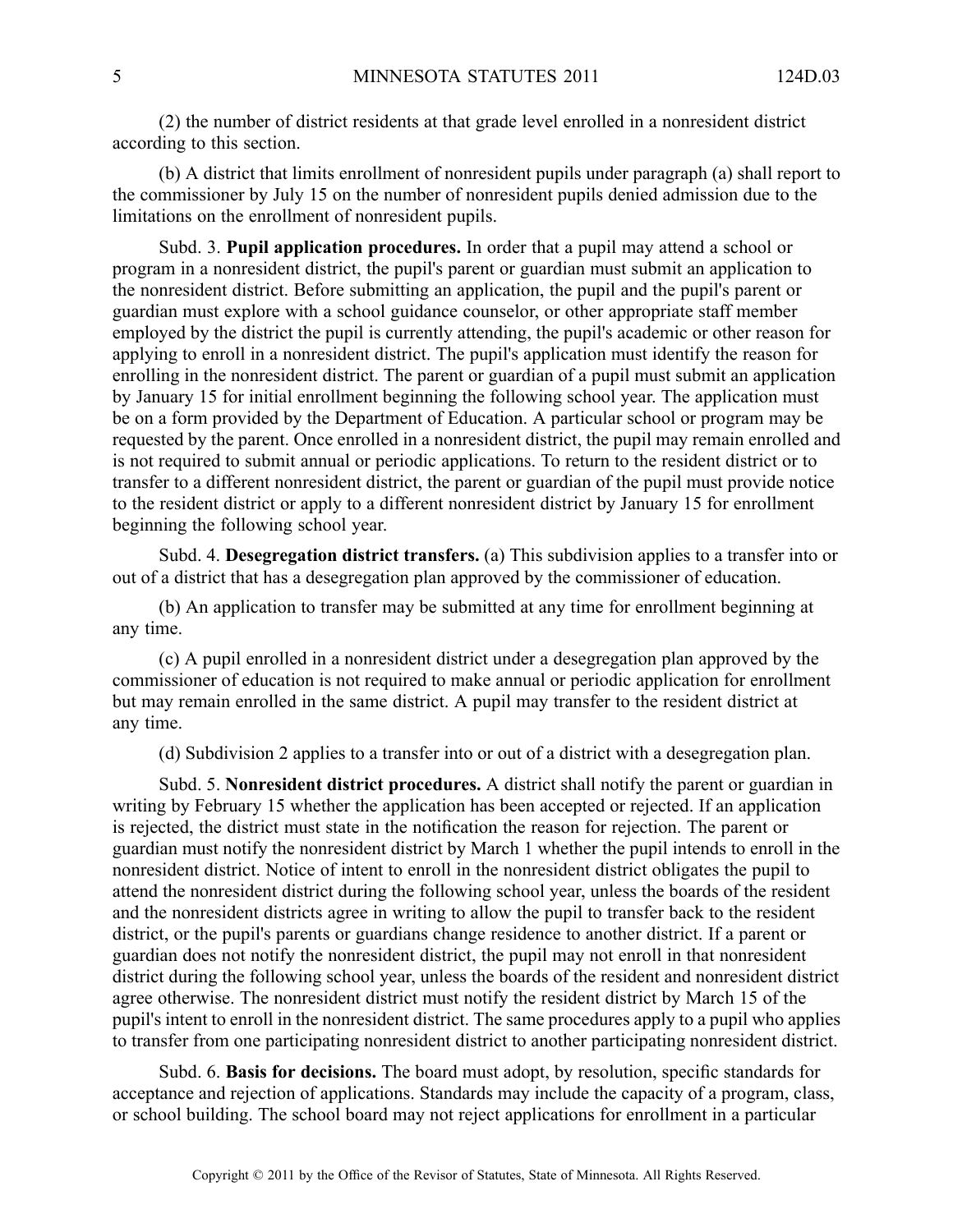(2) the number of district residents at that grade level enrolled in <sup>a</sup> nonresident district according to this section.

(b) A district that limits enrollment of nonresident pupils under paragraph (a) shall repor<sup>t</sup> to the commissioner by July 15 on the number of nonresident pupils denied admission due to the limitations on the enrollment of nonresident pupils.

Subd. 3. **Pupil application procedures.** In order that <sup>a</sup> pupil may attend <sup>a</sup> school or program in <sup>a</sup> nonresident district, the pupil's paren<sup>t</sup> or guardian must submit an application to the nonresident district. Before submitting an application, the pupil and the pupil's paren<sup>t</sup> or guardian must explore with <sup>a</sup> school guidance counselor, or other appropriate staff member employed by the district the pupil is currently attending, the pupil's academic or other reason for applying to enroll in <sup>a</sup> nonresident district. The pupil's application must identify the reason for enrolling in the nonresident district. The paren<sup>t</sup> or guardian of <sup>a</sup> pupil must submit an application by January 15 for initial enrollment beginning the following school year. The application must be on <sup>a</sup> form provided by the Department of Education. A particular school or program may be requested by the parent. Once enrolled in <sup>a</sup> nonresident district, the pupil may remain enrolled and is not required to submit annual or periodic applications. To return to the resident district or to transfer to <sup>a</sup> different nonresident district, the paren<sup>t</sup> or guardian of the pupil must provide notice to the resident district or apply to <sup>a</sup> different nonresident district by January 15 for enrollment beginning the following school year.

Subd. 4. **Desegregation district transfers.** (a) This subdivision applies to <sup>a</sup> transfer into or out of <sup>a</sup> district that has <sup>a</sup> desegregation plan approved by the commissioner of education.

(b) An application to transfer may be submitted at any time for enrollment beginning at any time.

(c) A pupil enrolled in <sup>a</sup> nonresident district under <sup>a</sup> desegregation plan approved by the commissioner of education is not required to make annual or periodic application for enrollment but may remain enrolled in the same district. A pupil may transfer to the resident district at any time.

(d) Subdivision 2 applies to <sup>a</sup> transfer into or out of <sup>a</sup> district with <sup>a</sup> desegregation plan.

Subd. 5. **Nonresident district procedures.** A district shall notify the paren<sup>t</sup> or guardian in writing by February 15 whether the application has been accepted or rejected. If an application is rejected, the district must state in the notification the reason for rejection. The paren<sup>t</sup> or guardian must notify the nonresident district by March 1 whether the pupil intends to enroll in the nonresident district. Notice of intent to enroll in the nonresident district obligates the pupil to attend the nonresident district during the following school year, unless the boards of the resident and the nonresident districts agree in writing to allow the pupil to transfer back to the resident district, or the pupil's parents or guardians change residence to another district. If <sup>a</sup> paren<sup>t</sup> or guardian does not notify the nonresident district, the pupil may not enroll in that nonresident district during the following school year, unless the boards of the resident and nonresident district agree otherwise. The nonresident district must notify the resident district by March 15 of the pupil's intent to enroll in the nonresident district. The same procedures apply to <sup>a</sup> pupil who applies to transfer from one participating nonresident district to another participating nonresident district.

Subd. 6. **Basis for decisions.** The board must adopt, by resolution, specific standards for acceptance and rejection of applications. Standards may include the capacity of <sup>a</sup> program, class, or school building. The school board may not reject applications for enrollment in <sup>a</sup> particular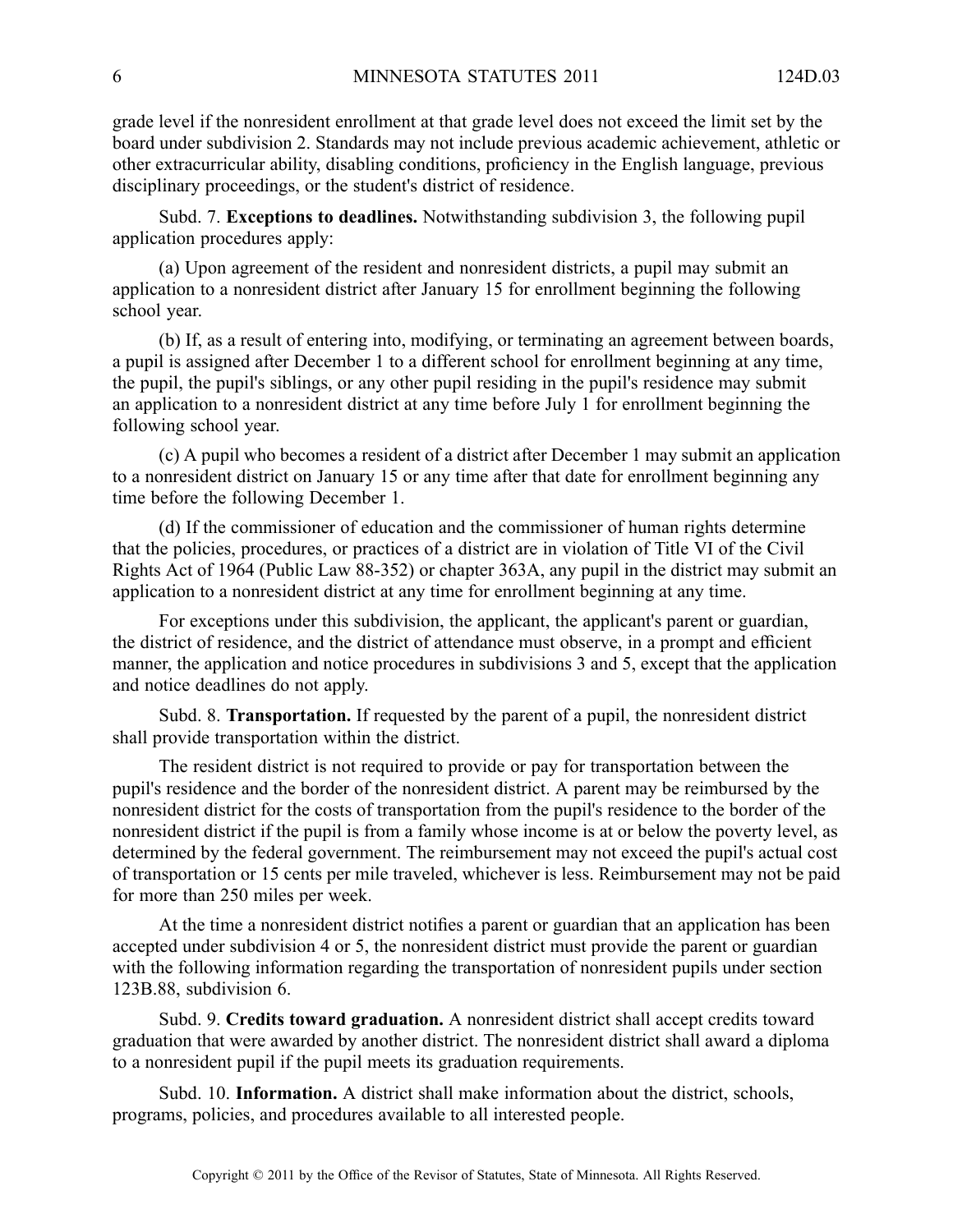grade level if the nonresident enrollment at that grade level does not exceed the limit set by the board under subdivision 2. Standards may not include previous academic achievement, athletic or other extracurricular ability, disabling conditions, proficiency in the English language, previous disciplinary proceedings, or the student's district of residence.

Subd. 7. **Exceptions to deadlines.** Notwithstanding subdivision 3, the following pupil application procedures apply:

(a) Upon agreemen<sup>t</sup> of the resident and nonresident districts, <sup>a</sup> pupil may submit an application to <sup>a</sup> nonresident district after January 15 for enrollment beginning the following school year.

(b) If, as <sup>a</sup> result of entering into, modifying, or terminating an agreemen<sup>t</sup> between boards, <sup>a</sup> pupil is assigned after December 1 to <sup>a</sup> different school for enrollment beginning at any time, the pupil, the pupil's siblings, or any other pupil residing in the pupil's residence may submit an application to <sup>a</sup> nonresident district at any time before July 1 for enrollment beginning the following school year.

(c) A pupil who becomes <sup>a</sup> resident of <sup>a</sup> district after December 1 may submit an application to <sup>a</sup> nonresident district on January 15 or any time after that date for enrollment beginning any time before the following December 1.

(d) If the commissioner of education and the commissioner of human rights determine that the policies, procedures, or practices of <sup>a</sup> district are in violation of Title VI of the Civil Rights Act of 1964 (Public Law 88-352) or chapter 363A, any pupil in the district may submit an application to <sup>a</sup> nonresident district at any time for enrollment beginning at any time.

For exceptions under this subdivision, the applicant, the applicant's parent or guardian, the district of residence, and the district of attendance must observe, in <sup>a</sup> promp<sup>t</sup> and efficient manner, the application and notice procedures in subdivisions 3 and 5, excep<sup>t</sup> that the application and notice deadlines do not apply.

Subd. 8. **Transportation.** If requested by the paren<sup>t</sup> of <sup>a</sup> pupil, the nonresident district shall provide transportation within the district.

The resident district is not required to provide or pay for transportation between the pupil's residence and the border of the nonresident district. A parent may be reimbursed by the nonresident district for the costs of transportation from the pupil's residence to the border of the nonresident district if the pupil is from <sup>a</sup> family whose income is at or below the poverty level, as determined by the federal government. The reimbursement may not exceed the pupil's actual cost of transportation or 15 cents per mile traveled, whichever is less. Reimbursement may not be paid for more than 250 miles per week.

At the time <sup>a</sup> nonresident district notifies <sup>a</sup> paren<sup>t</sup> or guardian that an application has been accepted under subdivision 4 or 5, the nonresident district must provide the paren<sup>t</sup> or guardian with the following information regarding the transportation of nonresident pupils under section 123B.88, subdivision 6.

Subd. 9. **Credits toward graduation.** A nonresident district shall accep<sup>t</sup> credits toward graduation that were awarded by another district. The nonresident district shall award <sup>a</sup> diploma to <sup>a</sup> nonresident pupil if the pupil meets its graduation requirements.

Subd. 10. **Information.** A district shall make information about the district, schools, programs, policies, and procedures available to all interested people.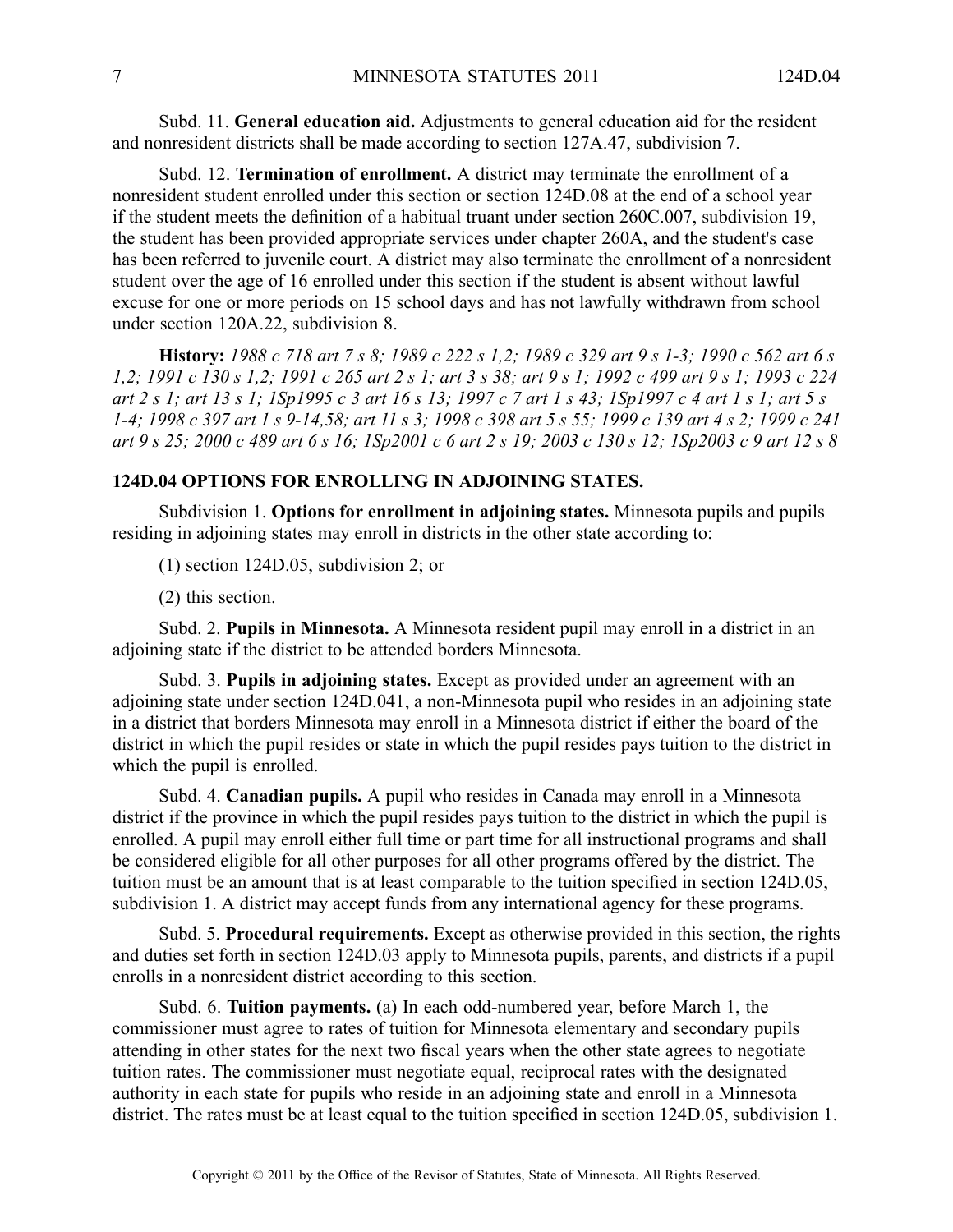Subd. 11. **General education aid.** Adjustments to general education aid for the resident and nonresident districts shall be made according to section 127A.47, subdivision 7.

Subd. 12. **Termination of enrollment.** A district may terminate the enrollment of <sup>a</sup> nonresident student enrolled under this section or section 124D.08 at the end of <sup>a</sup> school year if the student meets the definition of <sup>a</sup> habitual truant under section 260C.007, subdivision 19, the student has been provided appropriate services under chapter 260A, and the student's case has been referred to juvenile court. A district may also terminate the enrollment of <sup>a</sup> nonresident student over the age of 16 enrolled under this section if the student is absent without lawful excuse for one or more periods on 15 school days and has not lawfully withdrawn from school under section 120A.22, subdivision 8.

History: 1988 c 718 art 7 s 8; 1989 c 222 s 1,2; 1989 c 329 art 9 s 1-3; 1990 c 562 art 6 s 1,2; 1991 c 130 s 1,2; 1991 c 265 art 2 s 1; art 3 s 38; art 9 s 1; 1992 c 499 art 9 s 1; 1993 c 224 art 2 s 1; art 13 s 1; 1Sp1995 c 3 art 16 s 13; 1997 c 7 art 1 s 43; 1Sp1997 c 4 art 1 s 1; art 5 s 1-4; 1998 c 397 art 1 s 9-14,58; art 11 s 3; 1998 c 398 art 5 s 55; 1999 c 139 art 4 s 2; 1999 c 241 art 9 s 25; 2000 c 489 art 6 s 16; 1Sp2001 c 6 art 2 s 19; 2003 c 130 s 12; 1Sp2003 c 9 art 12 s 8

# **124D.04 OPTIONS FOR ENROLLING IN ADJOINING STATES.**

Subdivision 1. **Options for enrollment in adjoining states.** Minnesota pupils and pupils residing in adjoining states may enroll in districts in the other state according to:

(1) section 124D.05, subdivision 2; or

(2) this section.

Subd. 2. **Pupils in Minnesota.** A Minnesota resident pupil may enroll in <sup>a</sup> district in an adjoining state if the district to be attended borders Minnesota.

Subd. 3. **Pupils in adjoining states.** Except as provided under an agreemen<sup>t</sup> with an adjoining state under section 124D.041, <sup>a</sup> non-Minnesota pupil who resides in an adjoining state in <sup>a</sup> district that borders Minnesota may enroll in <sup>a</sup> Minnesota district if either the board of the district in which the pupil resides or state in which the pupil resides pays tuition to the district in which the pupil is enrolled.

Subd. 4. **Canadian pupils.** A pupil who resides in Canada may enroll in a Minnesota district if the province in which the pupil resides pays tuition to the district in which the pupil is enrolled. A pupil may enroll either full time or par<sup>t</sup> time for all instructional programs and shall be considered eligible for all other purposes for all other programs offered by the district. The tuition must be an amount that is at least comparable to the tuition specified in section 124D.05, subdivision 1. A district may accep<sup>t</sup> funds from any international agency for these programs.

Subd. 5. **Procedural requirements.** Except as otherwise provided in this section, the rights and duties set forth in section 124D.03 apply to Minnesota pupils, parents, and districts if <sup>a</sup> pupil enrolls in <sup>a</sup> nonresident district according to this section.

Subd. 6. **Tuition payments.** (a) In each odd-numbered year, before March 1, the commissioner must agree to rates of tuition for Minnesota elementary and secondary pupils attending in other states for the next two fiscal years when the other state agrees to negotiate tuition rates. The commissioner must negotiate equal, reciprocal rates with the designated authority in each state for pupils who reside in an adjoining state and enroll in <sup>a</sup> Minnesota district. The rates must be at least equal to the tuition specified in section 124D.05, subdivision 1.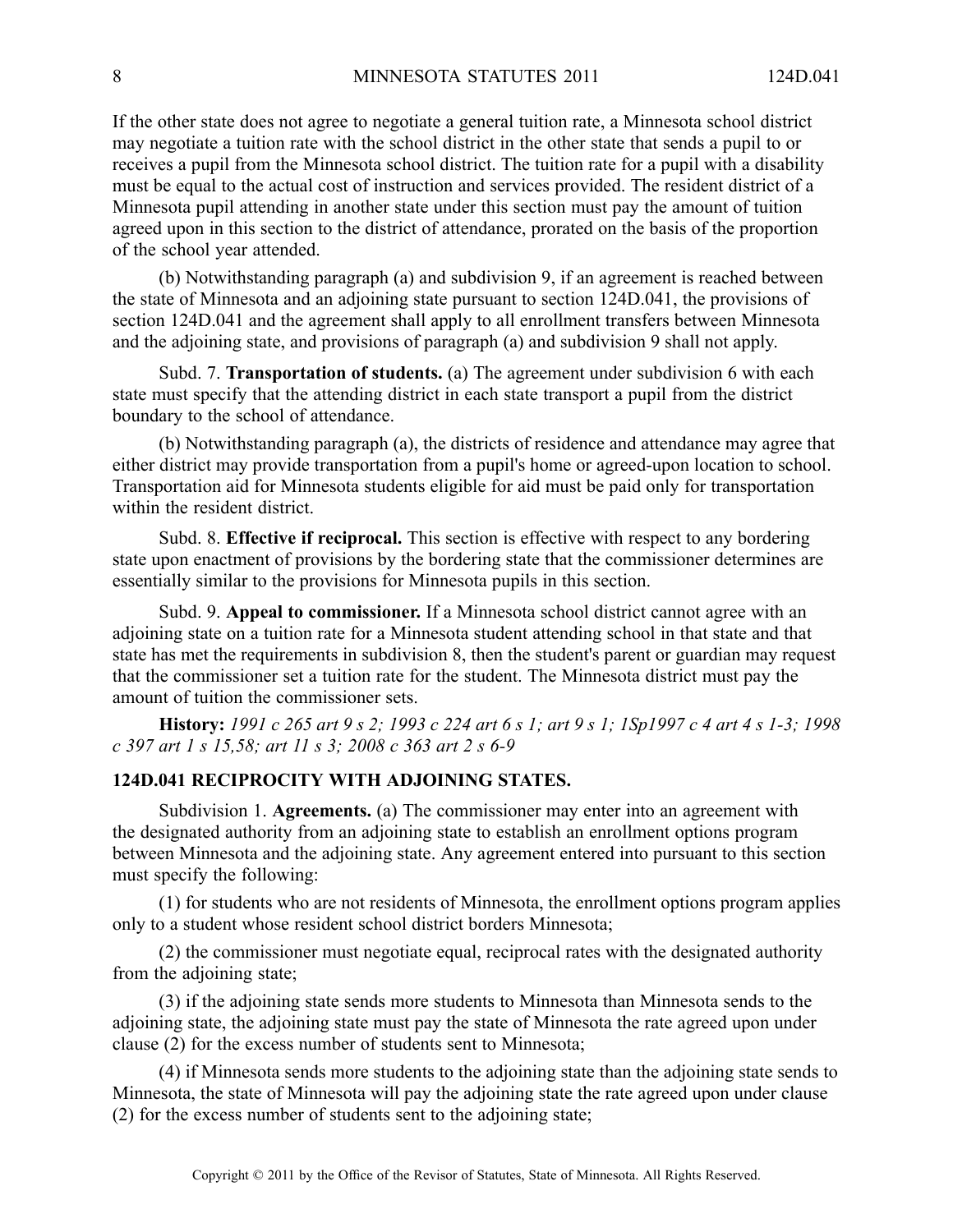If the other state does not agree to negotiate <sup>a</sup> general tuition rate, <sup>a</sup> Minnesota school district may negotiate <sup>a</sup> tuition rate with the school district in the other state that sends <sup>a</sup> pupil to or receives <sup>a</sup> pupil from the Minnesota school district. The tuition rate for <sup>a</sup> pupil with <sup>a</sup> disability must be equal to the actual cost of instruction and services provided. The resident district of <sup>a</sup> Minnesota pupil attending in another state under this section must pay the amount of tuition agreed upon in this section to the district of attendance, prorated on the basis of the proportion of the school year attended.

(b) Notwithstanding paragraph (a) and subdivision 9, if an agreemen<sup>t</sup> is reached between the state of Minnesota and an adjoining state pursuan<sup>t</sup> to section 124D.041, the provisions of section 124D.041 and the agreemen<sup>t</sup> shall apply to all enrollment transfers between Minnesota and the adjoining state, and provisions of paragraph (a) and subdivision 9 shall not apply.

Subd. 7. **Transportation of students.** (a) The agreemen<sup>t</sup> under subdivision 6 with each state must specify that the attending district in each state transport <sup>a</sup> pupil from the district boundary to the school of attendance.

(b) Notwithstanding paragraph (a), the districts of residence and attendance may agree that either district may provide transportation from <sup>a</sup> pupil's home or agreed-upon location to school. Transportation aid for Minnesota students eligible for aid must be paid only for transportation within the resident district.

Subd. 8. **Effective if reciprocal.** This section is effective with respec<sup>t</sup> to any bordering state upon enactment of provisions by the bordering state that the commissioner determines are essentially similar to the provisions for Minnesota pupils in this section.

Subd. 9. **Appeal to commissioner.** If <sup>a</sup> Minnesota school district cannot agree with an adjoining state on <sup>a</sup> tuition rate for <sup>a</sup> Minnesota student attending school in that state and that state has met the requirements in subdivision 8, then the student's paren<sup>t</sup> or guardian may reques<sup>t</sup> that the commissioner set <sup>a</sup> tuition rate for the student. The Minnesota district must pay the amount of tuition the commissioner sets.

History: 1991 c 265 art 9 s 2; 1993 c 224 art 6 s 1; art 9 s 1; 1Sp1997 c 4 art 4 s 1-3; 1998 *<sup>c</sup> 397 art 1 <sup>s</sup> 15,58; art 11 <sup>s</sup> 3; 2008 <sup>c</sup> 363 art 2 <sup>s</sup> 6-9*

# **124D.041 RECIPROCITY WITH ADJOINING STATES.**

Subdivision 1. **Agreements.** (a) The commissioner may enter into an agreemen<sup>t</sup> with the designated authority from an adjoining state to establish an enrollment options program between Minnesota and the adjoining state. Any agreemen<sup>t</sup> entered into pursuan<sup>t</sup> to this section must specify the following:

(1) for students who are not residents of Minnesota, the enrollment options program applies only to <sup>a</sup> student whose resident school district borders Minnesota;

(2) the commissioner must negotiate equal, reciprocal rates with the designated authority from the adjoining state;

(3) if the adjoining state sends more students to Minnesota than Minnesota sends to the adjoining state, the adjoining state must pay the state of Minnesota the rate agreed upon under clause (2) for the excess number of students sent to Minnesota;

(4) if Minnesota sends more students to the adjoining state than the adjoining state sends to Minnesota, the state of Minnesota will pay the adjoining state the rate agreed upon under clause (2) for the excess number of students sent to the adjoining state;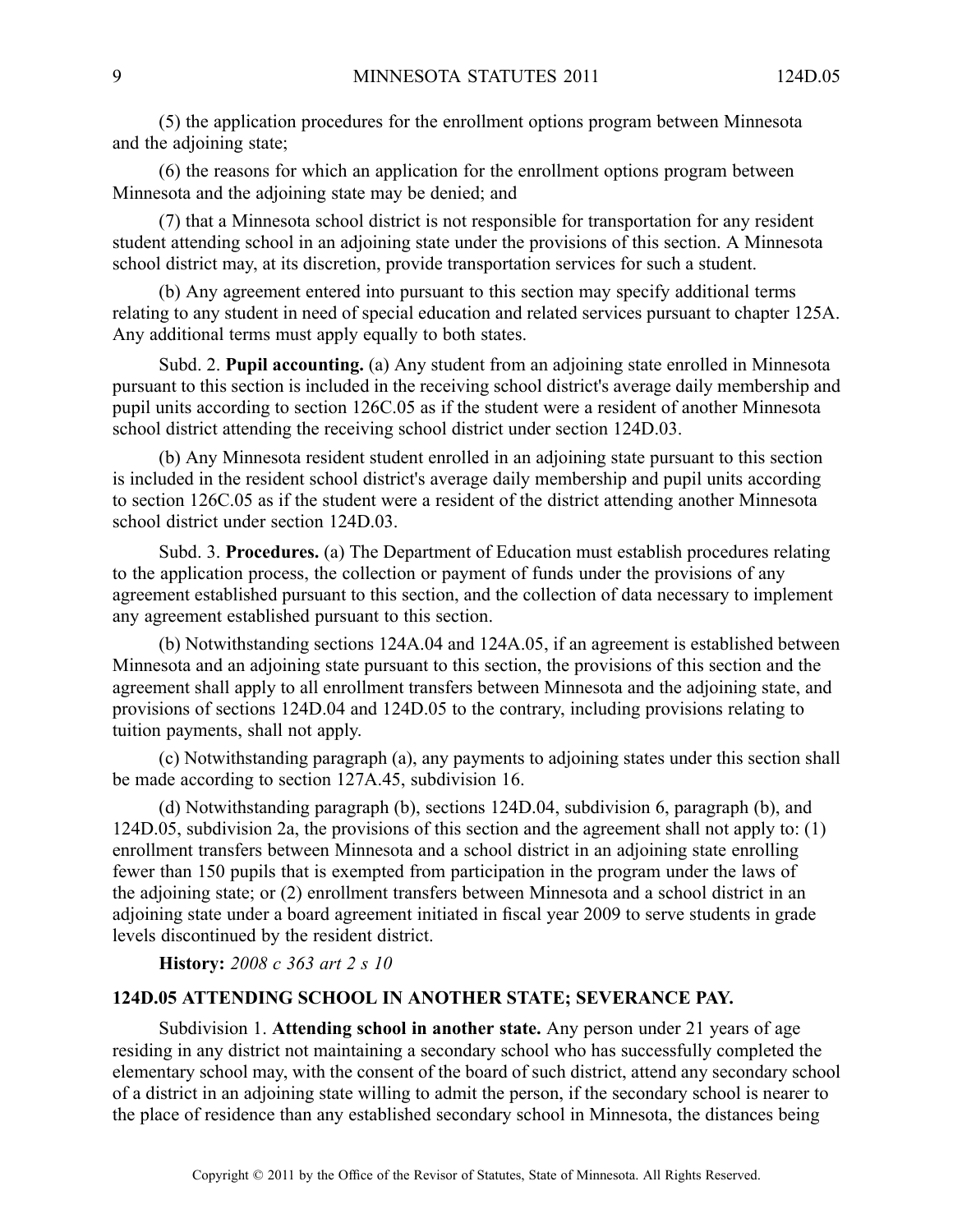(5) the application procedures for the enrollment options program between Minnesota and the adjoining state;

(6) the reasons for which an application for the enrollment options program between Minnesota and the adjoining state may be denied; and

(7) that <sup>a</sup> Minnesota school district is not responsible for transportation for any resident student attending school in an adjoining state under the provisions of this section. AMinnesota school district may, at its discretion, provide transportation services for such <sup>a</sup> student.

(b) Any agreemen<sup>t</sup> entered into pursuan<sup>t</sup> to this section may specify additional terms relating to any student in need of special education and related services pursuan<sup>t</sup> to chapter 125A. Any additional terms must apply equally to both states.

Subd. 2. **Pupil accounting.** (a) Any student from an adjoining state enrolled in Minnesota pursuan<sup>t</sup> to this section is included in the receiving school district's average daily membership and pupil units according to section 126C.05 as if the student were <sup>a</sup> resident of another Minnesota school district attending the receiving school district under section 124D.03.

(b) Any Minnesota resident student enrolled in an adjoining state pursuan<sup>t</sup> to this section is included in the resident school district's average daily membership and pupil units according to section 126C.05 as if the student were <sup>a</sup> resident of the district attending another Minnesota school district under section 124D.03.

Subd. 3. **Procedures.** (a) The Department of Education must establish procedures relating to the application process, the collection or paymen<sup>t</sup> of funds under the provisions of any agreemen<sup>t</sup> established pursuan<sup>t</sup> to this section, and the collection of data necessary to implement any agreemen<sup>t</sup> established pursuan<sup>t</sup> to this section.

(b) Notwithstanding sections 124A.04 and 124A.05, if an agreemen<sup>t</sup> is established between Minnesota and an adjoining state pursuan<sup>t</sup> to this section, the provisions of this section and the agreemen<sup>t</sup> shall apply to all enrollment transfers between Minnesota and the adjoining state, and provisions of sections 124D.04 and 124D.05 to the contrary, including provisions relating to tuition payments, shall not apply.

(c) Notwithstanding paragraph (a), any payments to adjoining states under this section shall be made according to section 127A.45, subdivision 16.

(d) Notwithstanding paragraph (b), sections 124D.04, subdivision 6, paragraph (b), and 124D.05, subdivision 2a, the provisions of this section and the agreemen<sup>t</sup> shall not apply to: (1) enrollment transfers between Minnesota and <sup>a</sup> school district in an adjoining state enrolling fewer than 150 pupils that is exempted from participation in the program under the laws of the adjoining state; or (2) enrollment transfers between Minnesota and <sup>a</sup> school district in an adjoining state under <sup>a</sup> board agreemen<sup>t</sup> initiated in fiscal year 2009 to serve students in grade levels discontinued by the resident district.

**History:** *2008 <sup>c</sup> 363 art 2 <sup>s</sup> 10*

#### **124D.05 ATTENDING SCHOOL IN ANOTHER STATE; SEVERANCE PAY.**

Subdivision 1. **Attending school in another state.** Any person under 21 years of age residing in any district not maintaining <sup>a</sup> secondary school who has successfully completed the elementary school may, with the consent of the board of such district, attend any secondary school of <sup>a</sup> district in an adjoining state willing to admit the person, if the secondary school is nearer to the place of residence than any established secondary school in Minnesota, the distances being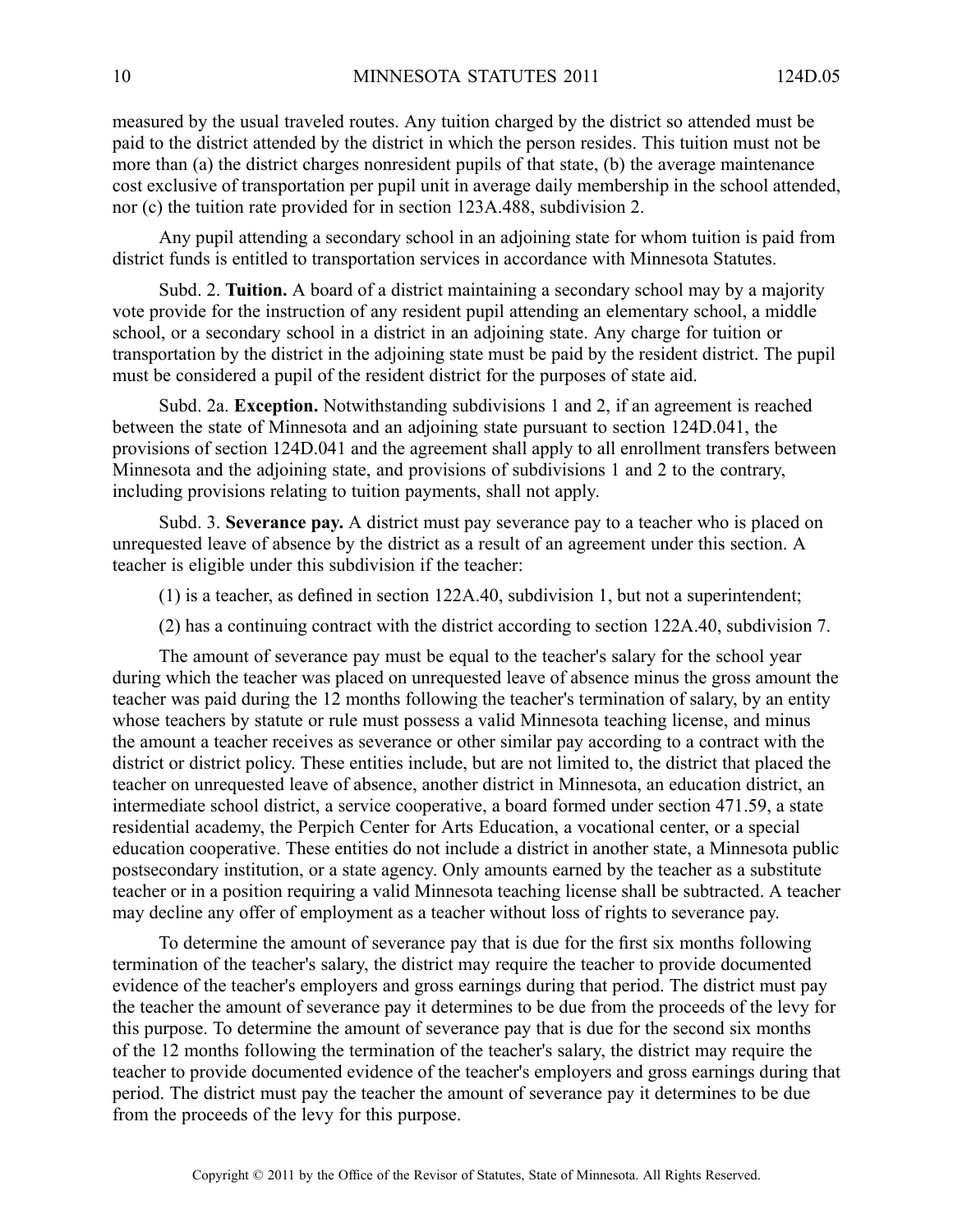measured by the usual traveled routes. Any tuition charged by the district so attended must be paid to the district attended by the district in which the person resides. This tuition must not be more than (a) the district charges nonresident pupils of that state, (b) the average maintenance cost exclusive of transportation per pupil unit in average daily membership in the school attended, nor (c) the tuition rate provided for in section 123A.488, subdivision 2.

Any pupil attending <sup>a</sup> secondary school in an adjoining state for whom tuition is paid from district funds is entitled to transportation services in accordance with Minnesota Statutes.

Subd. 2. **Tuition.** A board of a district maintaining a secondary school may by a majority vote provide for the instruction of any resident pupil attending an elementary school, <sup>a</sup> middle school, or <sup>a</sup> secondary school in <sup>a</sup> district in an adjoining state. Any charge for tuition or transportation by the district in the adjoining state must be paid by the resident district. The pupil must be considered <sup>a</sup> pupil of the resident district for the purposes of state aid.

Subd. 2a. **Exception.** Notwithstanding subdivisions 1 and 2, if an agreemen<sup>t</sup> is reached between the state of Minnesota and an adjoining state pursuan<sup>t</sup> to section 124D.041, the provisions of section 124D.041 and the agreemen<sup>t</sup> shall apply to all enrollment transfers between Minnesota and the adjoining state, and provisions of subdivisions 1 and 2 to the contrary, including provisions relating to tuition payments, shall not apply.

Subd. 3. **Severance pay.** A district must pay severance pay to a teacher who is placed on unrequested leave of absence by the district as <sup>a</sup> result of an agreemen<sup>t</sup> under this section. A teacher is eligible under this subdivision if the teacher:

(1) is <sup>a</sup> teacher, as defined in section 122A.40, subdivision 1, but not <sup>a</sup> superintendent;

(2) has <sup>a</sup> continuing contract with the district according to section 122A.40, subdivision 7.

The amount of severance pay must be equal to the teacher's salary for the school year during which the teacher was placed on unrequested leave of absence minus the gross amount the teacher was paid during the 12 months following the teacher's termination of salary, by an entity whose teachers by statute or rule must possess <sup>a</sup> valid Minnesota teaching license, and minus the amount <sup>a</sup> teacher receives as severance or other similar pay according to <sup>a</sup> contract with the district or district policy. These entities include, but are not limited to, the district that placed the teacher on unrequested leave of absence, another district in Minnesota, an education district, an intermediate school district, <sup>a</sup> service cooperative, <sup>a</sup> board formed under section 471.59, <sup>a</sup> state residential academy, the Perpich Center for Arts Education, <sup>a</sup> vocational center, or <sup>a</sup> special education cooperative. These entities do not include <sup>a</sup> district in another state, <sup>a</sup> Minnesota public postsecondary institution, or <sup>a</sup> state agency. Only amounts earned by the teacher as <sup>a</sup> substitute teacher or in <sup>a</sup> position requiring <sup>a</sup> valid Minnesota teaching license shall be subtracted. A teacher may decline any offer of employment as <sup>a</sup> teacher without loss of rights to severance pay.

To determine the amount of severance pay that is due for the first six months following termination of the teacher's salary, the district may require the teacher to provide documented evidence of the teacher's employers and gross earnings during that period. The district must pay the teacher the amount of severance pay it determines to be due from the proceeds of the levy for this purpose. To determine the amount of severance pay that is due for the second six months of the 12 months following the termination of the teacher's salary, the district may require the teacher to provide documented evidence of the teacher's employers and gross earnings during that period. The district must pay the teacher the amount of severance pay it determines to be due from the proceeds of the levy for this purpose.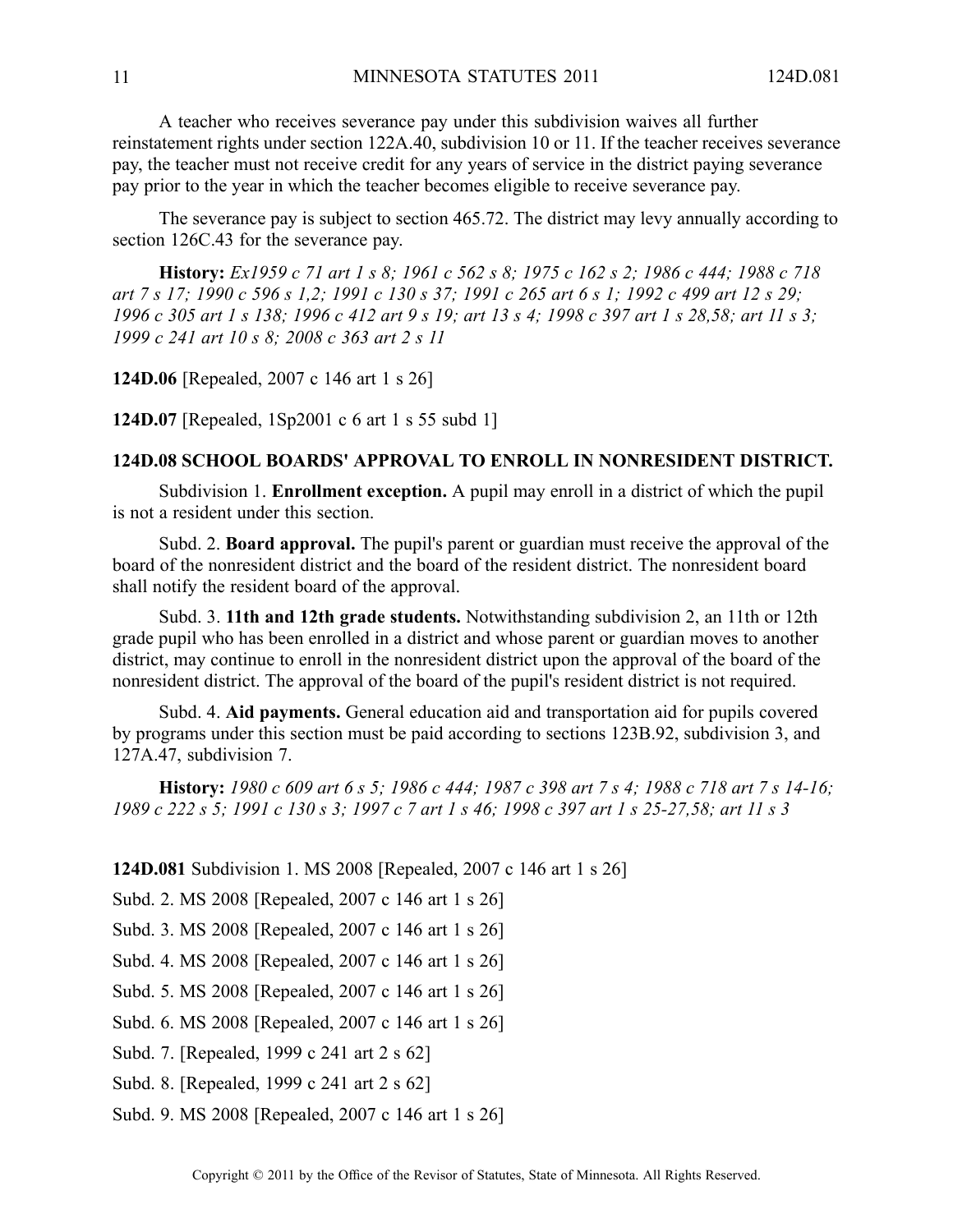A teacher who receives severance pay under this subdivision waives all further reinstatement rights under section 122A.40, subdivision 10 or 11. If the teacher receives severance pay, the teacher must not receive credit for any years of service in the district paying severance pay prior to the year in which the teacher becomes eligible to receive severance pay.

The severance pay is subject to section 465.72. The district may levy annually according to section 126C.43 for the severance pay.

History: Ex1959 c 71 art 1 s 8; 1961 c 562 s 8; 1975 c 162 s 2; 1986 c 444; 1988 c 718 art 7 s 17; 1990 c 596 s 1,2; 1991 c 130 s 37; 1991 c 265 art 6 s 1; 1992 c 499 art 12 s 29; 1996 c 305 art 1 s 138; 1996 c 412 art 9 s 19; art 13 s 4; 1998 c 397 art 1 s 28,58; art 11 s 3; *1999 <sup>c</sup> 241 art 10 <sup>s</sup> 8; 2008 <sup>c</sup> 363 art 2 <sup>s</sup> 11*

**124D.06** [Repealed, 2007 <sup>c</sup> 146 art 1 <sup>s</sup> 26]

**124D.07** [Repealed, 1Sp2001 <sup>c</sup> 6 art 1 <sup>s</sup> 55 subd 1]

#### **124D.08 SCHOOL BOARDS' APPROVAL TO ENROLL IN NONRESIDENT DISTRICT.**

Subdivision 1. **Enrollment exception.** A pupil may enroll in <sup>a</sup> district of which the pupil is not <sup>a</sup> resident under this section.

Subd. 2. **Board approval.** The pupil's paren<sup>t</sup> or guardian must receive the approval of the board of the nonresident district and the board of the resident district. The nonresident board shall notify the resident board of the approval.

Subd. 3. **11th and 12th grade students.** Notwithstanding subdivision 2, an 11th or 12th grade pupil who has been enrolled in <sup>a</sup> district and whose paren<sup>t</sup> or guardian moves to another district, may continue to enroll in the nonresident district upon the approval of the board of the nonresident district. The approval of the board of the pupil's resident district is not required.

Subd. 4. **Aid payments.** General education aid and transportation aid for pupils covered by programs under this section must be paid according to sections 123B.92, subdivision 3, and 127A.47, subdivision 7.

History: 1980 c 609 art 6 s 5; 1986 c 444; 1987 c 398 art 7 s 4; 1988 c 718 art 7 s 14-16; 1989 c 222 s 5; 1991 c 130 s 3; 1997 c 7 art 1 s 46; 1998 c 397 art 1 s 25-27,58; art 11 s 3

**124D.081** Subdivision 1. MS 2008 [Repealed, 2007 <sup>c</sup> 146 art 1 <sup>s</sup> 26]

Subd. 2. MS 2008 [Repealed, 2007 <sup>c</sup> 146 art 1 <sup>s</sup> 26]

Subd. 3. MS 2008 [Repealed, 2007 <sup>c</sup> 146 art 1 <sup>s</sup> 26]

Subd. 4. MS 2008 [Repealed, 2007 <sup>c</sup> 146 art 1 <sup>s</sup> 26]

Subd. 5. MS 2008 [Repealed, 2007 <sup>c</sup> 146 art 1 <sup>s</sup> 26]

Subd. 6. MS 2008 [Repealed, 2007 <sup>c</sup> 146 art 1 <sup>s</sup> 26]

Subd. 7. [Repealed, 1999 <sup>c</sup> 241 art 2 <sup>s</sup> 62]

Subd. 8. [Repealed, 1999 <sup>c</sup> 241 art 2 <sup>s</sup> 62]

Subd. 9. MS 2008 [Repealed, 2007 <sup>c</sup> 146 art 1 <sup>s</sup> 26]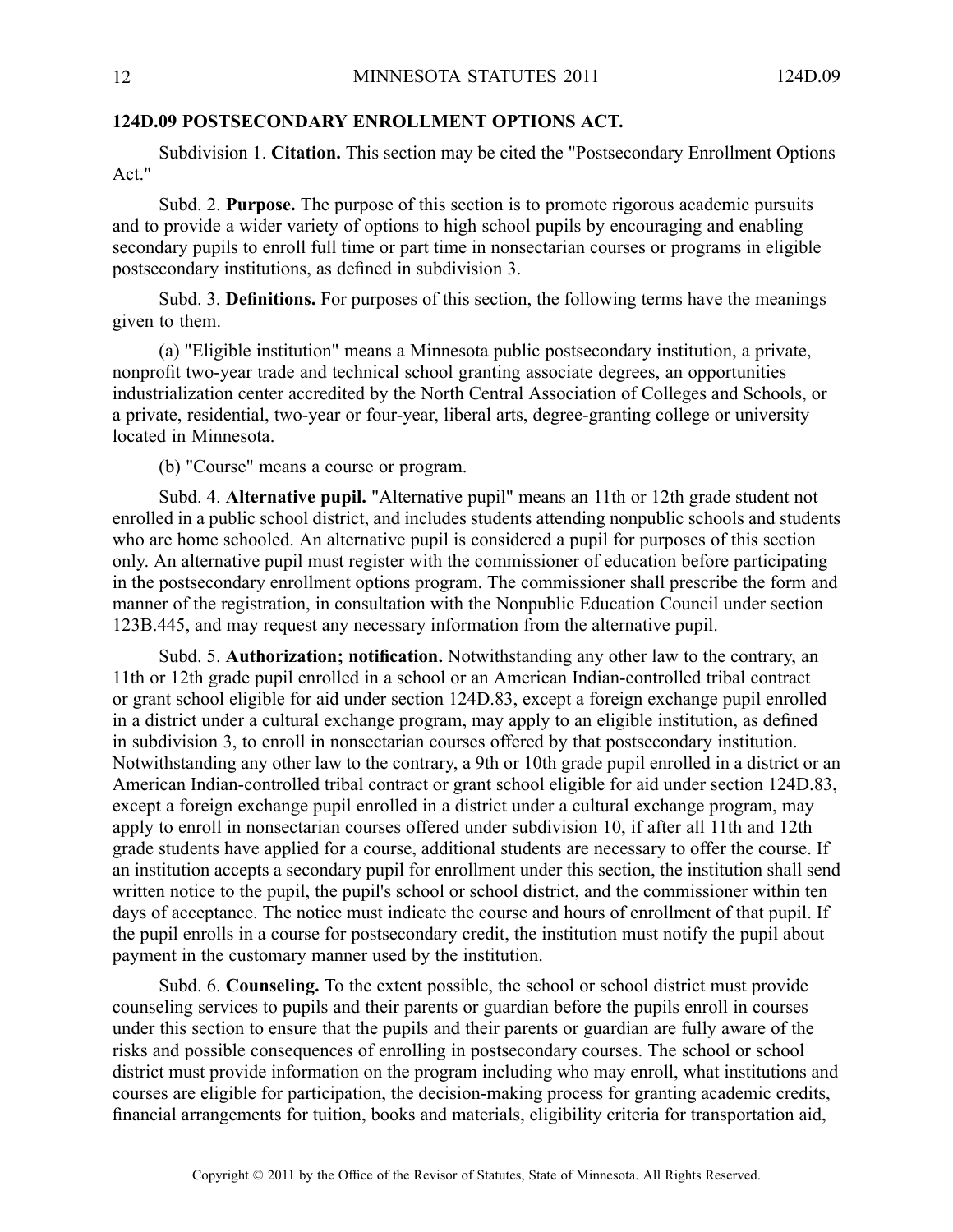# **124D.09 POSTSECONDARY ENROLLMENT OPTIONS ACT.**

Subdivision 1. **Citation.** This section may be cited the "Postsecondary Enrollment Options Act."

Subd. 2. **Purpose.** The purpose of this section is to promote rigorous academic pursuits and to provide <sup>a</sup> wider variety of options to high school pupils by encouraging and enabling secondary pupils to enroll full time or par<sup>t</sup> time in nonsectarian courses or programs in eligible postsecondary institutions, as defined in subdivision 3.

Subd. 3. **Definitions.** For purposes of this section, the following terms have the meanings given to them.

(a) "Eligible institution" means <sup>a</sup> Minnesota public postsecondary institution, <sup>a</sup> private, nonprofit two-year trade and technical school granting associate degrees, an opportunities industrialization center accredited by the North Central Association of Colleges and Schools, or <sup>a</sup> private, residential, two-year or four-year, liberal arts, degree-granting college or university located in Minnesota.

(b) "Course" means <sup>a</sup> course or program.

Subd. 4. **Alternative pupil.** "Alternative pupil" means an 11th or 12th grade student not enrolled in <sup>a</sup> public school district, and includes students attending nonpublic schools and students who are home schooled. An alternative pupil is considered <sup>a</sup> pupil for purposes of this section only. An alternative pupil must register with the commissioner of education before participating in the postsecondary enrollment options program. The commissioner shall prescribe the form and manner of the registration, in consultation with the Nonpublic Education Council under section 123B.445, and may reques<sup>t</sup> any necessary information from the alternative pupil.

Subd. 5. **Authorization; notification.** Notwithstanding any other law to the contrary, an 11th or 12th grade pupil enrolled in <sup>a</sup> school or an American Indian-controlled tribal contract or gran<sup>t</sup> school eligible for aid under section 124D.83, excep<sup>t</sup> <sup>a</sup> foreign exchange pupil enrolled in <sup>a</sup> district under <sup>a</sup> cultural exchange program, may apply to an eligible institution, as defined in subdivision 3, to enroll in nonsectarian courses offered by that postsecondary institution. Notwithstanding any other law to the contrary, <sup>a</sup> 9th or 10th grade pupil enrolled in <sup>a</sup> district or an American Indian-controlled tribal contract or gran<sup>t</sup> school eligible for aid under section 124D.83, excep<sup>t</sup> <sup>a</sup> foreign exchange pupil enrolled in <sup>a</sup> district under <sup>a</sup> cultural exchange program, may apply to enroll in nonsectarian courses offered under subdivision 10, if after all 11th and 12th grade students have applied for <sup>a</sup> course, additional students are necessary to offer the course. If an institution accepts <sup>a</sup> secondary pupil for enrollment under this section, the institution shall send written notice to the pupil, the pupil's school or school district, and the commissioner within ten days of acceptance. The notice must indicate the course and hours of enrollment of that pupil. If the pupil enrolls in <sup>a</sup> course for postsecondary credit, the institution must notify the pupil about paymen<sup>t</sup> in the customary manner used by the institution.

Subd. 6. **Counseling.** To the extent possible, the school or school district must provide counseling services to pupils and their parents or guardian before the pupils enroll in courses under this section to ensure that the pupils and their parents or guardian are fully aware of the risks and possible consequences of enrolling in postsecondary courses. The school or school district must provide information on the program including who may enroll, what institutions and courses are eligible for participation, the decision-making process for granting academic credits, financial arrangements for tuition, books and materials, eligibility criteria for transportation aid,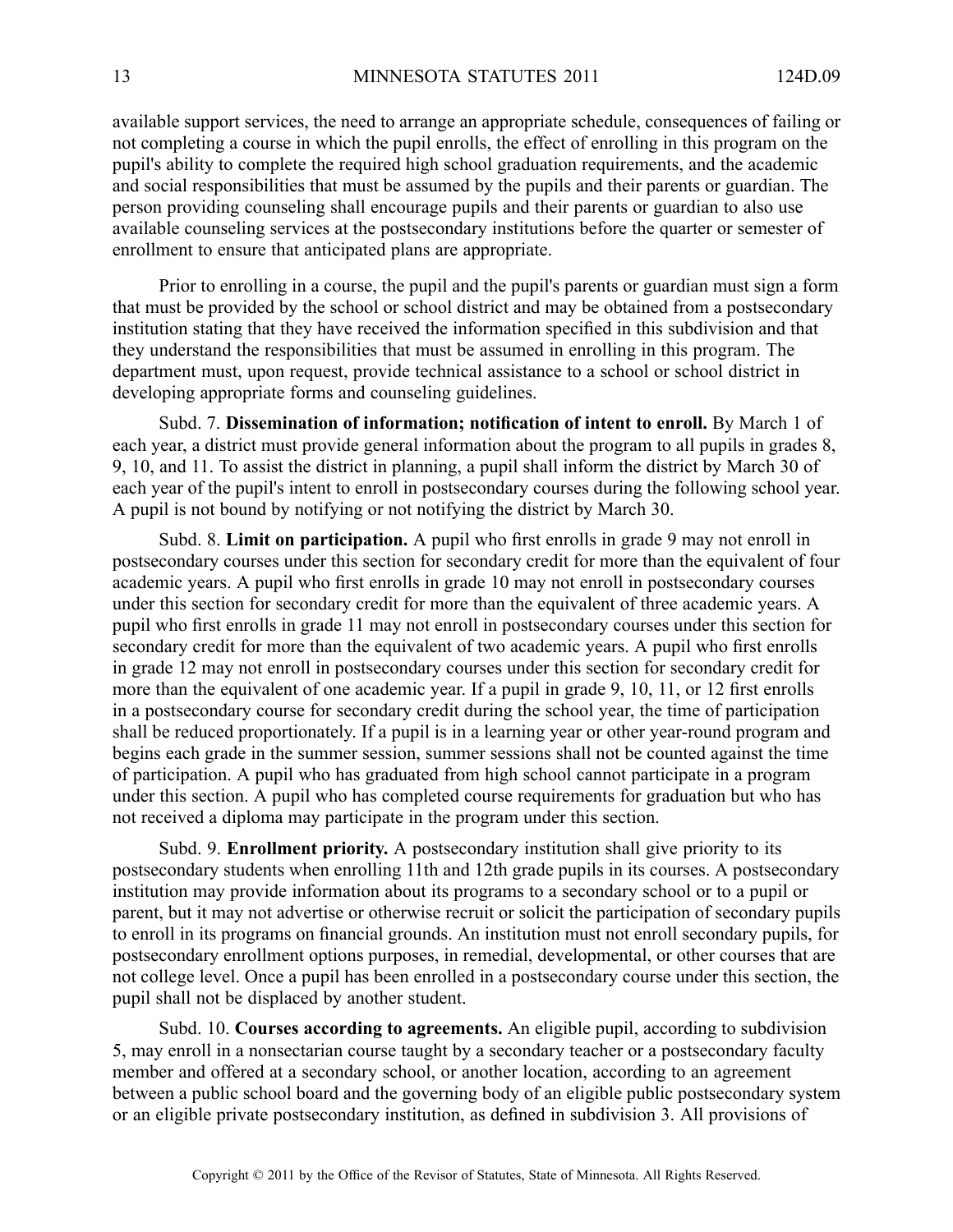available suppor<sup>t</sup> services, the need to arrange an appropriate schedule, consequences of failing or not completing <sup>a</sup> course in which the pupil enrolls, the effect of enrolling in this program on the pupil's ability to complete the required high school graduation requirements, and the academic and social responsibilities that must be assumed by the pupils and their parents or guardian. The person providing counseling shall encourage pupils and their parents or guardian to also use available counseling services at the postsecondary institutions before the quarter or semester of enrollment to ensure that anticipated plans are appropriate.

Prior to enrolling in <sup>a</sup> course, the pupil and the pupil's parents or guardian must sign <sup>a</sup> form that must be provided by the school or school district and may be obtained from <sup>a</sup> postsecondary institution stating that they have received the information specified in this subdivision and that they understand the responsibilities that must be assumed in enrolling in this program. The department must, upon request, provide technical assistance to <sup>a</sup> school or school district in developing appropriate forms and counseling guidelines.

Subd. 7. **Dissemination of information; notification of intent to enroll.** By March 1 of each year, <sup>a</sup> district must provide general information about the program to all pupils in grades 8, 9, 10, and 11. To assist the district in planning, <sup>a</sup> pupil shall inform the district by March 30 of each year of the pupil's intent to enroll in postsecondary courses during the following school year. A pupil is not bound by notifying or not notifying the district by March 30.

Subd. 8. **Limit on participation.** A pupil who first enrolls in grade 9 may not enroll in postsecondary courses under this section for secondary credit for more than the equivalent of four academic years. A pupil who first enrolls in grade 10 may not enroll in postsecondary courses under this section for secondary credit for more than the equivalent of three academic years. A pupil who first enrolls in grade 11 may not enroll in postsecondary courses under this section for secondary credit for more than the equivalent of two academic years. A pupil who first enrolls in grade 12 may not enroll in postsecondary courses under this section for secondary credit for more than the equivalent of one academic year. If <sup>a</sup> pupil in grade 9, 10, 11, or 12 first enrolls in <sup>a</sup> postsecondary course for secondary credit during the school year, the time of participation shall be reduced proportionately. If <sup>a</sup> pupil is in <sup>a</sup> learning year or other year-round program and begins each grade in the summer session, summer sessions shall not be counted against the time of participation. Apupil who has graduated from high school cannot participate in <sup>a</sup> program under this section. A pupil who has completed course requirements for graduation but who has not received <sup>a</sup> diploma may participate in the program under this section.

Subd. 9. **Enrollment priority.** A postsecondary institution shall give priority to its postsecondary students when enrolling 11th and 12th grade pupils in its courses. A postsecondary institution may provide information about its programs to <sup>a</sup> secondary school or to <sup>a</sup> pupil or parent, but it may not advertise or otherwise recruit or solicit the participation of secondary pupils to enroll in its programs on financial grounds. An institution must not enroll secondary pupils, for postsecondary enrollment options purposes, in remedial, developmental, or other courses that are not college level. Once <sup>a</sup> pupil has been enrolled in <sup>a</sup> postsecondary course under this section, the pupil shall not be displaced by another student.

Subd. 10. **Courses according to agreements.** An eligible pupil, according to subdivision 5, may enroll in <sup>a</sup> nonsectarian course taught by <sup>a</sup> secondary teacher or <sup>a</sup> postsecondary faculty member and offered at <sup>a</sup> secondary school, or another location, according to an agreemen<sup>t</sup> between <sup>a</sup> public school board and the governing body of an eligible public postsecondary system or an eligible private postsecondary institution, as defined in subdivision 3. All provisions of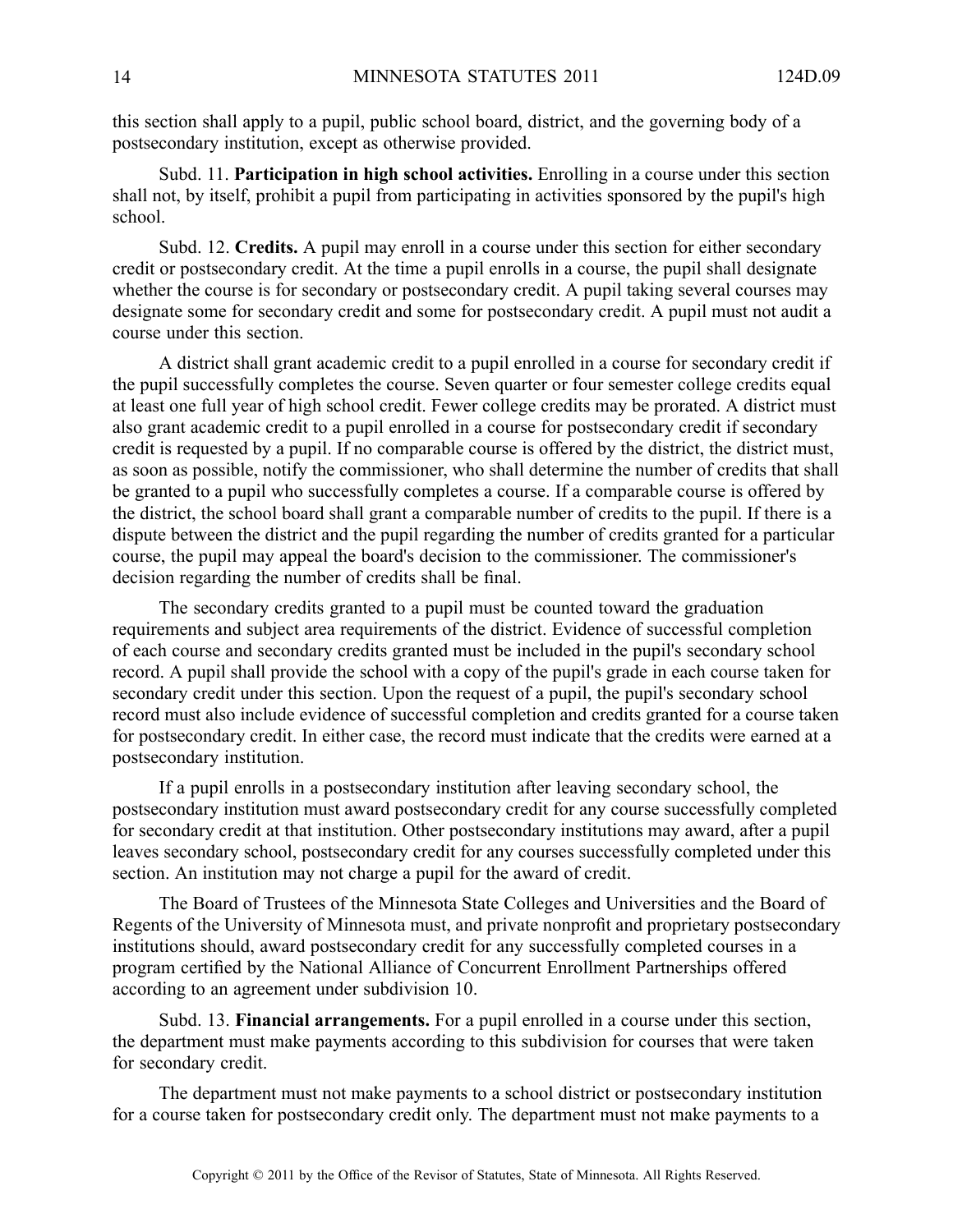this section shall apply to <sup>a</sup> pupil, public school board, district, and the governing body of <sup>a</sup> postsecondary institution, excep<sup>t</sup> as otherwise provided.

Subd. 11. **Participation in high school activities.** Enrolling in <sup>a</sup> course under this section shall not, by itself, prohibit <sup>a</sup> pupil from participating in activities sponsored by the pupil's high school.

Subd. 12. **Credits.** A pupil may enroll in a course under this section for either secondary credit or postsecondary credit. At the time <sup>a</sup> pupil enrolls in <sup>a</sup> course, the pupil shall designate whether the course is for secondary or postsecondary credit. A pupil taking several courses may designate some for secondary credit and some for postsecondary credit. A pupil must not audit a course under this section.

A district shall gran<sup>t</sup> academic credit to <sup>a</sup> pupil enrolled in <sup>a</sup> course for secondary credit if the pupil successfully completes the course. Seven quarter or four semester college credits equal at least one full year of high school credit. Fewer college credits may be prorated. A district must also gran<sup>t</sup> academic credit to <sup>a</sup> pupil enrolled in <sup>a</sup> course for postsecondary credit if secondary credit is requested by <sup>a</sup> pupil. If no comparable course is offered by the district, the district must, as soon as possible, notify the commissioner, who shall determine the number of credits that shall be granted to <sup>a</sup> pupil who successfully completes <sup>a</sup> course. If <sup>a</sup> comparable course is offered by the district, the school board shall gran<sup>t</sup> <sup>a</sup> comparable number of credits to the pupil. If there is <sup>a</sup> dispute between the district and the pupil regarding the number of credits granted for <sup>a</sup> particular course, the pupil may appeal the board's decision to the commissioner. The commissioner's decision regarding the number of credits shall be final.

The secondary credits granted to <sup>a</sup> pupil must be counted toward the graduation requirements and subject area requirements of the district. Evidence of successful completion of each course and secondary credits granted must be included in the pupil's secondary school record. A pupil shall provide the school with a copy of the pupil's grade in each course taken for secondary credit under this section. Upon the reques<sup>t</sup> of <sup>a</sup> pupil, the pupil's secondary school record must also include evidence of successful completion and credits granted for <sup>a</sup> course taken for postsecondary credit. In either case, the record must indicate that the credits were earned at <sup>a</sup> postsecondary institution.

If <sup>a</sup> pupil enrolls in <sup>a</sup> postsecondary institution after leaving secondary school, the postsecondary institution must award postsecondary credit for any course successfully completed for secondary credit at that institution. Other postsecondary institutions may award, after <sup>a</sup> pupil leaves secondary school, postsecondary credit for any courses successfully completed under this section. An institution may not charge <sup>a</sup> pupil for the award of credit.

The Board of Trustees of the Minnesota State Colleges and Universities and the Board of Regents of the University of Minnesota must, and private nonprofit and proprietary postsecondary institutions should, award postsecondary credit for any successfully completed courses in <sup>a</sup> program certified by the National Alliance of Concurrent Enrollment Partnerships offered according to an agreemen<sup>t</sup> under subdivision 10.

Subd. 13. **Financial arrangements.** For <sup>a</sup> pupil enrolled in <sup>a</sup> course under this section, the department must make payments according to this subdivision for courses that were taken for secondary credit.

The department must not make payments to <sup>a</sup> school district or postsecondary institution for <sup>a</sup> course taken for postsecondary credit only. The department must not make payments to <sup>a</sup>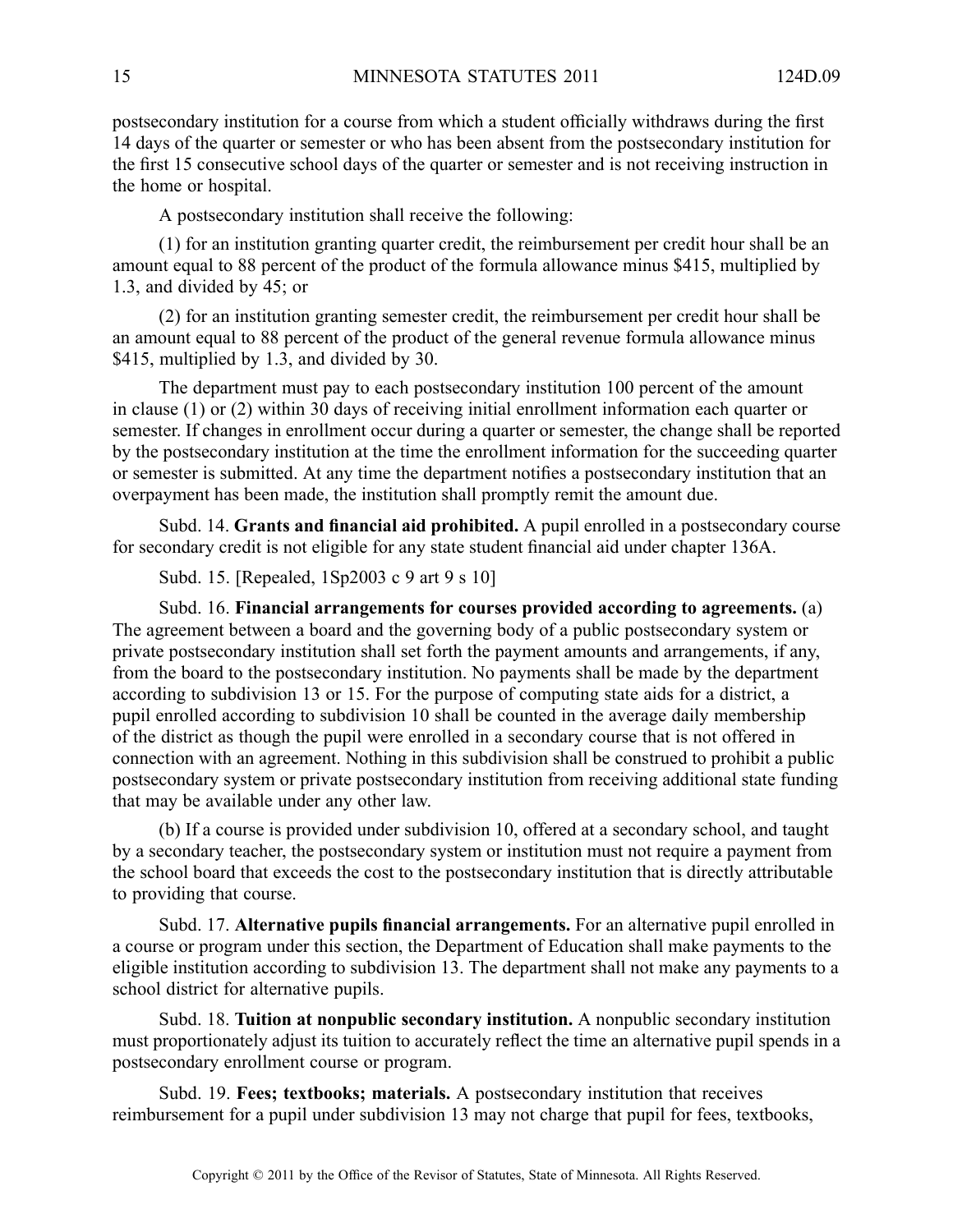postsecondary institution for <sup>a</sup> course from which <sup>a</sup> student officially withdraws during the first 14 days of the quarter or semester or who has been absent from the postsecondary institution for the first 15 consecutive school days of the quarter or semester and is not receiving instruction in the home or hospital.

A postsecondary institution shall receive the following:

(1) for an institution granting quarter credit, the reimbursement per credit hour shall be an amount equal to 88 percen<sup>t</sup> of the product of the formula allowance minus \$415, multiplied by 1.3, and divided by 45; or

(2) for an institution granting semester credit, the reimbursement per credit hour shall be an amount equal to 88 percen<sup>t</sup> of the product of the general revenue formula allowance minus \$415, multiplied by 1.3, and divided by 30.

The department must pay to each postsecondary institution 100 percen<sup>t</sup> of the amount in clause (1) or (2) within 30 days of receiving initial enrollment information each quarter or semester. If changes in enrollment occur during <sup>a</sup> quarter or semester, the change shall be reported by the postsecondary institution at the time the enrollment information for the succeeding quarter or semester is submitted. At any time the department notifies <sup>a</sup> postsecondary institution that an overpaymen<sup>t</sup> has been made, the institution shall promptly remit the amount due.

Subd. 14. **Grants and financial aid prohibited.** Apupil enrolled in <sup>a</sup> postsecondary course for secondary credit is not eligible for any state student financial aid under chapter 136A.

Subd. 15. [Repealed, 1Sp2003 <sup>c</sup> 9 art 9 <sup>s</sup> 10]

Subd. 16. **Financial arrangements for courses provided according to agreements.** (a) The agreemen<sup>t</sup> between <sup>a</sup> board and the governing body of <sup>a</sup> public postsecondary system or private postsecondary institution shall set forth the paymen<sup>t</sup> amounts and arrangements, if any, from the board to the postsecondary institution. No payments shall be made by the department according to subdivision 13 or 15. For the purpose of computing state aids for <sup>a</sup> district, <sup>a</sup> pupil enrolled according to subdivision 10 shall be counted in the average daily membership of the district as though the pupil were enrolled in <sup>a</sup> secondary course that is not offered in connection with an agreement. Nothing in this subdivision shall be construed to prohibit <sup>a</sup> public postsecondary system or private postsecondary institution from receiving additional state funding that may be available under any other law.

(b) If <sup>a</sup> course is provided under subdivision 10, offered at <sup>a</sup> secondary school, and taught by <sup>a</sup> secondary teacher, the postsecondary system or institution must not require <sup>a</sup> paymen<sup>t</sup> from the school board that exceeds the cost to the postsecondary institution that is directly attributable to providing that course.

Subd. 17. **Alternative pupils financial arrangements.** For an alternative pupil enrolled in <sup>a</sup> course or program under this section, the Department of Education shall make payments to the eligible institution according to subdivision 13. The department shall not make any payments to <sup>a</sup> school district for alternative pupils.

Subd. 18. **Tuition at nonpublic secondary institution.** A nonpublic secondary institution must proportionately adjust its tuition to accurately reflect the time an alternative pupil spends in <sup>a</sup> postsecondary enrollment course or program.

Subd. 19. **Fees; textbooks; materials.** A postsecondary institution that receives reimbursement for <sup>a</sup> pupil under subdivision 13 may not charge that pupil for fees, textbooks,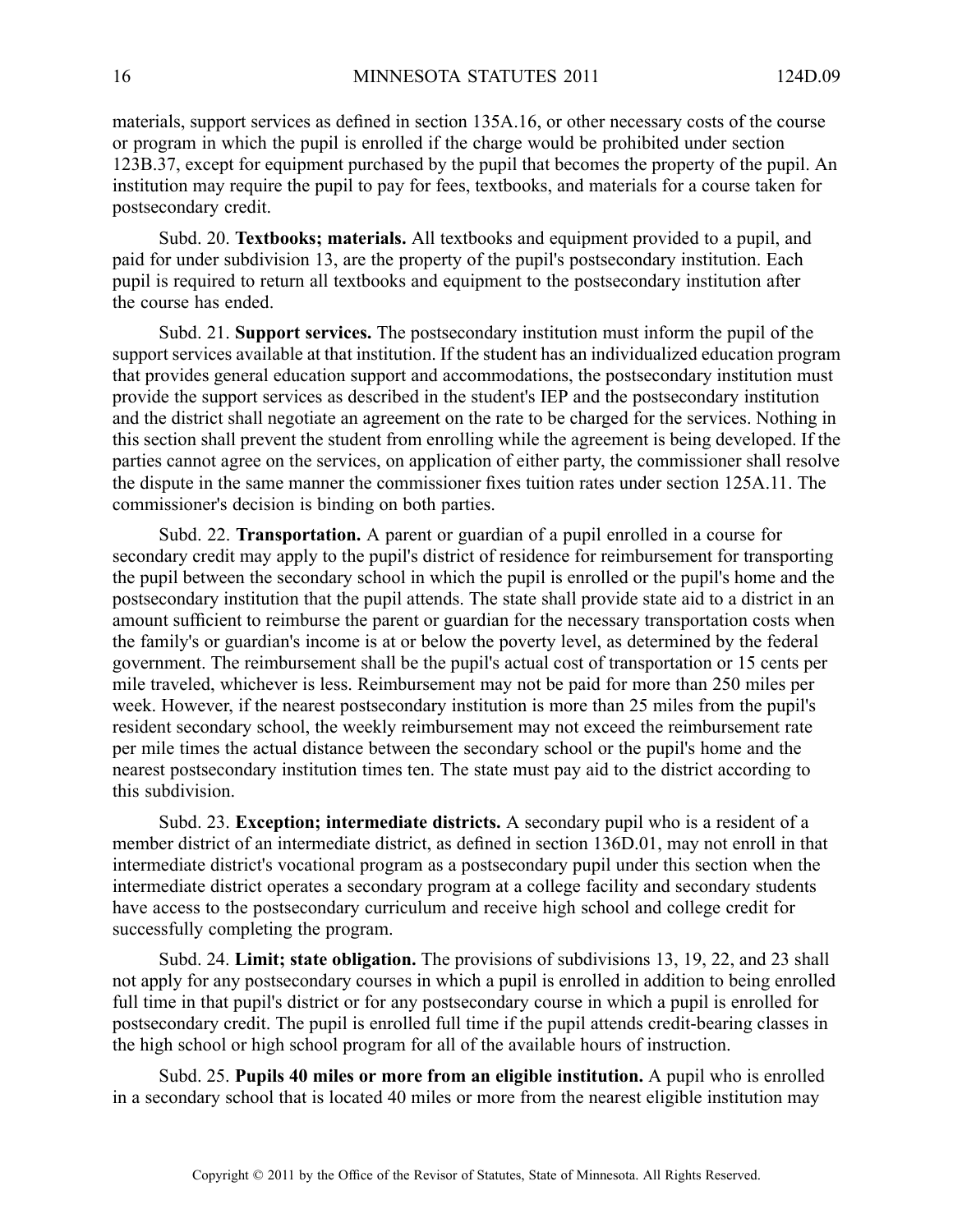materials, suppor<sup>t</sup> services as defined in section 135A.16, or other necessary costs of the course or program in which the pupil is enrolled if the charge would be prohibited under section 123B.37, excep<sup>t</sup> for equipment purchased by the pupil that becomes the property of the pupil. An institution may require the pupil to pay for fees, textbooks, and materials for <sup>a</sup> course taken for postsecondary credit.

Subd. 20. **Textbooks; materials.** All textbooks and equipment provided to <sup>a</sup> pupil, and paid for under subdivision 13, are the property of the pupil's postsecondary institution. Each pupil is required to return all textbooks and equipment to the postsecondary institution after the course has ended.

Subd. 21. **Support services.** The postsecondary institution must inform the pupil of the suppor<sup>t</sup> services available at that institution. If the student has an individualized education program that provides general education suppor<sup>t</sup> and accommodations, the postsecondary institution must provide the suppor<sup>t</sup> services as described in the student's IEP and the postsecondary institution and the district shall negotiate an agreemen<sup>t</sup> on the rate to be charged for the services. Nothing in this section shall preven<sup>t</sup> the student from enrolling while the agreemen<sup>t</sup> is being developed. If the parties cannot agree on the services, on application of either party, the commissioner shall resolve the dispute in the same manner the commissioner fixes tuition rates under section 125A.11. The commissioner's decision is binding on both parties.

Subd. 22. **Transportation.** A paren<sup>t</sup> or guardian of <sup>a</sup> pupil enrolled in <sup>a</sup> course for secondary credit may apply to the pupil's district of residence for reimbursement for transporting the pupil between the secondary school in which the pupil is enrolled or the pupil's home and the postsecondary institution that the pupil attends. The state shall provide state aid to <sup>a</sup> district in an amount sufficient to reimburse the paren<sup>t</sup> or guardian for the necessary transportation costs when the family's or guardian's income is at or below the poverty level, as determined by the federal government. The reimbursement shall be the pupil's actual cost of transportation or 15 cents per mile traveled, whichever is less. Reimbursement may not be paid for more than 250 miles per week. However, if the nearest postsecondary institution is more than 25 miles from the pupil's resident secondary school, the weekly reimbursement may not exceed the reimbursement rate per mile times the actual distance between the secondary school or the pupil's home and the nearest postsecondary institution times ten. The state must pay aid to the district according to this subdivision.

Subd. 23. **Exception; intermediate districts.** A secondary pupil who is <sup>a</sup> resident of <sup>a</sup> member district of an intermediate district, as defined in section 136D.01, may not enroll in that intermediate district's vocational program as <sup>a</sup> postsecondary pupil under this section when the intermediate district operates <sup>a</sup> secondary program at <sup>a</sup> college facility and secondary students have access to the postsecondary curriculum and receive high school and college credit for successfully completing the program.

Subd. 24. **Limit; state obligation.** The provisions of subdivisions 13, 19, 22, and 23 shall not apply for any postsecondary courses in which <sup>a</sup> pupil is enrolled in addition to being enrolled full time in that pupil's district or for any postsecondary course in which <sup>a</sup> pupil is enrolled for postsecondary credit. The pupil is enrolled full time if the pupil attends credit-bearing classes in the high school or high school program for all of the available hours of instruction.

Subd. 25. **Pupils 40 miles or more from an eligible institution.** Apupil who is enrolled in <sup>a</sup> secondary school that is located 40 miles or more from the nearest eligible institution may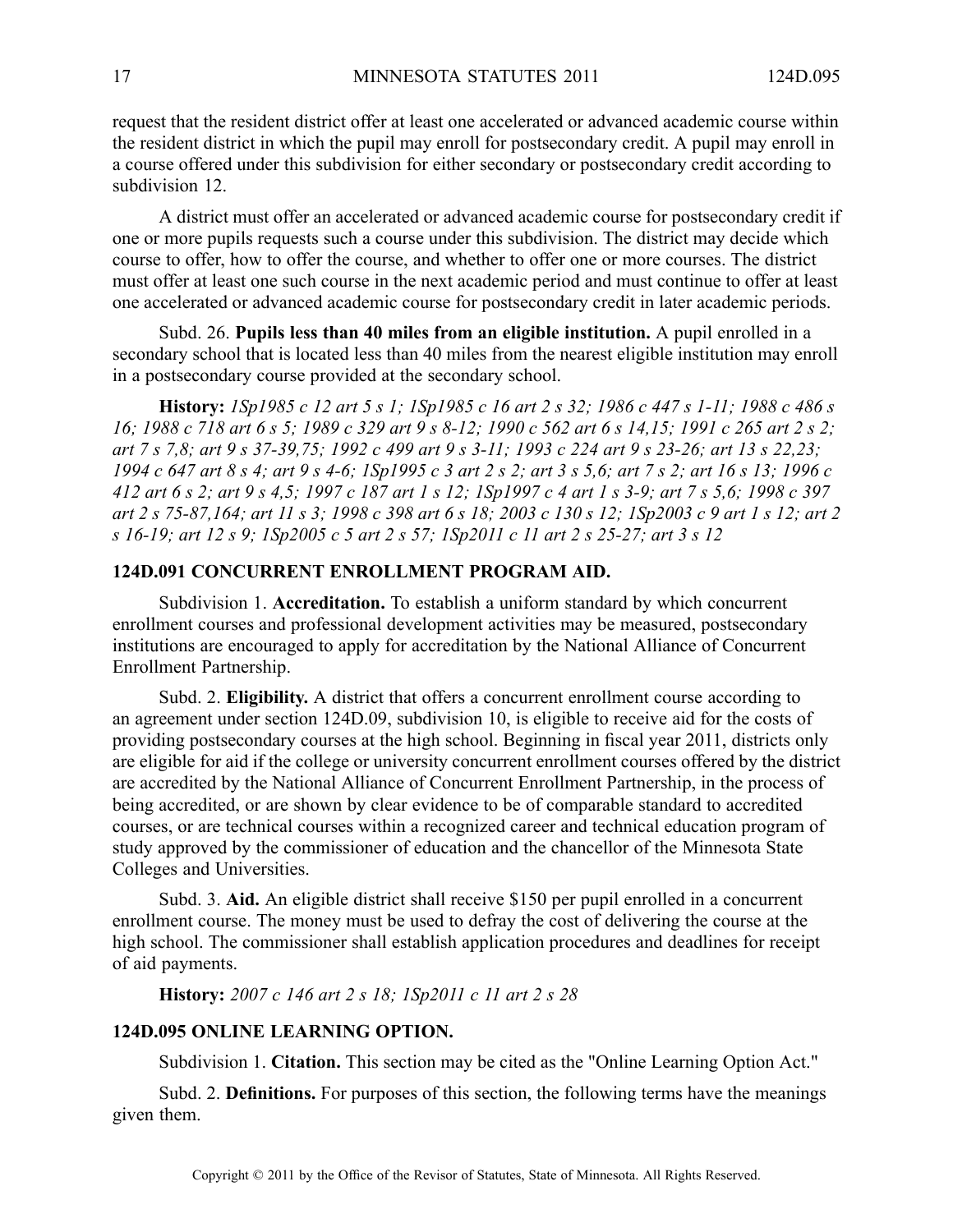reques<sup>t</sup> that the resident district offer at least one accelerated or advanced academic course within the resident district in which the pupil may enroll for postsecondary credit. A pupil may enroll in <sup>a</sup> course offered under this subdivision for either secondary or postsecondary credit according to subdivision 12.

A district must offer an accelerated or advanced academic course for postsecondary credit if one or more pupils requests such <sup>a</sup> course under this subdivision. The district may decide which course to offer, how to offer the course, and whether to offer one or more courses. The district must offer at least one such course in the next academic period and must continue to offer at least one accelerated or advanced academic course for postsecondary credit in later academic periods.

Subd. 26. **Pupils less than 40 miles from an eligible institution.** A pupil enrolled in <sup>a</sup> secondary school that is located less than 40 miles from the nearest eligible institution may enroll in <sup>a</sup> postsecondary course provided at the secondary school.

History: 1Sp1985 c 12 art 5 s 1; 1Sp1985 c 16 art 2 s 32; 1986 c 447 s 1-11; 1988 c 486 s 16; 1988 c 718 art 6 s 5; 1989 c 329 art 9 s 8-12; 1990 c 562 art 6 s 14,15; 1991 c 265 art 2 s 2; art 7 s 7.8; art 9 s 37-39.75; 1992 c 499 art 9 s 3-11; 1993 c 224 art 9 s 23-26; art 13 s 22.23; 1994 c 647 art 8 s 4; art 9 s 4-6; 1Sp1995 c 3 art 2 s 2; art 3 s 5,6; art 7 s 2; art 16 s 13; 1996 c 412 art 6 s 2; art 9 s 4,5; 1997 c 187 art 1 s 12; 1Sp1997 c 4 art 1 s 3-9; art 7 s 5,6; 1998 c 397 art 2 s 75-87, 164; art 11 s 3; 1998 c 398 art 6 s 18; 2003 c 130 s 12; 1Sp2003 c 9 art 1 s 12; art 2 s 16-19; art 12 s 9; 1Sp2005 c 5 art 2 s 57; 1Sp2011 c 11 art 2 s 25-27; art 3 s 12

#### **124D.091 CONCURRENT ENROLLMENT PROGRAM AID.**

Subdivision 1. **Accreditation.** To establish <sup>a</sup> uniform standard by which concurrent enrollment courses and professional development activities may be measured, postsecondary institutions are encouraged to apply for accreditation by the National Alliance of Concurrent Enrollment Partnership.

Subd. 2. **Eligibility.** A district that offers <sup>a</sup> concurrent enrollment course according to an agreemen<sup>t</sup> under section 124D.09, subdivision 10, is eligible to receive aid for the costs of providing postsecondary courses at the high school. Beginning in fiscal year 2011, districts only are eligible for aid if the college or university concurrent enrollment courses offered by the district are accredited by the National Alliance of Concurrent Enrollment Partnership, in the process of being accredited, or are shown by clear evidence to be of comparable standard to accredited courses, or are technical courses within <sup>a</sup> recognized career and technical education program of study approved by the commissioner of education and the chancellor of the Minnesota State Colleges and Universities.

Subd. 3. **Aid.** An eligible district shall receive \$150 per pupil enrolled in <sup>a</sup> concurrent enrollment course. The money must be used to defray the cost of delivering the course at the high school. The commissioner shall establish application procedures and deadlines for receipt of aid payments.

**History:** *2007 <sup>c</sup> 146 art 2 <sup>s</sup> 18; 1Sp2011 <sup>c</sup> 11 art 2 <sup>s</sup> 28*

#### **124D.095 ONLINE LEARNING OPTION.**

Subdivision 1. **Citation.** This section may be cited as the "Online Learning Option Act."

Subd. 2. **Definitions.** For purposes of this section, the following terms have the meanings given them.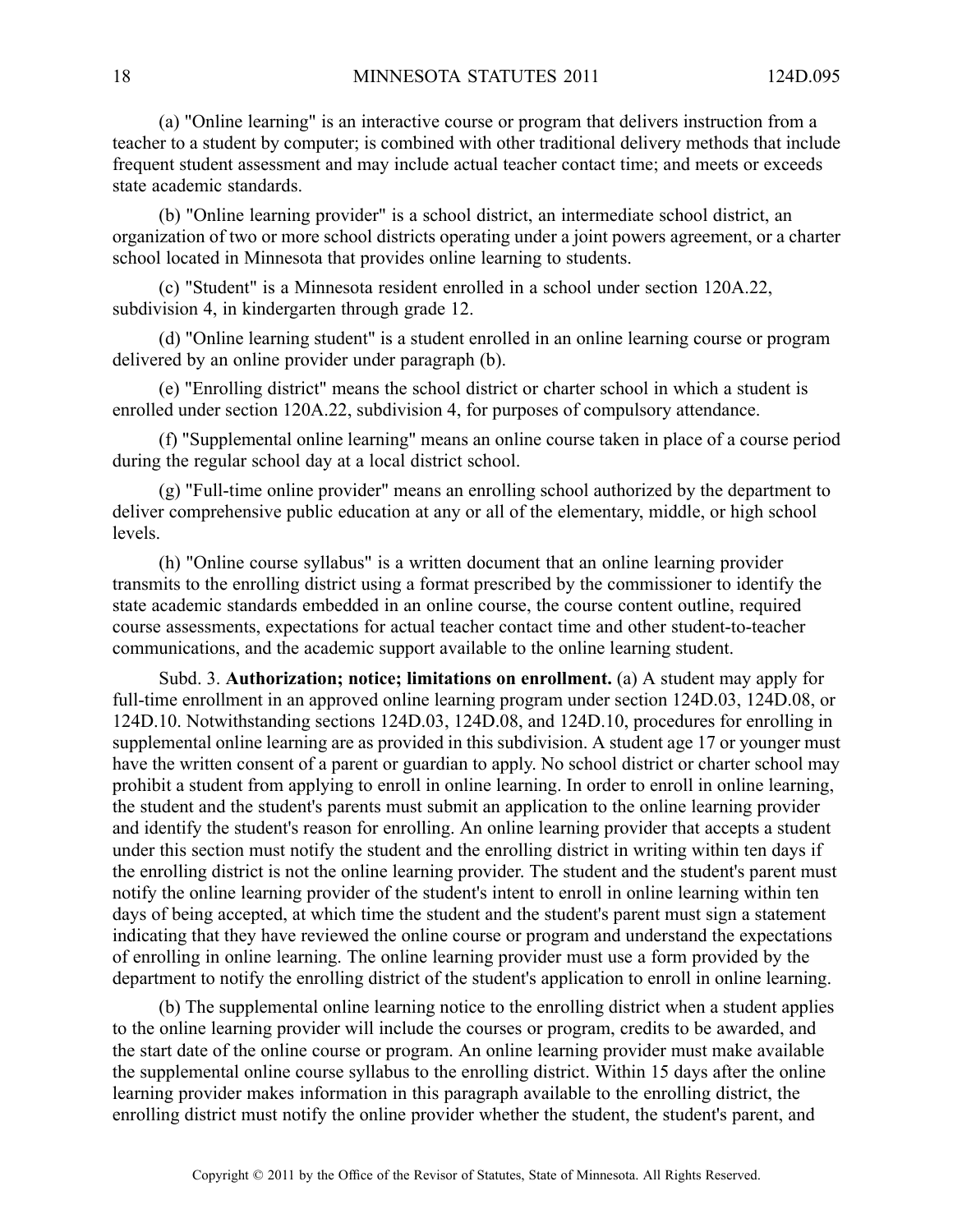(a) "Online learning" is an interactive course or program that delivers instruction from <sup>a</sup> teacher to <sup>a</sup> student by computer; is combined with other traditional delivery methods that include frequent student assessment and may include actual teacher contact time; and meets or exceeds state academic standards.

(b) "Online learning provider" is <sup>a</sup> school district, an intermediate school district, an organization of two or more school districts operating under <sup>a</sup> joint powers agreement, or <sup>a</sup> charter school located in Minnesota that provides online learning to students.

(c) "Student" is <sup>a</sup> Minnesota resident enrolled in <sup>a</sup> school under section 120A.22, subdivision 4, in kindergarten through grade 12.

(d) "Online learning student" is <sup>a</sup> student enrolled in an online learning course or program delivered by an online provider under paragraph (b).

(e) "Enrolling district" means the school district or charter school in which <sup>a</sup> student is enrolled under section 120A.22, subdivision 4, for purposes of compulsory attendance.

(f) "Supplemental online learning" means an online course taken in place of <sup>a</sup> course period during the regular school day at <sup>a</sup> local district school.

(g) "Full-time online provider" means an enrolling school authorized by the department to deliver comprehensive public education at any or all of the elementary, middle, or high school levels.

(h) "Online course syllabus" is <sup>a</sup> written document that an online learning provider transmits to the enrolling district using <sup>a</sup> format prescribed by the commissioner to identify the state academic standards embedded in an online course, the course content outline, required course assessments, expectations for actual teacher contact time and other student-to-teacher communications, and the academic suppor<sup>t</sup> available to the online learning student.

Subd. 3. **Authorization; notice; limitations on enrollment.** (a) A student may apply for full-time enrollment in an approved online learning program under section 124D.03, 124D.08, or 124D.10. Notwithstanding sections 124D.03, 124D.08, and 124D.10, procedures for enrolling in supplemental online learning are as provided in this subdivision. A student age 17 or younger must have the written consent of a parent or guardian to apply. No school district or charter school may prohibit <sup>a</sup> student from applying to enroll in online learning. In order to enroll in online learning, the student and the student's parents must submit an application to the online learning provider and identify the student's reason for enrolling. An online learning provider that accepts <sup>a</sup> student under this section must notify the student and the enrolling district in writing within ten days if the enrolling district is not the online learning provider. The student and the student's paren<sup>t</sup> must notify the online learning provider of the student's intent to enroll in online learning within ten days of being accepted, at which time the student and the student's paren<sup>t</sup> must sign <sup>a</sup> statement indicating that they have reviewed the online course or program and understand the expectations of enrolling in online learning. The online learning provider must use <sup>a</sup> form provided by the department to notify the enrolling district of the student's application to enroll in online learning.

(b) The supplemental online learning notice to the enrolling district when <sup>a</sup> student applies to the online learning provider will include the courses or program, credits to be awarded, and the start date of the online course or program. An online learning provider must make available the supplemental online course syllabus to the enrolling district. Within 15 days after the online learning provider makes information in this paragraph available to the enrolling district, the enrolling district must notify the online provider whether the student, the student's parent, and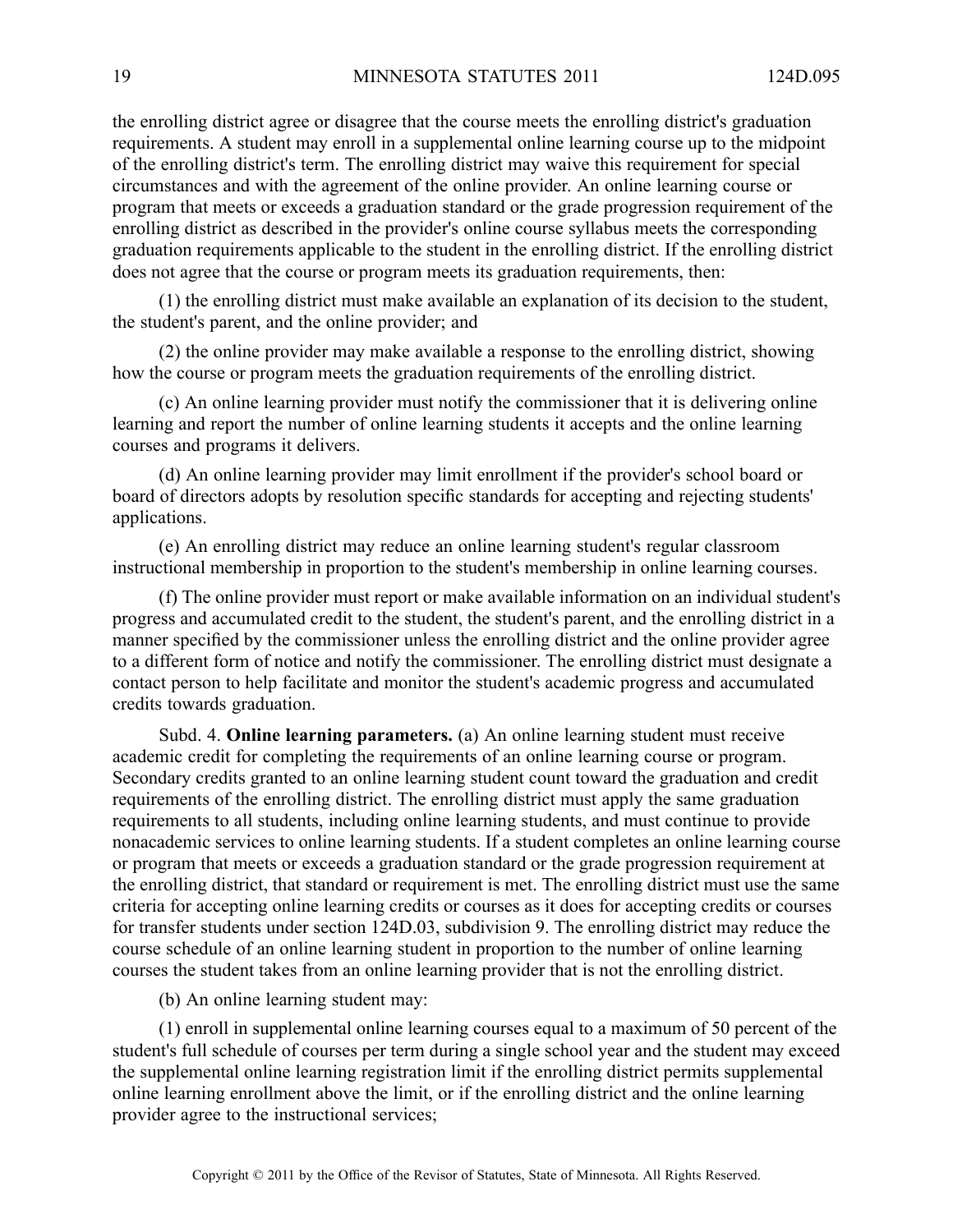the enrolling district agree or disagree that the course meets the enrolling district's graduation requirements. Astudent may enroll in <sup>a</sup> supplemental online learning course up to the midpoint of the enrolling district's term. The enrolling district may waive this requirement for special circumstances and with the agreemen<sup>t</sup> of the online provider. An online learning course or program that meets or exceeds <sup>a</sup> graduation standard or the grade progression requirement of the enrolling district as described in the provider's online course syllabus meets the corresponding graduation requirements applicable to the student in the enrolling district. If the enrolling district does not agree that the course or program meets its graduation requirements, then:

(1) the enrolling district must make available an explanation of its decision to the student, the student's parent, and the online provider; and

(2) the online provider may make available <sup>a</sup> response to the enrolling district, showing how the course or program meets the graduation requirements of the enrolling district.

(c) An online learning provider must notify the commissioner that it is delivering online learning and repor<sup>t</sup> the number of online learning students it accepts and the online learning courses and programs it delivers.

(d) An online learning provider may limit enrollment if the provider's school board or board of directors adopts by resolution specific standards for accepting and rejecting students' applications.

(e) An enrolling district may reduce an online learning student's regular classroom instructional membership in proportion to the student's membership in online learning courses.

(f) The online provider must repor<sup>t</sup> or make available information on an individual student's progress and accumulated credit to the student, the student's parent, and the enrolling district in <sup>a</sup> manner specified by the commissioner unless the enrolling district and the online provider agree to <sup>a</sup> different form of notice and notify the commissioner. The enrolling district must designate <sup>a</sup> contact person to help facilitate and monitor the student's academic progress and accumulated credits towards graduation.

Subd. 4. **Online learning parameters.** (a) An online learning student must receive academic credit for completing the requirements of an online learning course or program. Secondary credits granted to an online learning student count toward the graduation and credit requirements of the enrolling district. The enrolling district must apply the same graduation requirements to all students, including online learning students, and must continue to provide nonacademic services to online learning students. If <sup>a</sup> student completes an online learning course or program that meets or exceeds <sup>a</sup> graduation standard or the grade progression requirement at the enrolling district, that standard or requirement is met. The enrolling district must use the same criteria for accepting online learning credits or courses as it does for accepting credits or courses for transfer students under section 124D.03, subdivision 9. The enrolling district may reduce the course schedule of an online learning student in proportion to the number of online learning courses the student takes from an online learning provider that is not the enrolling district.

(b) An online learning student may:

(1) enroll in supplemental online learning courses equal to <sup>a</sup> maximum of 50 percen<sup>t</sup> of the student's full schedule of courses per term during <sup>a</sup> single school year and the student may exceed the supplemental online learning registration limit if the enrolling district permits supplemental online learning enrollment above the limit, or if the enrolling district and the online learning provider agree to the instructional services;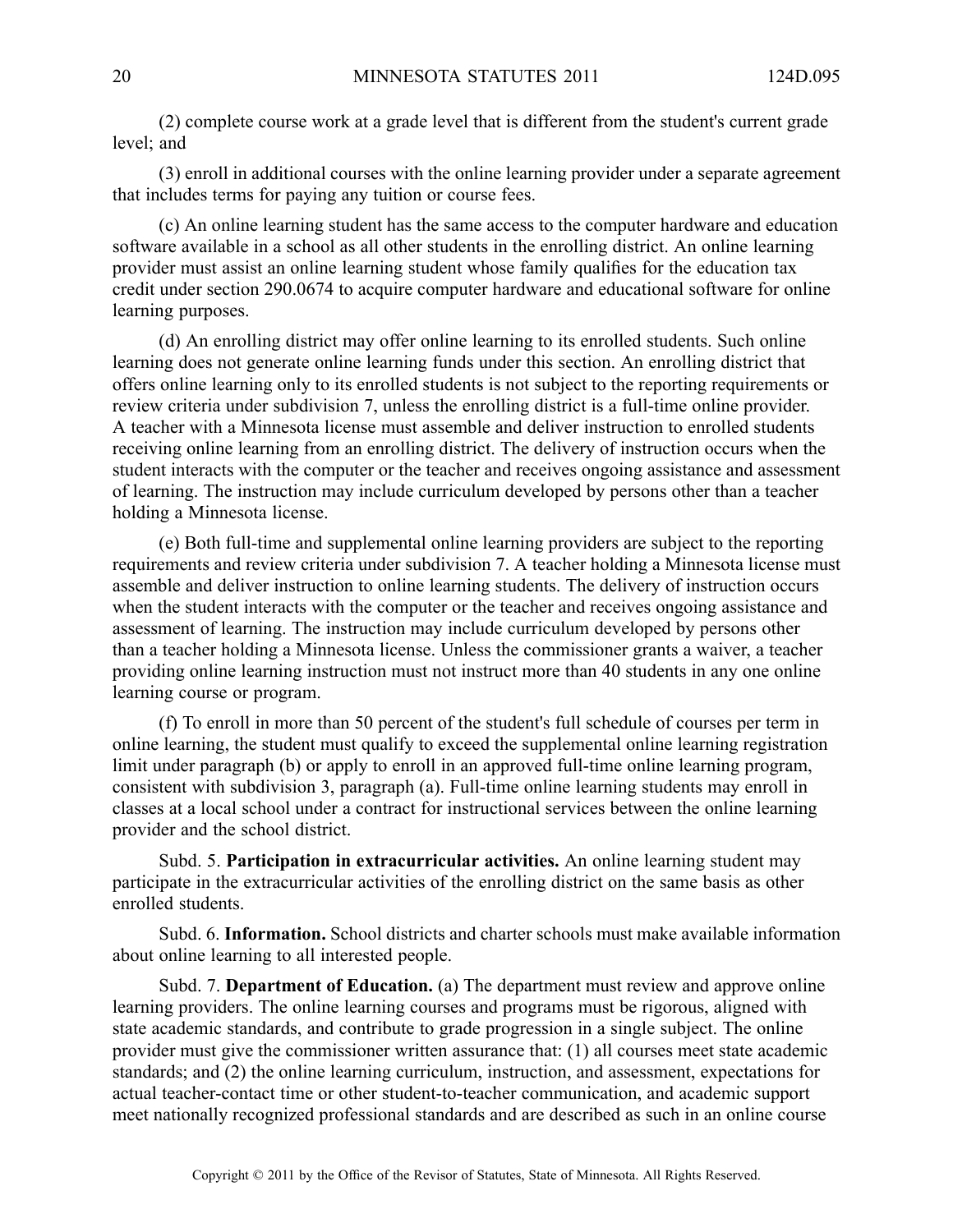(2) complete course work at <sup>a</sup> grade level that is different from the student's current grade level; and

(3) enroll in additional courses with the online learning provider under <sup>a</sup> separate agreemen<sup>t</sup> that includes terms for paying any tuition or course fees.

(c) An online learning student has the same access to the computer hardware and education software available in <sup>a</sup> school as all other students in the enrolling district. An online learning provider must assist an online learning student whose family qualifies for the education tax credit under section 290.0674 to acquire computer hardware and educational software for online learning purposes.

(d) An enrolling district may offer online learning to its enrolled students. Such online learning does not generate online learning funds under this section. An enrolling district that offers online learning only to its enrolled students is not subject to the reporting requirements or review criteria under subdivision 7, unless the enrolling district is <sup>a</sup> full-time online provider. A teacher with <sup>a</sup> Minnesota license must assemble and deliver instruction to enrolled students receiving online learning from an enrolling district. The delivery of instruction occurs when the student interacts with the computer or the teacher and receives ongoing assistance and assessment of learning. The instruction may include curriculum developed by persons other than <sup>a</sup> teacher holding <sup>a</sup> Minnesota license.

(e) Both full-time and supplemental online learning providers are subject to the reporting requirements and review criteria under subdivision 7. A teacher holding a Minnesota license must assemble and deliver instruction to online learning students. The delivery of instruction occurs when the student interacts with the computer or the teacher and receives ongoing assistance and assessment of learning. The instruction may include curriculum developed by persons other than <sup>a</sup> teacher holding <sup>a</sup> Minnesota license. Unless the commissioner grants <sup>a</sup> waiver, <sup>a</sup> teacher providing online learning instruction must not instruct more than 40 students in any one online learning course or program.

(f) To enroll in more than 50 percen<sup>t</sup> of the student's full schedule of courses per term in online learning, the student must qualify to exceed the supplemental online learning registration limit under paragraph (b) or apply to enroll in an approved full-time online learning program, consistent with subdivision 3, paragraph (a). Full-time online learning students may enroll in classes at <sup>a</sup> local school under <sup>a</sup> contract for instructional services between the online learning provider and the school district.

Subd. 5. **Participation in extracurricular activities.** An online learning student may participate in the extracurricular activities of the enrolling district on the same basis as other enrolled students.

Subd. 6. **Information.** School districts and charter schools must make available information about online learning to all interested people.

Subd. 7. **Department of Education.** (a) The department must review and approve online learning providers. The online learning courses and programs must be rigorous, aligned with state academic standards, and contribute to grade progression in <sup>a</sup> single subject. The online provider must give the commissioner written assurance that: (1) all courses meet state academic standards; and (2) the online learning curriculum, instruction, and assessment, expectations for actual teacher-contact time or other student-to-teacher communication, and academic suppor<sup>t</sup> meet nationally recognized professional standards and are described as such in an online course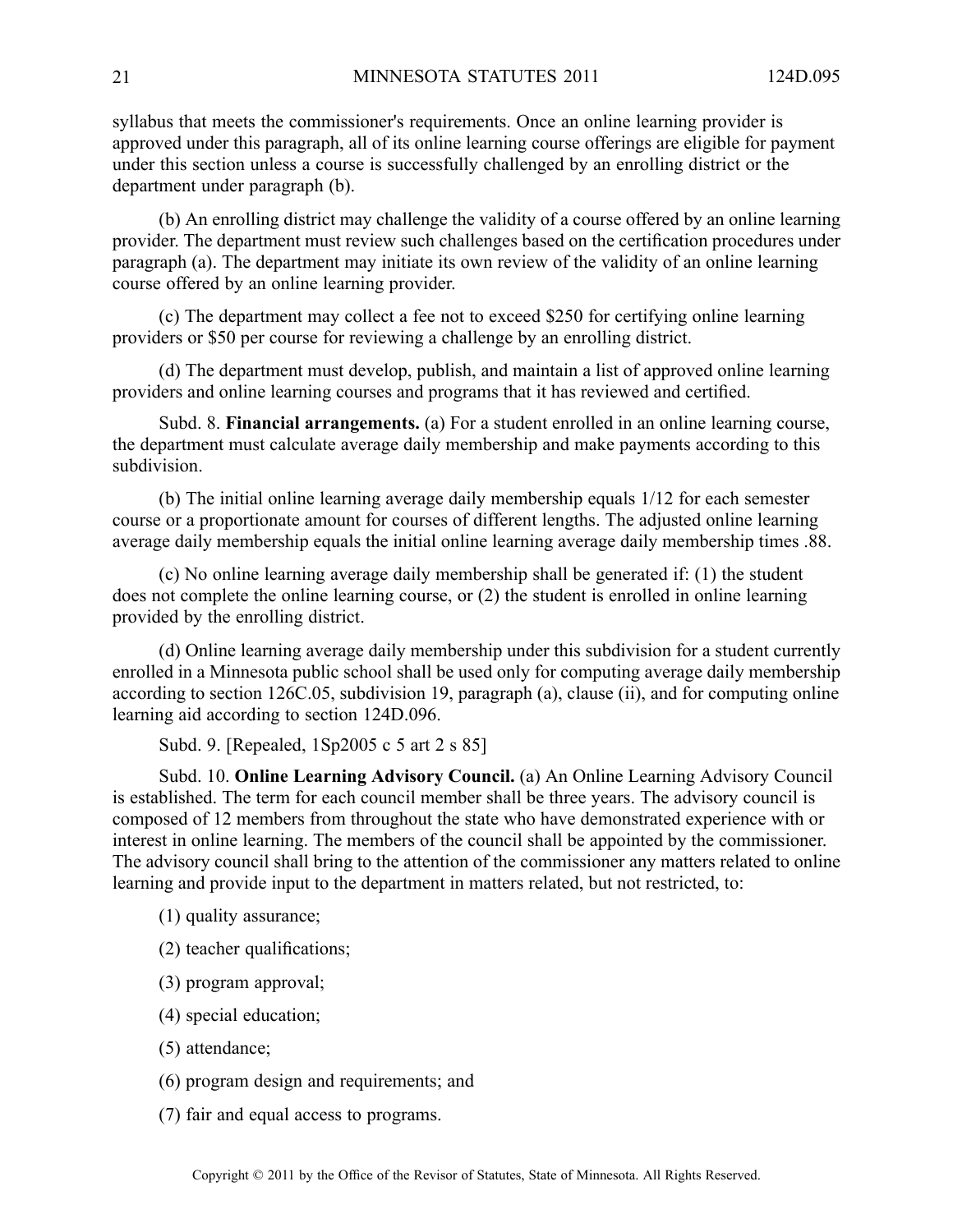syllabus that meets the commissioner's requirements. Once an online learning provider is approved under this paragraph, all of its online learning course offerings are eligible for paymen<sup>t</sup> under this section unless <sup>a</sup> course is successfully challenged by an enrolling district or the department under paragraph (b).

(b) An enrolling district may challenge the validity of <sup>a</sup> course offered by an online learning provider. The department must review such challenges based on the certification procedures under paragraph (a). The department may initiate its own review of the validity of an online learning course offered by an online learning provider.

(c) The department may collect <sup>a</sup> fee not to exceed \$250 for certifying online learning providers or \$50 per course for reviewing <sup>a</sup> challenge by an enrolling district.

(d) The department must develop, publish, and maintain <sup>a</sup> list of approved online learning providers and online learning courses and programs that it has reviewed and certified.

Subd. 8. **Financial arrangements.** (a) For <sup>a</sup> student enrolled in an online learning course, the department must calculate average daily membership and make payments according to this subdivision.

(b) The initial online learning average daily membership equals 1/12 for each semester course or <sup>a</sup> proportionate amount for courses of different lengths. The adjusted online learning average daily membership equals the initial online learning average daily membership times .88.

(c) No online learning average daily membership shall be generated if: (1) the student does not complete the online learning course, or (2) the student is enrolled in online learning provided by the enrolling district.

(d) Online learning average daily membership under this subdivision for <sup>a</sup> student currently enrolled in <sup>a</sup> Minnesota public school shall be used only for computing average daily membership according to section 126C.05, subdivision 19, paragraph (a), clause (ii), and for computing online learning aid according to section 124D.096.

Subd. 9. [Repealed, 1Sp2005 <sup>c</sup> 5 art 2 <sup>s</sup> 85]

Subd. 10. **Online Learning Advisory Council.** (a) An Online Learning Advisory Council is established. The term for each council member shall be three years. The advisory council is composed of 12 members from throughout the state who have demonstrated experience with or interest in online learning. The members of the council shall be appointed by the commissioner. The advisory council shall bring to the attention of the commissioner any matters related to online learning and provide input to the department in matters related, but not restricted, to:

- (1) quality assurance;
- (2) teacher qualifications;
- (3) program approval;
- (4) special education;
- (5) attendance;
- (6) program design and requirements; and
- (7) fair and equal access to programs.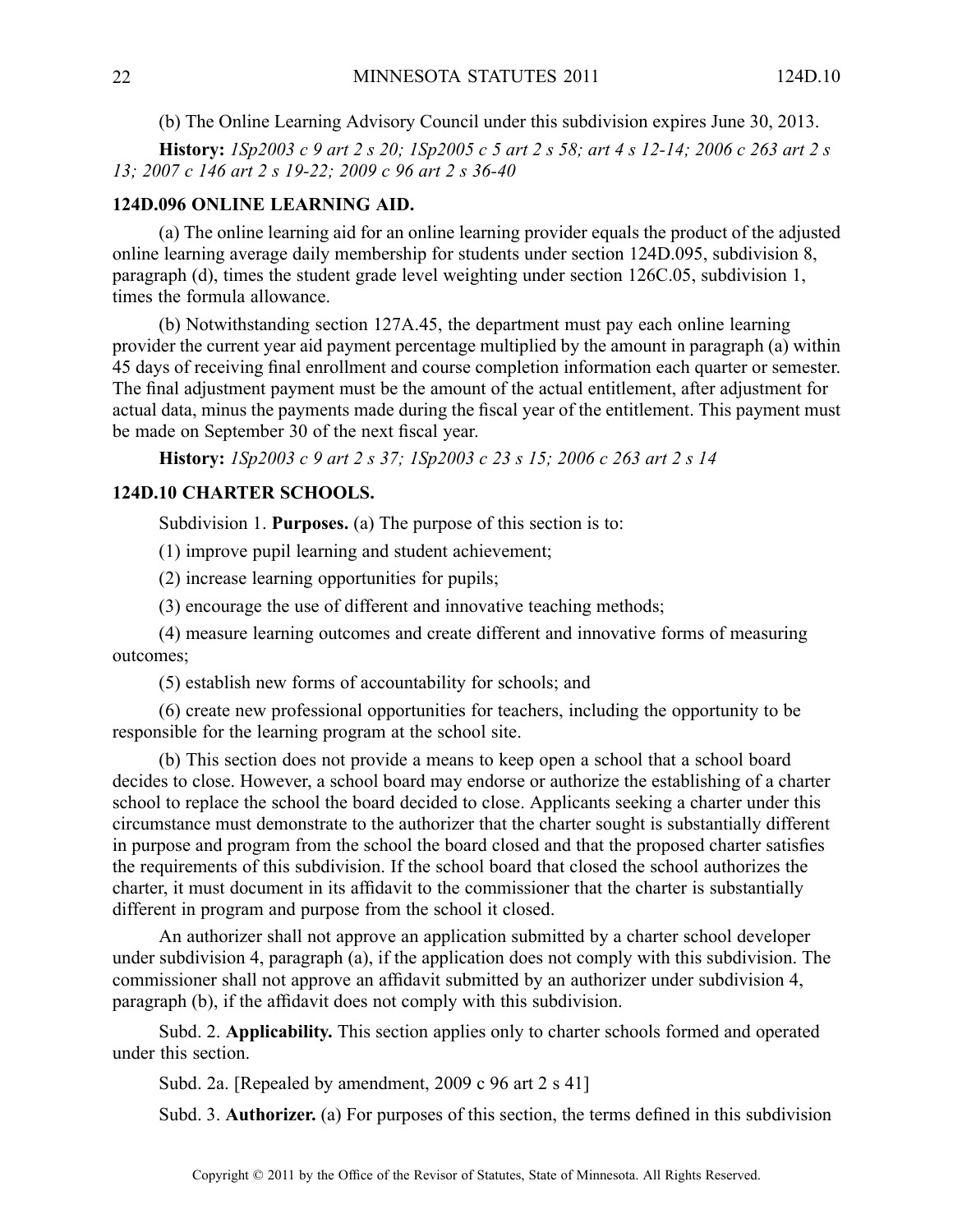(b) The Online Learning Advisory Council under this subdivision expires June 30, 2013.

**History:** 1Sp2003 c 9 art 2 s 20; 1Sp2005 c 5 art 2 s 58; art 4 s 12-14; 2006 c 263 art 2 s *13; 2007 <sup>c</sup> 146 art 2 <sup>s</sup> 19-22; 2009 <sup>c</sup> 96 art 2 <sup>s</sup> 36-40*

# **124D.096 ONLINE LEARNING AID.**

(a) The online learning aid for an online learning provider equals the product of the adjusted online learning average daily membership for students under section 124D.095, subdivision 8, paragraph (d), times the student grade level weighting under section 126C.05, subdivision 1, times the formula allowance.

(b) Notwithstanding section 127A.45, the department must pay each online learning provider the current year aid paymen<sup>t</sup> percentage multiplied by the amount in paragraph (a) within 45 days of receiving final enrollment and course completion information each quarter or semester. The final adjustment paymen<sup>t</sup> must be the amount of the actual entitlement, after adjustment for actual data, minus the payments made during the fiscal year of the entitlement. This paymen<sup>t</sup> must be made on September 30 of the next fiscal year.

**History:** *1Sp2003 <sup>c</sup> 9 art 2 <sup>s</sup> 37; 1Sp2003 <sup>c</sup> 23 <sup>s</sup> 15; 2006 <sup>c</sup> 263 art 2 <sup>s</sup> 14*

# **124D.10 CHARTER SCHOOLS.**

Subdivision 1. **Purposes.** (a) The purpose of this section is to:

(1) improve pupil learning and student achievement;

(2) increase learning opportunities for pupils;

(3) encourage the use of different and innovative teaching methods;

(4) measure learning outcomes and create different and innovative forms of measuring outcomes;

(5) establish new forms of accountability for schools; and

(6) create new professional opportunities for teachers, including the opportunity to be responsible for the learning program at the school site.

(b) This section does not provide <sup>a</sup> means to keep open <sup>a</sup> school that <sup>a</sup> school board decides to close. However, <sup>a</sup> school board may endorse or authorize the establishing of <sup>a</sup> charter school to replace the school the board decided to close. Applicants seeking <sup>a</sup> charter under this circumstance must demonstrate to the authorizer that the charter sought is substantially different in purpose and program from the school the board closed and that the proposed charter satisfies the requirements of this subdivision. If the school board that closed the school authorizes the charter, it must document in its affidavit to the commissioner that the charter is substantially different in program and purpose from the school it closed.

An authorizer shall not approve an application submitted by <sup>a</sup> charter school developer under subdivision 4, paragraph (a), if the application does not comply with this subdivision. The commissioner shall not approve an affidavit submitted by an authorizer under subdivision 4, paragraph (b), if the affidavit does not comply with this subdivision.

Subd. 2. **Applicability.** This section applies only to charter schools formed and operated under this section.

Subd. 2a. [Repealed by amendment, 2009 c 96 art 2 s 41]

Subd. 3. **Authorizer.** (a) For purposes of this section, the terms defined in this subdivision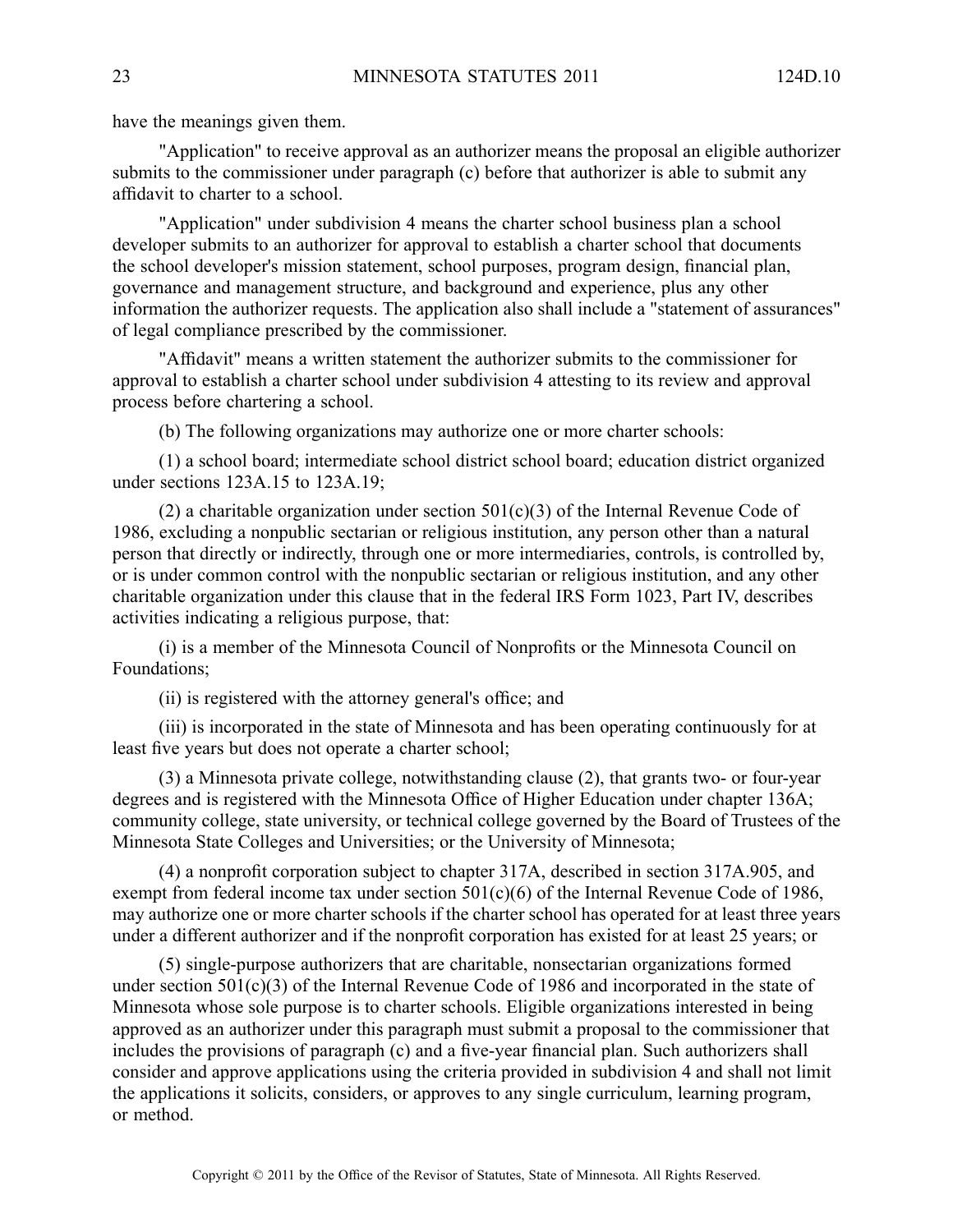have the meanings given them.

"Application" to receive approval as an authorizer means the proposal an eligible authorizer submits to the commissioner under paragraph (c) before that authorizer is able to submit any affidavit to charter to <sup>a</sup> school.

"Application" under subdivision 4 means the charter school business plan <sup>a</sup> school developer submits to an authorizer for approval to establish <sup>a</sup> charter school that documents the school developer's mission statement, school purposes, program design, financial plan, governance and managemen<sup>t</sup> structure, and background and experience, plus any other information the authorizer requests. The application also shall include <sup>a</sup> "statement of assurances" of legal compliance prescribed by the commissioner.

"Affidavit" means <sup>a</sup> written statement the authorizer submits to the commissioner for approval to establish <sup>a</sup> charter school under subdivision 4 attesting to its review and approval process before chartering <sup>a</sup> school.

(b) The following organizations may authorize one or more charter schools:

(1) <sup>a</sup> school board; intermediate school district school board; education district organized under sections 123A.15 to 123A.19;

(2) a charitable organization under section  $501(c)(3)$  of the Internal Revenue Code of 1986, excluding <sup>a</sup> nonpublic sectarian or religious institution, any person other than <sup>a</sup> natural person that directly or indirectly, through one or more intermediaries, controls, is controlled by, or is under common control with the nonpublic sectarian or religious institution, and any other charitable organization under this clause that in the federal IRS Form 1023, Part IV, describes activities indicating <sup>a</sup> religious purpose, that:

(i) is <sup>a</sup> member of the Minnesota Council of Nonprofits or the Minnesota Council on Foundations;

(ii) is registered with the attorney general's office; and

(iii) is incorporated in the state of Minnesota and has been operating continuously for at least five years but does not operate <sup>a</sup> charter school;

(3) <sup>a</sup> Minnesota private college, notwithstanding clause (2), that grants two- or four-year degrees and is registered with the Minnesota Office of Higher Education under chapter 136A; community college, state university, or technical college governed by the Board of Trustees of the Minnesota State Colleges and Universities; or the University of Minnesota;

(4) <sup>a</sup> nonprofit corporation subject to chapter 317A, described in section 317A.905, and exempt from federal income tax under section 501(c)(6) of the Internal Revenue Code of 1986, may authorize one or more charter schools if the charter school has operated for at least three years under <sup>a</sup> different authorizer and if the nonprofit corporation has existed for at least 25 years; or

(5) single-purpose authorizers that are charitable, nonsectarian organizations formed under section 501(c)(3) of the Internal Revenue Code of 1986 and incorporated in the state of Minnesota whose sole purpose is to charter schools. Eligible organizations interested in being approved as an authorizer under this paragraph must submit <sup>a</sup> proposal to the commissioner that includes the provisions of paragraph (c) and <sup>a</sup> five-year financial plan. Such authorizers shall consider and approve applications using the criteria provided in subdivision 4 and shall not limit the applications it solicits, considers, or approves to any single curriculum, learning program, or method.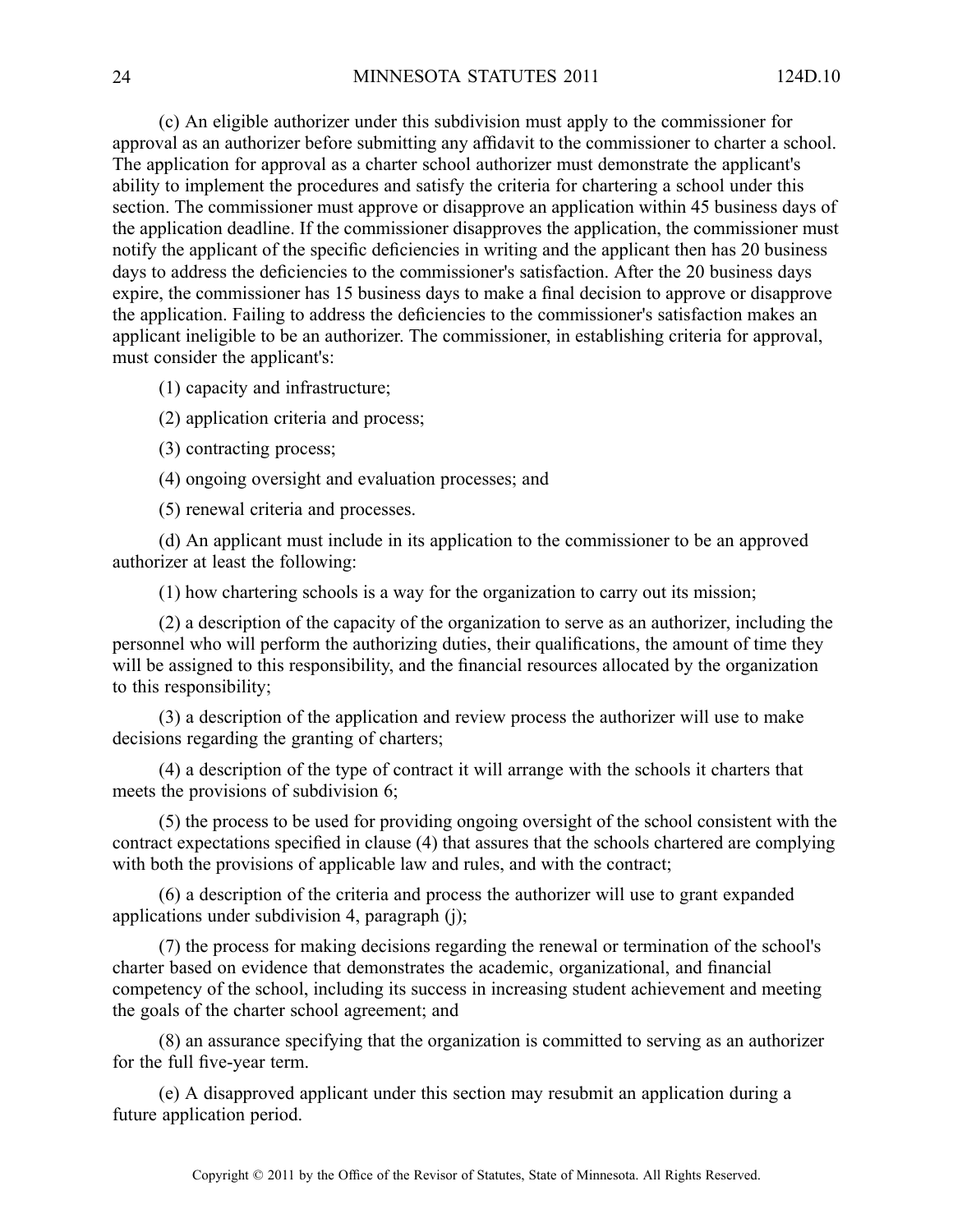(c) An eligible authorizer under this subdivision must apply to the commissioner for approval as an authorizer before submitting any affidavit to the commissioner to charter <sup>a</sup> school. The application for approval as <sup>a</sup> charter school authorizer must demonstrate the applicant's ability to implement the procedures and satisfy the criteria for chartering <sup>a</sup> school under this section. The commissioner must approve or disapprove an application within 45 business days of the application deadline. If the commissioner disapproves the application, the commissioner must notify the applicant of the specific deficiencies in writing and the applicant then has 20 business days to address the deficiencies to the commissioner's satisfaction. After the 20 business days expire, the commissioner has 15 business days to make <sup>a</sup> final decision to approve or disapprove the application. Failing to address the deficiencies to the commissioner's satisfaction makes an applicant ineligible to be an authorizer. The commissioner, in establishing criteria for approval, must consider the applicant's:

(1) capacity and infrastructure;

(2) application criteria and process;

(3) contracting process;

(4) ongoing oversight and evaluation processes; and

(5) renewal criteria and processes.

(d) An applicant must include in its application to the commissioner to be an approved authorizer at least the following:

(1) how chartering schools is <sup>a</sup> way for the organization to carry out its mission;

(2) <sup>a</sup> description of the capacity of the organization to serve as an authorizer, including the personnel who will perform the authorizing duties, their qualifications, the amount of time they will be assigned to this responsibility, and the financial resources allocated by the organization to this responsibility;

(3) <sup>a</sup> description of the application and review process the authorizer will use to make decisions regarding the granting of charters;

(4) <sup>a</sup> description of the type of contract it will arrange with the schools it charters that meets the provisions of subdivision 6;

(5) the process to be used for providing ongoing oversight of the school consistent with the contract expectations specified in clause (4) that assures that the schools chartered are complying with both the provisions of applicable law and rules, and with the contract;

(6) <sup>a</sup> description of the criteria and process the authorizer will use to gran<sup>t</sup> expanded applications under subdivision 4, paragraph (j);

(7) the process for making decisions regarding the renewal or termination of the school's charter based on evidence that demonstrates the academic, organizational, and financial competency of the school, including its success in increasing student achievement and meeting the goals of the charter school agreement; and

(8) an assurance specifying that the organization is committed to serving as an authorizer for the full five-year term.

(e) A disapproved applicant under this section may resubmit an application during <sup>a</sup> future application period.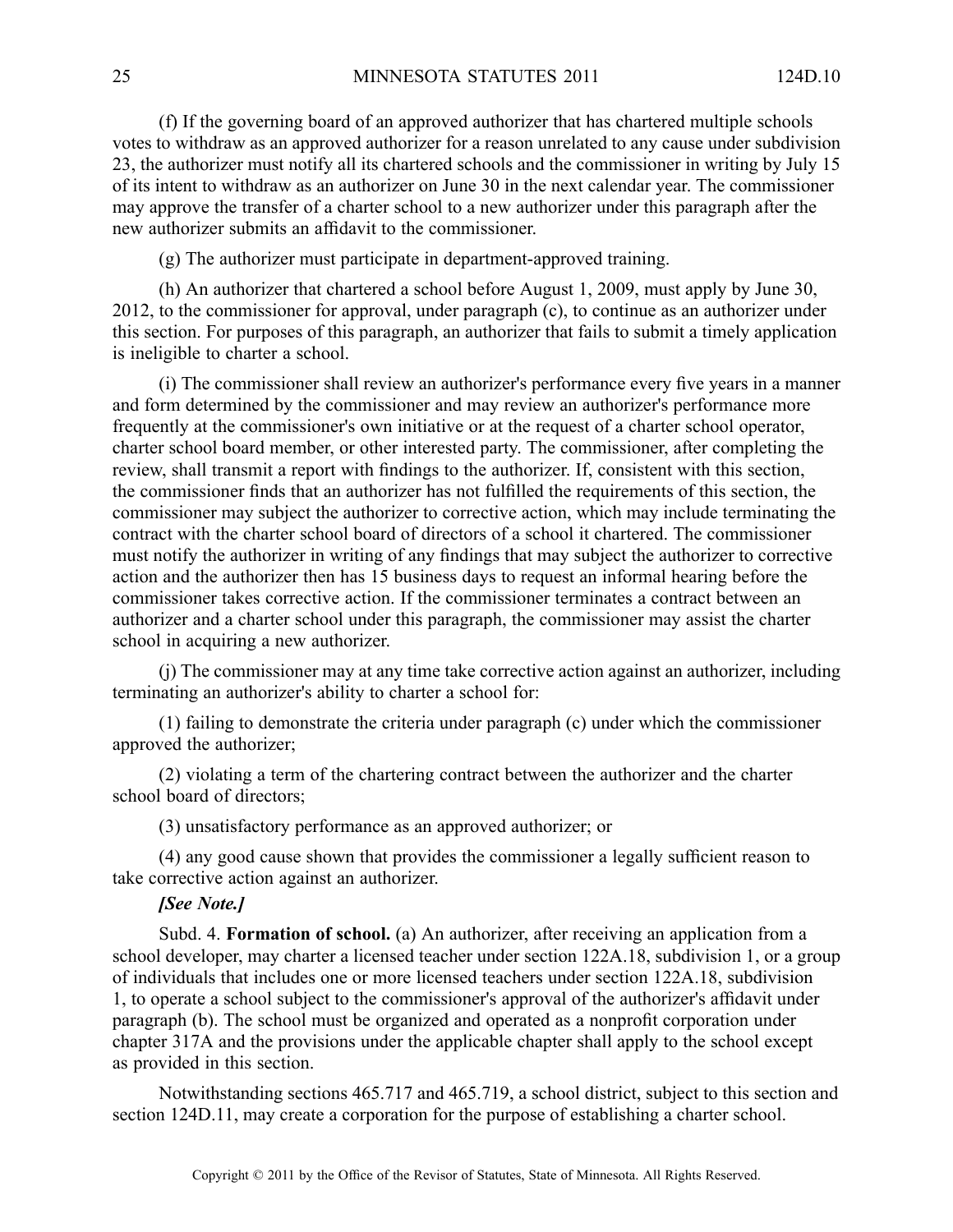(f) If the governing board of an approved authorizer that has chartered multiple schools votes to withdraw as an approved authorizer for <sup>a</sup> reason unrelated to any cause under subdivision 23, the authorizer must notify all its chartered schools and the commissioner in writing by July 15 of its intent to withdraw as an authorizer on June 30 in the next calendar year. The commissioner may approve the transfer of <sup>a</sup> charter school to <sup>a</sup> new authorizer under this paragraph after the new authorizer submits an affidavit to the commissioner.

(g) The authorizer must participate in department-approved training.

(h) An authorizer that chartered <sup>a</sup> school before August 1, 2009, must apply by June 30, 2012, to the commissioner for approval, under paragraph (c), to continue as an authorizer under this section. For purposes of this paragraph, an authorizer that fails to submit <sup>a</sup> timely application is ineligible to charter <sup>a</sup> school.

(i) The commissioner shall review an authorizer's performance every five years in <sup>a</sup> manner and form determined by the commissioner and may review an authorizer's performance more frequently at the commissioner's own initiative or at the reques<sup>t</sup> of <sup>a</sup> charter school operator, charter school board member, or other interested party. The commissioner, after completing the review, shall transmit <sup>a</sup> repor<sup>t</sup> with findings to the authorizer. If, consistent with this section, the commissioner finds that an authorizer has not fulfilled the requirements of this section, the commissioner may subject the authorizer to corrective action, which may include terminating the contract with the charter school board of directors of <sup>a</sup> school it chartered. The commissioner must notify the authorizer in writing of any findings that may subject the authorizer to corrective action and the authorizer then has 15 business days to reques<sup>t</sup> an informal hearing before the commissioner takes corrective action. If the commissioner terminates <sup>a</sup> contract between an authorizer and <sup>a</sup> charter school under this paragraph, the commissioner may assist the charter school in acquiring <sup>a</sup> new authorizer.

(j) The commissioner may at any time take corrective action against an authorizer, including terminating an authorizer's ability to charter <sup>a</sup> school for:

(1) failing to demonstrate the criteria under paragraph (c) under which the commissioner approved the authorizer;

(2) violating <sup>a</sup> term of the chartering contract between the authorizer and the charter school board of directors;

(3) unsatisfactory performance as an approved authorizer; or

(4) any good cause shown that provides the commissioner <sup>a</sup> legally sufficient reason to take corrective action against an authorizer.

#### *[See Note.]*

Subd. 4. **Formation of school.** (a) An authorizer, after receiving an application from <sup>a</sup> school developer, may charter <sup>a</sup> licensed teacher under section 122A.18, subdivision 1, or <sup>a</sup> group of individuals that includes one or more licensed teachers under section 122A.18, subdivision 1, to operate <sup>a</sup> school subject to the commissioner's approval of the authorizer's affidavit under paragraph (b). The school must be organized and operated as <sup>a</sup> nonprofit corporation under chapter 317A and the provisions under the applicable chapter shall apply to the school excep<sup>t</sup> as provided in this section.

Notwithstanding sections 465.717 and 465.719, <sup>a</sup> school district, subject to this section and section 124D.11, may create <sup>a</sup> corporation for the purpose of establishing <sup>a</sup> charter school.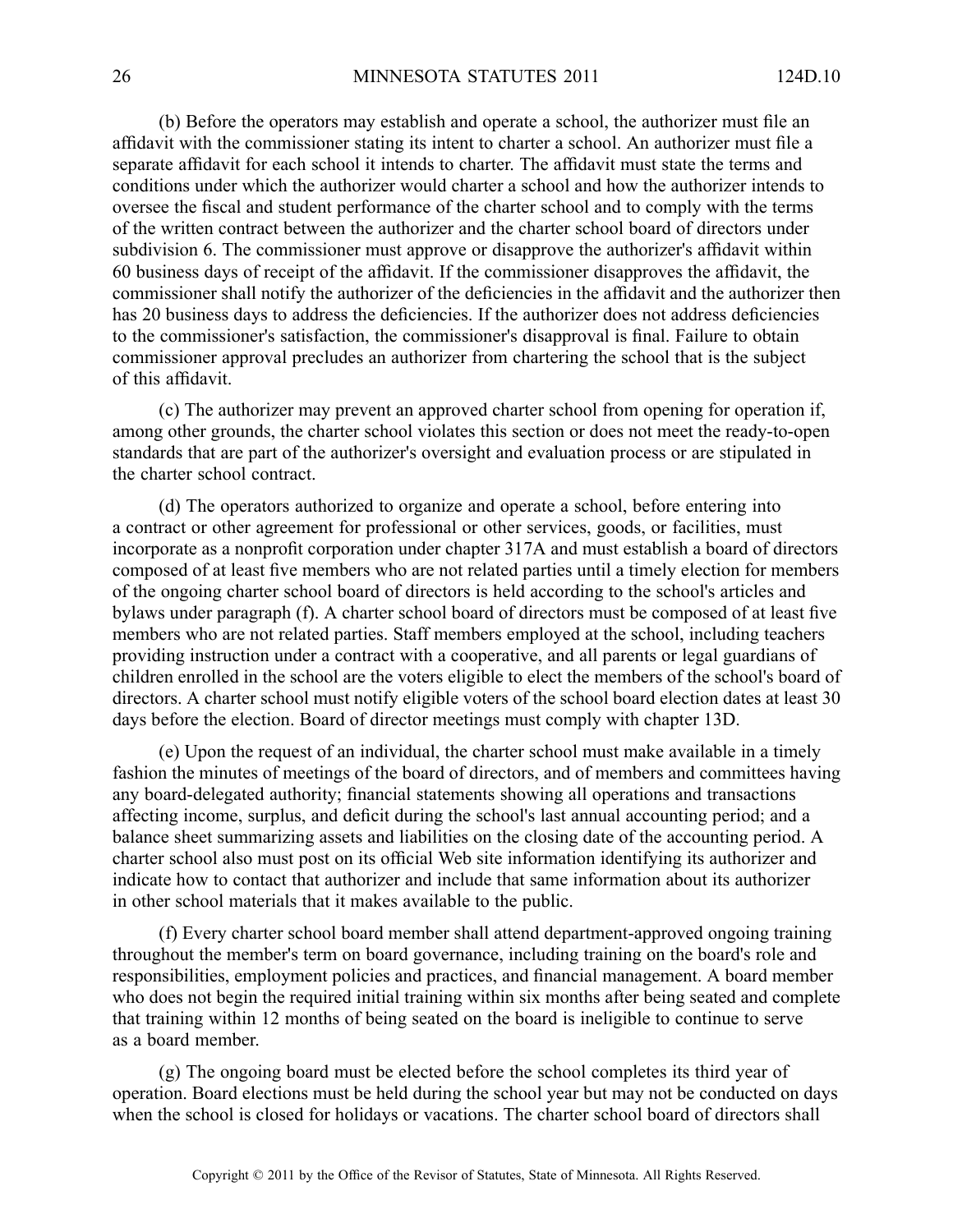(b) Before the operators may establish and operate <sup>a</sup> school, the authorizer must file an affidavit with the commissioner stating its intent to charter <sup>a</sup> school. An authorizer must file <sup>a</sup> separate affidavit for each school it intends to charter. The affidavit must state the terms and conditions under which the authorizer would charter <sup>a</sup> school and how the authorizer intends to oversee the fiscal and student performance of the charter school and to comply with the terms of the written contract between the authorizer and the charter school board of directors under subdivision 6. The commissioner must approve or disapprove the authorizer's affidavit within 60 business days of receipt of the affidavit. If the commissioner disapproves the affidavit, the commissioner shall notify the authorizer of the deficiencies in the affidavit and the authorizer then has 20 business days to address the deficiencies. If the authorizer does not address deficiencies to the commissioner's satisfaction, the commissioner's disapproval is final. Failure to obtain commissioner approval precludes an authorizer from chartering the school that is the subject of this affidavit.

(c) The authorizer may preven<sup>t</sup> an approved charter school from opening for operation if, among other grounds, the charter school violates this section or does not meet the ready-to-open standards that are par<sup>t</sup> of the authorizer's oversight and evaluation process or are stipulated in the charter school contract.

(d) The operators authorized to organize and operate <sup>a</sup> school, before entering into <sup>a</sup> contract or other agreemen<sup>t</sup> for professional or other services, goods, or facilities, must incorporate as <sup>a</sup> nonprofit corporation under chapter 317A and must establish <sup>a</sup> board of directors composed of at least five members who are not related parties until <sup>a</sup> timely election for members of the ongoing charter school board of directors is held according to the school's articles and bylaws under paragraph (f). A charter school board of directors must be composed of at least five members who are not related parties. Staff members employed at the school, including teachers providing instruction under <sup>a</sup> contract with <sup>a</sup> cooperative, and all parents or legal guardians of children enrolled in the school are the voters eligible to elect the members of the school's board of directors. A charter school must notify eligible voters of the school board election dates at least 30 days before the election. Board of director meetings must comply with chapter 13D.

(e) Upon the reques<sup>t</sup> of an individual, the charter school must make available in <sup>a</sup> timely fashion the minutes of meetings of the board of directors, and of members and committees having any board-delegated authority; financial statements showing all operations and transactions affecting income, surplus, and deficit during the school's last annual accounting period; and <sup>a</sup> balance sheet summarizing assets and liabilities on the closing date of the accounting period. A charter school also must pos<sup>t</sup> on its official Web site information identifying its authorizer and indicate how to contact that authorizer and include that same information about its authorizer in other school materials that it makes available to the public.

(f) Every charter school board member shall attend department-approved ongoing training throughout the member's term on board governance, including training on the board's role and responsibilities, employment policies and practices, and financial management. A board member who does not begin the required initial training within six months after being seated and complete that training within 12 months of being seated on the board is ineligible to continue to serve as <sup>a</sup> board member.

(g) The ongoing board must be elected before the school completes its third year of operation. Board elections must be held during the school year but may not be conducted on days when the school is closed for holidays or vacations. The charter school board of directors shall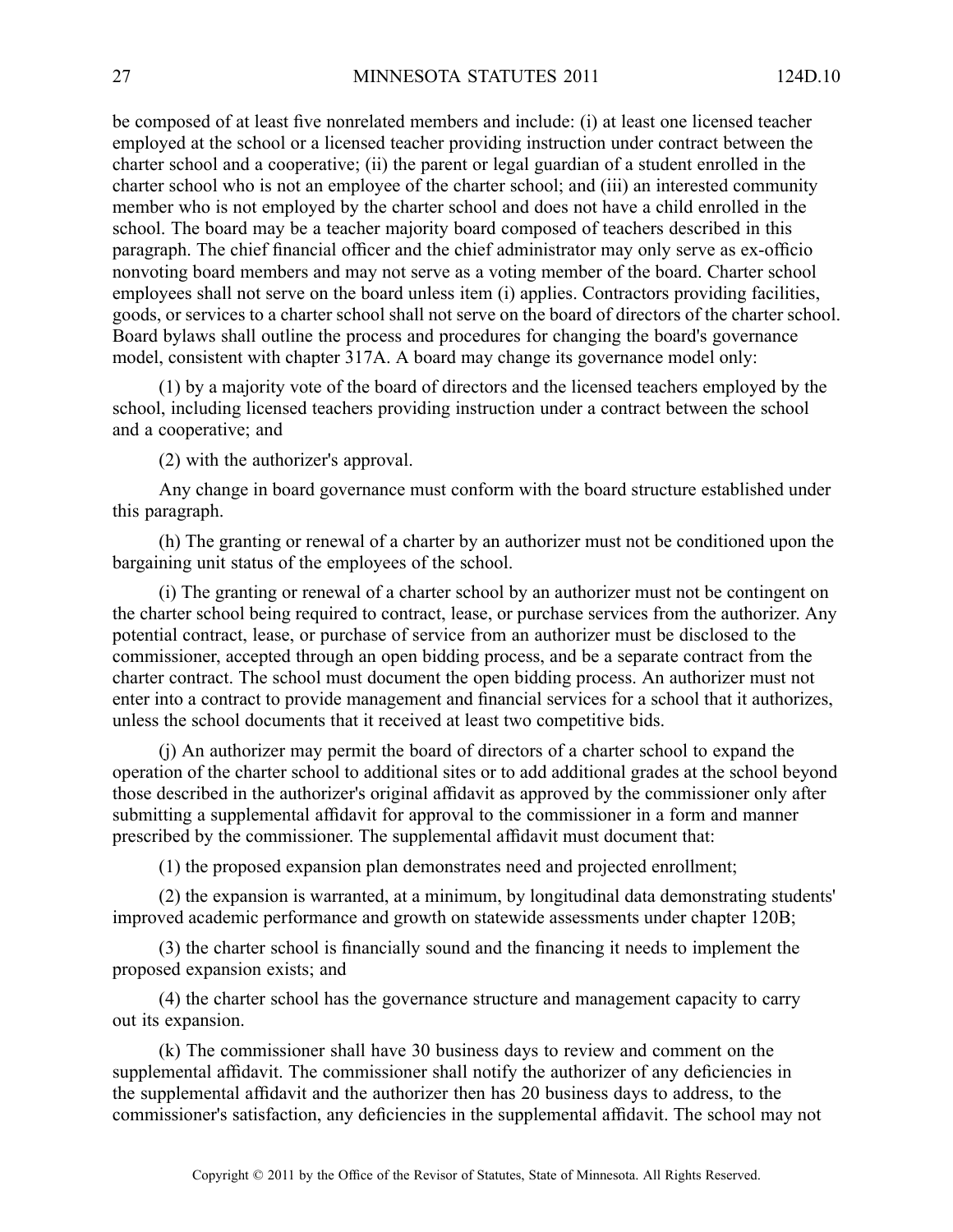be composed of at least five nonrelated members and include: (i) at least one licensed teacher employed at the school or <sup>a</sup> licensed teacher providing instruction under contract between the charter school and <sup>a</sup> cooperative; (ii) the paren<sup>t</sup> or legal guardian of <sup>a</sup> student enrolled in the charter school who is not an employee of the charter school; and (iii) an interested community member who is not employed by the charter school and does not have <sup>a</sup> child enrolled in the school. The board may be <sup>a</sup> teacher majority board composed of teachers described in this paragraph. The chief financial officer and the chief administrator may only serve as ex-officio nonvoting board members and may not serve as <sup>a</sup> voting member of the board. Charter school employees shall not serve on the board unless item (i) applies. Contractors providing facilities, goods, or services to <sup>a</sup> charter school shall not serve on the board of directors of the charter school. Board bylaws shall outline the process and procedures for changing the board's governance model, consistent with chapter 317A. A board may change its governance model only:

(1) by <sup>a</sup> majority vote of the board of directors and the licensed teachers employed by the school, including licensed teachers providing instruction under <sup>a</sup> contract between the school and <sup>a</sup> cooperative; and

(2) with the authorizer's approval.

Any change in board governance must conform with the board structure established under this paragraph.

(h) The granting or renewal of <sup>a</sup> charter by an authorizer must not be conditioned upon the bargaining unit status of the employees of the school.

(i) The granting or renewal of <sup>a</sup> charter school by an authorizer must not be contingent on the charter school being required to contract, lease, or purchase services from the authorizer. Any potential contract, lease, or purchase of service from an authorizer must be disclosed to the commissioner, accepted through an open bidding process, and be <sup>a</sup> separate contract from the charter contract. The school must document the open bidding process. An authorizer must not enter into <sup>a</sup> contract to provide managemen<sup>t</sup> and financial services for <sup>a</sup> school that it authorizes, unless the school documents that it received at least two competitive bids.

(j) An authorizer may permit the board of directors of <sup>a</sup> charter school to expand the operation of the charter school to additional sites or to add additional grades at the school beyond those described in the authorizer's original affidavit as approved by the commissioner only after submitting <sup>a</sup> supplemental affidavit for approval to the commissioner in <sup>a</sup> form and manner prescribed by the commissioner. The supplemental affidavit must document that:

(1) the proposed expansion plan demonstrates need and projected enrollment;

(2) the expansion is warranted, at <sup>a</sup> minimum, by longitudinal data demonstrating students' improved academic performance and growth on statewide assessments under chapter 120B;

(3) the charter school is financially sound and the financing it needs to implement the proposed expansion exists; and

(4) the charter school has the governance structure and managemen<sup>t</sup> capacity to carry out its expansion.

(k) The commissioner shall have 30 business days to review and comment on the supplemental affidavit. The commissioner shall notify the authorizer of any deficiencies in the supplemental affidavit and the authorizer then has 20 business days to address, to the commissioner's satisfaction, any deficiencies in the supplemental affidavit. The school may not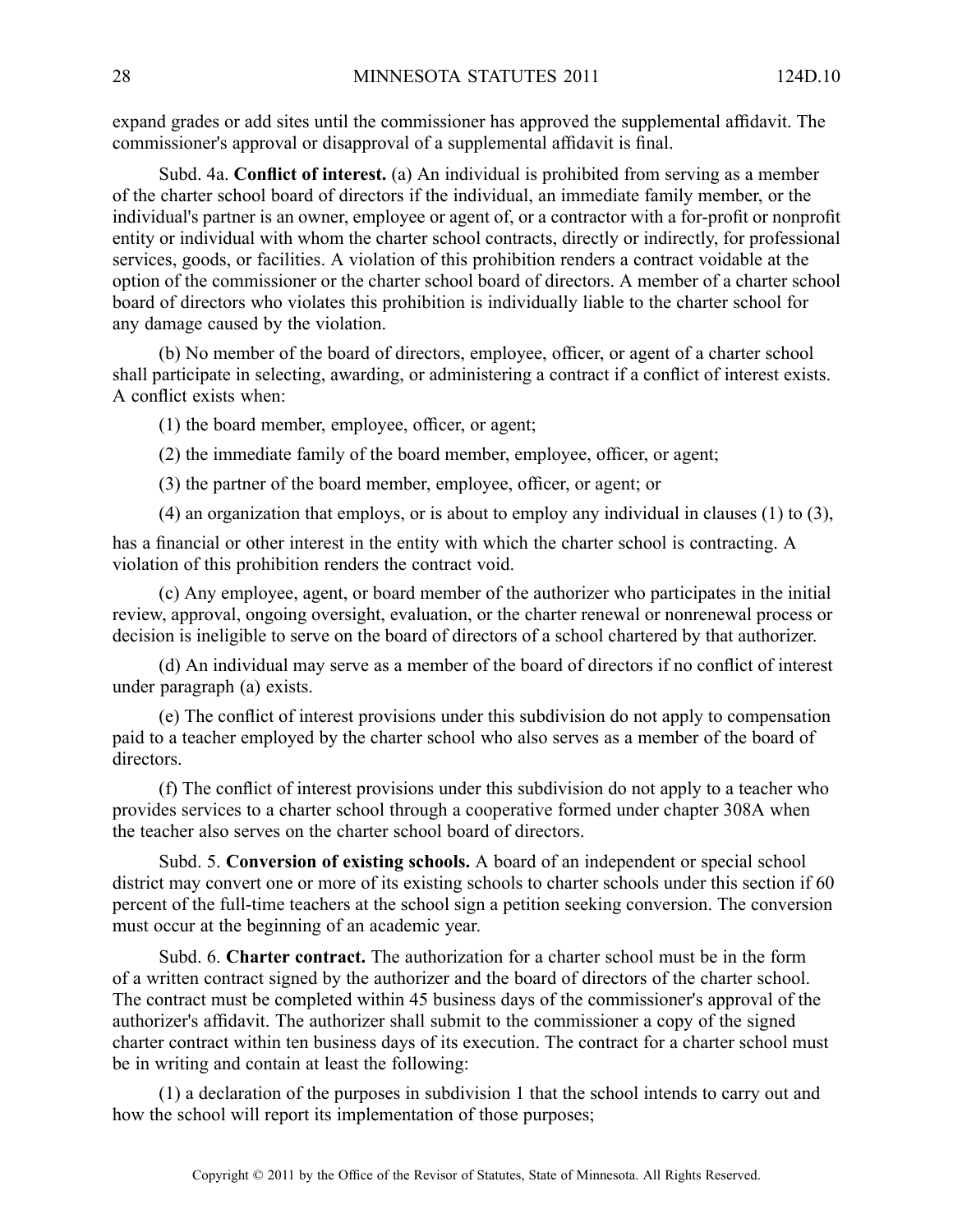expand grades or add sites until the commissioner has approved the supplemental affidavit. The commissioner's approval or disapproval of <sup>a</sup> supplemental affidavit is final.

Subd. 4a. **Conflict of interest.** (a) An individual is prohibited from serving as <sup>a</sup> member of the charter school board of directors if the individual, an immediate family member, or the individual's partner is an owner, employee or agen<sup>t</sup> of, or <sup>a</sup> contractor with <sup>a</sup> for-profit or nonprofit entity or individual with whom the charter school contracts, directly or indirectly, for professional services, goods, or facilities. A violation of this prohibition renders <sup>a</sup> contract voidable at the option of the commissioner or the charter school board of directors. Amember of <sup>a</sup> charter school board of directors who violates this prohibition is individually liable to the charter school for any damage caused by the violation.

(b) No member of the board of directors, employee, officer, or agen<sup>t</sup> of <sup>a</sup> charter school shall participate in selecting, awarding, or administering <sup>a</sup> contract if <sup>a</sup> conflict of interest exists. A conflict exists when:

(1) the board member, employee, officer, or agent;

(2) the immediate family of the board member, employee, officer, or agent;

(3) the partner of the board member, employee, officer, or agent; or

(4) an organization that employs, or is about to employ any individual in clauses (1) to (3),

has <sup>a</sup> financial or other interest in the entity with which the charter school is contracting. A violation of this prohibition renders the contract void.

(c) Any employee, agent, or board member of the authorizer who participates in the initial review, approval, ongoing oversight, evaluation, or the charter renewal or nonrenewal process or decision is ineligible to serve on the board of directors of <sup>a</sup> school chartered by that authorizer.

(d) An individual may serve as <sup>a</sup> member of the board of directors if no conflict of interest under paragraph (a) exists.

(e) The conflict of interest provisions under this subdivision do not apply to compensation paid to <sup>a</sup> teacher employed by the charter school who also serves as <sup>a</sup> member of the board of directors.

(f) The conflict of interest provisions under this subdivision do not apply to <sup>a</sup> teacher who provides services to <sup>a</sup> charter school through <sup>a</sup> cooperative formed under chapter 308A when the teacher also serves on the charter school board of directors.

Subd. 5. **Conversion of existing schools.** A board of an independent or special school district may convert one or more of its existing schools to charter schools under this section if 60 percen<sup>t</sup> of the full-time teachers at the school sign <sup>a</sup> petition seeking conversion. The conversion must occur at the beginning of an academic year.

Subd. 6. **Charter contract.** The authorization for <sup>a</sup> charter school must be in the form of <sup>a</sup> written contract signed by the authorizer and the board of directors of the charter school. The contract must be completed within 45 business days of the commissioner's approval of the authorizer's affidavit. The authorizer shall submit to the commissioner <sup>a</sup> copy of the signed charter contract within ten business days of its execution. The contract for <sup>a</sup> charter school must be in writing and contain at least the following:

(1) <sup>a</sup> declaration of the purposes in subdivision 1 that the school intends to carry out and how the school will repor<sup>t</sup> its implementation of those purposes;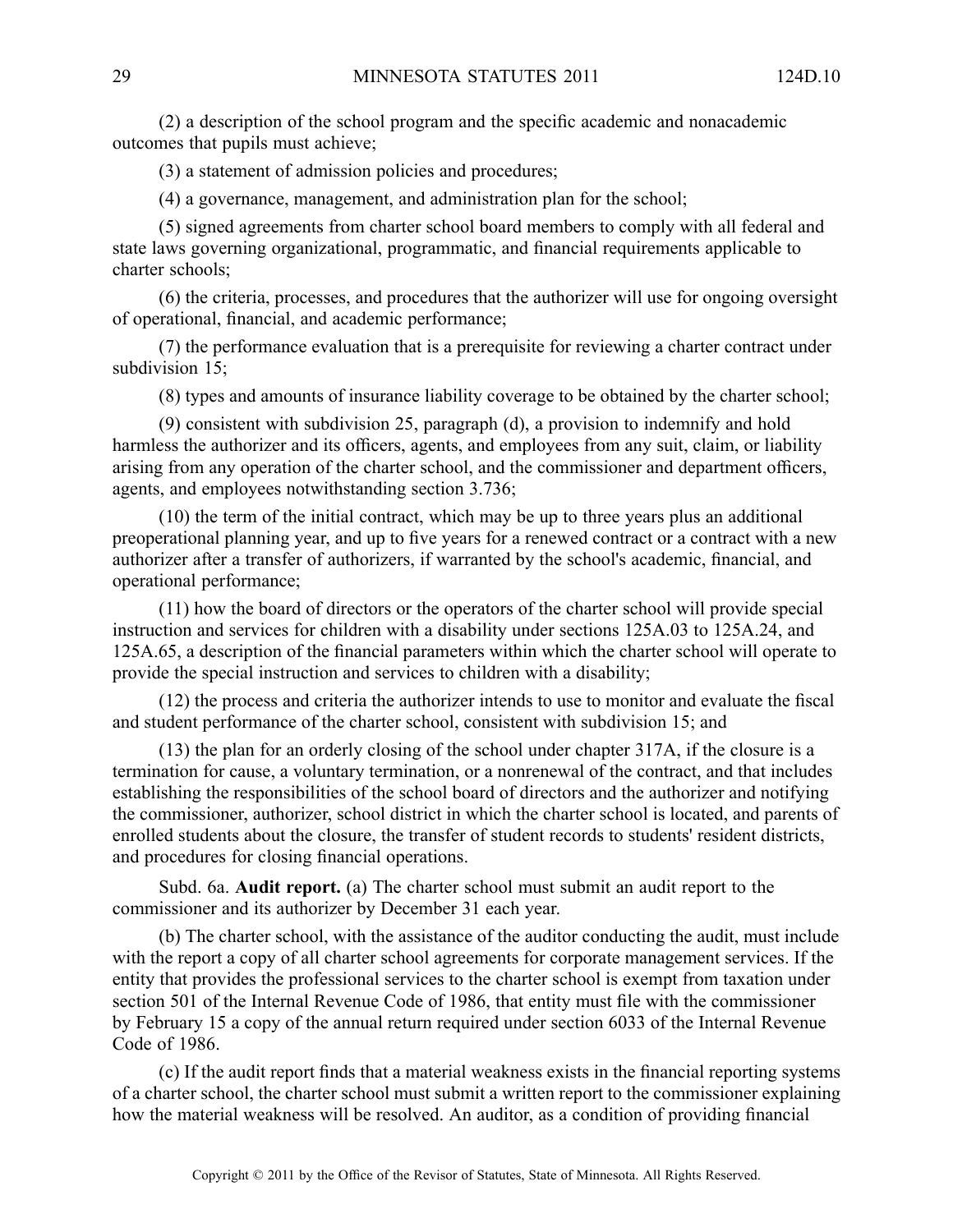(2) <sup>a</sup> description of the school program and the specific academic and nonacademic outcomes that pupils must achieve;

(3) <sup>a</sup> statement of admission policies and procedures;

(4) <sup>a</sup> governance, management, and administration plan for the school;

(5) signed agreements from charter school board members to comply with all federal and state laws governing organizational, programmatic, and financial requirements applicable to charter schools;

(6) the criteria, processes, and procedures that the authorizer will use for ongoing oversight of operational, financial, and academic performance;

(7) the performance evaluation that is <sup>a</sup> prerequisite for reviewing <sup>a</sup> charter contract under subdivision 15;

(8) types and amounts of insurance liability coverage to be obtained by the charter school;

(9) consistent with subdivision 25, paragraph (d), <sup>a</sup> provision to indemnify and hold harmless the authorizer and its officers, agents, and employees from any suit, claim, or liability arising from any operation of the charter school, and the commissioner and department officers, agents, and employees notwithstanding section 3.736;

(10) the term of the initial contract, which may be up to three years plus an additional preoperational planning year, and up to five years for <sup>a</sup> renewed contract or <sup>a</sup> contract with <sup>a</sup> new authorizer after <sup>a</sup> transfer of authorizers, if warranted by the school's academic, financial, and operational performance;

(11) how the board of directors or the operators of the charter school will provide special instruction and services for children with <sup>a</sup> disability under sections 125A.03 to 125A.24, and 125A.65, <sup>a</sup> description of the financial parameters within which the charter school will operate to provide the special instruction and services to children with <sup>a</sup> disability;

(12) the process and criteria the authorizer intends to use to monitor and evaluate the fiscal and student performance of the charter school, consistent with subdivision 15; and

(13) the plan for an orderly closing of the school under chapter 317A, if the closure is <sup>a</sup> termination for cause, <sup>a</sup> voluntary termination, or <sup>a</sup> nonrenewal of the contract, and that includes establishing the responsibilities of the school board of directors and the authorizer and notifying the commissioner, authorizer, school district in which the charter school is located, and parents of enrolled students about the closure, the transfer of student records to students' resident districts, and procedures for closing financial operations.

Subd. 6a. **Audit report.** (a) The charter school must submit an audit repor<sup>t</sup> to the commissioner and its authorizer by December 31 each year.

(b) The charter school, with the assistance of the auditor conducting the audit, must include with the repor<sup>t</sup> <sup>a</sup> copy of all charter school agreements for corporate managemen<sup>t</sup> services. If the entity that provides the professional services to the charter school is exemp<sup>t</sup> from taxation under section 501 of the Internal Revenue Code of 1986, that entity must file with the commissioner by February 15 <sup>a</sup> copy of the annual return required under section 6033 of the Internal Revenue Code of 1986.

(c) If the audit repor<sup>t</sup> finds that <sup>a</sup> material weakness exists in the financial reporting systems of <sup>a</sup> charter school, the charter school must submit <sup>a</sup> written repor<sup>t</sup> to the commissioner explaining how the material weakness will be resolved. An auditor, as <sup>a</sup> condition of providing financial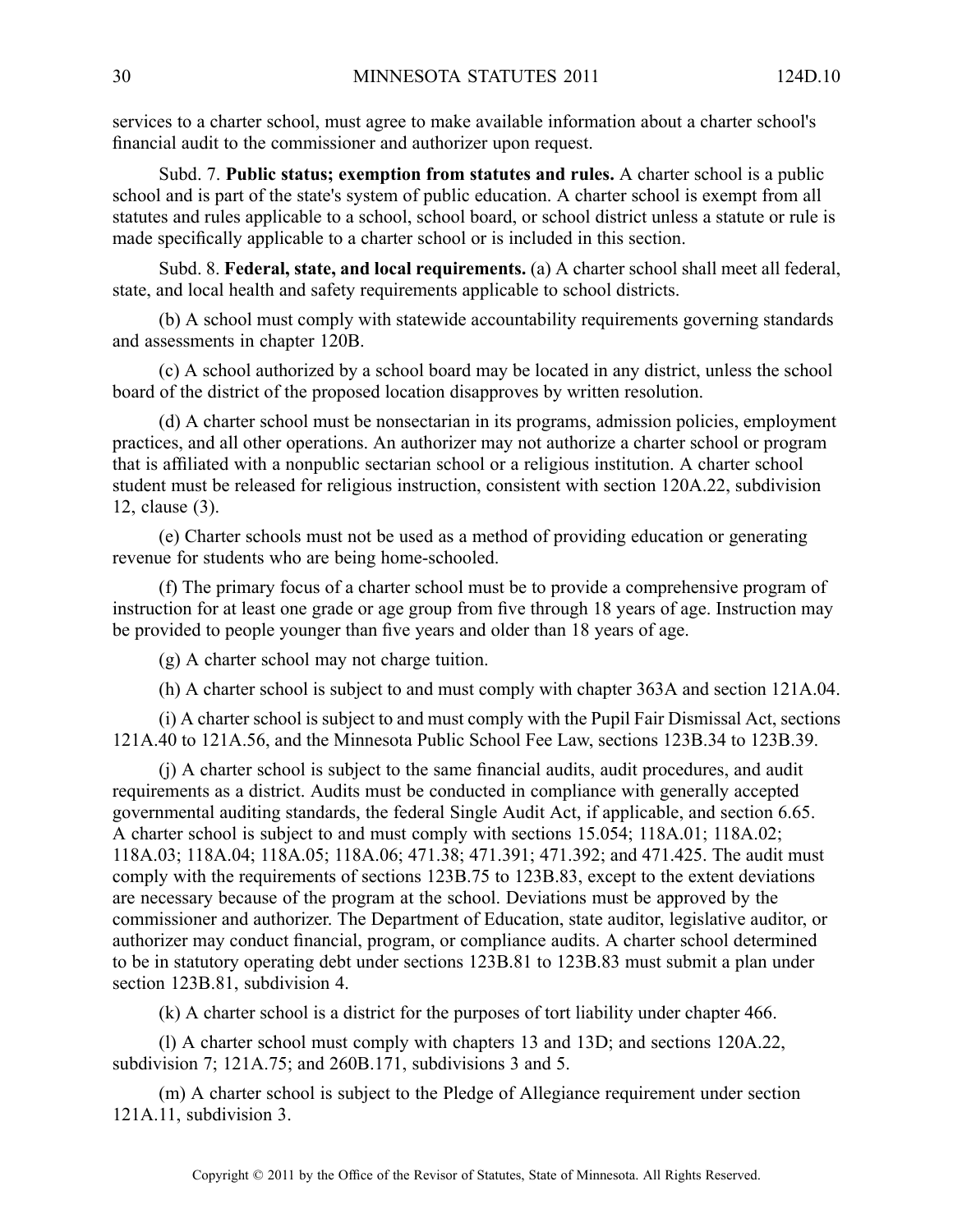services to <sup>a</sup> charter school, must agree to make available information about <sup>a</sup> charter school's financial audit to the commissioner and authorizer upon request.

Subd. 7. **Public status; exemption from statutes and rules.** Acharter school is <sup>a</sup> public school and is par<sup>t</sup> of the state's system of public education. Acharter school is exemp<sup>t</sup> from all statutes and rules applicable to <sup>a</sup> school, school board, or school district unless <sup>a</sup> statute or rule is made specifically applicable to <sup>a</sup> charter school or is included in this section.

Subd. 8. **Federal, state, and local requirements.** (a) A charter school shall meet all federal, state, and local health and safety requirements applicable to school districts.

(b) A school must comply with statewide accountability requirements governing standards and assessments in chapter 120B.

(c) A school authorized by <sup>a</sup> school board may be located in any district, unless the school board of the district of the proposed location disapproves by written resolution.

(d) A charter school must be nonsectarian in its programs, admission policies, employment practices, and all other operations. An authorizer may not authorize <sup>a</sup> charter school or program that is affiliated with <sup>a</sup> nonpublic sectarian school or <sup>a</sup> religious institution. A charter school student must be released for religious instruction, consistent with section 120A.22, subdivision 12, clause (3).

(e) Charter schools must not be used as <sup>a</sup> method of providing education or generating revenue for students who are being home-schooled.

(f) The primary focus of <sup>a</sup> charter school must be to provide <sup>a</sup> comprehensive program of instruction for at least one grade or age group from five through 18 years of age. Instruction may be provided to people younger than five years and older than 18 years of age.

(g) A charter school may not charge tuition.

(h) A charter school is subject to and must comply with chapter 363A and section 121A.04.

(i) A charter school is subject to and must comply with the Pupil Fair Dismissal Act, sections 121A.40 to 121A.56, and the Minnesota Public School Fee Law, sections 123B.34 to 123B.39.

(j) A charter school is subject to the same financial audits, audit procedures, and audit requirements as <sup>a</sup> district. Audits must be conducted in compliance with generally accepted governmental auditing standards, the federal Single Audit Act, if applicable, and section 6.65. A charter school is subject to and must comply with sections 15.054; 118A.01; 118A.02; 118A.03; 118A.04; 118A.05; 118A.06; 471.38; 471.391; 471.392; and 471.425. The audit must comply with the requirements of sections 123B.75 to 123B.83, excep<sup>t</sup> to the extent deviations are necessary because of the program at the school. Deviations must be approved by the commissioner and authorizer. The Department of Education, state auditor, legislative auditor, or authorizer may conduct financial, program, or compliance audits. Acharter school determined to be in statutory operating debt under sections 123B.81 to 123B.83 must submit <sup>a</sup> plan under section 123B.81, subdivision 4.

(k) A charter school is <sup>a</sup> district for the purposes of tort liability under chapter 466.

(l) A charter school must comply with chapters 13 and 13D; and sections 120A.22, subdivision 7; 121A.75; and 260B.171, subdivisions 3 and 5.

(m) A charter school is subject to the Pledge of Allegiance requirement under section 121A.11, subdivision 3.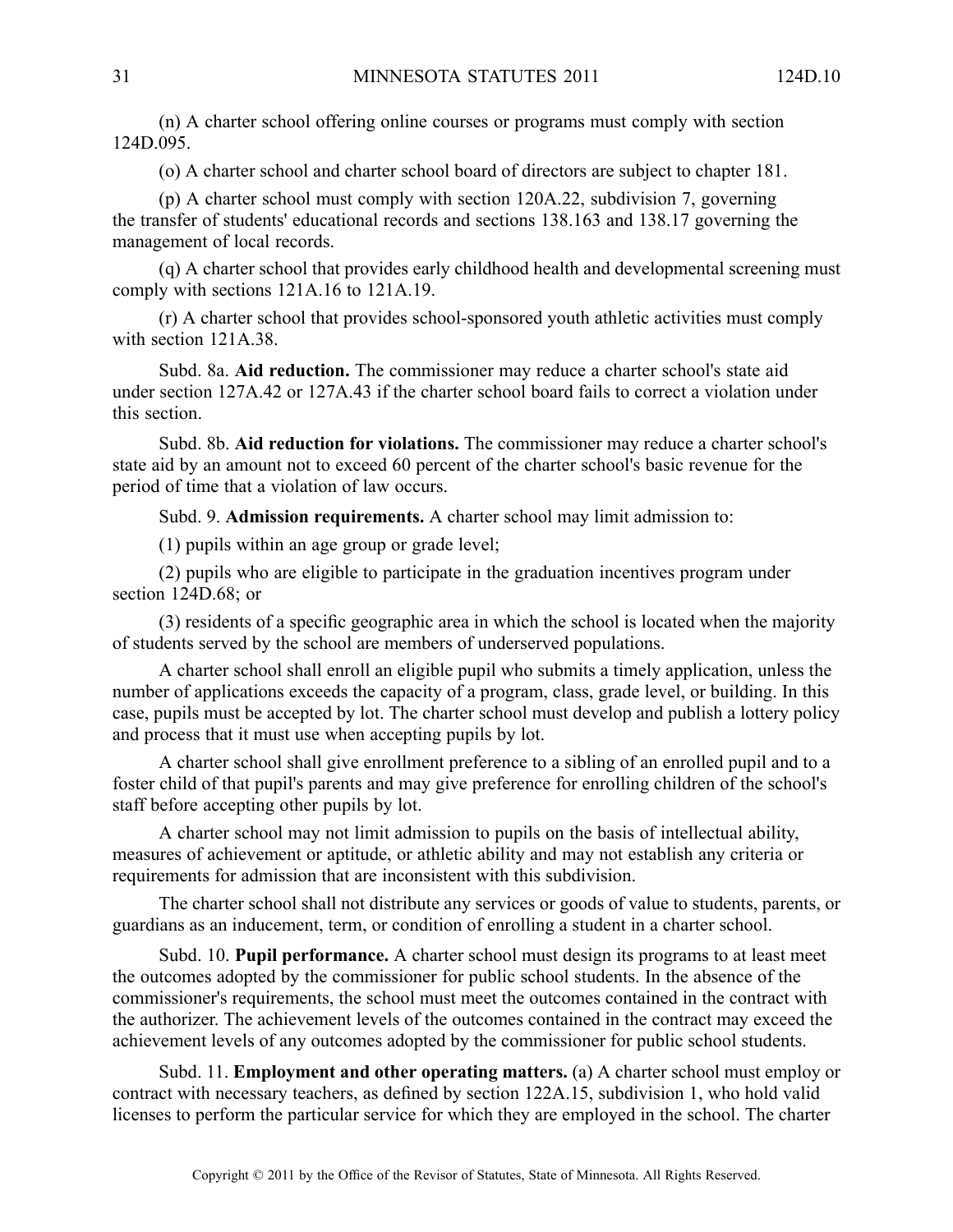(n) A charter school offering online courses or programs must comply with section 124D.095.

(o) A charter school and charter school board of directors are subject to chapter 181.

(p) A charter school must comply with section 120A.22, subdivision 7, governing the transfer of students' educational records and sections 138.163 and 138.17 governing the managemen<sup>t</sup> of local records.

(q) A charter school that provides early childhood health and developmental screening must comply with sections 121A.16 to 121A.19.

(r) A charter school that provides school-sponsored youth athletic activities must comply with section 121A.38.

Subd. 8a. **Aid reduction.** The commissioner may reduce <sup>a</sup> charter school's state aid under section 127A.42 or 127A.43 if the charter school board fails to correct <sup>a</sup> violation under this section.

Subd. 8b. **Aid reduction for violations.** The commissioner may reduce <sup>a</sup> charter school's state aid by an amount not to exceed 60 percen<sup>t</sup> of the charter school's basic revenue for the period of time that <sup>a</sup> violation of law occurs.

Subd. 9. **Admission requirements.** Acharter school may limit admission to:

(1) pupils within an age group or grade level;

(2) pupils who are eligible to participate in the graduation incentives program under section 124D.68; or

(3) residents of <sup>a</sup> specific geographic area in which the school is located when the majority of students served by the school are members of underserved populations.

A charter school shall enroll an eligible pupil who submits <sup>a</sup> timely application, unless the number of applications exceeds the capacity of a program, class, grade level, or building. In this case, pupils must be accepted by lot. The charter school must develop and publish <sup>a</sup> lottery policy and process that it must use when accepting pupils by lot.

A charter school shall give enrollment preference to <sup>a</sup> sibling of an enrolled pupil and to <sup>a</sup> foster child of that pupil's parents and may give preference for enrolling children of the school's staff before accepting other pupils by lot.

A charter school may not limit admission to pupils on the basis of intellectual ability, measures of achievement or aptitude, or athletic ability and may not establish any criteria or requirements for admission that are inconsistent with this subdivision.

The charter school shall not distribute any services or goods of value to students, parents, or guardians as an inducement, term, or condition of enrolling <sup>a</sup> student in <sup>a</sup> charter school.

Subd. 10. **Pupil performance.** A charter school must design its programs to at least meet the outcomes adopted by the commissioner for public school students. In the absence of the commissioner's requirements, the school must meet the outcomes contained in the contract with the authorizer. The achievement levels of the outcomes contained in the contract may exceed the achievement levels of any outcomes adopted by the commissioner for public school students.

Subd. 11. **Employment and other operating matters.** (a) A charter school must employ or contract with necessary teachers, as defined by section 122A.15, subdivision 1, who hold valid licenses to perform the particular service for which they are employed in the school. The charter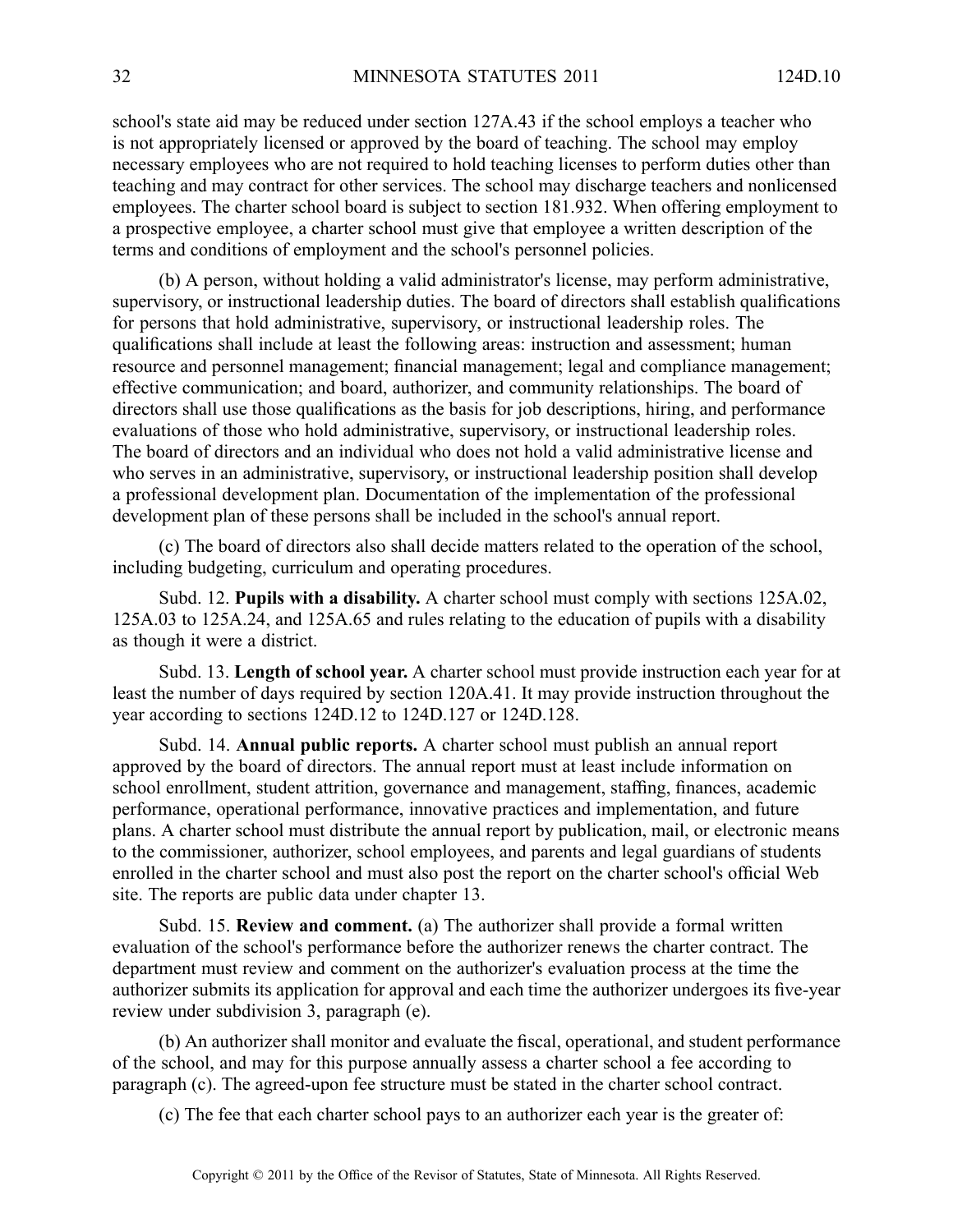school's state aid may be reduced under section 127A.43 if the school employs <sup>a</sup> teacher who is not appropriately licensed or approved by the board of teaching. The school may employ necessary employees who are not required to hold teaching licenses to perform duties other than teaching and may contract for other services. The school may discharge teachers and nonlicensed employees. The charter school board is subject to section 181.932. When offering employment to <sup>a</sup> prospective employee, <sup>a</sup> charter school must give that employee <sup>a</sup> written description of the terms and conditions of employment and the school's personnel policies.

(b) A person, without holding <sup>a</sup> valid administrator's license, may perform administrative, supervisory, or instructional leadership duties. The board of directors shall establish qualifications for persons that hold administrative, supervisory, or instructional leadership roles. The qualifications shall include at least the following areas: instruction and assessment; human resource and personnel management; financial management; legal and compliance management; effective communication; and board, authorizer, and community relationships. The board of directors shall use those qualifications as the basis for job descriptions, hiring, and performance evaluations of those who hold administrative, supervisory, or instructional leadership roles. The board of directors and an individual who does not hold <sup>a</sup> valid administrative license and who serves in an administrative, supervisory, or instructional leadership position shall develop <sup>a</sup> professional development plan. Documentation of the implementation of the professional development plan of these persons shall be included in the school's annual report.

(c) The board of directors also shall decide matters related to the operation of the school, including budgeting, curriculum and operating procedures.

Subd. 12. **Pupils with <sup>a</sup> disability.** A charter school must comply with sections 125A.02, 125A.03 to 125A.24, and 125A.65 and rules relating to the education of pupils with <sup>a</sup> disability as though it were <sup>a</sup> district.

Subd. 13. **Length of school year.** Acharter school must provide instruction each year for at least the number of days required by section 120A.41. It may provide instruction throughout the year according to sections 124D.12 to 124D.127 or 124D.128.

Subd. 14. **Annual public reports.** A charter school must publish an annual repor<sup>t</sup> approved by the board of directors. The annual repor<sup>t</sup> must at least include information on school enrollment, student attrition, governance and management, staffing, finances, academic performance, operational performance, innovative practices and implementation, and future plans. Acharter school must distribute the annual repor<sup>t</sup> by publication, mail, or electronic means to the commissioner, authorizer, school employees, and parents and legal guardians of students enrolled in the charter school and must also pos<sup>t</sup> the repor<sup>t</sup> on the charter school's official Web site. The reports are public data under chapter 13.

Subd. 15. **Review and comment.** (a) The authorizer shall provide <sup>a</sup> formal written evaluation of the school's performance before the authorizer renews the charter contract. The department must review and comment on the authorizer's evaluation process at the time the authorizer submits its application for approval and each time the authorizer undergoes its five-year review under subdivision 3, paragraph (e).

(b) An authorizer shall monitor and evaluate the fiscal, operational, and student performance of the school, and may for this purpose annually assess <sup>a</sup> charter school <sup>a</sup> fee according to paragraph (c). The agreed-upon fee structure must be stated in the charter school contract.

(c) The fee that each charter school pays to an authorizer each year is the greater of: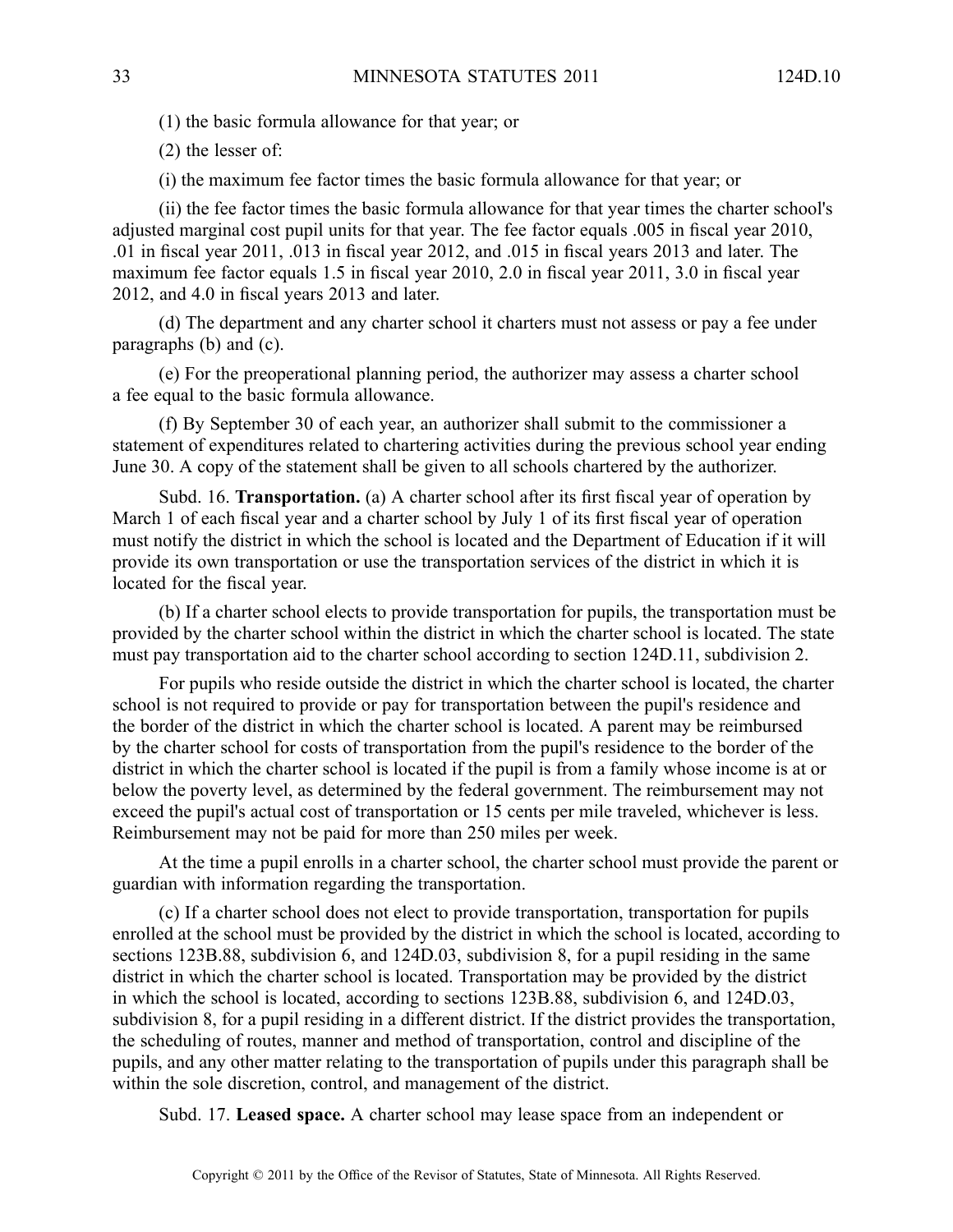(1) the basic formula allowance for that year; or

(2) the lesser of:

(i) the maximum fee factor times the basic formula allowance for that year; or

(ii) the fee factor times the basic formula allowance for that year times the charter school's adjusted marginal cost pupil units for that year. The fee factor equals .005 in fiscal year 2010, .01 in fiscal year 2011, .013 in fiscal year 2012, and .015 in fiscal years 2013 and later. The maximum fee factor equals 1.5 in fiscal year 2010, 2.0 in fiscal year 2011, 3.0 in fiscal year 2012, and 4.0 in fiscal years 2013 and later.

(d) The department and any charter school it charters must not assess or pay <sup>a</sup> fee under paragraphs (b) and (c).

(e) For the preoperational planning period, the authorizer may assess <sup>a</sup> charter school <sup>a</sup> fee equal to the basic formula allowance.

(f) By September 30 of each year, an authorizer shall submit to the commissioner <sup>a</sup> statement of expenditures related to chartering activities during the previous school year ending June 30. A copy of the statement shall be given to all schools chartered by the authorizer.

Subd. 16. **Transportation.** (a) A charter school after its first fiscal year of operation by March 1 of each fiscal year and <sup>a</sup> charter school by July 1 of its first fiscal year of operation must notify the district in which the school is located and the Department of Education if it will provide its own transportation or use the transportation services of the district in which it is located for the fiscal year.

(b) If <sup>a</sup> charter school elects to provide transportation for pupils, the transportation must be provided by the charter school within the district in which the charter school is located. The state must pay transportation aid to the charter school according to section 124D.11, subdivision 2.

For pupils who reside outside the district in which the charter school is located, the charter school is not required to provide or pay for transportation between the pupil's residence and the border of the district in which the charter school is located. A paren<sup>t</sup> may be reimbursed by the charter school for costs of transportation from the pupil's residence to the border of the district in which the charter school is located if the pupil is from <sup>a</sup> family whose income is at or below the poverty level, as determined by the federal government. The reimbursement may not exceed the pupil's actual cost of transportation or 15 cents per mile traveled, whichever is less. Reimbursement may not be paid for more than 250 miles per week.

At the time <sup>a</sup> pupil enrolls in <sup>a</sup> charter school, the charter school must provide the paren<sup>t</sup> or guardian with information regarding the transportation.

(c) If <sup>a</sup> charter school does not elect to provide transportation, transportation for pupils enrolled at the school must be provided by the district in which the school is located, according to sections 123B.88, subdivision 6, and 124D.03, subdivision 8, for <sup>a</sup> pupil residing in the same district in which the charter school is located. Transportation may be provided by the district in which the school is located, according to sections 123B.88, subdivision 6, and 124D.03, subdivision 8, for <sup>a</sup> pupil residing in <sup>a</sup> different district. If the district provides the transportation, the scheduling of routes, manner and method of transportation, control and discipline of the pupils, and any other matter relating to the transportation of pupils under this paragraph shall be within the sole discretion, control, and managemen<sup>t</sup> of the district.

Subd. 17. **Leased space.** A charter school may lease space from an independent or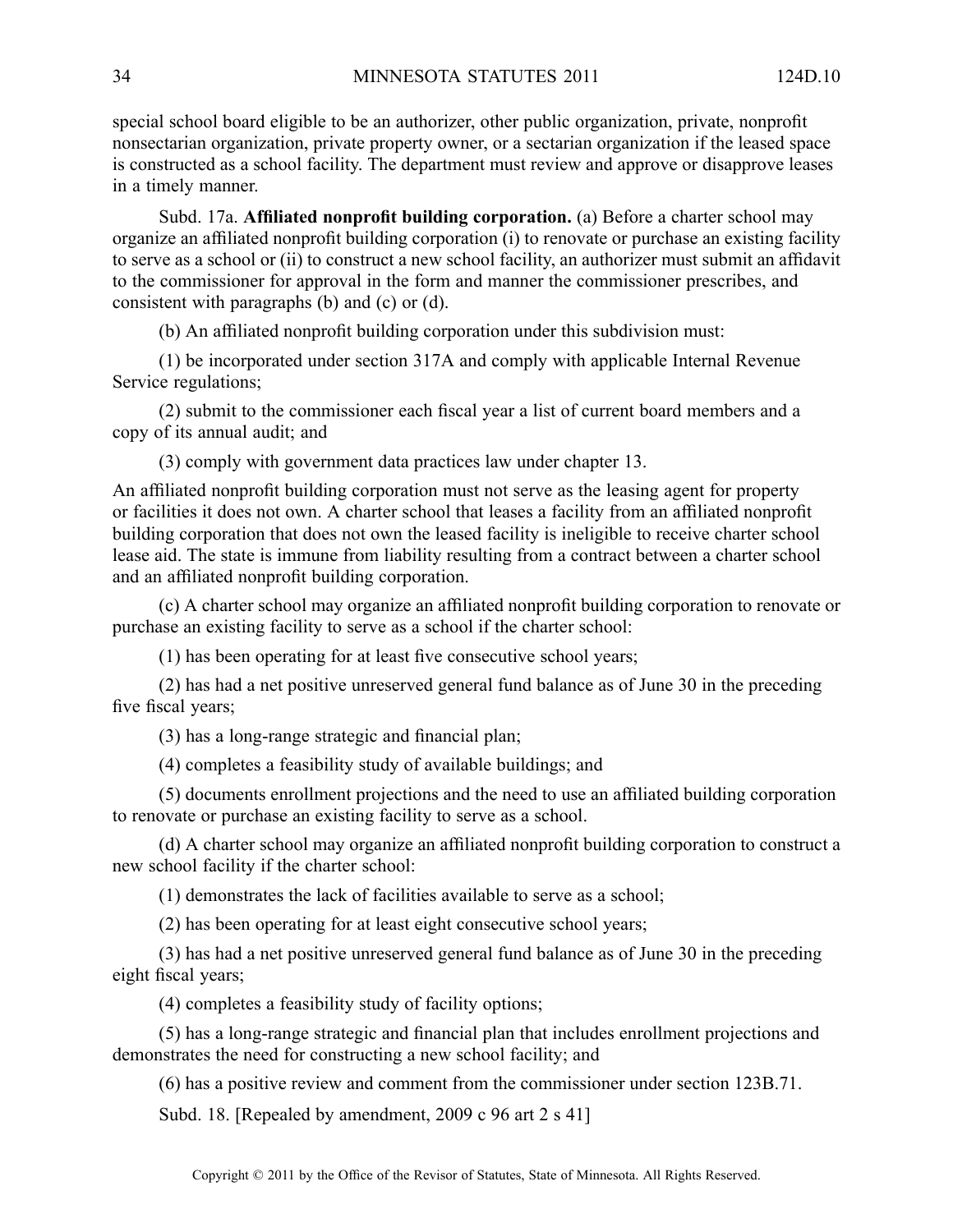special school board eligible to be an authorizer, other public organization, private, nonprofit nonsectarian organization, private property owner, or <sup>a</sup> sectarian organization if the leased space is constructed as <sup>a</sup> school facility. The department must review and approve or disapprove leases in <sup>a</sup> timely manner.

Subd. 17a. **Affiliated nonprofit building corporation.** (a) Before <sup>a</sup> charter school may organize an affiliated nonprofit building corporation (i) to renovate or purchase an existing facility to serve as <sup>a</sup> school or (ii) to construct <sup>a</sup> new school facility, an authorizer must submit an affidavit to the commissioner for approval in the form and manner the commissioner prescribes, and consistent with paragraphs (b) and (c) or (d).

(b) An affiliated nonprofit building corporation under this subdivision must:

(1) be incorporated under section 317A and comply with applicable Internal Revenue Service regulations;

(2) submit to the commissioner each fiscal year <sup>a</sup> list of current board members and <sup>a</sup> copy of its annual audit; and

(3) comply with governmen<sup>t</sup> data practices law under chapter 13.

An affiliated nonprofit building corporation must not serve as the leasing agen<sup>t</sup> for property or facilities it does not own. A charter school that leases <sup>a</sup> facility from an affiliated nonprofit building corporation that does not own the leased facility is ineligible to receive charter school lease aid. The state is immune from liability resulting from <sup>a</sup> contract between <sup>a</sup> charter school and an affiliated nonprofit building corporation.

(c) A charter school may organize an affiliated nonprofit building corporation to renovate or purchase an existing facility to serve as <sup>a</sup> school if the charter school:

(1) has been operating for at least five consecutive school years;

(2) has had <sup>a</sup> net positive unreserved general fund balance as of June 30 in the preceding five fiscal years;

(3) has <sup>a</sup> long-range strategic and financial plan;

(4) completes <sup>a</sup> feasibility study of available buildings; and

(5) documents enrollment projections and the need to use an affiliated building corporation to renovate or purchase an existing facility to serve as <sup>a</sup> school.

(d) A charter school may organize an affiliated nonprofit building corporation to construct <sup>a</sup> new school facility if the charter school:

(1) demonstrates the lack of facilities available to serve as <sup>a</sup> school;

(2) has been operating for at least eight consecutive school years;

(3) has had <sup>a</sup> net positive unreserved general fund balance as of June 30 in the preceding eight fiscal years;

(4) completes <sup>a</sup> feasibility study of facility options;

(5) has <sup>a</sup> long-range strategic and financial plan that includes enrollment projections and demonstrates the need for constructing <sup>a</sup> new school facility; and

(6) has <sup>a</sup> positive review and comment from the commissioner under section 123B.71.

Subd. 18. [Repealed by amendment, 2009 c 96 art 2 s 41]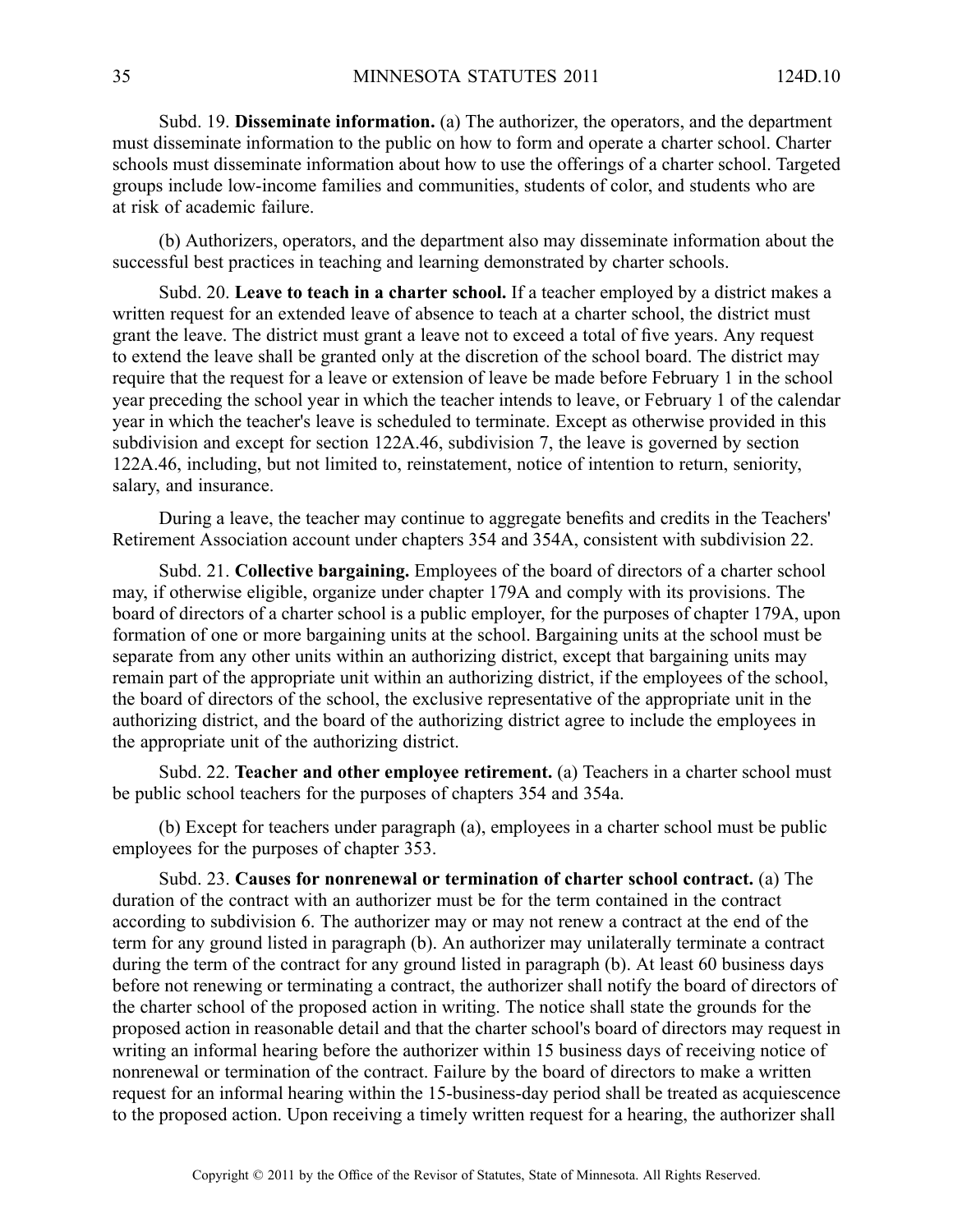Subd. 19. **Disseminate information.** (a) The authorizer, the operators, and the department must disseminate information to the public on how to form and operate <sup>a</sup> charter school. Charter schools must disseminate information about how to use the offerings of <sup>a</sup> charter school. Targeted groups include low-income families and communities, students of color, and students who are at risk of academic failure.

(b) Authorizers, operators, and the department also may disseminate information about the successful best practices in teaching and learning demonstrated by charter schools.

Subd. 20. **Leave to teach in <sup>a</sup> charter school.** If <sup>a</sup> teacher employed by <sup>a</sup> district makes <sup>a</sup> written reques<sup>t</sup> for an extended leave of absence to teach at <sup>a</sup> charter school, the district must gran<sup>t</sup> the leave. The district must gran<sup>t</sup> <sup>a</sup> leave not to exceed <sup>a</sup> total of five years. Any reques<sup>t</sup> to extend the leave shall be granted only at the discretion of the school board. The district may require that the reques<sup>t</sup> for <sup>a</sup> leave or extension of leave be made before February 1 in the school year preceding the school year in which the teacher intends to leave, or February 1 of the calendar year in which the teacher's leave is scheduled to terminate. Except as otherwise provided in this subdivision and excep<sup>t</sup> for section 122A.46, subdivision 7, the leave is governed by section 122A.46, including, but not limited to, reinstatement, notice of intention to return, seniority, salary, and insurance.

During <sup>a</sup> leave, the teacher may continue to aggregate benefits and credits in the Teachers' Retirement Association account under chapters 354 and 354A, consistent with subdivision 22.

Subd. 21. **Collective bargaining.** Employees of the board of directors of <sup>a</sup> charter school may, if otherwise eligible, organize under chapter 179A and comply with its provisions. The board of directors of <sup>a</sup> charter school is <sup>a</sup> public employer, for the purposes of chapter 179A, upon formation of one or more bargaining units at the school. Bargaining units at the school must be separate from any other units within an authorizing district, excep<sup>t</sup> that bargaining units may remain par<sup>t</sup> of the appropriate unit within an authorizing district, if the employees of the school, the board of directors of the school, the exclusive representative of the appropriate unit in the authorizing district, and the board of the authorizing district agree to include the employees in the appropriate unit of the authorizing district.

Subd. 22. **Teacher and other employee retirement.** (a) Teachers in <sup>a</sup> charter school must be public school teachers for the purposes of chapters 354 and 354a.

(b) Except for teachers under paragraph (a), employees in <sup>a</sup> charter school must be public employees for the purposes of chapter 353.

Subd. 23. **Causes for nonrenewal or termination of charter school contract.** (a) The duration of the contract with an authorizer must be for the term contained in the contract according to subdivision 6. The authorizer may or may not renew <sup>a</sup> contract at the end of the term for any ground listed in paragraph (b). An authorizer may unilaterally terminate <sup>a</sup> contract during the term of the contract for any ground listed in paragraph (b). At least 60 business days before not renewing or terminating <sup>a</sup> contract, the authorizer shall notify the board of directors of the charter school of the proposed action in writing. The notice shall state the grounds for the proposed action in reasonable detail and that the charter school's board of directors may reques<sup>t</sup> in writing an informal hearing before the authorizer within 15 business days of receiving notice of nonrenewal or termination of the contract. Failure by the board of directors to make <sup>a</sup> written reques<sup>t</sup> for an informal hearing within the 15-business-day period shall be treated as acquiescence to the proposed action. Upon receiving <sup>a</sup> timely written reques<sup>t</sup> for <sup>a</sup> hearing, the authorizer shall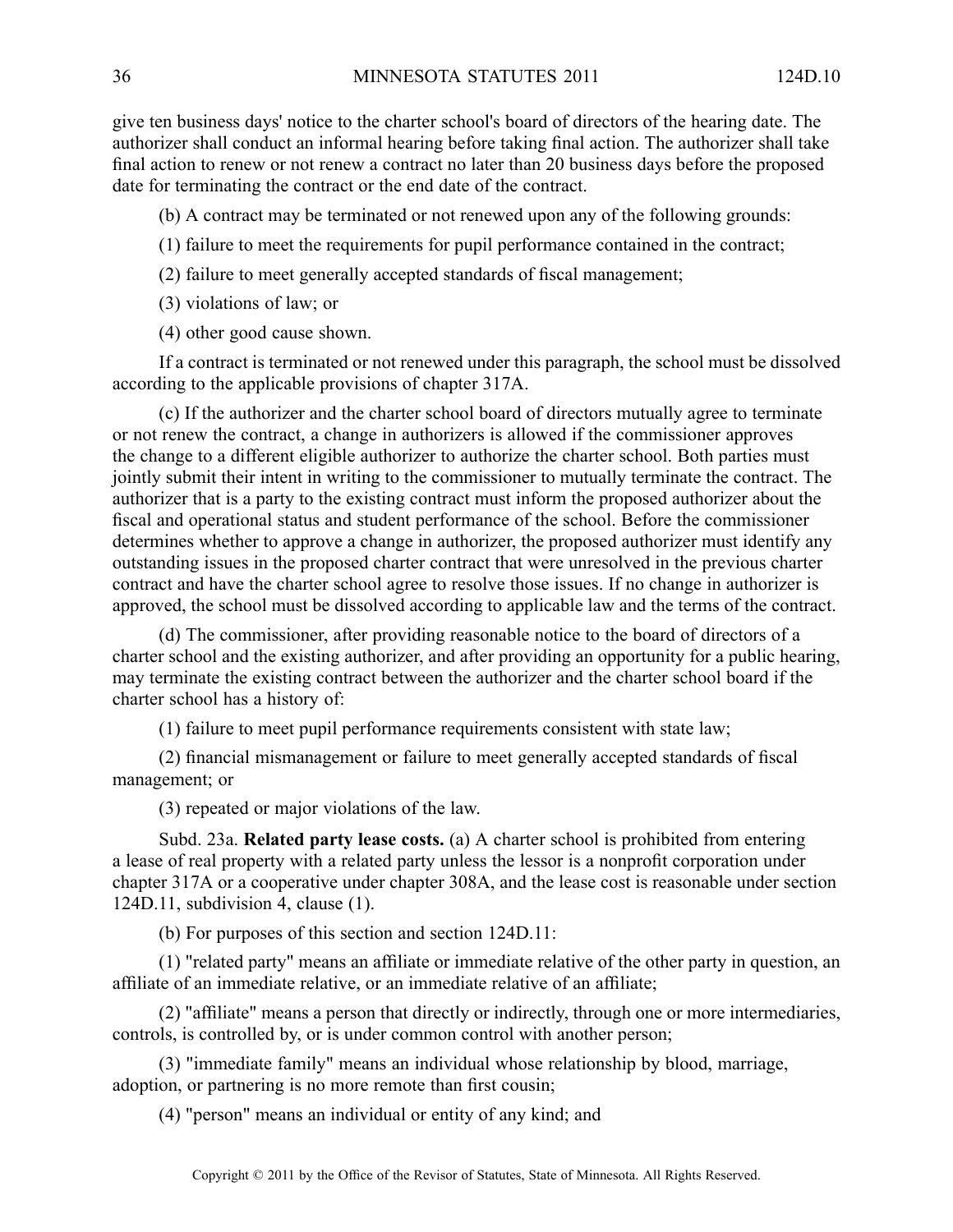give ten business days' notice to the charter school's board of directors of the hearing date. The authorizer shall conduct an informal hearing before taking final action. The authorizer shall take final action to renew or not renew <sup>a</sup> contract no later than 20 business days before the proposed date for terminating the contract or the end date of the contract.

(b) A contract may be terminated or not renewed upon any of the following grounds:

- (1) failure to meet the requirements for pupil performance contained in the contract;
- (2) failure to meet generally accepted standards of fiscal management;
- (3) violations of law; or
- (4) other good cause shown.

If <sup>a</sup> contract is terminated or not renewed under this paragraph, the school must be dissolved according to the applicable provisions of chapter 317A.

(c) If the authorizer and the charter school board of directors mutually agree to terminate or not renew the contract, <sup>a</sup> change in authorizers is allowed if the commissioner approves the change to <sup>a</sup> different eligible authorizer to authorize the charter school. Both parties must jointly submit their intent in writing to the commissioner to mutually terminate the contract. The authorizer that is <sup>a</sup> party to the existing contract must inform the proposed authorizer about the fiscal and operational status and student performance of the school. Before the commissioner determines whether to approve <sup>a</sup> change in authorizer, the proposed authorizer must identify any outstanding issues in the proposed charter contract that were unresolved in the previous charter contract and have the charter school agree to resolve those issues. If no change in authorizer is approved, the school must be dissolved according to applicable law and the terms of the contract.

(d) The commissioner, after providing reasonable notice to the board of directors of <sup>a</sup> charter school and the existing authorizer, and after providing an opportunity for <sup>a</sup> public hearing, may terminate the existing contract between the authorizer and the charter school board if the charter school has <sup>a</sup> history of:

(1) failure to meet pupil performance requirements consistent with state law;

(2) financial mismanagement or failure to meet generally accepted standards of fiscal management; or

(3) repeated or major violations of the law.

Subd. 23a. **Related party lease costs.** (a) A charter school is prohibited from entering <sup>a</sup> lease of real property with <sup>a</sup> related party unless the lessor is <sup>a</sup> nonprofit corporation under chapter 317A or <sup>a</sup> cooperative under chapter 308A, and the lease cost is reasonable under section 124D.11, subdivision 4, clause (1).

(b) For purposes of this section and section 124D.11:

(1) "related party" means an affiliate or immediate relative of the other party in question, an affiliate of an immediate relative, or an immediate relative of an affiliate;

(2) "affiliate" means <sup>a</sup> person that directly or indirectly, through one or more intermediaries, controls, is controlled by, or is under common control with another person;

(3) "immediate family" means an individual whose relationship by blood, marriage, adoption, or partnering is no more remote than first cousin;

(4) "person" means an individual or entity of any kind; and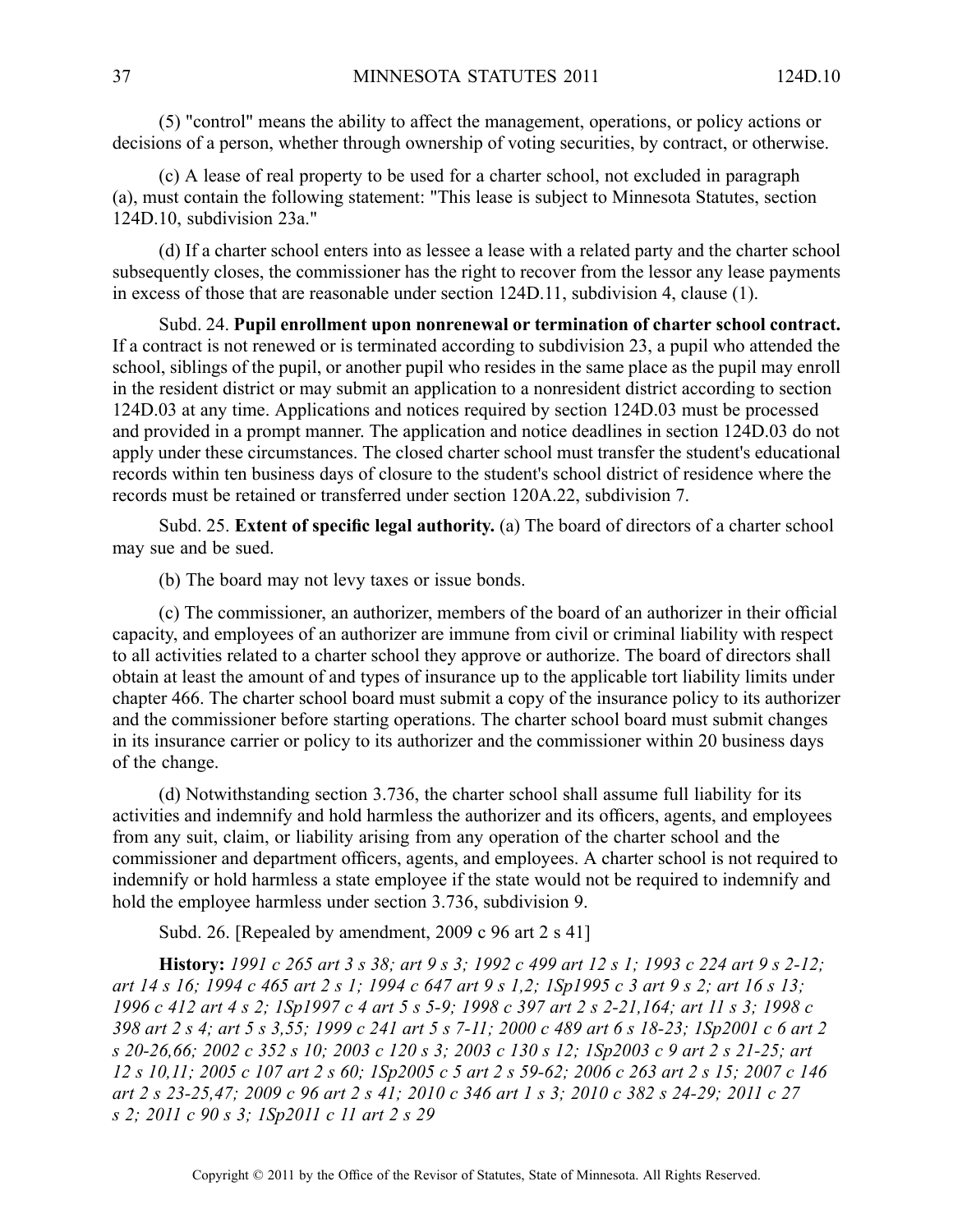(5) "control" means the ability to affect the management, operations, or policy actions or decisions of <sup>a</sup> person, whether through ownership of voting securities, by contract, or otherwise.

(c) A lease of real property to be used for <sup>a</sup> charter school, not excluded in paragraph (a), must contain the following statement: "This lease is subject to Minnesota Statutes, section 124D.10, subdivision 23a."

(d) If <sup>a</sup> charter school enters into as lessee <sup>a</sup> lease with <sup>a</sup> related party and the charter school subsequently closes, the commissioner has the right to recover from the lessor any lease payments in excess of those that are reasonable under section 124D.11, subdivision 4, clause (1).

Subd. 24. **Pupil enrollment upon nonrenewal or termination of charter school contract.** If <sup>a</sup> contract is not renewed or is terminated according to subdivision 23, <sup>a</sup> pupil who attended the school, siblings of the pupil, or another pupil who resides in the same place as the pupil may enroll in the resident district or may submit an application to <sup>a</sup> nonresident district according to section 124D.03 at any time. Applications and notices required by section 124D.03 must be processed and provided in <sup>a</sup> promp<sup>t</sup> manner. The application and notice deadlines in section 124D.03 do not apply under these circumstances. The closed charter school must transfer the student's educational records within ten business days of closure to the student's school district of residence where the records must be retained or transferred under section 120A.22, subdivision 7.

Subd. 25. **Extent of specific legal authority.** (a) The board of directors of <sup>a</sup> charter school may sue and be sued.

(b) The board may not levy taxes or issue bonds.

(c) The commissioner, an authorizer, members of the board of an authorizer in their official capacity, and employees of an authorizer are immune from civil or criminal liability with respec<sup>t</sup> to all activities related to <sup>a</sup> charter school they approve or authorize. The board of directors shall obtain at least the amount of and types of insurance up to the applicable tort liability limits under chapter 466. The charter school board must submit <sup>a</sup> copy of the insurance policy to its authorizer and the commissioner before starting operations. The charter school board must submit changes in its insurance carrier or policy to its authorizer and the commissioner within 20 business days of the change.

(d) Notwithstanding section 3.736, the charter school shall assume full liability for its activities and indemnify and hold harmless the authorizer and its officers, agents, and employees from any suit, claim, or liability arising from any operation of the charter school and the commissioner and department officers, agents, and employees. Acharter school is not required to indemnify or hold harmless <sup>a</sup> state employee if the state would not be required to indemnify and hold the employee harmless under section 3.736, subdivision 9.

Subd. 26. [Repealed by amendment, 2009 c 96 art 2 s 41]

History: 1991 c 265 art 3 s 38; art 9 s 3; 1992 c 499 art 12 s 1; 1993 c 224 art 9 s 2-12; art 14 s 16; 1994 c 465 art 2 s 1; 1994 c 647 art 9 s 1,2; 1Sp1995 c 3 art 9 s 2; art 16 s 13; 1996 c 412 art 4 s 2; 1Sp1997 c 4 art 5 s 5-9; 1998 c 397 art 2 s 2-21, 164; art 11 s 3; 1998 c 398 art 2 s 4; art 5 s 3,55; 1999 c 241 art 5 s 7-11; 2000 c 489 art 6 s 18-23; 1Sp2001 c 6 art 2 s 20-26,66; 2002 c 352 s 10; 2003 c 120 s 3; 2003 c 130 s 12; 1Sp2003 c 9 art 2 s 21-25; art 12 s 10,11; 2005 c 107 art 2 s 60; 1Sp2005 c 5 art 2 s 59-62; 2006 c 263 art 2 s 15; 2007 c 146 art 2 s 23-25,47; 2009 c 96 art 2 s 41; 2010 c 346 art 1 s 3; 2010 c 382 s 24-29; 2011 c 27 *<sup>s</sup> 2; 2011 <sup>c</sup> 90 <sup>s</sup> 3; 1Sp2011 <sup>c</sup> 11 art 2 <sup>s</sup> 29*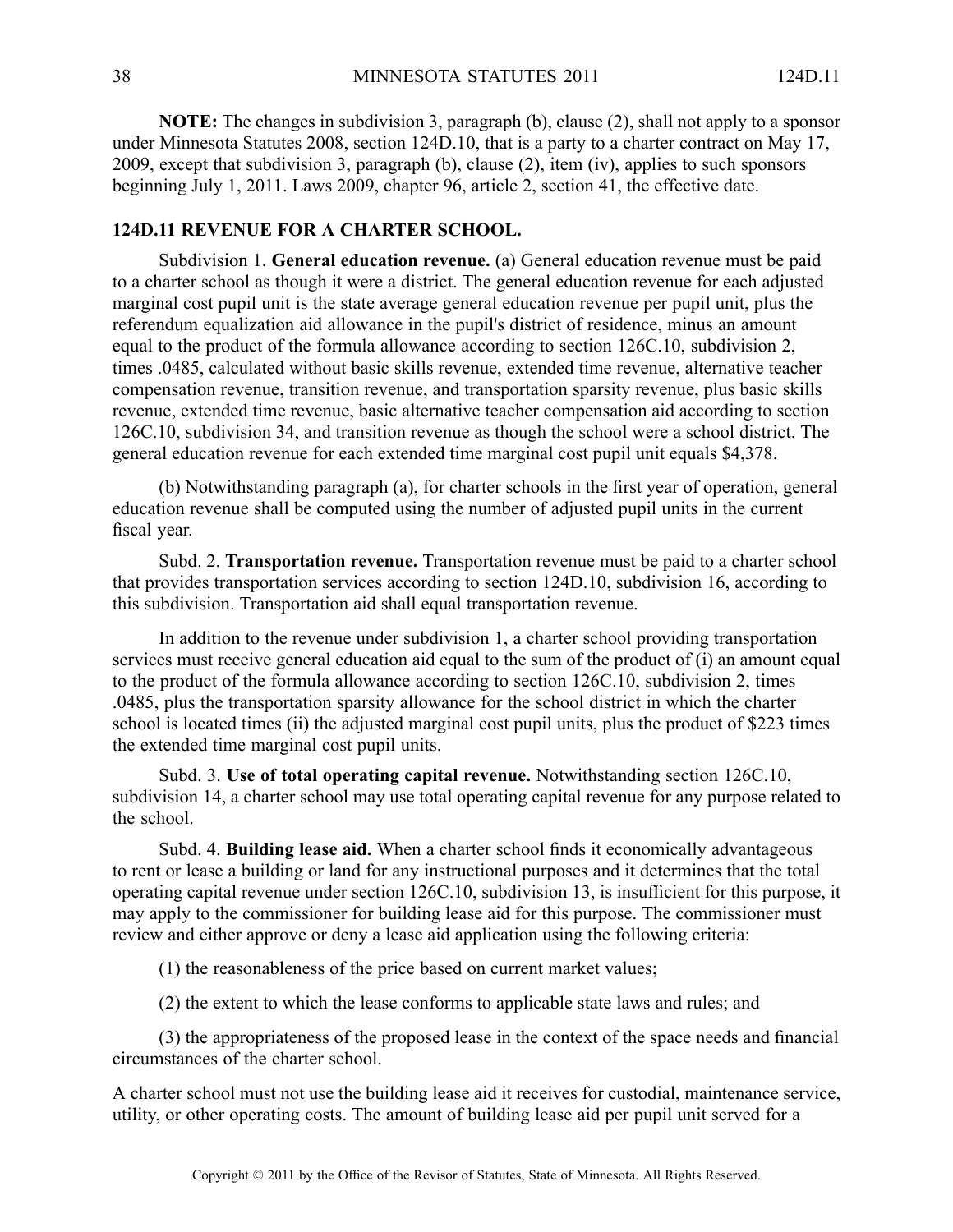**NOTE:** The changes in subdivision 3, paragraph (b), clause (2), shall not apply to <sup>a</sup> sponsor under Minnesota Statutes 2008, section 124D.10, that is <sup>a</sup> party to <sup>a</sup> charter contract on May 17, 2009, excep<sup>t</sup> that subdivision 3, paragraph (b), clause (2), item (iv), applies to such sponsors beginning July 1, 2011. Laws 2009, chapter 96, article 2, section 41, the effective date.

### **124D.11 REVENUE FOR A CHARTER SCHOOL.**

Subdivision 1. **General education revenue.** (a) General education revenue must be paid to <sup>a</sup> charter school as though it were <sup>a</sup> district. The general education revenue for each adjusted marginal cost pupil unit is the state average general education revenue per pupil unit, plus the referendum equalization aid allowance in the pupil's district of residence, minus an amount equal to the product of the formula allowance according to section 126C.10, subdivision 2, times .0485, calculated without basic skills revenue, extended time revenue, alternative teacher compensation revenue, transition revenue, and transportation sparsity revenue, plus basic skills revenue, extended time revenue, basic alternative teacher compensation aid according to section 126C.10, subdivision 34, and transition revenue as though the school were <sup>a</sup> school district. The general education revenue for each extended time marginal cost pupil unit equals \$4,378.

(b) Notwithstanding paragraph (a), for charter schools in the first year of operation, general education revenue shall be computed using the number of adjusted pupil units in the current fiscal year.

Subd. 2. **Transportation revenue.** Transportation revenue must be paid to <sup>a</sup> charter school that provides transportation services according to section 124D.10, subdivision 16, according to this subdivision. Transportation aid shall equal transportation revenue.

In addition to the revenue under subdivision 1, <sup>a</sup> charter school providing transportation services must receive general education aid equal to the sum of the product of (i) an amount equal to the product of the formula allowance according to section 126C.10, subdivision 2, times .0485, plus the transportation sparsity allowance for the school district in which the charter school is located times (ii) the adjusted marginal cost pupil units, plus the product of \$223 times the extended time marginal cost pupil units.

Subd. 3. **Use of total operating capital revenue.** Notwithstanding section 126C.10, subdivision 14, <sup>a</sup> charter school may use total operating capital revenue for any purpose related to the school.

Subd. 4. **Building lease aid.** When <sup>a</sup> charter school finds it economically advantageous to rent or lease <sup>a</sup> building or land for any instructional purposes and it determines that the total operating capital revenue under section 126C.10, subdivision 13, is insufficient for this purpose, it may apply to the commissioner for building lease aid for this purpose. The commissioner must review and either approve or deny <sup>a</sup> lease aid application using the following criteria:

(1) the reasonableness of the price based on current market values;

(2) the extent to which the lease conforms to applicable state laws and rules; and

(3) the appropriateness of the proposed lease in the context of the space needs and financial circumstances of the charter school.

A charter school must not use the building lease aid it receives for custodial, maintenance service, utility, or other operating costs. The amount of building lease aid per pupil unit served for <sup>a</sup>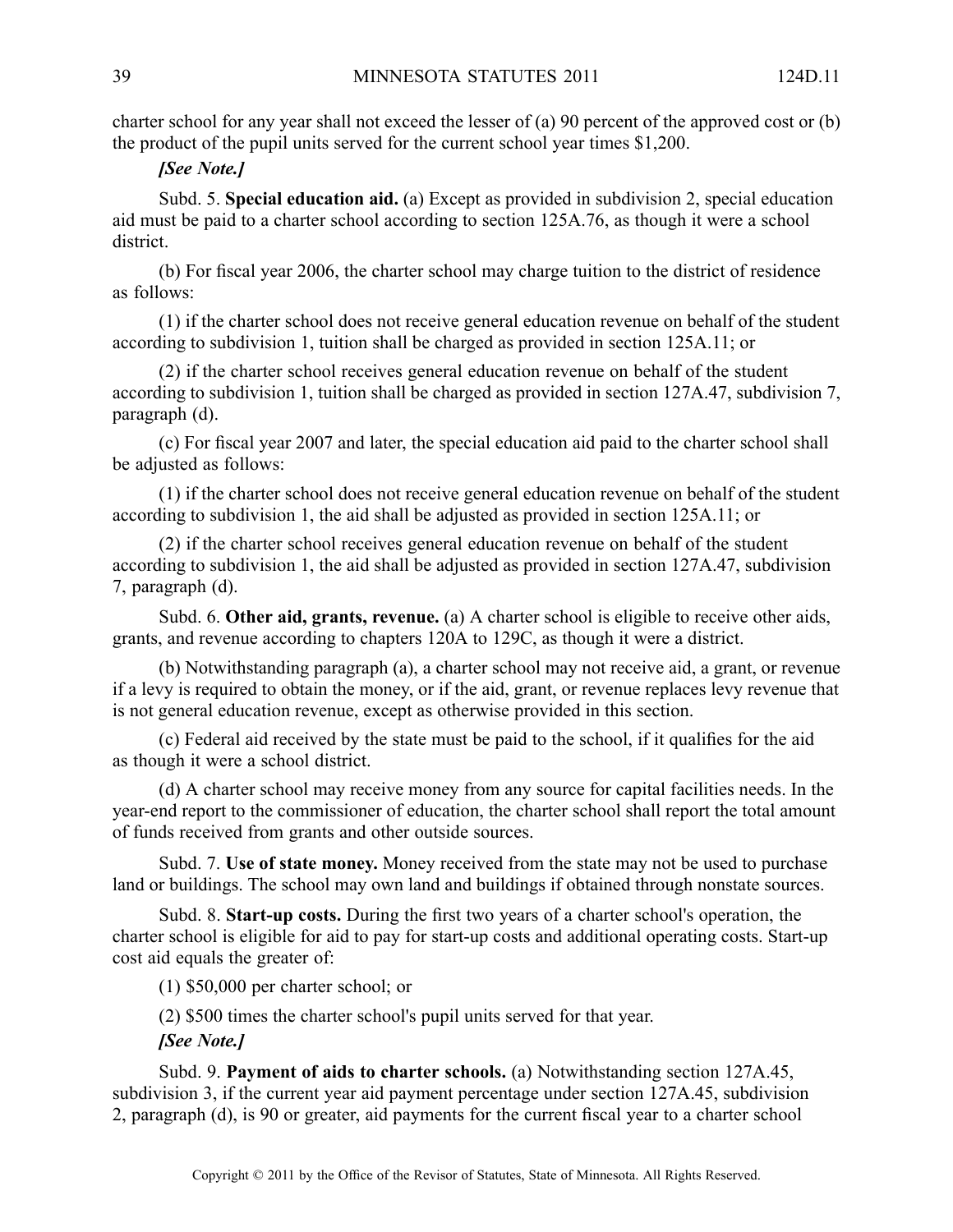charter school for any year shall not exceed the lesser of (a) 90 percen<sup>t</sup> of the approved cost or (b) the product of the pupil units served for the current school year times \$1,200.

# *[See Note.]*

Subd. 5. **Special education aid.** (a) Except as provided in subdivision 2, special education aid must be paid to <sup>a</sup> charter school according to section 125A.76, as though it were <sup>a</sup> school district.

(b) For fiscal year 2006, the charter school may charge tuition to the district of residence as follows:

(1) if the charter school does not receive general education revenue on behalf of the student according to subdivision 1, tuition shall be charged as provided in section 125A.11; or

(2) if the charter school receives general education revenue on behalf of the student according to subdivision 1, tuition shall be charged as provided in section 127A.47, subdivision 7, paragraph (d).

(c) For fiscal year 2007 and later, the special education aid paid to the charter school shall be adjusted as follows:

(1) if the charter school does not receive general education revenue on behalf of the student according to subdivision 1, the aid shall be adjusted as provided in section 125A.11; or

(2) if the charter school receives general education revenue on behalf of the student according to subdivision 1, the aid shall be adjusted as provided in section 127A.47, subdivision 7, paragraph (d).

Subd. 6. **Other aid, grants, revenue.** (a) A charter school is eligible to receive other aids, grants, and revenue according to chapters 120A to 129C, as though it were <sup>a</sup> district.

(b) Notwithstanding paragraph (a), <sup>a</sup> charter school may not receive aid, <sup>a</sup> grant, or revenue if <sup>a</sup> levy is required to obtain the money, or if the aid, grant, or revenue replaces levy revenue that is not general education revenue, excep<sup>t</sup> as otherwise provided in this section.

(c) Federal aid received by the state must be paid to the school, if it qualifies for the aid as though it were <sup>a</sup> school district.

(d) A charter school may receive money from any source for capital facilities needs. In the year-end repor<sup>t</sup> to the commissioner of education, the charter school shall repor<sup>t</sup> the total amount of funds received from grants and other outside sources.

Subd. 7. **Use of state money.** Money received from the state may not be used to purchase land or buildings. The school may own land and buildings if obtained through nonstate sources.

Subd. 8. **Start-up costs.** During the first two years of <sup>a</sup> charter school's operation, the charter school is eligible for aid to pay for start-up costs and additional operating costs. Start-up cost aid equals the greater of:

(1) \$50,000 per charter school; or

(2) \$500 times the charter school's pupil units served for that year.

*[See Note.]*

Subd. 9. **Payment of aids to charter schools.** (a) Notwithstanding section 127A.45, subdivision 3, if the current year aid paymen<sup>t</sup> percentage under section 127A.45, subdivision 2, paragraph (d), is 90 or greater, aid payments for the current fiscal year to <sup>a</sup> charter school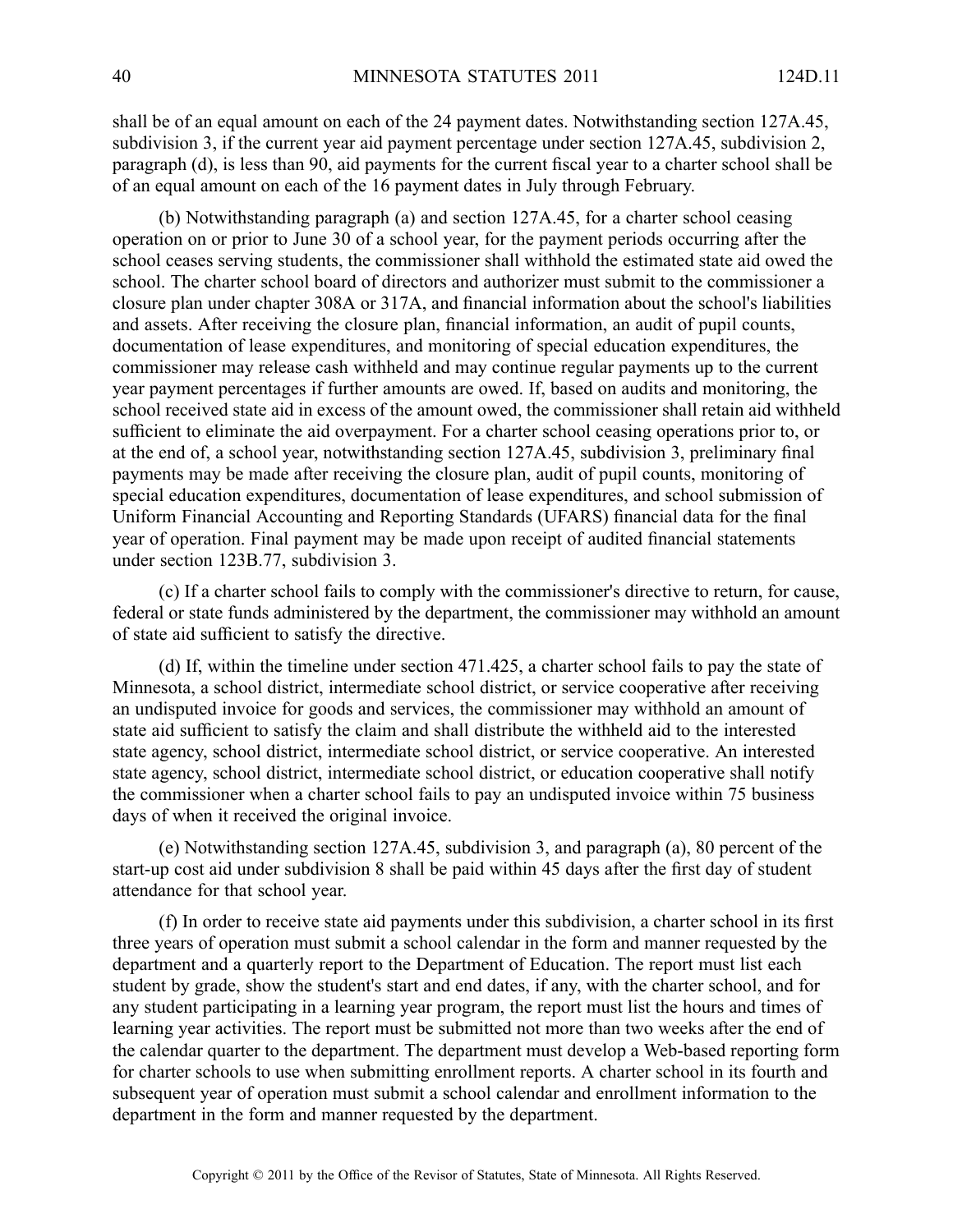shall be of an equal amount on each of the 24 paymen<sup>t</sup> dates. Notwithstanding section 127A.45, subdivision 3, if the current year aid paymen<sup>t</sup> percentage under section 127A.45, subdivision 2, paragraph (d), is less than 90, aid payments for the current fiscal year to <sup>a</sup> charter school shall be of an equal amount on each of the 16 paymen<sup>t</sup> dates in July through February.

(b) Notwithstanding paragraph (a) and section 127A.45, for <sup>a</sup> charter school ceasing operation on or prior to June 30 of <sup>a</sup> school year, for the paymen<sup>t</sup> periods occurring after the school ceases serving students, the commissioner shall withhold the estimated state aid owed the school. The charter school board of directors and authorizer must submit to the commissioner <sup>a</sup> closure plan under chapter 308A or 317A, and financial information about the school's liabilities and assets. After receiving the closure plan, financial information, an audit of pupil counts, documentation of lease expenditures, and monitoring of special education expenditures, the commissioner may release cash withheld and may continue regular payments up to the current year paymen<sup>t</sup> percentages if further amounts are owed. If, based on audits and monitoring, the school received state aid in excess of the amount owed, the commissioner shall retain aid withheld sufficient to eliminate the aid overpayment. For <sup>a</sup> charter school ceasing operations prior to, or at the end of, <sup>a</sup> school year, notwithstanding section 127A.45, subdivision 3, preliminary final payments may be made after receiving the closure plan, audit of pupil counts, monitoring of special education expenditures, documentation of lease expenditures, and school submission of Uniform Financial Accounting and Reporting Standards (UFARS) financial data for the final year of operation. Final paymen<sup>t</sup> may be made upon receipt of audited financial statements under section 123B.77, subdivision 3.

(c) If <sup>a</sup> charter school fails to comply with the commissioner's directive to return, for cause, federal or state funds administered by the department, the commissioner may withhold an amount of state aid sufficient to satisfy the directive.

(d) If, within the timeline under section 471.425, <sup>a</sup> charter school fails to pay the state of Minnesota, <sup>a</sup> school district, intermediate school district, or service cooperative after receiving an undisputed invoice for goods and services, the commissioner may withhold an amount of state aid sufficient to satisfy the claim and shall distribute the withheld aid to the interested state agency, school district, intermediate school district, or service cooperative. An interested state agency, school district, intermediate school district, or education cooperative shall notify the commissioner when <sup>a</sup> charter school fails to pay an undisputed invoice within 75 business days of when it received the original invoice.

(e) Notwithstanding section 127A.45, subdivision 3, and paragraph (a), 80 percen<sup>t</sup> of the start-up cost aid under subdivision 8 shall be paid within 45 days after the first day of student attendance for that school year.

(f) In order to receive state aid payments under this subdivision, <sup>a</sup> charter school in its first three years of operation must submit <sup>a</sup> school calendar in the form and manner requested by the department and <sup>a</sup> quarterly repor<sup>t</sup> to the Department of Education. The repor<sup>t</sup> must list each student by grade, show the student's start and end dates, if any, with the charter school, and for any student participating in <sup>a</sup> learning year program, the repor<sup>t</sup> must list the hours and times of learning year activities. The repor<sup>t</sup> must be submitted not more than two weeks after the end of the calendar quarter to the department. The department must develop <sup>a</sup> Web-based reporting form for charter schools to use when submitting enrollment reports. A charter school in its fourth and subsequent year of operation must submit <sup>a</sup> school calendar and enrollment information to the department in the form and manner requested by the department.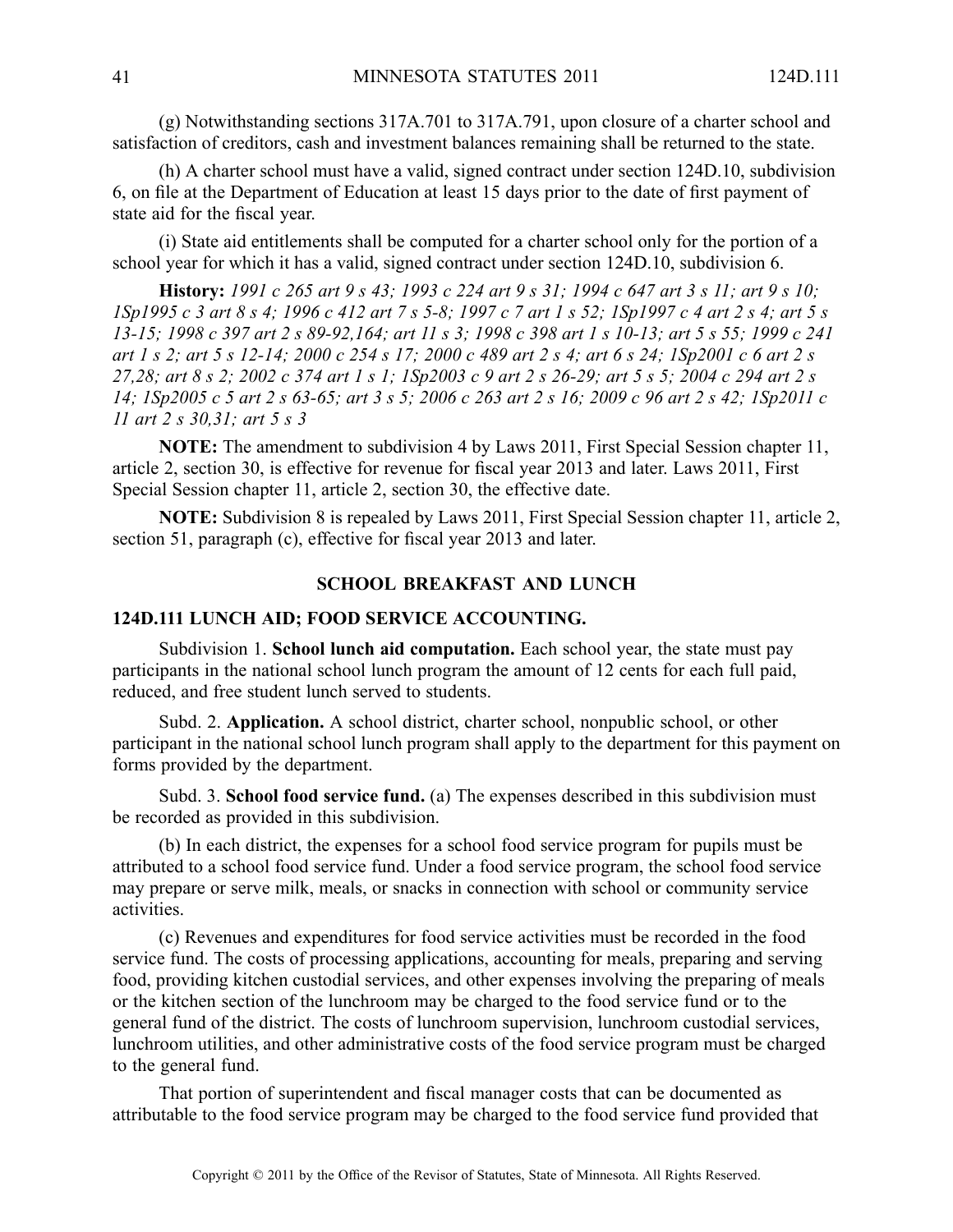(g) Notwithstanding sections 317A.701 to 317A.791, upon closure of <sup>a</sup> charter school and satisfaction of creditors, cash and investment balances remaining shall be returned to the state.

(h) A charter school must have <sup>a</sup> valid, signed contract under section 124D.10, subdivision 6, on file at the Department of Education at least 15 days prior to the date of first paymen<sup>t</sup> of state aid for the fiscal year.

(i) State aid entitlements shall be computed for <sup>a</sup> charter school only for the portion of <sup>a</sup> school year for which it has <sup>a</sup> valid, signed contract under section 124D.10, subdivision 6.

History: 1991 c 265 art 9 s 43; 1993 c 224 art 9 s 31; 1994 c 647 art 3 s 11; art 9 s 10; ISp1995 c 3 art 8 s 4; 1996 c 412 art 7 s 5-8; 1997 c 7 art 1 s 52; 1Sp1997 c 4 art 2 s 4; art 5 s 13-15; 1998 c 397 art 2 s 89-92, 164; art 11 s 3; 1998 c 398 art 1 s 10-13; art 5 s 55; 1999 c 241 art 1 s 2; art 5 s 12-14; 2000 c 254 s 17; 2000 c 489 art 2 s 4; art 6 s 24; 1Sp2001 c 6 art 2 s 27,28; art 8 s 2; 2002 c 374 art 1 s 1; 1Sp2003 c 9 art 2 s 26-29; art 5 s 5; 2004 c 294 art 2 s 14; 1Sp2005 c 5 art 2 s 63-65; art 3 s 5; 2006 c 263 art 2 s 16; 2009 c 96 art 2 s 42; 1Sp2011 c *11 art 2 <sup>s</sup> 30,31; art 5 <sup>s</sup> 3*

**NOTE:** The amendment to subdivision 4 by Laws 2011, First Special Session chapter 11, article 2, section 30, is effective for revenue for fiscal year 2013 and later. Laws 2011, First Special Session chapter 11, article 2, section 30, the effective date.

**NOTE:** Subdivision 8 is repealed by Laws 2011, First Special Session chapter 11, article 2, section 51, paragraph (c), effective for fiscal year 2013 and later.

#### **SCHOOL BREAKFAST AND LUNCH**

#### **124D.111 LUNCH AID; FOOD SERVICE ACCOUNTING.**

Subdivision 1. **School lunch aid computation.** Each school year, the state must pay participants in the national school lunch program the amount of 12 cents for each full paid, reduced, and free student lunch served to students.

Subd. 2. **Application.** A school district, charter school, nonpublic school, or other participant in the national school lunch program shall apply to the department for this paymen<sup>t</sup> on forms provided by the department.

Subd. 3. **School food service fund.** (a) The expenses described in this subdivision must be recorded as provided in this subdivision.

(b) In each district, the expenses for <sup>a</sup> school food service program for pupils must be attributed to <sup>a</sup> school food service fund. Under <sup>a</sup> food service program, the school food service may prepare or serve milk, meals, or snacks in connection with school or community service activities.

(c) Revenues and expenditures for food service activities must be recorded in the food service fund. The costs of processing applications, accounting for meals, preparing and serving food, providing kitchen custodial services, and other expenses involving the preparing of meals or the kitchen section of the lunchroom may be charged to the food service fund or to the general fund of the district. The costs of lunchroom supervision, lunchroom custodial services, lunchroom utilities, and other administrative costs of the food service program must be charged to the general fund.

That portion of superintendent and fiscal manager costs that can be documented as attributable to the food service program may be charged to the food service fund provided that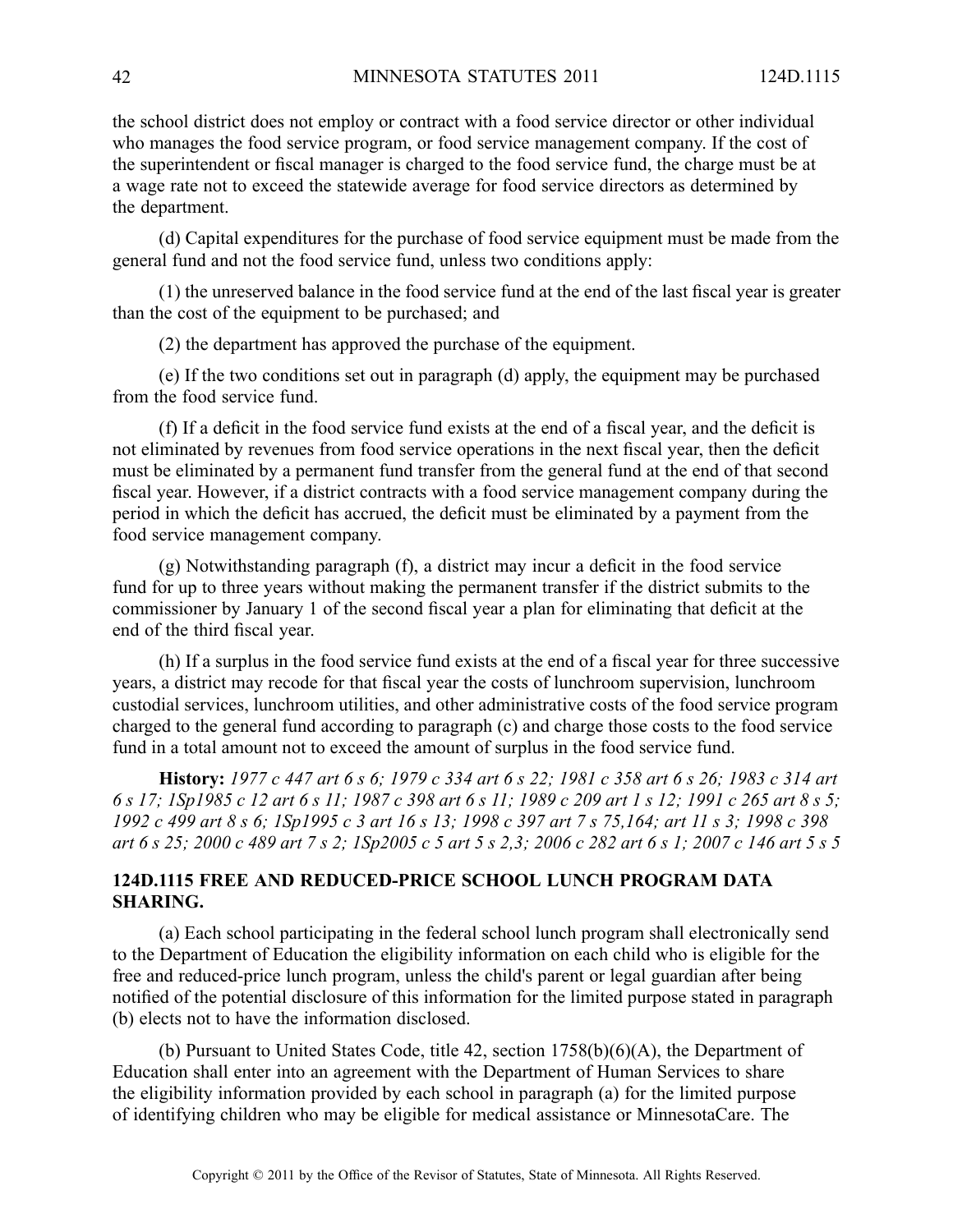the school district does not employ or contract with <sup>a</sup> food service director or other individual who manages the food service program, or food service managemen<sup>t</sup> company. If the cost of the superintendent or fiscal manager is charged to the food service fund, the charge must be at <sup>a</sup> wage rate not to exceed the statewide average for food service directors as determined by the department.

(d) Capital expenditures for the purchase of food service equipment must be made from the general fund and not the food service fund, unless two conditions apply:

(1) the unreserved balance in the food service fund at the end of the last fiscal year is greater than the cost of the equipment to be purchased; and

(2) the department has approved the purchase of the equipment.

(e) If the two conditions set out in paragraph (d) apply, the equipment may be purchased from the food service fund.

(f) If <sup>a</sup> deficit in the food service fund exists at the end of <sup>a</sup> fiscal year, and the deficit is not eliminated by revenues from food service operations in the next fiscal year, then the deficit must be eliminated by <sup>a</sup> permanen<sup>t</sup> fund transfer from the general fund at the end of that second fiscal year. However, if <sup>a</sup> district contracts with <sup>a</sup> food service managemen<sup>t</sup> company during the period in which the deficit has accrued, the deficit must be eliminated by <sup>a</sup> paymen<sup>t</sup> from the food service managemen<sup>t</sup> company.

(g) Notwithstanding paragraph (f), <sup>a</sup> district may incur <sup>a</sup> deficit in the food service fund for up to three years without making the permanen<sup>t</sup> transfer if the district submits to the commissioner by January 1 of the second fiscal year <sup>a</sup> plan for eliminating that deficit at the end of the third fiscal year.

(h) If <sup>a</sup> surplus in the food service fund exists at the end of <sup>a</sup> fiscal year for three successive years, <sup>a</sup> district may recode for that fiscal year the costs of lunchroom supervision, lunchroom custodial services, lunchroom utilities, and other administrative costs of the food service program charged to the general fund according to paragraph (c) and charge those costs to the food service fund in <sup>a</sup> total amount not to exceed the amount of surplus in the food service fund.

History: 1977 c 447 art 6 s 6; 1979 c 334 art 6 s 22; 1981 c 358 art 6 s 26; 1983 c 314 art 6 s 17; 1Sp1985 c 12 art 6 s 11; 1987 c 398 art 6 s 11; 1989 c 209 art 1 s 12; 1991 c 265 art 8 s 5; 1992 c 499 art 8 s 6; 1Sp1995 c 3 art 16 s 13; 1998 c 397 art 7 s 75,164; art 11 s 3; 1998 c 398 art 6 s 25; 2000 c 489 art 7 s 2; 1Sp2005 c 5 art 5 s 2,3; 2006 c 282 art 6 s 1; 2007 c 146 art 5 s 5

### **124D.1115 FREE AND REDUCED-PRICE SCHOOL LUNCH PROGRAM DATA SHARING.**

(a) Each school participating in the federal school lunch program shall electronically send to the Department of Education the eligibility information on each child who is eligible for the free and reduced-price lunch program, unless the child's paren<sup>t</sup> or legal guardian after being notified of the potential disclosure of this information for the limited purpose stated in paragraph (b) elects not to have the information disclosed.

(b) Pursuant to United States Code, title 42, section 1758(b)(6)(A), the Department of Education shall enter into an agreemen<sup>t</sup> with the Department of Human Services to share the eligibility information provided by each school in paragraph (a) for the limited purpose of identifying children who may be eligible for medical assistance or MinnesotaCare. The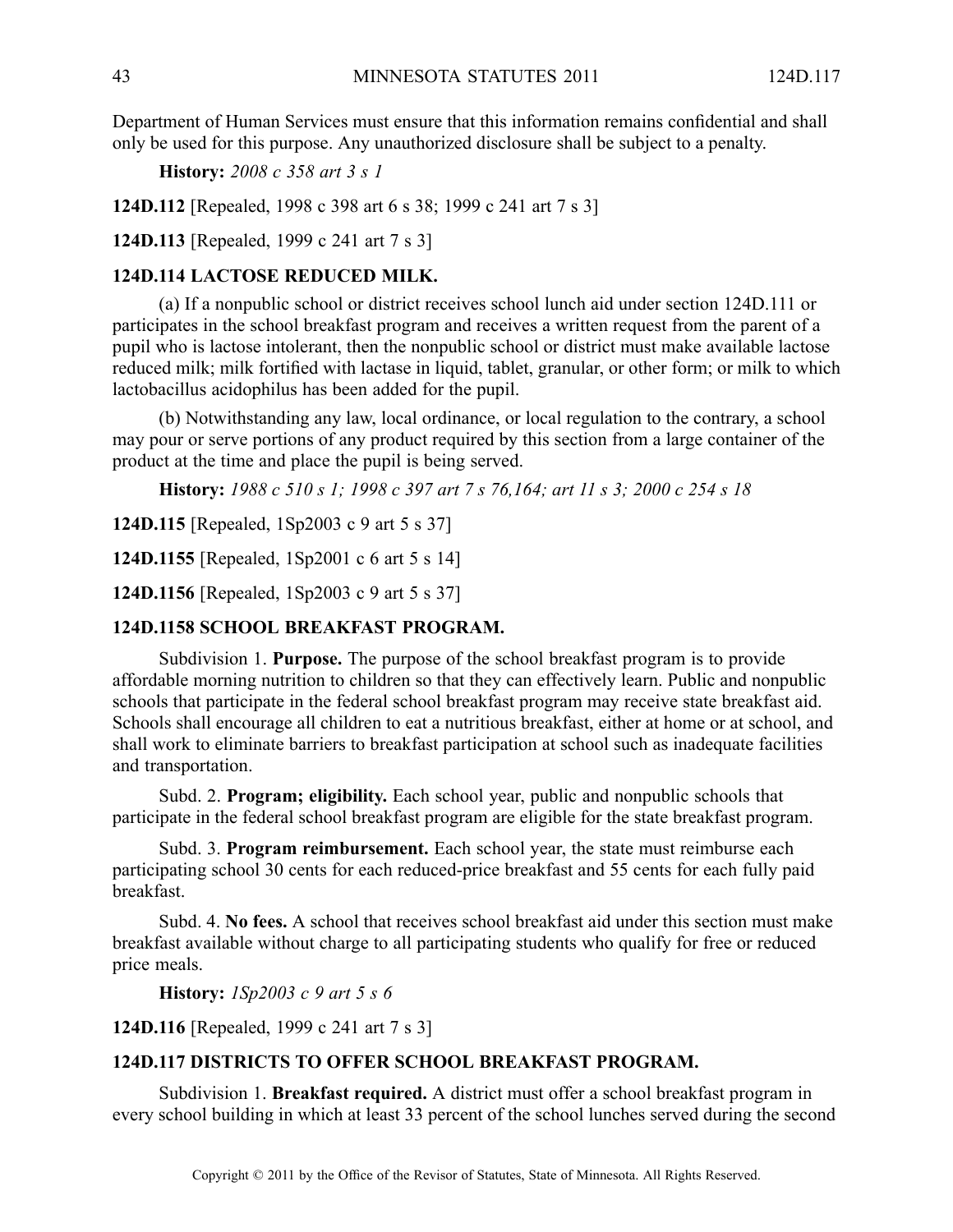Department of Human Services must ensure that this information remains confidential and shall only be used for this purpose. Any unauthorized disclosure shall be subject to <sup>a</sup> penalty.

**History:** *2008 <sup>c</sup> 358 art 3 <sup>s</sup> 1*

**124D.112** [Repealed, 1998 <sup>c</sup> 398 art 6 <sup>s</sup> 38; 1999 <sup>c</sup> 241 art 7 <sup>s</sup> 3]

**124D.113** [Repealed, 1999 <sup>c</sup> 241 art 7 <sup>s</sup> 3]

### **124D.114 LACTOSE REDUCED MILK.**

(a) If <sup>a</sup> nonpublic school or district receives school lunch aid under section 124D.111 or participates in the school breakfast program and receives <sup>a</sup> written reques<sup>t</sup> from the paren<sup>t</sup> of <sup>a</sup> pupil who is lactose intolerant, then the nonpublic school or district must make available lactose reduced milk; milk fortified with lactase in liquid, tablet, granular, or other form; or milk to which lactobacillus acidophilus has been added for the pupil.

(b) Notwithstanding any law, local ordinance, or local regulation to the contrary, <sup>a</sup> school may pour or serve portions of any product required by this section from <sup>a</sup> large container of the product at the time and place the pupil is being served.

**History:** 1988 c 510 s 1; 1998 c 397 art 7 s 76,164; art 11 s 3; 2000 c 254 s 18

**124D.115** [Repealed, 1Sp2003 <sup>c</sup> 9 art 5 <sup>s</sup> 37]

**124D.1155** [Repealed, 1Sp2001 <sup>c</sup> 6 art 5 <sup>s</sup> 14]

**124D.1156** [Repealed, 1Sp2003 <sup>c</sup> 9 art 5 <sup>s</sup> 37]

### **124D.1158 SCHOOL BREAKFAST PROGRAM.**

Subdivision 1. **Purpose.** The purpose of the school breakfast program is to provide affordable morning nutrition to children so that they can effectively learn. Public and nonpublic schools that participate in the federal school breakfast program may receive state breakfast aid. Schools shall encourage all children to eat <sup>a</sup> nutritious breakfast, either at home or at school, and shall work to eliminate barriers to breakfast participation at school such as inadequate facilities and transportation.

Subd. 2. **Program; eligibility.** Each school year, public and nonpublic schools that participate in the federal school breakfast program are eligible for the state breakfast program.

Subd. 3. **Program reimbursement.** Each school year, the state must reimburse each participating school 30 cents for each reduced-price breakfast and 55 cents for each fully paid breakfast.

Subd. 4. **No fees.** Aschool that receives school breakfast aid under this section must make breakfast available without charge to all participating students who qualify for free or reduced price meals.

**History:** *1Sp2003 <sup>c</sup> 9 art 5 <sup>s</sup> 6*

**124D.116** [Repealed, 1999 <sup>c</sup> 241 art 7 <sup>s</sup> 3]

# **124D.117 DISTRICTS TO OFFER SCHOOL BREAKFAST PROGRAM.**

Subdivision 1. **Breakfast required.** A district must offer a school breakfast program in every school building in which at least 33 percen<sup>t</sup> of the school lunches served during the second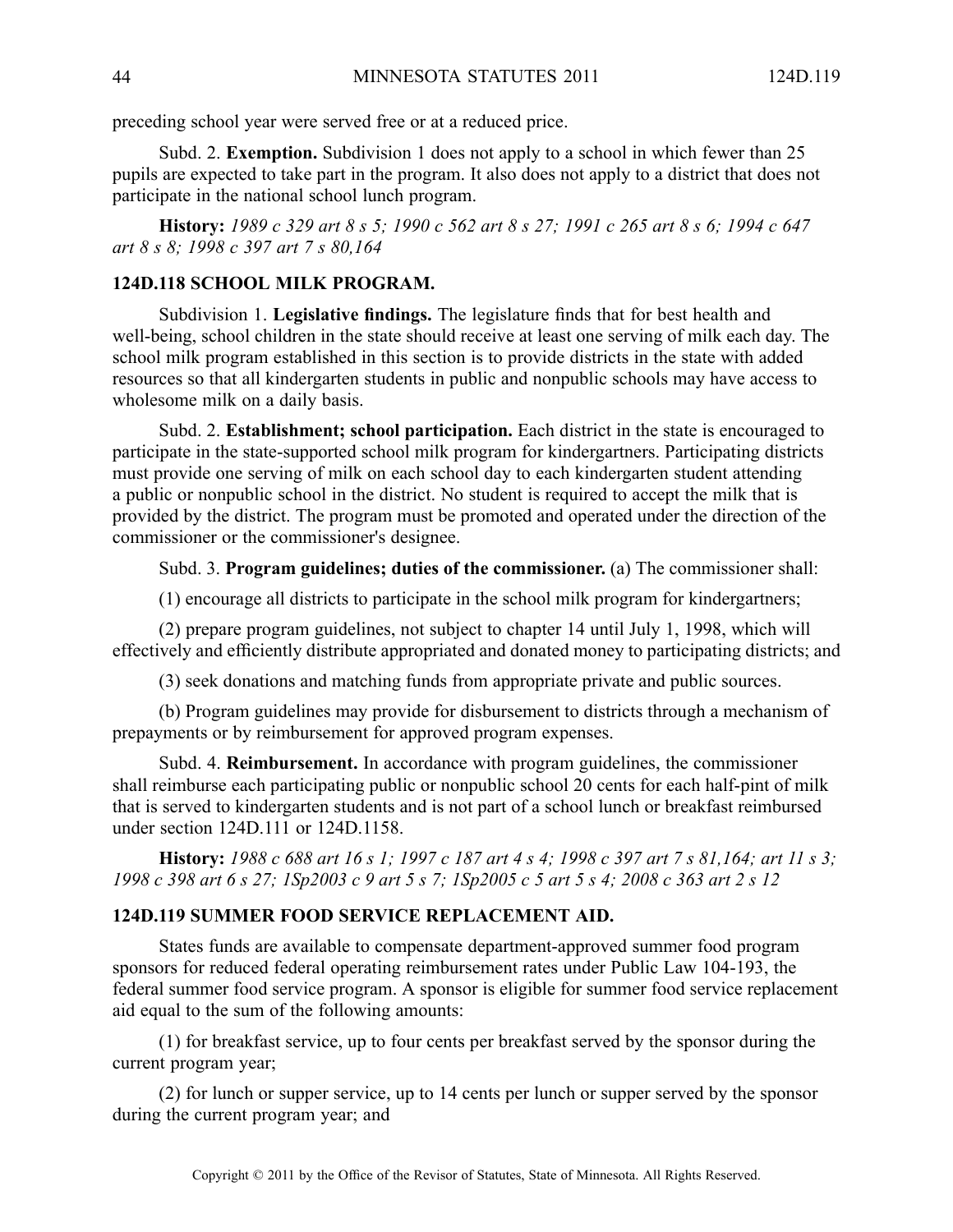preceding school year were served free or at <sup>a</sup> reduced price.

Subd. 2. **Exemption.** Subdivision 1 does not apply to <sup>a</sup> school in which fewer than 25 pupils are expected to take par<sup>t</sup> in the program. It also does not apply to <sup>a</sup> district that does not participate in the national school lunch program.

History: 1989 c 329 art 8 s 5; 1990 c 562 art 8 s 27; 1991 c 265 art 8 s 6; 1994 c 647 *art 8 <sup>s</sup> 8; 1998 <sup>c</sup> 397 art 7 <sup>s</sup> 80,164*

# **124D.118 SCHOOL MILK PROGRAM.**

Subdivision 1. **Legislative findings.** The legislature finds that for best health and well-being, school children in the state should receive at least one serving of milk each day. The school milk program established in this section is to provide districts in the state with added resources so that all kindergarten students in public and nonpublic schools may have access to wholesome milk on <sup>a</sup> daily basis.

Subd. 2. **Establishment; school participation.** Each district in the state is encouraged to participate in the state-supported school milk program for kindergartners. Participating districts must provide one serving of milk on each school day to each kindergarten student attending <sup>a</sup> public or nonpublic school in the district. No student is required to accep<sup>t</sup> the milk that is provided by the district. The program must be promoted and operated under the direction of the commissioner or the commissioner's designee.

Subd. 3. **Program guidelines; duties of the commissioner.** (a) The commissioner shall:

(1) encourage all districts to participate in the school milk program for kindergartners;

(2) prepare program guidelines, not subject to chapter 14 until July 1, 1998, which will effectively and efficiently distribute appropriated and donated money to participating districts; and

(3) seek donations and matching funds from appropriate private and public sources.

(b) Program guidelines may provide for disbursement to districts through <sup>a</sup> mechanism of prepayments or by reimbursement for approved program expenses.

Subd. 4. **Reimbursement.** In accordance with program guidelines, the commissioner shall reimburse each participating public or nonpublic school 20 cents for each half-pint of milk that is served to kindergarten students and is not par<sup>t</sup> of <sup>a</sup> school lunch or breakfast reimbursed under section 124D.111 or 124D.1158.

History: 1988 c 688 art 16 s 1; 1997 c 187 art 4 s 4; 1998 c 397 art 7 s 81,164; art 11 s 3; 1998 c 398 art 6 s 27; 1Sp2003 c 9 art 5 s 7; 1Sp2005 c 5 art 5 s 4; 2008 c 363 art 2 s 12

#### **124D.119 SUMMER FOOD SERVICE REPLACEMENT AID.**

States funds are available to compensate department-approved summer food program sponsors for reduced federal operating reimbursement rates under Public Law 104-193, the federal summer food service program. A sponsor is eligible for summer food service replacement aid equal to the sum of the following amounts:

(1) for breakfast service, up to four cents per breakfast served by the sponsor during the current program year;

(2) for lunch or supper service, up to 14 cents per lunch or supper served by the sponsor during the current program year; and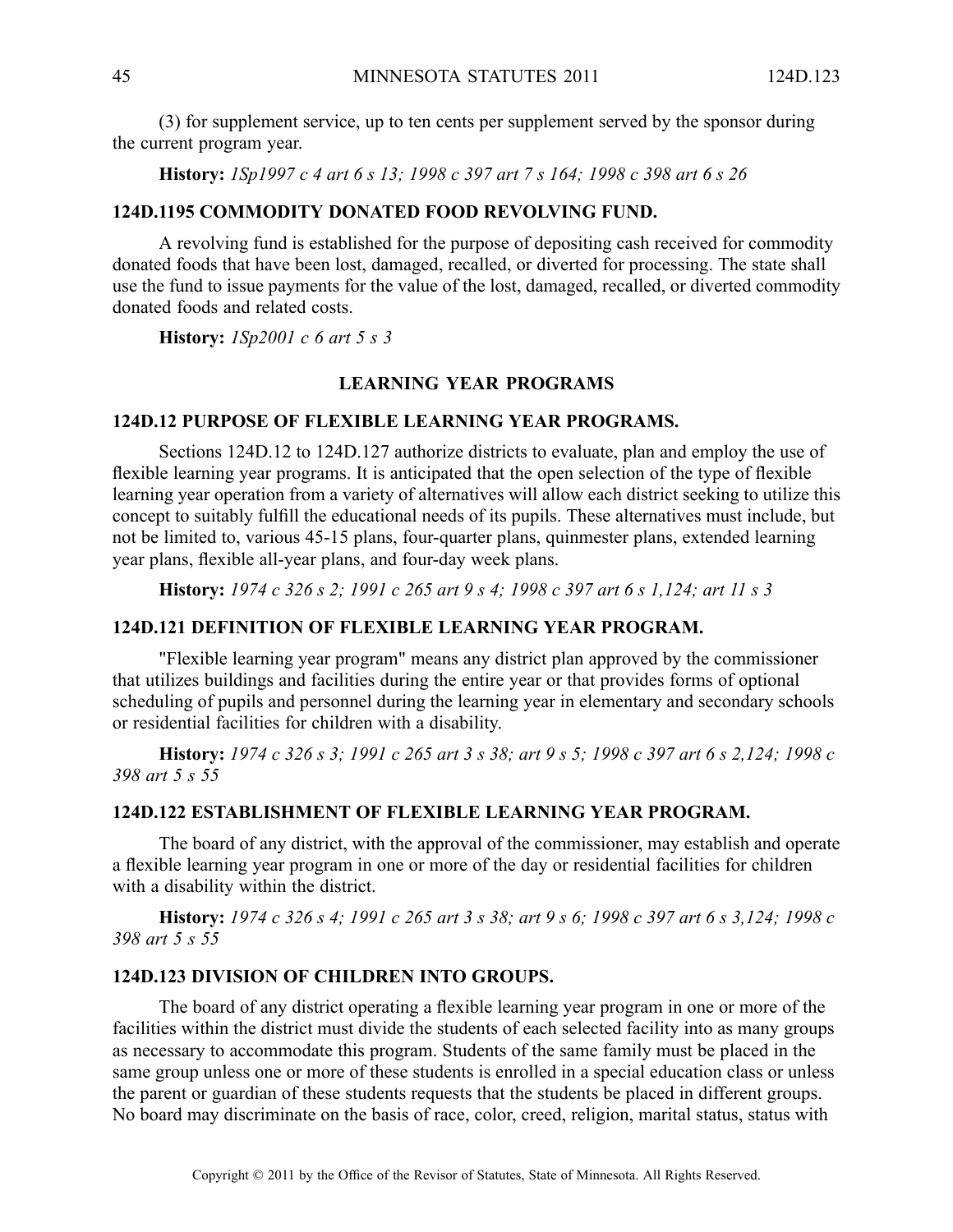(3) for supplement service, up to ten cents per supplement served by the sponsor during the current program year.

History: 1Sp1997 c 4 art 6 s 13; 1998 c 397 art 7 s 164; 1998 c 398 art 6 s 26

#### **124D.1195 COMMODITY DONATED FOOD REVOLVING FUND.**

A revolving fund is established for the purpose of depositing cash received for commodity donated foods that have been lost, damaged, recalled, or diverted for processing. The state shall use the fund to issue payments for the value of the lost, damaged, recalled, or diverted commodity donated foods and related costs.

**History:** *1Sp2001 <sup>c</sup> 6 art 5 <sup>s</sup> 3*

#### **LEARNING YEAR PROGRAMS**

#### **124D.12 PURPOSE OF FLEXIBLE LEARNING YEAR PROGRAMS.**

Sections 124D.12 to 124D.127 authorize districts to evaluate, plan and employ the use of flexible learning year programs. It is anticipated that the open selection of the type of flexible learning year operation from <sup>a</sup> variety of alternatives will allow each district seeking to utilize this concep<sup>t</sup> to suitably fulfill the educational needs of its pupils. These alternatives must include, but not be limited to, various 45-15 plans, four-quarter plans, quinmester plans, extended learning year plans, flexible all-year plans, and four-day week plans.

History: 1974 c 326 s 2; 1991 c 265 art 9 s 4; 1998 c 397 art 6 s 1,124; art 11 s 3

#### **124D.121 DEFINITION OF FLEXIBLE LEARNING YEAR PROGRAM.**

"Flexible learning year program" means any district plan approved by the commissioner that utilizes buildings and facilities during the entire year or that provides forms of optional scheduling of pupils and personnel during the learning year in elementary and secondary schools or residential facilities for children with <sup>a</sup> disability.

History: 1974 c 326 s 3; 1991 c 265 art 3 s 38; art 9 s 5; 1998 c 397 art 6 s 2,124; 1998 c *398 art 5 <sup>s</sup> 55*

### **124D.122 ESTABLISHMENT OF FLEXIBLE LEARNING YEAR PROGRAM.**

The board of any district, with the approval of the commissioner, may establish and operate <sup>a</sup> flexible learning year program in one or more of the day or residential facilities for children with <sup>a</sup> disability within the district.

History: 1974 c 326 s 4; 1991 c 265 art 3 s 38; art 9 s 6; 1998 c 397 art 6 s 3,124; 1998 c *398 art 5 <sup>s</sup> 55*

### **124D.123 DIVISION OF CHILDREN INTO GROUPS.**

The board of any district operating <sup>a</sup> flexible learning year program in one or more of the facilities within the district must divide the students of each selected facility into as many groups as necessary to accommodate this program. Students of the same family must be placed in the same group unless one or more of these students is enrolled in <sup>a</sup> special education class or unless the paren<sup>t</sup> or guardian of these students requests that the students be placed in different groups. No board may discriminate on the basis of race, color, creed, religion, marital status, status with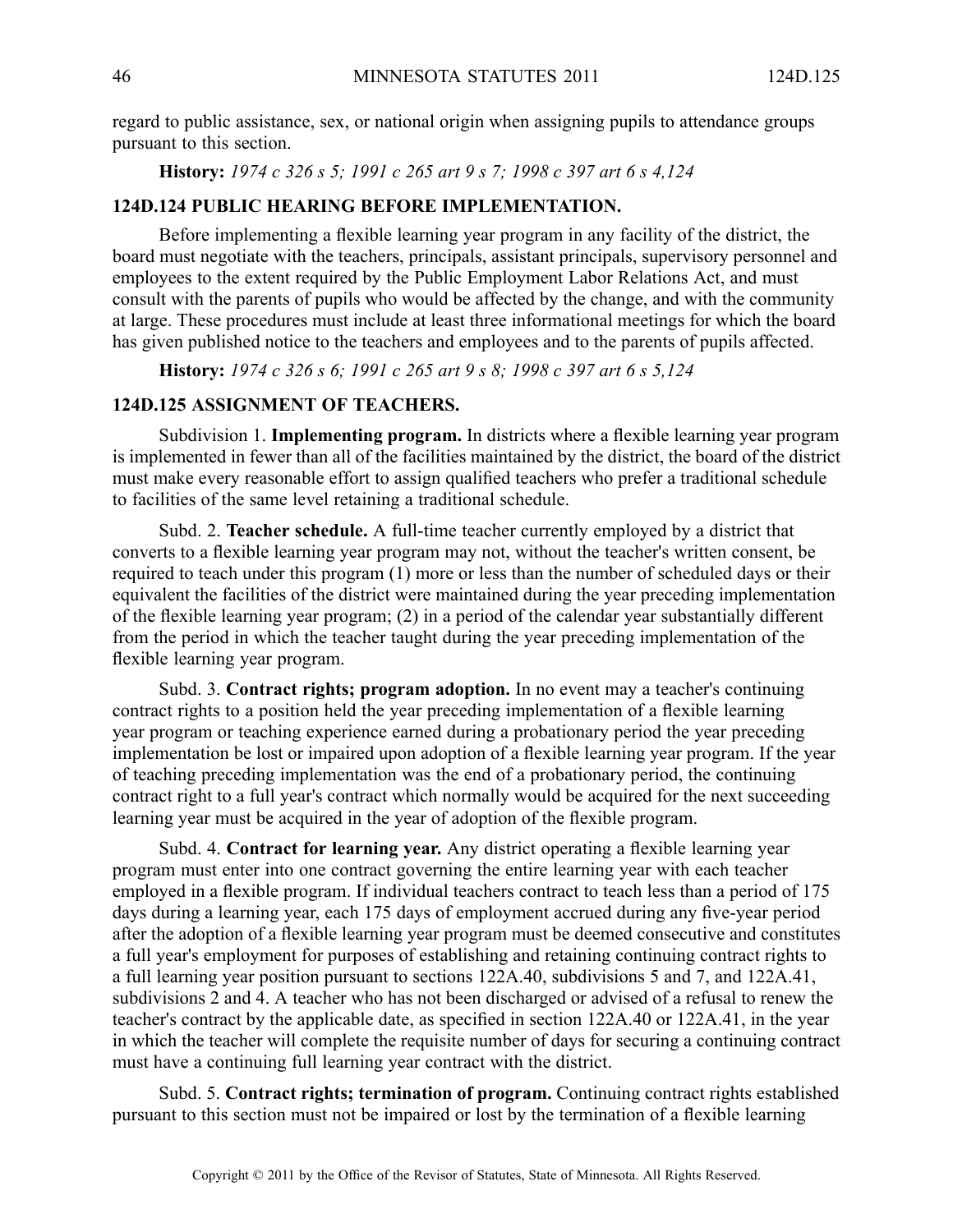regard to public assistance, sex, or national origin when assigning pupils to attendance groups pursuan<sup>t</sup> to this section.

**History:** *1974 <sup>c</sup> 326 <sup>s</sup> 5; 1991 <sup>c</sup> 265 art 9 <sup>s</sup> 7; 1998 <sup>c</sup> 397 art 6 <sup>s</sup> 4,124*

### **124D.124 PUBLIC HEARING BEFORE IMPLEMENTATION.**

Before implementing <sup>a</sup> flexible learning year program in any facility of the district, the board must negotiate with the teachers, principals, assistant principals, supervisory personnel and employees to the extent required by the Public Employment Labor Relations Act, and must consult with the parents of pupils who would be affected by the change, and with the community at large. These procedures must include at least three informational meetings for which the board has given published notice to the teachers and employees and to the parents of pupils affected.

**History:** *1974 <sup>c</sup> 326 <sup>s</sup> 6; 1991 <sup>c</sup> 265 art 9 <sup>s</sup> 8; 1998 <sup>c</sup> 397 art 6 <sup>s</sup> 5,124*

### **124D.125 ASSIGNMENT OF TEACHERS.**

Subdivision 1. **Implementing program.** In districts where <sup>a</sup> flexible learning year program is implemented in fewer than all of the facilities maintained by the district, the board of the district must make every reasonable effort to assign qualified teachers who prefer <sup>a</sup> traditional schedule to facilities of the same level retaining <sup>a</sup> traditional schedule.

Subd. 2. **Teacher schedule.** A full-time teacher currently employed by <sup>a</sup> district that converts to <sup>a</sup> flexible learning year program may not, without the teacher's written consent, be required to teach under this program (1) more or less than the number of scheduled days or their equivalent the facilities of the district were maintained during the year preceding implementation of the flexible learning year program; (2) in <sup>a</sup> period of the calendar year substantially different from the period in which the teacher taught during the year preceding implementation of the flexible learning year program.

Subd. 3. **Contract rights; program adoption.** In no event may <sup>a</sup> teacher's continuing contract rights to <sup>a</sup> position held the year preceding implementation of <sup>a</sup> flexible learning year program or teaching experience earned during <sup>a</sup> probationary period the year preceding implementation be lost or impaired upon adoption of <sup>a</sup> flexible learning year program. If the year of teaching preceding implementation was the end of <sup>a</sup> probationary period, the continuing contract right to <sup>a</sup> full year's contract which normally would be acquired for the next succeeding learning year must be acquired in the year of adoption of the flexible program.

Subd. 4. **Contract for learning year.** Any district operating <sup>a</sup> flexible learning year program must enter into one contract governing the entire learning year with each teacher employed in <sup>a</sup> flexible program. If individual teachers contract to teach less than <sup>a</sup> period of 175 days during <sup>a</sup> learning year, each 175 days of employment accrued during any five-year period after the adoption of <sup>a</sup> flexible learning year program must be deemed consecutive and constitutes <sup>a</sup> full year's employment for purposes of establishing and retaining continuing contract rights to <sup>a</sup> full learning year position pursuan<sup>t</sup> to sections 122A.40, subdivisions 5 and 7, and 122A.41, subdivisions 2 and 4. A teacher who has not been discharged or advised of <sup>a</sup> refusal to renew the teacher's contract by the applicable date, as specified in section 122A.40 or 122A.41, in the year in which the teacher will complete the requisite number of days for securing <sup>a</sup> continuing contract must have <sup>a</sup> continuing full learning year contract with the district.

Subd. 5. **Contract rights; termination of program.** Continuing contract rights established pursuan<sup>t</sup> to this section must not be impaired or lost by the termination of <sup>a</sup> flexible learning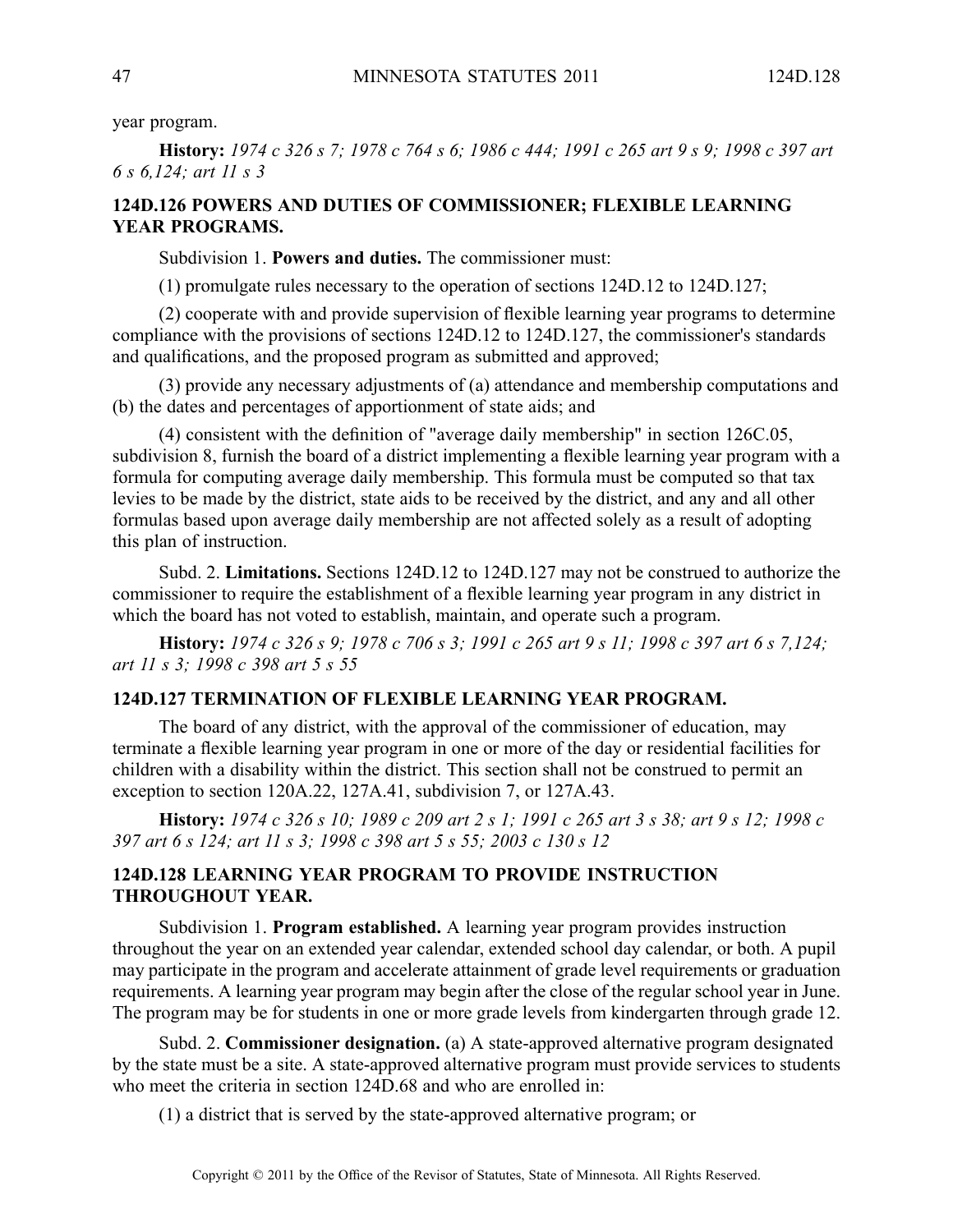year program.

History: 1974 c 326 s 7; 1978 c 764 s 6; 1986 c 444; 1991 c 265 art 9 s 9; 1998 c 397 art *6 <sup>s</sup> 6,124; art 11 <sup>s</sup> 3*

# **124D.126 POWERS AND DUTIES OF COMMISSIONER; FLEXIBLE LEARNING YEAR PROGRAMS.**

Subdivision 1. **Powers and duties.** The commissioner must:

(1) promulgate rules necessary to the operation of sections 124D.12 to 124D.127;

(2) cooperate with and provide supervision of flexible learning year programs to determine compliance with the provisions of sections 124D.12 to 124D.127, the commissioner's standards and qualifications, and the proposed program as submitted and approved;

(3) provide any necessary adjustments of (a) attendance and membership computations and (b) the dates and percentages of apportionment of state aids; and

(4) consistent with the definition of "average daily membership" in section 126C.05, subdivision 8, furnish the board of <sup>a</sup> district implementing <sup>a</sup> flexible learning year program with <sup>a</sup> formula for computing average daily membership. This formula must be computed so that tax levies to be made by the district, state aids to be received by the district, and any and all other formulas based upon average daily membership are not affected solely as <sup>a</sup> result of adopting this plan of instruction.

Subd. 2. **Limitations.** Sections 124D.12 to 124D.127 may not be construed to authorize the commissioner to require the establishment of <sup>a</sup> flexible learning year program in any district in which the board has not voted to establish, maintain, and operate such <sup>a</sup> program.

**History:** 1974 c 326 s 9: 1978 c 706 s 3: 1991 c 265 art 9 s 11: 1998 c 397 art 6 s 7,124; *art 11 <sup>s</sup> 3; 1998 <sup>c</sup> 398 art 5 <sup>s</sup> 55*

### **124D.127 TERMINATION OF FLEXIBLE LEARNING YEAR PROGRAM.**

The board of any district, with the approval of the commissioner of education, may terminate <sup>a</sup> flexible learning year program in one or more of the day or residential facilities for children with <sup>a</sup> disability within the district. This section shall not be construed to permit an exception to section 120A.22, 127A.41, subdivision 7, or 127A.43.

History: 1974 c 326 s 10; 1989 c 209 art 2 s 1; 1991 c 265 art 3 s 38; art 9 s 12; 1998 c *397 art 6 <sup>s</sup> 124; art 11 <sup>s</sup> 3; 1998 <sup>c</sup> 398 art 5 <sup>s</sup> 55; 2003 <sup>c</sup> 130 <sup>s</sup> 12*

# **124D.128 LEARNING YEAR PROGRAM TO PROVIDE INSTRUCTION THROUGHOUT YEAR.**

Subdivision 1. **Program established.** Alearning year program provides instruction throughout the year on an extended year calendar, extended school day calendar, or both. A pupil may participate in the program and accelerate attainment of grade level requirements or graduation requirements. Alearning year program may begin after the close of the regular school year in June. The program may be for students in one or more grade levels from kindergarten through grade 12.

Subd. 2. **Commissioner designation.** (a) A state-approved alternative program designated by the state must be a site. A state-approved alternative program must provide services to students who meet the criteria in section 124D.68 and who are enrolled in:

(1) <sup>a</sup> district that is served by the state-approved alternative program; or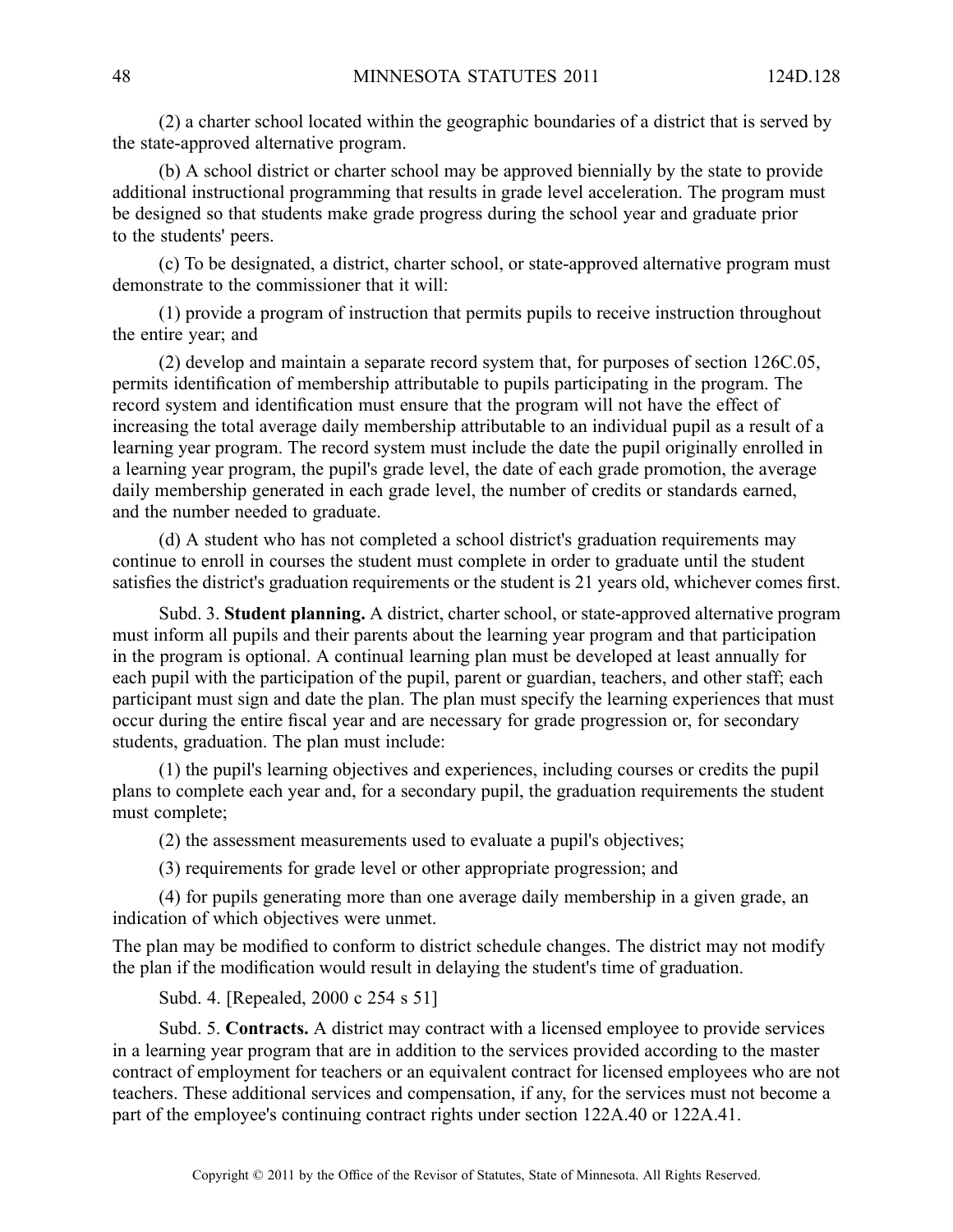(2) <sup>a</sup> charter school located within the geographic boundaries of <sup>a</sup> district that is served by the state-approved alternative program.

(b) A school district or charter school may be approved biennially by the state to provide additional instructional programming that results in grade level acceleration. The program must be designed so that students make grade progress during the school year and graduate prior to the students' peers.

(c) To be designated, <sup>a</sup> district, charter school, or state-approved alternative program must demonstrate to the commissioner that it will:

(1) provide <sup>a</sup> program of instruction that permits pupils to receive instruction throughout the entire year; and

(2) develop and maintain <sup>a</sup> separate record system that, for purposes of section 126C.05, permits identification of membership attributable to pupils participating in the program. The record system and identification must ensure that the program will not have the effect of increasing the total average daily membership attributable to an individual pupil as <sup>a</sup> result of <sup>a</sup> learning year program. The record system must include the date the pupil originally enrolled in <sup>a</sup> learning year program, the pupil's grade level, the date of each grade promotion, the average daily membership generated in each grade level, the number of credits or standards earned, and the number needed to graduate.

(d) A student who has not completed <sup>a</sup> school district's graduation requirements may continue to enroll in courses the student must complete in order to graduate until the student satisfies the district's graduation requirements or the student is 21 years old, whichever comes first.

Subd. 3. **Student planning.** A district, charter school, or state-approved alternative program must inform all pupils and their parents about the learning year program and that participation in the program is optional. A continual learning plan must be developed at least annually for each pupil with the participation of the pupil, paren<sup>t</sup> or guardian, teachers, and other staff; each participant must sign and date the plan. The plan must specify the learning experiences that must occur during the entire fiscal year and are necessary for grade progression or, for secondary students, graduation. The plan must include:

(1) the pupil's learning objectives and experiences, including courses or credits the pupil plans to complete each year and, for <sup>a</sup> secondary pupil, the graduation requirements the student must complete;

(2) the assessment measurements used to evaluate <sup>a</sup> pupil's objectives;

(3) requirements for grade level or other appropriate progression; and

(4) for pupils generating more than one average daily membership in <sup>a</sup> given grade, an indication of which objectives were unmet.

The plan may be modified to conform to district schedule changes. The district may not modify the plan if the modification would result in delaying the student's time of graduation.

Subd. 4. [Repealed, 2000 <sup>c</sup> 254 <sup>s</sup> 51]

Subd. 5. **Contracts.** A district may contract with <sup>a</sup> licensed employee to provide services in <sup>a</sup> learning year program that are in addition to the services provided according to the master contract of employment for teachers or an equivalent contract for licensed employees who are not teachers. These additional services and compensation, if any, for the services must not become <sup>a</sup> par<sup>t</sup> of the employee's continuing contract rights under section 122A.40 or 122A.41.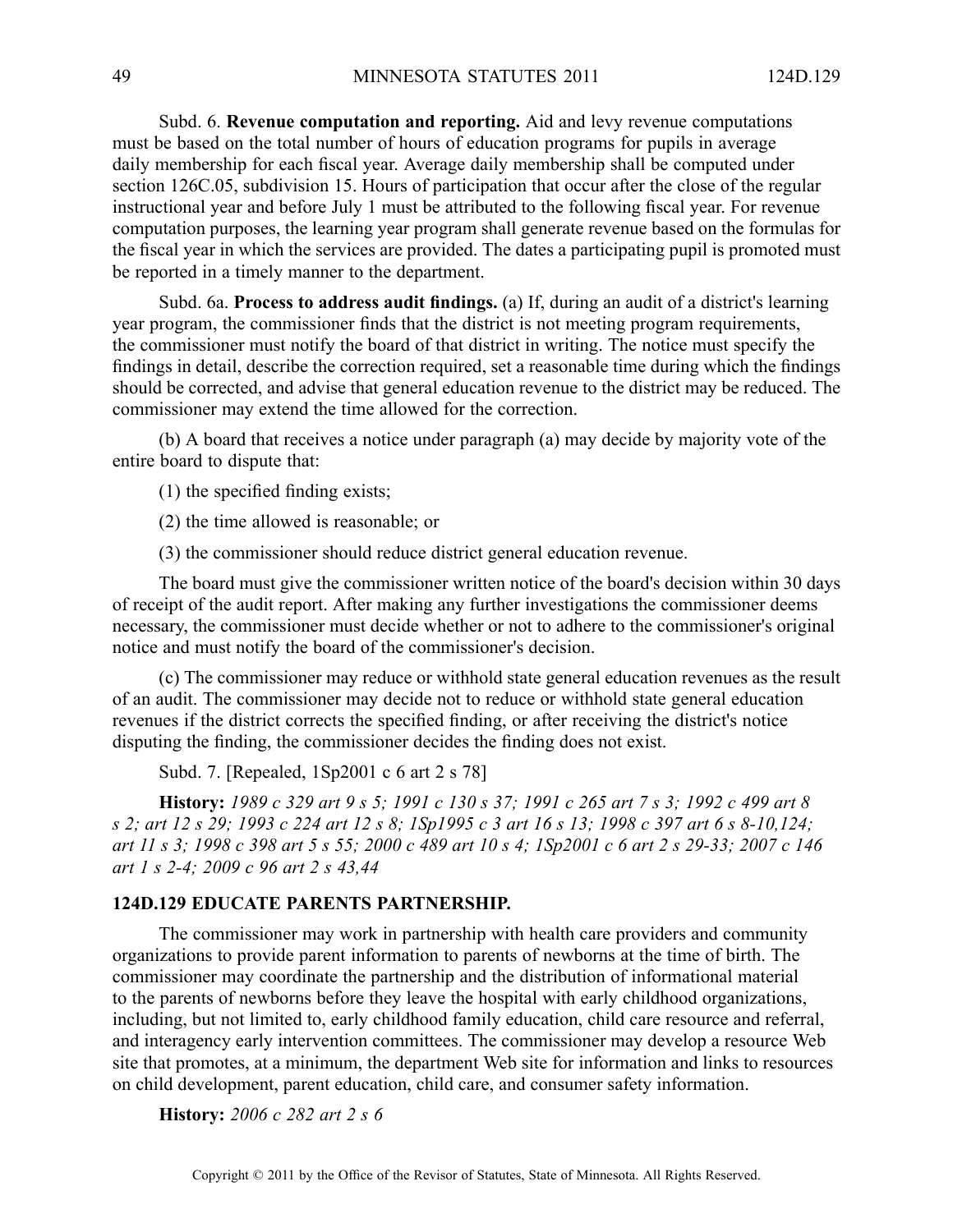Subd. 6. **Revenue computation and reporting.** Aid and levy revenue computations must be based on the total number of hours of education programs for pupils in average daily membership for each fiscal year. Average daily membership shall be computed under section 126C.05, subdivision 15. Hours of participation that occur after the close of the regular instructional year and before July 1 must be attributed to the following fiscal year. For revenue computation purposes, the learning year program shall generate revenue based on the formulas for the fiscal year in which the services are provided. The dates <sup>a</sup> participating pupil is promoted must be reported in <sup>a</sup> timely manner to the department.

Subd. 6a. **Process to address audit findings.** (a) If, during an audit of <sup>a</sup> district's learning year program, the commissioner finds that the district is not meeting program requirements, the commissioner must notify the board of that district in writing. The notice must specify the findings in detail, describe the correction required, set <sup>a</sup> reasonable time during which the findings should be corrected, and advise that general education revenue to the district may be reduced. The commissioner may extend the time allowed for the correction.

(b) A board that receives <sup>a</sup> notice under paragraph (a) may decide by majority vote of the entire board to dispute that:

(1) the specified finding exists;

(2) the time allowed is reasonable; or

(3) the commissioner should reduce district general education revenue.

The board must give the commissioner written notice of the board's decision within 30 days of receipt of the audit report. After making any further investigations the commissioner deems necessary, the commissioner must decide whether or not to adhere to the commissioner's original notice and must notify the board of the commissioner's decision.

(c) The commissioner may reduce or withhold state general education revenues as the result of an audit. The commissioner may decide not to reduce or withhold state general education revenues if the district corrects the specified finding, or after receiving the district's notice disputing the finding, the commissioner decides the finding does not exist.

Subd. 7. [Repealed, 1Sp2001 <sup>c</sup> 6 art 2 <sup>s</sup> 78]

History: 1989 c 329 art 9 s 5; 1991 c 130 s 37; 1991 c 265 art 7 s 3; 1992 c 499 art 8 s 2; art 12 s 29; 1993 c 224 art 12 s 8; 1Sp1995 c 3 art 16 s 13; 1998 c 397 art 6 s 8-10,124; art 11 s 3; 1998 c 398 art 5 s 55; 2000 c 489 art 10 s 4; 1Sp2001 c 6 art 2 s 29-33; 2007 c 146 *art 1 <sup>s</sup> 2-4; 2009 <sup>c</sup> 96 art 2 <sup>s</sup> 43,44*

#### **124D.129 EDUCATE PARENTS PARTNERSHIP.**

The commissioner may work in partnership with health care providers and community organizations to provide paren<sup>t</sup> information to parents of newborns at the time of birth. The commissioner may coordinate the partnership and the distribution of informational material to the parents of newborns before they leave the hospital with early childhood organizations, including, but not limited to, early childhood family education, child care resource and referral, and interagency early intervention committees. The commissioner may develop <sup>a</sup> resource Web site that promotes, at <sup>a</sup> minimum, the department Web site for information and links to resources on child development, paren<sup>t</sup> education, child care, and consumer safety information.

**History:** *2006 <sup>c</sup> 282 art 2 <sup>s</sup> 6*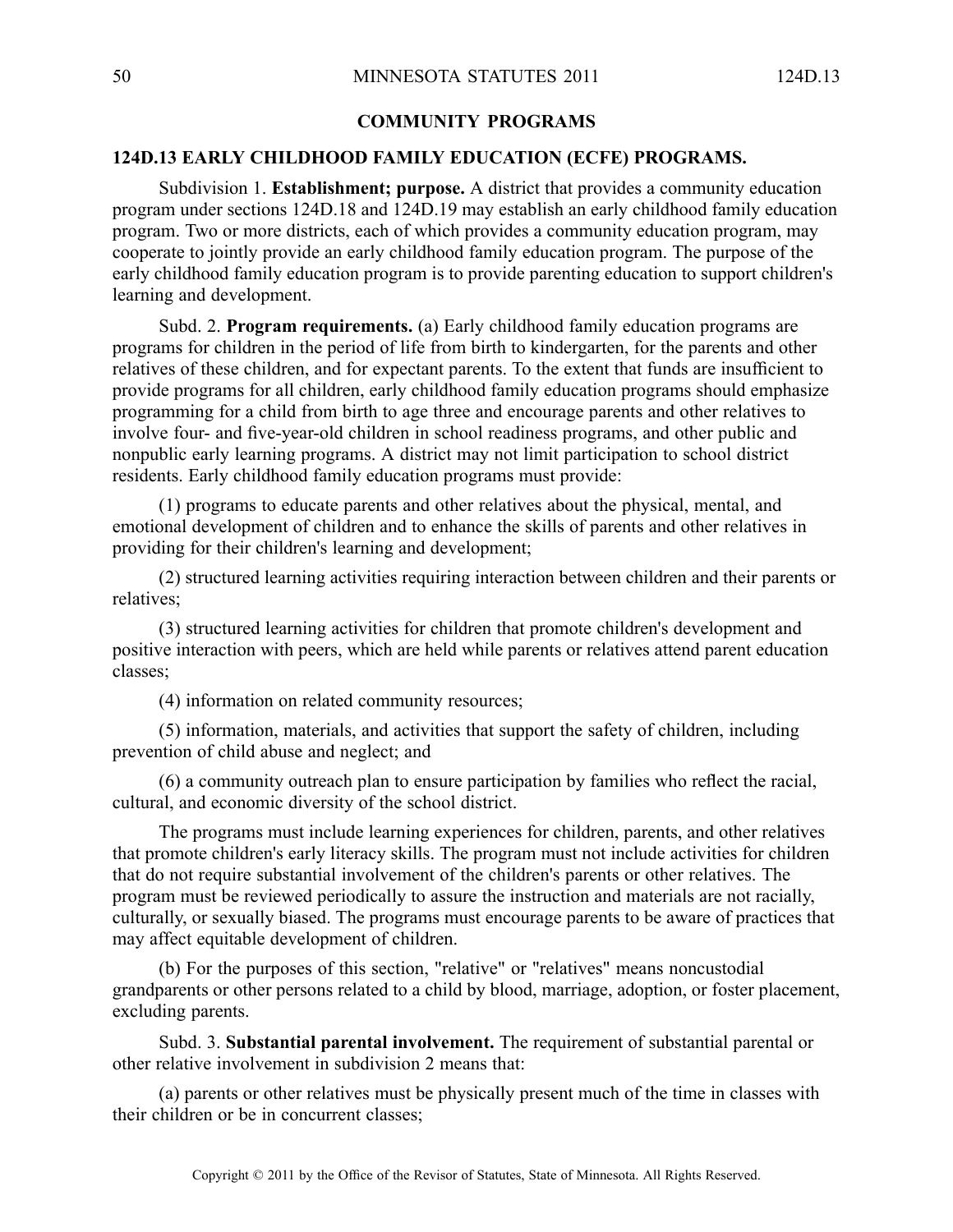### **COMMUNITY PROGRAMS**

#### **124D.13 EARLY CHILDHOOD FAMILY EDUCATION (ECFE) PROGRAMS.**

Subdivision 1. **Establishment; purpose.** A district that provides a community education program under sections 124D.18 and 124D.19 may establish an early childhood family education program. Two or more districts, each of which provides <sup>a</sup> community education program, may cooperate to jointly provide an early childhood family education program. The purpose of the early childhood family education program is to provide parenting education to suppor<sup>t</sup> children's learning and development.

Subd. 2. **Program requirements.** (a) Early childhood family education programs are programs for children in the period of life from birth to kindergarten, for the parents and other relatives of these children, and for expectant parents. To the extent that funds are insufficient to provide programs for all children, early childhood family education programs should emphasize programming for <sup>a</sup> child from birth to age three and encourage parents and other relatives to involve four- and five-year-old children in school readiness programs, and other public and nonpublic early learning programs. Adistrict may not limit participation to school district residents. Early childhood family education programs must provide:

(1) programs to educate parents and other relatives about the physical, mental, and emotional development of children and to enhance the skills of parents and other relatives in providing for their children's learning and development;

(2) structured learning activities requiring interaction between children and their parents or relatives;

(3) structured learning activities for children that promote children's development and positive interaction with peers, which are held while parents or relatives attend paren<sup>t</sup> education classes;

(4) information on related community resources;

(5) information, materials, and activities that suppor<sup>t</sup> the safety of children, including prevention of child abuse and neglect; and

(6) <sup>a</sup> community outreach plan to ensure participation by families who reflect the racial, cultural, and economic diversity of the school district.

The programs must include learning experiences for children, parents, and other relatives that promote children's early literacy skills. The program must not include activities for children that do not require substantial involvement of the children's parents or other relatives. The program must be reviewed periodically to assure the instruction and materials are not racially, culturally, or sexually biased. The programs must encourage parents to be aware of practices that may affect equitable development of children.

(b) For the purposes of this section, "relative" or "relatives" means noncustodial grandparents or other persons related to <sup>a</sup> child by blood, marriage, adoption, or foster placement, excluding parents.

Subd. 3. **Substantial parental involvement.** The requirement of substantial parental or other relative involvement in subdivision 2 means that:

(a) parents or other relatives must be physically presen<sup>t</sup> much of the time in classes with their children or be in concurrent classes;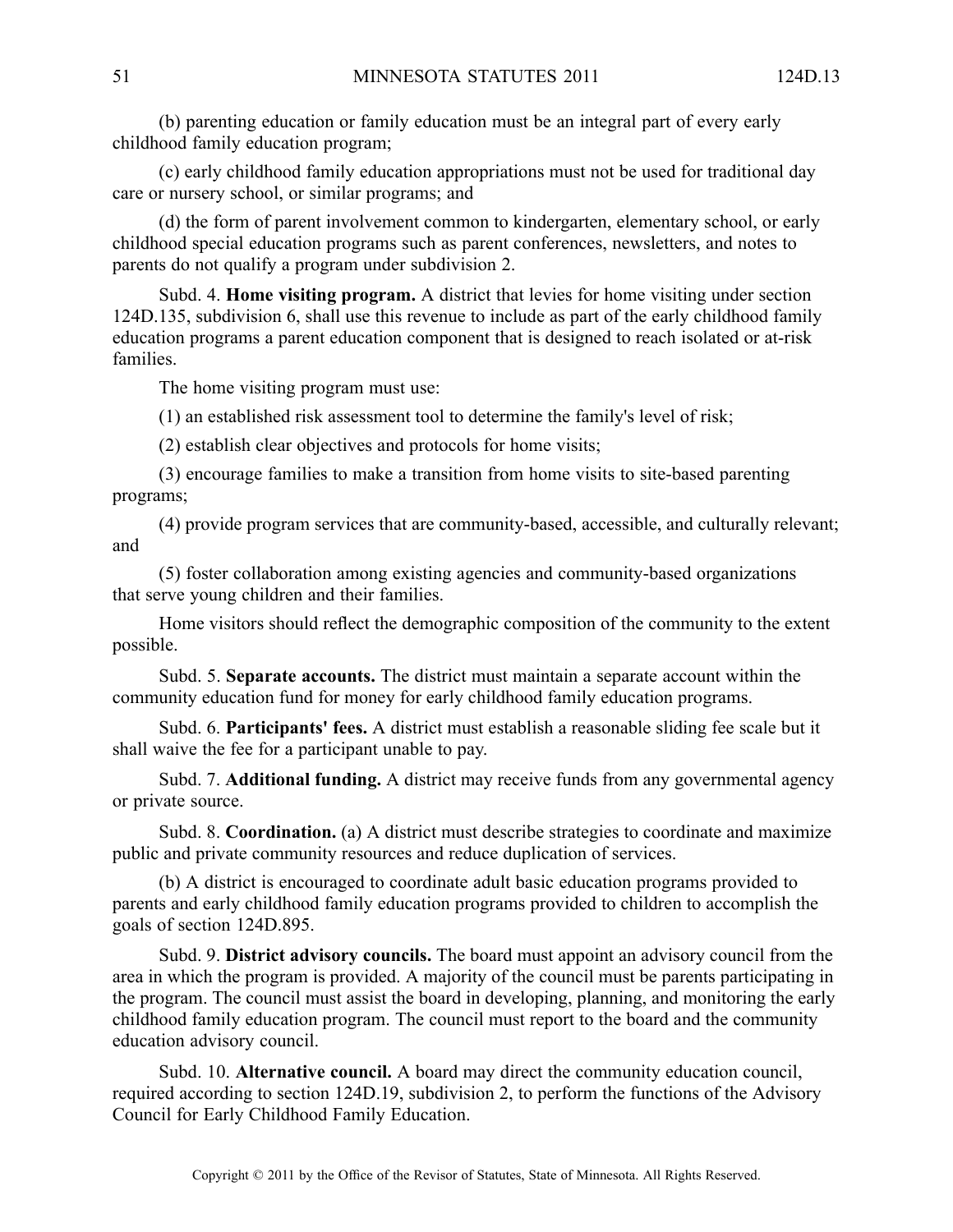(b) parenting education or family education must be an integral par<sup>t</sup> of every early childhood family education program;

(c) early childhood family education appropriations must not be used for traditional day care or nursery school, or similar programs; and

(d) the form of paren<sup>t</sup> involvement common to kindergarten, elementary school, or early childhood special education programs such as paren<sup>t</sup> conferences, newsletters, and notes to parents do not qualify <sup>a</sup> program under subdivision 2.

Subd. 4. **Home visiting program.** A district that levies for home visiting under section 124D.135, subdivision 6, shall use this revenue to include as par<sup>t</sup> of the early childhood family education programs <sup>a</sup> paren<sup>t</sup> education componen<sup>t</sup> that is designed to reach isolated or at-risk families.

The home visiting program must use:

(1) an established risk assessment tool to determine the family's level of risk;

(2) establish clear objectives and protocols for home visits;

(3) encourage families to make <sup>a</sup> transition from home visits to site-based parenting programs;

(4) provide program services that are community-based, accessible, and culturally relevant; and

(5) foster collaboration among existing agencies and community-based organizations that serve young children and their families.

Home visitors should reflect the demographic composition of the community to the extent possible.

Subd. 5. **Separate accounts.** The district must maintain <sup>a</sup> separate account within the community education fund for money for early childhood family education programs.

Subd. 6. **Participants' fees.** A district must establish <sup>a</sup> reasonable sliding fee scale but it shall waive the fee for <sup>a</sup> participant unable to pay.

Subd. 7. **Additional funding.** A district may receive funds from any governmental agency or private source.

Subd. 8. **Coordination.** (a) A district must describe strategies to coordinate and maximize public and private community resources and reduce duplication of services.

(b) A district is encouraged to coordinate adult basic education programs provided to parents and early childhood family education programs provided to children to accomplish the goals of section 124D.895.

Subd. 9. **District advisory councils.** The board must appoint an advisory council from the area in which the program is provided. Amajority of the council must be parents participating in the program. The council must assist the board in developing, planning, and monitoring the early childhood family education program. The council must repor<sup>t</sup> to the board and the community education advisory council.

Subd. 10. **Alternative council.** A board may direct the community education council, required according to section 124D.19, subdivision 2, to perform the functions of the Advisory Council for Early Childhood Family Education.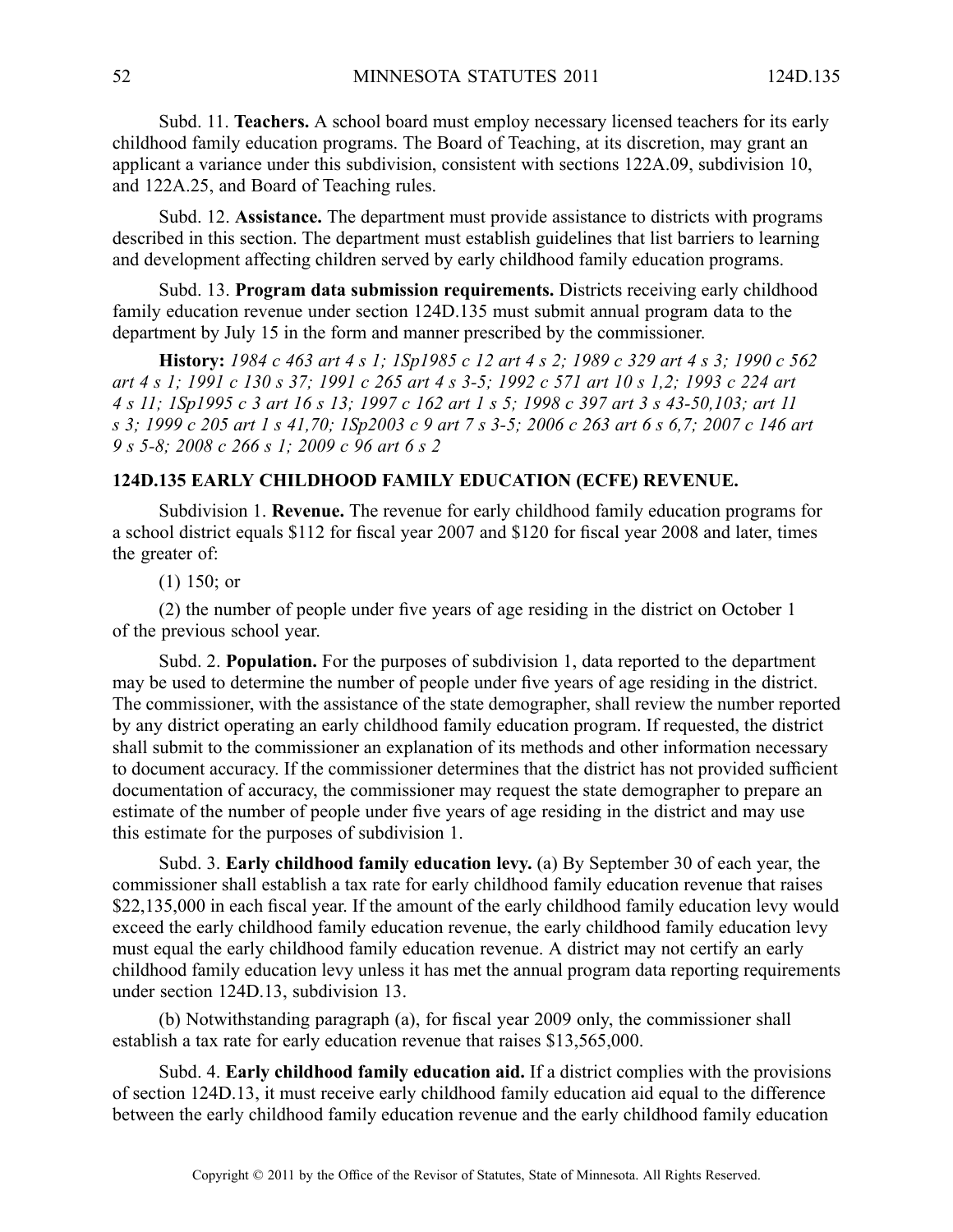Subd. 11. **Teachers.** A school board must employ necessary licensed teachers for its early childhood family education programs. The Board of Teaching, at its discretion, may gran<sup>t</sup> an applicant <sup>a</sup> variance under this subdivision, consistent with sections 122A.09, subdivision 10, and 122A.25, and Board of Teaching rules.

Subd. 12. **Assistance.** The department must provide assistance to districts with programs described in this section. The department must establish guidelines that list barriers to learning and development affecting children served by early childhood family education programs.

Subd. 13. **Program data submission requirements.** Districts receiving early childhood family education revenue under section 124D.135 must submit annual program data to the department by July 15 in the form and manner prescribed by the commissioner.

History: 1984 c 463 art 4 s 1; 1Sp1985 c 12 art 4 s 2; 1989 c 329 art 4 s 3; 1990 c 562 art 4 s 1; 1991 c 130 s 37; 1991 c 265 art 4 s 3-5; 1992 c 571 art 10 s 1,2; 1993 c 224 art 4 s 11; 1Sp1995 c 3 art 16 s 13; 1997 c 162 art 1 s 5; 1998 c 397 art 3 s 43-50, 103; art 11 s 3; 1999 c 205 art 1 s 41,70; 1Sp2003 c 9 art 7 s 3-5; 2006 c 263 art 6 s 6,7; 2007 c 146 art *9 <sup>s</sup> 5-8; 2008 <sup>c</sup> 266 <sup>s</sup> 1; 2009 <sup>c</sup> 96 art 6 <sup>s</sup> 2*

### **124D.135 EARLY CHILDHOOD FAMILY EDUCATION (ECFE) REVENUE.**

Subdivision 1. **Revenue.** The revenue for early childhood family education programs for <sup>a</sup> school district equals \$112 for fiscal year 2007 and \$120 for fiscal year 2008 and later, times the greater of:

(1) 150; or

(2) the number of people under five years of age residing in the district on October 1 of the previous school year.

Subd. 2. **Population.** For the purposes of subdivision 1, data reported to the department may be used to determine the number of people under five years of age residing in the district. The commissioner, with the assistance of the state demographer, shall review the number reported by any district operating an early childhood family education program. If requested, the district shall submit to the commissioner an explanation of its methods and other information necessary to document accuracy. If the commissioner determines that the district has not provided sufficient documentation of accuracy, the commissioner may reques<sup>t</sup> the state demographer to prepare an estimate of the number of people under five years of age residing in the district and may use this estimate for the purposes of subdivision 1.

Subd. 3. **Early childhood family education levy.** (a) By September 30 of each year, the commissioner shall establish <sup>a</sup> tax rate for early childhood family education revenue that raises \$22,135,000 in each fiscal year. If the amount of the early childhood family education levy would exceed the early childhood family education revenue, the early childhood family education levy must equal the early childhood family education revenue. A district may not certify an early childhood family education levy unless it has met the annual program data reporting requirements under section 124D.13, subdivision 13.

(b) Notwithstanding paragraph (a), for fiscal year 2009 only, the commissioner shall establish <sup>a</sup> tax rate for early education revenue that raises \$13,565,000.

Subd. 4. **Early childhood family education aid.** If <sup>a</sup> district complies with the provisions of section 124D.13, it must receive early childhood family education aid equal to the difference between the early childhood family education revenue and the early childhood family education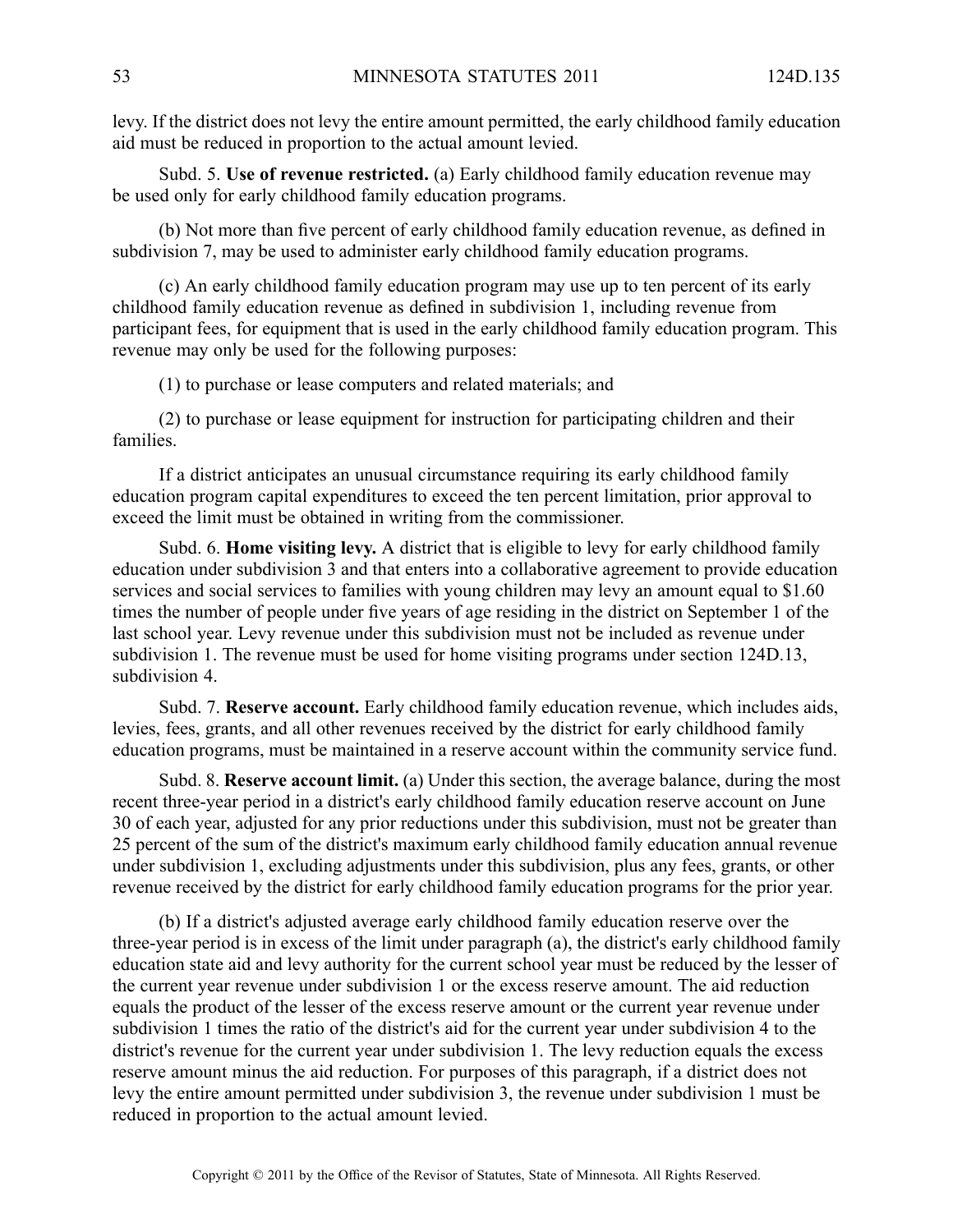levy. If the district does not levy the entire amount permitted, the early childhood family education aid must be reduced in proportion to the actual amount levied.

Subd. 5. **Use of revenue restricted.** (a) Early childhood family education revenue may be used only for early childhood family education programs.

(b) Not more than five percen<sup>t</sup> of early childhood family education revenue, as defined in subdivision 7, may be used to administer early childhood family education programs.

(c) An early childhood family education program may use up to ten percen<sup>t</sup> of its early childhood family education revenue as defined in subdivision 1, including revenue from participant fees, for equipment that is used in the early childhood family education program. This revenue may only be used for the following purposes:

(1) to purchase or lease computers and related materials; and

(2) to purchase or lease equipment for instruction for participating children and their families.

If <sup>a</sup> district anticipates an unusual circumstance requiring its early childhood family education program capital expenditures to exceed the ten percen<sup>t</sup> limitation, prior approval to exceed the limit must be obtained in writing from the commissioner.

Subd. 6. **Home visiting levy.** A district that is eligible to levy for early childhood family education under subdivision 3 and that enters into <sup>a</sup> collaborative agreemen<sup>t</sup> to provide education services and social services to families with young children may levy an amount equal to \$1.60 times the number of people under five years of age residing in the district on September 1 of the last school year. Levy revenue under this subdivision must not be included as revenue under subdivision 1. The revenue must be used for home visiting programs under section 124D.13, subdivision 4.

Subd. 7. **Reserve account.** Early childhood family education revenue, which includes aids, levies, fees, grants, and all other revenues received by the district for early childhood family education programs, must be maintained in <sup>a</sup> reserve account within the community service fund.

Subd. 8. **Reserve account limit.** (a) Under this section, the average balance, during the most recent three-year period in <sup>a</sup> district's early childhood family education reserve account on June 30 of each year, adjusted for any prior reductions under this subdivision, must not be greater than 25 percen<sup>t</sup> of the sum of the district's maximum early childhood family education annual revenue under subdivision 1, excluding adjustments under this subdivision, plus any fees, grants, or other revenue received by the district for early childhood family education programs for the prior year.

(b) If <sup>a</sup> district's adjusted average early childhood family education reserve over the three-year period is in excess of the limit under paragraph (a), the district's early childhood family education state aid and levy authority for the current school year must be reduced by the lesser of the current year revenue under subdivision 1 or the excess reserve amount. The aid reduction equals the product of the lesser of the excess reserve amount or the current year revenue under subdivision 1 times the ratio of the district's aid for the current year under subdivision 4 to the district's revenue for the current year under subdivision 1. The levy reduction equals the excess reserve amount minus the aid reduction. For purposes of this paragraph, if <sup>a</sup> district does not levy the entire amount permitted under subdivision 3, the revenue under subdivision 1 must be reduced in proportion to the actual amount levied.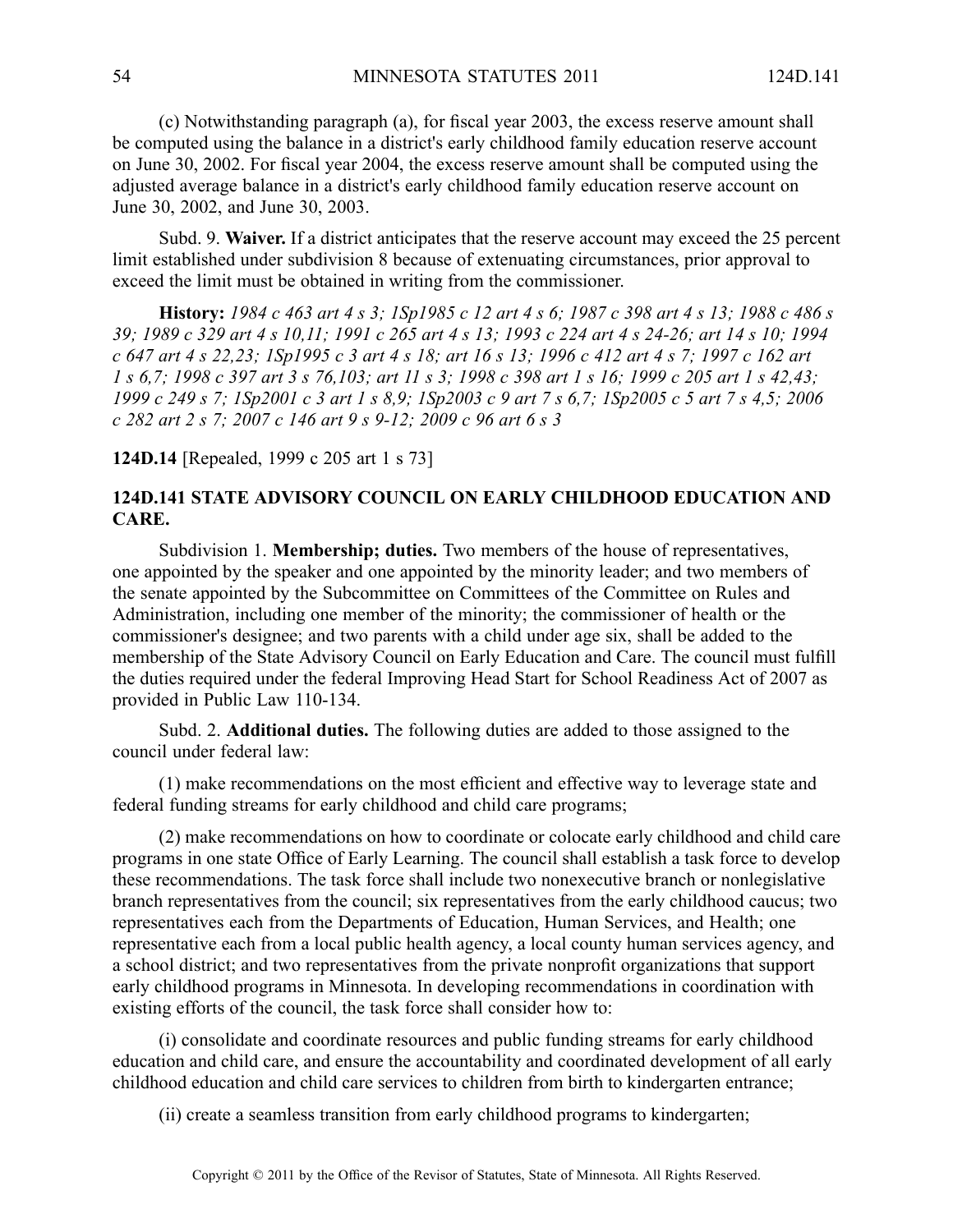(c) Notwithstanding paragraph (a), for fiscal year 2003, the excess reserve amount shall be computed using the balance in <sup>a</sup> district's early childhood family education reserve account on June 30, 2002. For fiscal year 2004, the excess reserve amount shall be computed using the adjusted average balance in <sup>a</sup> district's early childhood family education reserve account on June 30, 2002, and June 30, 2003.

Subd. 9. **Waiver.** If <sup>a</sup> district anticipates that the reserve account may exceed the 25 percen<sup>t</sup> limit established under subdivision 8 because of extenuating circumstances, prior approval to exceed the limit must be obtained in writing from the commissioner.

History: 1984 c 463 art 4 s 3; 1Sp1985 c 12 art 4 s 6; 1987 c 398 art 4 s 13; 1988 c 486 s 39; 1989 c 329 art 4 s 10,11; 1991 c 265 art 4 s 13; 1993 c 224 art 4 s 24-26; art 14 s 10; 1994 c 647 art 4 s 22,23; 1Sp1995 c 3 art 4 s 18; art 16 s 13; 1996 c 412 art 4 s 7; 1997 c 162 art 1 s 6,7; 1998 c 397 art 3 s 76,103; art 11 s 3; 1998 c 398 art 1 s 16; 1999 c 205 art 1 s 42,43; 1999 c 249 s 7; 1Sp2001 c 3 art 1 s 8,9; 1Sp2003 c 9 art 7 s 6,7; 1Sp2005 c 5 art 7 s 4,5; 2006 *<sup>c</sup> 282 art 2 <sup>s</sup> 7; 2007 <sup>c</sup> 146 art 9 <sup>s</sup> 9-12; 2009 <sup>c</sup> 96 art 6 <sup>s</sup> 3*

**124D.14** [Repealed, 1999 <sup>c</sup> 205 art 1 <sup>s</sup> 73]

# **124D.141 STATE ADVISORY COUNCIL ON EARLY CHILDHOOD EDUCATION AND CARE.**

Subdivision 1. **Membership; duties.** Two members of the house of representatives, one appointed by the speaker and one appointed by the minority leader; and two members of the senate appointed by the Subcommittee on Committees of the Committee on Rules and Administration, including one member of the minority; the commissioner of health or the commissioner's designee; and two parents with <sup>a</sup> child under age six, shall be added to the membership of the State Advisory Council on Early Education and Care. The council must fulfill the duties required under the federal Improving Head Start for School Readiness Act of 2007 as provided in Public Law 110-134.

Subd. 2. **Additional duties.** The following duties are added to those assigned to the council under federal law:

(1) make recommendations on the most efficient and effective way to leverage state and federal funding streams for early childhood and child care programs;

(2) make recommendations on how to coordinate or colocate early childhood and child care programs in one state Office of Early Learning. The council shall establish <sup>a</sup> task force to develop these recommendations. The task force shall include two nonexecutive branch or nonlegislative branch representatives from the council; six representatives from the early childhood caucus; two representatives each from the Departments of Education, Human Services, and Health; one representative each from <sup>a</sup> local public health agency, <sup>a</sup> local county human services agency, and <sup>a</sup> school district; and two representatives from the private nonprofit organizations that suppor<sup>t</sup> early childhood programs in Minnesota. In developing recommendations in coordination with existing efforts of the council, the task force shall consider how to:

(i) consolidate and coordinate resources and public funding streams for early childhood education and child care, and ensure the accountability and coordinated development of all early childhood education and child care services to children from birth to kindergarten entrance;

(ii) create <sup>a</sup> seamless transition from early childhood programs to kindergarten;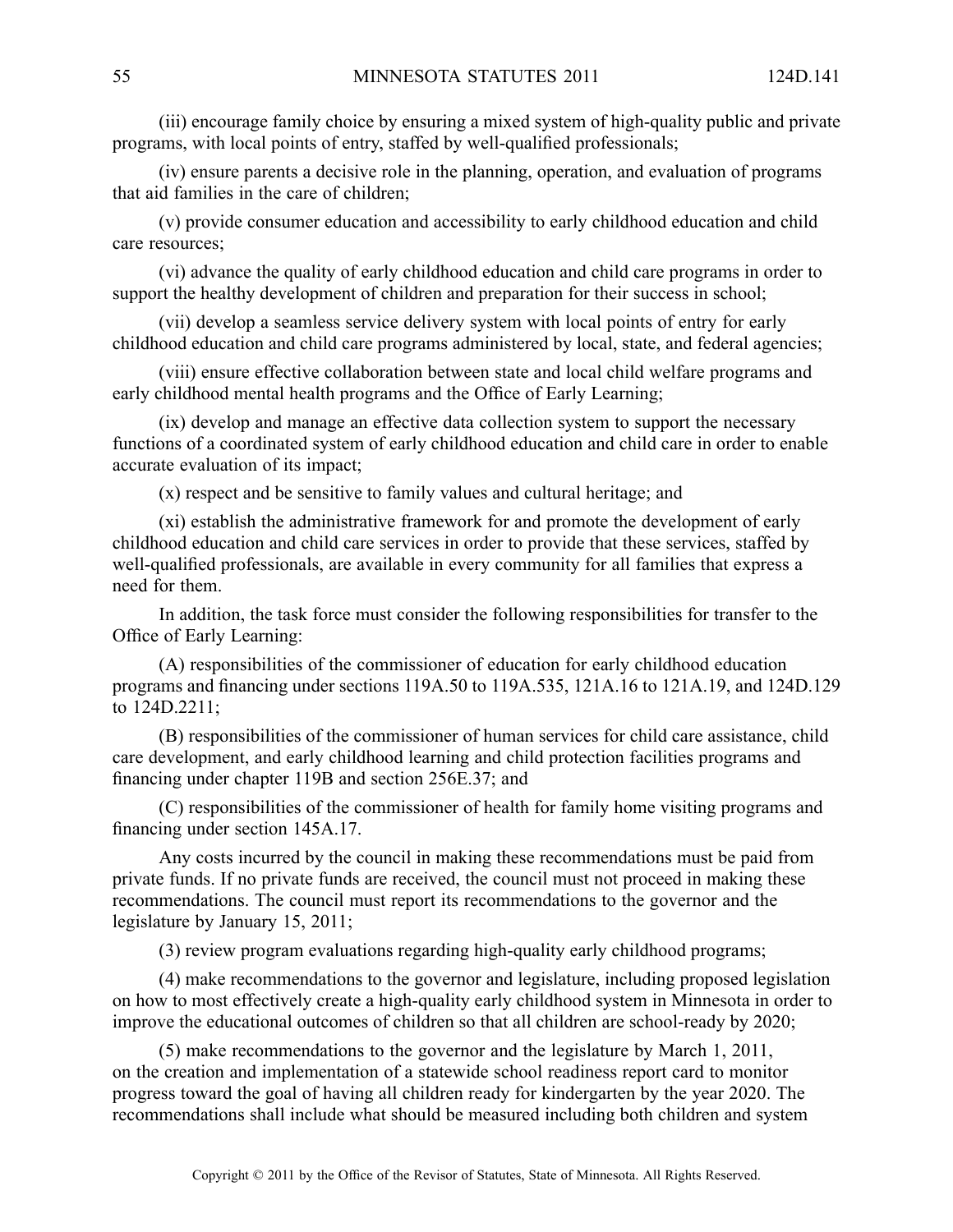(iii) encourage family choice by ensuring <sup>a</sup> mixed system of high-quality public and private programs, with local points of entry, staffed by well-qualified professionals;

(iv) ensure parents <sup>a</sup> decisive role in the planning, operation, and evaluation of programs that aid families in the care of children;

(v) provide consumer education and accessibility to early childhood education and child care resources;

(vi) advance the quality of early childhood education and child care programs in order to support the healthy development of children and preparation for their success in school;

(vii) develop <sup>a</sup> seamless service delivery system with local points of entry for early childhood education and child care programs administered by local, state, and federal agencies;

(viii) ensure effective collaboration between state and local child welfare programs and early childhood mental health programs and the Office of Early Learning;

(ix) develop and manage an effective data collection system to suppor<sup>t</sup> the necessary functions of <sup>a</sup> coordinated system of early childhood education and child care in order to enable accurate evaluation of its impact;

(x) respec<sup>t</sup> and be sensitive to family values and cultural heritage; and

(xi) establish the administrative framework for and promote the development of early childhood education and child care services in order to provide that these services, staffed by well-qualified professionals, are available in every community for all families that express <sup>a</sup> need for them.

In addition, the task force must consider the following responsibilities for transfer to the Office of Early Learning:

(A) responsibilities of the commissioner of education for early childhood education programs and financing under sections 119A.50 to 119A.535, 121A.16 to 121A.19, and 124D.129 to 124D.2211;

(B) responsibilities of the commissioner of human services for child care assistance, child care development, and early childhood learning and child protection facilities programs and financing under chapter 119B and section 256E.37; and

(C) responsibilities of the commissioner of health for family home visiting programs and financing under section 145A.17.

Any costs incurred by the council in making these recommendations must be paid from private funds. If no private funds are received, the council must not proceed in making these recommendations. The council must repor<sup>t</sup> its recommendations to the governor and the legislature by January 15, 2011;

(3) review program evaluations regarding high-quality early childhood programs;

(4) make recommendations to the governor and legislature, including proposed legislation on how to most effectively create <sup>a</sup> high-quality early childhood system in Minnesota in order to improve the educational outcomes of children so that all children are school-ready by 2020;

(5) make recommendations to the governor and the legislature by March 1, 2011, on the creation and implementation of <sup>a</sup> statewide school readiness repor<sup>t</sup> card to monitor progress toward the goal of having all children ready for kindergarten by the year 2020. The recommendations shall include what should be measured including both children and system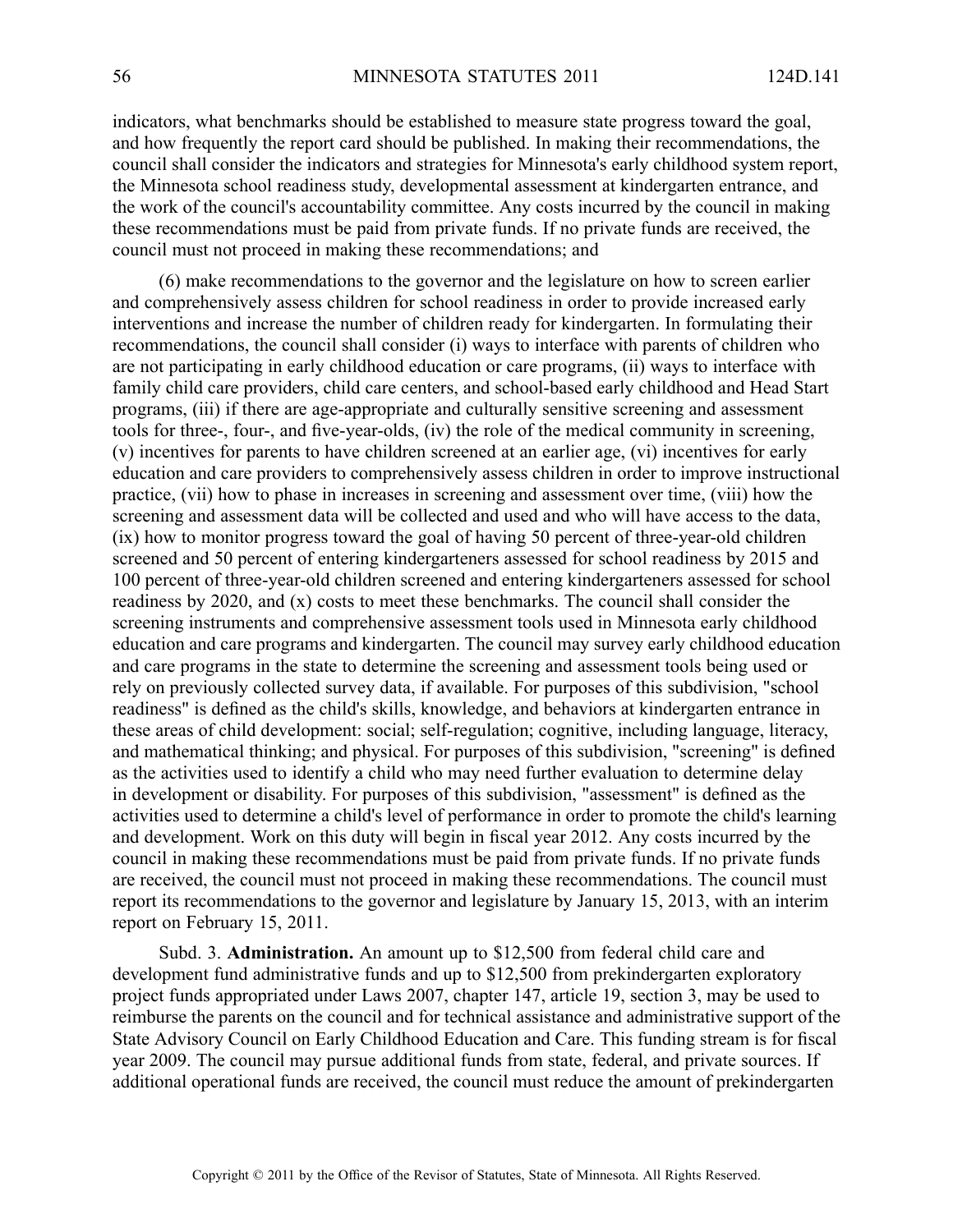indicators, what benchmarks should be established to measure state progress toward the goal, and how frequently the repor<sup>t</sup> card should be published. In making their recommendations, the council shall consider the indicators and strategies for Minnesota's early childhood system report, the Minnesota school readiness study, developmental assessment at kindergarten entrance, and the work of the council's accountability committee. Any costs incurred by the council in making these recommendations must be paid from private funds. If no private funds are received, the council must not proceed in making these recommendations; and

(6) make recommendations to the governor and the legislature on how to screen earlier and comprehensively assess children for school readiness in order to provide increased early interventions and increase the number of children ready for kindergarten. In formulating their recommendations, the council shall consider (i) ways to interface with parents of children who are not participating in early childhood education or care programs, (ii) ways to interface with family child care providers, child care centers, and school-based early childhood and Head Start programs, (iii) if there are age-appropriate and culturally sensitive screening and assessment tools for three-, four-, and five-year-olds, (iv) the role of the medical community in screening, (v) incentives for parents to have children screened at an earlier age, (vi) incentives for early education and care providers to comprehensively assess children in order to improve instructional practice, (vii) how to phase in increases in screening and assessment over time, (viii) how the screening and assessment data will be collected and used and who will have access to the data, (ix) how to monitor progress toward the goal of having 50 percen<sup>t</sup> of three-year-old children screened and 50 percen<sup>t</sup> of entering kindergarteners assessed for school readiness by 2015 and 100 percen<sup>t</sup> of three-year-old children screened and entering kindergarteners assessed for school readiness by 2020, and (x) costs to meet these benchmarks. The council shall consider the screening instruments and comprehensive assessment tools used in Minnesota early childhood education and care programs and kindergarten. The council may survey early childhood education and care programs in the state to determine the screening and assessment tools being used or rely on previously collected survey data, if available. For purposes of this subdivision, "school readiness" is defined as the child's skills, knowledge, and behaviors at kindergarten entrance in these areas of child development: social; self-regulation; cognitive, including language, literacy, and mathematical thinking; and physical. For purposes of this subdivision, "screening" is defined as the activities used to identify <sup>a</sup> child who may need further evaluation to determine delay in development or disability. For purposes of this subdivision, "assessment" is defined as the activities used to determine <sup>a</sup> child's level of performance in order to promote the child's learning and development. Work on this duty will begin in fiscal year 2012. Any costs incurred by the council in making these recommendations must be paid from private funds. If no private funds are received, the council must not proceed in making these recommendations. The council must repor<sup>t</sup> its recommendations to the governor and legislature by January 15, 2013, with an interim repor<sup>t</sup> on February 15, 2011.

Subd. 3. **Administration.** An amount up to \$12,500 from federal child care and development fund administrative funds and up to \$12,500 from prekindergarten exploratory project funds appropriated under Laws 2007, chapter 147, article 19, section 3, may be used to reimburse the parents on the council and for technical assistance and administrative suppor<sup>t</sup> of the State Advisory Council on Early Childhood Education and Care. This funding stream is for fiscal year 2009. The council may pursue additional funds from state, federal, and private sources. If additional operational funds are received, the council must reduce the amount of prekindergarten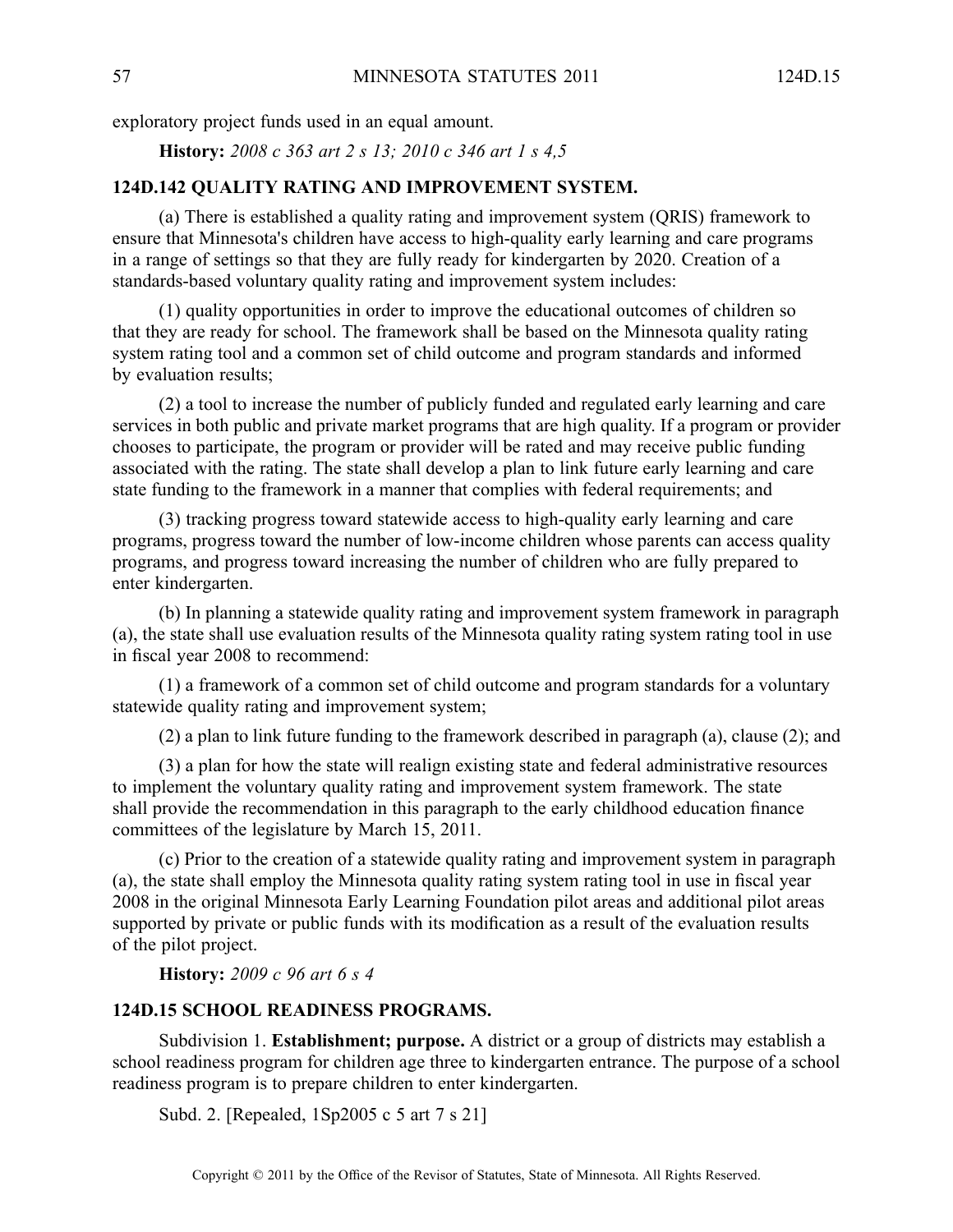exploratory project funds used in an equal amount.

**History:** *2008 <sup>c</sup> 363 art 2 <sup>s</sup> 13; 2010 <sup>c</sup> 346 art 1 <sup>s</sup> 4,5*

### **124D.142 QUALITY RATING AND IMPROVEMENT SYSTEM.**

(a) There is established <sup>a</sup> quality rating and improvement system (QRIS) framework to ensure that Minnesota's children have access to high-quality early learning and care programs in <sup>a</sup> range of settings so that they are fully ready for kindergarten by 2020. Creation of <sup>a</sup> standards-based voluntary quality rating and improvement system includes:

(1) quality opportunities in order to improve the educational outcomes of children so that they are ready for school. The framework shall be based on the Minnesota quality rating system rating tool and <sup>a</sup> common set of child outcome and program standards and informed by evaluation results;

(2) <sup>a</sup> tool to increase the number of publicly funded and regulated early learning and care services in both public and private market programs that are high quality. If <sup>a</sup> program or provider chooses to participate, the program or provider will be rated and may receive public funding associated with the rating. The state shall develop <sup>a</sup> plan to link future early learning and care state funding to the framework in <sup>a</sup> manner that complies with federal requirements; and

(3) tracking progress toward statewide access to high-quality early learning and care programs, progress toward the number of low-income children whose parents can access quality programs, and progress toward increasing the number of children who are fully prepared to enter kindergarten.

(b) In planning <sup>a</sup> statewide quality rating and improvement system framework in paragraph (a), the state shall use evaluation results of the Minnesota quality rating system rating tool in use in fiscal year 2008 to recommend:

(1) <sup>a</sup> framework of <sup>a</sup> common set of child outcome and program standards for <sup>a</sup> voluntary statewide quality rating and improvement system;

(2) <sup>a</sup> plan to link future funding to the framework described in paragraph (a), clause (2); and

(3) <sup>a</sup> plan for how the state will realign existing state and federal administrative resources to implement the voluntary quality rating and improvement system framework. The state shall provide the recommendation in this paragraph to the early childhood education finance committees of the legislature by March 15, 2011.

(c) Prior to the creation of <sup>a</sup> statewide quality rating and improvement system in paragraph (a), the state shall employ the Minnesota quality rating system rating tool in use in fiscal year 2008 in the original Minnesota Early Learning Foundation pilot areas and additional pilot areas supported by private or public funds with its modification as <sup>a</sup> result of the evaluation results of the pilot project.

**History:** *2009 <sup>c</sup> 96 art 6 <sup>s</sup> 4*

### **124D.15 SCHOOL READINESS PROGRAMS.**

Subdivision 1. **Establishment; purpose.** A district or a group of districts may establish a school readiness program for children age three to kindergarten entrance. The purpose of <sup>a</sup> school readiness program is to prepare children to enter kindergarten.

Subd. 2. [Repealed, 1Sp2005 <sup>c</sup> 5 art 7 <sup>s</sup> 21]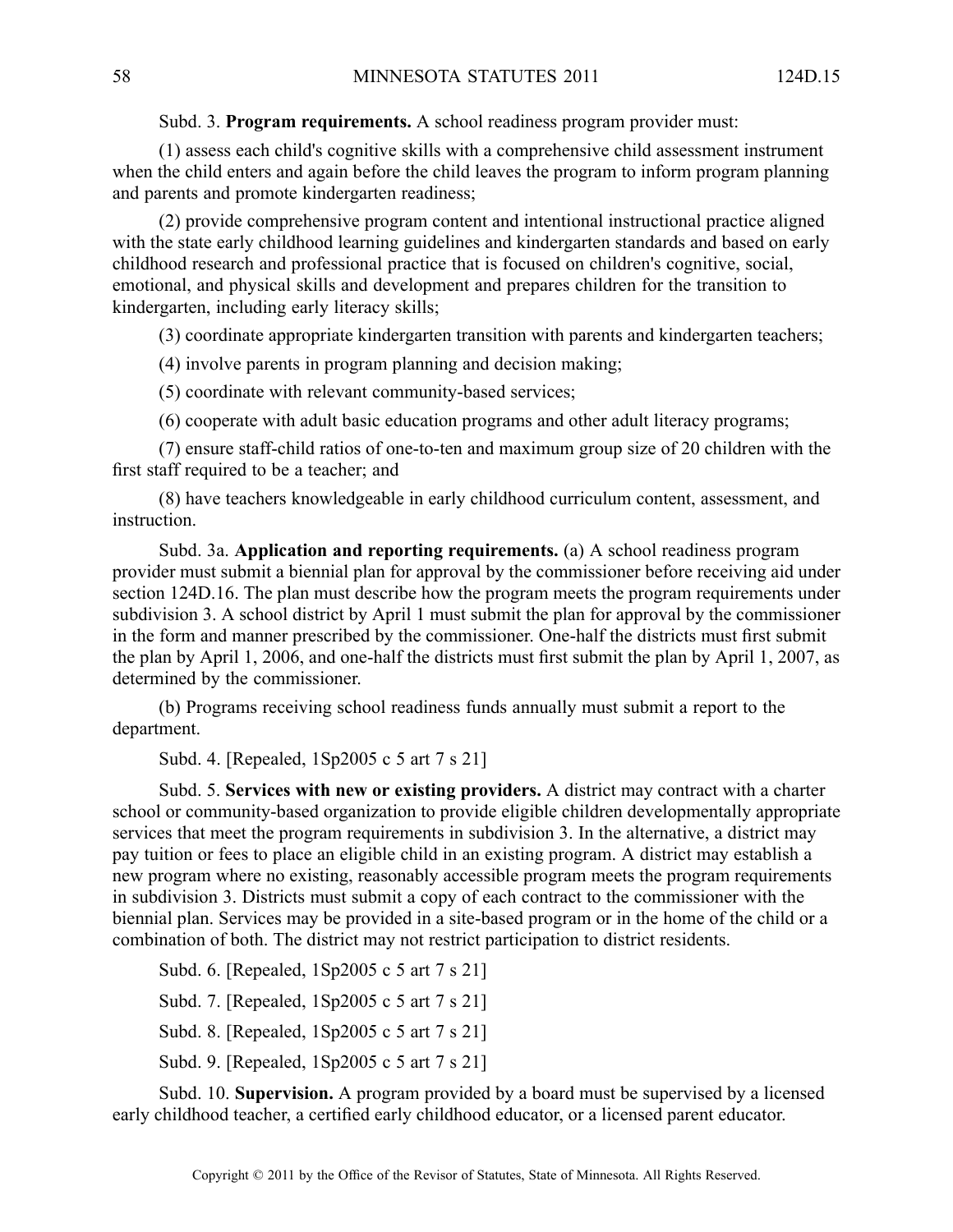Subd. 3. **Program requirements.** Aschool readiness program provider must:

(1) assess each child's cognitive skills with <sup>a</sup> comprehensive child assessment instrument when the child enters and again before the child leaves the program to inform program planning and parents and promote kindergarten readiness;

(2) provide comprehensive program content and intentional instructional practice aligned with the state early childhood learning guidelines and kindergarten standards and based on early childhood research and professional practice that is focused on children's cognitive, social, emotional, and physical skills and development and prepares children for the transition to kindergarten, including early literacy skills;

(3) coordinate appropriate kindergarten transition with parents and kindergarten teachers;

(4) involve parents in program planning and decision making;

(5) coordinate with relevant community-based services;

(6) cooperate with adult basic education programs and other adult literacy programs;

(7) ensure staff-child ratios of one-to-ten and maximum group size of 20 children with the first staff required to be <sup>a</sup> teacher; and

(8) have teachers knowledgeable in early childhood curriculum content, assessment, and instruction.

Subd. 3a. **Application and reporting requirements.** (a) A school readiness program provider must submit <sup>a</sup> biennial plan for approval by the commissioner before receiving aid under section 124D.16. The plan must describe how the program meets the program requirements under subdivision 3. A school district by April 1 must submit the plan for approval by the commissioner in the form and manner prescribed by the commissioner. One-half the districts must first submit the plan by April 1, 2006, and one-half the districts must first submit the plan by April 1, 2007, as determined by the commissioner.

(b) Programs receiving school readiness funds annually must submit <sup>a</sup> repor<sup>t</sup> to the department.

Subd. 4. [Repealed, 1Sp2005 <sup>c</sup> 5 art 7 <sup>s</sup> 21]

Subd. 5. **Services with new or existing providers.** Adistrict may contract with <sup>a</sup> charter school or community-based organization to provide eligible children developmentally appropriate services that meet the program requirements in subdivision 3. In the alternative, <sup>a</sup> district may pay tuition or fees to place an eligible child in an existing program. A district may establish <sup>a</sup> new program where no existing, reasonably accessible program meets the program requirements in subdivision 3. Districts must submit <sup>a</sup> copy of each contract to the commissioner with the biennial plan. Services may be provided in <sup>a</sup> site-based program or in the home of the child or <sup>a</sup> combination of both. The district may not restrict participation to district residents.

Subd. 6. [Repealed, 1Sp2005 <sup>c</sup> 5 art 7 <sup>s</sup> 21] Subd. 7. [Repealed, 1Sp2005 <sup>c</sup> 5 art 7 <sup>s</sup> 21] Subd. 8. [Repealed, 1Sp2005 <sup>c</sup> 5 art 7 <sup>s</sup> 21] Subd. 9. [Repealed, 1Sp2005 <sup>c</sup> 5 art 7 <sup>s</sup> 21]

Subd. 10. **Supervision.** A program provided by <sup>a</sup> board must be supervised by <sup>a</sup> licensed early childhood teacher, <sup>a</sup> certified early childhood educator, or <sup>a</sup> licensed paren<sup>t</sup> educator.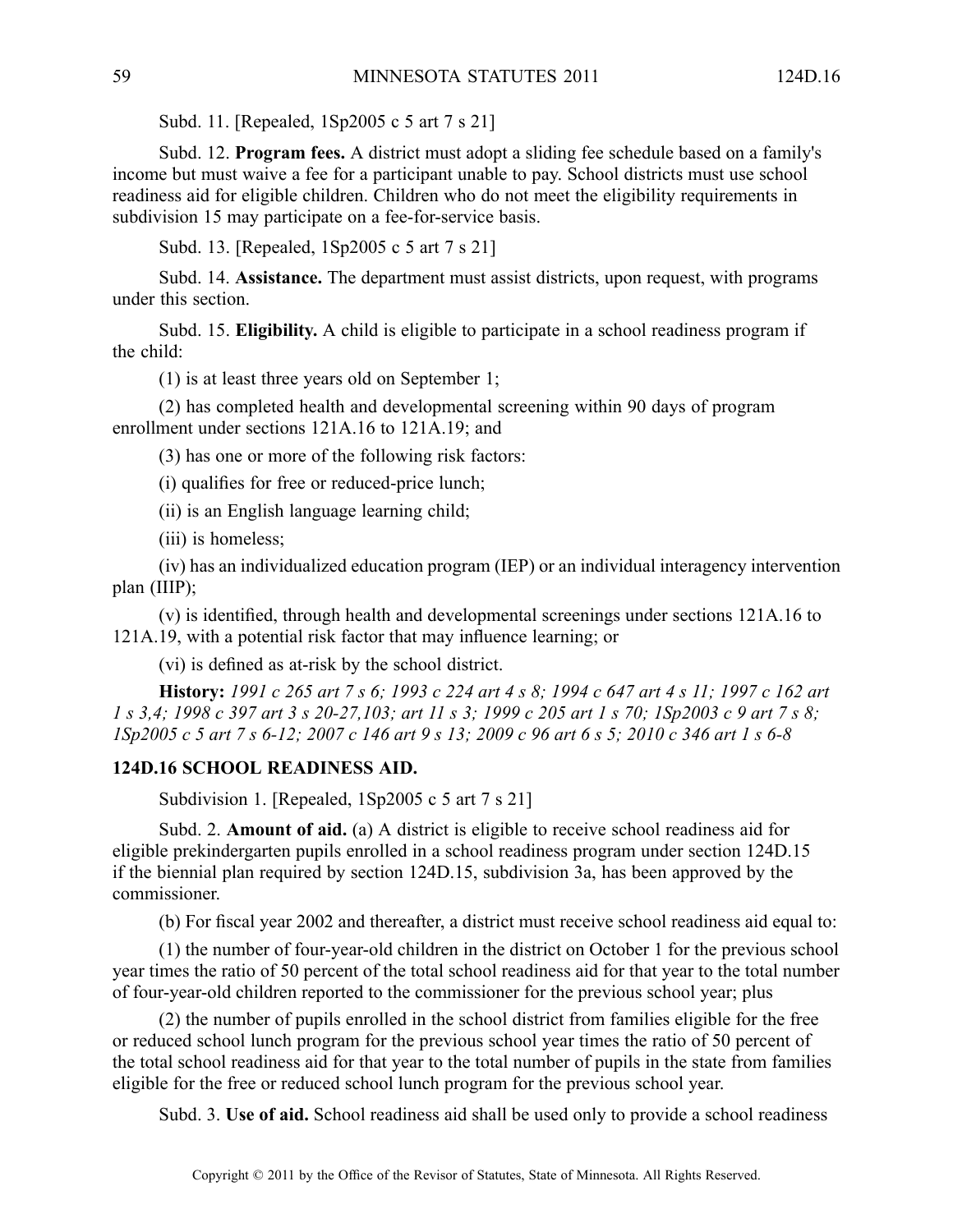Subd. 11. [Repealed, 1Sp2005 <sup>c</sup> 5 art 7 <sup>s</sup> 21]

Subd. 12. **Program fees.** A district must adopt a sliding fee schedule based on a family's income but must waive <sup>a</sup> fee for <sup>a</sup> participant unable to pay. School districts must use school readiness aid for eligible children. Children who do not meet the eligibility requirements in subdivision 15 may participate on <sup>a</sup> fee-for-service basis.

Subd. 13. [Repealed, 1Sp2005 <sup>c</sup> 5 art 7 <sup>s</sup> 21]

Subd. 14. **Assistance.** The department must assist districts, upon request, with programs under this section.

Subd. 15. **Eligibility.** A child is eligible to participate in <sup>a</sup> school readiness program if the child:

(1) is at least three years old on September 1;

(2) has completed health and developmental screening within 90 days of program enrollment under sections 121A.16 to 121A.19; and

(3) has one or more of the following risk factors:

(i) qualifies for free or reduced-price lunch;

(ii) is an English language learning child;

(iii) is homeless;

(iv) has an individualized education program (IEP) or an individual interagency intervention plan (IIIP);

(v) is identified, through health and developmental screenings under sections 121A.16 to 121A.19, with <sup>a</sup> potential risk factor that may influence learning; or

(vi) is defined as at-risk by the school district.

History: 1991 c 265 art 7 s 6; 1993 c 224 art 4 s 8; 1994 c 647 art 4 s 11; 1997 c 162 art 1 s 3,4; 1998 c 397 art 3 s 20-27, 103; art 11 s 3; 1999 c 205 art 1 s 70; 1Sp2003 c 9 art 7 s 8; ISp2005 c 5 art 7 s 6-12; 2007 c 146 art 9 s 13; 2009 c 96 art 6 s 5; 2010 c 346 art 1 s 6-8

#### **124D.16 SCHOOL READINESS AID.**

Subdivision 1. [Repealed, 1Sp2005 c 5 art 7 s 21]

Subd. 2. **Amount of aid.** (a) A district is eligible to receive school readiness aid for eligible prekindergarten pupils enrolled in <sup>a</sup> school readiness program under section 124D.15 if the biennial plan required by section 124D.15, subdivision 3a, has been approved by the commissioner.

(b) For fiscal year 2002 and thereafter, <sup>a</sup> district must receive school readiness aid equal to:

(1) the number of four-year-old children in the district on October 1 for the previous school year times the ratio of 50 percen<sup>t</sup> of the total school readiness aid for that year to the total number of four-year-old children reported to the commissioner for the previous school year; plus

(2) the number of pupils enrolled in the school district from families eligible for the free or reduced school lunch program for the previous school year times the ratio of 50 percen<sup>t</sup> of the total school readiness aid for that year to the total number of pupils in the state from families eligible for the free or reduced school lunch program for the previous school year.

Subd. 3. **Use of aid.** School readiness aid shall be used only to provide <sup>a</sup> school readiness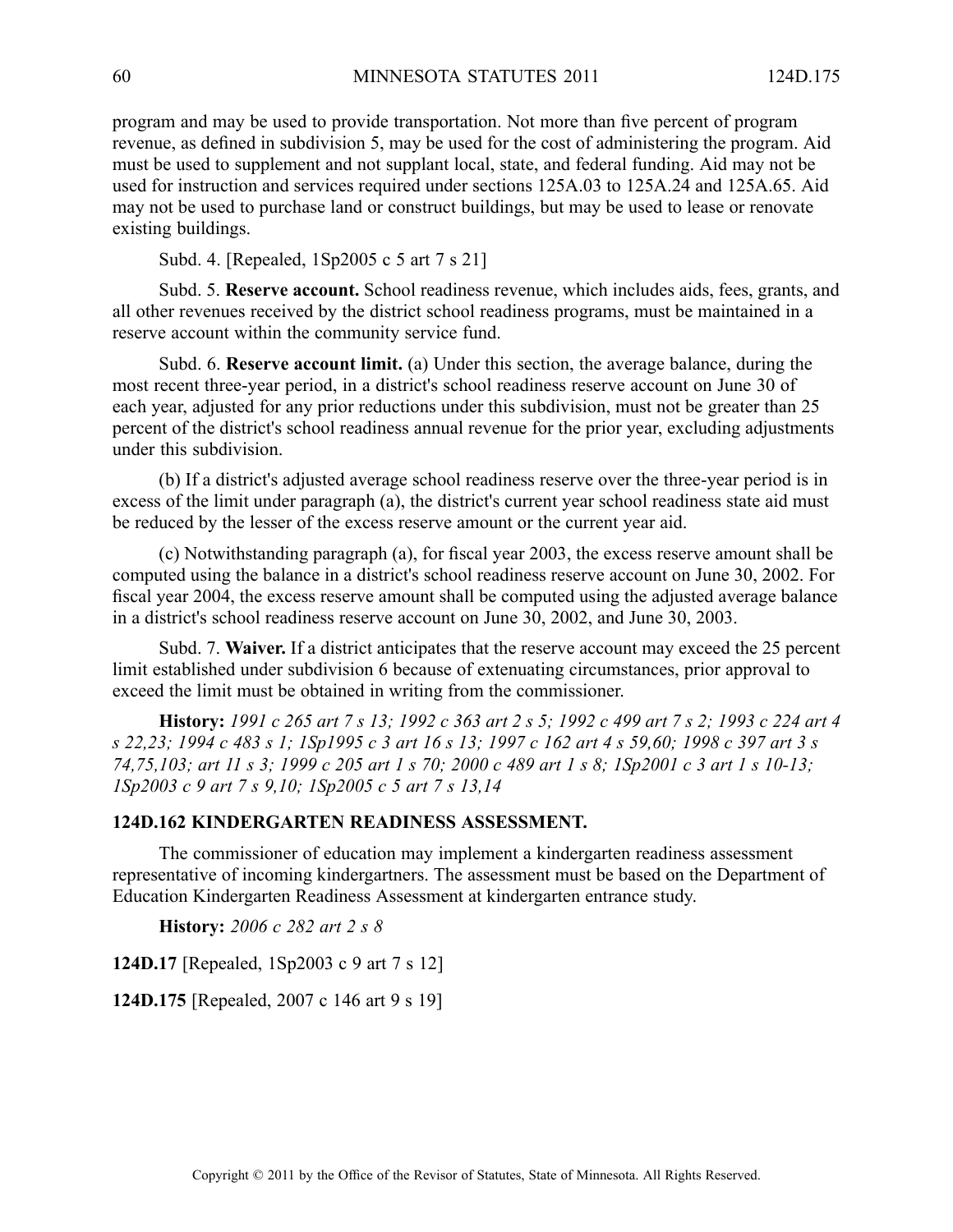program and may be used to provide transportation. Not more than five percen<sup>t</sup> of program revenue, as defined in subdivision 5, may be used for the cost of administering the program. Aid must be used to supplement and not supplant local, state, and federal funding. Aid may not be used for instruction and services required under sections 125A.03 to 125A.24 and 125A.65. Aid may not be used to purchase land or construct buildings, but may be used to lease or renovate existing buildings.

Subd. 4. [Repealed, 1Sp2005 <sup>c</sup> 5 art 7 <sup>s</sup> 21]

Subd. 5. **Reserve account.** School readiness revenue, which includes aids, fees, grants, and all other revenues received by the district school readiness programs, must be maintained in <sup>a</sup> reserve account within the community service fund.

Subd. 6. **Reserve account limit.** (a) Under this section, the average balance, during the most recent three-year period, in <sup>a</sup> district's school readiness reserve account on June 30 of each year, adjusted for any prior reductions under this subdivision, must not be greater than 25 percen<sup>t</sup> of the district's school readiness annual revenue for the prior year, excluding adjustments under this subdivision.

(b) If <sup>a</sup> district's adjusted average school readiness reserve over the three-year period is in excess of the limit under paragraph (a), the district's current year school readiness state aid must be reduced by the lesser of the excess reserve amount or the current year aid.

(c) Notwithstanding paragraph (a), for fiscal year 2003, the excess reserve amount shall be computed using the balance in <sup>a</sup> district's school readiness reserve account on June 30, 2002. For fiscal year 2004, the excess reserve amount shall be computed using the adjusted average balance in <sup>a</sup> district's school readiness reserve account on June 30, 2002, and June 30, 2003.

Subd. 7. **Waiver.** If <sup>a</sup> district anticipates that the reserve account may exceed the 25 percen<sup>t</sup> limit established under subdivision 6 because of extenuating circumstances, prior approval to exceed the limit must be obtained in writing from the commissioner.

History: 1991 c 265 art 7 s 13; 1992 c 363 art 2 s 5; 1992 c 499 art 7 s 2; 1993 c 224 art 4 s 22,23; 1994 c 483 s 1; 1Sp1995 c 3 art 16 s 13; 1997 c 162 art 4 s 59,60; 1998 c 397 art 3 s 74,75,103; art 11 s 3; 1999 c 205 art 1 s 70; 2000 c 489 art 1 s 8; 1Sp2001 c 3 art 1 s 10-13; *1Sp2003 <sup>c</sup> 9 art 7 <sup>s</sup> 9,10; 1Sp2005 <sup>c</sup> 5 art 7 <sup>s</sup> 13,14*

### **124D.162 KINDERGARTEN READINESS ASSESSMENT.**

The commissioner of education may implement <sup>a</sup> kindergarten readiness assessment representative of incoming kindergartners. The assessment must be based on the Department of Education Kindergarten Readiness Assessment at kindergarten entrance study.

**History:** *2006 <sup>c</sup> 282 art 2 <sup>s</sup> 8*

**124D.17** [Repealed, 1Sp2003 <sup>c</sup> 9 art 7 <sup>s</sup> 12]

**124D.175** [Repealed, 2007 <sup>c</sup> 146 art 9 <sup>s</sup> 19]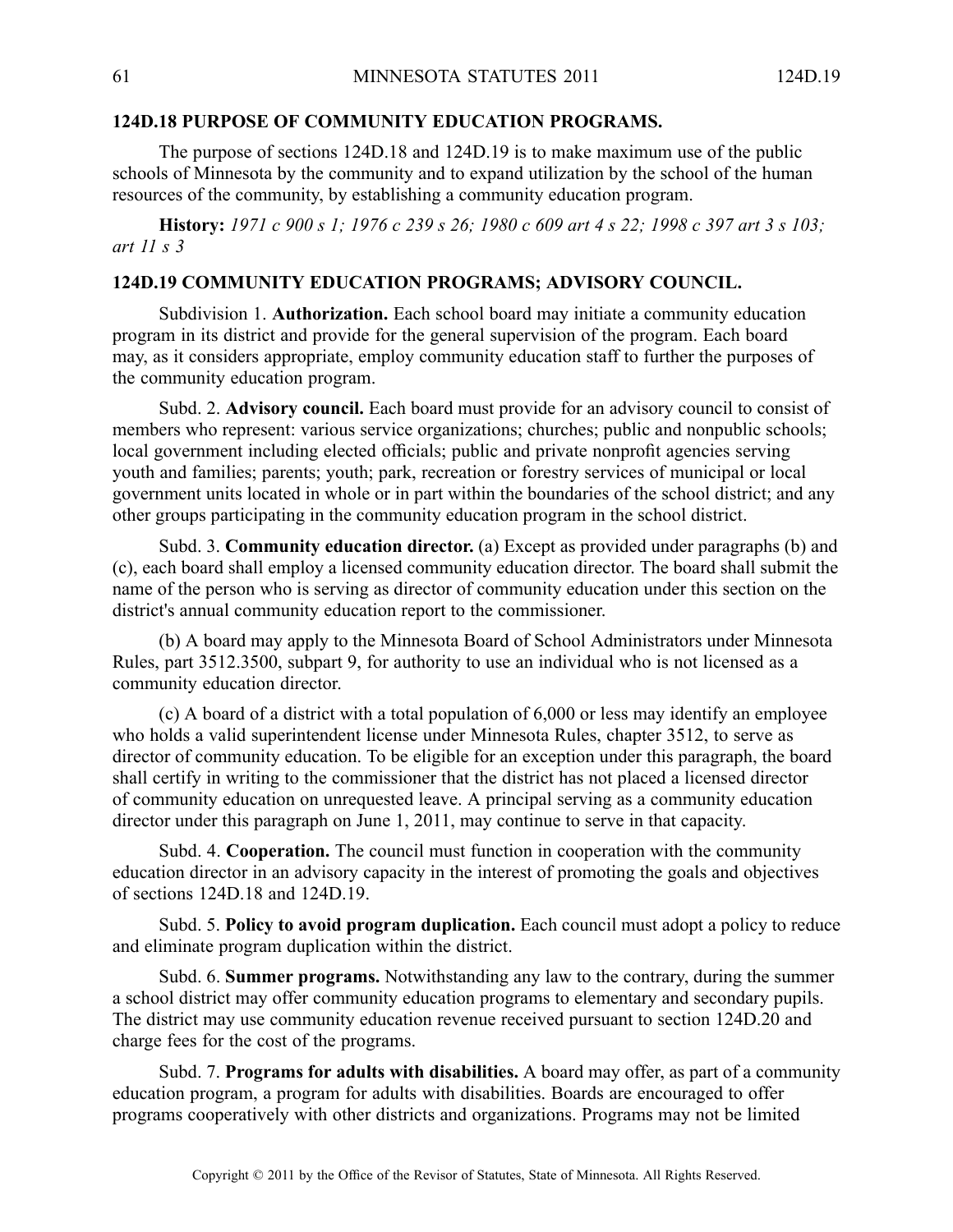#### **124D.18 PURPOSE OF COMMUNITY EDUCATION PROGRAMS.**

The purpose of sections 124D.18 and 124D.19 is to make maximum use of the public schools of Minnesota by the community and to expand utilization by the school of the human resources of the community, by establishing <sup>a</sup> community education program.

History: 1971 c 900 s 1; 1976 c 239 s 26; 1980 c 609 art 4 s 22; 1998 c 397 art 3 s 103; *art 11 <sup>s</sup> 3*

### **124D.19 COMMUNITY EDUCATION PROGRAMS; ADVISORY COUNCIL.**

Subdivision 1. **Authorization.** Each school board may initiate <sup>a</sup> community education program in its district and provide for the general supervision of the program. Each board may, as it considers appropriate, employ community education staff to further the purposes of the community education program.

Subd. 2. **Advisory council.** Each board must provide for an advisory council to consist of members who represent: various service organizations; churches; public and nonpublic schools; local governmen<sup>t</sup> including elected officials; public and private nonprofit agencies serving youth and families; parents; youth; park, recreation or forestry services of municipal or local governmen<sup>t</sup> units located in whole or in par<sup>t</sup> within the boundaries of the school district; and any other groups participating in the community education program in the school district.

Subd. 3. **Community education director.** (a) Except as provided under paragraphs (b) and (c), each board shall employ <sup>a</sup> licensed community education director. The board shall submit the name of the person who is serving as director of community education under this section on the district's annual community education repor<sup>t</sup> to the commissioner.

(b) A board may apply to the Minnesota Board of School Administrators under Minnesota Rules, par<sup>t</sup> 3512.3500, subpart 9, for authority to use an individual who is not licensed as <sup>a</sup> community education director.

(c) A board of <sup>a</sup> district with <sup>a</sup> total population of 6,000 or less may identify an employee who holds <sup>a</sup> valid superintendent license under Minnesota Rules, chapter 3512, to serve as director of community education. To be eligible for an exception under this paragraph, the board shall certify in writing to the commissioner that the district has not placed <sup>a</sup> licensed director of community education on unrequested leave. A principal serving as <sup>a</sup> community education director under this paragraph on June 1, 2011, may continue to serve in that capacity.

Subd. 4. **Cooperation.** The council must function in cooperation with the community education director in an advisory capacity in the interest of promoting the goals and objectives of sections 124D.18 and 124D.19.

Subd. 5. **Policy to avoid program duplication.** Each council must adopt <sup>a</sup> policy to reduce and eliminate program duplication within the district.

Subd. 6. **Summer programs.** Notwithstanding any law to the contrary, during the summer <sup>a</sup> school district may offer community education programs to elementary and secondary pupils. The district may use community education revenue received pursuan<sup>t</sup> to section 124D.20 and charge fees for the cost of the programs.

Subd. 7. **Programs for adults with disabilities.** A board may offer, as par<sup>t</sup> of <sup>a</sup> community education program, <sup>a</sup> program for adults with disabilities. Boards are encouraged to offer programs cooperatively with other districts and organizations. Programs may not be limited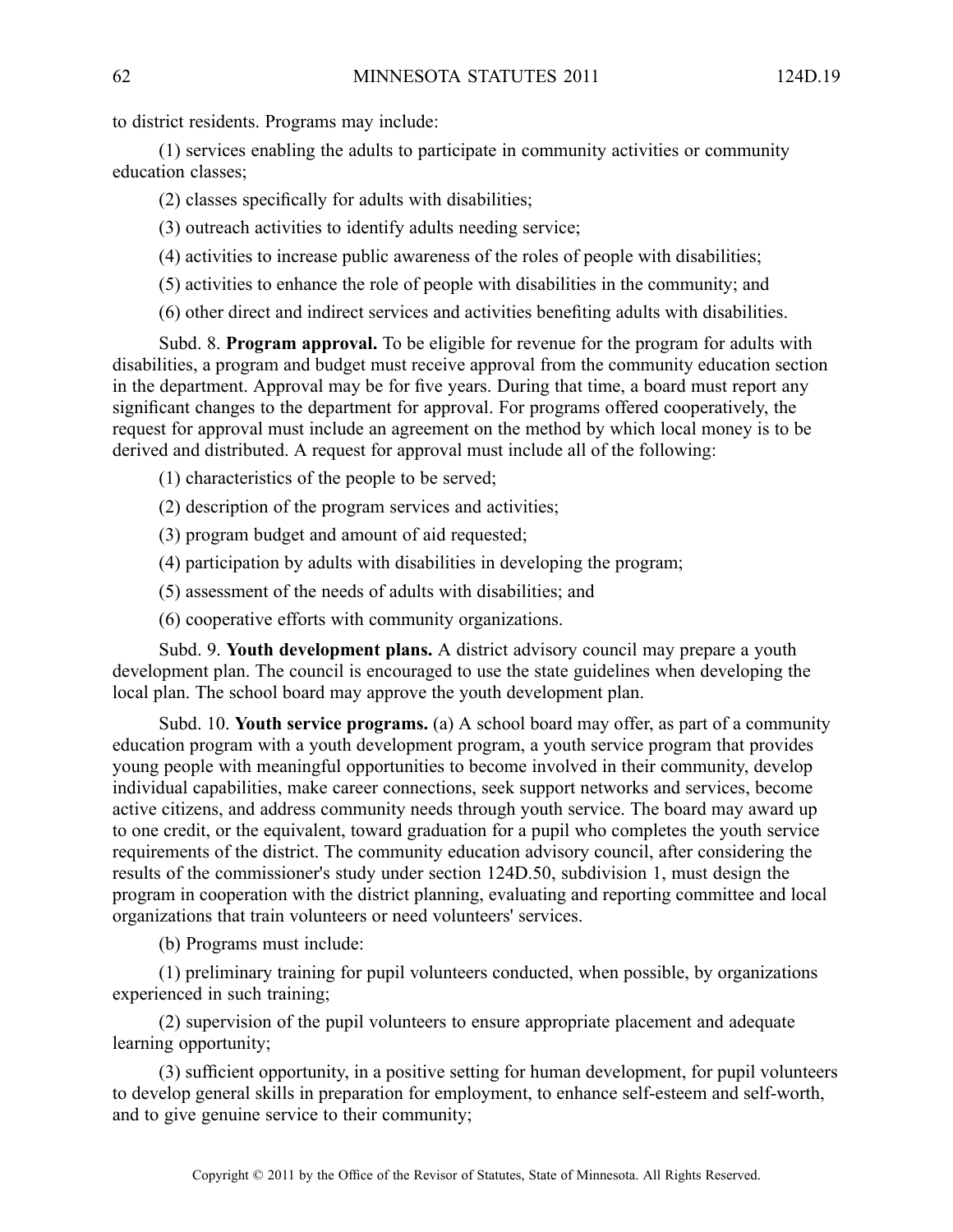to district residents. Programs may include:

(1) services enabling the adults to participate in community activities or community education classes;

(2) classes specifically for adults with disabilities;

(3) outreach activities to identify adults needing service;

(4) activities to increase public awareness of the roles of people with disabilities;

(5) activities to enhance the role of people with disabilities in the community; and

(6) other direct and indirect services and activities benefiting adults with disabilities.

Subd. 8. **Program approval.** To be eligible for revenue for the program for adults with disabilities, <sup>a</sup> program and budget must receive approval from the community education section in the department. Approval may be for five years. During that time, <sup>a</sup> board must repor<sup>t</sup> any significant changes to the department for approval. For programs offered cooperatively, the reques<sup>t</sup> for approval must include an agreemen<sup>t</sup> on the method by which local money is to be derived and distributed. A request for approval must include all of the following:

(1) characteristics of the people to be served;

(2) description of the program services and activities;

(3) program budget and amount of aid requested;

(4) participation by adults with disabilities in developing the program;

(5) assessment of the needs of adults with disabilities; and

(6) cooperative efforts with community organizations.

Subd. 9. **Youth development plans.** A district advisory council may prepare <sup>a</sup> youth development plan. The council is encouraged to use the state guidelines when developing the local plan. The school board may approve the youth development plan.

Subd. 10. **Youth service programs.** (a) A school board may offer, as par<sup>t</sup> of <sup>a</sup> community education program with <sup>a</sup> youth development program, <sup>a</sup> youth service program that provides young people with meaningful opportunities to become involved in their community, develop individual capabilities, make career connections, seek suppor<sup>t</sup> networks and services, become active citizens, and address community needs through youth service. The board may award up to one credit, or the equivalent, toward graduation for <sup>a</sup> pupil who completes the youth service requirements of the district. The community education advisory council, after considering the results of the commissioner's study under section 124D.50, subdivision 1, must design the program in cooperation with the district planning, evaluating and reporting committee and local organizations that train volunteers or need volunteers' services.

(b) Programs must include:

(1) preliminary training for pupil volunteers conducted, when possible, by organizations experienced in such training;

(2) supervision of the pupil volunteers to ensure appropriate placement and adequate learning opportunity;

(3) sufficient opportunity, in <sup>a</sup> positive setting for human development, for pupil volunteers to develop general skills in preparation for employment, to enhance self-esteem and self-worth, and to give genuine service to their community;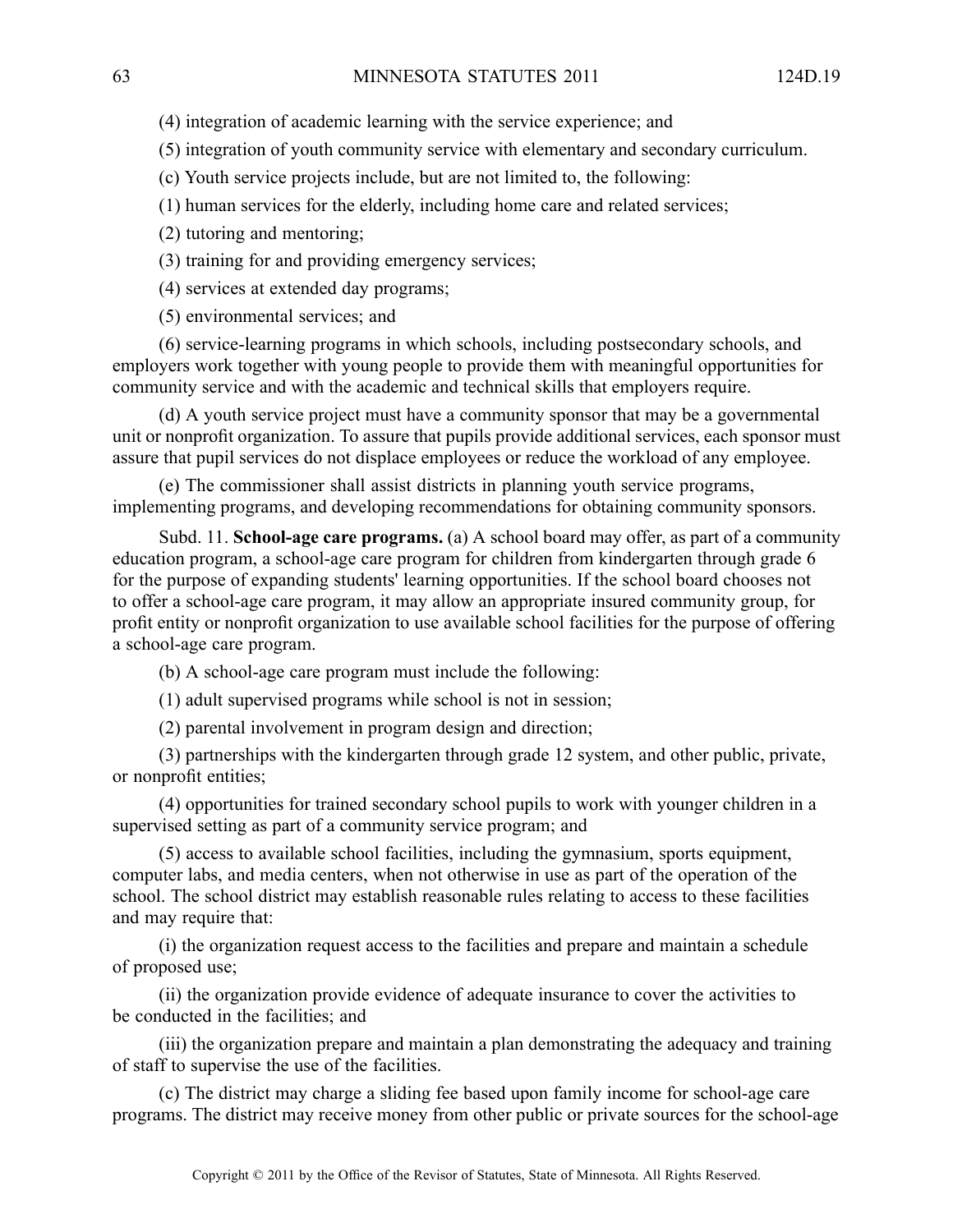(4) integration of academic learning with the service experience; and

(5) integration of youth community service with elementary and secondary curriculum.

- (c) Youth service projects include, but are not limited to, the following:
- (1) human services for the elderly, including home care and related services;
- (2) tutoring and mentoring;
- (3) training for and providing emergency services;
- (4) services at extended day programs;

(5) environmental services; and

(6) service-learning programs in which schools, including postsecondary schools, and employers work together with young people to provide them with meaningful opportunities for community service and with the academic and technical skills that employers require.

(d) A youth service project must have <sup>a</sup> community sponsor that may be <sup>a</sup> governmental unit or nonprofit organization. To assure that pupils provide additional services, each sponsor must assure that pupil services do not displace employees or reduce the workload of any employee.

(e) The commissioner shall assist districts in planning youth service programs, implementing programs, and developing recommendations for obtaining community sponsors.

Subd. 11. **School-age care programs.** (a) A school board may offer, as par<sup>t</sup> of <sup>a</sup> community education program, <sup>a</sup> school-age care program for children from kindergarten through grade 6 for the purpose of expanding students' learning opportunities. If the school board chooses not to offer <sup>a</sup> school-age care program, it may allow an appropriate insured community group, for profit entity or nonprofit organization to use available school facilities for the purpose of offering <sup>a</sup> school-age care program.

(b) A school-age care program must include the following:

(1) adult supervised programs while school is not in session;

(2) parental involvement in program design and direction;

(3) partnerships with the kindergarten through grade 12 system, and other public, private, or nonprofit entities;

(4) opportunities for trained secondary school pupils to work with younger children in <sup>a</sup> supervised setting as par<sup>t</sup> of <sup>a</sup> community service program; and

(5) access to available school facilities, including the gymnasium, sports equipment, computer labs, and media centers, when not otherwise in use as par<sup>t</sup> of the operation of the school. The school district may establish reasonable rules relating to access to these facilities and may require that:

(i) the organization reques<sup>t</sup> access to the facilities and prepare and maintain <sup>a</sup> schedule of proposed use;

(ii) the organization provide evidence of adequate insurance to cover the activities to be conducted in the facilities; and

(iii) the organization prepare and maintain <sup>a</sup> plan demonstrating the adequacy and training of staff to supervise the use of the facilities.

(c) The district may charge <sup>a</sup> sliding fee based upon family income for school-age care programs. The district may receive money from other public or private sources for the school-age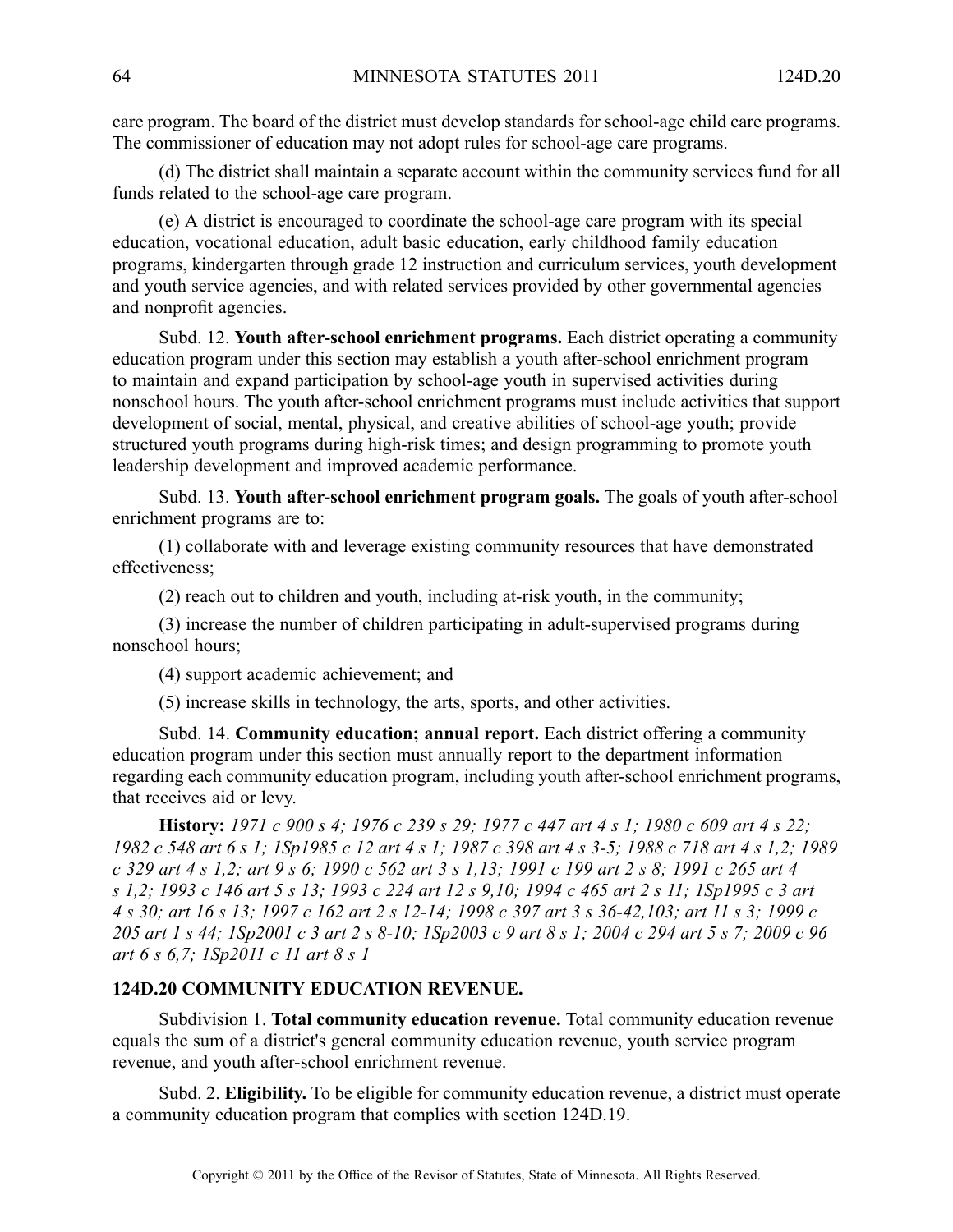care program. The board of the district must develop standards for school-age child care programs. The commissioner of education may not adopt rules for school-age care programs.

(d) The district shall maintain <sup>a</sup> separate account within the community services fund for all funds related to the school-age care program.

(e) A district is encouraged to coordinate the school-age care program with its special education, vocational education, adult basic education, early childhood family education programs, kindergarten through grade 12 instruction and curriculum services, youth development and youth service agencies, and with related services provided by other governmental agencies and nonprofit agencies.

Subd. 12. **Youth after-school enrichment programs.** Each district operating <sup>a</sup> community education program under this section may establish <sup>a</sup> youth after-school enrichment program to maintain and expand participation by school-age youth in supervised activities during nonschool hours. The youth after-school enrichment programs must include activities that suppor<sup>t</sup> development of social, mental, physical, and creative abilities of school-age youth; provide structured youth programs during high-risk times; and design programming to promote youth leadership development and improved academic performance.

Subd. 13. **Youth after-school enrichment program goals.** The goals of youth after-school enrichment programs are to:

(1) collaborate with and leverage existing community resources that have demonstrated effectiveness;

(2) reach out to children and youth, including at-risk youth, in the community;

(3) increase the number of children participating in adult-supervised programs during nonschool hours;

(4) suppor<sup>t</sup> academic achievement; and

(5) increase skills in technology, the arts, sports, and other activities.

Subd. 14. **Community education; annual report.** Each district offering <sup>a</sup> community education program under this section must annually repor<sup>t</sup> to the department information regarding each community education program, including youth after-school enrichment programs, that receives aid or levy.

History: 1971 c 900 s 4; 1976 c 239 s 29; 1977 c 447 art 4 s 1; 1980 c 609 art 4 s 22; 1982 c 548 art 6 s 1; 1Sp1985 c 12 art 4 s 1; 1987 c 398 art 4 s 3-5; 1988 c 718 art 4 s 1,2; 1989 c 329 art 4 s 1,2; art 9 s 6; 1990 c 562 art 3 s 1,13; 1991 c 199 art 2 s 8; 1991 c 265 art 4 s 1,2; 1993 c 146 art 5 s 13; 1993 c 224 art 12 s 9,10; 1994 c 465 art 2 s 11; 1Sp1995 c 3 art 4 s 30; art 16 s 13; 1997 c 162 art 2 s 12-14; 1998 c 397 art 3 s 36-42, 103; art 11 s 3; 1999 c 205 art 1 s 44; 1Sp2001 c 3 art 2 s 8-10; 1Sp2003 c 9 art 8 s 1; 2004 c 294 art 5 s 7: 2009 c 96 *art 6 <sup>s</sup> 6,7; 1Sp2011 <sup>c</sup> 11 art 8 <sup>s</sup> 1*

#### **124D.20 COMMUNITY EDUCATION REVENUE.**

Subdivision 1. **Total community education revenue.** Total community education revenue equals the sum of <sup>a</sup> district's general community education revenue, youth service program revenue, and youth after-school enrichment revenue.

Subd. 2. **Eligibility.** To be eligible for community education revenue, <sup>a</sup> district must operate <sup>a</sup> community education program that complies with section 124D.19.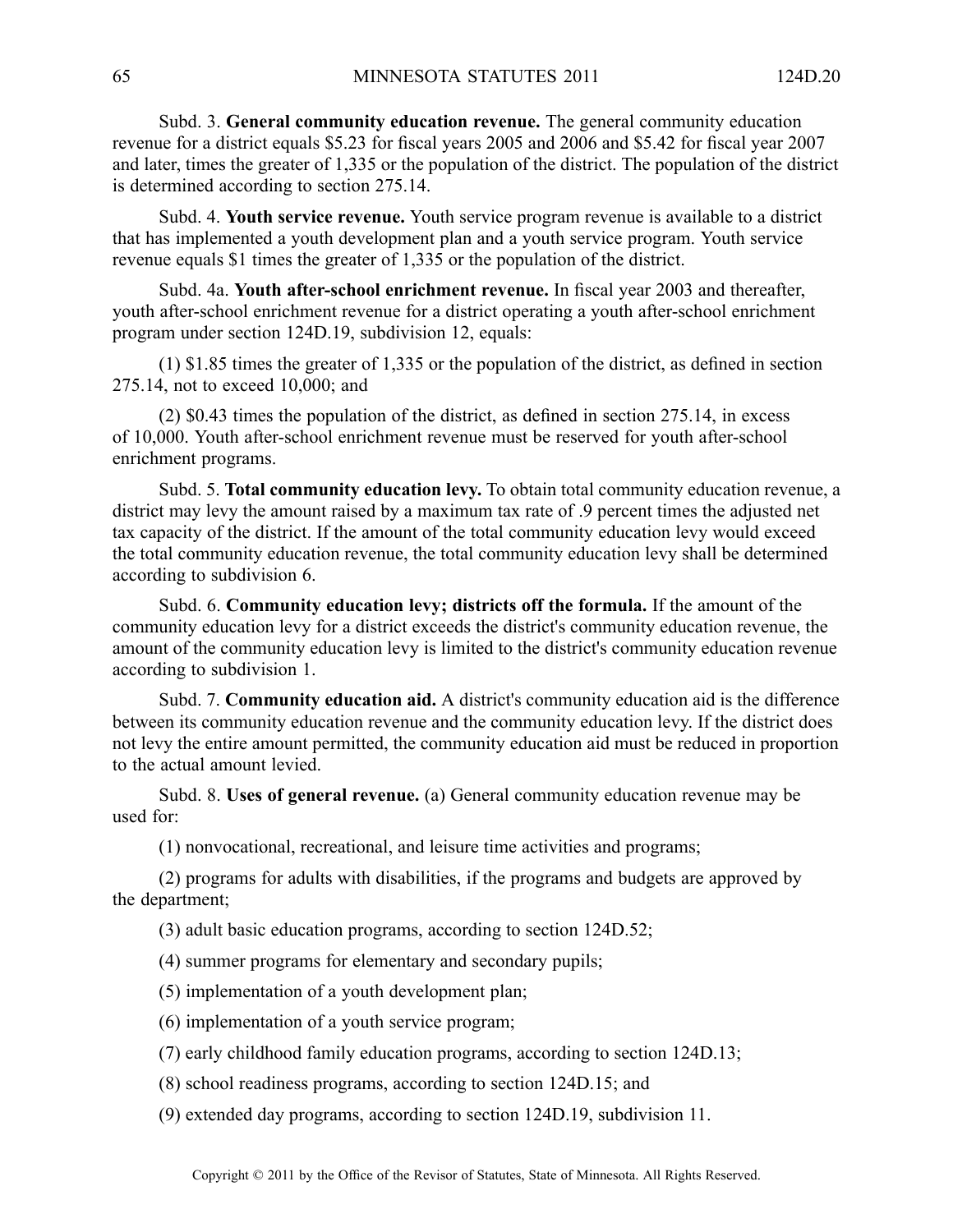Subd. 3. **General community education revenue.** The general community education revenue for <sup>a</sup> district equals \$5.23 for fiscal years 2005 and 2006 and \$5.42 for fiscal year 2007 and later, times the greater of 1,335 or the population of the district. The population of the district is determined according to section 275.14.

Subd. 4. **Youth service revenue.** Youth service program revenue is available to <sup>a</sup> district that has implemented <sup>a</sup> youth development plan and <sup>a</sup> youth service program. Youth service revenue equals \$1 times the greater of 1,335 or the population of the district.

Subd. 4a. **Youth after-school enrichment revenue.** In fiscal year 2003 and thereafter, youth after-school enrichment revenue for <sup>a</sup> district operating <sup>a</sup> youth after-school enrichment program under section 124D.19, subdivision 12, equals:

(1) \$1.85 times the greater of 1,335 or the population of the district, as defined in section 275.14, not to exceed 10,000; and

(2) \$0.43 times the population of the district, as defined in section 275.14, in excess of 10,000. Youth after-school enrichment revenue must be reserved for youth after-school enrichment programs.

Subd. 5. **Total community education levy.** To obtain total community education revenue, <sup>a</sup> district may levy the amount raised by <sup>a</sup> maximum tax rate of .9 percen<sup>t</sup> times the adjusted net tax capacity of the district. If the amount of the total community education levy would exceed the total community education revenue, the total community education levy shall be determined according to subdivision 6.

Subd. 6. **Community education levy; districts off the formula.** If the amount of the community education levy for <sup>a</sup> district exceeds the district's community education revenue, the amount of the community education levy is limited to the district's community education revenue according to subdivision 1.

Subd. 7. **Community education aid.** A district's community education aid is the difference between its community education revenue and the community education levy. If the district does not levy the entire amount permitted, the community education aid must be reduced in proportion to the actual amount levied.

Subd. 8. **Uses of general revenue.** (a) General community education revenue may be used for:

(1) nonvocational, recreational, and leisure time activities and programs;

(2) programs for adults with disabilities, if the programs and budgets are approved by the department;

(3) adult basic education programs, according to section 124D.52;

- (4) summer programs for elementary and secondary pupils;
- (5) implementation of <sup>a</sup> youth development plan;
- (6) implementation of <sup>a</sup> youth service program;
- (7) early childhood family education programs, according to section 124D.13;
- (8) school readiness programs, according to section 124D.15; and

(9) extended day programs, according to section 124D.19, subdivision 11.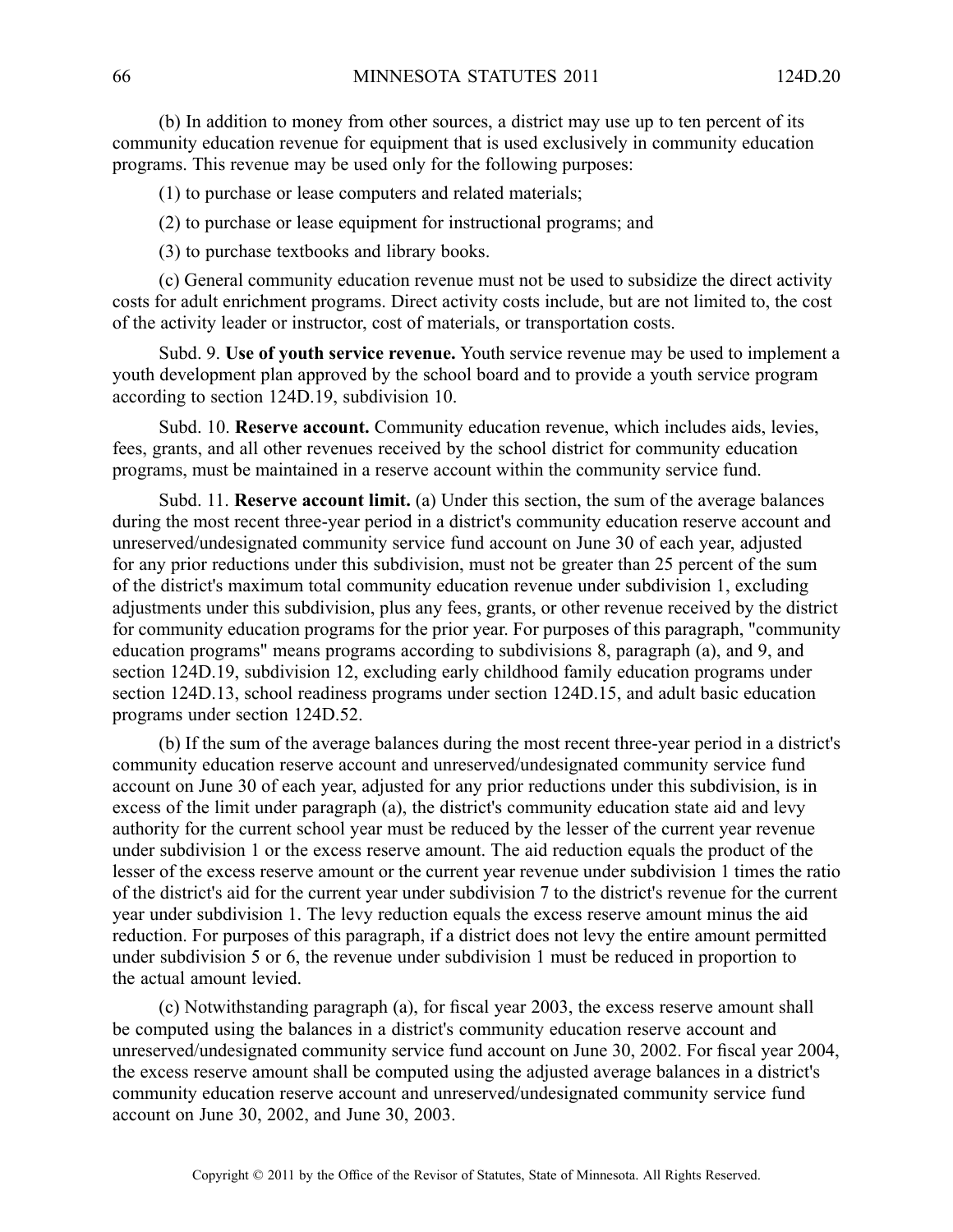(b) In addition to money from other sources, <sup>a</sup> district may use up to ten percen<sup>t</sup> of its community education revenue for equipment that is used exclusively in community education programs. This revenue may be used only for the following purposes:

(1) to purchase or lease computers and related materials;

(2) to purchase or lease equipment for instructional programs; and

(3) to purchase textbooks and library books.

(c) General community education revenue must not be used to subsidize the direct activity costs for adult enrichment programs. Direct activity costs include, but are not limited to, the cost of the activity leader or instructor, cost of materials, or transportation costs.

Subd. 9. **Use of youth service revenue.** Youth service revenue may be used to implement <sup>a</sup> youth development plan approved by the school board and to provide <sup>a</sup> youth service program according to section 124D.19, subdivision 10.

Subd. 10. **Reserve account.** Community education revenue, which includes aids, levies, fees, grants, and all other revenues received by the school district for community education programs, must be maintained in <sup>a</sup> reserve account within the community service fund.

Subd. 11. **Reserve account limit.** (a) Under this section, the sum of the average balances during the most recent three-year period in <sup>a</sup> district's community education reserve account and unreserved/undesignated community service fund account on June 30 of each year, adjusted for any prior reductions under this subdivision, must not be greater than 25 percen<sup>t</sup> of the sum of the district's maximum total community education revenue under subdivision 1, excluding adjustments under this subdivision, plus any fees, grants, or other revenue received by the district for community education programs for the prior year. For purposes of this paragraph, "community education programs" means programs according to subdivisions 8, paragraph (a), and 9, and section 124D.19, subdivision 12, excluding early childhood family education programs under section 124D.13, school readiness programs under section 124D.15, and adult basic education programs under section 124D.52.

(b) If the sum of the average balances during the most recent three-year period in <sup>a</sup> district's community education reserve account and unreserved/undesignated community service fund account on June 30 of each year, adjusted for any prior reductions under this subdivision, is in excess of the limit under paragraph (a), the district's community education state aid and levy authority for the current school year must be reduced by the lesser of the current year revenue under subdivision 1 or the excess reserve amount. The aid reduction equals the product of the lesser of the excess reserve amount or the current year revenue under subdivision 1 times the ratio of the district's aid for the current year under subdivision 7 to the district's revenue for the current year under subdivision 1. The levy reduction equals the excess reserve amount minus the aid reduction. For purposes of this paragraph, if <sup>a</sup> district does not levy the entire amount permitted under subdivision 5 or 6, the revenue under subdivision 1 must be reduced in proportion to the actual amount levied.

(c) Notwithstanding paragraph (a), for fiscal year 2003, the excess reserve amount shall be computed using the balances in <sup>a</sup> district's community education reserve account and unreserved/undesignated community service fund account on June 30, 2002. For fiscal year 2004, the excess reserve amount shall be computed using the adjusted average balances in <sup>a</sup> district's community education reserve account and unreserved/undesignated community service fund account on June 30, 2002, and June 30, 2003.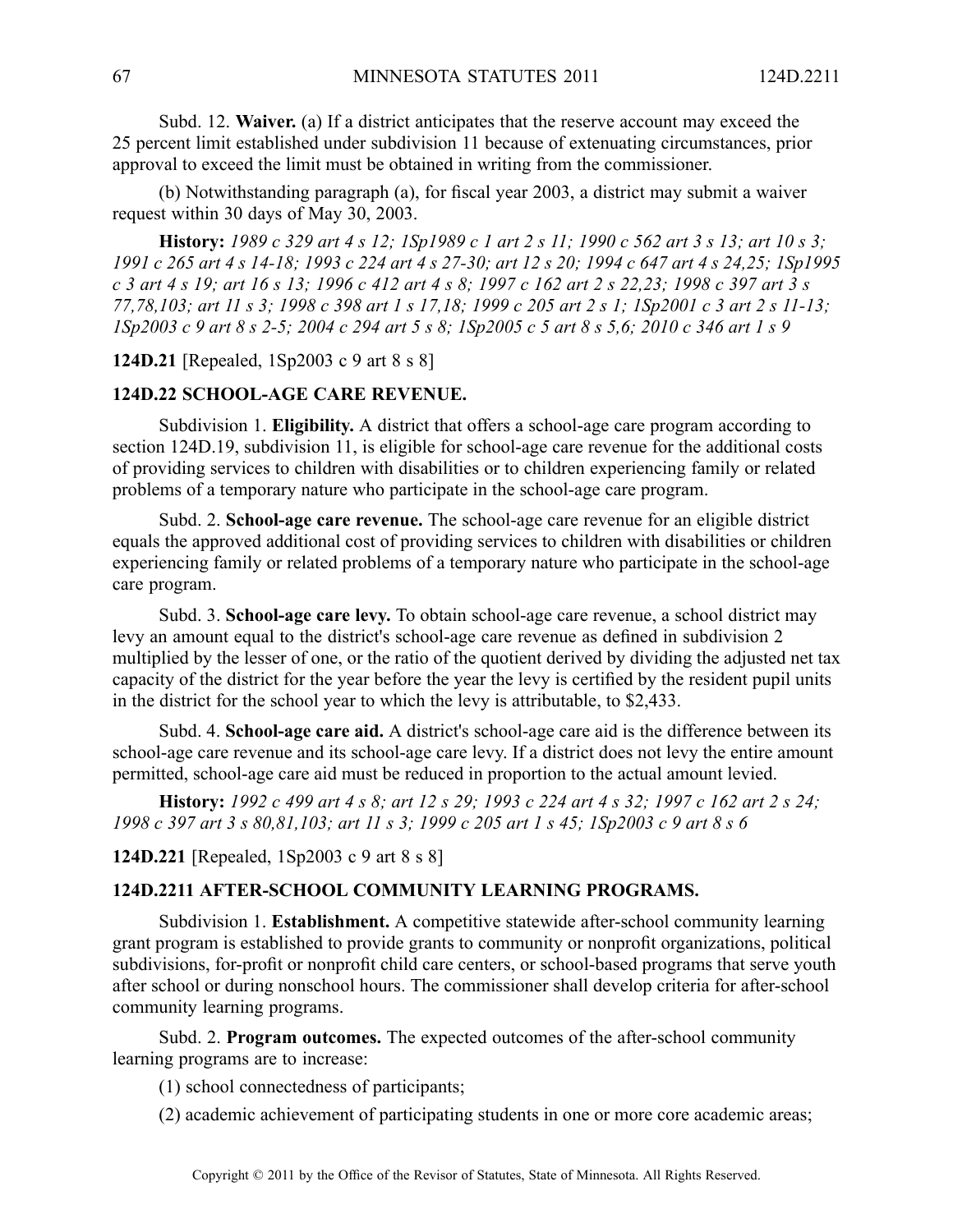Subd. 12. **Waiver.** (a) If <sup>a</sup> district anticipates that the reserve account may exceed the 25 percen<sup>t</sup> limit established under subdivision 11 because of extenuating circumstances, prior approval to exceed the limit must be obtained in writing from the commissioner.

(b) Notwithstanding paragraph (a), for fiscal year 2003, <sup>a</sup> district may submit <sup>a</sup> waiver reques<sup>t</sup> within 30 days of May 30, 2003.

**History:** 1989 c 329 art 4 s 12; 1Sp1989 c 1 art 2 s 11; 1990 c 562 art 3 s 13; art 10 s 3; 1991 c 265 art 4 s 14-18; 1993 c 224 art 4 s 27-30; art 12 s 20; 1994 c 647 art 4 s 24,25; 1Sp1995 c 3 art 4 s 19; art 16 s 13; 1996 c 412 art 4 s 8; 1997 c 162 art 2 s 22,23; 1998 c 397 art 3 s 77,78,103; art 11 s 3; 1998 c 398 art 1 s 17,18; 1999 c 205 art 2 s 1; 1Sp2001 c 3 art 2 s 11-13; ISp2003 c 9 art 8 s 2-5; 2004 c 294 art 5 s 8; ISp2005 c 5 art 8 s 5,6; 2010 c 346 art 1 s 9

**124D.21** [Repealed, 1Sp2003 <sup>c</sup> 9 art 8 <sup>s</sup> 8]

#### **124D.22 SCHOOL-AGE CARE REVENUE.**

Subdivision 1. **Eligibility.** A district that offers a school-age care program according to section 124D.19, subdivision 11, is eligible for school-age care revenue for the additional costs of providing services to children with disabilities or to children experiencing family or related problems of <sup>a</sup> temporary nature who participate in the school-age care program.

Subd. 2. **School-age care revenue.** The school-age care revenue for an eligible district equals the approved additional cost of providing services to children with disabilities or children experiencing family or related problems of <sup>a</sup> temporary nature who participate in the school-age care program.

Subd. 3. **School-age care levy.** To obtain school-age care revenue, <sup>a</sup> school district may levy an amount equal to the district's school-age care revenue as defined in subdivision 2 multiplied by the lesser of one, or the ratio of the quotient derived by dividing the adjusted net tax capacity of the district for the year before the year the levy is certified by the resident pupil units in the district for the school year to which the levy is attributable, to \$2,433.

Subd. 4. **School-age care aid.** A district's school-age care aid is the difference between its school-age care revenue and its school-age care levy. If <sup>a</sup> district does not levy the entire amount permitted, school-age care aid must be reduced in proportion to the actual amount levied.

**History:** 1992 c 499 art 4 s 8; art 12 s 29; 1993 c 224 art 4 s 32; 1997 c 162 art 2 s 24; 1998 c 397 art 3 s 80,81,103; art 11 s 3; 1999 c 205 art 1 s 45; 1Sp2003 c 9 art 8 s 6

**124D.221** [Repealed, 1Sp2003 <sup>c</sup> 9 art 8 <sup>s</sup> 8]

#### **124D.2211 AFTER-SCHOOL COMMUNITY LEARNING PROGRAMS.**

Subdivision 1. **Establishment.** A competitive statewide after-school community learning gran<sup>t</sup> program is established to provide grants to community or nonprofit organizations, political subdivisions, for-profit or nonprofit child care centers, or school-based programs that serve youth after school or during nonschool hours. The commissioner shall develop criteria for after-school community learning programs.

Subd. 2. **Program outcomes.** The expected outcomes of the after-school community learning programs are to increase:

(1) school connectedness of participants;

(2) academic achievement of participating students in one or more core academic areas;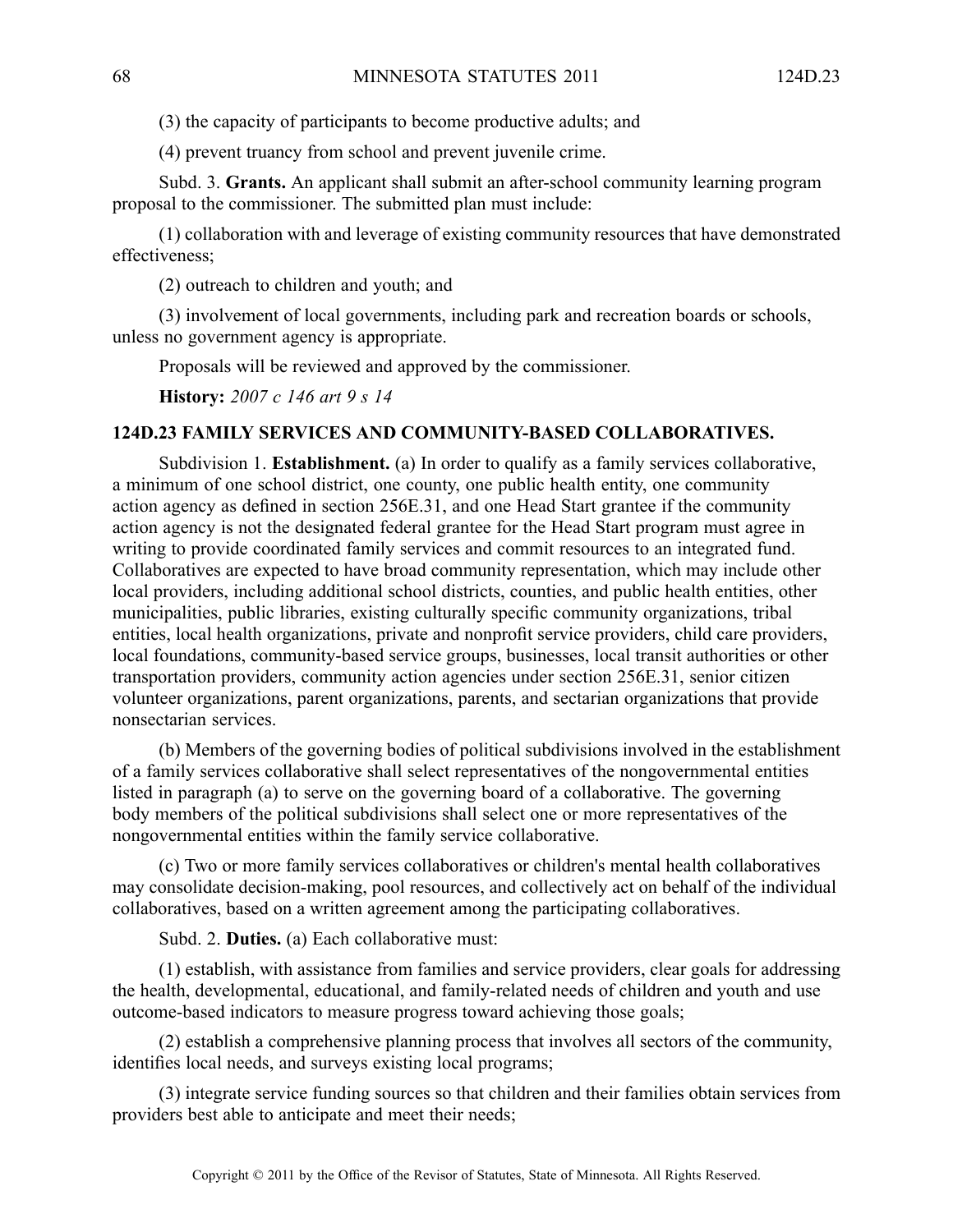(3) the capacity of participants to become productive adults; and

(4) preven<sup>t</sup> truancy from school and preven<sup>t</sup> juvenile crime.

Subd. 3. **Grants.** An applicant shall submit an after-school community learning program proposal to the commissioner. The submitted plan must include:

(1) collaboration with and leverage of existing community resources that have demonstrated effectiveness;

(2) outreach to children and youth; and

(3) involvement of local governments, including park and recreation boards or schools, unless no governmen<sup>t</sup> agency is appropriate.

Proposals will be reviewed and approved by the commissioner.

**History:** *2007 <sup>c</sup> 146 art 9 <sup>s</sup> 14*

### **124D.23 FAMILY SERVICES AND COMMUNITY-BASED COLLABORATIVES.**

Subdivision 1. **Establishment.** (a) In order to qualify as <sup>a</sup> family services collaborative, <sup>a</sup> minimum of one school district, one county, one public health entity, one community action agency as defined in section 256E.31, and one Head Start grantee if the community action agency is not the designated federal grantee for the Head Start program must agree in writing to provide coordinated family services and commit resources to an integrated fund. Collaboratives are expected to have broad community representation, which may include other local providers, including additional school districts, counties, and public health entities, other municipalities, public libraries, existing culturally specific community organizations, tribal entities, local health organizations, private and nonprofit service providers, child care providers, local foundations, community-based service groups, businesses, local transit authorities or other transportation providers, community action agencies under section 256E.31, senior citizen volunteer organizations, paren<sup>t</sup> organizations, parents, and sectarian organizations that provide nonsectarian services.

(b) Members of the governing bodies of political subdivisions involved in the establishment of <sup>a</sup> family services collaborative shall select representatives of the nongovernmental entities listed in paragraph (a) to serve on the governing board of <sup>a</sup> collaborative. The governing body members of the political subdivisions shall select one or more representatives of the nongovernmental entities within the family service collaborative.

(c) Two or more family services collaboratives or children's mental health collaboratives may consolidate decision-making, pool resources, and collectively act on behalf of the individual collaboratives, based on <sup>a</sup> written agreemen<sup>t</sup> among the participating collaboratives.

Subd. 2. **Duties.** (a) Each collaborative must:

(1) establish, with assistance from families and service providers, clear goals for addressing the health, developmental, educational, and family-related needs of children and youth and use outcome-based indicators to measure progress toward achieving those goals;

(2) establish <sup>a</sup> comprehensive planning process that involves all sectors of the community, identifies local needs, and surveys existing local programs;

(3) integrate service funding sources so that children and their families obtain services from providers best able to anticipate and meet their needs;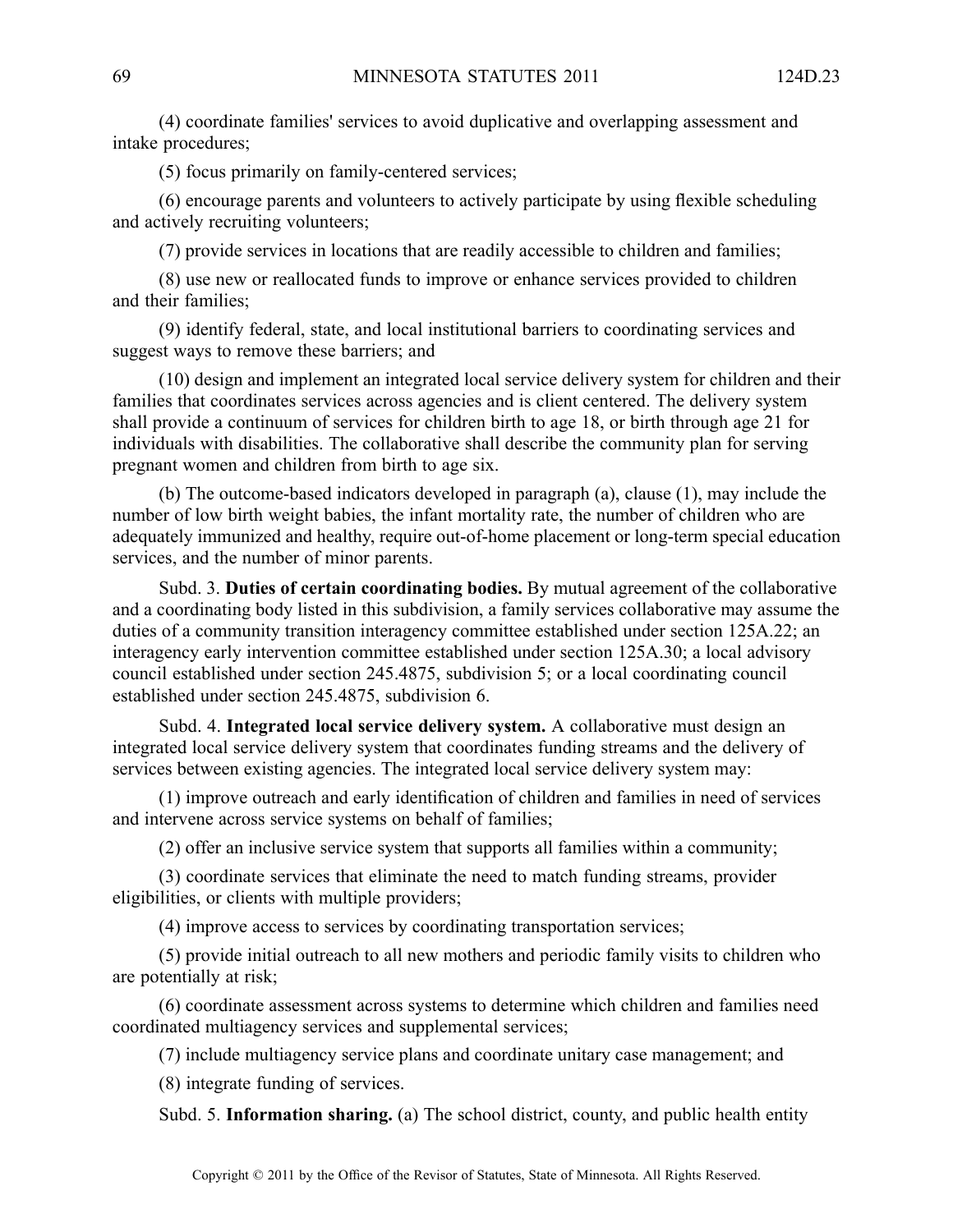(4) coordinate families' services to avoid duplicative and overlapping assessment and intake procedures;

(5) focus primarily on family-centered services;

(6) encourage parents and volunteers to actively participate by using flexible scheduling and actively recruiting volunteers;

(7) provide services in locations that are readily accessible to children and families;

(8) use new or reallocated funds to improve or enhance services provided to children and their families;

(9) identify federal, state, and local institutional barriers to coordinating services and sugges<sup>t</sup> ways to remove these barriers; and

(10) design and implement an integrated local service delivery system for children and their families that coordinates services across agencies and is client centered. The delivery system shall provide <sup>a</sup> continuum of services for children birth to age 18, or birth through age 21 for individuals with disabilities. The collaborative shall describe the community plan for serving pregnan<sup>t</sup> women and children from birth to age six.

(b) The outcome-based indicators developed in paragraph (a), clause (1), may include the number of low birth weight babies, the infant mortality rate, the number of children who are adequately immunized and healthy, require out-of-home placement or long-term special education services, and the number of minor parents.

Subd. 3. **Duties of certain coordinating bodies.** By mutual agreemen<sup>t</sup> of the collaborative and <sup>a</sup> coordinating body listed in this subdivision, <sup>a</sup> family services collaborative may assume the duties of <sup>a</sup> community transition interagency committee established under section 125A.22; an interagency early intervention committee established under section 125A.30; <sup>a</sup> local advisory council established under section 245.4875, subdivision 5; or <sup>a</sup> local coordinating council established under section 245.4875, subdivision 6.

Subd. 4. **Integrated local service delivery system.** A collaborative must design an integrated local service delivery system that coordinates funding streams and the delivery of services between existing agencies. The integrated local service delivery system may:

(1) improve outreach and early identification of children and families in need of services and intervene across service systems on behalf of families;

(2) offer an inclusive service system that supports all families within <sup>a</sup> community;

(3) coordinate services that eliminate the need to match funding streams, provider eligibilities, or clients with multiple providers;

(4) improve access to services by coordinating transportation services;

(5) provide initial outreach to all new mothers and periodic family visits to children who are potentially at risk;

(6) coordinate assessment across systems to determine which children and families need coordinated multiagency services and supplemental services;

(7) include multiagency service plans and coordinate unitary case management; and

(8) integrate funding of services.

Subd. 5. **Information sharing.** (a) The school district, county, and public health entity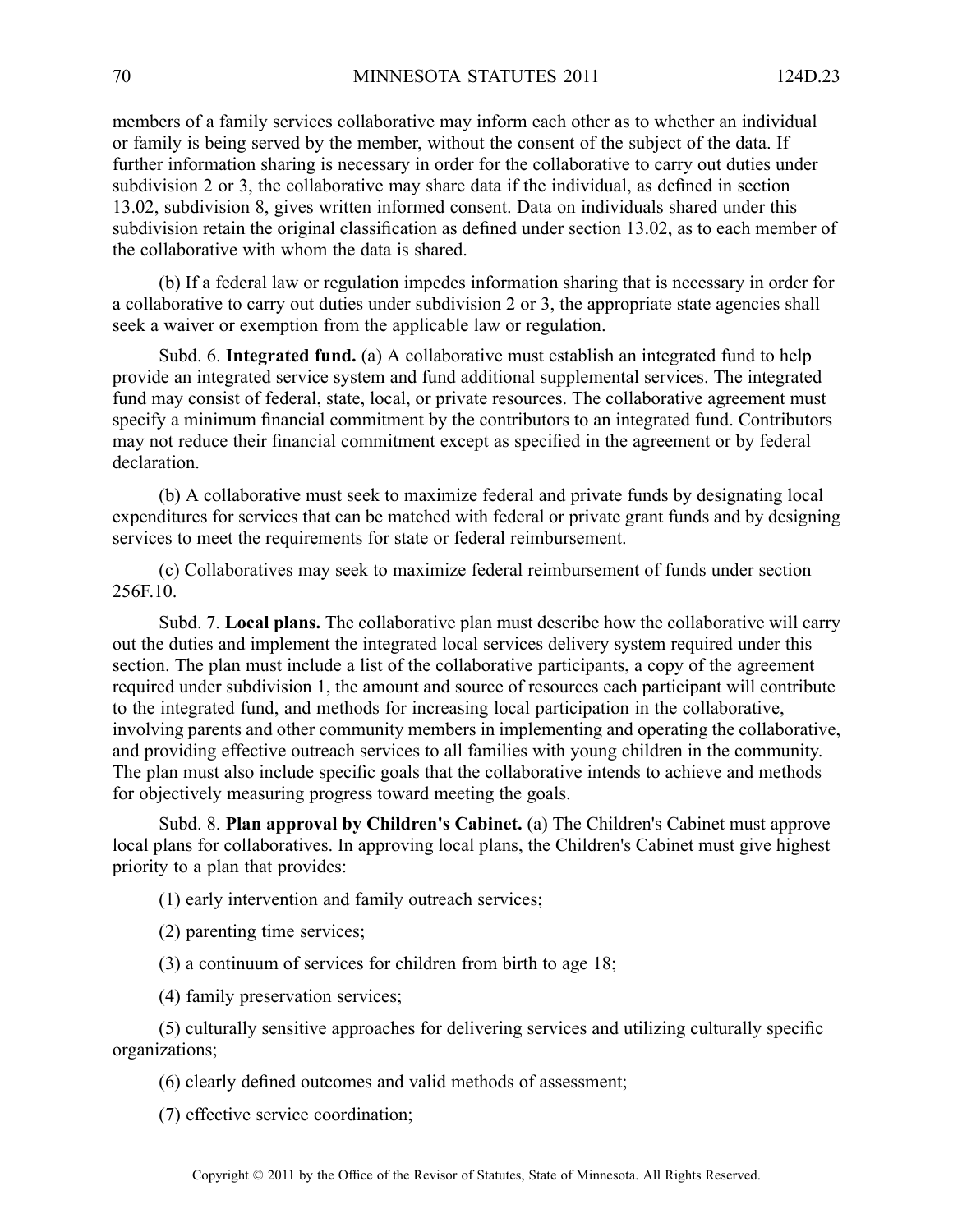members of <sup>a</sup> family services collaborative may inform each other as to whether an individual or family is being served by the member, without the consent of the subject of the data. If further information sharing is necessary in order for the collaborative to carry out duties under subdivision 2 or 3, the collaborative may share data if the individual, as defined in section 13.02, subdivision 8, gives written informed consent. Data on individuals shared under this subdivision retain the original classification as defined under section 13.02, as to each member of the collaborative with whom the data is shared.

(b) If <sup>a</sup> federal law or regulation impedes information sharing that is necessary in order for <sup>a</sup> collaborative to carry out duties under subdivision 2 or 3, the appropriate state agencies shall seek <sup>a</sup> waiver or exemption from the applicable law or regulation.

Subd. 6. **Integrated fund.** (a) A collaborative must establish an integrated fund to help provide an integrated service system and fund additional supplemental services. The integrated fund may consist of federal, state, local, or private resources. The collaborative agreemen<sup>t</sup> must specify <sup>a</sup> minimum financial commitment by the contributors to an integrated fund. Contributors may not reduce their financial commitment excep<sup>t</sup> as specified in the agreemen<sup>t</sup> or by federal declaration.

(b) A collaborative must seek to maximize federal and private funds by designating local expenditures for services that can be matched with federal or private gran<sup>t</sup> funds and by designing services to meet the requirements for state or federal reimbursement.

(c) Collaboratives may seek to maximize federal reimbursement of funds under section 256F.10.

Subd. 7. **Local plans.** The collaborative plan must describe how the collaborative will carry out the duties and implement the integrated local services delivery system required under this section. The plan must include <sup>a</sup> list of the collaborative participants, <sup>a</sup> copy of the agreemen<sup>t</sup> required under subdivision 1, the amount and source of resources each participant will contribute to the integrated fund, and methods for increasing local participation in the collaborative, involving parents and other community members in implementing and operating the collaborative, and providing effective outreach services to all families with young children in the community. The plan must also include specific goals that the collaborative intends to achieve and methods for objectively measuring progress toward meeting the goals.

Subd. 8. **Plan approval by Children's Cabinet.** (a) The Children's Cabinet must approve local plans for collaboratives. In approving local plans, the Children's Cabinet must give highest priority to <sup>a</sup> plan that provides:

(1) early intervention and family outreach services;

- (2) parenting time services;
- (3) <sup>a</sup> continuum of services for children from birth to age 18;
- (4) family preservation services;

(5) culturally sensitive approaches for delivering services and utilizing culturally specific organizations;

- (6) clearly defined outcomes and valid methods of assessment;
- (7) effective service coordination;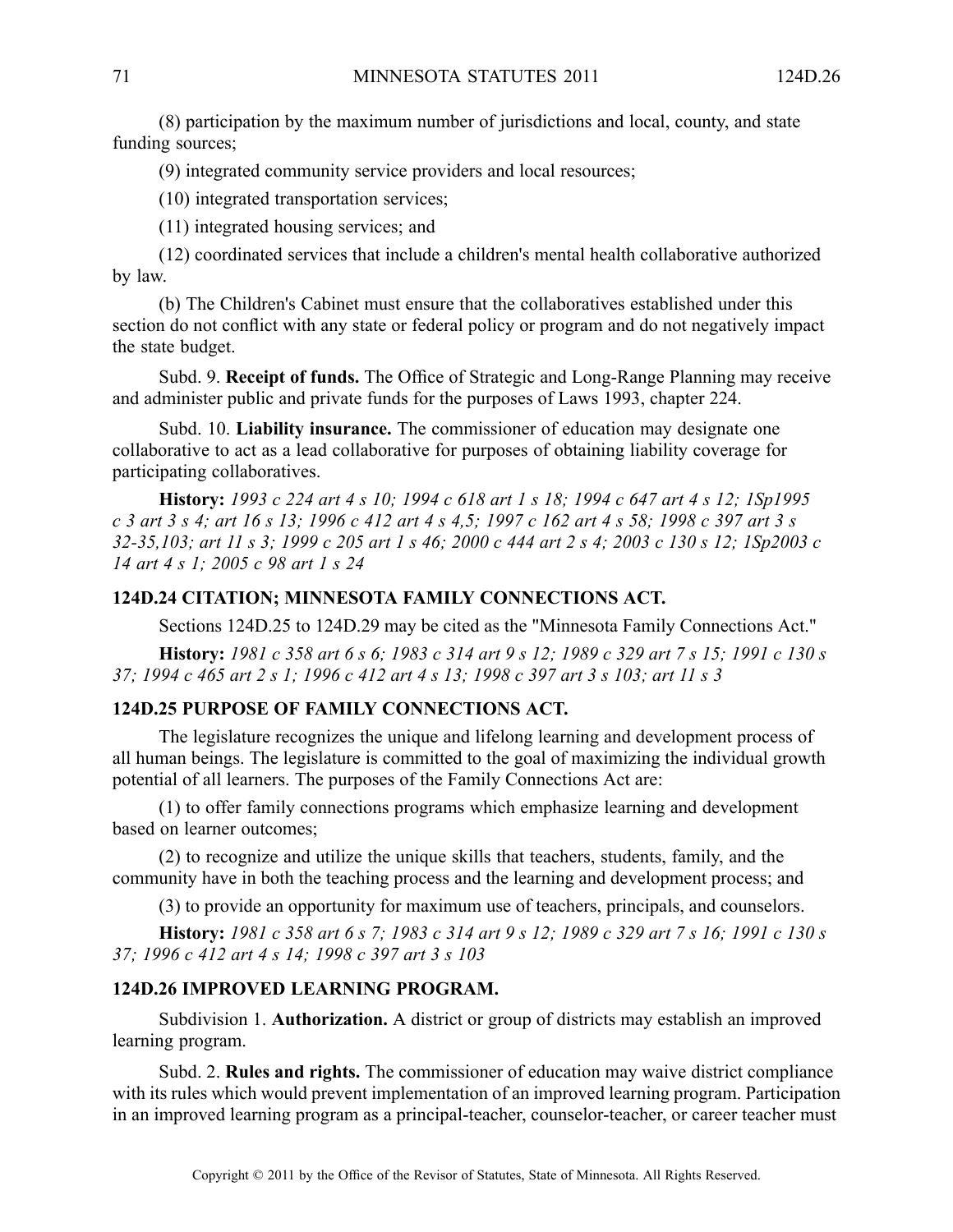(8) participation by the maximum number of jurisdictions and local, county, and state funding sources;

(9) integrated community service providers and local resources;

(10) integrated transportation services;

(11) integrated housing services; and

(12) coordinated services that include <sup>a</sup> children's mental health collaborative authorized by law.

(b) The Children's Cabinet must ensure that the collaboratives established under this section do not conflict with any state or federal policy or program and do not negatively impact the state budget.

Subd. 9. **Receipt of funds.** The Office of Strategic and Long-Range Planning may receive and administer public and private funds for the purposes of Laws 1993, chapter 224.

Subd. 10. **Liability insurance.** The commissioner of education may designate one collaborative to act as <sup>a</sup> lead collaborative for purposes of obtaining liability coverage for participating collaboratives.

History: 1993 c 224 art 4 s 10; 1994 c 618 art 1 s 18; 1994 c 647 art 4 s 12; 1Sp1995 c 3 art 3 s 4; art 16 s 13; 1996 c 412 art 4 s 4,5; 1997 c 162 art 4 s 58; 1998 c 397 art 3 s 32-35,103; art 11 s 3; 1999 c 205 art 1 s 46; 2000 c 444 art 2 s 4; 2003 c 130 s 12; 1Sp2003 c *14 art 4 <sup>s</sup> 1; 2005 <sup>c</sup> 98 art 1 <sup>s</sup> 24*

#### **124D.24 CITATION; MINNESOTA FAMILY CONNECTIONS ACT.**

Sections 124D.25 to 124D.29 may be cited as the "Minnesota Family Connections Act."

History: 1981 c 358 art 6 s 6; 1983 c 314 art 9 s 12; 1989 c 329 art 7 s 15; 1991 c 130 s 37; 1994 c 465 art 2 s 1; 1996 c 412 art 4 s 13; 1998 c 397 art 3 s 103; art 11 s 3

#### **124D.25 PURPOSE OF FAMILY CONNECTIONS ACT.**

The legislature recognizes the unique and lifelong learning and development process of all human beings. The legislature is committed to the goal of maximizing the individual growth potential of all learners. The purposes of the Family Connections Act are:

(1) to offer family connections programs which emphasize learning and development based on learner outcomes;

(2) to recognize and utilize the unique skills that teachers, students, family, and the community have in both the teaching process and the learning and development process; and

(3) to provide an opportunity for maximum use of teachers, principals, and counselors.

History: 1981 c 358 art 6 s 7; 1983 c 314 art 9 s 12; 1989 c 329 art 7 s 16; 1991 c 130 s *37; 1996 <sup>c</sup> 412 art 4 <sup>s</sup> 14; 1998 <sup>c</sup> 397 art 3 <sup>s</sup> 103*

### **124D.26 IMPROVED LEARNING PROGRAM.**

Subdivision 1. **Authorization.** A district or group of districts may establish an improved learning program.

Subd. 2. **Rules and rights.** The commissioner of education may waive district compliance with its rules which would preven<sup>t</sup> implementation of an improved learning program. Participation in an improved learning program as <sup>a</sup> principal-teacher, counselor-teacher, or career teacher must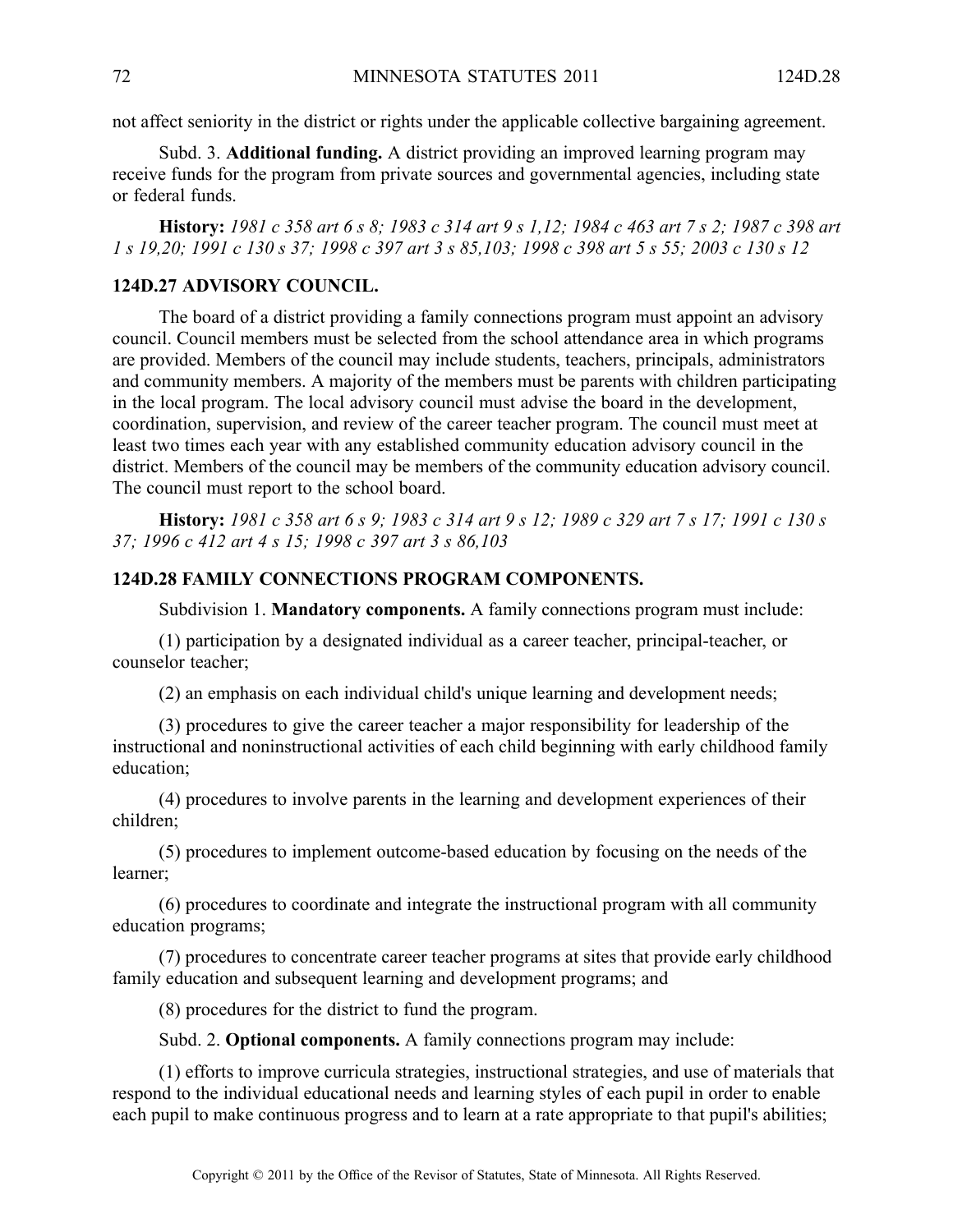not affect seniority in the district or rights under the applicable collective bargaining agreement.

Subd. 3. **Additional funding.** A district providing an improved learning program may receive funds for the program from private sources and governmental agencies, including state or federal funds.

History: 1981 c 358 art 6 s 8; 1983 c 314 art 9 s 1,12; 1984 c 463 art 7 s 2; 1987 c 398 art 1 s 19,20; 1991 c 130 s 37; 1998 c 397 art 3 s 85,103; 1998 c 398 art 5 s 55; 2003 c 130 s 12

# **124D.27 ADVISORY COUNCIL.**

The board of <sup>a</sup> district providing <sup>a</sup> family connections program must appoint an advisory council. Council members must be selected from the school attendance area in which programs are provided. Members of the council may include students, teachers, principals, administrators and community members. Amajority of the members must be parents with children participating in the local program. The local advisory council must advise the board in the development, coordination, supervision, and review of the career teacher program. The council must meet at least two times each year with any established community education advisory council in the district. Members of the council may be members of the community education advisory council. The council must repor<sup>t</sup> to the school board.

History: 1981 c 358 art 6 s 9; 1983 c 314 art 9 s 12; 1989 c 329 art 7 s 17; 1991 c 130 s *37; 1996 <sup>c</sup> 412 art 4 <sup>s</sup> 15; 1998 <sup>c</sup> 397 art 3 <sup>s</sup> 86,103*

#### **124D.28 FAMILY CONNECTIONS PROGRAM COMPONENTS.**

Subdivision 1. **Mandatory components.** A family connections program must include:

(1) participation by <sup>a</sup> designated individual as <sup>a</sup> career teacher, principal-teacher, or counselor teacher;

(2) an emphasis on each individual child's unique learning and development needs;

(3) procedures to give the career teacher <sup>a</sup> major responsibility for leadership of the instructional and noninstructional activities of each child beginning with early childhood family education;

(4) procedures to involve parents in the learning and development experiences of their children;

(5) procedures to implement outcome-based education by focusing on the needs of the learner;

(6) procedures to coordinate and integrate the instructional program with all community education programs;

(7) procedures to concentrate career teacher programs at sites that provide early childhood family education and subsequent learning and development programs; and

(8) procedures for the district to fund the program.

Subd. 2. **Optional components.** A family connections program may include:

(1) efforts to improve curricula strategies, instructional strategies, and use of materials that respond to the individual educational needs and learning styles of each pupil in order to enable each pupil to make continuous progress and to learn at <sup>a</sup> rate appropriate to that pupil's abilities;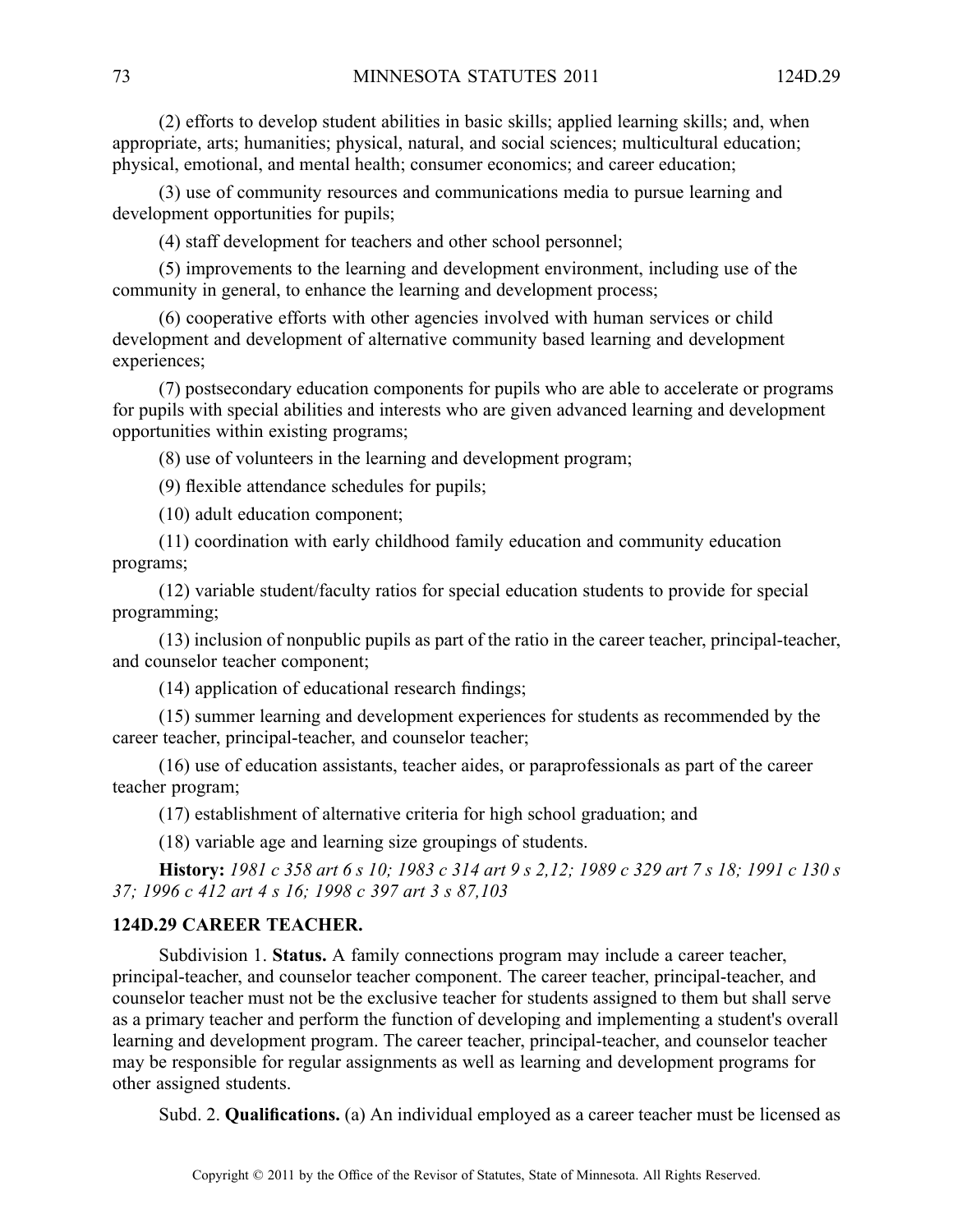(2) efforts to develop student abilities in basic skills; applied learning skills; and, when appropriate, arts; humanities; physical, natural, and social sciences; multicultural education; physical, emotional, and mental health; consumer economics; and career education;

(3) use of community resources and communications media to pursue learning and development opportunities for pupils;

(4) staff development for teachers and other school personnel;

(5) improvements to the learning and development environment, including use of the community in general, to enhance the learning and development process;

(6) cooperative efforts with other agencies involved with human services or child development and development of alternative community based learning and development experiences;

(7) postsecondary education components for pupils who are able to accelerate or programs for pupils with special abilities and interests who are given advanced learning and development opportunities within existing programs;

(8) use of volunteers in the learning and development program;

(9) flexible attendance schedules for pupils;

(10) adult education component;

(11) coordination with early childhood family education and community education programs;

(12) variable student/faculty ratios for special education students to provide for special programming;

(13) inclusion of nonpublic pupils as par<sup>t</sup> of the ratio in the career teacher, principal-teacher, and counselor teacher component;

(14) application of educational research findings;

(15) summer learning and development experiences for students as recommended by the career teacher, principal-teacher, and counselor teacher;

(16) use of education assistants, teacher aides, or paraprofessionals as par<sup>t</sup> of the career teacher program;

(17) establishment of alternative criteria for high school graduation; and

(18) variable age and learning size groupings of students.

**History:** 1981 c 358 art 6 s 10; 1983 c 314 art 9 s 2,12; 1989 c 329 art 7 s 18; 1991 c 130 s *37; 1996 <sup>c</sup> 412 art 4 <sup>s</sup> 16; 1998 <sup>c</sup> 397 art 3 <sup>s</sup> 87,103*

### **124D.29 CAREER TEACHER.**

Subdivision 1. **Status.** A family connections program may include <sup>a</sup> career teacher, principal-teacher, and counselor teacher component. The career teacher, principal-teacher, and counselor teacher must not be the exclusive teacher for students assigned to them but shall serve as <sup>a</sup> primary teacher and perform the function of developing and implementing <sup>a</sup> student's overall learning and development program. The career teacher, principal-teacher, and counselor teacher may be responsible for regular assignments as well as learning and development programs for other assigned students.

Subd. 2. **Qualifications.** (a) An individual employed as <sup>a</sup> career teacher must be licensed as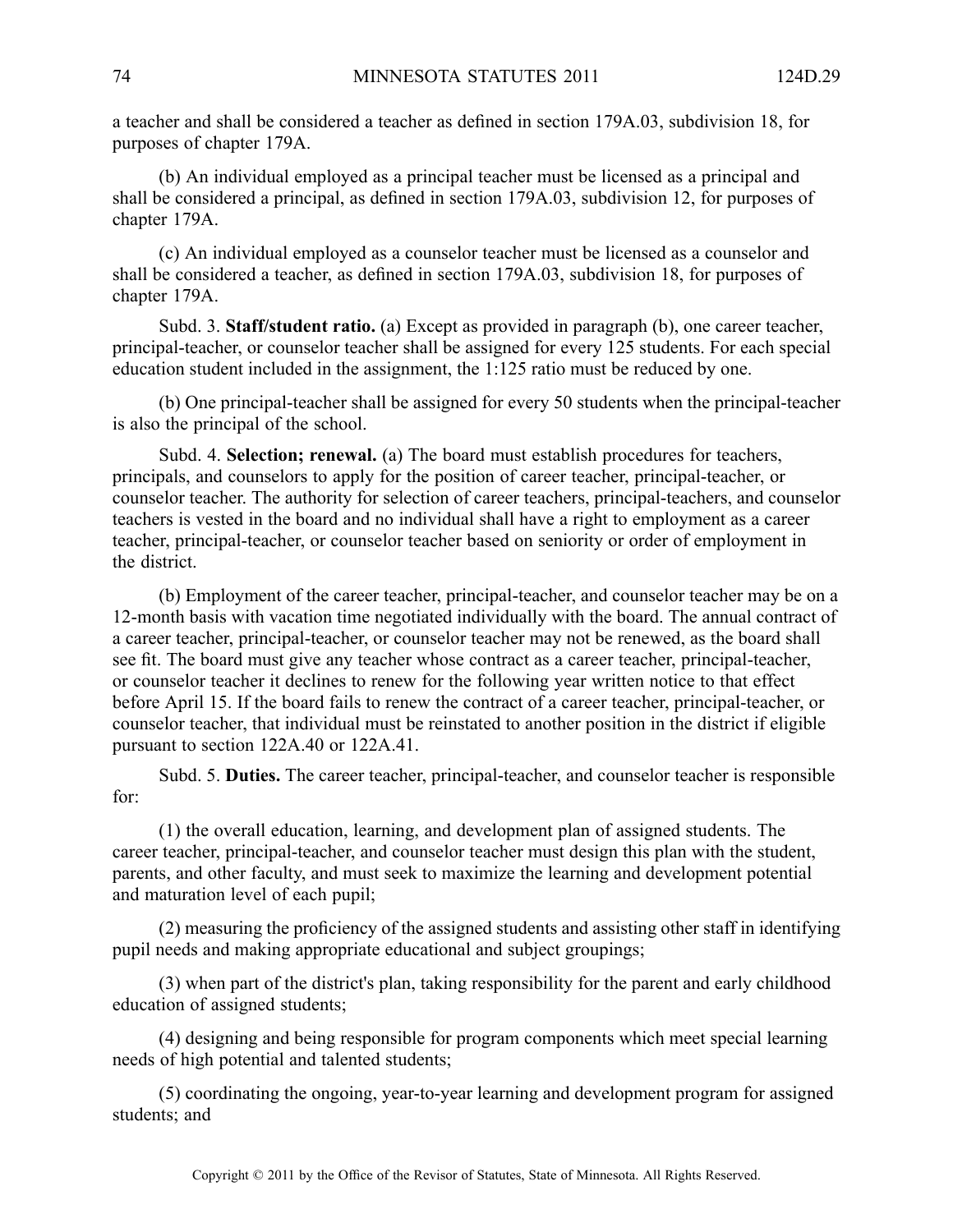<sup>a</sup> teacher and shall be considered <sup>a</sup> teacher as defined in section 179A.03, subdivision 18, for purposes of chapter 179A.

(b) An individual employed as <sup>a</sup> principal teacher must be licensed as <sup>a</sup> principal and shall be considered <sup>a</sup> principal, as defined in section 179A.03, subdivision 12, for purposes of chapter 179A.

(c) An individual employed as <sup>a</sup> counselor teacher must be licensed as <sup>a</sup> counselor and shall be considered <sup>a</sup> teacher, as defined in section 179A.03, subdivision 18, for purposes of chapter 179A.

Subd. 3. **Staff/student ratio.** (a) Except as provided in paragraph (b), one career teacher, principal-teacher, or counselor teacher shall be assigned for every 125 students. For each special education student included in the assignment, the 1:125 ratio must be reduced by one.

(b) One principal-teacher shall be assigned for every 50 students when the principal-teacher is also the principal of the school.

Subd. 4. **Selection; renewal.** (a) The board must establish procedures for teachers, principals, and counselors to apply for the position of career teacher, principal-teacher, or counselor teacher. The authority for selection of career teachers, principal-teachers, and counselor teachers is vested in the board and no individual shall have <sup>a</sup> right to employment as <sup>a</sup> career teacher, principal-teacher, or counselor teacher based on seniority or order of employment in the district.

(b) Employment of the career teacher, principal-teacher, and counselor teacher may be on <sup>a</sup> 12-month basis with vacation time negotiated individually with the board. The annual contract of <sup>a</sup> career teacher, principal-teacher, or counselor teacher may not be renewed, as the board shall see fit. The board must give any teacher whose contract as <sup>a</sup> career teacher, principal-teacher, or counselor teacher it declines to renew for the following year written notice to that effect before April 15. If the board fails to renew the contract of <sup>a</sup> career teacher, principal-teacher, or counselor teacher, that individual must be reinstated to another position in the district if eligible pursuan<sup>t</sup> to section 122A.40 or 122A.41.

Subd. 5. **Duties.** The career teacher, principal-teacher, and counselor teacher is responsible for:

(1) the overall education, learning, and development plan of assigned students. The career teacher, principal-teacher, and counselor teacher must design this plan with the student, parents, and other faculty, and must seek to maximize the learning and development potential and maturation level of each pupil;

(2) measuring the proficiency of the assigned students and assisting other staff in identifying pupil needs and making appropriate educational and subject groupings;

(3) when par<sup>t</sup> of the district's plan, taking responsibility for the paren<sup>t</sup> and early childhood education of assigned students;

(4) designing and being responsible for program components which meet special learning needs of high potential and talented students;

(5) coordinating the ongoing, year-to-year learning and development program for assigned students; and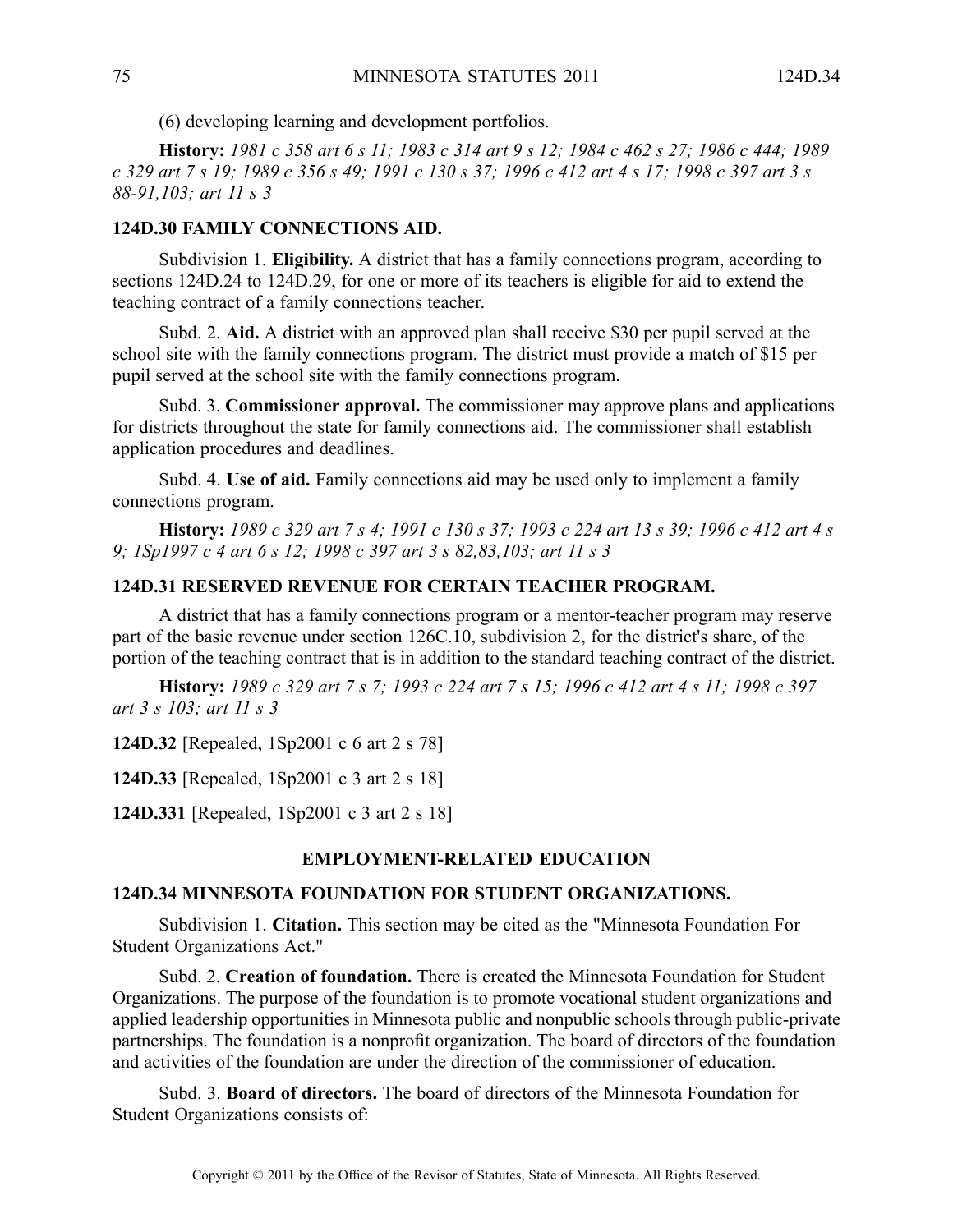(6) developing learning and development portfolios.

History: 1981 c 358 art 6 s 11; 1983 c 314 art 9 s 12; 1984 c 462 s 27; 1986 c 444; 1989 c 329 art 7 s 19; 1989 c 356 s 49; 1991 c 130 s 37; 1996 c 412 art 4 s 17; 1998 c 397 art 3 s *88-91,103; art 11 <sup>s</sup> 3*

### **124D.30 FAMILY CONNECTIONS AID.**

Subdivision 1. **Eligibility.** A district that has <sup>a</sup> family connections program, according to sections 124D.24 to 124D.29, for one or more of its teachers is eligible for aid to extend the teaching contract of <sup>a</sup> family connections teacher.

Subd. 2. **Aid.** A district with an approved plan shall receive \$30 per pupil served at the school site with the family connections program. The district must provide <sup>a</sup> match of \$15 per pupil served at the school site with the family connections program.

Subd. 3. **Commissioner approval.** The commissioner may approve plans and applications for districts throughout the state for family connections aid. The commissioner shall establish application procedures and deadlines.

Subd. 4. **Use of aid.** Family connections aid may be used only to implement <sup>a</sup> family connections program.

History: 1989 c 329 art 7 s 4; 1991 c 130 s 37; 1993 c 224 art 13 s 39; 1996 c 412 art 4 s *9; 1Sp1997 <sup>c</sup> 4 art 6 <sup>s</sup> 12; 1998 <sup>c</sup> 397 art 3 <sup>s</sup> 82,83,103; art 11 <sup>s</sup> 3*

# **124D.31 RESERVED REVENUE FOR CERTAIN TEACHER PROGRAM.**

A district that has <sup>a</sup> family connections program or <sup>a</sup> mentor-teacher program may reserve par<sup>t</sup> of the basic revenue under section 126C.10, subdivision 2, for the district's share, of the portion of the teaching contract that is in addition to the standard teaching contract of the district.

History: 1989 c 329 art 7 s 7; 1993 c 224 art 7 s 15; 1996 c 412 art 4 s 11; 1998 c 397 *art 3 <sup>s</sup> 103; art 11 <sup>s</sup> 3*

**124D.32** [Repealed, 1Sp2001 <sup>c</sup> 6 art 2 <sup>s</sup> 78]

**124D.33** [Repealed, 1Sp2001 <sup>c</sup> 3 art 2 <sup>s</sup> 18]

**124D.331** [Repealed, 1Sp2001 <sup>c</sup> 3 art 2 <sup>s</sup> 18]

### **EMPLOYMENT-RELATED EDUCATION**

### **124D.34 MINNESOTA FOUNDATION FOR STUDENT ORGANIZATIONS.**

Subdivision 1. **Citation.** This section may be cited as the "Minnesota Foundation For Student Organizations Act."

Subd. 2. **Creation of foundation.** There is created the Minnesota Foundation for Student Organizations. The purpose of the foundation is to promote vocational student organizations and applied leadership opportunities in Minnesota public and nonpublic schools through public-private partnerships. The foundation is <sup>a</sup> nonprofit organization. The board of directors of the foundation and activities of the foundation are under the direction of the commissioner of education.

Subd. 3. **Board of directors.** The board of directors of the Minnesota Foundation for Student Organizations consists of: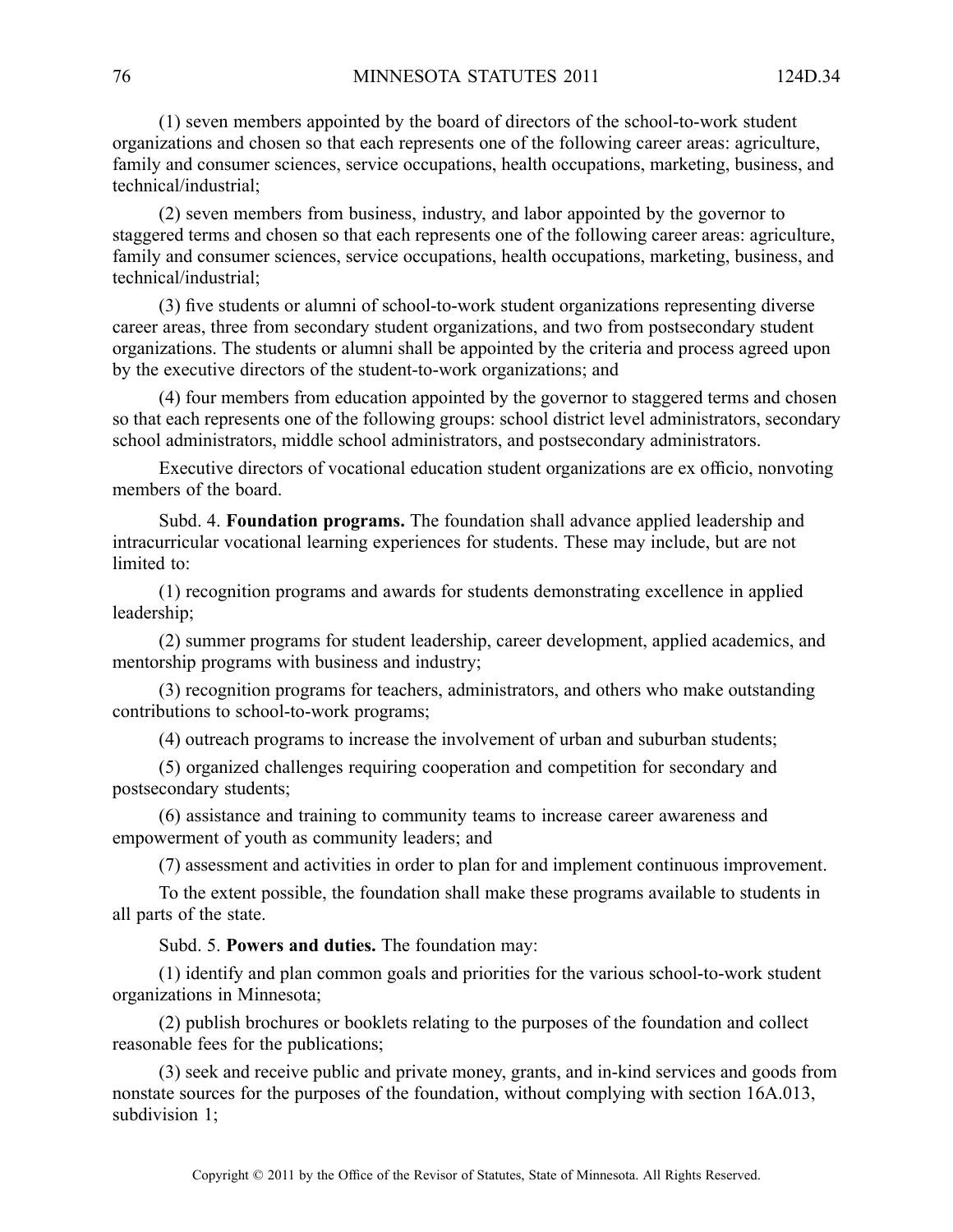(1) seven members appointed by the board of directors of the school-to-work student organizations and chosen so that each represents one of the following career areas: agriculture, family and consumer sciences, service occupations, health occupations, marketing, business, and technical/industrial;

(2) seven members from business, industry, and labor appointed by the governor to staggered terms and chosen so that each represents one of the following career areas: agriculture, family and consumer sciences, service occupations, health occupations, marketing, business, and technical/industrial;

(3) five students or alumni of school-to-work student organizations representing diverse career areas, three from secondary student organizations, and two from postsecondary student organizations. The students or alumni shall be appointed by the criteria and process agreed upon by the executive directors of the student-to-work organizations; and

(4) four members from education appointed by the governor to staggered terms and chosen so that each represents one of the following groups: school district level administrators, secondary school administrators, middle school administrators, and postsecondary administrators.

Executive directors of vocational education student organizations are ex officio, nonvoting members of the board.

Subd. 4. **Foundation programs.** The foundation shall advance applied leadership and intracurricular vocational learning experiences for students. These may include, but are not limited to:

(1) recognition programs and awards for students demonstrating excellence in applied leadership;

(2) summer programs for student leadership, career development, applied academics, and mentorship programs with business and industry;

(3) recognition programs for teachers, administrators, and others who make outstanding contributions to school-to-work programs;

(4) outreach programs to increase the involvement of urban and suburban students;

(5) organized challenges requiring cooperation and competition for secondary and postsecondary students;

(6) assistance and training to community teams to increase career awareness and empowermen<sup>t</sup> of youth as community leaders; and

(7) assessment and activities in order to plan for and implement continuous improvement.

To the extent possible, the foundation shall make these programs available to students in all parts of the state.

Subd. 5. **Powers and duties.** The foundation may:

(1) identify and plan common goals and priorities for the various school-to-work student organizations in Minnesota;

(2) publish brochures or booklets relating to the purposes of the foundation and collect reasonable fees for the publications;

(3) seek and receive public and private money, grants, and in-kind services and goods from nonstate sources for the purposes of the foundation, without complying with section 16A.013, subdivision 1;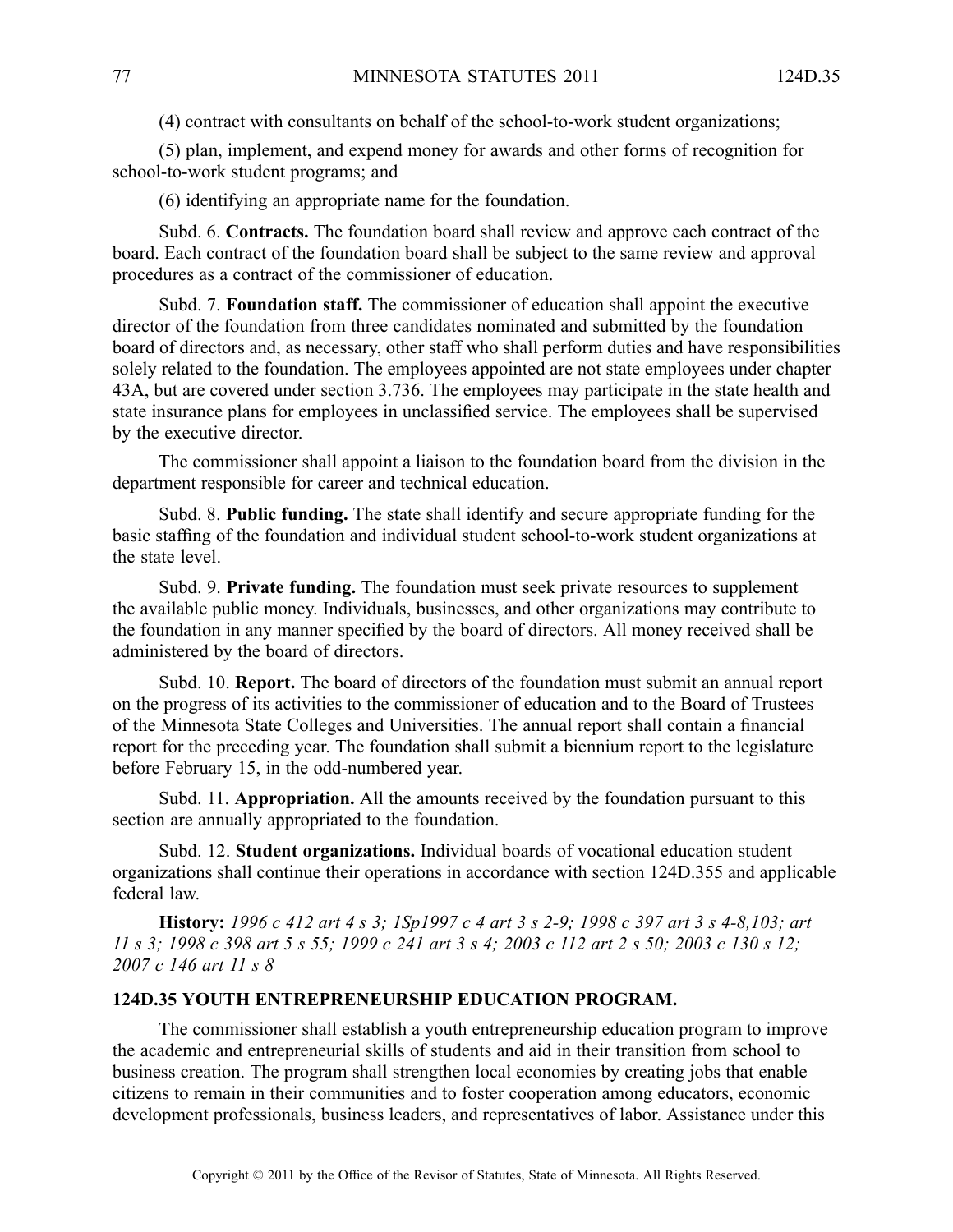(4) contract with consultants on behalf of the school-to-work student organizations;

(5) plan, implement, and expend money for awards and other forms of recognition for school-to-work student programs; and

(6) identifying an appropriate name for the foundation.

Subd. 6. **Contracts.** The foundation board shall review and approve each contract of the board. Each contract of the foundation board shall be subject to the same review and approval procedures as <sup>a</sup> contract of the commissioner of education.

Subd. 7. **Foundation staff.** The commissioner of education shall appoint the executive director of the foundation from three candidates nominated and submitted by the foundation board of directors and, as necessary, other staff who shall perform duties and have responsibilities solely related to the foundation. The employees appointed are not state employees under chapter 43A, but are covered under section 3.736. The employees may participate in the state health and state insurance plans for employees in unclassified service. The employees shall be supervised by the executive director.

The commissioner shall appoint <sup>a</sup> liaison to the foundation board from the division in the department responsible for career and technical education.

Subd. 8. **Public funding.** The state shall identify and secure appropriate funding for the basic staffing of the foundation and individual student school-to-work student organizations at the state level.

Subd. 9. **Private funding.** The foundation must seek private resources to supplement the available public money. Individuals, businesses, and other organizations may contribute to the foundation in any manner specified by the board of directors. All money received shall be administered by the board of directors.

Subd. 10. **Report.** The board of directors of the foundation must submit an annual repor<sup>t</sup> on the progress of its activities to the commissioner of education and to the Board of Trustees of the Minnesota State Colleges and Universities. The annual repor<sup>t</sup> shall contain <sup>a</sup> financial repor<sup>t</sup> for the preceding year. The foundation shall submit <sup>a</sup> biennium repor<sup>t</sup> to the legislature before February 15, in the odd-numbered year.

Subd. 11. **Appropriation.** All the amounts received by the foundation pursuan<sup>t</sup> to this section are annually appropriated to the foundation.

Subd. 12. **Student organizations.** Individual boards of vocational education student organizations shall continue their operations in accordance with section 124D.355 and applicable federal law.

History: 1996 c 412 art 4 s 3; 1Sp1997 c 4 art 3 s 2-9; 1998 c 397 art 3 s 4-8,103; art 11 s 3; 1998 c 398 art 5 s 55; 1999 c 241 art 3 s 4; 2003 c 112 art 2 s 50; 2003 c 130 s 12; *2007 <sup>c</sup> 146 art 11 <sup>s</sup> 8*

### **124D.35 YOUTH ENTREPRENEURSHIP EDUCATION PROGRAM.**

The commissioner shall establish <sup>a</sup> youth entrepreneurship education program to improve the academic and entrepreneurial skills of students and aid in their transition from school to business creation. The program shall strengthen local economies by creating jobs that enable citizens to remain in their communities and to foster cooperation among educators, economic development professionals, business leaders, and representatives of labor. Assistance under this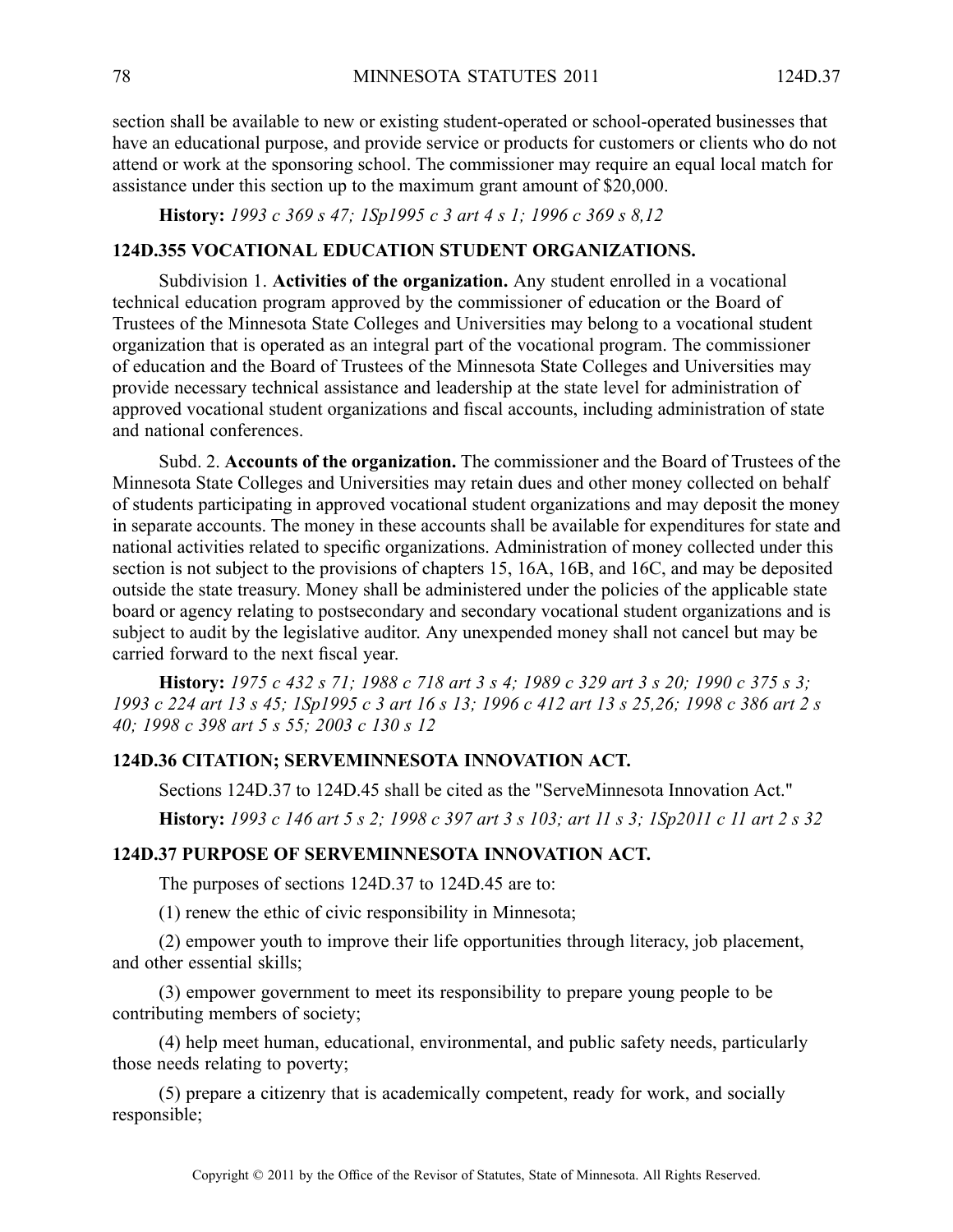section shall be available to new or existing student-operated or school-operated businesses that have an educational purpose, and provide service or products for customers or clients who do not attend or work at the sponsoring school. The commissioner may require an equal local match for assistance under this section up to the maximum gran<sup>t</sup> amount of \$20,000.

**History:** *1993 <sup>c</sup> 369 <sup>s</sup> 47; 1Sp1995 <sup>c</sup> 3 art 4 <sup>s</sup> 1; 1996 <sup>c</sup> 369 <sup>s</sup> 8,12*

# **124D.355 VOCATIONAL EDUCATION STUDENT ORGANIZATIONS.**

Subdivision 1. **Activities of the organization.** Any student enrolled in <sup>a</sup> vocational technical education program approved by the commissioner of education or the Board of Trustees of the Minnesota State Colleges and Universities may belong to <sup>a</sup> vocational student organization that is operated as an integral par<sup>t</sup> of the vocational program. The commissioner of education and the Board of Trustees of the Minnesota State Colleges and Universities may provide necessary technical assistance and leadership at the state level for administration of approved vocational student organizations and fiscal accounts, including administration of state and national conferences.

Subd. 2. **Accounts of the organization.** The commissioner and the Board of Trustees of the Minnesota State Colleges and Universities may retain dues and other money collected on behalf of students participating in approved vocational student organizations and may deposit the money in separate accounts. The money in these accounts shall be available for expenditures for state and national activities related to specific organizations. Administration of money collected under this section is not subject to the provisions of chapters 15, 16A, 16B, and 16C, and may be deposited outside the state treasury. Money shall be administered under the policies of the applicable state board or agency relating to postsecondary and secondary vocational student organizations and is subject to audit by the legislative auditor. Any unexpended money shall not cancel but may be carried forward to the next fiscal year.

History: 1975 c 432 s 71; 1988 c 718 art 3 s 4; 1989 c 329 art 3 s 20; 1990 c 375 s 3; 1993 c 224 art 13 s 45; 1Sp1995 c 3 art 16 s 13; 1996 c 412 art 13 s 25,26; 1998 c 386 art 2 s *40; 1998 <sup>c</sup> 398 art 5 <sup>s</sup> 55; 2003 <sup>c</sup> 130 <sup>s</sup> 12*

### **124D.36 CITATION; SERVEMINNESOTA INNOVATION ACT.**

Sections 124D.37 to 124D.45 shall be cited as the "ServeMinnesota Innovation Act."

History: 1993 c 146 art 5 s 2; 1998 c 397 art 3 s 103; art 11 s 3; 1Sp2011 c 11 art 2 s 32

#### **124D.37 PURPOSE OF SERVEMINNESOTA INNOVATION ACT.**

The purposes of sections 124D.37 to 124D.45 are to:

(1) renew the ethic of civic responsibility in Minnesota;

(2) empower youth to improve their life opportunities through literacy, job placement, and other essential skills;

(3) empower governmen<sup>t</sup> to meet its responsibility to prepare young people to be contributing members of society;

(4) help meet human, educational, environmental, and public safety needs, particularly those needs relating to poverty;

(5) prepare <sup>a</sup> citizenry that is academically competent, ready for work, and socially responsible;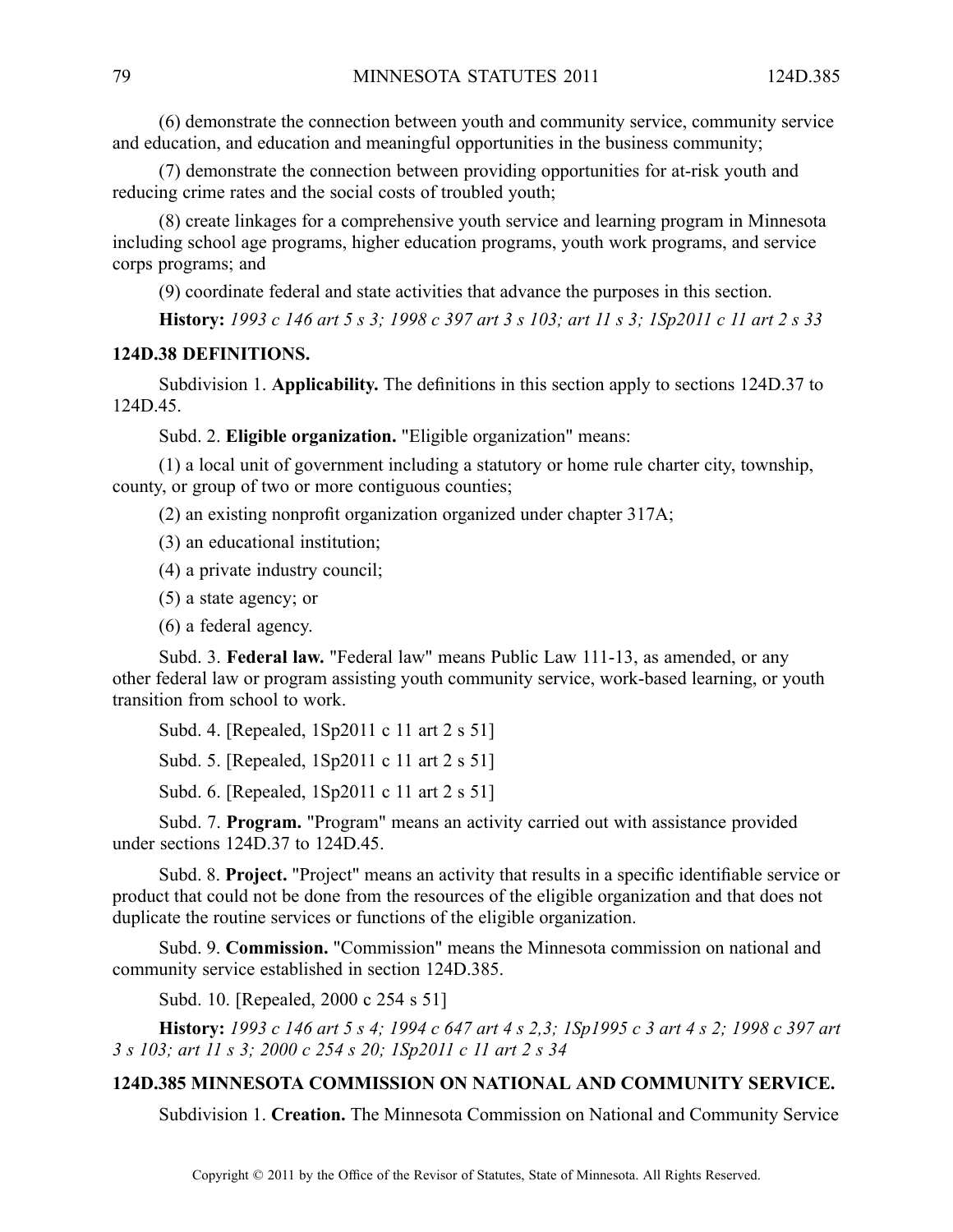(6) demonstrate the connection between youth and community service, community service and education, and education and meaningful opportunities in the business community;

(7) demonstrate the connection between providing opportunities for at-risk youth and reducing crime rates and the social costs of troubled youth;

(8) create linkages for <sup>a</sup> comprehensive youth service and learning program in Minnesota including school age programs, higher education programs, youth work programs, and service corps programs; and

(9) coordinate federal and state activities that advance the purposes in this section.

History: 1993 c 146 art 5 s 3; 1998 c 397 art 3 s 103; art 11 s 3; 1Sp2011 c 11 art 2 s 33

### **124D.38 DEFINITIONS.**

Subdivision 1. **Applicability.** The definitions in this section apply to sections 124D.37 to 124D.45.

Subd. 2. **Eligible organization.** "Eligible organization" means:

(1) <sup>a</sup> local unit of governmen<sup>t</sup> including <sup>a</sup> statutory or home rule charter city, township, county, or group of two or more contiguous counties;

(2) an existing nonprofit organization organized under chapter 317A;

(3) an educational institution;

(4) <sup>a</sup> private industry council;

(5) <sup>a</sup> state agency; or

(6) <sup>a</sup> federal agency.

Subd. 3. **Federal law.** "Federal law" means Public Law 111-13, as amended, or any other federal law or program assisting youth community service, work-based learning, or youth transition from school to work.

Subd. 4. [Repealed, 1Sp2011 <sup>c</sup> 11 art 2 <sup>s</sup> 51]

Subd. 5. [Repealed, 1Sp2011 <sup>c</sup> 11 art 2 <sup>s</sup> 51]

Subd. 6. [Repealed, 1Sp2011 <sup>c</sup> 11 art 2 <sup>s</sup> 51]

Subd. 7. **Program.** "Program" means an activity carried out with assistance provided under sections 124D.37 to 124D.45.

Subd. 8. **Project.** "Project" means an activity that results in <sup>a</sup> specific identifiable service or product that could not be done from the resources of the eligible organization and that does not duplicate the routine services or functions of the eligible organization.

Subd. 9. **Commission.** "Commission" means the Minnesota commission on national and community service established in section 124D.385.

Subd. 10. [Repealed, 2000 <sup>c</sup> 254 <sup>s</sup> 51]

History: 1993 c 146 art 5 s 4; 1994 c 647 art 4 s 2,3; 1Sp1995 c 3 art 4 s 2; 1998 c 397 art *3 <sup>s</sup> 103; art 11 <sup>s</sup> 3; 2000 <sup>c</sup> 254 <sup>s</sup> 20; 1Sp2011 <sup>c</sup> 11 art 2 <sup>s</sup> 34*

## **124D.385 MINNESOTA COMMISSION ON NATIONAL AND COMMUNITY SERVICE.**

Subdivision 1. **Creation.** The Minnesota Commission on National and Community Service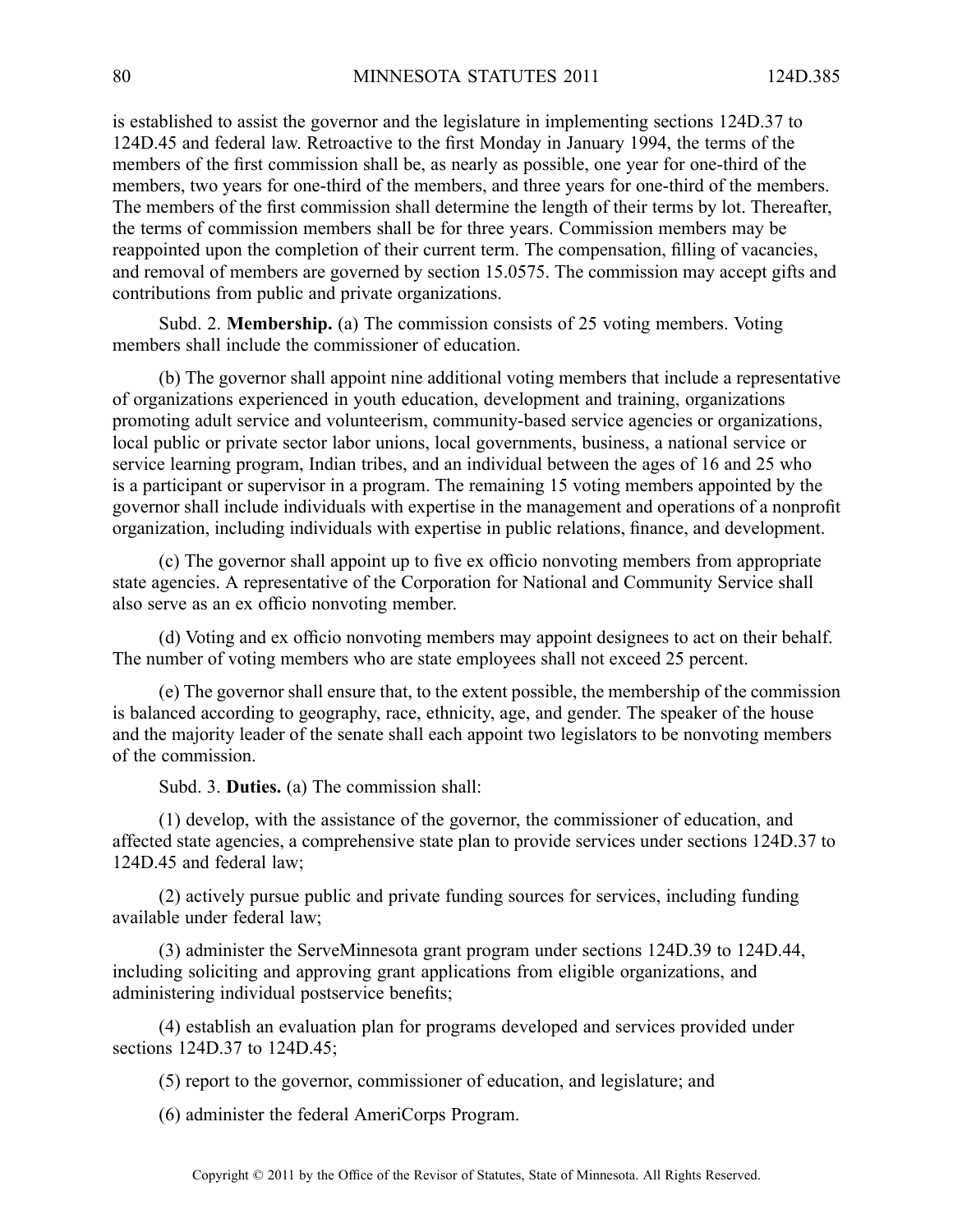is established to assist the governor and the legislature in implementing sections 124D.37 to 124D.45 and federal law. Retroactive to the first Monday in January 1994, the terms of the members of the first commission shall be, as nearly as possible, one year for one-third of the members, two years for one-third of the members, and three years for one-third of the members. The members of the first commission shall determine the length of their terms by lot. Thereafter, the terms of commission members shall be for three years. Commission members may be reappointed upon the completion of their current term. The compensation, filling of vacancies, and removal of members are governed by section 15.0575. The commission may accep<sup>t</sup> gifts and contributions from public and private organizations.

Subd. 2. **Membership.** (a) The commission consists of 25 voting members. Voting members shall include the commissioner of education.

(b) The governor shall appoint nine additional voting members that include <sup>a</sup> representative of organizations experienced in youth education, development and training, organizations promoting adult service and volunteerism, community-based service agencies or organizations, local public or private sector labor unions, local governments, business, <sup>a</sup> national service or service learning program, Indian tribes, and an individual between the ages of 16 and 25 who is <sup>a</sup> participant or supervisor in <sup>a</sup> program. The remaining 15 voting members appointed by the governor shall include individuals with expertise in the managemen<sup>t</sup> and operations of <sup>a</sup> nonprofit organization, including individuals with expertise in public relations, finance, and development.

(c) The governor shall appoint up to five ex officio nonvoting members from appropriate state agencies. A representative of the Corporation for National and Community Service shall also serve as an ex officio nonvoting member.

(d) Voting and ex officio nonvoting members may appoint designees to act on their behalf. The number of voting members who are state employees shall not exceed 25 percent.

(e) The governor shall ensure that, to the extent possible, the membership of the commission is balanced according to geography, race, ethnicity, age, and gender. The speaker of the house and the majority leader of the senate shall each appoint two legislators to be nonvoting members of the commission.

Subd. 3. **Duties.** (a) The commission shall:

(1) develop, with the assistance of the governor, the commissioner of education, and affected state agencies, <sup>a</sup> comprehensive state plan to provide services under sections 124D.37 to 124D.45 and federal law;

(2) actively pursue public and private funding sources for services, including funding available under federal law;

(3) administer the ServeMinnesota gran<sup>t</sup> program under sections 124D.39 to 124D.44, including soliciting and approving gran<sup>t</sup> applications from eligible organizations, and administering individual postservice benefits;

(4) establish an evaluation plan for programs developed and services provided under sections 124D.37 to 124D.45;

(5) repor<sup>t</sup> to the governor, commissioner of education, and legislature; and

(6) administer the federal AmeriCorps Program.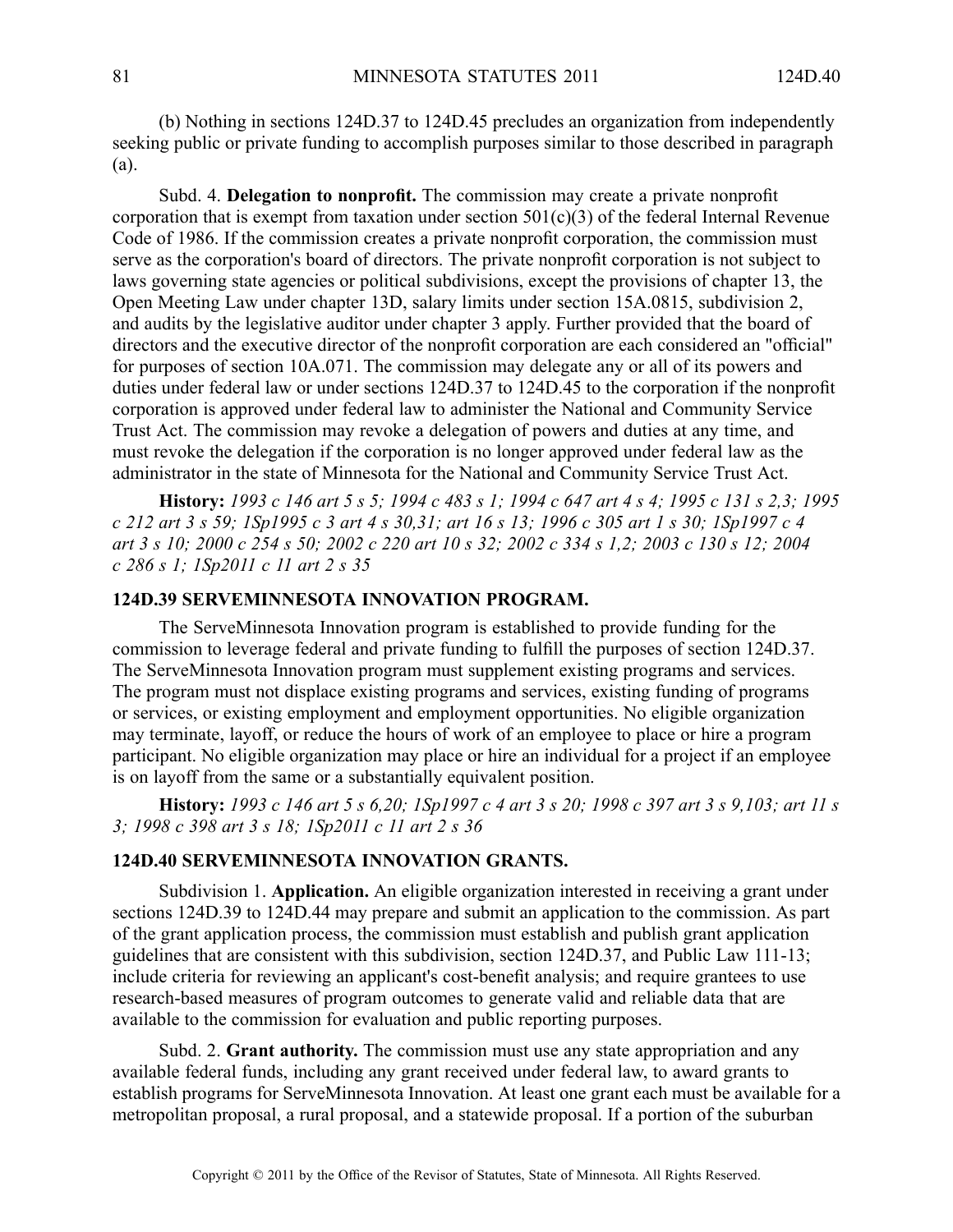(b) Nothing in sections 124D.37 to 124D.45 precludes an organization from independently seeking public or private funding to accomplish purposes similar to those described in paragraph (a).

Subd. 4. **Delegation to nonprofit.** The commission may create <sup>a</sup> private nonprofit corporation that is exempt from taxation under section  $501(c)(3)$  of the federal Internal Revenue Code of 1986. If the commission creates <sup>a</sup> private nonprofit corporation, the commission must serve as the corporation's board of directors. The private nonprofit corporation is not subject to laws governing state agencies or political subdivisions, excep<sup>t</sup> the provisions of chapter 13, the Open Meeting Law under chapter 13D, salary limits under section 15A.0815, subdivision 2, and audits by the legislative auditor under chapter 3 apply. Further provided that the board of directors and the executive director of the nonprofit corporation are each considered an "official" for purposes of section 10A.071. The commission may delegate any or all of its powers and duties under federal law or under sections 124D.37 to 124D.45 to the corporation if the nonprofit corporation is approved under federal law to administer the National and Community Service Trust Act. The commission may revoke <sup>a</sup> delegation of powers and duties at any time, and must revoke the delegation if the corporation is no longer approved under federal law as the administrator in the state of Minnesota for the National and Community Service Trust Act.

History: 1993 c 146 art 5 s 5; 1994 c 483 s 1; 1994 c 647 art 4 s 4; 1995 c 131 s 2,3; 1995 c 212 art 3 s 59; ISp1995 c 3 art 4 s 30,31; art 16 s 13; 1996 c 305 art 1 s 30; ISp1997 c 4 art 3 s 10; 2000 c 254 s 50; 2002 c 220 art 10 s 32; 2002 c 334 s 1,2; 2003 c 130 s 12; 2004 *<sup>c</sup> 286 <sup>s</sup> 1; 1Sp2011 <sup>c</sup> 11 art 2 <sup>s</sup> 35*

# **124D.39 SERVEMINNESOTA INNOVATION PROGRAM.**

The ServeMinnesota Innovation program is established to provide funding for the commission to leverage federal and private funding to fulfill the purposes of section 124D.37. The ServeMinnesota Innovation program must supplement existing programs and services. The program must not displace existing programs and services, existing funding of programs or services, or existing employment and employment opportunities. No eligible organization may terminate, layoff, or reduce the hours of work of an employee to place or hire <sup>a</sup> program participant. No eligible organization may place or hire an individual for <sup>a</sup> project if an employee is on layoff from the same or <sup>a</sup> substantially equivalent position.

History: 1993 c 146 art 5 s 6,20; 1Sp1997 c 4 art 3 s 20; 1998 c 397 art 3 s 9,103; art 11 s *3; 1998 <sup>c</sup> 398 art 3 <sup>s</sup> 18; 1Sp2011 <sup>c</sup> 11 art 2 <sup>s</sup> 36*

### **124D.40 SERVEMINNESOTA INNOVATION GRANTS.**

Subdivision 1. **Application.** An eligible organization interested in receiving <sup>a</sup> gran<sup>t</sup> under sections 124D.39 to 124D.44 may prepare and submit an application to the commission. As part of the gran<sup>t</sup> application process, the commission must establish and publish gran<sup>t</sup> application guidelines that are consistent with this subdivision, section 124D.37, and Public Law 111-13; include criteria for reviewing an applicant's cost-benefit analysis; and require grantees to use research-based measures of program outcomes to generate valid and reliable data that are available to the commission for evaluation and public reporting purposes.

Subd. 2. **Grant authority.** The commission must use any state appropriation and any available federal funds, including any gran<sup>t</sup> received under federal law, to award grants to establish programs for ServeMinnesota Innovation. At least one gran<sup>t</sup> each must be available for <sup>a</sup> metropolitan proposal, <sup>a</sup> rural proposal, and <sup>a</sup> statewide proposal. If <sup>a</sup> portion of the suburban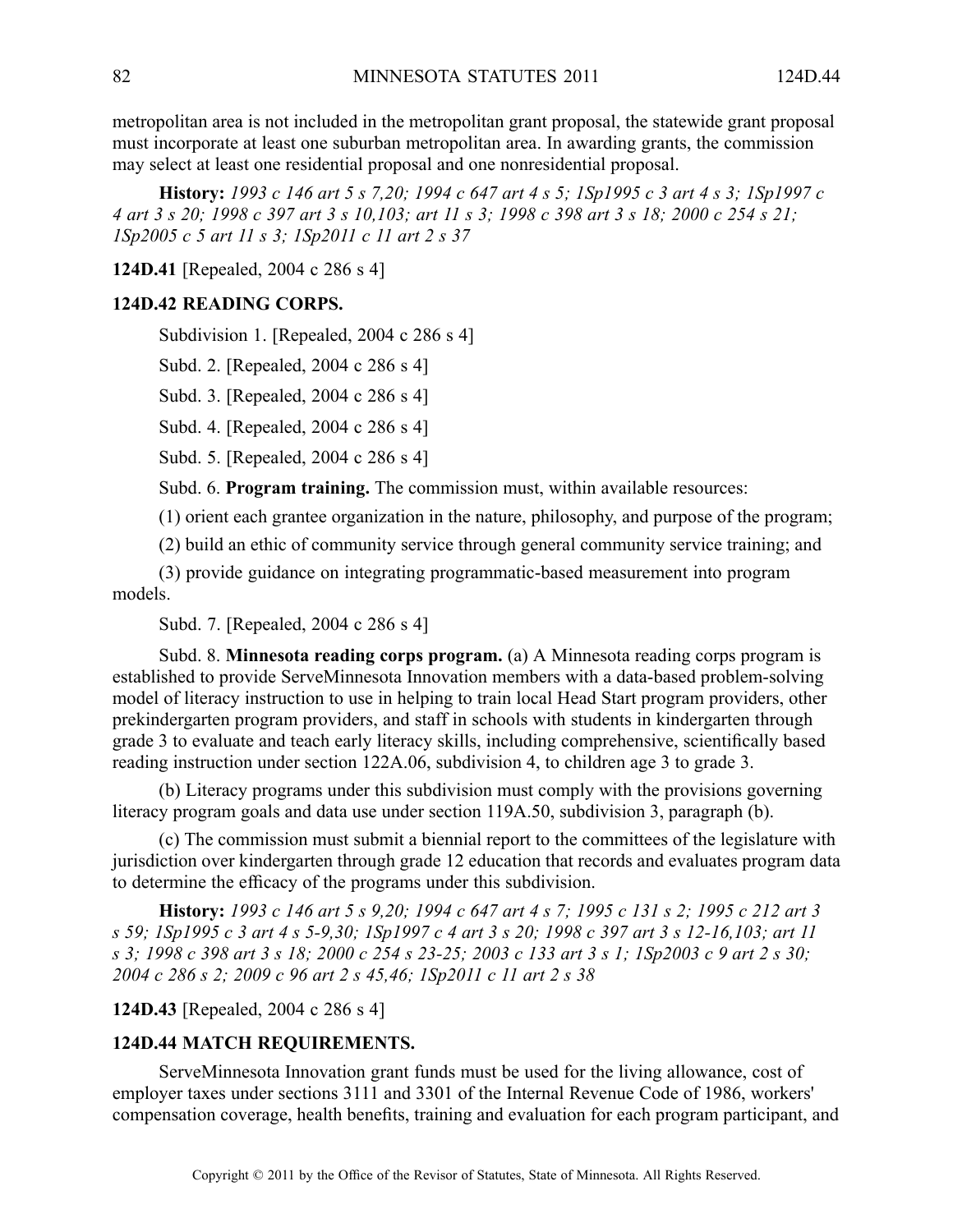metropolitan area is not included in the metropolitan gran<sup>t</sup> proposal, the statewide gran<sup>t</sup> proposal must incorporate at least one suburban metropolitan area. In awarding grants, the commission may select at least one residential proposal and one nonresidential proposal.

**History:** 1993 c 146 art 5 s 7,20; 1994 c 647 art 4 s 5; 1Sp1995 c 3 art 4 s 3; 1Sp1997 c 4 art 3 s 20; 1998 c 397 art 3 s 10,103; art 11 s 3; 1998 c 398 art 3 s 18; 2000 c 254 s 21; *1Sp2005 <sup>c</sup> 5 art 11 <sup>s</sup> 3; 1Sp2011 <sup>c</sup> 11 art 2 <sup>s</sup> 37*

**124D.41** [Repealed, 2004 <sup>c</sup> 286 <sup>s</sup> 4]

#### **124D.42 READING CORPS.**

Subdivision 1. [Repealed, 2004 c 286 s 4]

Subd. 2. [Repealed, 2004 <sup>c</sup> 286 <sup>s</sup> 4]

Subd. 3. [Repealed, 2004 <sup>c</sup> 286 <sup>s</sup> 4]

Subd. 4. [Repealed, 2004 <sup>c</sup> 286 <sup>s</sup> 4]

Subd. 5. [Repealed, 2004 <sup>c</sup> 286 <sup>s</sup> 4]

Subd. 6. **Program training.** The commission must, within available resources:

(1) orient each grantee organization in the nature, philosophy, and purpose of the program;

(2) build an ethic of community service through general community service training; and

(3) provide guidance on integrating programmatic-based measurement into program models.

Subd. 7. [Repealed, 2004 <sup>c</sup> 286 <sup>s</sup> 4]

Subd. 8. **Minnesota reading corps program.** (a) A Minnesota reading corps program is established to provide ServeMinnesota Innovation members with <sup>a</sup> data-based problem-solving model of literacy instruction to use in helping to train local Head Start program providers, other prekindergarten program providers, and staff in schools with students in kindergarten through grade 3 to evaluate and teach early literacy skills, including comprehensive, scientifically based reading instruction under section 122A.06, subdivision 4, to children age 3 to grade 3.

(b) Literacy programs under this subdivision must comply with the provisions governing literacy program goals and data use under section 119A.50, subdivision 3, paragraph (b).

(c) The commission must submit <sup>a</sup> biennial repor<sup>t</sup> to the committees of the legislature with jurisdiction over kindergarten through grade 12 education that records and evaluates program data to determine the efficacy of the programs under this subdivision.

History: 1993 c 146 art 5 s 9,20; 1994 c 647 art 4 s 7; 1995 c 131 s 2; 1995 c 212 art 3 s 59; 1Sp1995 c 3 art 4 s 5-9,30; 1Sp1997 c 4 art 3 s 20; 1998 c 397 art 3 s 12-16,103; art 11 s 3; 1998 c 398 art 3 s 18; 2000 c 254 s 23-25; 2003 c 133 art 3 s 1; 1Sp2003 c 9 art 2 s 30; *2004 <sup>c</sup> 286 <sup>s</sup> 2; 2009 <sup>c</sup> 96 art 2 <sup>s</sup> 45,46; 1Sp2011 <sup>c</sup> 11 art 2 <sup>s</sup> 38*

### **124D.43** [Repealed, 2004 <sup>c</sup> 286 <sup>s</sup> 4]

#### **124D.44 MATCH REQUIREMENTS.**

ServeMinnesota Innovation gran<sup>t</sup> funds must be used for the living allowance, cost of employer taxes under sections 3111 and 3301 of the Internal Revenue Code of 1986, workers' compensation coverage, health benefits, training and evaluation for each program participant, and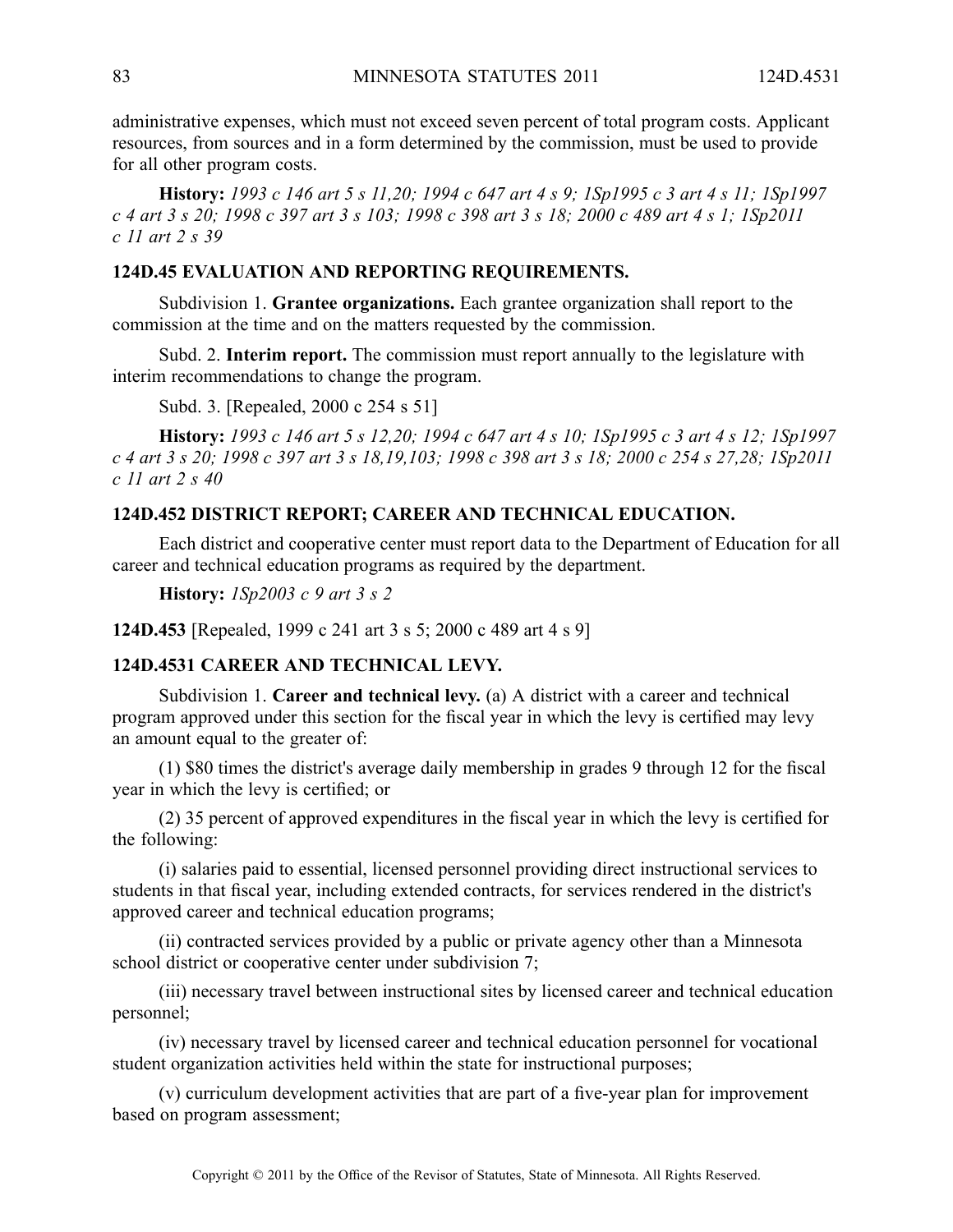administrative expenses, which must not exceed seven percen<sup>t</sup> of total program costs. Applicant resources, from sources and in <sup>a</sup> form determined by the commission, must be used to provide for all other program costs.

History: 1993 c 146 art 5 s 11,20; 1994 c 647 art 4 s 9; 1Sp1995 c 3 art 4 s 11; 1Sp1997 c 4 art 3 s 20; 1998 c 397 art 3 s 103; 1998 c 398 art 3 s 18; 2000 c 489 art 4 s 1; 1Sp2011 *<sup>c</sup> 11 art 2 <sup>s</sup> 39*

## **124D.45 EVALUATION AND REPORTING REQUIREMENTS.**

Subdivision 1. **Grantee organizations.** Each grantee organization shall repor<sup>t</sup> to the commission at the time and on the matters requested by the commission.

Subd. 2. **Interim report.** The commission must repor<sup>t</sup> annually to the legislature with interim recommendations to change the program.

Subd. 3. [Repealed, 2000 <sup>c</sup> 254 <sup>s</sup> 51]

History: 1993 c 146 art 5 s 12,20; 1994 c 647 art 4 s 10; 1Sp1995 c 3 art 4 s 12; 1Sp1997 c 4 art 3 s 20; 1998 c 397 art 3 s 18,19,103; 1998 c 398 art 3 s 18; 2000 c 254 s 27,28; 1Sp2011 *<sup>c</sup> 11 art 2 <sup>s</sup> 40*

# **124D.452 DISTRICT REPORT; CAREER AND TECHNICAL EDUCATION.**

Each district and cooperative center must repor<sup>t</sup> data to the Department of Education for all career and technical education programs as required by the department.

**History:** *1Sp2003 <sup>c</sup> 9 art 3 <sup>s</sup> 2*

**124D.453** [Repealed, 1999 <sup>c</sup> 241 art 3 <sup>s</sup> 5; 2000 <sup>c</sup> 489 art 4 <sup>s</sup> 9]

### **124D.4531 CAREER AND TECHNICAL LEVY.**

Subdivision 1. **Career and technical levy.** (a) A district with <sup>a</sup> career and technical program approved under this section for the fiscal year in which the levy is certified may levy an amount equal to the greater of:

(1) \$80 times the district's average daily membership in grades 9 through 12 for the fiscal year in which the levy is certified; or

(2) 35 percen<sup>t</sup> of approved expenditures in the fiscal year in which the levy is certified for the following:

(i) salaries paid to essential, licensed personnel providing direct instructional services to students in that fiscal year, including extended contracts, for services rendered in the district's approved career and technical education programs;

(ii) contracted services provided by <sup>a</sup> public or private agency other than <sup>a</sup> Minnesota school district or cooperative center under subdivision 7;

(iii) necessary travel between instructional sites by licensed career and technical education personnel;

(iv) necessary travel by licensed career and technical education personnel for vocational student organization activities held within the state for instructional purposes;

(v) curriculum development activities that are par<sup>t</sup> of <sup>a</sup> five-year plan for improvement based on program assessment;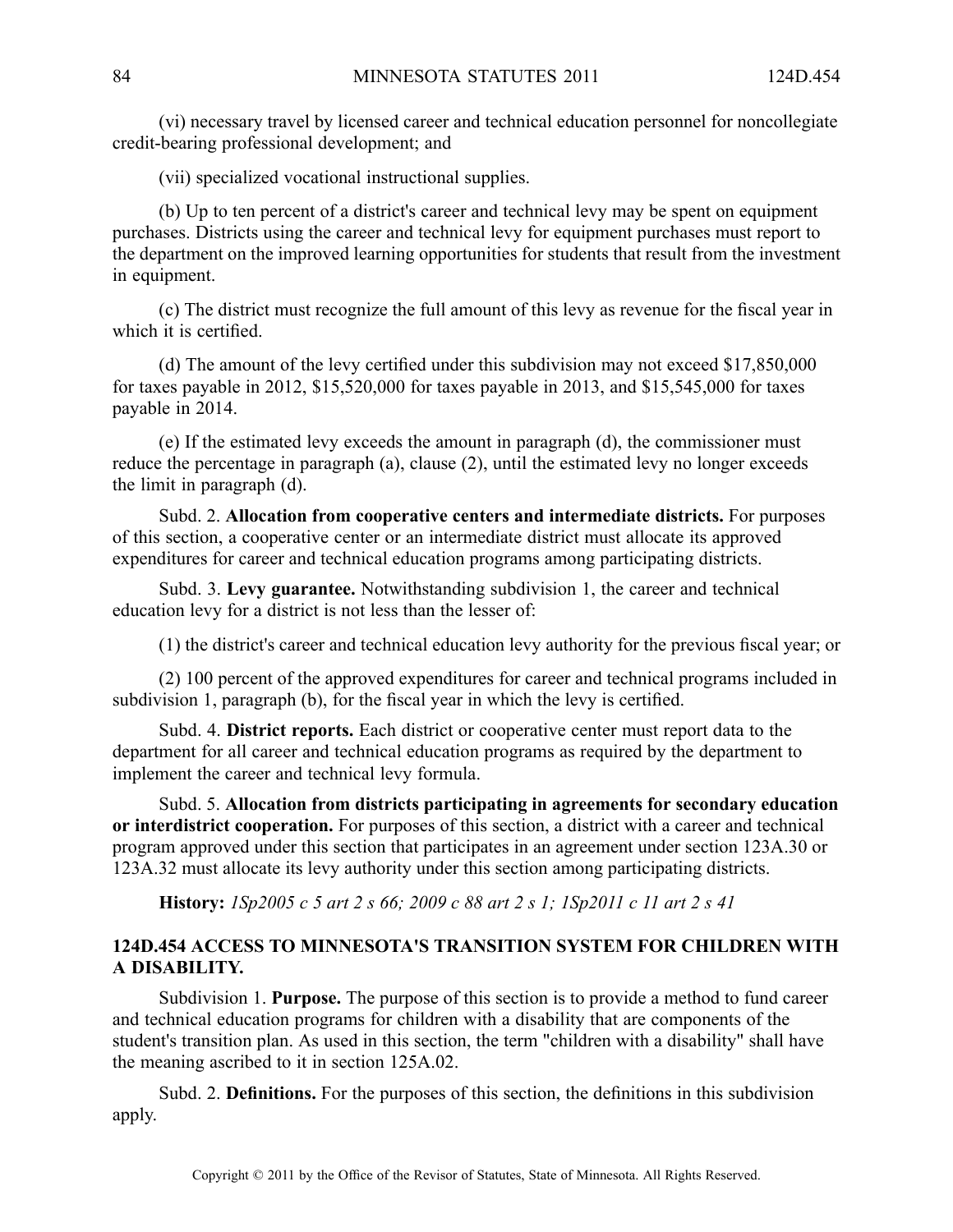(vi) necessary travel by licensed career and technical education personnel for noncollegiate credit-bearing professional development; and

(vii) specialized vocational instructional supplies.

(b) Up to ten percen<sup>t</sup> of <sup>a</sup> district's career and technical levy may be spen<sup>t</sup> on equipment purchases. Districts using the career and technical levy for equipment purchases must repor<sup>t</sup> to the department on the improved learning opportunities for students that result from the investment in equipment.

(c) The district must recognize the full amount of this levy as revenue for the fiscal year in which it is certified.

(d) The amount of the levy certified under this subdivision may not exceed \$17,850,000 for taxes payable in 2012, \$15,520,000 for taxes payable in 2013, and \$15,545,000 for taxes payable in 2014.

(e) If the estimated levy exceeds the amount in paragraph (d), the commissioner must reduce the percentage in paragraph (a), clause (2), until the estimated levy no longer exceeds the limit in paragraph (d).

Subd. 2. **Allocation from cooperative centers and intermediate districts.** For purposes of this section, <sup>a</sup> cooperative center or an intermediate district must allocate its approved expenditures for career and technical education programs among participating districts.

Subd. 3. **Levy guarantee.** Notwithstanding subdivision 1, the career and technical education levy for <sup>a</sup> district is not less than the lesser of:

(1) the district's career and technical education levy authority for the previous fiscal year; or

(2) 100 percen<sup>t</sup> of the approved expenditures for career and technical programs included in subdivision 1, paragraph (b), for the fiscal year in which the levy is certified.

Subd. 4. **District reports.** Each district or cooperative center must repor<sup>t</sup> data to the department for all career and technical education programs as required by the department to implement the career and technical levy formula.

Subd. 5. **Allocation from districts participating in agreements for secondary education or interdistrict cooperation.** For purposes of this section, <sup>a</sup> district with <sup>a</sup> career and technical program approved under this section that participates in an agreemen<sup>t</sup> under section 123A.30 or 123A.32 must allocate its levy authority under this section among participating districts.

**History:** 1Sp2005 c 5 art 2 s 66; 2009 c 88 art 2 s 1; 1Sp2011 c 11 art 2 s 41

# **124D.454 ACCESS TO MINNESOTA'S TRANSITION SYSTEM FOR CHILDREN WITH A DISABILITY.**

Subdivision 1. **Purpose.** The purpose of this section is to provide <sup>a</sup> method to fund career and technical education programs for children with <sup>a</sup> disability that are components of the student's transition plan. As used in this section, the term "children with <sup>a</sup> disability" shall have the meaning ascribed to it in section 125A.02.

Subd. 2. **Definitions.** For the purposes of this section, the definitions in this subdivision apply.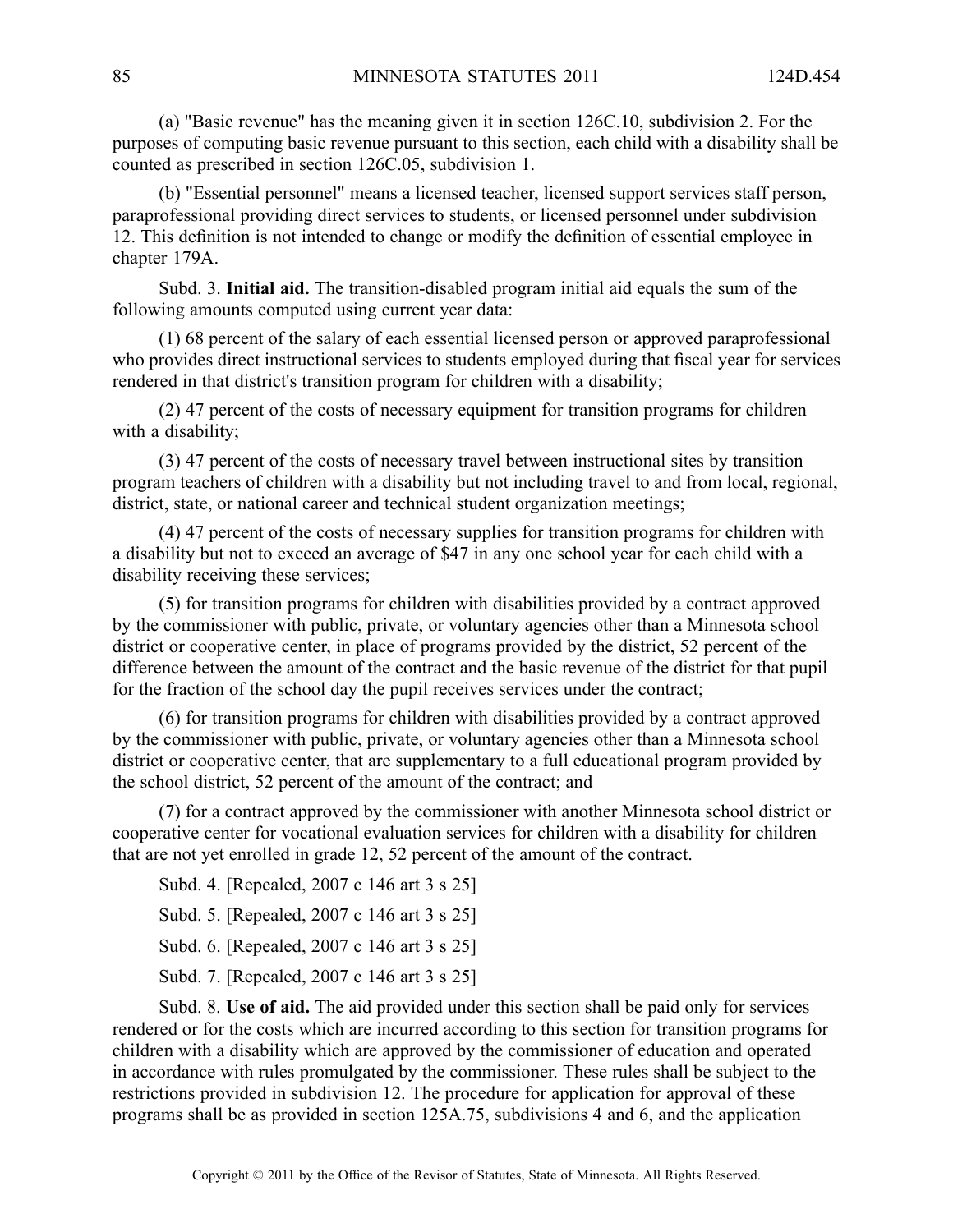(a) "Basic revenue" has the meaning given it in section 126C.10, subdivision 2. For the purposes of computing basic revenue pursuan<sup>t</sup> to this section, each child with <sup>a</sup> disability shall be counted as prescribed in section 126C.05, subdivision 1.

(b) "Essential personnel" means <sup>a</sup> licensed teacher, licensed suppor<sup>t</sup> services staff person, paraprofessional providing direct services to students, or licensed personnel under subdivision 12. This definition is not intended to change or modify the definition of essential employee in chapter 179A.

Subd. 3. **Initial aid.** The transition-disabled program initial aid equals the sum of the following amounts computed using current year data:

(1) 68 percen<sup>t</sup> of the salary of each essential licensed person or approved paraprofessional who provides direct instructional services to students employed during that fiscal year for services rendered in that district's transition program for children with <sup>a</sup> disability;

(2) 47 percen<sup>t</sup> of the costs of necessary equipment for transition programs for children with <sup>a</sup> disability;

(3) 47 percen<sup>t</sup> of the costs of necessary travel between instructional sites by transition program teachers of children with <sup>a</sup> disability but not including travel to and from local, regional, district, state, or national career and technical student organization meetings;

(4) 47 percen<sup>t</sup> of the costs of necessary supplies for transition programs for children with <sup>a</sup> disability but not to exceed an average of \$47 in any one school year for each child with <sup>a</sup> disability receiving these services;

(5) for transition programs for children with disabilities provided by <sup>a</sup> contract approved by the commissioner with public, private, or voluntary agencies other than <sup>a</sup> Minnesota school district or cooperative center, in place of programs provided by the district, 52 percen<sup>t</sup> of the difference between the amount of the contract and the basic revenue of the district for that pupil for the fraction of the school day the pupil receives services under the contract;

(6) for transition programs for children with disabilities provided by <sup>a</sup> contract approved by the commissioner with public, private, or voluntary agencies other than <sup>a</sup> Minnesota school district or cooperative center, that are supplementary to <sup>a</sup> full educational program provided by the school district, 52 percen<sup>t</sup> of the amount of the contract; and

(7) for <sup>a</sup> contract approved by the commissioner with another Minnesota school district or cooperative center for vocational evaluation services for children with <sup>a</sup> disability for children that are not ye<sup>t</sup> enrolled in grade 12, 52 percen<sup>t</sup> of the amount of the contract.

Subd. 4. [Repealed, 2007 <sup>c</sup> 146 art 3 <sup>s</sup> 25]

Subd. 5. [Repealed, 2007 c 146 art 3 s 25]

Subd. 6. [Repealed, 2007 c 146 art 3 s 25]

Subd. 7. [Repealed, 2007 c 146 art 3 s 25]

Subd. 8. **Use of aid.** The aid provided under this section shall be paid only for services rendered or for the costs which are incurred according to this section for transition programs for children with <sup>a</sup> disability which are approved by the commissioner of education and operated in accordance with rules promulgated by the commissioner. These rules shall be subject to the restrictions provided in subdivision 12. The procedure for application for approval of these programs shall be as provided in section 125A.75, subdivisions 4 and 6, and the application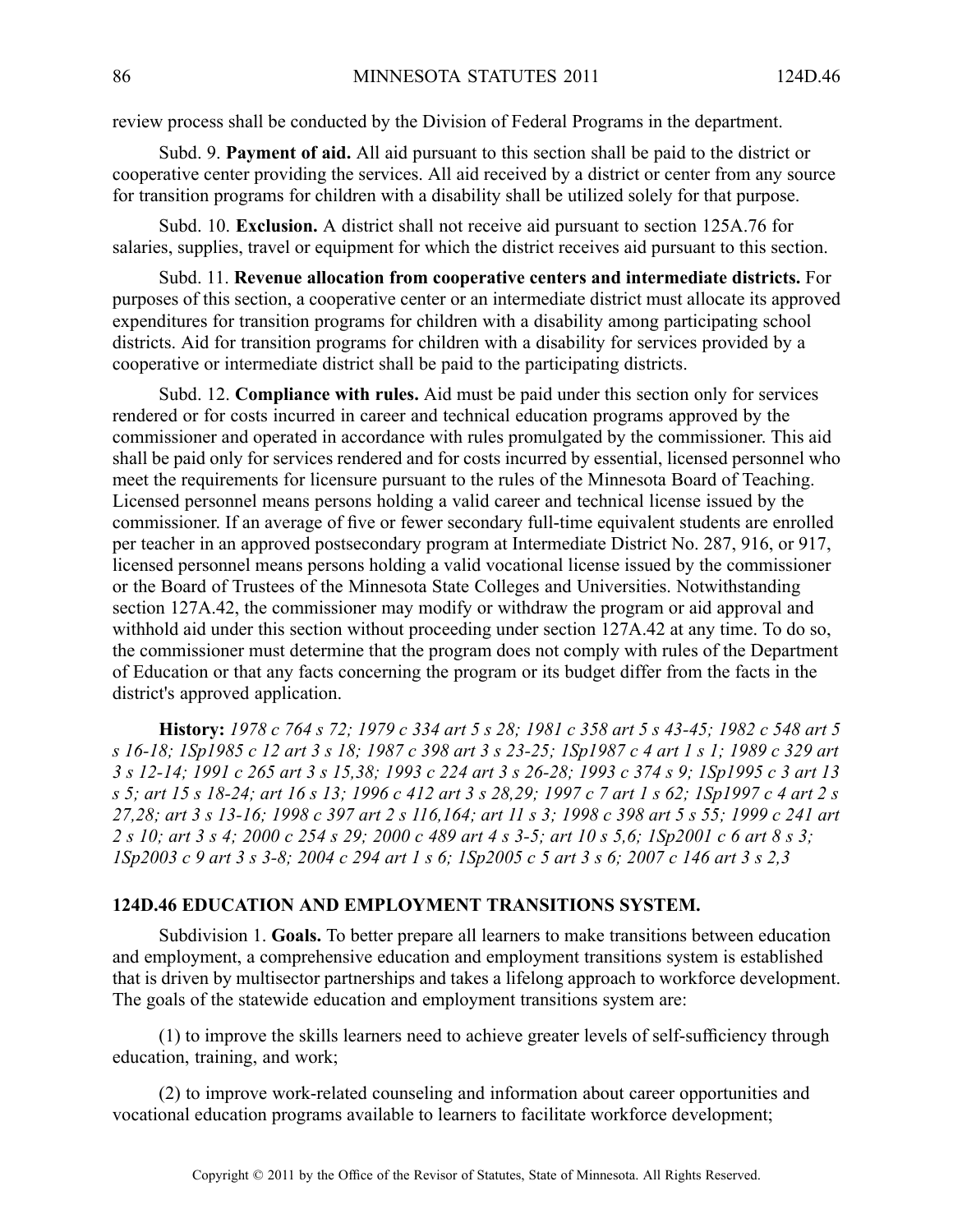review process shall be conducted by the Division of Federal Programs in the department.

Subd. 9. **Payment of aid.** All aid pursuan<sup>t</sup> to this section shall be paid to the district or cooperative center providing the services. All aid received by <sup>a</sup> district or center from any source for transition programs for children with <sup>a</sup> disability shall be utilized solely for that purpose.

Subd. 10. **Exclusion.** A district shall not receive aid pursuan<sup>t</sup> to section 125A.76 for salaries, supplies, travel or equipment for which the district receives aid pursuan<sup>t</sup> to this section.

Subd. 11. **Revenue allocation from cooperative centers and intermediate districts.** For purposes of this section, <sup>a</sup> cooperative center or an intermediate district must allocate its approved expenditures for transition programs for children with <sup>a</sup> disability among participating school districts. Aid for transition programs for children with <sup>a</sup> disability for services provided by <sup>a</sup> cooperative or intermediate district shall be paid to the participating districts.

Subd. 12. **Compliance with rules.** Aid must be paid under this section only for services rendered or for costs incurred in career and technical education programs approved by the commissioner and operated in accordance with rules promulgated by the commissioner. This aid shall be paid only for services rendered and for costs incurred by essential, licensed personnel who meet the requirements for licensure pursuan<sup>t</sup> to the rules of the Minnesota Board of Teaching. Licensed personnel means persons holding <sup>a</sup> valid career and technical license issued by the commissioner. If an average of five or fewer secondary full-time equivalent students are enrolled per teacher in an approved postsecondary program at Intermediate District No. 287, 916, or 917, licensed personnel means persons holding <sup>a</sup> valid vocational license issued by the commissioner or the Board of Trustees of the Minnesota State Colleges and Universities. Notwithstanding section 127A.42, the commissioner may modify or withdraw the program or aid approval and withhold aid under this section without proceeding under section 127A.42 at any time. To do so, the commissioner must determine that the program does not comply with rules of the Department of Education or that any facts concerning the program or its budget differ from the facts in the district's approved application.

History: 1978 c 764 s 72; 1979 c 334 art 5 s 28; 1981 c 358 art 5 s 43-45; 1982 c 548 art 5 s 16-18; 1Sp1985 c 12 art 3 s 18; 1987 c 398 art 3 s 23-25; 1Sp1987 c 4 art 1 s 1; 1989 c 329 art 3 s 12-14; 1991 c 265 art 3 s 15,38; 1993 c 224 art 3 s 26-28; 1993 c 374 s 9; 1Sp1995 c 3 art 13 s 5; art 15 s 18-24; art 16 s 13; 1996 c 412 art 3 s 28,29; 1997 c 7 art 1 s 62; 1Sp1997 c 4 art 2 s 27,28; art 3 s 13-16; 1998 c 397 art 2 s 116,164; art 11 s 3; 1998 c 398 art 5 s 55; 1999 c 241 art 2 s 10; art 3 s 4; 2000 c 254 s 29; 2000 c 489 art 4 s 3-5; art 10 s 5,6; ISp2001 c 6 art 8 s 3; ISp2003 c 9 art 3 s 3-8; 2004 c 294 art 1 s 6; ISp2005 c 5 art 3 s 6; 2007 c 146 art 3 s 2,3

## **124D.46 EDUCATION AND EMPLOYMENT TRANSITIONS SYSTEM.**

Subdivision 1. **Goals.** To better prepare all learners to make transitions between education and employment, <sup>a</sup> comprehensive education and employment transitions system is established that is driven by multisector partnerships and takes <sup>a</sup> lifelong approach to workforce development. The goals of the statewide education and employment transitions system are:

(1) to improve the skills learners need to achieve greater levels of self-sufficiency through education, training, and work;

(2) to improve work-related counseling and information about career opportunities and vocational education programs available to learners to facilitate workforce development;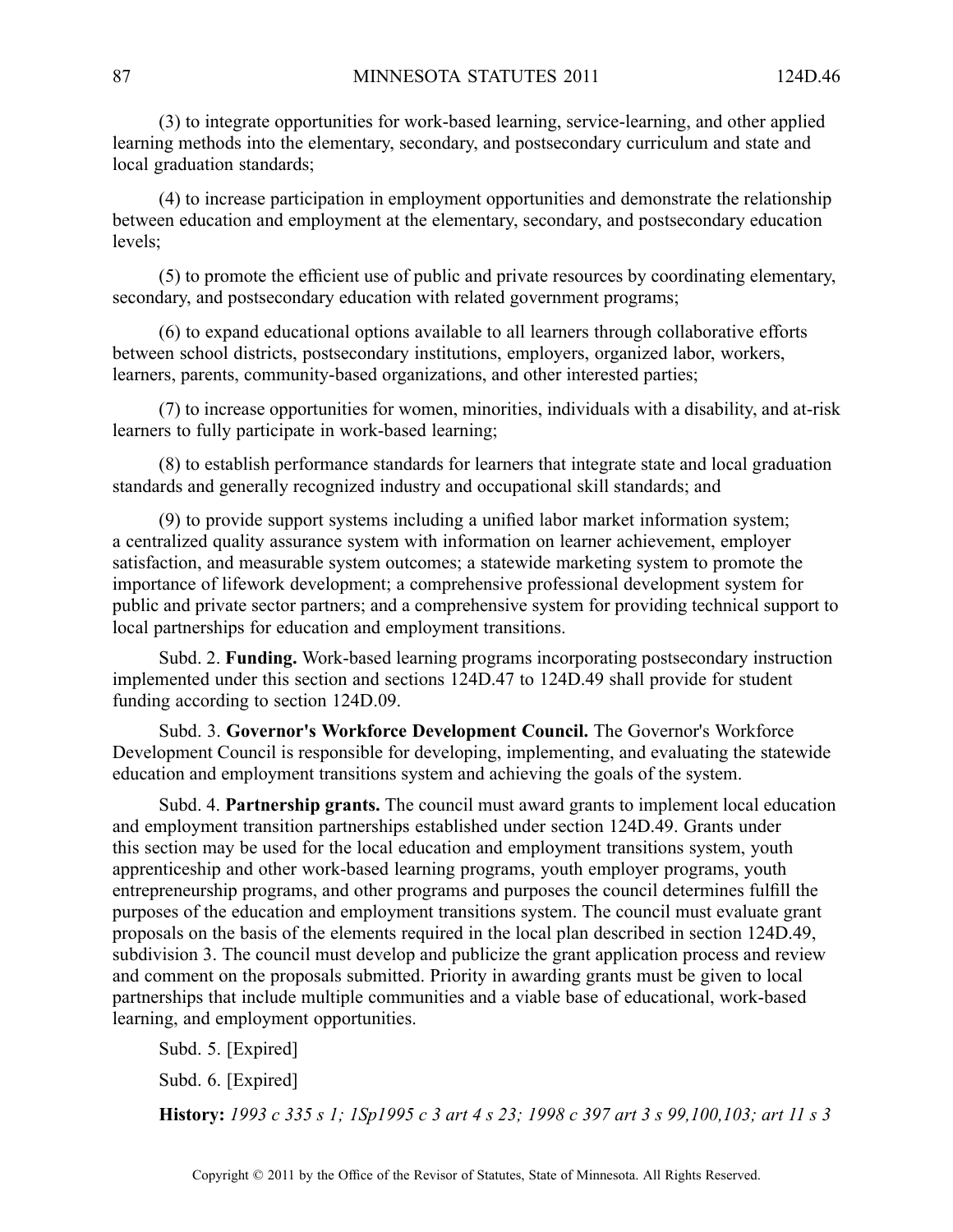(3) to integrate opportunities for work-based learning, service-learning, and other applied learning methods into the elementary, secondary, and postsecondary curriculum and state and local graduation standards;

(4) to increase participation in employment opportunities and demonstrate the relationship between education and employment at the elementary, secondary, and postsecondary education levels;

(5) to promote the efficient use of public and private resources by coordinating elementary, secondary, and postsecondary education with related governmen<sup>t</sup> programs;

(6) to expand educational options available to all learners through collaborative efforts between school districts, postsecondary institutions, employers, organized labor, workers, learners, parents, community-based organizations, and other interested parties;

(7) to increase opportunities for women, minorities, individuals with <sup>a</sup> disability, and at-risk learners to fully participate in work-based learning;

(8) to establish performance standards for learners that integrate state and local graduation standards and generally recognized industry and occupational skill standards; and

(9) to provide suppor<sup>t</sup> systems including <sup>a</sup> unified labor market information system; <sup>a</sup> centralized quality assurance system with information on learner achievement, employer satisfaction, and measurable system outcomes; <sup>a</sup> statewide marketing system to promote the importance of lifework development; <sup>a</sup> comprehensive professional development system for public and private sector partners; and <sup>a</sup> comprehensive system for providing technical suppor<sup>t</sup> to local partnerships for education and employment transitions.

Subd. 2. **Funding.** Work-based learning programs incorporating postsecondary instruction implemented under this section and sections 124D.47 to 124D.49 shall provide for student funding according to section 124D.09.

Subd. 3. **Governor's Workforce Development Council.** The Governor's Workforce Development Council is responsible for developing, implementing, and evaluating the statewide education and employment transitions system and achieving the goals of the system.

Subd. 4. **Partnership grants.** The council must award grants to implement local education and employment transition partnerships established under section 124D.49. Grants under this section may be used for the local education and employment transitions system, youth apprenticeship and other work-based learning programs, youth employer programs, youth entrepreneurship programs, and other programs and purposes the council determines fulfill the purposes of the education and employment transitions system. The council must evaluate gran<sup>t</sup> proposals on the basis of the elements required in the local plan described in section 124D.49, subdivision 3. The council must develop and publicize the gran<sup>t</sup> application process and review and comment on the proposals submitted. Priority in awarding grants must be given to local partnerships that include multiple communities and <sup>a</sup> viable base of educational, work-based learning, and employment opportunities.

Subd. 5. [Expired] Subd. 6. [Expired]

History: 1993 c 335 s 1; 1Sp1995 c 3 art 4 s 23; 1998 c 397 art 3 s 99,100,103; art 11 s 3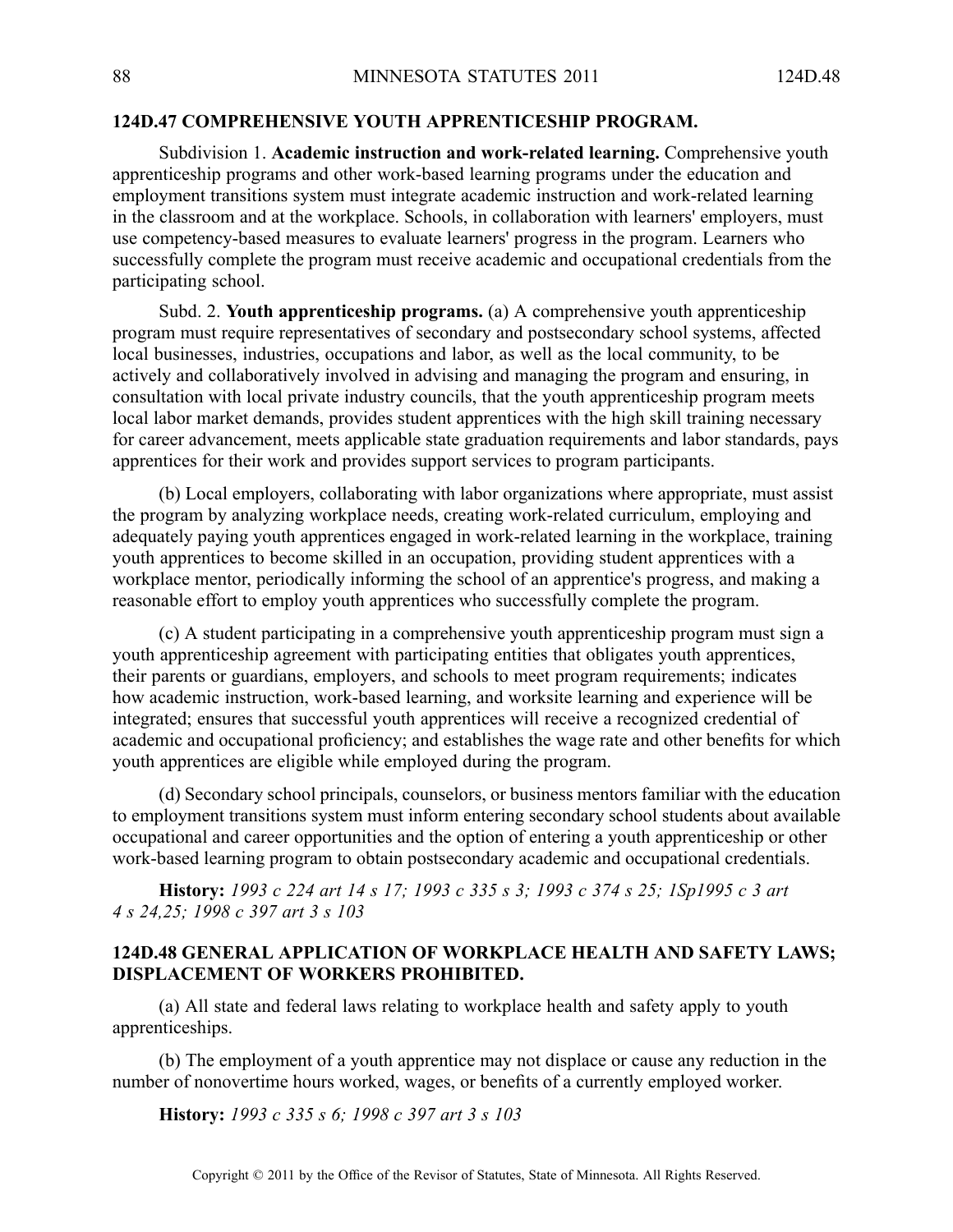# **124D.47 COMPREHENSIVE YOUTH APPRENTICESHIP PROGRAM.**

Subdivision 1. **Academic instruction and work-related learning.** Comprehensive youth apprenticeship programs and other work-based learning programs under the education and employment transitions system must integrate academic instruction and work-related learning in the classroom and at the workplace. Schools, in collaboration with learners' employers, must use competency-based measures to evaluate learners' progress in the program. Learners who successfully complete the program must receive academic and occupational credentials from the participating school.

Subd. 2. **Youth apprenticeship programs.** (a) A comprehensive youth apprenticeship program must require representatives of secondary and postsecondary school systems, affected local businesses, industries, occupations and labor, as well as the local community, to be actively and collaboratively involved in advising and managing the program and ensuring, in consultation with local private industry councils, that the youth apprenticeship program meets local labor market demands, provides student apprentices with the high skill training necessary for career advancement, meets applicable state graduation requirements and labor standards, pays apprentices for their work and provides suppor<sup>t</sup> services to program participants.

(b) Local employers, collaborating with labor organizations where appropriate, must assist the program by analyzing workplace needs, creating work-related curriculum, employing and adequately paying youth apprentices engaged in work-related learning in the workplace, training youth apprentices to become skilled in an occupation, providing student apprentices with <sup>a</sup> workplace mentor, periodically informing the school of an apprentice's progress, and making <sup>a</sup> reasonable effort to employ youth apprentices who successfully complete the program.

(c) A student participating in <sup>a</sup> comprehensive youth apprenticeship program must sign <sup>a</sup> youth apprenticeship agreemen<sup>t</sup> with participating entities that obligates youth apprentices, their parents or guardians, employers, and schools to meet program requirements; indicates how academic instruction, work-based learning, and worksite learning and experience will be integrated; ensures that successful youth apprentices will receive <sup>a</sup> recognized credential of academic and occupational proficiency; and establishes the wage rate and other benefits for which youth apprentices are eligible while employed during the program.

(d) Secondary school principals, counselors, or business mentors familiar with the education to employment transitions system must inform entering secondary school students about available occupational and career opportunities and the option of entering <sup>a</sup> youth apprenticeship or other work-based learning program to obtain postsecondary academic and occupational credentials.

History: 1993 c 224 art 14 s 17; 1993 c 335 s 3; 1993 c 374 s 25; 1Sp1995 c 3 art *4 <sup>s</sup> 24,25; 1998 <sup>c</sup> 397 art 3 <sup>s</sup> 103*

## **124D.48 GENERAL APPLICATION OF WORKPLACE HEALTH AND SAFETY LAWS; DISPLACEMENT OF WORKERS PROHIBITED.**

(a) All state and federal laws relating to workplace health and safety apply to youth apprenticeships.

(b) The employment of <sup>a</sup> youth apprentice may not displace or cause any reduction in the number of nonovertime hours worked, wages, or benefits of <sup>a</sup> currently employed worker.

**History:** *1993 <sup>c</sup> 335 <sup>s</sup> 6; 1998 <sup>c</sup> 397 art 3 <sup>s</sup> 103*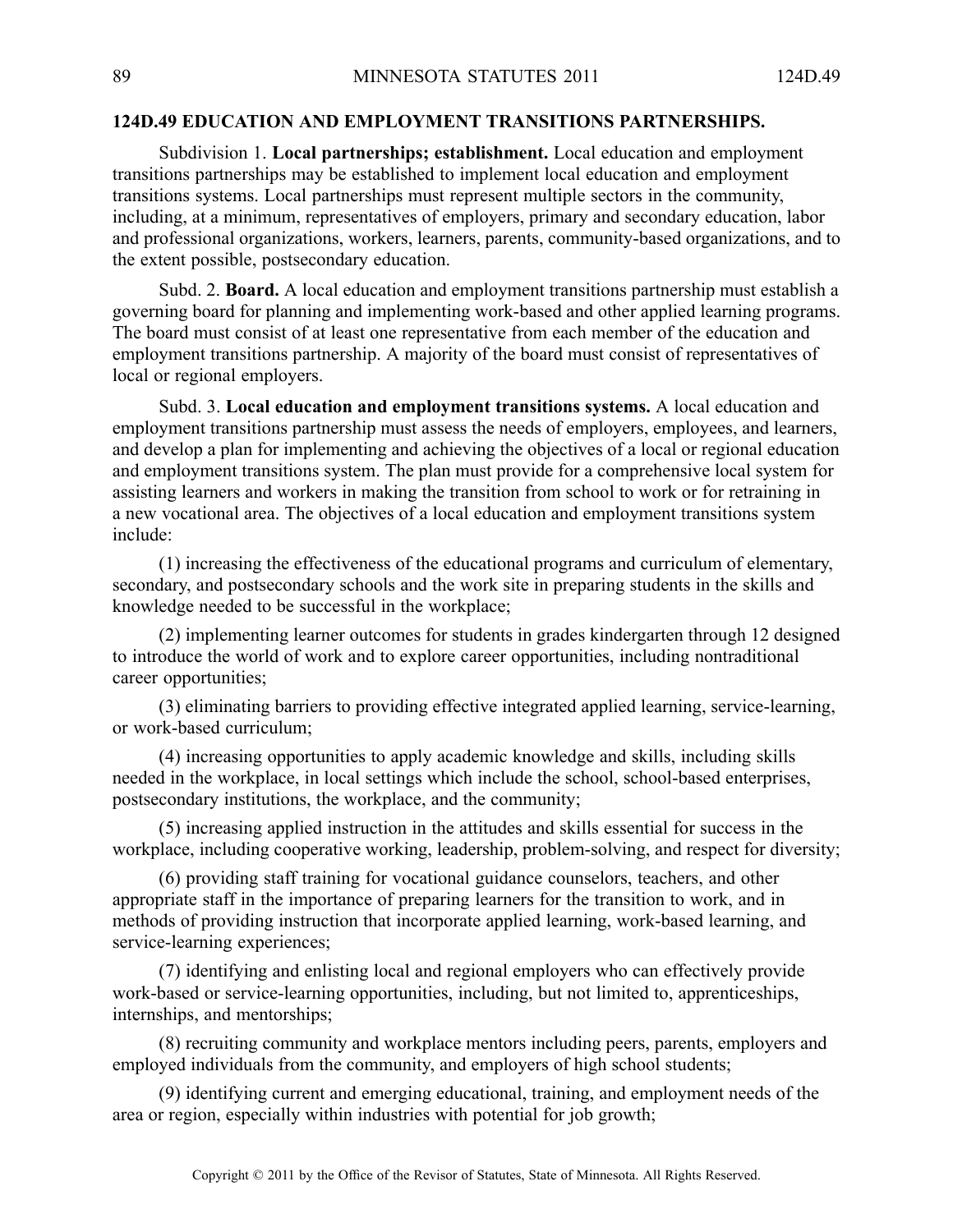## **124D.49 EDUCATION AND EMPLOYMENT TRANSITIONS PARTNERSHIPS.**

Subdivision 1. **Local partnerships; establishment.** Local education and employment transitions partnerships may be established to implement local education and employment transitions systems. Local partnerships must represen<sup>t</sup> multiple sectors in the community, including, at <sup>a</sup> minimum, representatives of employers, primary and secondary education, labor and professional organizations, workers, learners, parents, community-based organizations, and to the extent possible, postsecondary education.

Subd. 2. **Board.** Alocal education and employment transitions partnership must establish <sup>a</sup> governing board for planning and implementing work-based and other applied learning programs. The board must consist of at least one representative from each member of the education and employment transitions partnership. A majority of the board must consist of representatives of local or regional employers.

Subd. 3. **Local education and employment transitions systems.** A local education and employment transitions partnership must assess the needs of employers, employees, and learners, and develop <sup>a</sup> plan for implementing and achieving the objectives of <sup>a</sup> local or regional education and employment transitions system. The plan must provide for <sup>a</sup> comprehensive local system for assisting learners and workers in making the transition from school to work or for retraining in <sup>a</sup> new vocational area. The objectives of <sup>a</sup> local education and employment transitions system include:

(1) increasing the effectiveness of the educational programs and curriculum of elementary, secondary, and postsecondary schools and the work site in preparing students in the skills and knowledge needed to be successful in the workplace;

(2) implementing learner outcomes for students in grades kindergarten through 12 designed to introduce the world of work and to explore career opportunities, including nontraditional career opportunities;

(3) eliminating barriers to providing effective integrated applied learning, service-learning, or work-based curriculum;

(4) increasing opportunities to apply academic knowledge and skills, including skills needed in the workplace, in local settings which include the school, school-based enterprises, postsecondary institutions, the workplace, and the community;

(5) increasing applied instruction in the attitudes and skills essential for success in the workplace, including cooperative working, leadership, problem-solving, and respec<sup>t</sup> for diversity;

(6) providing staff training for vocational guidance counselors, teachers, and other appropriate staff in the importance of preparing learners for the transition to work, and in methods of providing instruction that incorporate applied learning, work-based learning, and service-learning experiences;

(7) identifying and enlisting local and regional employers who can effectively provide work-based or service-learning opportunities, including, but not limited to, apprenticeships, internships, and mentorships;

(8) recruiting community and workplace mentors including peers, parents, employers and employed individuals from the community, and employers of high school students;

(9) identifying current and emerging educational, training, and employment needs of the area or region, especially within industries with potential for job growth;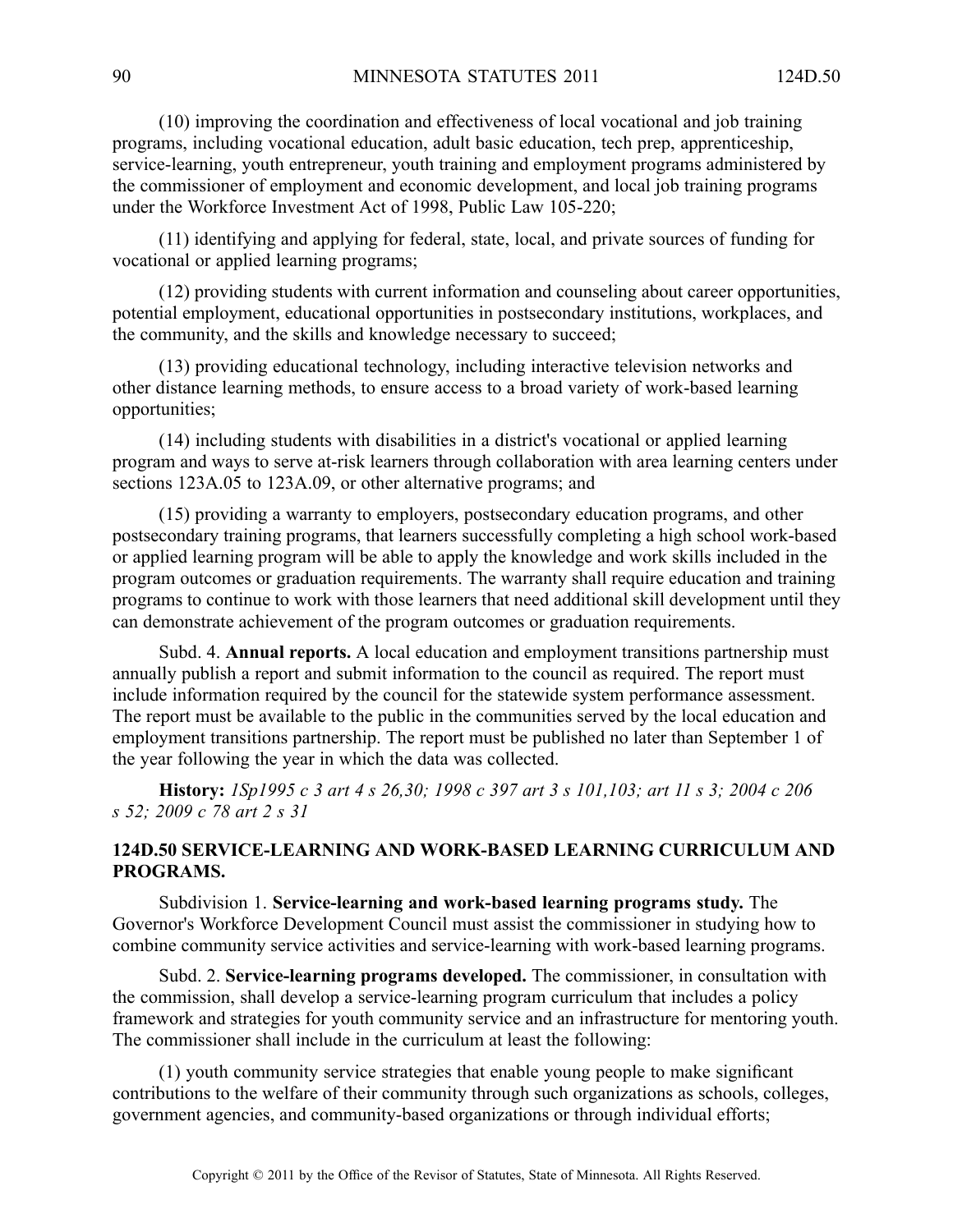(10) improving the coordination and effectiveness of local vocational and job training programs, including vocational education, adult basic education, tech prep, apprenticeship, service-learning, youth entrepreneur, youth training and employment programs administered by the commissioner of employment and economic development, and local job training programs under the Workforce Investment Act of 1998, Public Law 105-220;

(11) identifying and applying for federal, state, local, and private sources of funding for vocational or applied learning programs;

(12) providing students with current information and counseling about career opportunities, potential employment, educational opportunities in postsecondary institutions, workplaces, and the community, and the skills and knowledge necessary to succeed;

(13) providing educational technology, including interactive television networks and other distance learning methods, to ensure access to <sup>a</sup> broad variety of work-based learning opportunities;

(14) including students with disabilities in <sup>a</sup> district's vocational or applied learning program and ways to serve at-risk learners through collaboration with area learning centers under sections 123A.05 to 123A.09, or other alternative programs; and

(15) providing <sup>a</sup> warranty to employers, postsecondary education programs, and other postsecondary training programs, that learners successfully completing <sup>a</sup> high school work-based or applied learning program will be able to apply the knowledge and work skills included in the program outcomes or graduation requirements. The warranty shall require education and training programs to continue to work with those learners that need additional skill development until they can demonstrate achievement of the program outcomes or graduation requirements.

Subd. 4. **Annual reports.** Alocal education and employment transitions partnership must annually publish <sup>a</sup> repor<sup>t</sup> and submit information to the council as required. The repor<sup>t</sup> must include information required by the council for the statewide system performance assessment. The repor<sup>t</sup> must be available to the public in the communities served by the local education and employment transitions partnership. The repor<sup>t</sup> must be published no later than September 1 of the year following the year in which the data was collected.

History: 1Sp1995 c 3 art 4 s 26,30; 1998 c 397 art 3 s 101,103; art 11 s 3; 2004 c 206 *<sup>s</sup> 52; 2009 <sup>c</sup> 78 art 2 <sup>s</sup> 31*

# **124D.50 SERVICE-LEARNING AND WORK-BASED LEARNING CURRICULUM AND PROGRAMS.**

Subdivision 1. **Service-learning and work-based learning programs study.** The Governor's Workforce Development Council must assist the commissioner in studying how to combine community service activities and service-learning with work-based learning programs.

Subd. 2. **Service-learning programs developed.** The commissioner, in consultation with the commission, shall develop <sup>a</sup> service-learning program curriculum that includes <sup>a</sup> policy framework and strategies for youth community service and an infrastructure for mentoring youth. The commissioner shall include in the curriculum at least the following:

(1) youth community service strategies that enable young people to make significant contributions to the welfare of their community through such organizations as schools, colleges, governmen<sup>t</sup> agencies, and community-based organizations or through individual efforts;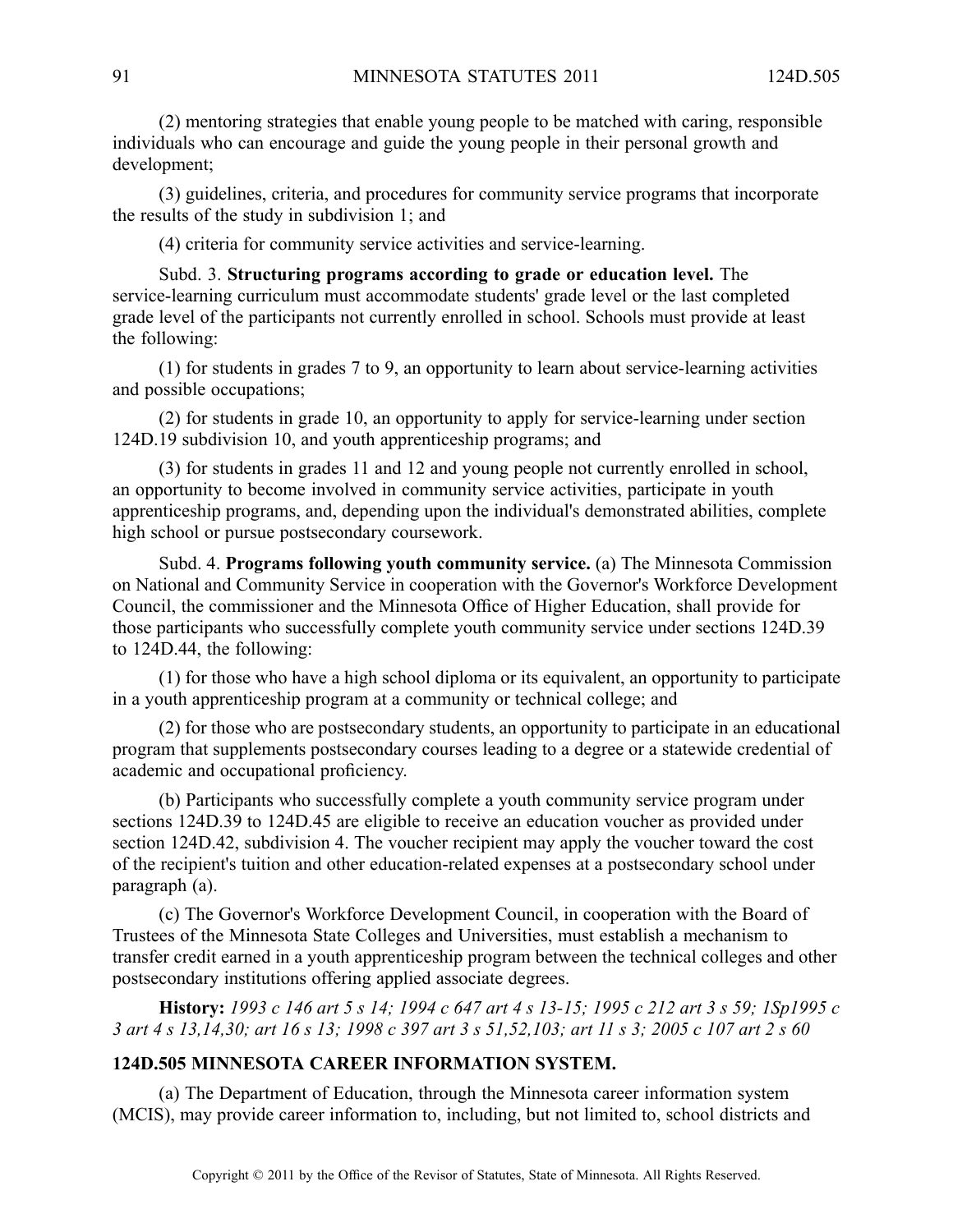(2) mentoring strategies that enable young people to be matched with caring, responsible individuals who can encourage and guide the young people in their personal growth and development;

(3) guidelines, criteria, and procedures for community service programs that incorporate the results of the study in subdivision 1; and

(4) criteria for community service activities and service-learning.

Subd. 3. **Structuring programs according to grade or education level.** The service-learning curriculum must accommodate students' grade level or the last completed grade level of the participants not currently enrolled in school. Schools must provide at least the following:

(1) for students in grades 7 to 9, an opportunity to learn about service-learning activities and possible occupations;

(2) for students in grade 10, an opportunity to apply for service-learning under section 124D.19 subdivision 10, and youth apprenticeship programs; and

(3) for students in grades 11 and 12 and young people not currently enrolled in school, an opportunity to become involved in community service activities, participate in youth apprenticeship programs, and, depending upon the individual's demonstrated abilities, complete high school or pursue postsecondary coursework.

Subd. 4. **Programs following youth community service.** (a) The Minnesota Commission on National and Community Service in cooperation with the Governor's Workforce Development Council, the commissioner and the Minnesota Office of Higher Education, shall provide for those participants who successfully complete youth community service under sections 124D.39 to 124D.44, the following:

(1) for those who have <sup>a</sup> high school diploma or its equivalent, an opportunity to participate in <sup>a</sup> youth apprenticeship program at <sup>a</sup> community or technical college; and

(2) for those who are postsecondary students, an opportunity to participate in an educational program that supplements postsecondary courses leading to <sup>a</sup> degree or <sup>a</sup> statewide credential of academic and occupational proficiency.

(b) Participants who successfully complete <sup>a</sup> youth community service program under sections 124D.39 to 124D.45 are eligible to receive an education voucher as provided under section 124D.42, subdivision 4. The voucher recipient may apply the voucher toward the cost of the recipient's tuition and other education-related expenses at <sup>a</sup> postsecondary school under paragraph (a).

(c) The Governor's Workforce Development Council, in cooperation with the Board of Trustees of the Minnesota State Colleges and Universities, must establish <sup>a</sup> mechanism to transfer credit earned in <sup>a</sup> youth apprenticeship program between the technical colleges and other postsecondary institutions offering applied associate degrees.

History: 1993 c 146 art 5 s 14; 1994 c 647 art 4 s 13-15; 1995 c 212 art 3 s 59; 1Sp1995 c 3 art 4 s 13, 14, 30; art 16 s 13; 1998 c 397 art 3 s 51, 52, 103; art 11 s 3; 2005 c 107 art 2 s 60

# **124D.505 MINNESOTA CAREER INFORMATION SYSTEM.**

(a) The Department of Education, through the Minnesota career information system (MCIS), may provide career information to, including, but not limited to, school districts and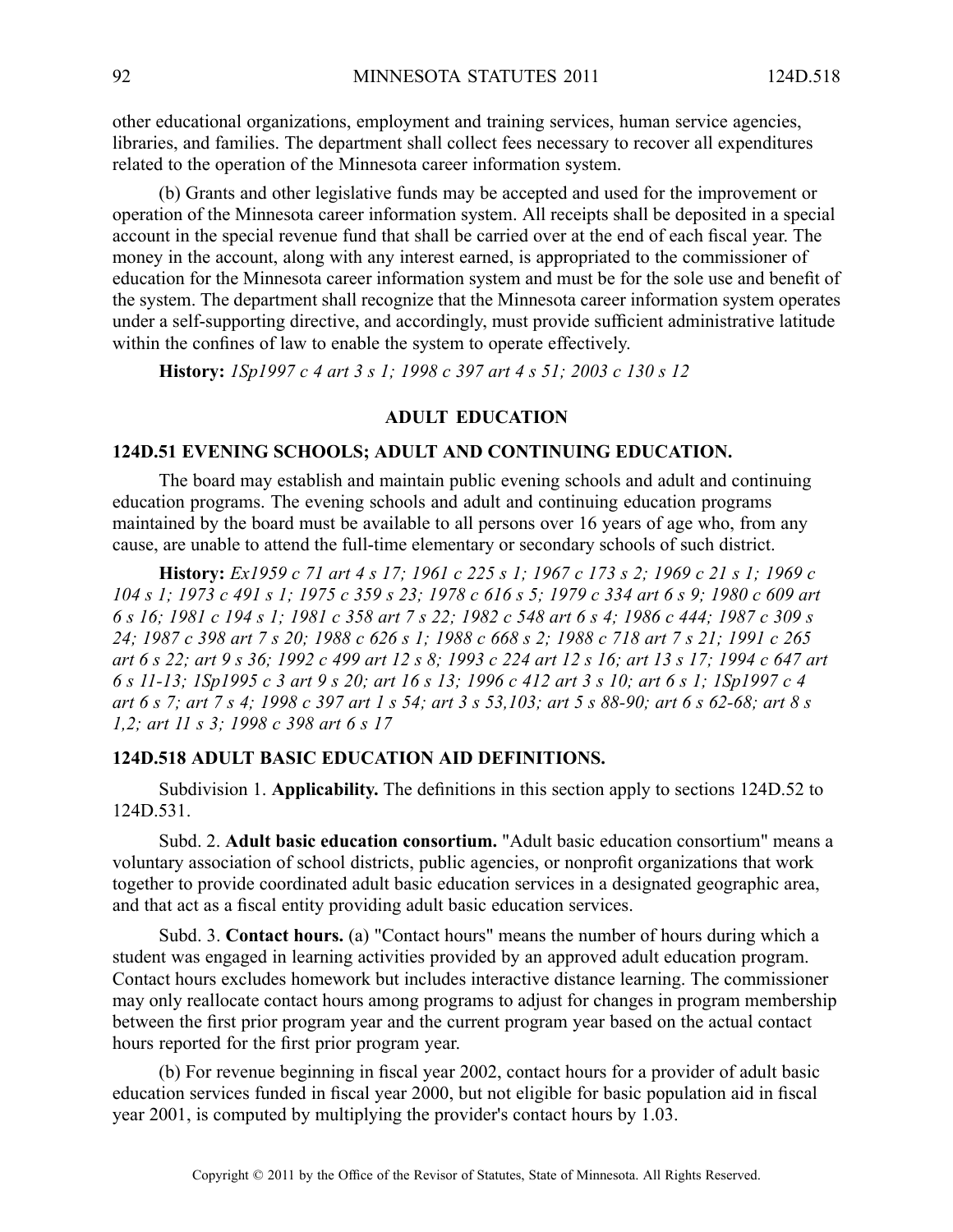other educational organizations, employment and training services, human service agencies, libraries, and families. The department shall collect fees necessary to recover all expenditures related to the operation of the Minnesota career information system.

(b) Grants and other legislative funds may be accepted and used for the improvement or operation of the Minnesota career information system. All receipts shall be deposited in <sup>a</sup> special account in the special revenue fund that shall be carried over at the end of each fiscal year. The money in the account, along with any interest earned, is appropriated to the commissioner of education for the Minnesota career information system and must be for the sole use and benefit of the system. The department shall recognize that the Minnesota career information system operates under <sup>a</sup> self-supporting directive, and accordingly, must provide sufficient administrative latitude within the confines of law to enable the system to operate effectively.

**History:** *1Sp1997 <sup>c</sup> 4 art 3 <sup>s</sup> 1; 1998 <sup>c</sup> 397 art 4 <sup>s</sup> 51; 2003 <sup>c</sup> 130 <sup>s</sup> 12*

#### **ADULT EDUCATION**

### **124D.51 EVENING SCHOOLS; ADULT AND CONTINUING EDUCATION.**

The board may establish and maintain public evening schools and adult and continuing education programs. The evening schools and adult and continuing education programs maintained by the board must be available to all persons over 16 years of age who, from any cause, are unable to attend the full-time elementary or secondary schools of such district.

History: Ex1959 c 71 art 4 s 17; 1961 c 225 s 1; 1967 c 173 s 2; 1969 c 21 s 1; 1969 c 104 s 1; 1973 c 491 s 1; 1975 c 359 s 23; 1978 c 616 s 5; 1979 c 334 art 6 s 9; 1980 c 609 art 6 s 16; 1981 c 194 s 1; 1981 c 358 art 7 s 22; 1982 c 548 art 6 s 4; 1986 c 444; 1987 c 309 s 24; 1987 c 398 art 7 s 20; 1988 c 626 s 1; 1988 c 668 s 2; 1988 c 718 art 7 s 21; 1991 c 265 art 6 s 22; art 9 s 36; 1992 c 499 art 12 s 8; 1993 c 224 art 12 s 16; art 13 s 17; 1994 c 647 art 6 s 11-13; 1Sp1995 c 3 art 9 s 20; art 16 s 13; 1996 c 412 art 3 s 10; art 6 s 1; 1Sp1997 c 4 art 6 s 7; art 7 s 4; 1998 c 397 art 1 s 54; art 3 s 53, 103; art 5 s 88-90; art 6 s 62-68; art 8 s *1,2; art 11 <sup>s</sup> 3; 1998 <sup>c</sup> 398 art 6 <sup>s</sup> 17*

#### **124D.518 ADULT BASIC EDUCATION AID DEFINITIONS.**

Subdivision 1. **Applicability.** The definitions in this section apply to sections 124D.52 to 124D.531.

Subd. 2. **Adult basic education consortium.** "Adult basic education consortium" means <sup>a</sup> voluntary association of school districts, public agencies, or nonprofit organizations that work together to provide coordinated adult basic education services in <sup>a</sup> designated geographic area, and that act as <sup>a</sup> fiscal entity providing adult basic education services.

Subd. 3. **Contact hours.** (a) "Contact hours" means the number of hours during which <sup>a</sup> student was engaged in learning activities provided by an approved adult education program. Contact hours excludes homework but includes interactive distance learning. The commissioner may only reallocate contact hours among programs to adjust for changes in program membership between the first prior program year and the current program year based on the actual contact hours reported for the first prior program year.

(b) For revenue beginning in fiscal year 2002, contact hours for <sup>a</sup> provider of adult basic education services funded in fiscal year 2000, but not eligible for basic population aid in fiscal year 2001, is computed by multiplying the provider's contact hours by 1.03.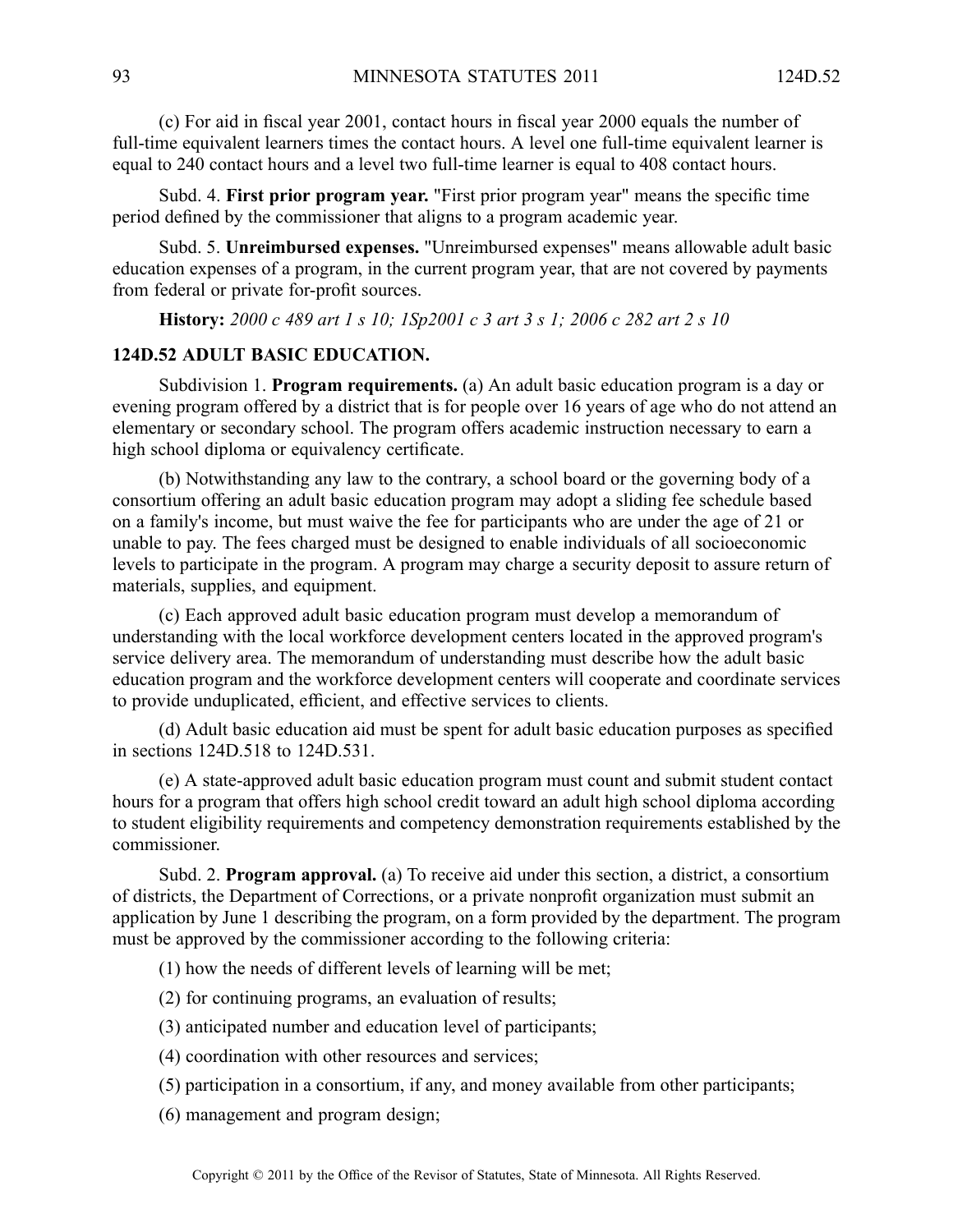(c) For aid in fiscal year 2001, contact hours in fiscal year 2000 equals the number of full-time equivalent learners times the contact hours. A level one full-time equivalent learner is equal to 240 contact hours and <sup>a</sup> level two full-time learner is equal to 408 contact hours.

Subd. 4. **First prior program year.** "First prior program year" means the specific time period defined by the commissioner that aligns to <sup>a</sup> program academic year.

Subd. 5. **Unreimbursed expenses.** "Unreimbursed expenses" means allowable adult basic education expenses of <sup>a</sup> program, in the current program year, that are not covered by payments from federal or private for-profit sources.

History: 2000 c 489 art 1 s 10; 1Sp2001 c 3 art 3 s 1; 2006 c 282 art 2 s 10

# **124D.52 ADULT BASIC EDUCATION.**

Subdivision 1. **Program requirements.** (a) An adult basic education program is <sup>a</sup> day or evening program offered by <sup>a</sup> district that is for people over 16 years of age who do not attend an elementary or secondary school. The program offers academic instruction necessary to earn <sup>a</sup> high school diploma or equivalency certificate.

(b) Notwithstanding any law to the contrary, <sup>a</sup> school board or the governing body of <sup>a</sup> consortium offering an adult basic education program may adopt <sup>a</sup> sliding fee schedule based on <sup>a</sup> family's income, but must waive the fee for participants who are under the age of 21 or unable to pay. The fees charged must be designed to enable individuals of all socioeconomic levels to participate in the program. A program may charge a security deposit to assure return of materials, supplies, and equipment.

(c) Each approved adult basic education program must develop <sup>a</sup> memorandum of understanding with the local workforce development centers located in the approved program's service delivery area. The memorandum of understanding must describe how the adult basic education program and the workforce development centers will cooperate and coordinate services to provide unduplicated, efficient, and effective services to clients.

(d) Adult basic education aid must be spen<sup>t</sup> for adult basic education purposes as specified in sections 124D.518 to 124D.531.

(e) A state-approved adult basic education program must count and submit student contact hours for <sup>a</sup> program that offers high school credit toward an adult high school diploma according to student eligibility requirements and competency demonstration requirements established by the commissioner.

Subd. 2. **Program approval.** (a) To receive aid under this section, <sup>a</sup> district, <sup>a</sup> consortium of districts, the Department of Corrections, or <sup>a</sup> private nonprofit organization must submit an application by June 1 describing the program, on <sup>a</sup> form provided by the department. The program must be approved by the commissioner according to the following criteria:

(1) how the needs of different levels of learning will be met;

- (2) for continuing programs, an evaluation of results;
- (3) anticipated number and education level of participants;
- (4) coordination with other resources and services;
- (5) participation in <sup>a</sup> consortium, if any, and money available from other participants;

(6) managemen<sup>t</sup> and program design;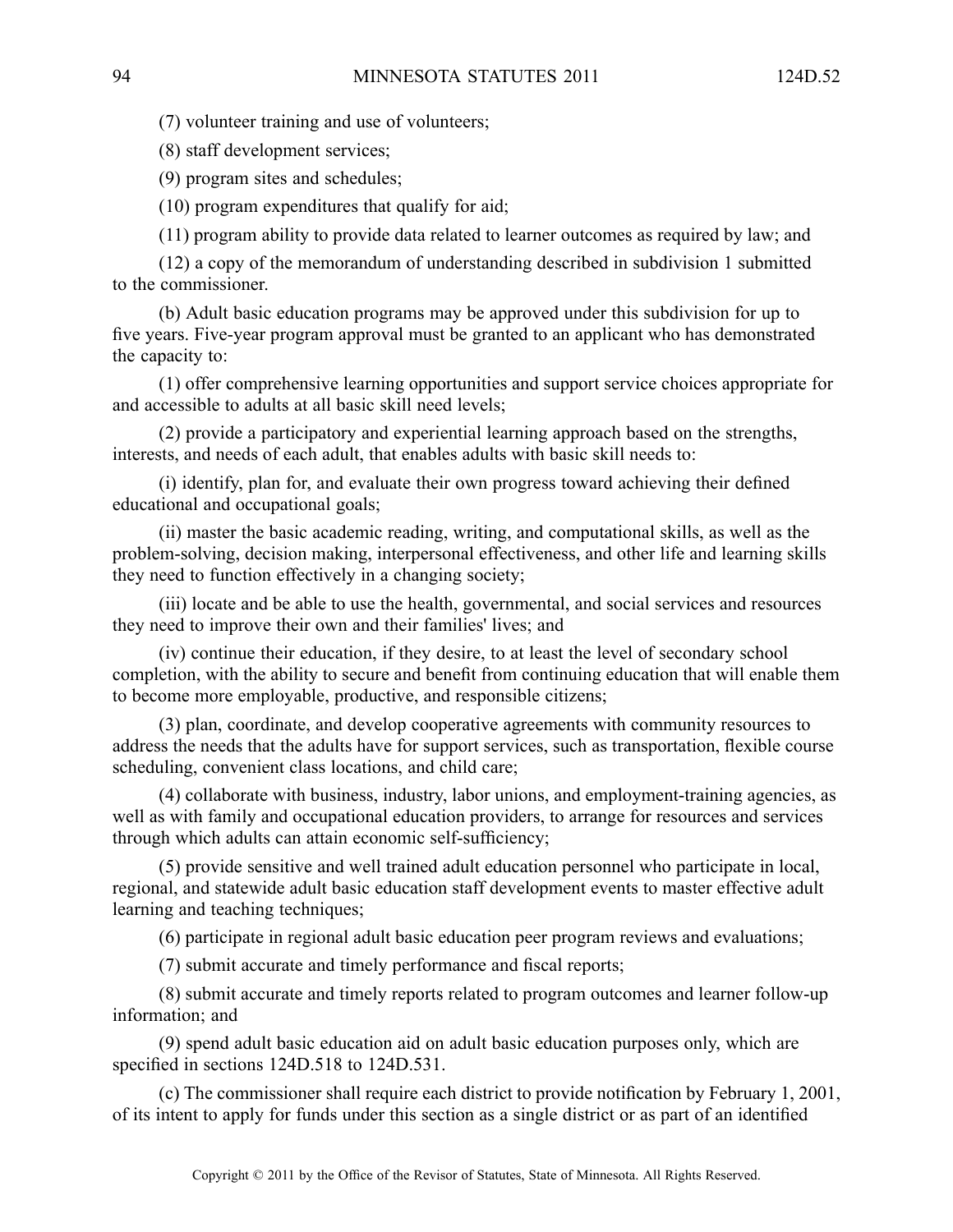(7) volunteer training and use of volunteers;

(8) staff development services;

(9) program sites and schedules;

(10) program expenditures that qualify for aid;

(11) program ability to provide data related to learner outcomes as required by law; and

(12) <sup>a</sup> copy of the memorandum of understanding described in subdivision 1 submitted to the commissioner.

(b) Adult basic education programs may be approved under this subdivision for up to five years. Five-year program approval must be granted to an applicant who has demonstrated the capacity to:

(1) offer comprehensive learning opportunities and suppor<sup>t</sup> service choices appropriate for and accessible to adults at all basic skill need levels;

(2) provide <sup>a</sup> participatory and experiential learning approach based on the strengths, interests, and needs of each adult, that enables adults with basic skill needs to:

(i) identify, plan for, and evaluate their own progress toward achieving their defined educational and occupational goals;

(ii) master the basic academic reading, writing, and computational skills, as well as the problem-solving, decision making, interpersonal effectiveness, and other life and learning skills they need to function effectively in <sup>a</sup> changing society;

(iii) locate and be able to use the health, governmental, and social services and resources they need to improve their own and their families' lives; and

(iv) continue their education, if they desire, to at least the level of secondary school completion, with the ability to secure and benefit from continuing education that will enable them to become more employable, productive, and responsible citizens;

(3) plan, coordinate, and develop cooperative agreements with community resources to address the needs that the adults have for suppor<sup>t</sup> services, such as transportation, flexible course scheduling, convenient class locations, and child care;

(4) collaborate with business, industry, labor unions, and employment-training agencies, as well as with family and occupational education providers, to arrange for resources and services through which adults can attain economic self-sufficiency;

(5) provide sensitive and well trained adult education personnel who participate in local, regional, and statewide adult basic education staff development events to master effective adult learning and teaching techniques;

(6) participate in regional adult basic education peer program reviews and evaluations;

(7) submit accurate and timely performance and fiscal reports;

(8) submit accurate and timely reports related to program outcomes and learner follow-up information; and

(9) spend adult basic education aid on adult basic education purposes only, which are specified in sections 124D.518 to 124D.531.

(c) The commissioner shall require each district to provide notification by February 1, 2001, of its intent to apply for funds under this section as <sup>a</sup> single district or as par<sup>t</sup> of an identified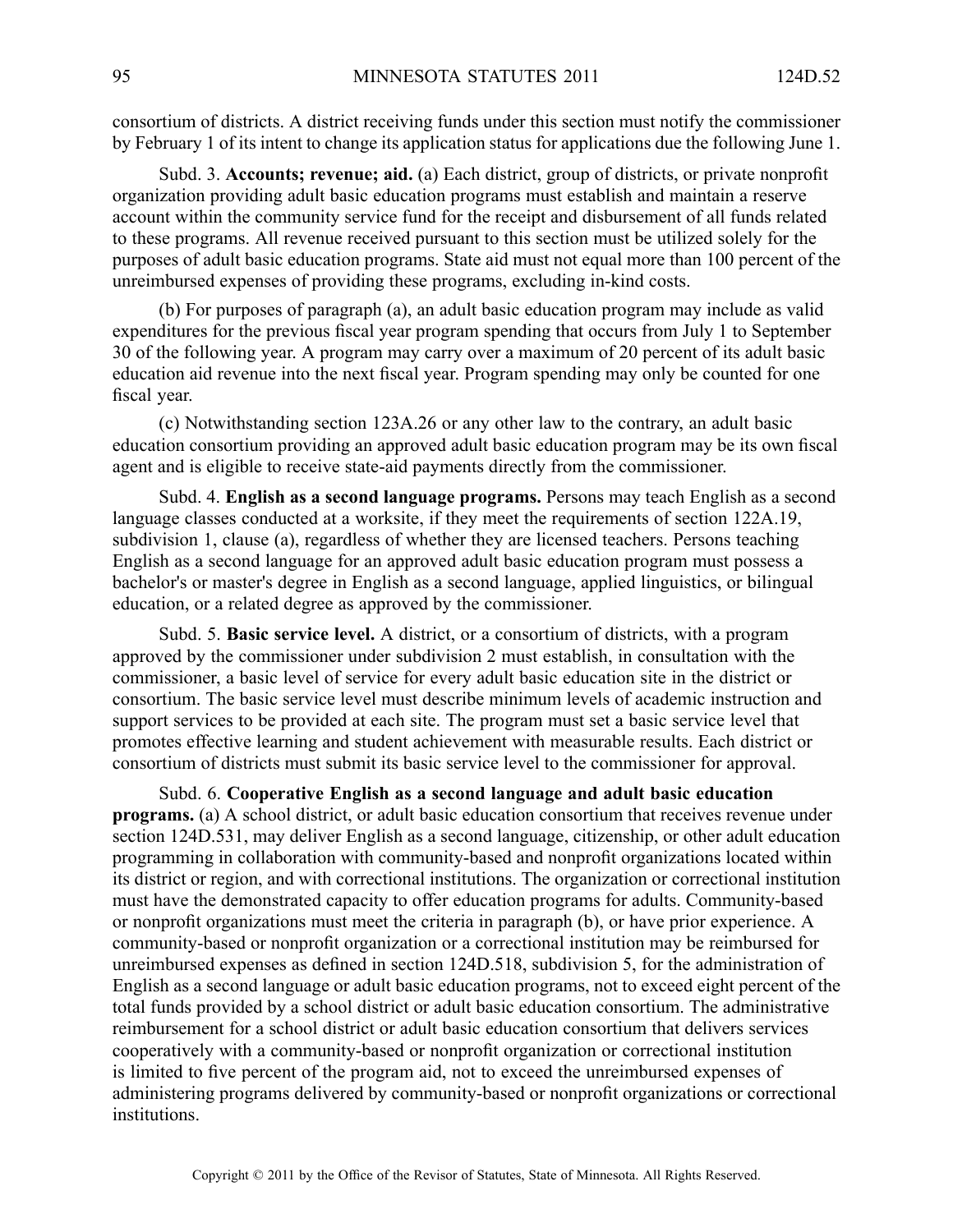consortium of districts. Adistrict receiving funds under this section must notify the commissioner by February 1 of its intent to change its application status for applications due the following June 1.

Subd. 3. **Accounts; revenue; aid.** (a) Each district, group of districts, or private nonprofit organization providing adult basic education programs must establish and maintain <sup>a</sup> reserve account within the community service fund for the receipt and disbursement of all funds related to these programs. All revenue received pursuan<sup>t</sup> to this section must be utilized solely for the purposes of adult basic education programs. State aid must not equal more than 100 percen<sup>t</sup> of the unreimbursed expenses of providing these programs, excluding in-kind costs.

(b) For purposes of paragraph (a), an adult basic education program may include as valid expenditures for the previous fiscal year program spending that occurs from July 1 to September 30 of the following year. Aprogram may carry over <sup>a</sup> maximum of 20 percen<sup>t</sup> of its adult basic education aid revenue into the next fiscal year. Program spending may only be counted for one fiscal year.

(c) Notwithstanding section 123A.26 or any other law to the contrary, an adult basic education consortium providing an approved adult basic education program may be its own fiscal agen<sup>t</sup> and is eligible to receive state-aid payments directly from the commissioner.

Subd. 4. **English as <sup>a</sup> second language programs.** Persons may teach English as <sup>a</sup> second language classes conducted at <sup>a</sup> worksite, if they meet the requirements of section 122A.19, subdivision 1, clause (a), regardless of whether they are licensed teachers. Persons teaching English as <sup>a</sup> second language for an approved adult basic education program must possess <sup>a</sup> bachelor's or master's degree in English as <sup>a</sup> second language, applied linguistics, or bilingual education, or <sup>a</sup> related degree as approved by the commissioner.

Subd. 5. **Basic service level.** A district, or <sup>a</sup> consortium of districts, with <sup>a</sup> program approved by the commissioner under subdivision 2 must establish, in consultation with the commissioner, <sup>a</sup> basic level of service for every adult basic education site in the district or consortium. The basic service level must describe minimum levels of academic instruction and suppor<sup>t</sup> services to be provided at each site. The program must set <sup>a</sup> basic service level that promotes effective learning and student achievement with measurable results. Each district or consortium of districts must submit its basic service level to the commissioner for approval.

Subd. 6. **Cooperative English as <sup>a</sup> second language and adult basic education programs.** (a) A school district, or adult basic education consortium that receives revenue under section 124D.531, may deliver English as <sup>a</sup> second language, citizenship, or other adult education programming in collaboration with community-based and nonprofit organizations located within its district or region, and with correctional institutions. The organization or correctional institution must have the demonstrated capacity to offer education programs for adults. Community-based or nonprofit organizations must meet the criteria in paragraph (b), or have prior experience. A community-based or nonprofit organization or <sup>a</sup> correctional institution may be reimbursed for unreimbursed expenses as defined in section 124D.518, subdivision 5, for the administration of English as <sup>a</sup> second language or adult basic education programs, not to exceed eight percen<sup>t</sup> of the total funds provided by <sup>a</sup> school district or adult basic education consortium. The administrative reimbursement for <sup>a</sup> school district or adult basic education consortium that delivers services cooperatively with <sup>a</sup> community-based or nonprofit organization or correctional institution is limited to five percen<sup>t</sup> of the program aid, not to exceed the unreimbursed expenses of administering programs delivered by community-based or nonprofit organizations or correctional institutions.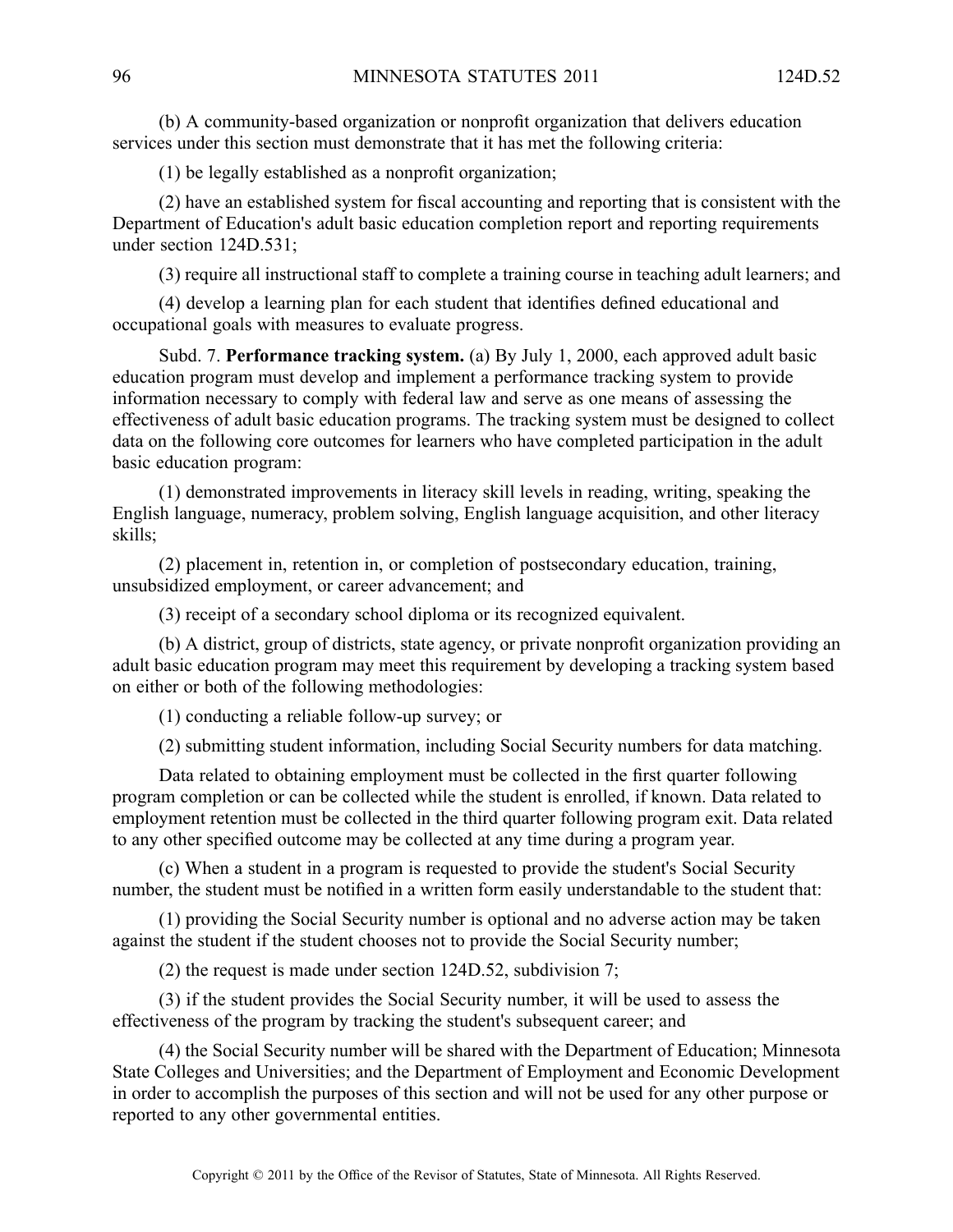(b) A community-based organization or nonprofit organization that delivers education services under this section must demonstrate that it has met the following criteria:

(1) be legally established as <sup>a</sup> nonprofit organization;

(2) have an established system for fiscal accounting and reporting that is consistent with the Department of Education's adult basic education completion repor<sup>t</sup> and reporting requirements under section 124D.531;

(3) require all instructional staff to complete <sup>a</sup> training course in teaching adult learners; and

(4) develop <sup>a</sup> learning plan for each student that identifies defined educational and occupational goals with measures to evaluate progress.

Subd. 7. **Performance tracking system.** (a) By July 1, 2000, each approved adult basic education program must develop and implement <sup>a</sup> performance tracking system to provide information necessary to comply with federal law and serve as one means of assessing the effectiveness of adult basic education programs. The tracking system must be designed to collect data on the following core outcomes for learners who have completed participation in the adult basic education program:

(1) demonstrated improvements in literacy skill levels in reading, writing, speaking the English language, numeracy, problem solving, English language acquisition, and other literacy skills;

(2) placement in, retention in, or completion of postsecondary education, training, unsubsidized employment, or career advancement; and

(3) receipt of <sup>a</sup> secondary school diploma or its recognized equivalent.

(b) A district, group of districts, state agency, or private nonprofit organization providing an adult basic education program may meet this requirement by developing <sup>a</sup> tracking system based on either or both of the following methodologies:

(1) conducting <sup>a</sup> reliable follow-up survey; or

(2) submitting student information, including Social Security numbers for data matching.

Data related to obtaining employment must be collected in the first quarter following program completion or can be collected while the student is enrolled, if known. Data related to employment retention must be collected in the third quarter following program exit. Data related to any other specified outcome may be collected at any time during <sup>a</sup> program year.

(c) When <sup>a</sup> student in <sup>a</sup> program is requested to provide the student's Social Security number, the student must be notified in <sup>a</sup> written form easily understandable to the student that:

(1) providing the Social Security number is optional and no adverse action may be taken against the student if the student chooses not to provide the Social Security number;

(2) the reques<sup>t</sup> is made under section 124D.52, subdivision 7;

(3) if the student provides the Social Security number, it will be used to assess the effectiveness of the program by tracking the student's subsequent career; and

(4) the Social Security number will be shared with the Department of Education; Minnesota State Colleges and Universities; and the Department of Employment and Economic Development in order to accomplish the purposes of this section and will not be used for any other purpose or reported to any other governmental entities.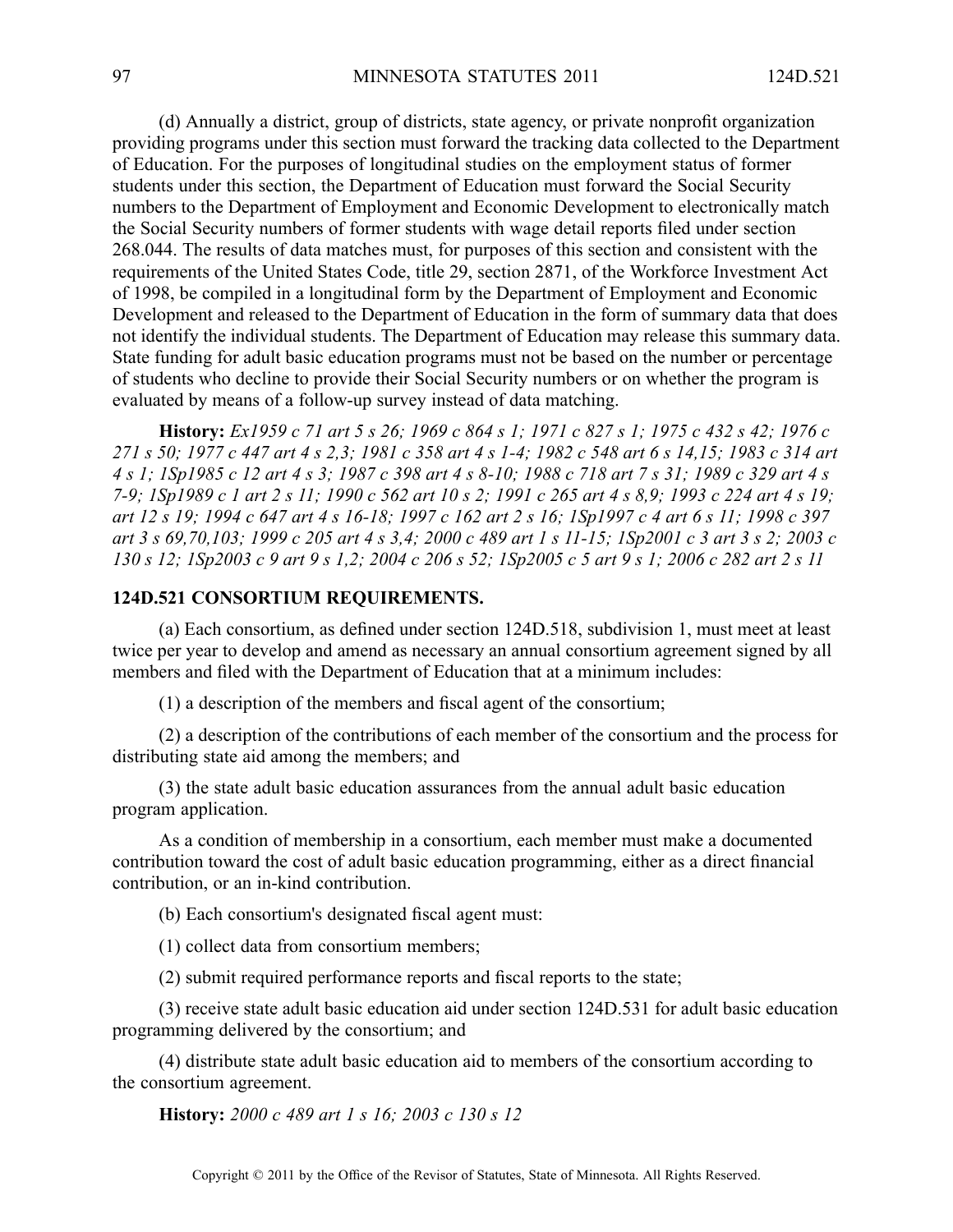(d) Annually <sup>a</sup> district, group of districts, state agency, or private nonprofit organization providing programs under this section must forward the tracking data collected to the Department of Education. For the purposes of longitudinal studies on the employment status of former students under this section, the Department of Education must forward the Social Security numbers to the Department of Employment and Economic Development to electronically match the Social Security numbers of former students with wage detail reports filed under section 268.044. The results of data matches must, for purposes of this section and consistent with the requirements of the United States Code, title 29, section 2871, of the Workforce Investment Act of 1998, be compiled in <sup>a</sup> longitudinal form by the Department of Employment and Economic Development and released to the Department of Education in the form of summary data that does not identify the individual students. The Department of Education may release this summary data. State funding for adult basic education programs must not be based on the number or percentage of students who decline to provide their Social Security numbers or on whether the program is evaluated by means of <sup>a</sup> follow-up survey instead of data matching.

History: Ex1959 c 71 art 5 s 26; 1969 c 864 s 1; 1971 c 827 s 1; 1975 c 432 s 42; 1976 c 271 s 50; 1977 c 447 art 4 s 2,3; 1981 c 358 art 4 s 1-4; 1982 c 548 art 6 s 14,15; 1983 c 314 art 4 s 1; 1Sp1985 c 12 art 4 s 3; 1987 c 398 art 4 s 8-10; 1988 c 718 art 7 s 31; 1989 c 329 art 4 s 7-9; 1Sp1989 c 1 art 2 s 11; 1990 c 562 art 10 s 2; 1991 c 265 art 4 s 8,9; 1993 c 224 art 4 s 19; art 12 s 19; 1994 c 647 art 4 s 16-18; 1997 c 162 art 2 s 16; 1Sp1997 c 4 art 6 s 11; 1998 c 397 art 3 s 69,70,103; 1999 c 205 art 4 s 3,4; 2000 c 489 art 1 s 11-15; 1Sp2001 c 3 art 3 s 2; 2003 c 130 s 12; 1Sp2003 c 9 art 9 s 1,2; 2004 c 206 s 52; 1Sp2005 c 5 art 9 s 1; 2006 c 282 art 2 s 11

# **124D.521 CONSORTIUM REQUIREMENTS.**

(a) Each consortium, as defined under section 124D.518, subdivision 1, must meet at least twice per year to develop and amend as necessary an annual consortium agreemen<sup>t</sup> signed by all members and filed with the Department of Education that at <sup>a</sup> minimum includes:

(1) <sup>a</sup> description of the members and fiscal agen<sup>t</sup> of the consortium;

(2) <sup>a</sup> description of the contributions of each member of the consortium and the process for distributing state aid among the members; and

(3) the state adult basic education assurances from the annual adult basic education program application.

As <sup>a</sup> condition of membership in <sup>a</sup> consortium, each member must make <sup>a</sup> documented contribution toward the cost of adult basic education programming, either as <sup>a</sup> direct financial contribution, or an in-kind contribution.

(b) Each consortium's designated fiscal agen<sup>t</sup> must:

(1) collect data from consortium members;

(2) submit required performance reports and fiscal reports to the state;

(3) receive state adult basic education aid under section 124D.531 for adult basic education programming delivered by the consortium; and

(4) distribute state adult basic education aid to members of the consortium according to the consortium agreement.

**History:** *2000 <sup>c</sup> 489 art 1 <sup>s</sup> 16; 2003 <sup>c</sup> 130 <sup>s</sup> 12*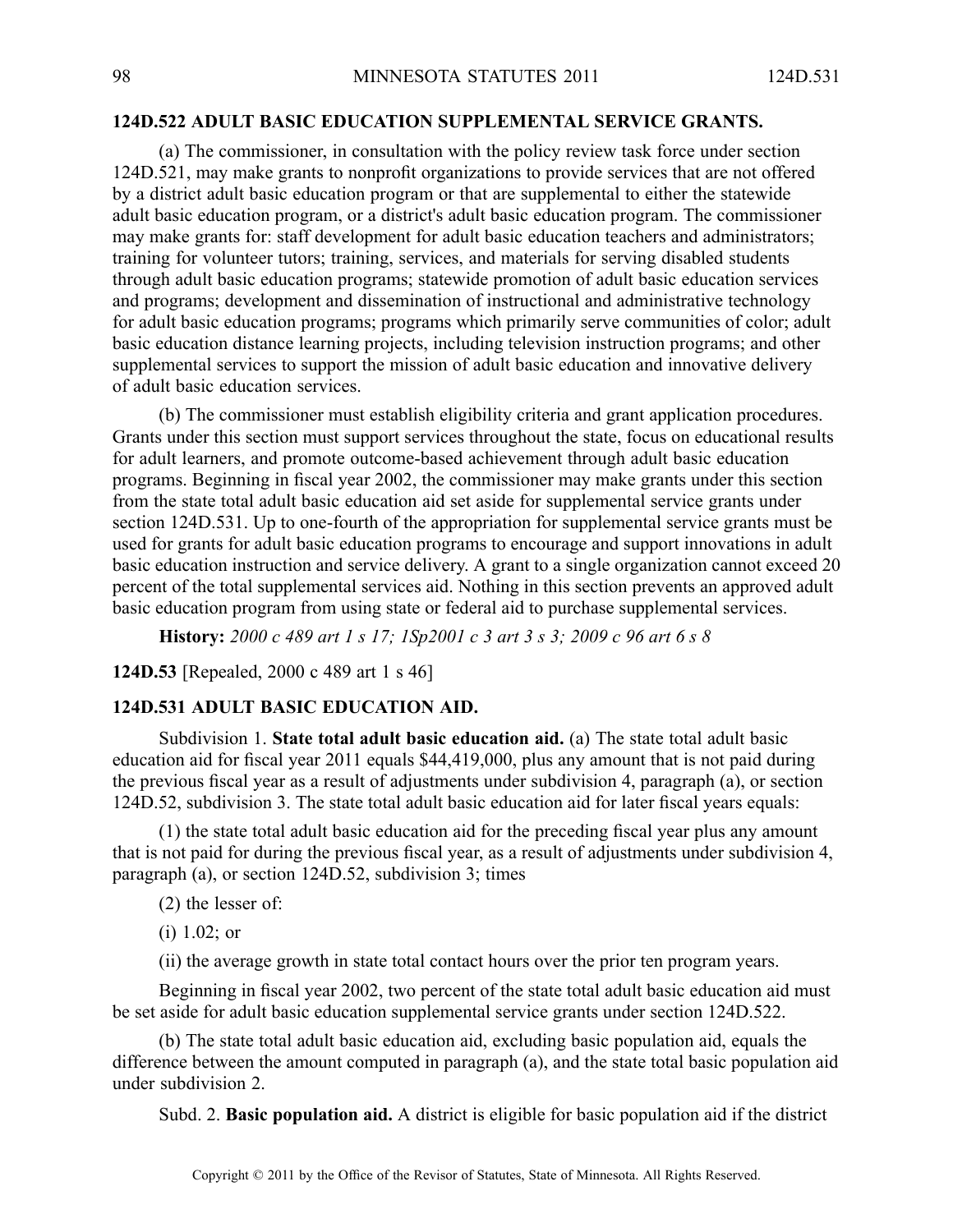## **124D.522 ADULT BASIC EDUCATION SUPPLEMENTAL SERVICE GRANTS.**

(a) The commissioner, in consultation with the policy review task force under section 124D.521, may make grants to nonprofit organizations to provide services that are not offered by <sup>a</sup> district adult basic education program or that are supplemental to either the statewide adult basic education program, or <sup>a</sup> district's adult basic education program. The commissioner may make grants for: staff development for adult basic education teachers and administrators; training for volunteer tutors; training, services, and materials for serving disabled students through adult basic education programs; statewide promotion of adult basic education services and programs; development and dissemination of instructional and administrative technology for adult basic education programs; programs which primarily serve communities of color; adult basic education distance learning projects, including television instruction programs; and other supplemental services to suppor<sup>t</sup> the mission of adult basic education and innovative delivery of adult basic education services.

(b) The commissioner must establish eligibility criteria and gran<sup>t</sup> application procedures. Grants under this section must suppor<sup>t</sup> services throughout the state, focus on educational results for adult learners, and promote outcome-based achievement through adult basic education programs. Beginning in fiscal year 2002, the commissioner may make grants under this section from the state total adult basic education aid set aside for supplemental service grants under section 124D.531. Up to one-fourth of the appropriation for supplemental service grants must be used for grants for adult basic education programs to encourage and suppor<sup>t</sup> innovations in adult basic education instruction and service delivery. A gran<sup>t</sup> to <sup>a</sup> single organization cannot exceed 20 percen<sup>t</sup> of the total supplemental services aid. Nothing in this section prevents an approved adult basic education program from using state or federal aid to purchase supplemental services.

**History:** 2000 c 489 art 1 s 17; 1Sp2001 c 3 art 3 s 3; 2009 c 96 art 6 s 8

**124D.53** [Repealed, 2000 <sup>c</sup> 489 art 1 <sup>s</sup> 46]

# **124D.531 ADULT BASIC EDUCATION AID.**

Subdivision 1. **State total adult basic education aid.** (a) The state total adult basic education aid for fiscal year 2011 equals \$44,419,000, plus any amount that is not paid during the previous fiscal year as <sup>a</sup> result of adjustments under subdivision 4, paragraph (a), or section 124D.52, subdivision 3. The state total adult basic education aid for later fiscal years equals:

(1) the state total adult basic education aid for the preceding fiscal year plus any amount that is not paid for during the previous fiscal year, as <sup>a</sup> result of adjustments under subdivision 4, paragraph (a), or section 124D.52, subdivision 3; times

(2) the lesser of:

(i) 1.02; or

(ii) the average growth in state total contact hours over the prior ten program years.

Beginning in fiscal year 2002, two percen<sup>t</sup> of the state total adult basic education aid must be set aside for adult basic education supplemental service grants under section 124D.522.

(b) The state total adult basic education aid, excluding basic population aid, equals the difference between the amount computed in paragraph (a), and the state total basic population aid under subdivision 2.

Subd. 2. **Basic population aid.** A district is eligible for basic population aid if the district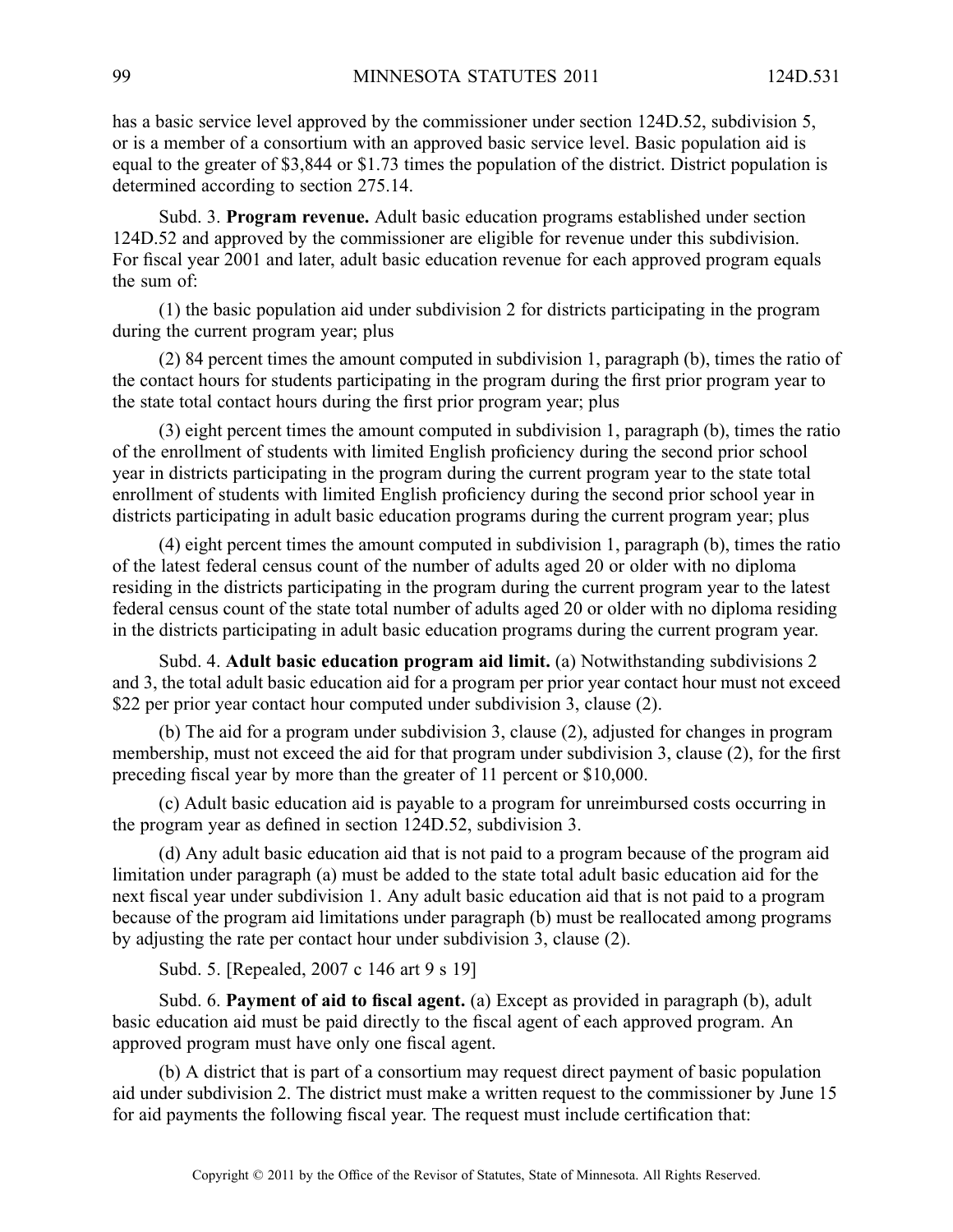has <sup>a</sup> basic service level approved by the commissioner under section 124D.52, subdivision 5, or is <sup>a</sup> member of <sup>a</sup> consortium with an approved basic service level. Basic population aid is equal to the greater of \$3,844 or \$1.73 times the population of the district. District population is determined according to section 275.14.

Subd. 3. **Program revenue.** Adult basic education programs established under section 124D.52 and approved by the commissioner are eligible for revenue under this subdivision. For fiscal year 2001 and later, adult basic education revenue for each approved program equals the sum of:

(1) the basic population aid under subdivision 2 for districts participating in the program during the current program year; plus

(2) 84 percen<sup>t</sup> times the amount computed in subdivision 1, paragraph (b), times the ratio of the contact hours for students participating in the program during the first prior program year to the state total contact hours during the first prior program year; plus

(3) eight percen<sup>t</sup> times the amount computed in subdivision 1, paragraph (b), times the ratio of the enrollment of students with limited English proficiency during the second prior school year in districts participating in the program during the current program year to the state total enrollment of students with limited English proficiency during the second prior school year in districts participating in adult basic education programs during the current program year; plus

(4) eight percen<sup>t</sup> times the amount computed in subdivision 1, paragraph (b), times the ratio of the latest federal census count of the number of adults aged 20 or older with no diploma residing in the districts participating in the program during the current program year to the latest federal census count of the state total number of adults aged 20 or older with no diploma residing in the districts participating in adult basic education programs during the current program year.

Subd. 4. **Adult basic education program aid limit.** (a) Notwithstanding subdivisions 2 and 3, the total adult basic education aid for <sup>a</sup> program per prior year contact hour must not exceed \$22 per prior year contact hour computed under subdivision 3, clause (2).

(b) The aid for <sup>a</sup> program under subdivision 3, clause (2), adjusted for changes in program membership, must not exceed the aid for that program under subdivision 3, clause (2), for the first preceding fiscal year by more than the greater of 11 percen<sup>t</sup> or \$10,000.

(c) Adult basic education aid is payable to <sup>a</sup> program for unreimbursed costs occurring in the program year as defined in section 124D.52, subdivision 3.

(d) Any adult basic education aid that is not paid to <sup>a</sup> program because of the program aid limitation under paragraph (a) must be added to the state total adult basic education aid for the next fiscal year under subdivision 1. Any adult basic education aid that is not paid to <sup>a</sup> program because of the program aid limitations under paragraph (b) must be reallocated among programs by adjusting the rate per contact hour under subdivision 3, clause (2).

Subd. 5. [Repealed, 2007 <sup>c</sup> 146 art 9 <sup>s</sup> 19]

Subd. 6. **Payment of aid to fiscal agent.** (a) Except as provided in paragraph (b), adult basic education aid must be paid directly to the fiscal agen<sup>t</sup> of each approved program. An approved program must have only one fiscal agent.

(b) A district that is par<sup>t</sup> of <sup>a</sup> consortium may reques<sup>t</sup> direct paymen<sup>t</sup> of basic population aid under subdivision 2. The district must make <sup>a</sup> written reques<sup>t</sup> to the commissioner by June 15 for aid payments the following fiscal year. The reques<sup>t</sup> must include certification that: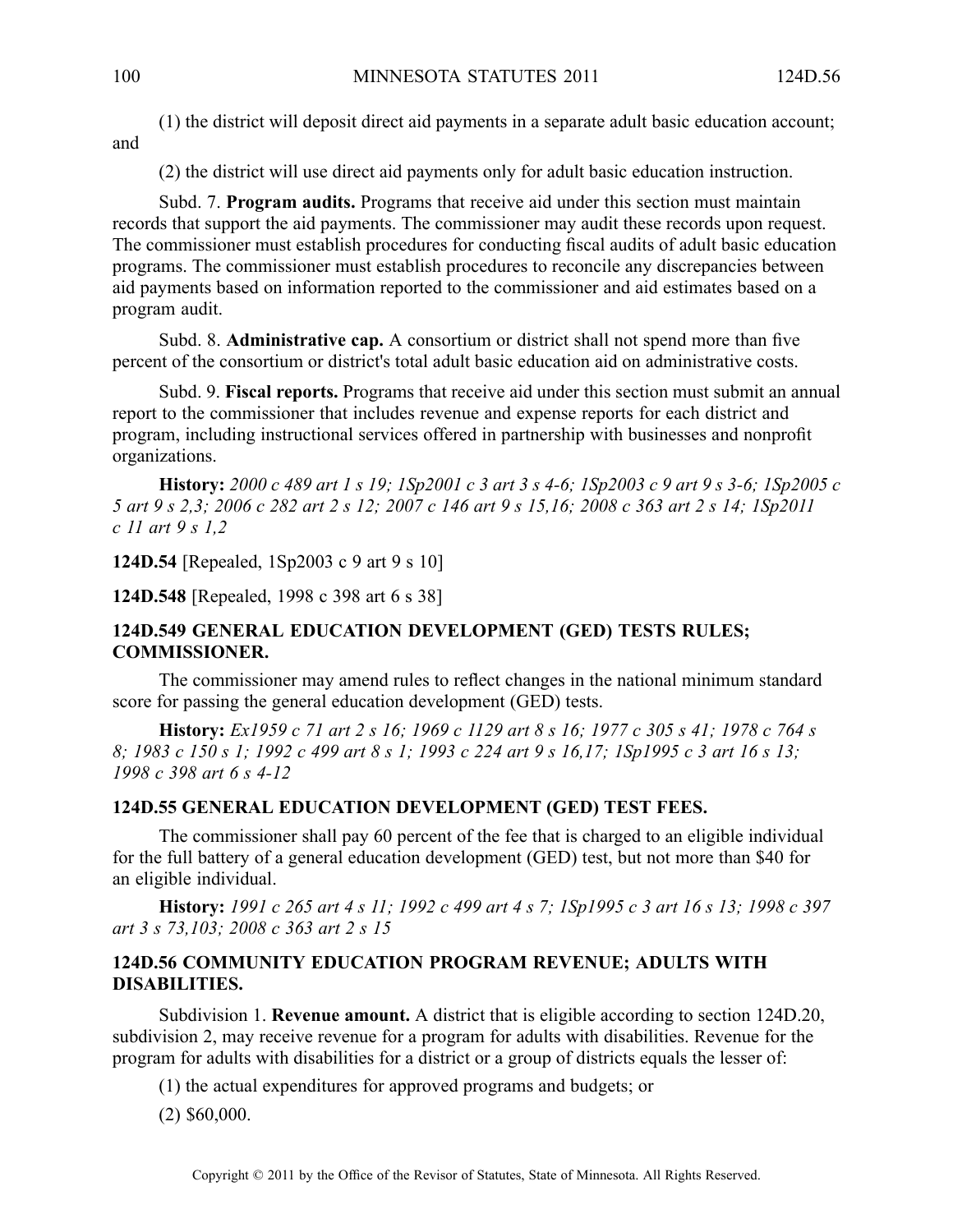(1) the district will deposit direct aid payments in <sup>a</sup> separate adult basic education account; and

(2) the district will use direct aid payments only for adult basic education instruction.

Subd. 7. **Program audits.** Programs that receive aid under this section must maintain records that suppor<sup>t</sup> the aid payments. The commissioner may audit these records upon request. The commissioner must establish procedures for conducting fiscal audits of adult basic education programs. The commissioner must establish procedures to reconcile any discrepancies between aid payments based on information reported to the commissioner and aid estimates based on <sup>a</sup> program audit.

Subd. 8. **Administrative cap.** Aconsortium or district shall not spend more than five percen<sup>t</sup> of the consortium or district's total adult basic education aid on administrative costs.

Subd. 9. **Fiscal reports.** Programs that receive aid under this section must submit an annual repor<sup>t</sup> to the commissioner that includes revenue and expense reports for each district and program, including instructional services offered in partnership with businesses and nonprofit organizations.

**History:** 2000 c 489 art 1 s 19; 1Sp2001 c 3 art 3 s 4-6; 1Sp2003 c 9 art 9 s 3-6; 1Sp2005 c 5 art 9 s 2,3; 2006 c 282 art 2 s 12; 2007 c 146 art 9 s 15,16; 2008 c 363 art 2 s 14; 1Sp2011 *<sup>c</sup> 11 art 9 <sup>s</sup> 1,2*

**124D.54** [Repealed, 1Sp2003 <sup>c</sup> 9 art 9 <sup>s</sup> 10]

**124D.548** [Repealed, 1998 <sup>c</sup> 398 art 6 <sup>s</sup> 38]

# **124D.549 GENERAL EDUCATION DEVELOPMENT (GED) TESTS RULES; COMMISSIONER.**

The commissioner may amend rules to reflect changes in the national minimum standard score for passing the general education development (GED) tests.

History: Ex1959 c 71 art 2 s 16; 1969 c 1129 art 8 s 16; 1977 c 305 s 41; 1978 c 764 s 8; 1983 c 150 s 1; 1992 c 499 art 8 s 1; 1993 c 224 art 9 s 16,17; 1Sp1995 c 3 art 16 s 13; *1998 <sup>c</sup> 398 art 6 <sup>s</sup> 4-12*

# **124D.55 GENERAL EDUCATION DEVELOPMENT (GED) TEST FEES.**

The commissioner shall pay 60 percen<sup>t</sup> of the fee that is charged to an eligible individual for the full battery of <sup>a</sup> general education development (GED) test, but not more than \$40 for an eligible individual.

History: 1991 c 265 art 4 s 11; 1992 c 499 art 4 s 7; 1Sp1995 c 3 art 16 s 13; 1998 c 397 *art 3 <sup>s</sup> 73,103; 2008 <sup>c</sup> 363 art 2 <sup>s</sup> 15*

# **124D.56 COMMUNITY EDUCATION PROGRAM REVENUE; ADULTS WITH DISABILITIES.**

Subdivision 1. **Revenue amount.** A district that is eligible according to section 124D.20, subdivision 2, may receive revenue for <sup>a</sup> program for adults with disabilities. Revenue for the program for adults with disabilities for <sup>a</sup> district or <sup>a</sup> group of districts equals the lesser of:

(1) the actual expenditures for approved programs and budgets; or

(2) \$60,000.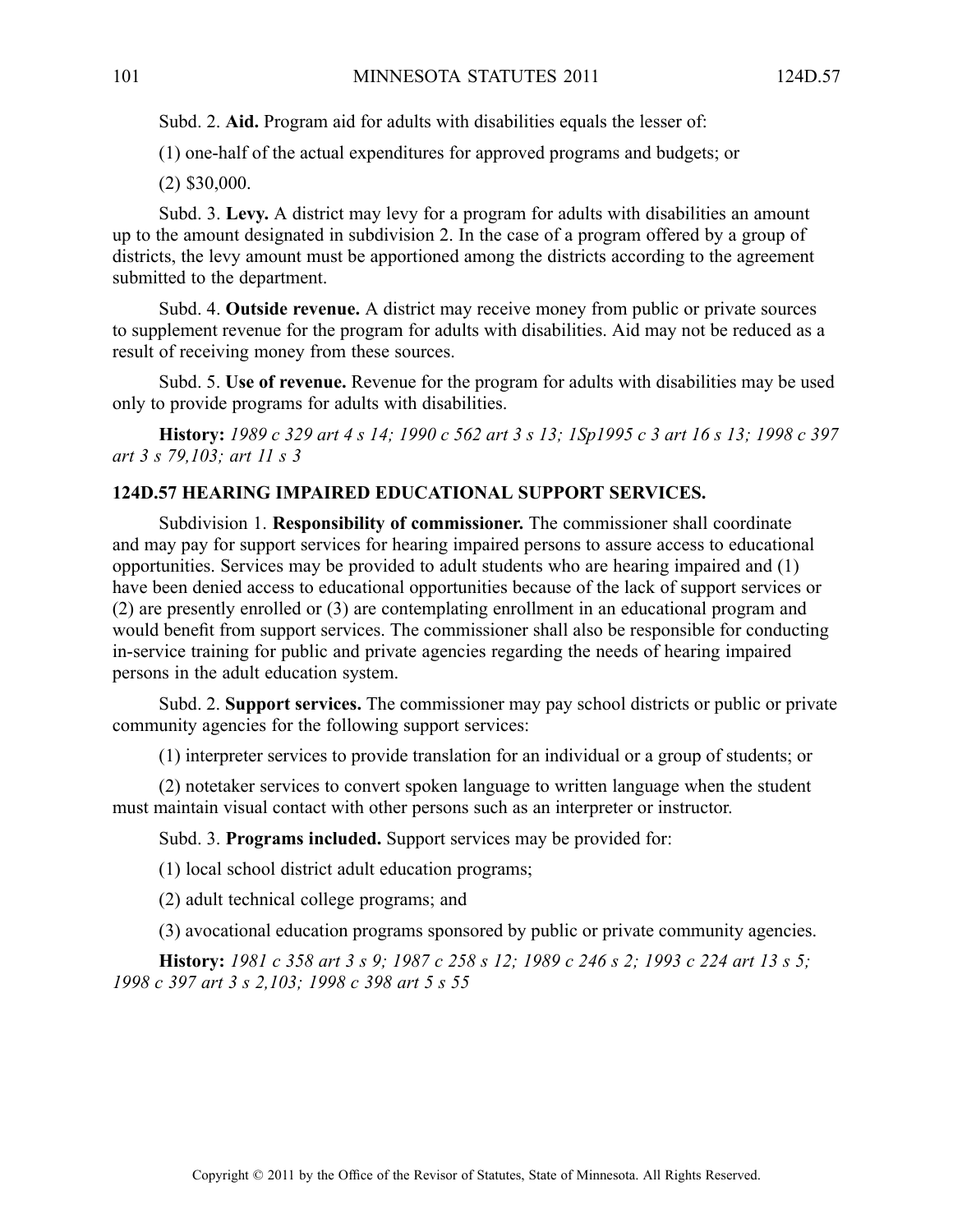Subd. 2. **Aid.** Program aid for adults with disabilities equals the lesser of:

(1) one-half of the actual expenditures for approved programs and budgets; or

(2) \$30,000.

Subd. 3. Levy. A district may levy for a program for adults with disabilities an amount up to the amount designated in subdivision 2. In the case of <sup>a</sup> program offered by <sup>a</sup> group of districts, the levy amount must be apportioned among the districts according to the agreemen<sup>t</sup> submitted to the department.

Subd. 4. **Outside revenue.** A district may receive money from public or private sources to supplement revenue for the program for adults with disabilities. Aid may not be reduced as <sup>a</sup> result of receiving money from these sources.

Subd. 5. **Use of revenue.** Revenue for the program for adults with disabilities may be used only to provide programs for adults with disabilities.

History: 1989 c 329 art 4 s 14; 1990 c 562 art 3 s 13; 1Sp1995 c 3 art 16 s 13; 1998 c 397 *art 3 <sup>s</sup> 79,103; art 11 <sup>s</sup> 3*

# **124D.57 HEARING IMPAIRED EDUCATIONAL SUPPORT SERVICES.**

Subdivision 1. **Responsibility of commissioner.** The commissioner shall coordinate and may pay for suppor<sup>t</sup> services for hearing impaired persons to assure access to educational opportunities. Services may be provided to adult students who are hearing impaired and (1) have been denied access to educational opportunities because of the lack of suppor<sup>t</sup> services or (2) are presently enrolled or (3) are contemplating enrollment in an educational program and would benefit from suppor<sup>t</sup> services. The commissioner shall also be responsible for conducting in-service training for public and private agencies regarding the needs of hearing impaired persons in the adult education system.

Subd. 2. **Support services.** The commissioner may pay school districts or public or private community agencies for the following suppor<sup>t</sup> services:

(1) interpreter services to provide translation for an individual or <sup>a</sup> group of students; or

(2) notetaker services to convert spoken language to written language when the student must maintain visual contact with other persons such as an interpreter or instructor.

Subd. 3. **Programs included.** Support services may be provided for:

(1) local school district adult education programs;

(2) adult technical college programs; and

(3) avocational education programs sponsored by public or private community agencies.

History: 1981 c 358 art 3 s 9; 1987 c 258 s 12; 1989 c 246 s 2; 1993 c 224 art 13 s 5; *1998 <sup>c</sup> 397 art 3 <sup>s</sup> 2,103; 1998 <sup>c</sup> 398 art 5 <sup>s</sup> 55*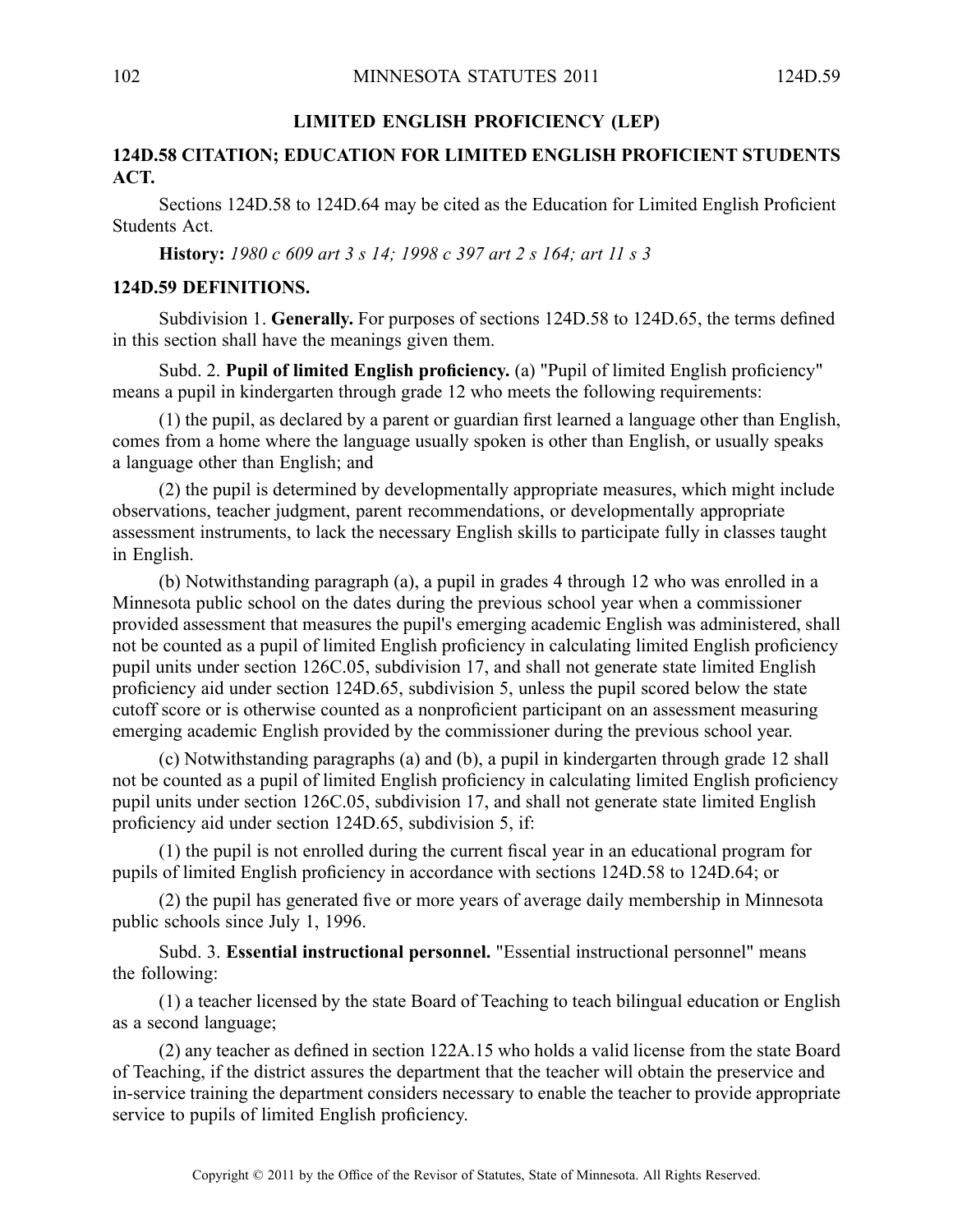## **LIMITED ENGLISH PROFICIENCY (LEP)**

# **124D.58 CITATION; EDUCATION FOR LIMITED ENGLISH PROFICIENT STUDENTS ACT.**

Sections 124D.58 to 124D.64 may be cited as the Education for Limited English Proficient Students Act.

**History:** *1980 <sup>c</sup> 609 art 3 <sup>s</sup> 14; 1998 <sup>c</sup> 397 art 2 <sup>s</sup> 164; art 11 <sup>s</sup> 3*

### **124D.59 DEFINITIONS.**

Subdivision 1. **Generally.** For purposes of sections 124D.58 to 124D.65, the terms defined in this section shall have the meanings given them.

Subd. 2. **Pupil of limited English proficiency.** (a) "Pupil of limited English proficiency" means <sup>a</sup> pupil in kindergarten through grade 12 who meets the following requirements:

(1) the pupil, as declared by <sup>a</sup> paren<sup>t</sup> or guardian first learned <sup>a</sup> language other than English, comes from <sup>a</sup> home where the language usually spoken is other than English, or usually speaks <sup>a</sup> language other than English; and

(2) the pupil is determined by developmentally appropriate measures, which might include observations, teacher judgment, paren<sup>t</sup> recommendations, or developmentally appropriate assessment instruments, to lack the necessary English skills to participate fully in classes taught in English.

(b) Notwithstanding paragraph (a), <sup>a</sup> pupil in grades 4 through 12 who was enrolled in <sup>a</sup> Minnesota public school on the dates during the previous school year when <sup>a</sup> commissioner provided assessment that measures the pupil's emerging academic English was administered, shall not be counted as <sup>a</sup> pupil of limited English proficiency in calculating limited English proficiency pupil units under section 126C.05, subdivision 17, and shall not generate state limited English proficiency aid under section 124D.65, subdivision 5, unless the pupil scored below the state cutoff score or is otherwise counted as <sup>a</sup> nonproficient participant on an assessment measuring emerging academic English provided by the commissioner during the previous school year.

(c) Notwithstanding paragraphs (a) and (b), <sup>a</sup> pupil in kindergarten through grade 12 shall not be counted as <sup>a</sup> pupil of limited English proficiency in calculating limited English proficiency pupil units under section 126C.05, subdivision 17, and shall not generate state limited English proficiency aid under section 124D.65, subdivision 5, if:

(1) the pupil is not enrolled during the current fiscal year in an educational program for pupils of limited English proficiency in accordance with sections 124D.58 to 124D.64; or

(2) the pupil has generated five or more years of average daily membership in Minnesota public schools since July 1, 1996.

Subd. 3. **Essential instructional personnel.** "Essential instructional personnel" means the following:

(1) <sup>a</sup> teacher licensed by the state Board of Teaching to teach bilingual education or English as <sup>a</sup> second language;

(2) any teacher as defined in section 122A.15 who holds <sup>a</sup> valid license from the state Board of Teaching, if the district assures the department that the teacher will obtain the preservice and in-service training the department considers necessary to enable the teacher to provide appropriate service to pupils of limited English proficiency.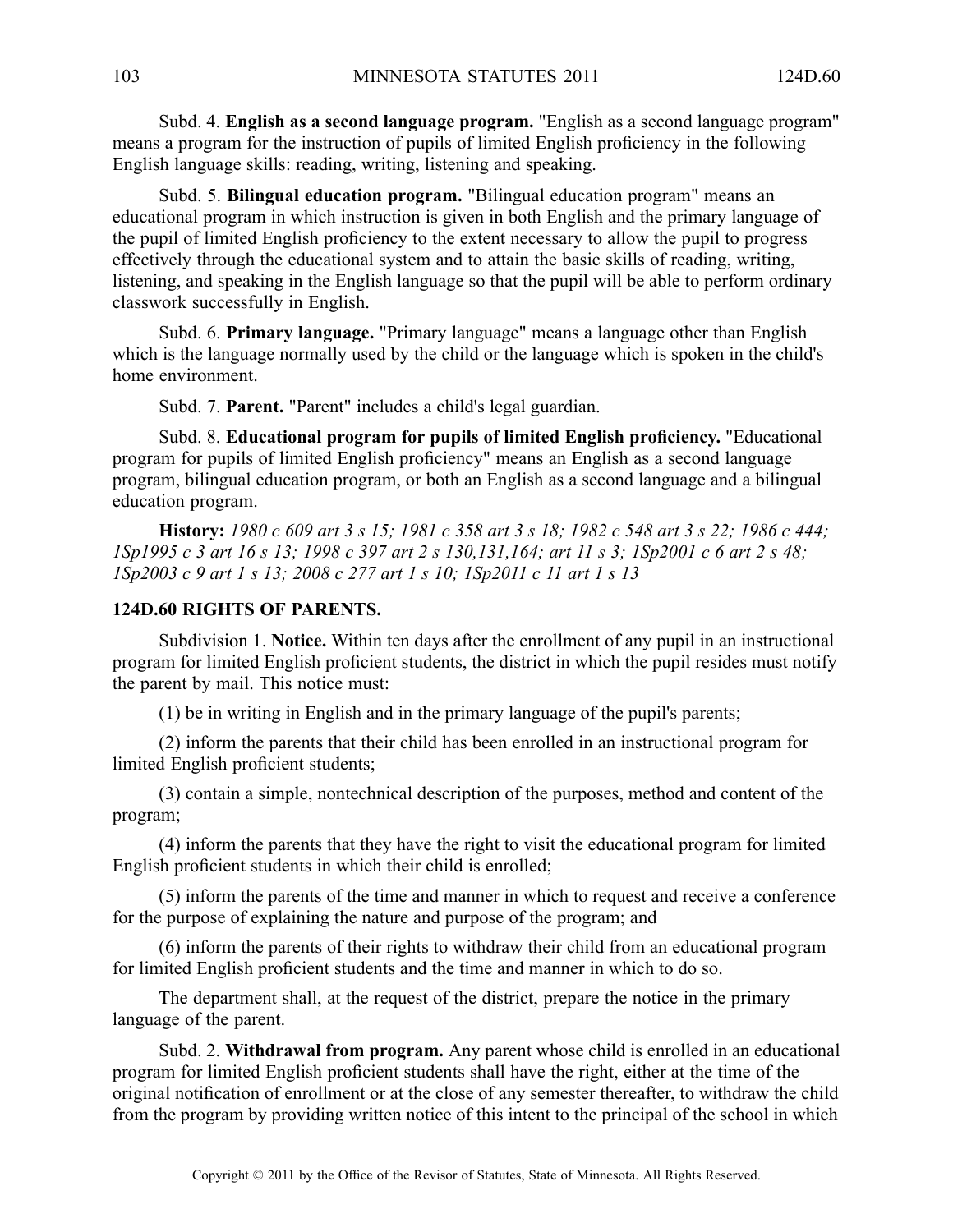Subd. 4. **English as <sup>a</sup> second language program.** "English as <sup>a</sup> second language program" means <sup>a</sup> program for the instruction of pupils of limited English proficiency in the following English language skills: reading, writing, listening and speaking.

Subd. 5. **Bilingual education program.** "Bilingual education program" means an educational program in which instruction is given in both English and the primary language of the pupil of limited English proficiency to the extent necessary to allow the pupil to progress effectively through the educational system and to attain the basic skills of reading, writing, listening, and speaking in the English language so that the pupil will be able to perform ordinary classwork successfully in English.

Subd. 6. **Primary language.** "Primary language" means <sup>a</sup> language other than English which is the language normally used by the child or the language which is spoken in the child's home environment.

Subd. 7. **Parent.** "Parent" includes <sup>a</sup> child's legal guardian.

Subd. 8. **Educational program for pupils of limited English proficiency.** "Educational program for pupils of limited English proficiency" means an English as <sup>a</sup> second language program, bilingual education program, or both an English as <sup>a</sup> second language and <sup>a</sup> bilingual education program.

History: 1980 c 609 art 3 s 15; 1981 c 358 art 3 s 18; 1982 c 548 art 3 s 22; 1986 c 444; 1Sp1995 c 3 art 16 s 13; 1998 c 397 art 2 s 130, 131, 164; art 11 s 3; 1Sp2001 c 6 art 2 s 48; *1Sp2003 <sup>c</sup> 9 art 1 <sup>s</sup> 13; 2008 <sup>c</sup> 277 art 1 <sup>s</sup> 10; 1Sp2011 <sup>c</sup> 11 art 1 <sup>s</sup> 13*

# **124D.60 RIGHTS OF PARENTS.**

Subdivision 1. **Notice.** Within ten days after the enrollment of any pupil in an instructional program for limited English proficient students, the district in which the pupil resides must notify the paren<sup>t</sup> by mail. This notice must:

(1) be in writing in English and in the primary language of the pupil's parents;

(2) inform the parents that their child has been enrolled in an instructional program for limited English proficient students;

(3) contain <sup>a</sup> simple, nontechnical description of the purposes, method and content of the program;

(4) inform the parents that they have the right to visit the educational program for limited English proficient students in which their child is enrolled;

(5) inform the parents of the time and manner in which to reques<sup>t</sup> and receive <sup>a</sup> conference for the purpose of explaining the nature and purpose of the program; and

(6) inform the parents of their rights to withdraw their child from an educational program for limited English proficient students and the time and manner in which to do so.

The department shall, at the reques<sup>t</sup> of the district, prepare the notice in the primary language of the parent.

Subd. 2. **Withdrawal from program.** Any paren<sup>t</sup> whose child is enrolled in an educational program for limited English proficient students shall have the right, either at the time of the original notification of enrollment or at the close of any semester thereafter, to withdraw the child from the program by providing written notice of this intent to the principal of the school in which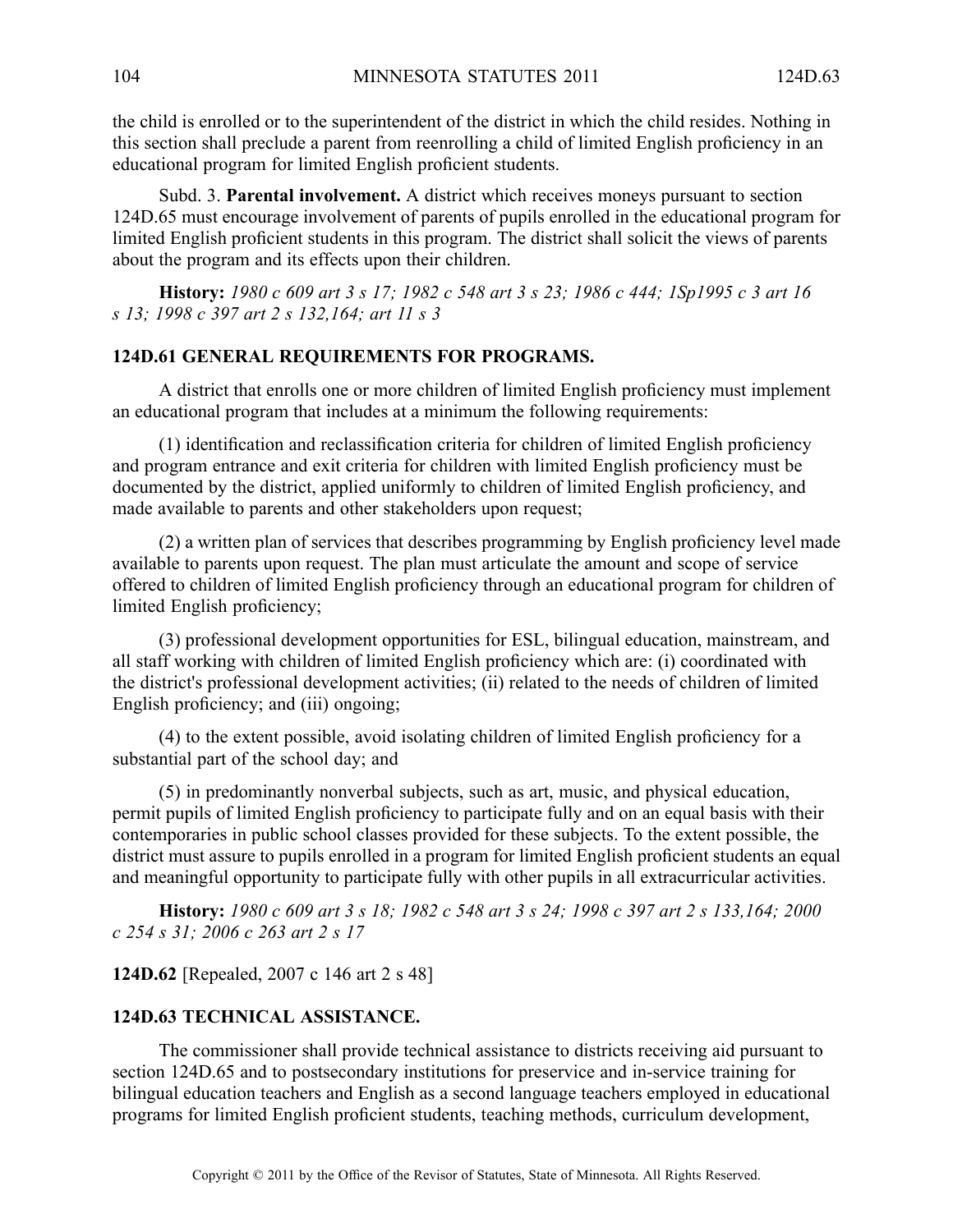the child is enrolled or to the superintendent of the district in which the child resides. Nothing in this section shall preclude <sup>a</sup> paren<sup>t</sup> from reenrolling <sup>a</sup> child of limited English proficiency in an educational program for limited English proficient students.

Subd. 3. **Parental involvement.** A district which receives moneys pursuant to section 124D.65 must encourage involvement of parents of pupils enrolled in the educational program for limited English proficient students in this program. The district shall solicit the views of parents about the program and its effects upon their children.

History: 1980 c 609 art 3 s 17; 1982 c 548 art 3 s 23; 1986 c 444; 1Sp1995 c 3 art 16 *<sup>s</sup> 13; 1998 <sup>c</sup> 397 art 2 <sup>s</sup> 132,164; art 11 <sup>s</sup> 3*

## **124D.61 GENERAL REQUIREMENTS FOR PROGRAMS.**

A district that enrolls one or more children of limited English proficiency must implement an educational program that includes at <sup>a</sup> minimum the following requirements:

(1) identification and reclassification criteria for children of limited English proficiency and program entrance and exit criteria for children with limited English proficiency must be documented by the district, applied uniformly to children of limited English proficiency, and made available to parents and other stakeholders upon request;

(2) <sup>a</sup> written plan of services that describes programming by English proficiency level made available to parents upon request. The plan must articulate the amount and scope of service offered to children of limited English proficiency through an educational program for children of limited English proficiency;

(3) professional development opportunities for ESL, bilingual education, mainstream, and all staff working with children of limited English proficiency which are: (i) coordinated with the district's professional development activities; (ii) related to the needs of children of limited English proficiency; and (iii) ongoing;

(4) to the extent possible, avoid isolating children of limited English proficiency for <sup>a</sup> substantial par<sup>t</sup> of the school day; and

(5) in predominantly nonverbal subjects, such as art, music, and physical education, permit pupils of limited English proficiency to participate fully and on an equal basis with their contemporaries in public school classes provided for these subjects. To the extent possible, the district must assure to pupils enrolled in <sup>a</sup> program for limited English proficient students an equal and meaningful opportunity to participate fully with other pupils in all extracurricular activities.

History: 1980 c 609 art 3 s 18; 1982 c 548 art 3 s 24; 1998 c 397 art 2 s 133,164; 2000 *<sup>c</sup> 254 <sup>s</sup> 31; 2006 <sup>c</sup> 263 art 2 <sup>s</sup> 17*

**124D.62** [Repealed, 2007 <sup>c</sup> 146 art 2 <sup>s</sup> 48]

#### **124D.63 TECHNICAL ASSISTANCE.**

The commissioner shall provide technical assistance to districts receiving aid pursuan<sup>t</sup> to section 124D.65 and to postsecondary institutions for preservice and in-service training for bilingual education teachers and English as <sup>a</sup> second language teachers employed in educational programs for limited English proficient students, teaching methods, curriculum development,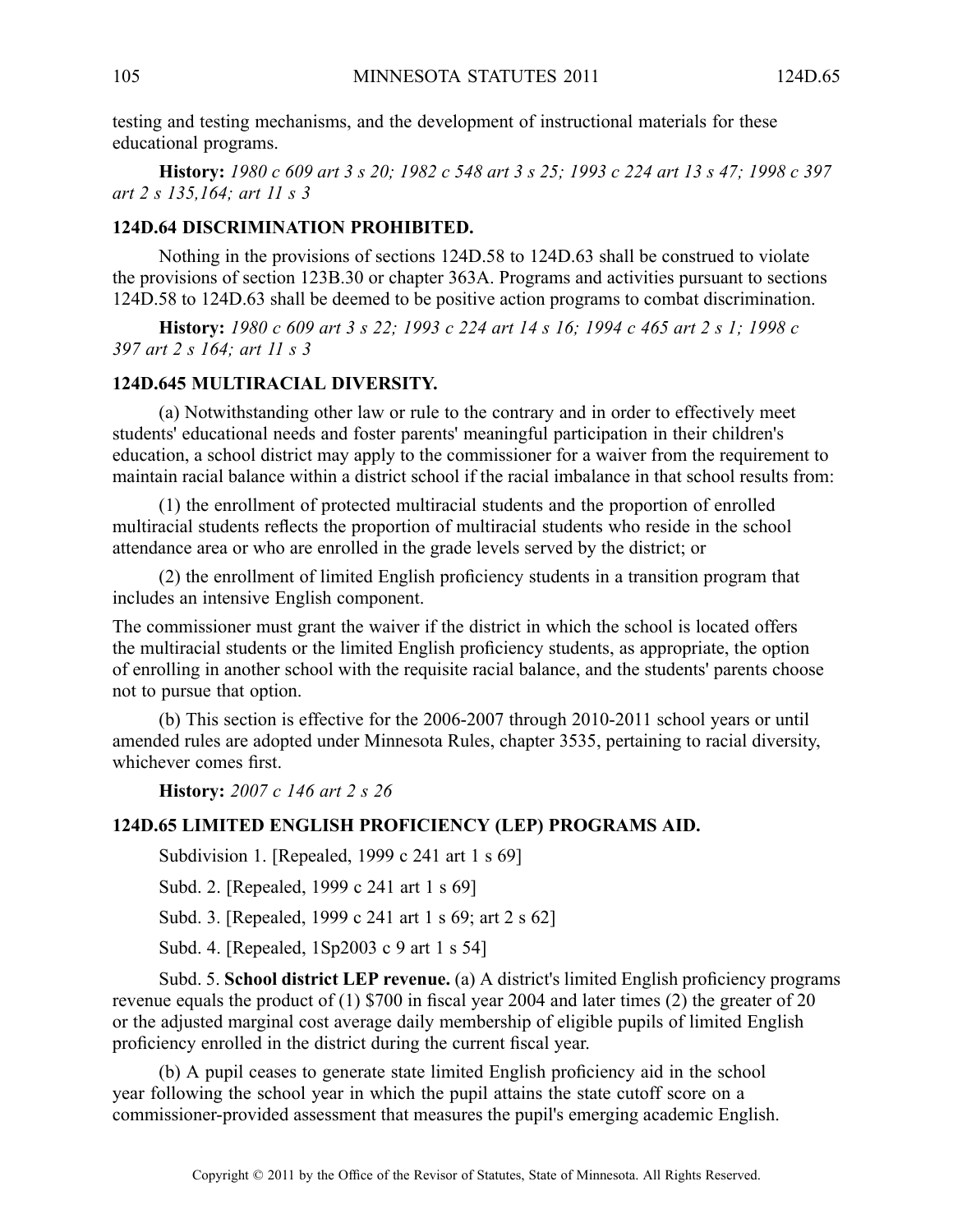testing and testing mechanisms, and the development of instructional materials for these educational programs.

History: 1980 c 609 art 3 s 20; 1982 c 548 art 3 s 25; 1993 c 224 art 13 s 47; 1998 c 397 *art 2 <sup>s</sup> 135,164; art 11 <sup>s</sup> 3*

#### **124D.64 DISCRIMINATION PROHIBITED.**

Nothing in the provisions of sections 124D.58 to 124D.63 shall be construed to violate the provisions of section 123B.30 or chapter 363A. Programs and activities pursuan<sup>t</sup> to sections 124D.58 to 124D.63 shall be deemed to be positive action programs to combat discrimination.

History: 1980 c 609 art 3 s 22; 1993 c 224 art 14 s 16; 1994 c 465 art 2 s 1; 1998 c *397 art 2 <sup>s</sup> 164; art 11 <sup>s</sup> 3*

#### **124D.645 MULTIRACIAL DIVERSITY.**

(a) Notwithstanding other law or rule to the contrary and in order to effectively meet students' educational needs and foster parents' meaningful participation in their children's education, <sup>a</sup> school district may apply to the commissioner for <sup>a</sup> waiver from the requirement to maintain racial balance within <sup>a</sup> district school if the racial imbalance in that school results from:

(1) the enrollment of protected multiracial students and the proportion of enrolled multiracial students reflects the proportion of multiracial students who reside in the school attendance area or who are enrolled in the grade levels served by the district; or

(2) the enrollment of limited English proficiency students in <sup>a</sup> transition program that includes an intensive English component.

The commissioner must gran<sup>t</sup> the waiver if the district in which the school is located offers the multiracial students or the limited English proficiency students, as appropriate, the option of enrolling in another school with the requisite racial balance, and the students' parents choose not to pursue that option.

(b) This section is effective for the 2006-2007 through 2010-2011 school years or until amended rules are adopted under Minnesota Rules, chapter 3535, pertaining to racial diversity, whichever comes first.

**History:** *2007 <sup>c</sup> 146 art 2 <sup>s</sup> 26*

#### **124D.65 LIMITED ENGLISH PROFICIENCY (LEP) PROGRAMS AID.**

Subdivision 1. [Repealed, 1999 <sup>c</sup> 241 art 1 <sup>s</sup> 69]

Subd. 2. [Repealed, 1999 <sup>c</sup> 241 art 1 <sup>s</sup> 69]

Subd. 3. [Repealed, 1999 <sup>c</sup> 241 art 1 <sup>s</sup> 69; art 2 <sup>s</sup> 62]

Subd. 4. [Repealed, 1Sp2003 <sup>c</sup> 9 art 1 <sup>s</sup> 54]

Subd. 5. **School district LEP revenue.** (a) A district's limited English proficiency programs revenue equals the product of (1) \$700 in fiscal year 2004 and later times (2) the greater of 20 or the adjusted marginal cost average daily membership of eligible pupils of limited English proficiency enrolled in the district during the current fiscal year.

(b) A pupil ceases to generate state limited English proficiency aid in the school year following the school year in which the pupil attains the state cutoff score on <sup>a</sup> commissioner-provided assessment that measures the pupil's emerging academic English.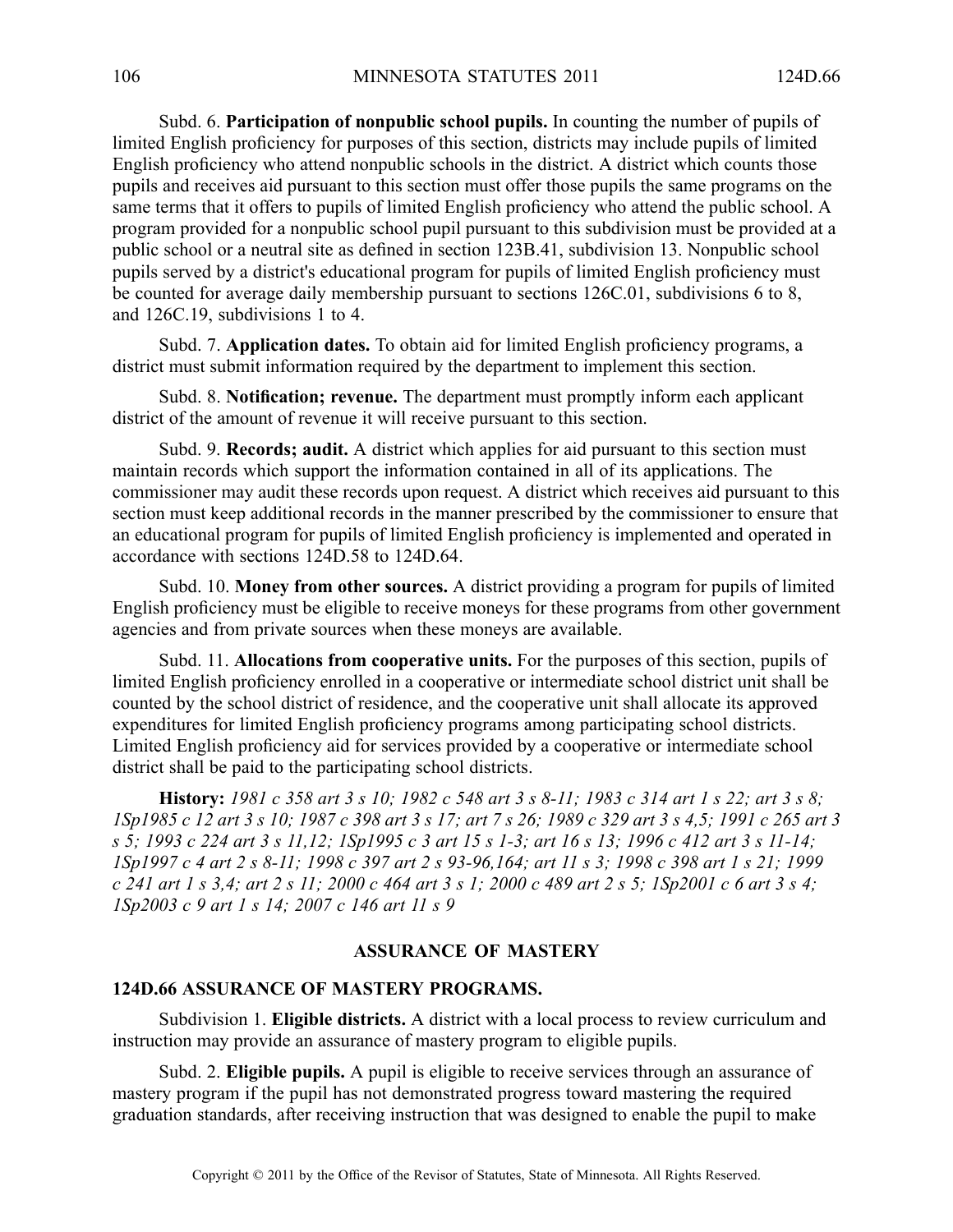Subd. 6. **Participation of nonpublic school pupils.** In counting the number of pupils of limited English proficiency for purposes of this section, districts may include pupils of limited English proficiency who attend nonpublic schools in the district. A district which counts those pupils and receives aid pursuan<sup>t</sup> to this section must offer those pupils the same programs on the same terms that it offers to pupils of limited English proficiency who attend the public school. A program provided for <sup>a</sup> nonpublic school pupil pursuan<sup>t</sup> to this subdivision must be provided at <sup>a</sup> public school or <sup>a</sup> neutral site as defined in section 123B.41, subdivision 13. Nonpublic school pupils served by <sup>a</sup> district's educational program for pupils of limited English proficiency must be counted for average daily membership pursuan<sup>t</sup> to sections 126C.01, subdivisions 6 to 8, and 126C.19, subdivisions 1 to 4.

Subd. 7. **Application dates.** To obtain aid for limited English proficiency programs, <sup>a</sup> district must submit information required by the department to implement this section.

Subd. 8. **Notification; revenue.** The department must promptly inform each applicant district of the amount of revenue it will receive pursuan<sup>t</sup> to this section.

Subd. 9. **Records; audit.** A district which applies for aid pursuan<sup>t</sup> to this section must maintain records which suppor<sup>t</sup> the information contained in all of its applications. The commissioner may audit these records upon request. A district which receives aid pursuant to this section must keep additional records in the manner prescribed by the commissioner to ensure that an educational program for pupils of limited English proficiency is implemented and operated in accordance with sections 124D.58 to 124D.64.

Subd. 10. **Money from other sources.** Adistrict providing <sup>a</sup> program for pupils of limited English proficiency must be eligible to receive moneys for these programs from other governmen<sup>t</sup> agencies and from private sources when these moneys are available.

Subd. 11. **Allocations from cooperative units.** For the purposes of this section, pupils of limited English proficiency enrolled in <sup>a</sup> cooperative or intermediate school district unit shall be counted by the school district of residence, and the cooperative unit shall allocate its approved expenditures for limited English proficiency programs among participating school districts. Limited English proficiency aid for services provided by <sup>a</sup> cooperative or intermediate school district shall be paid to the participating school districts.

History: 1981 c 358 art 3 s 10; 1982 c 548 art 3 s 8-11; 1983 c 314 art 1 s 22; art 3 s 8; 1Sp1985 c 12 art 3 s 10; 1987 c 398 art 3 s 17; art 7 s 26; 1989 c 329 art 3 s 4,5; 1991 c 265 art 3 s 5; 1993 c 224 art 3 s 11,12; 1Sp1995 c 3 art 15 s 1-3; art 16 s 13; 1996 c 412 art 3 s 11-14; ISp1997 c 4 art 2 s 8-11; 1998 c 397 art 2 s 93-96, 164; art 11 s 3; 1998 c 398 art 1 s 21; 1999 c 241 art 1 s 3,4; art 2 s 11; 2000 c 464 art 3 s 1; 2000 c 489 art 2 s 5; 1Sp2001 c 6 art 3 s 4; *1Sp2003 <sup>c</sup> 9 art 1 <sup>s</sup> 14; 2007 <sup>c</sup> 146 art 11 <sup>s</sup> 9*

# **ASSURANCE OF MASTERY**

### **124D.66 ASSURANCE OF MASTERY PROGRAMS.**

Subdivision 1. **Eligible districts.** A district with a local process to review curriculum and instruction may provide an assurance of mastery program to eligible pupils.

Subd. 2. **Eligible pupils.** A pupil is eligible to receive services through an assurance of mastery program if the pupil has not demonstrated progress toward mastering the required graduation standards, after receiving instruction that was designed to enable the pupil to make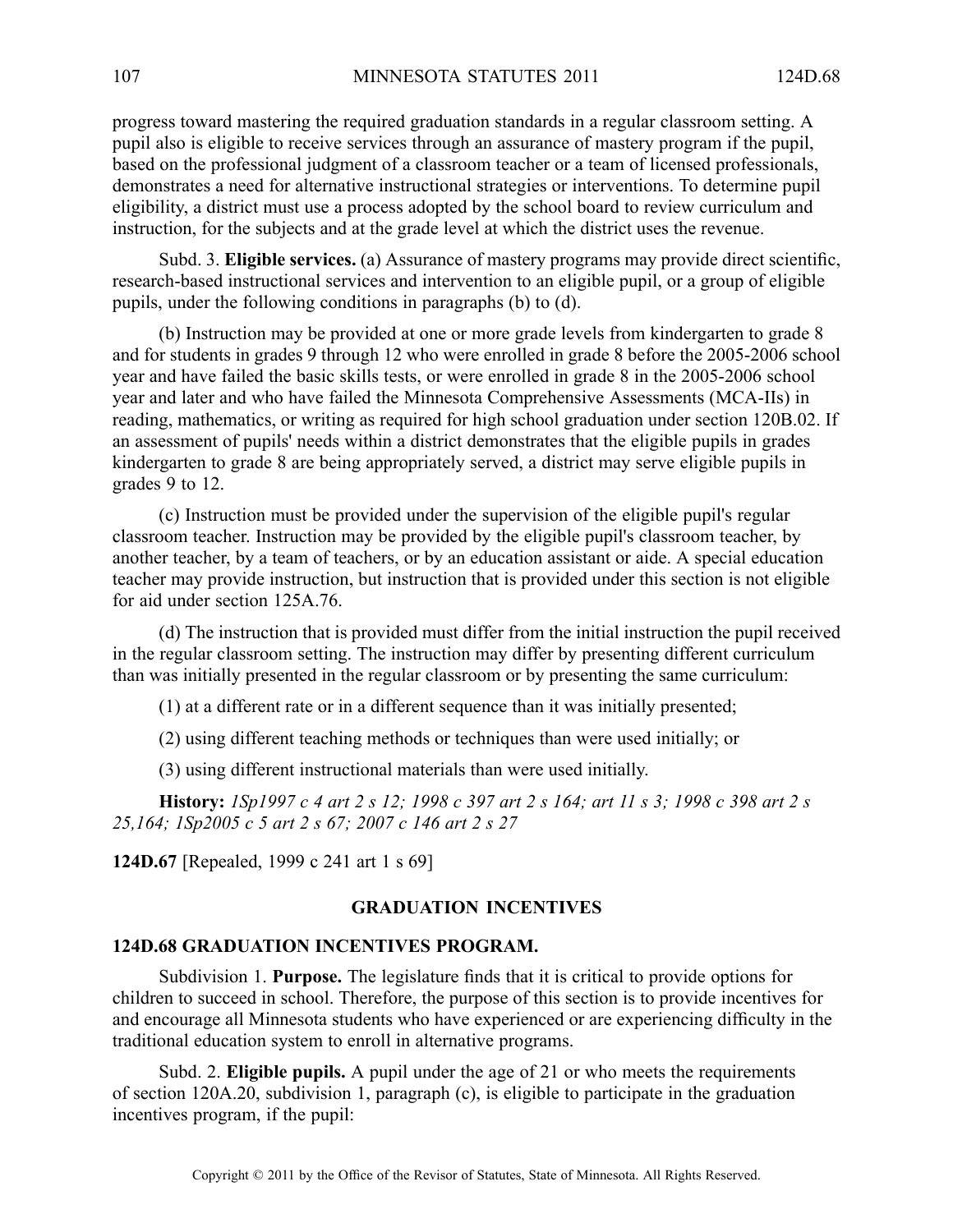progress toward mastering the required graduation standards in <sup>a</sup> regular classroom setting. A pupil also is eligible to receive services through an assurance of mastery program if the pupil, based on the professional judgment of <sup>a</sup> classroom teacher or <sup>a</sup> team of licensed professionals, demonstrates <sup>a</sup> need for alternative instructional strategies or interventions. To determine pupil eligibility, <sup>a</sup> district must use <sup>a</sup> process adopted by the school board to review curriculum and instruction, for the subjects and at the grade level at which the district uses the revenue.

Subd. 3. **Eligible services.** (a) Assurance of mastery programs may provide direct scientific, research-based instructional services and intervention to an eligible pupil, or <sup>a</sup> group of eligible pupils, under the following conditions in paragraphs (b) to (d).

(b) Instruction may be provided at one or more grade levels from kindergarten to grade 8 and for students in grades 9 through 12 who were enrolled in grade 8 before the 2005-2006 school year and have failed the basic skills tests, or were enrolled in grade 8 in the 2005-2006 school year and later and who have failed the Minnesota Comprehensive Assessments (MCA-IIs) in reading, mathematics, or writing as required for high school graduation under section 120B.02. If an assessment of pupils' needs within <sup>a</sup> district demonstrates that the eligible pupils in grades kindergarten to grade 8 are being appropriately served, <sup>a</sup> district may serve eligible pupils in grades 9 to 12.

(c) Instruction must be provided under the supervision of the eligible pupil's regular classroom teacher. Instruction may be provided by the eligible pupil's classroom teacher, by another teacher, by a team of teachers, or by an education assistant or aide. A special education teacher may provide instruction, but instruction that is provided under this section is not eligible for aid under section 125A.76.

(d) The instruction that is provided must differ from the initial instruction the pupil received in the regular classroom setting. The instruction may differ by presenting different curriculum than was initially presented in the regular classroom or by presenting the same curriculum:

(1) at <sup>a</sup> different rate or in <sup>a</sup> different sequence than it was initially presented;

(2) using different teaching methods or techniques than were used initially; or

(3) using different instructional materials than were used initially.

History: 1Sp1997 c 4 art 2 s 12; 1998 c 397 art 2 s 164; art 11 s 3; 1998 c 398 art 2 s *25,164; 1Sp2005 <sup>c</sup> 5 art 2 <sup>s</sup> 67; 2007 <sup>c</sup> 146 art 2 <sup>s</sup> 27*

**124D.67** [Repealed, 1999 <sup>c</sup> 241 art 1 <sup>s</sup> 69]

### **GRADUATION INCENTIVES**

#### **124D.68 GRADUATION INCENTIVES PROGRAM.**

Subdivision 1. **Purpose.** The legislature finds that it is critical to provide options for children to succeed in school. Therefore, the purpose of this section is to provide incentives for and encourage all Minnesota students who have experienced or are experiencing difficulty in the traditional education system to enroll in alternative programs.

Subd. 2. **Eligible pupils.** A pupil under the age of 21 or who meets the requirements of section 120A.20, subdivision 1, paragraph (c), is eligible to participate in the graduation incentives program, if the pupil: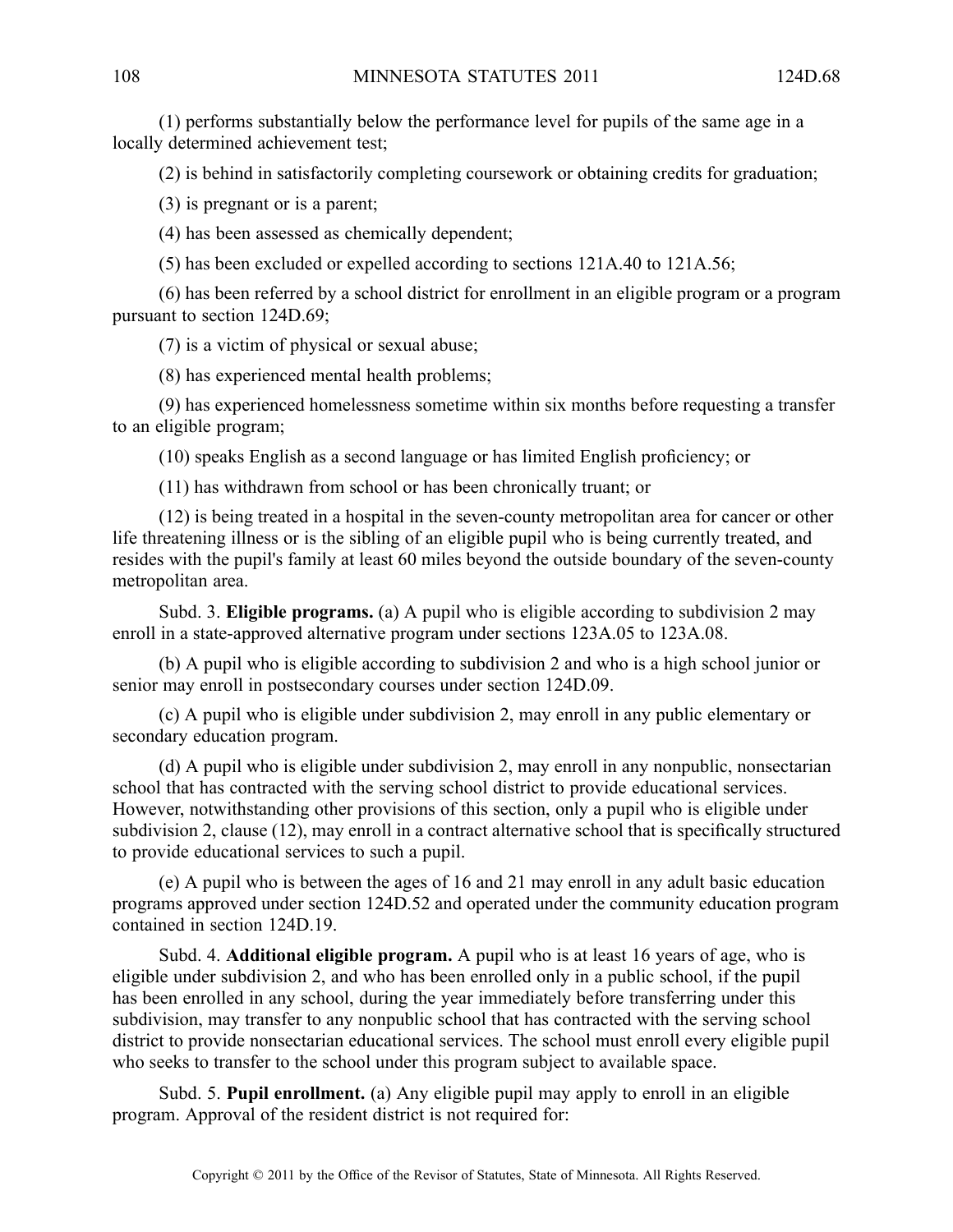(1) performs substantially below the performance level for pupils of the same age in <sup>a</sup> locally determined achievement test;

(2) is behind in satisfactorily completing coursework or obtaining credits for graduation;

(3) is pregnan<sup>t</sup> or is <sup>a</sup> parent;

(4) has been assessed as chemically dependent;

(5) has been excluded or expelled according to sections 121A.40 to 121A.56;

(6) has been referred by <sup>a</sup> school district for enrollment in an eligible program or <sup>a</sup> program pursuan<sup>t</sup> to section 124D.69;

(7) is <sup>a</sup> victim of physical or sexual abuse;

(8) has experienced mental health problems;

(9) has experienced homelessness sometime within six months before requesting <sup>a</sup> transfer to an eligible program;

(10) speaks English as <sup>a</sup> second language or has limited English proficiency; or

(11) has withdrawn from school or has been chronically truant; or

(12) is being treated in <sup>a</sup> hospital in the seven-county metropolitan area for cancer or other life threatening illness or is the sibling of an eligible pupil who is being currently treated, and resides with the pupil's family at least 60 miles beyond the outside boundary of the seven-county metropolitan area.

Subd. 3. **Eligible programs.** (a) A pupil who is eligible according to subdivision 2 may enroll in <sup>a</sup> state-approved alternative program under sections 123A.05 to 123A.08.

(b) A pupil who is eligible according to subdivision 2 and who is <sup>a</sup> high school junior or senior may enroll in postsecondary courses under section 124D.09.

(c) A pupil who is eligible under subdivision 2, may enroll in any public elementary or secondary education program.

(d) A pupil who is eligible under subdivision 2, may enroll in any nonpublic, nonsectarian school that has contracted with the serving school district to provide educational services. However, notwithstanding other provisions of this section, only <sup>a</sup> pupil who is eligible under subdivision 2, clause (12), may enroll in <sup>a</sup> contract alternative school that is specifically structured to provide educational services to such <sup>a</sup> pupil.

(e) A pupil who is between the ages of 16 and 21 may enroll in any adult basic education programs approved under section 124D.52 and operated under the community education program contained in section 124D.19.

Subd. 4. **Additional eligible program.** Apupil who is at least 16 years of age, who is eligible under subdivision 2, and who has been enrolled only in <sup>a</sup> public school, if the pupil has been enrolled in any school, during the year immediately before transferring under this subdivision, may transfer to any nonpublic school that has contracted with the serving school district to provide nonsectarian educational services. The school must enroll every eligible pupil who seeks to transfer to the school under this program subject to available space.

Subd. 5. **Pupil enrollment.** (a) Any eligible pupil may apply to enroll in an eligible program. Approval of the resident district is not required for: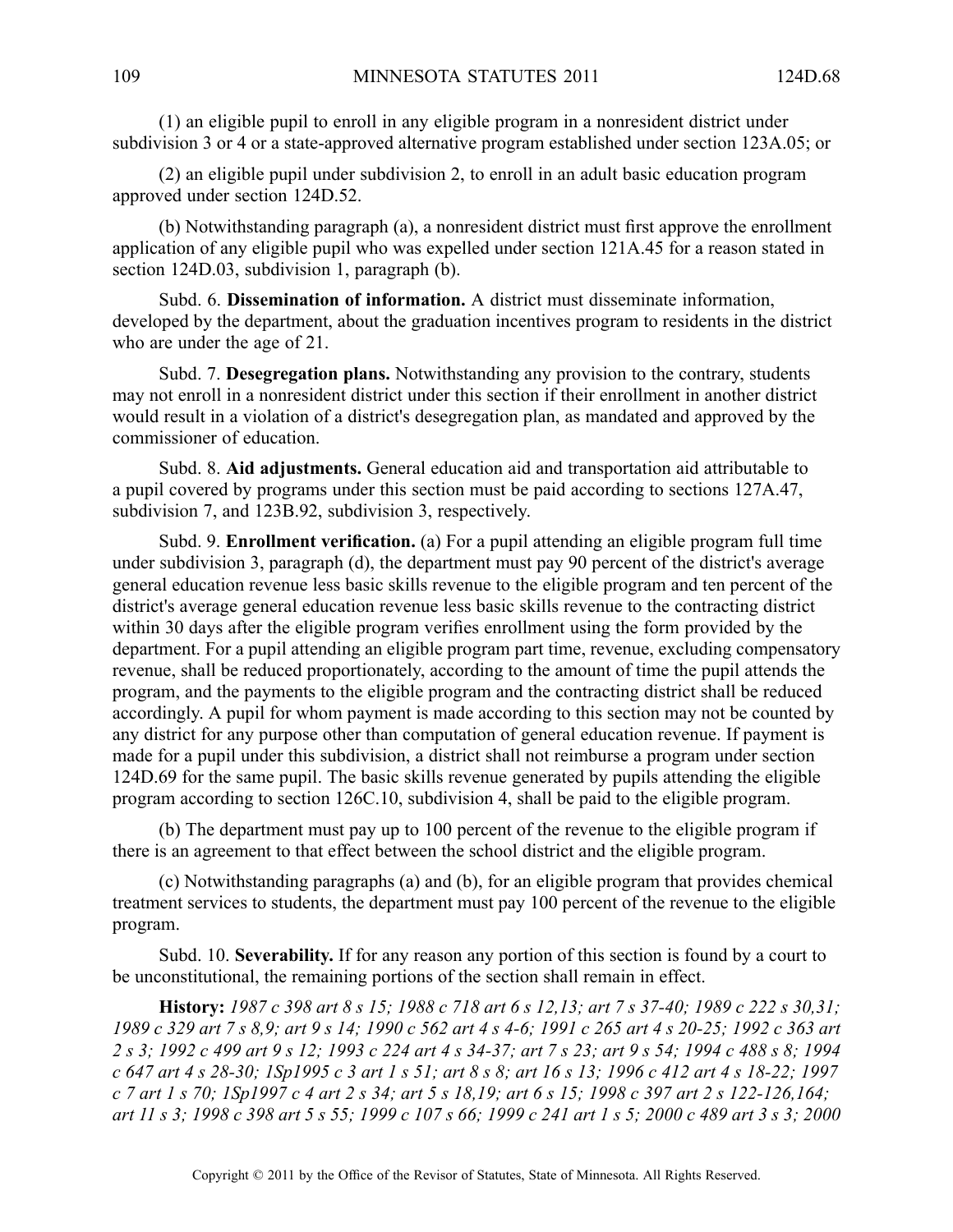(1) an eligible pupil to enroll in any eligible program in <sup>a</sup> nonresident district under subdivision 3 or 4 or <sup>a</sup> state-approved alternative program established under section 123A.05; or

(2) an eligible pupil under subdivision 2, to enroll in an adult basic education program approved under section 124D.52.

(b) Notwithstanding paragraph (a), <sup>a</sup> nonresident district must first approve the enrollment application of any eligible pupil who was expelled under section 121A.45 for <sup>a</sup> reason stated in section 124D.03, subdivision 1, paragraph (b).

Subd. 6. **Dissemination of information.** A district must disseminate information, developed by the department, about the graduation incentives program to residents in the district who are under the age of 21.

Subd. 7. **Desegregation plans.** Notwithstanding any provision to the contrary, students may not enroll in <sup>a</sup> nonresident district under this section if their enrollment in another district would result in <sup>a</sup> violation of <sup>a</sup> district's desegregation plan, as mandated and approved by the commissioner of education.

Subd. 8. **Aid adjustments.** General education aid and transportation aid attributable to <sup>a</sup> pupil covered by programs under this section must be paid according to sections 127A.47, subdivision 7, and 123B.92, subdivision 3, respectively.

Subd. 9. **Enrollment verification.** (a) For <sup>a</sup> pupil attending an eligible program full time under subdivision 3, paragraph (d), the department must pay 90 percen<sup>t</sup> of the district's average general education revenue less basic skills revenue to the eligible program and ten percen<sup>t</sup> of the district's average general education revenue less basic skills revenue to the contracting district within 30 days after the eligible program verifies enrollment using the form provided by the department. For <sup>a</sup> pupil attending an eligible program par<sup>t</sup> time, revenue, excluding compensatory revenue, shall be reduced proportionately, according to the amount of time the pupil attends the program, and the payments to the eligible program and the contracting district shall be reduced accordingly. A pupil for whom payment is made according to this section may not be counted by any district for any purpose other than computation of general education revenue. If paymen<sup>t</sup> is made for <sup>a</sup> pupil under this subdivision, <sup>a</sup> district shall not reimburse <sup>a</sup> program under section 124D.69 for the same pupil. The basic skills revenue generated by pupils attending the eligible program according to section 126C.10, subdivision 4, shall be paid to the eligible program.

(b) The department must pay up to 100 percen<sup>t</sup> of the revenue to the eligible program if there is an agreemen<sup>t</sup> to that effect between the school district and the eligible program.

(c) Notwithstanding paragraphs (a) and (b), for an eligible program that provides chemical treatment services to students, the department must pay 100 percen<sup>t</sup> of the revenue to the eligible program.

Subd. 10. **Severability.** If for any reason any portion of this section is found by <sup>a</sup> court to be unconstitutional, the remaining portions of the section shall remain in effect.

**History:** 1987 c 398 art 8 s 15; 1988 c 718 art 6 s 12,13; art 7 s 37-40; 1989 c 222 s 30,31; 1989 c 329 art 7 s 8,9; art 9 s 14; 1990 c 562 art 4 s 4-6; 1991 c 265 art 4 s 20-25; 1992 c 363 art 2 s 3; 1992 c 499 art 9 s 12; 1993 c 224 art 4 s 34-37; art 7 s 23; art 9 s 54; 1994 c 488 s 8; 1994 c 647 art 4 s 28-30; 1Sp1995 c 3 art 1 s 51; art 8 s 8; art 16 s 13; 1996 c 412 art 4 s 18-22; 1997 c 7 art 1 s 70; 1Sp1997 c 4 art 2 s 34; art 5 s 18,19; art 6 s 15; 1998 c 397 art 2 s 122-126,164; art 11 s 3: 1998 c 398 art 5 s 55: 1999 c 107 s 66: 1999 c 241 art 1 s 5: 2000 c 489 art 3 s 3: 2000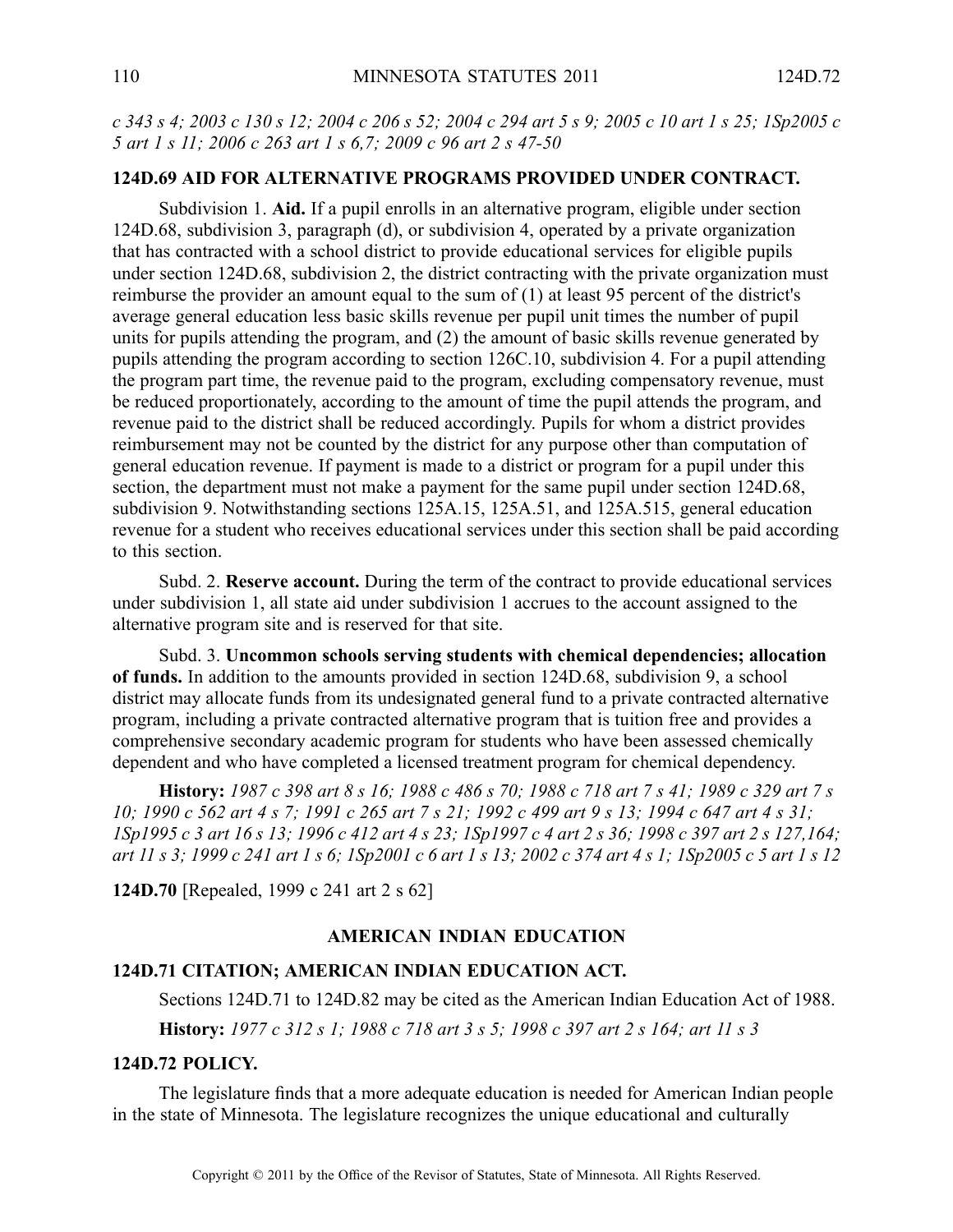c 343 s 4; 2003 c 130 s 12; 2004 c 206 s 52; 2004 c 294 art 5 s 9; 2005 c 10 art 1 s 25; 1Sp2005 c *5 art 1 <sup>s</sup> 11; 2006 <sup>c</sup> 263 art 1 <sup>s</sup> 6,7; 2009 <sup>c</sup> 96 art 2 <sup>s</sup> 47-50*

#### **124D.69 AID FOR ALTERNATIVE PROGRAMS PROVIDED UNDER CONTRACT.**

Subdivision 1. **Aid.** If <sup>a</sup> pupil enrolls in an alternative program, eligible under section 124D.68, subdivision 3, paragraph (d), or subdivision 4, operated by <sup>a</sup> private organization that has contracted with <sup>a</sup> school district to provide educational services for eligible pupils under section 124D.68, subdivision 2, the district contracting with the private organization must reimburse the provider an amount equal to the sum of (1) at least 95 percen<sup>t</sup> of the district's average general education less basic skills revenue per pupil unit times the number of pupil units for pupils attending the program, and (2) the amount of basic skills revenue generated by pupils attending the program according to section 126C.10, subdivision 4. For <sup>a</sup> pupil attending the program par<sup>t</sup> time, the revenue paid to the program, excluding compensatory revenue, must be reduced proportionately, according to the amount of time the pupil attends the program, and revenue paid to the district shall be reduced accordingly. Pupils for whom <sup>a</sup> district provides reimbursement may not be counted by the district for any purpose other than computation of general education revenue. If paymen<sup>t</sup> is made to <sup>a</sup> district or program for <sup>a</sup> pupil under this section, the department must not make <sup>a</sup> paymen<sup>t</sup> for the same pupil under section 124D.68, subdivision 9. Notwithstanding sections 125A.15, 125A.51, and 125A.515, general education revenue for <sup>a</sup> student who receives educational services under this section shall be paid according to this section.

Subd. 2. **Reserve account.** During the term of the contract to provide educational services under subdivision 1, all state aid under subdivision 1 accrues to the account assigned to the alternative program site and is reserved for that site.

Subd. 3. **Uncommon schools serving students with chemical dependencies; allocation of funds.** In addition to the amounts provided in section 124D.68, subdivision 9, <sup>a</sup> school district may allocate funds from its undesignated general fund to <sup>a</sup> private contracted alternative program, including <sup>a</sup> private contracted alternative program that is tuition free and provides <sup>a</sup> comprehensive secondary academic program for students who have been assessed chemically dependent and who have completed <sup>a</sup> licensed treatment program for chemical dependency.

History: 1987 c 398 art 8 s 16; 1988 c 486 s 70; 1988 c 718 art 7 s 41; 1989 c 329 art 7 s 10; 1990 c 562 art 4 s 7; 1991 c 265 art 7 s 21; 1992 c 499 art 9 s 13; 1994 c 647 art 4 s 31; ISp1995 c 3 art 16 s 13; 1996 c 412 art 4 s 23; 1Sp1997 c 4 art 2 s 36; 1998 c 397 art 2 s 127, 164; art 11 s 3; 1999 c 241 art 1 s 6; 1Sp2001 c 6 art 1 s 13; 2002 c 374 art 4 s 1; 1Sp2005 c 5 art 1 s 12

**124D.70** [Repealed, 1999 <sup>c</sup> 241 art 2 <sup>s</sup> 62]

## **AMERICAN INDIAN EDUCATION**

#### **124D.71 CITATION; AMERICAN INDIAN EDUCATION ACT.**

Sections 124D.71 to 124D.82 may be cited as the American Indian Education Act of 1988. History: 1977 c 312 s 1; 1988 c 718 art 3 s 5; 1998 c 397 art 2 s 164; art 11 s 3

### **124D.72 POLICY.**

The legislature finds that <sup>a</sup> more adequate education is needed for American Indian people in the state of Minnesota. The legislature recognizes the unique educational and culturally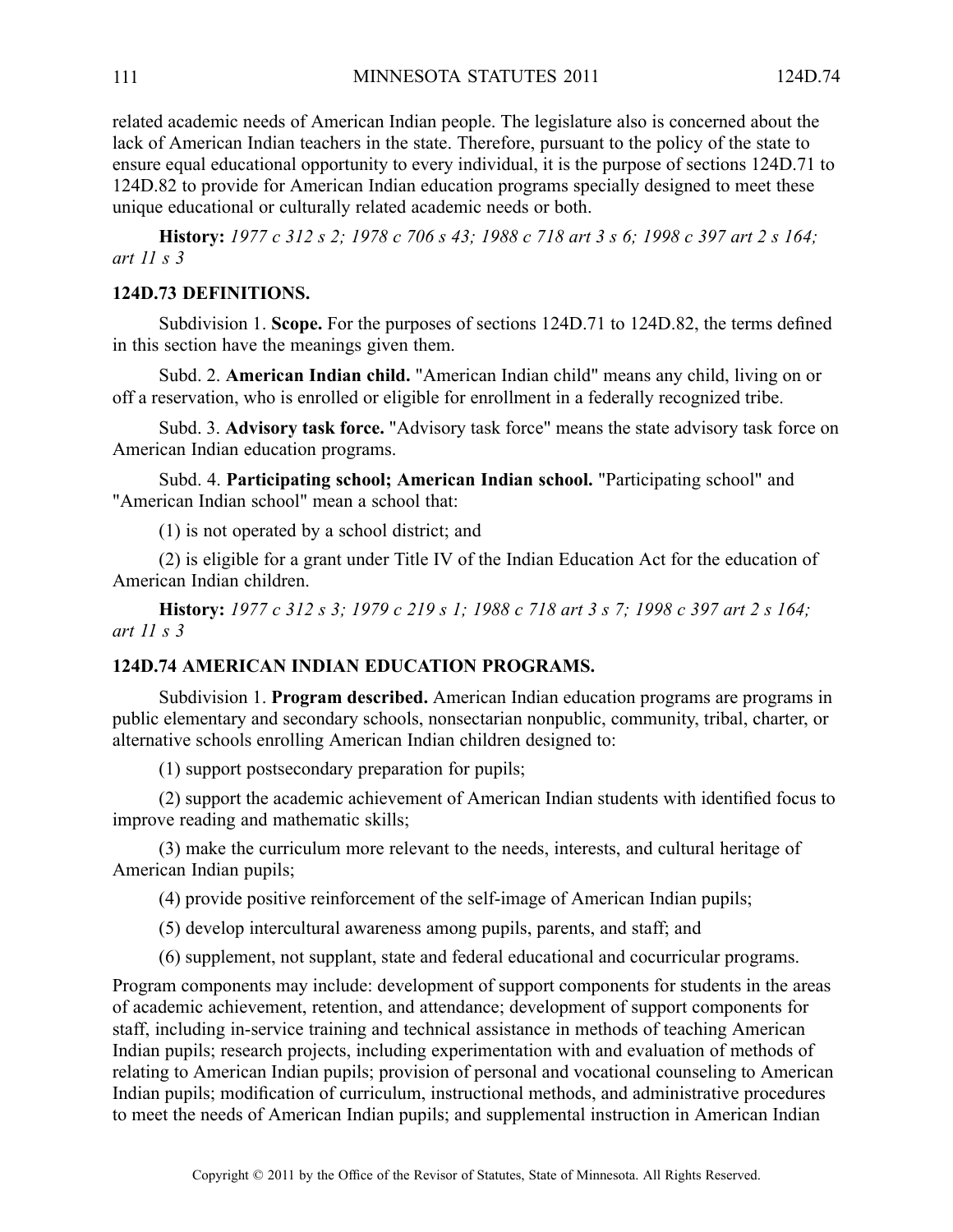related academic needs of American Indian people. The legislature also is concerned about the lack of American Indian teachers in the state. Therefore, pursuan<sup>t</sup> to the policy of the state to ensure equal educational opportunity to every individual, it is the purpose of sections 124D.71 to 124D.82 to provide for American Indian education programs specially designed to meet these unique educational or culturally related academic needs or both.

History: 1977 c 312 s 2; 1978 c 706 s 43; 1988 c 718 art 3 s 6; 1998 c 397 art 2 s 164; *art 11 <sup>s</sup> 3*

## **124D.73 DEFINITIONS.**

Subdivision 1. **Scope.** For the purposes of sections 124D.71 to 124D.82, the terms defined in this section have the meanings given them.

Subd. 2. **American Indian child.** "American Indian child" means any child, living on or off <sup>a</sup> reservation, who is enrolled or eligible for enrollment in <sup>a</sup> federally recognized tribe.

Subd. 3. **Advisory task force.** "Advisory task force" means the state advisory task force on American Indian education programs.

Subd. 4. **Participating school; American Indian school.** "Participating school" and "American Indian school" mean <sup>a</sup> school that:

(1) is not operated by <sup>a</sup> school district; and

(2) is eligible for <sup>a</sup> gran<sup>t</sup> under Title IV of the Indian Education Act for the education of American Indian children.

History: 1977 c 312 s 3; 1979 c 219 s 1; 1988 c 718 art 3 s 7; 1998 c 397 art 2 s 164; *art 11 <sup>s</sup> 3*

#### **124D.74 AMERICAN INDIAN EDUCATION PROGRAMS.**

Subdivision 1. **Program described.** American Indian education programs are programs in public elementary and secondary schools, nonsectarian nonpublic, community, tribal, charter, or alternative schools enrolling American Indian children designed to:

(1) suppor<sup>t</sup> postsecondary preparation for pupils;

(2) suppor<sup>t</sup> the academic achievement of American Indian students with identified focus to improve reading and mathematic skills;

(3) make the curriculum more relevant to the needs, interests, and cultural heritage of American Indian pupils;

(4) provide positive reinforcement of the self-image of American Indian pupils;

(5) develop intercultural awareness among pupils, parents, and staff; and

(6) supplement, not supplant, state and federal educational and cocurricular programs.

Program components may include: development of suppor<sup>t</sup> components for students in the areas of academic achievement, retention, and attendance; development of suppor<sup>t</sup> components for staff, including in-service training and technical assistance in methods of teaching American Indian pupils; research projects, including experimentation with and evaluation of methods of relating to American Indian pupils; provision of personal and vocational counseling to American Indian pupils; modification of curriculum, instructional methods, and administrative procedures to meet the needs of American Indian pupils; and supplemental instruction in American Indian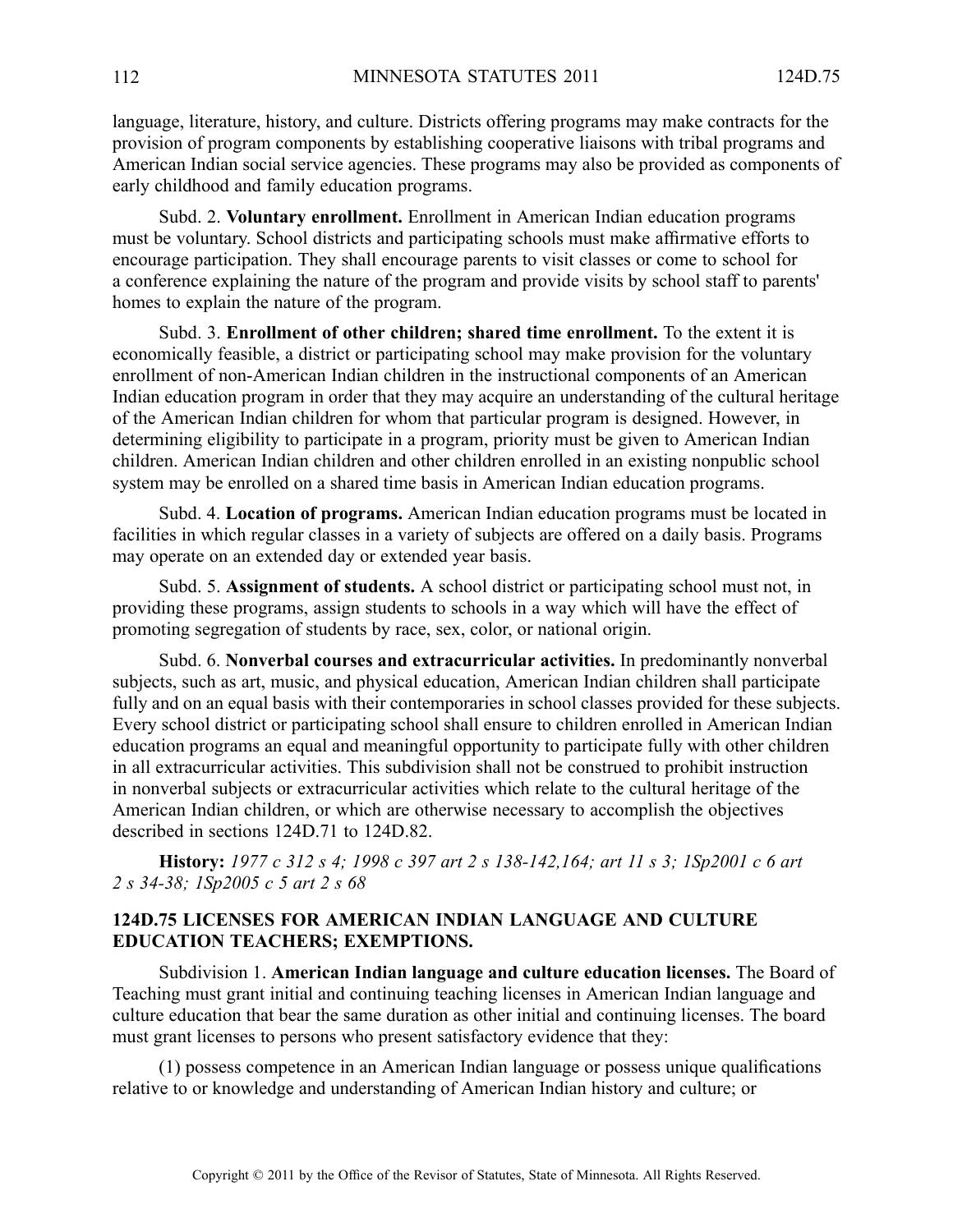language, literature, history, and culture. Districts offering programs may make contracts for the provision of program components by establishing cooperative liaisons with tribal programs and American Indian social service agencies. These programs may also be provided as components of early childhood and family education programs.

Subd. 2. **Voluntary enrollment.** Enrollment in American Indian education programs must be voluntary. School districts and participating schools must make affirmative efforts to encourage participation. They shall encourage parents to visit classes or come to school for <sup>a</sup> conference explaining the nature of the program and provide visits by school staff to parents' homes to explain the nature of the program.

Subd. 3. **Enrollment of other children; shared time enrollment.** To the extent it is economically feasible, <sup>a</sup> district or participating school may make provision for the voluntary enrollment of non-American Indian children in the instructional components of an American Indian education program in order that they may acquire an understanding of the cultural heritage of the American Indian children for whom that particular program is designed. However, in determining eligibility to participate in <sup>a</sup> program, priority must be given to American Indian children. American Indian children and other children enrolled in an existing nonpublic school system may be enrolled on <sup>a</sup> shared time basis in American Indian education programs.

Subd. 4. **Location of programs.** American Indian education programs must be located in facilities in which regular classes in <sup>a</sup> variety of subjects are offered on <sup>a</sup> daily basis. Programs may operate on an extended day or extended year basis.

Subd. 5. **Assignment of students.** Aschool district or participating school must not, in providing these programs, assign students to schools in <sup>a</sup> way which will have the effect of promoting segregation of students by race, sex, color, or national origin.

Subd. 6. **Nonverbal courses and extracurricular activities.** In predominantly nonverbal subjects, such as art, music, and physical education, American Indian children shall participate fully and on an equal basis with their contemporaries in school classes provided for these subjects. Every school district or participating school shall ensure to children enrolled in American Indian education programs an equal and meaningful opportunity to participate fully with other children in all extracurricular activities. This subdivision shall not be construed to prohibit instruction in nonverbal subjects or extracurricular activities which relate to the cultural heritage of the American Indian children, or which are otherwise necessary to accomplish the objectives described in sections 124D.71 to 124D.82.

History: 1977 c 312 s 4; 1998 c 397 art 2 s 138-142,164; art 11 s 3; 1Sp2001 c 6 art *2 <sup>s</sup> 34-38; 1Sp2005 <sup>c</sup> 5 art 2 <sup>s</sup> 68*

# **124D.75 LICENSES FOR AMERICAN INDIAN LANGUAGE AND CULTURE EDUCATION TEACHERS; EXEMPTIONS.**

Subdivision 1. **American Indian language and culture education licenses.** The Board of Teaching must gran<sup>t</sup> initial and continuing teaching licenses in American Indian language and culture education that bear the same duration as other initial and continuing licenses. The board must gran<sup>t</sup> licenses to persons who presen<sup>t</sup> satisfactory evidence that they:

(1) possess competence in an American Indian language or possess unique qualifications relative to or knowledge and understanding of American Indian history and culture; or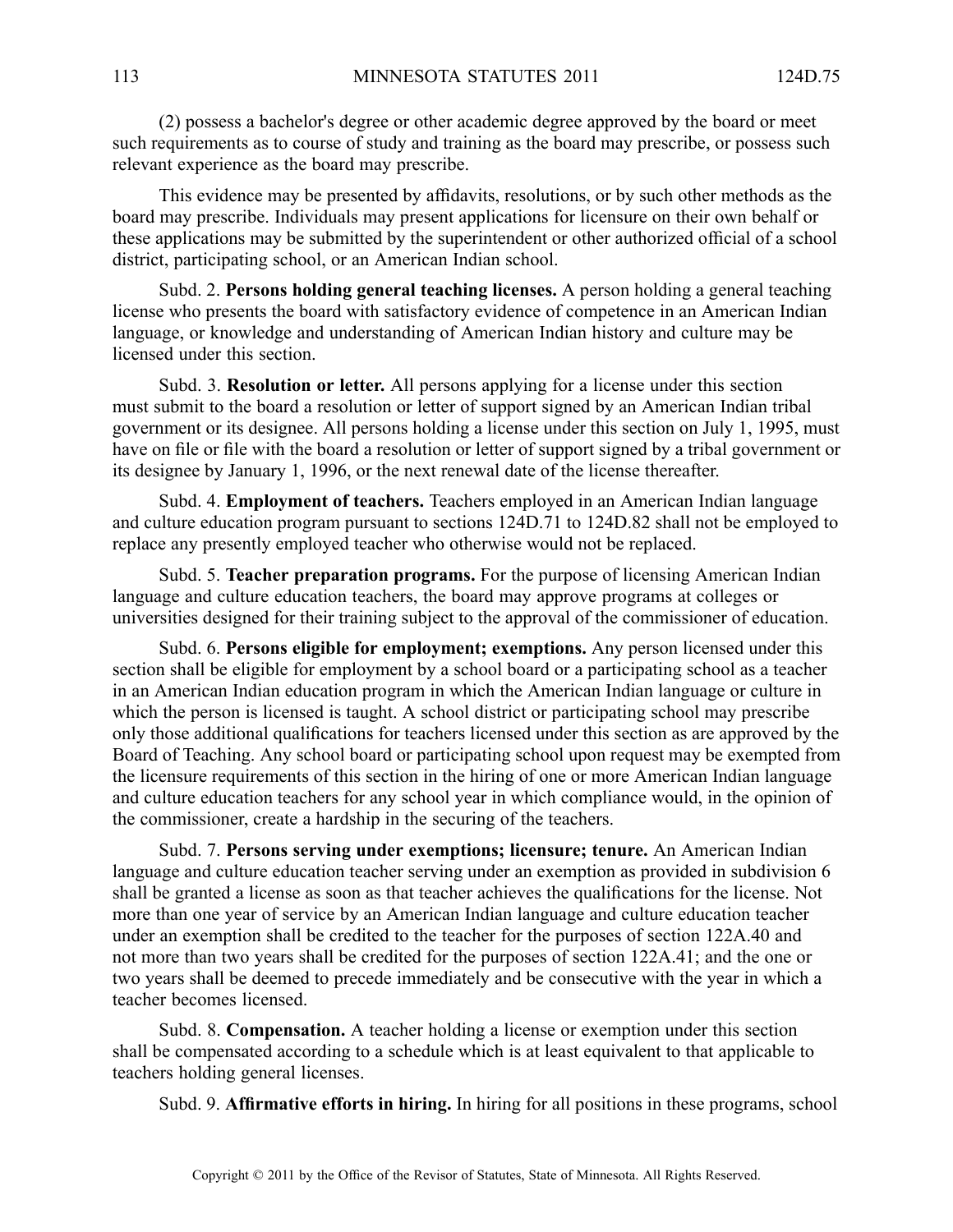(2) possess <sup>a</sup> bachelor's degree or other academic degree approved by the board or meet such requirements as to course of study and training as the board may prescribe, or possess such relevant experience as the board may prescribe.

This evidence may be presented by affidavits, resolutions, or by such other methods as the board may prescribe. Individuals may presen<sup>t</sup> applications for licensure on their own behalf or these applications may be submitted by the superintendent or other authorized official of <sup>a</sup> school district, participating school, or an American Indian school.

Subd. 2. **Persons holding general teaching licenses.** Aperson holding <sup>a</sup> general teaching license who presents the board with satisfactory evidence of competence in an American Indian language, or knowledge and understanding of American Indian history and culture may be licensed under this section.

Subd. 3. **Resolution or letter.** All persons applying for <sup>a</sup> license under this section must submit to the board <sup>a</sup> resolution or letter of suppor<sup>t</sup> signed by an American Indian tribal governmen<sup>t</sup> or its designee. All persons holding <sup>a</sup> license under this section on July 1, 1995, must have on file or file with the board <sup>a</sup> resolution or letter of suppor<sup>t</sup> signed by <sup>a</sup> tribal governmen<sup>t</sup> or its designee by January 1, 1996, or the next renewal date of the license thereafter.

Subd. 4. **Employment of teachers.** Teachers employed in an American Indian language and culture education program pursuan<sup>t</sup> to sections 124D.71 to 124D.82 shall not be employed to replace any presently employed teacher who otherwise would not be replaced.

Subd. 5. **Teacher preparation programs.** For the purpose of licensing American Indian language and culture education teachers, the board may approve programs at colleges or universities designed for their training subject to the approval of the commissioner of education.

Subd. 6. **Persons eligible for employment; exemptions.** Any person licensed under this section shall be eligible for employment by <sup>a</sup> school board or <sup>a</sup> participating school as <sup>a</sup> teacher in an American Indian education program in which the American Indian language or culture in which the person is licensed is taught. A school district or participating school may prescribe only those additional qualifications for teachers licensed under this section as are approved by the Board of Teaching. Any school board or participating school upon reques<sup>t</sup> may be exempted from the licensure requirements of this section in the hiring of one or more American Indian language and culture education teachers for any school year in which compliance would, in the opinion of the commissioner, create <sup>a</sup> hardship in the securing of the teachers.

Subd. 7. **Persons serving under exemptions; licensure; tenure.** An American Indian language and culture education teacher serving under an exemption as provided in subdivision 6 shall be granted <sup>a</sup> license as soon as that teacher achieves the qualifications for the license. Not more than one year of service by an American Indian language and culture education teacher under an exemption shall be credited to the teacher for the purposes of section 122A.40 and not more than two years shall be credited for the purposes of section 122A.41; and the one or two years shall be deemed to precede immediately and be consecutive with the year in which <sup>a</sup> teacher becomes licensed.

Subd. 8. **Compensation.** A teacher holding <sup>a</sup> license or exemption under this section shall be compensated according to <sup>a</sup> schedule which is at least equivalent to that applicable to teachers holding general licenses.

Subd. 9. **Affirmative efforts in hiring.** In hiring for all positions in these programs, school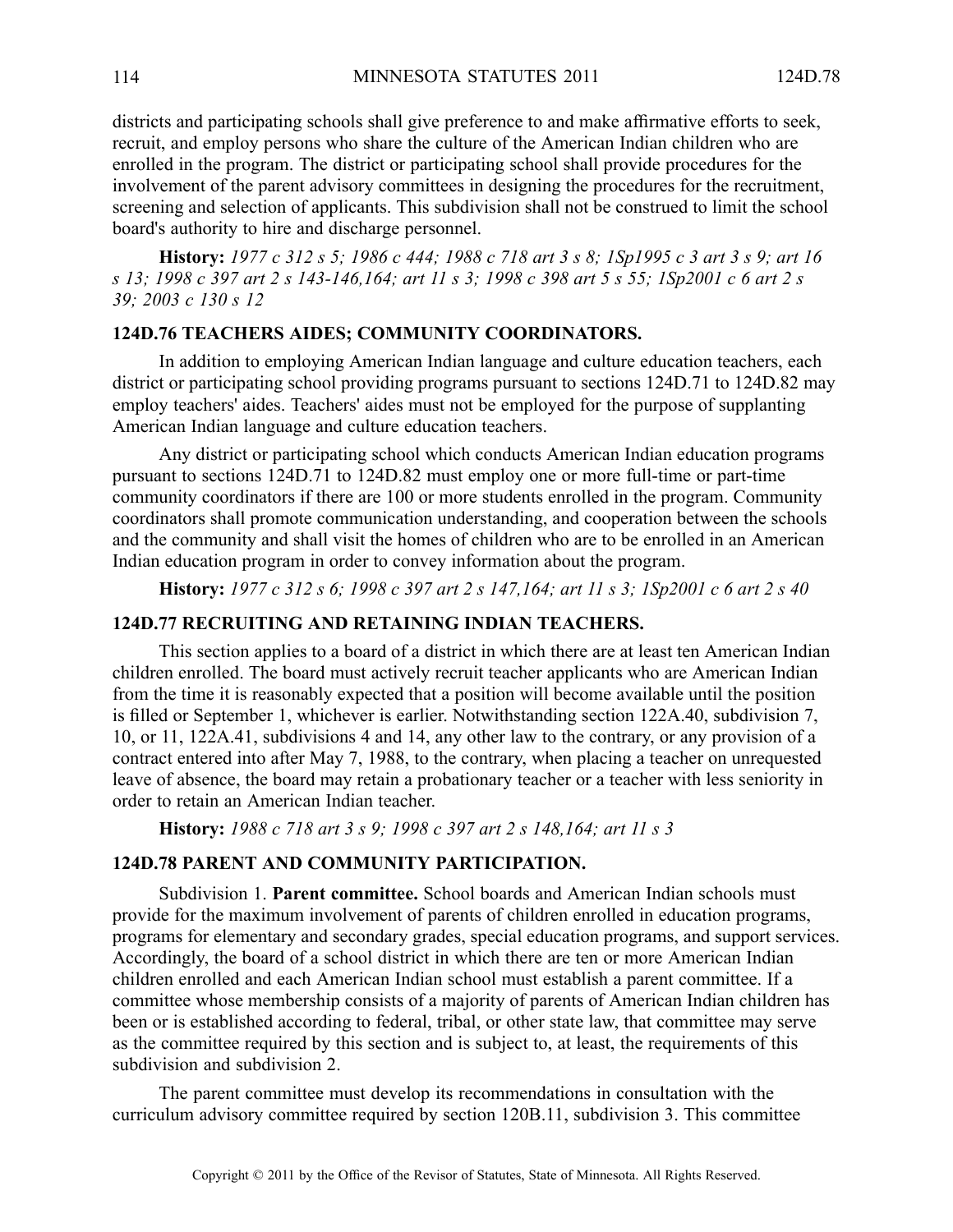districts and participating schools shall give preference to and make affirmative efforts to seek, recruit, and employ persons who share the culture of the American Indian children who are enrolled in the program. The district or participating school shall provide procedures for the involvement of the paren<sup>t</sup> advisory committees in designing the procedures for the recruitment, screening and selection of applicants. This subdivision shall not be construed to limit the school board's authority to hire and discharge personnel.

History: 1977 c 312 s 5; 1986 c 444; 1988 c 718 art 3 s 8; 1Sp1995 c 3 art 3 s 9; art 16 s 13; 1998 c 397 art 2 s 143-146, 164; art 11 s 3; 1998 c 398 art 5 s 55; 1Sp2001 c 6 art 2 s *39; 2003 <sup>c</sup> 130 <sup>s</sup> 12*

# **124D.76 TEACHERS AIDES; COMMUNITY COORDINATORS.**

In addition to employing American Indian language and culture education teachers, each district or participating school providing programs pursuan<sup>t</sup> to sections 124D.71 to 124D.82 may employ teachers' aides. Teachers' aides must not be employed for the purpose of supplanting American Indian language and culture education teachers.

Any district or participating school which conducts American Indian education programs pursuan<sup>t</sup> to sections 124D.71 to 124D.82 must employ one or more full-time or part-time community coordinators if there are 100 or more students enrolled in the program. Community coordinators shall promote communication understanding, and cooperation between the schools and the community and shall visit the homes of children who are to be enrolled in an American Indian education program in order to convey information about the program.

History: 1977 c 312 s 6; 1998 c 397 art 2 s 147, 164; art 11 s 3; 1Sp2001 c 6 art 2 s 40

### **124D.77 RECRUITING AND RETAINING INDIAN TEACHERS.**

This section applies to <sup>a</sup> board of <sup>a</sup> district in which there are at least ten American Indian children enrolled. The board must actively recruit teacher applicants who are American Indian from the time it is reasonably expected that <sup>a</sup> position will become available until the position is filled or September 1, whichever is earlier. Notwithstanding section 122A.40, subdivision 7, 10, or 11, 122A.41, subdivisions 4 and 14, any other law to the contrary, or any provision of <sup>a</sup> contract entered into after May 7, 1988, to the contrary, when placing <sup>a</sup> teacher on unrequested leave of absence, the board may retain <sup>a</sup> probationary teacher or <sup>a</sup> teacher with less seniority in order to retain an American Indian teacher.

**History:** *1988 <sup>c</sup> 718 art 3 <sup>s</sup> 9; 1998 <sup>c</sup> 397 art 2 <sup>s</sup> 148,164; art 11 <sup>s</sup> 3*

#### **124D.78 PARENT AND COMMUNITY PARTICIPATION.**

Subdivision 1. **Parent committee.** School boards and American Indian schools must provide for the maximum involvement of parents of children enrolled in education programs, programs for elementary and secondary grades, special education programs, and suppor<sup>t</sup> services. Accordingly, the board of <sup>a</sup> school district in which there are ten or more American Indian children enrolled and each American Indian school must establish <sup>a</sup> paren<sup>t</sup> committee. If <sup>a</sup> committee whose membership consists of <sup>a</sup> majority of parents of American Indian children has been or is established according to federal, tribal, or other state law, that committee may serve as the committee required by this section and is subject to, at least, the requirements of this subdivision and subdivision 2.

The paren<sup>t</sup> committee must develop its recommendations in consultation with the curriculum advisory committee required by section 120B.11, subdivision 3. This committee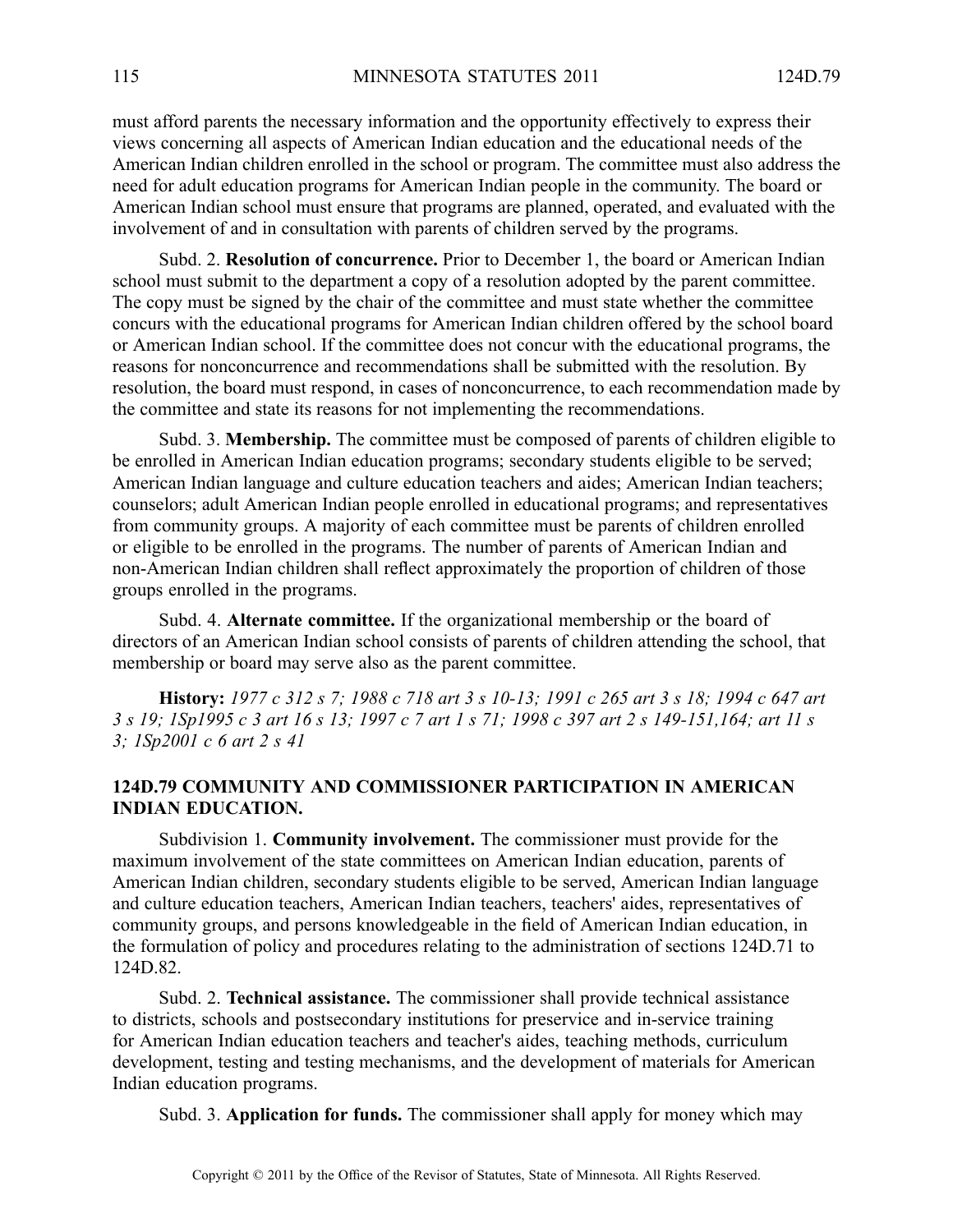must afford parents the necessary information and the opportunity effectively to express their views concerning all aspects of American Indian education and the educational needs of the American Indian children enrolled in the school or program. The committee must also address the need for adult education programs for American Indian people in the community. The board or American Indian school must ensure that programs are planned, operated, and evaluated with the involvement of and in consultation with parents of children served by the programs.

Subd. 2. **Resolution of concurrence.** Prior to December 1, the board or American Indian school must submit to the department <sup>a</sup> copy of <sup>a</sup> resolution adopted by the paren<sup>t</sup> committee. The copy must be signed by the chair of the committee and must state whether the committee concurs with the educational programs for American Indian children offered by the school board or American Indian school. If the committee does not concur with the educational programs, the reasons for nonconcurrence and recommendations shall be submitted with the resolution. By resolution, the board must respond, in cases of nonconcurrence, to each recommendation made by the committee and state its reasons for not implementing the recommendations.

Subd. 3. **Membership.** The committee must be composed of parents of children eligible to be enrolled in American Indian education programs; secondary students eligible to be served; American Indian language and culture education teachers and aides; American Indian teachers; counselors; adult American Indian people enrolled in educational programs; and representatives from community groups. A majority of each committee must be parents of children enrolled or eligible to be enrolled in the programs. The number of parents of American Indian and non-American Indian children shall reflect approximately the proportion of children of those groups enrolled in the programs.

Subd. 4. **Alternate committee.** If the organizational membership or the board of directors of an American Indian school consists of parents of children attending the school, that membership or board may serve also as the paren<sup>t</sup> committee.

History: 1977 c 312 s 7; 1988 c 718 art 3 s 10-13; 1991 c 265 art 3 s 18; 1994 c 647 art 3 s 19; 1Sp1995 c 3 art 16 s 13; 1997 c 7 art 1 s 71; 1998 c 397 art 2 s 149-151, 164; art 11 s *3; 1Sp2001 <sup>c</sup> 6 art 2 <sup>s</sup> 41*

# **124D.79 COMMUNITY AND COMMISSIONER PARTICIPATION IN AMERICAN INDIAN EDUCATION.**

Subdivision 1. **Community involvement.** The commissioner must provide for the maximum involvement of the state committees on American Indian education, parents of American Indian children, secondary students eligible to be served, American Indian language and culture education teachers, American Indian teachers, teachers' aides, representatives of community groups, and persons knowledgeable in the field of American Indian education, in the formulation of policy and procedures relating to the administration of sections 124D.71 to 124D.82.

Subd. 2. **Technical assistance.** The commissioner shall provide technical assistance to districts, schools and postsecondary institutions for preservice and in-service training for American Indian education teachers and teacher's aides, teaching methods, curriculum development, testing and testing mechanisms, and the development of materials for American Indian education programs.

Subd. 3. **Application for funds.** The commissioner shall apply for money which may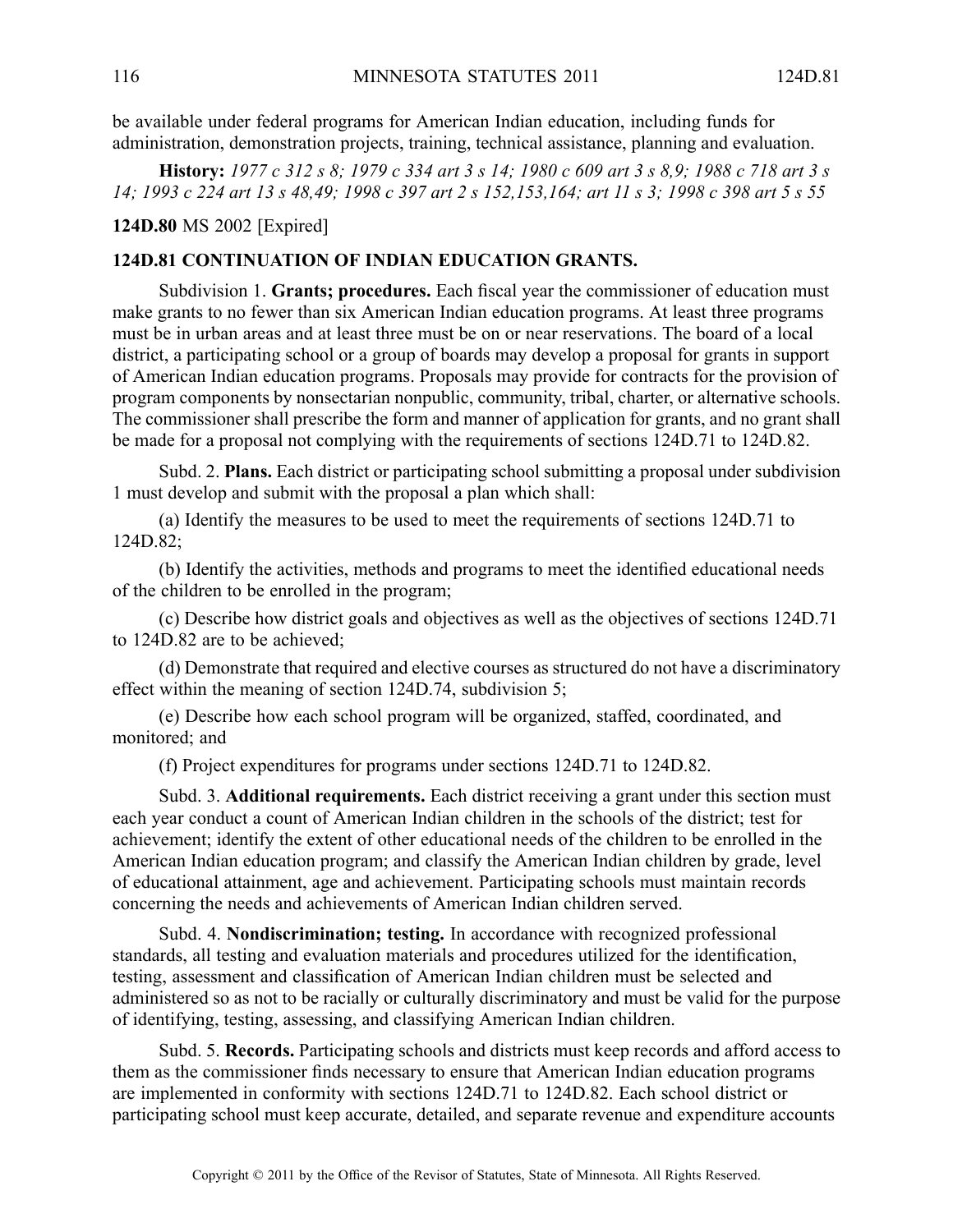be available under federal programs for American Indian education, including funds for administration, demonstration projects, training, technical assistance, planning and evaluation.

History: 1977 c 312 s 8; 1979 c 334 art 3 s 14; 1980 c 609 art 3 s 8,9; 1988 c 718 art 3 s 14; 1993 c 224 art 13 s 48,49; 1998 c 397 art 2 s 152,153,164; art 11 s 3; 1998 c 398 art 5 s 55

**124D.80** MS 2002 [Expired]

# **124D.81 CONTINUATION OF INDIAN EDUCATION GRANTS.**

Subdivision 1. **Grants; procedures.** Each fiscal year the commissioner of education must make grants to no fewer than six American Indian education programs. At least three programs must be in urban areas and at least three must be on or near reservations. The board of <sup>a</sup> local district, <sup>a</sup> participating school or <sup>a</sup> group of boards may develop <sup>a</sup> proposal for grants in suppor<sup>t</sup> of American Indian education programs. Proposals may provide for contracts for the provision of program components by nonsectarian nonpublic, community, tribal, charter, or alternative schools. The commissioner shall prescribe the form and manner of application for grants, and no gran<sup>t</sup> shall be made for <sup>a</sup> proposal not complying with the requirements of sections 124D.71 to 124D.82.

Subd. 2. **Plans.** Each district or participating school submitting <sup>a</sup> proposal under subdivision 1 must develop and submit with the proposal <sup>a</sup> plan which shall:

(a) Identify the measures to be used to meet the requirements of sections 124D.71 to 124D.82;

(b) Identify the activities, methods and programs to meet the identified educational needs of the children to be enrolled in the program;

(c) Describe how district goals and objectives as well as the objectives of sections 124D.71 to 124D.82 are to be achieved;

(d) Demonstrate that required and elective courses as structured do not have <sup>a</sup> discriminatory effect within the meaning of section 124D.74, subdivision 5;

(e) Describe how each school program will be organized, staffed, coordinated, and monitored; and

(f) Project expenditures for programs under sections 124D.71 to 124D.82.

Subd. 3. **Additional requirements.** Each district receiving <sup>a</sup> gran<sup>t</sup> under this section must each year conduct <sup>a</sup> count of American Indian children in the schools of the district; test for achievement; identify the extent of other educational needs of the children to be enrolled in the American Indian education program; and classify the American Indian children by grade, level of educational attainment, age and achievement. Participating schools must maintain records concerning the needs and achievements of American Indian children served.

Subd. 4. **Nondiscrimination; testing.** In accordance with recognized professional standards, all testing and evaluation materials and procedures utilized for the identification, testing, assessment and classification of American Indian children must be selected and administered so as not to be racially or culturally discriminatory and must be valid for the purpose of identifying, testing, assessing, and classifying American Indian children.

Subd. 5. **Records.** Participating schools and districts must keep records and afford access to them as the commissioner finds necessary to ensure that American Indian education programs are implemented in conformity with sections 124D.71 to 124D.82. Each school district or participating school must keep accurate, detailed, and separate revenue and expenditure accounts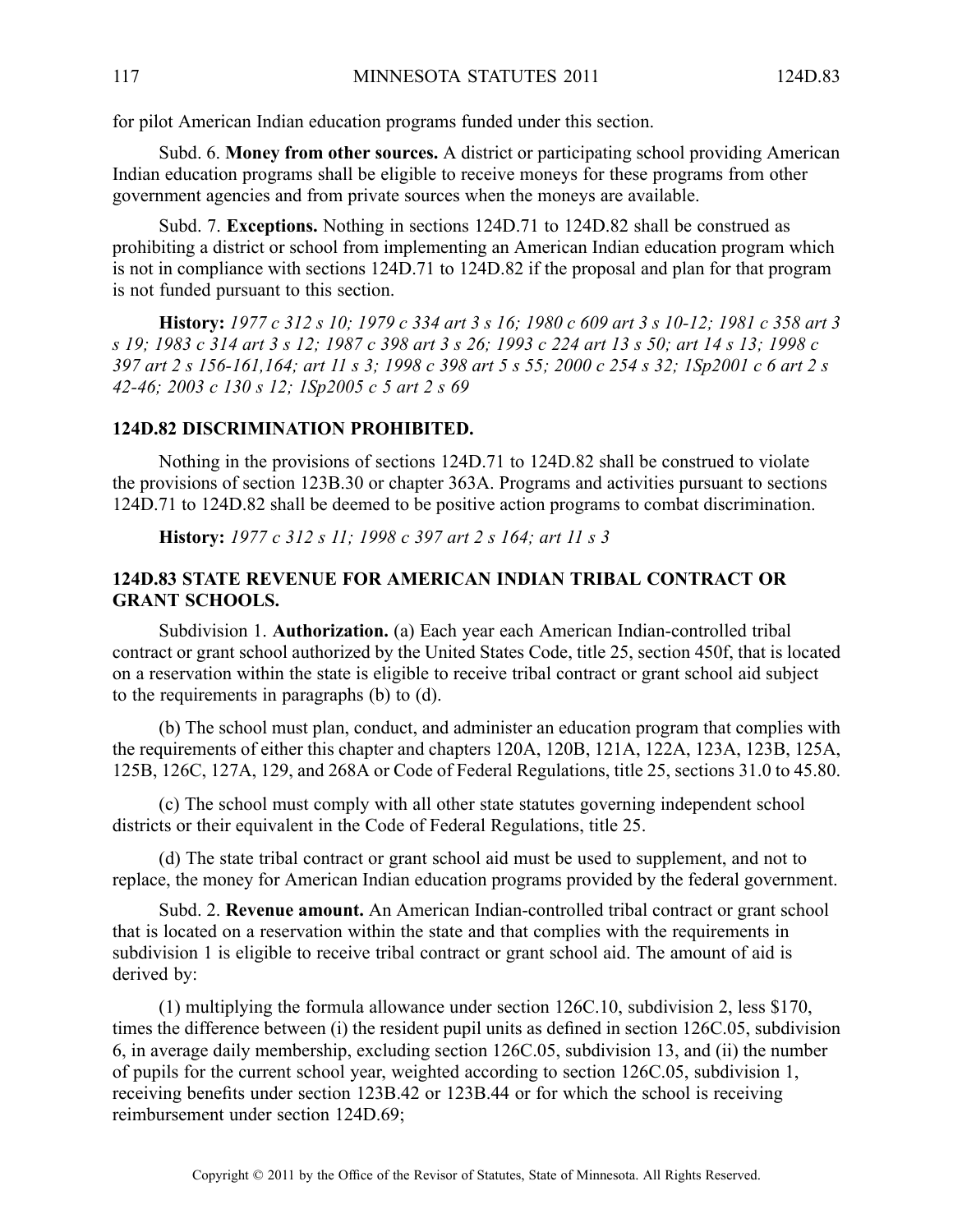for pilot American Indian education programs funded under this section.

Subd. 6. **Money from other sources.** Adistrict or participating school providing American Indian education programs shall be eligible to receive moneys for these programs from other governmen<sup>t</sup> agencies and from private sources when the moneys are available.

Subd. 7. **Exceptions.** Nothing in sections 124D.71 to 124D.82 shall be construed as prohibiting <sup>a</sup> district or school from implementing an American Indian education program which is not in compliance with sections 124D.71 to 124D.82 if the proposal and plan for that program is not funded pursuan<sup>t</sup> to this section.

History: 1977 c 312 s 10; 1979 c 334 art 3 s 16; 1980 c 609 art 3 s 10-12; 1981 c 358 art 3 s 19: 1983 c 314 art 3 s 12: 1987 c 398 art 3 s 26: 1993 c 224 art 13 s 50; art 14 s 13: 1998 c 397 art 2 s 156-161, 164; art 11 s 3; 1998 c 398 art 5 s 55; 2000 c 254 s 32; 1Sp2001 c 6 art 2 s *42-46; 2003 <sup>c</sup> 130 <sup>s</sup> 12; 1Sp2005 <sup>c</sup> 5 art 2 <sup>s</sup> 69*

### **124D.82 DISCRIMINATION PROHIBITED.**

Nothing in the provisions of sections 124D.71 to 124D.82 shall be construed to violate the provisions of section 123B.30 or chapter 363A. Programs and activities pursuan<sup>t</sup> to sections 124D.71 to 124D.82 shall be deemed to be positive action programs to combat discrimination.

**History:** *1977 <sup>c</sup> 312 <sup>s</sup> 11; 1998 <sup>c</sup> 397 art 2 <sup>s</sup> 164; art 11 <sup>s</sup> 3*

# **124D.83 STATE REVENUE FOR AMERICAN INDIAN TRIBAL CONTRACT OR GRANT SCHOOLS.**

Subdivision 1. **Authorization.** (a) Each year each American Indian-controlled tribal contract or gran<sup>t</sup> school authorized by the United States Code, title 25, section 450f, that is located on <sup>a</sup> reservation within the state is eligible to receive tribal contract or gran<sup>t</sup> school aid subject to the requirements in paragraphs (b) to (d).

(b) The school must plan, conduct, and administer an education program that complies with the requirements of either this chapter and chapters 120A, 120B, 121A, 122A, 123A, 123B, 125A, 125B, 126C, 127A, 129, and 268A or Code of Federal Regulations, title 25, sections 31.0 to 45.80.

(c) The school must comply with all other state statutes governing independent school districts or their equivalent in the Code of Federal Regulations, title 25.

(d) The state tribal contract or gran<sup>t</sup> school aid must be used to supplement, and not to replace, the money for American Indian education programs provided by the federal government.

Subd. 2. **Revenue amount.** An American Indian-controlled tribal contract or gran<sup>t</sup> school that is located on <sup>a</sup> reservation within the state and that complies with the requirements in subdivision 1 is eligible to receive tribal contract or gran<sup>t</sup> school aid. The amount of aid is derived by:

(1) multiplying the formula allowance under section 126C.10, subdivision 2, less \$170, times the difference between (i) the resident pupil units as defined in section 126C.05, subdivision 6, in average daily membership, excluding section 126C.05, subdivision 13, and (ii) the number of pupils for the current school year, weighted according to section 126C.05, subdivision 1, receiving benefits under section 123B.42 or 123B.44 or for which the school is receiving reimbursement under section 124D.69;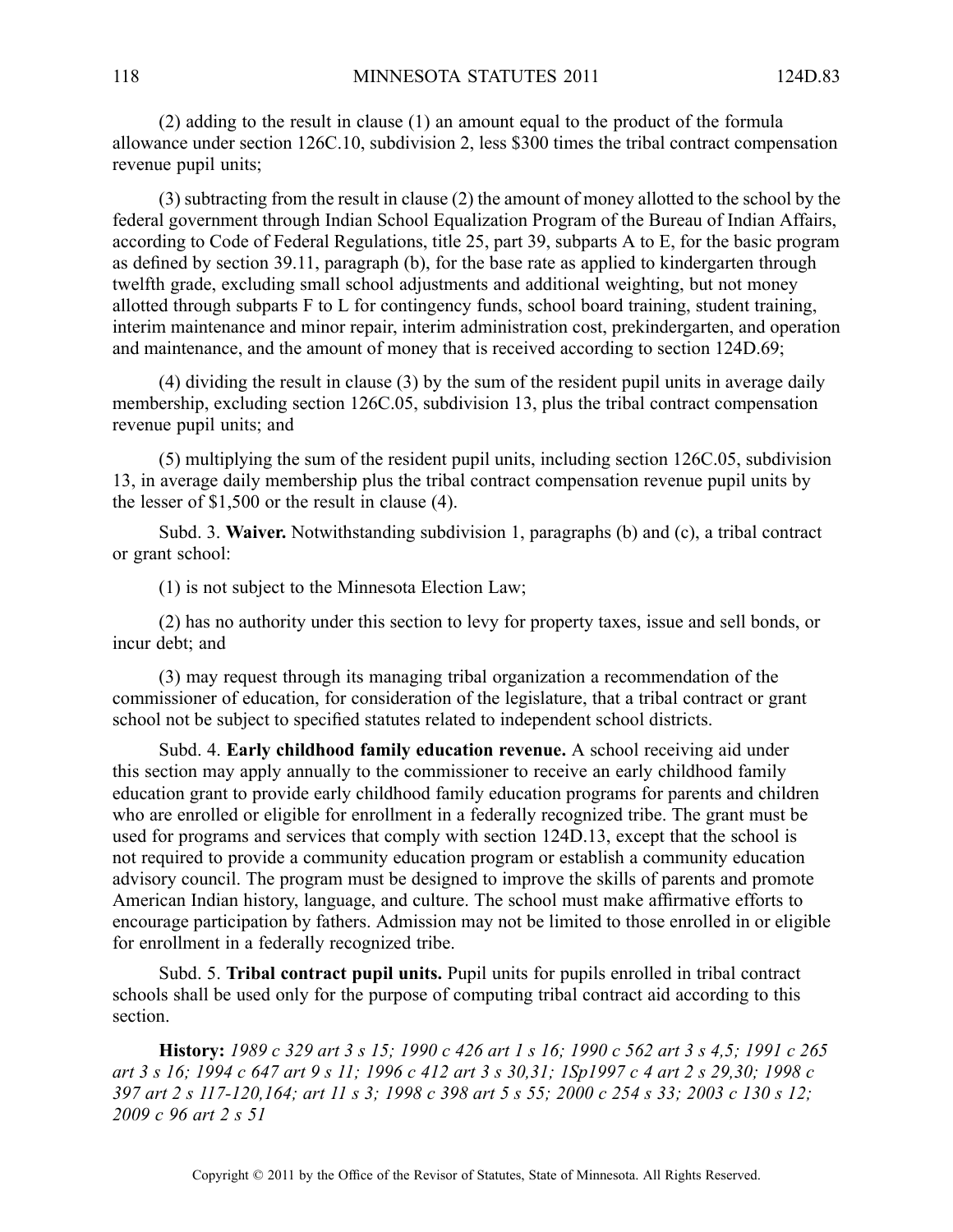(2) adding to the result in clause (1) an amount equal to the product of the formula allowance under section 126C.10, subdivision 2, less \$300 times the tribal contract compensation revenue pupil units;

(3) subtracting from the result in clause (2) the amount of money allotted to the school by the federal governmen<sup>t</sup> through Indian School Equalization Program of the Bureau of Indian Affairs, according to Code of Federal Regulations, title 25, par<sup>t</sup> 39, subparts A to E, for the basic program as defined by section 39.11, paragraph (b), for the base rate as applied to kindergarten through twelfth grade, excluding small school adjustments and additional weighting, but not money allotted through subparts F to L for contingency funds, school board training, student training, interim maintenance and minor repair, interim administration cost, prekindergarten, and operation and maintenance, and the amount of money that is received according to section 124D.69;

(4) dividing the result in clause (3) by the sum of the resident pupil units in average daily membership, excluding section 126C.05, subdivision 13, plus the tribal contract compensation revenue pupil units; and

(5) multiplying the sum of the resident pupil units, including section 126C.05, subdivision 13, in average daily membership plus the tribal contract compensation revenue pupil units by the lesser of \$1,500 or the result in clause (4).

Subd. 3. **Waiver.** Notwithstanding subdivision 1, paragraphs (b) and (c), <sup>a</sup> tribal contract or gran<sup>t</sup> school:

(1) is not subject to the Minnesota Election Law;

(2) has no authority under this section to levy for property taxes, issue and sell bonds, or incur debt; and

(3) may reques<sup>t</sup> through its managing tribal organization <sup>a</sup> recommendation of the commissioner of education, for consideration of the legislature, that <sup>a</sup> tribal contract or gran<sup>t</sup> school not be subject to specified statutes related to independent school districts.

Subd. 4. **Early childhood family education revenue.** A school receiving aid under this section may apply annually to the commissioner to receive an early childhood family education gran<sup>t</sup> to provide early childhood family education programs for parents and children who are enrolled or eligible for enrollment in <sup>a</sup> federally recognized tribe. The gran<sup>t</sup> must be used for programs and services that comply with section 124D.13, excep<sup>t</sup> that the school is not required to provide <sup>a</sup> community education program or establish <sup>a</sup> community education advisory council. The program must be designed to improve the skills of parents and promote American Indian history, language, and culture. The school must make affirmative efforts to encourage participation by fathers. Admission may not be limited to those enrolled in or eligible for enrollment in <sup>a</sup> federally recognized tribe.

Subd. 5. **Tribal contract pupil units.** Pupil units for pupils enrolled in tribal contract schools shall be used only for the purpose of computing tribal contract aid according to this section.

History: 1989 c 329 art 3 s 15; 1990 c 426 art 1 s 16; 1990 c 562 art 3 s 4,5; 1991 c 265 art 3 s 16; 1994 c 647 art 9 s 11; 1996 c 412 art 3 s 30,31; 1Sp1997 c 4 art 2 s 29,30; 1998 c 397 art 2 s 117-120, 164; art 11 s 3; 1998 c 398 art 5 s 55; 2000 c 254 s 33; 2003 c 130 s 12; *2009 <sup>c</sup> 96 art 2 <sup>s</sup> 51*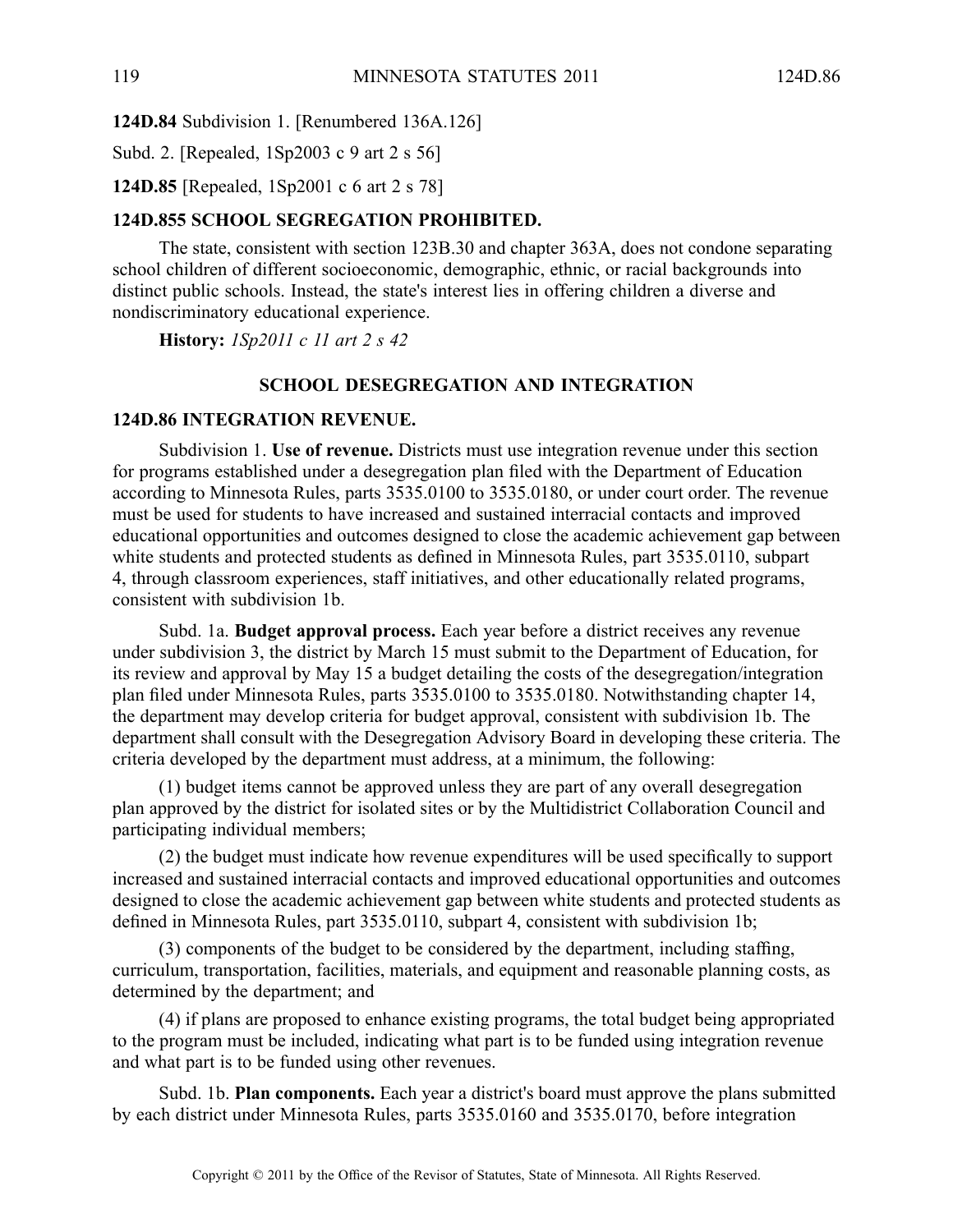**124D.84** Subdivision 1. [Renumbered 136A.126]

Subd. 2. [Repealed, 1Sp2003 <sup>c</sup> 9 art 2 <sup>s</sup> 56]

**124D.85** [Repealed, 1Sp2001 <sup>c</sup> 6 art 2 <sup>s</sup> 78]

# **124D.855 SCHOOL SEGREGATION PROHIBITED.**

The state, consistent with section 123B.30 and chapter 363A, does not condone separating school children of different socioeconomic, demographic, ethnic, or racial backgrounds into distinct public schools. Instead, the state's interest lies in offering children <sup>a</sup> diverse and nondiscriminatory educational experience.

**History:** *1Sp2011 <sup>c</sup> 11 art 2 <sup>s</sup> 42*

## **SCHOOL DESEGREGATION AND INTEGRATION**

#### **124D.86 INTEGRATION REVENUE.**

Subdivision 1. **Use of revenue.** Districts must use integration revenue under this section for programs established under <sup>a</sup> desegregation plan filed with the Department of Education according to Minnesota Rules, parts 3535.0100 to 3535.0180, or under court order. The revenue must be used for students to have increased and sustained interracial contacts and improved educational opportunities and outcomes designed to close the academic achievement gap between white students and protected students as defined in Minnesota Rules, par<sup>t</sup> 3535.0110, subpart 4, through classroom experiences, staff initiatives, and other educationally related programs, consistent with subdivision 1b.

Subd. 1a. **Budget approval process.** Each year before <sup>a</sup> district receives any revenue under subdivision 3, the district by March 15 must submit to the Department of Education, for its review and approval by May 15 <sup>a</sup> budget detailing the costs of the desegregation/integration plan filed under Minnesota Rules, parts 3535.0100 to 3535.0180. Notwithstanding chapter 14, the department may develop criteria for budget approval, consistent with subdivision 1b. The department shall consult with the Desegregation Advisory Board in developing these criteria. The criteria developed by the department must address, at <sup>a</sup> minimum, the following:

(1) budget items cannot be approved unless they are par<sup>t</sup> of any overall desegregation plan approved by the district for isolated sites or by the Multidistrict Collaboration Council and participating individual members;

(2) the budget must indicate how revenue expenditures will be used specifically to suppor<sup>t</sup> increased and sustained interracial contacts and improved educational opportunities and outcomes designed to close the academic achievement gap between white students and protected students as defined in Minnesota Rules, par<sup>t</sup> 3535.0110, subpart 4, consistent with subdivision 1b;

(3) components of the budget to be considered by the department, including staffing, curriculum, transportation, facilities, materials, and equipment and reasonable planning costs, as determined by the department; and

(4) if plans are proposed to enhance existing programs, the total budget being appropriated to the program must be included, indicating what par<sup>t</sup> is to be funded using integration revenue and what par<sup>t</sup> is to be funded using other revenues.

Subd. 1b. **Plan components.** Each year <sup>a</sup> district's board must approve the plans submitted by each district under Minnesota Rules, parts 3535.0160 and 3535.0170, before integration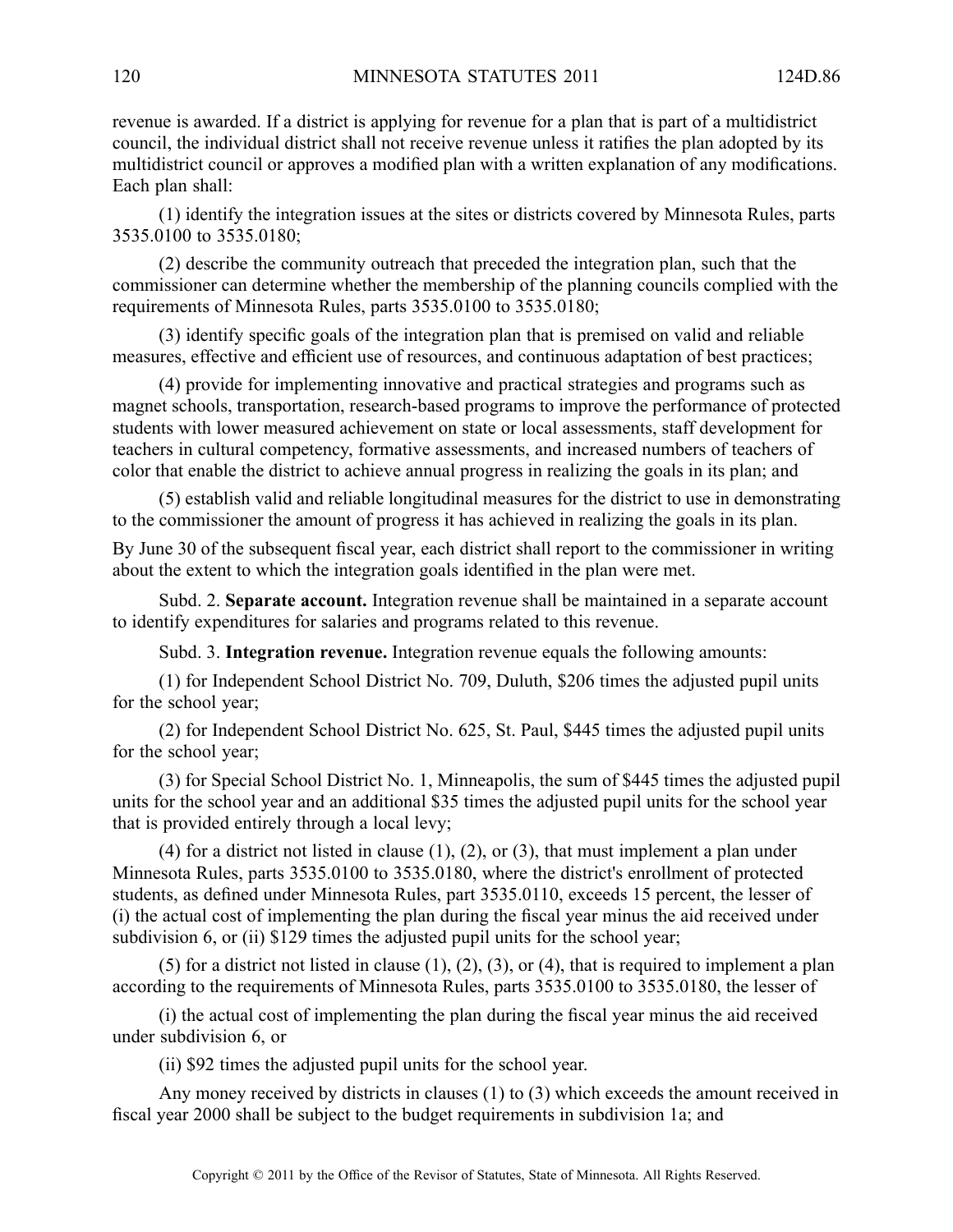revenue is awarded. If <sup>a</sup> district is applying for revenue for <sup>a</sup> plan that is par<sup>t</sup> of <sup>a</sup> multidistrict council, the individual district shall not receive revenue unless it ratifies the plan adopted by its multidistrict council or approves <sup>a</sup> modified plan with <sup>a</sup> written explanation of any modifications. Each plan shall:

(1) identify the integration issues at the sites or districts covered by Minnesota Rules, parts 3535.0100 to 3535.0180;

(2) describe the community outreach that preceded the integration plan, such that the commissioner can determine whether the membership of the planning councils complied with the requirements of Minnesota Rules, parts 3535.0100 to 3535.0180;

(3) identify specific goals of the integration plan that is premised on valid and reliable measures, effective and efficient use of resources, and continuous adaptation of best practices;

(4) provide for implementing innovative and practical strategies and programs such as magne<sup>t</sup> schools, transportation, research-based programs to improve the performance of protected students with lower measured achievement on state or local assessments, staff development for teachers in cultural competency, formative assessments, and increased numbers of teachers of color that enable the district to achieve annual progress in realizing the goals in its plan; and

(5) establish valid and reliable longitudinal measures for the district to use in demonstrating to the commissioner the amount of progress it has achieved in realizing the goals in its plan.

By June 30 of the subsequent fiscal year, each district shall repor<sup>t</sup> to the commissioner in writing about the extent to which the integration goals identified in the plan were met.

Subd. 2. **Separate account.** Integration revenue shall be maintained in <sup>a</sup> separate account to identify expenditures for salaries and programs related to this revenue.

Subd. 3. **Integration revenue.** Integration revenue equals the following amounts:

(1) for Independent School District No. 709, Duluth, \$206 times the adjusted pupil units for the school year;

(2) for Independent School District No. 625, St. Paul, \$445 times the adjusted pupil units for the school year;

(3) for Special School District No. 1, Minneapolis, the sum of \$445 times the adjusted pupil units for the school year and an additional \$35 times the adjusted pupil units for the school year that is provided entirely through <sup>a</sup> local levy;

(4) for <sup>a</sup> district not listed in clause (1), (2), or (3), that must implement <sup>a</sup> plan under Minnesota Rules, parts 3535.0100 to 3535.0180, where the district's enrollment of protected students, as defined under Minnesota Rules, par<sup>t</sup> 3535.0110, exceeds 15 percent, the lesser of (i) the actual cost of implementing the plan during the fiscal year minus the aid received under subdivision 6, or (ii) \$129 times the adjusted pupil units for the school year;

(5) for a district not listed in clause  $(1)$ ,  $(2)$ ,  $(3)$ , or  $(4)$ , that is required to implement a plan according to the requirements of Minnesota Rules, parts 3535.0100 to 3535.0180, the lesser of

(i) the actual cost of implementing the plan during the fiscal year minus the aid received under subdivision 6, or

(ii) \$92 times the adjusted pupil units for the school year.

Any money received by districts in clauses (1) to (3) which exceeds the amount received in fiscal year 2000 shall be subject to the budget requirements in subdivision 1a; and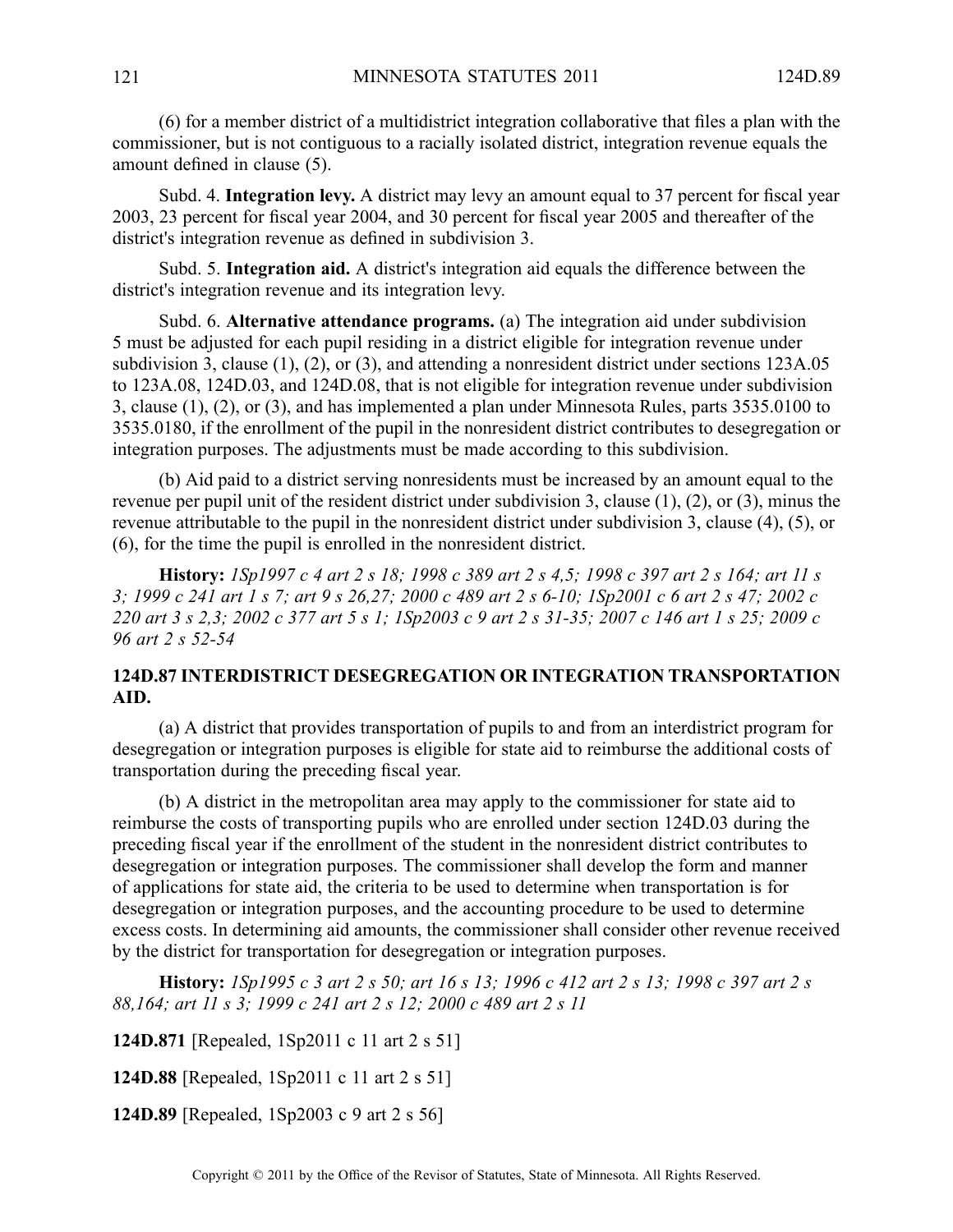(6) for <sup>a</sup> member district of <sup>a</sup> multidistrict integration collaborative that files <sup>a</sup> plan with the commissioner, but is not contiguous to <sup>a</sup> racially isolated district, integration revenue equals the amount defined in clause (5).

Subd. 4. **Integration levy.** A district may levy an amount equal to 37 percen<sup>t</sup> for fiscal year 2003, 23 percen<sup>t</sup> for fiscal year 2004, and 30 percen<sup>t</sup> for fiscal year 2005 and thereafter of the district's integration revenue as defined in subdivision 3.

Subd. 5. **Integration aid.** A district's integration aid equals the difference between the district's integration revenue and its integration levy.

Subd. 6. **Alternative attendance programs.** (a) The integration aid under subdivision 5 must be adjusted for each pupil residing in <sup>a</sup> district eligible for integration revenue under subdivision 3, clause (1), (2), or (3), and attending <sup>a</sup> nonresident district under sections 123A.05 to 123A.08, 124D.03, and 124D.08, that is not eligible for integration revenue under subdivision 3, clause (1), (2), or (3), and has implemented <sup>a</sup> plan under Minnesota Rules, parts 3535.0100 to 3535.0180, if the enrollment of the pupil in the nonresident district contributes to desegregation or integration purposes. The adjustments must be made according to this subdivision.

(b) Aid paid to <sup>a</sup> district serving nonresidents must be increased by an amount equal to the revenue per pupil unit of the resident district under subdivision 3, clause (1), (2), or (3), minus the revenue attributable to the pupil in the nonresident district under subdivision 3, clause (4), (5), or (6), for the time the pupil is enrolled in the nonresident district.

History: 1Sp1997 c 4 art 2 s 18; 1998 c 389 art 2 s 4,5; 1998 c 397 art 2 s 164; art 11 s 3; 1999 c 241 art 1 s 7; art 9 s 26,27; 2000 c 489 art 2 s 6-10; 1Sp2001 c 6 art 2 s 47; 2002 c 220 art 3 s 2,3; 2002 c 377 art 5 s 1; 1Sp2003 c 9 art 2 s 31-35; 2007 c 146 art 1 s 25; 2009 c *96 art 2 <sup>s</sup> 52-54*

# **124D.87 INTERDISTRICT DESEGREGATION OR INTEGRATION TRANSPORTATION AID.**

(a) A district that provides transportation of pupils to and from an interdistrict program for desegregation or integration purposes is eligible for state aid to reimburse the additional costs of transportation during the preceding fiscal year.

(b) A district in the metropolitan area may apply to the commissioner for state aid to reimburse the costs of transporting pupils who are enrolled under section 124D.03 during the preceding fiscal year if the enrollment of the student in the nonresident district contributes to desegregation or integration purposes. The commissioner shall develop the form and manner of applications for state aid, the criteria to be used to determine when transportation is for desegregation or integration purposes, and the accounting procedure to be used to determine excess costs. In determining aid amounts, the commissioner shall consider other revenue received by the district for transportation for desegregation or integration purposes.

History: 1Sp1995 c 3 art 2 s 50; art 16 s 13; 1996 c 412 art 2 s 13; 1998 c 397 art 2 s *88,164; art 11 <sup>s</sup> 3; 1999 <sup>c</sup> 241 art 2 <sup>s</sup> 12; 2000 <sup>c</sup> 489 art 2 <sup>s</sup> 11*

**124D.871** [Repealed, 1Sp2011 <sup>c</sup> 11 art 2 <sup>s</sup> 51]

**124D.88** [Repealed, 1Sp2011 <sup>c</sup> 11 art 2 <sup>s</sup> 51]

**124D.89** [Repealed, 1Sp2003 <sup>c</sup> 9 art 2 <sup>s</sup> 56]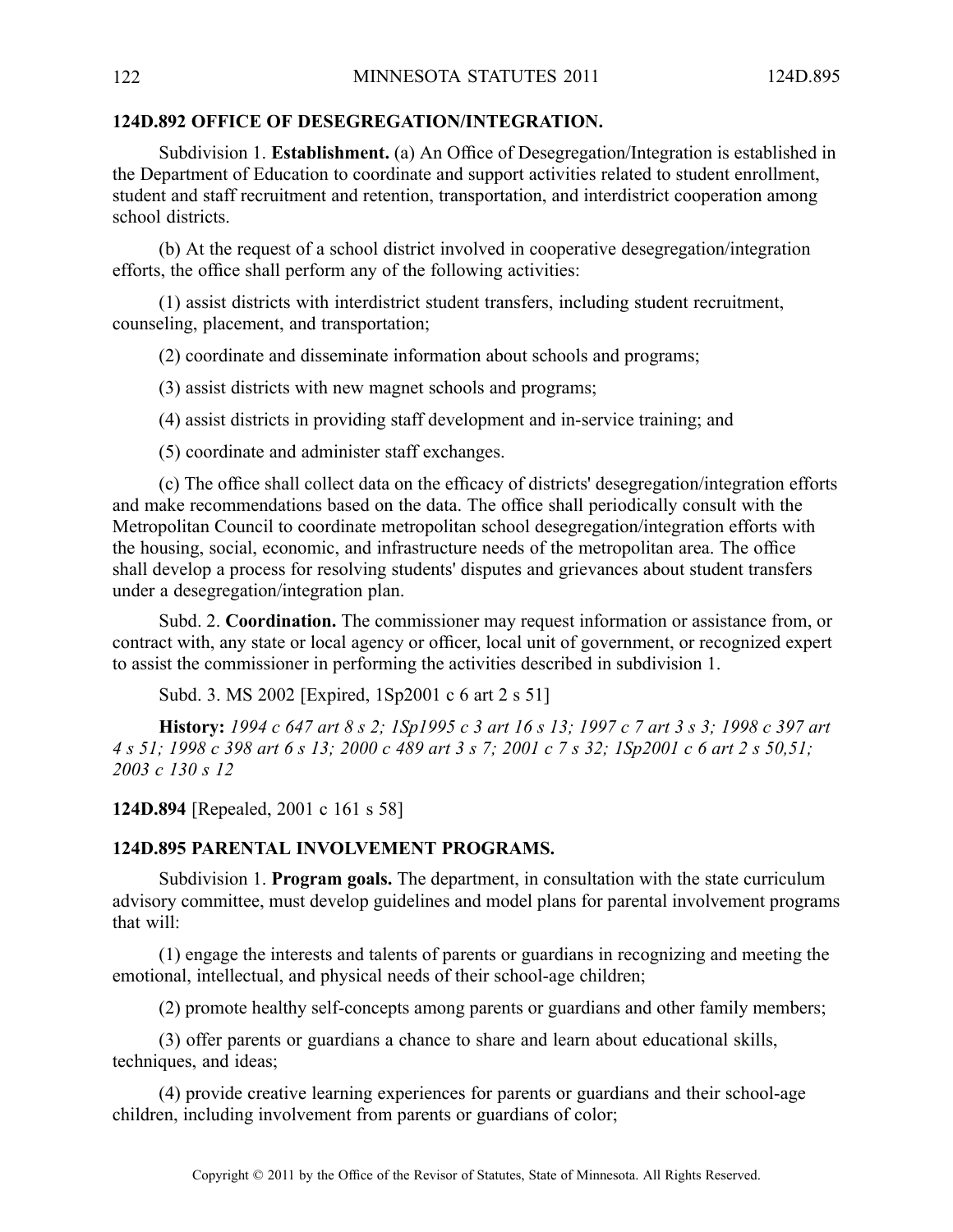## **124D.892 OFFICE OF DESEGREGATION/INTEGRATION.**

Subdivision 1. **Establishment.** (a) An Office of Desegregation/Integration is established in the Department of Education to coordinate and suppor<sup>t</sup> activities related to student enrollment, student and staff recruitment and retention, transportation, and interdistrict cooperation among school districts.

(b) At the reques<sup>t</sup> of <sup>a</sup> school district involved in cooperative desegregation/integration efforts, the office shall perform any of the following activities:

(1) assist districts with interdistrict student transfers, including student recruitment, counseling, placement, and transportation;

(2) coordinate and disseminate information about schools and programs;

(3) assist districts with new magne<sup>t</sup> schools and programs;

(4) assist districts in providing staff development and in-service training; and

(5) coordinate and administer staff exchanges.

(c) The office shall collect data on the efficacy of districts' desegregation/integration efforts and make recommendations based on the data. The office shall periodically consult with the Metropolitan Council to coordinate metropolitan school desegregation/integration efforts with the housing, social, economic, and infrastructure needs of the metropolitan area. The office shall develop <sup>a</sup> process for resolving students' disputes and grievances about student transfers under <sup>a</sup> desegregation/integration plan.

Subd. 2. **Coordination.** The commissioner may reques<sup>t</sup> information or assistance from, or contract with, any state or local agency or officer, local unit of government, or recognized exper<sup>t</sup> to assist the commissioner in performing the activities described in subdivision 1.

Subd. 3. MS 2002 [Expired, 1Sp2001 <sup>c</sup> 6 art 2 <sup>s</sup> 51]

History: 1994 c 647 art 8 s 2; 1Sp1995 c 3 art 16 s 13; 1997 c 7 art 3 s 3; 1998 c 397 art 4 s 51; 1998 c 398 art 6 s 13; 2000 c 489 art 3 s 7; 2001 c 7 s 32; 1Sp2001 c 6 art 2 s 50,51; *2003 <sup>c</sup> 130 <sup>s</sup> 12*

**124D.894** [Repealed, 2001 <sup>c</sup> 161 <sup>s</sup> 58]

### **124D.895 PARENTAL INVOLVEMENT PROGRAMS.**

Subdivision 1. **Program goals.** The department, in consultation with the state curriculum advisory committee, must develop guidelines and model plans for parental involvement programs that will:

(1) engage the interests and talents of parents or guardians in recognizing and meeting the emotional, intellectual, and physical needs of their school-age children;

(2) promote healthy self-concepts among parents or guardians and other family members;

(3) offer parents or guardians <sup>a</sup> chance to share and learn about educational skills, techniques, and ideas;

(4) provide creative learning experiences for parents or guardians and their school-age children, including involvement from parents or guardians of color;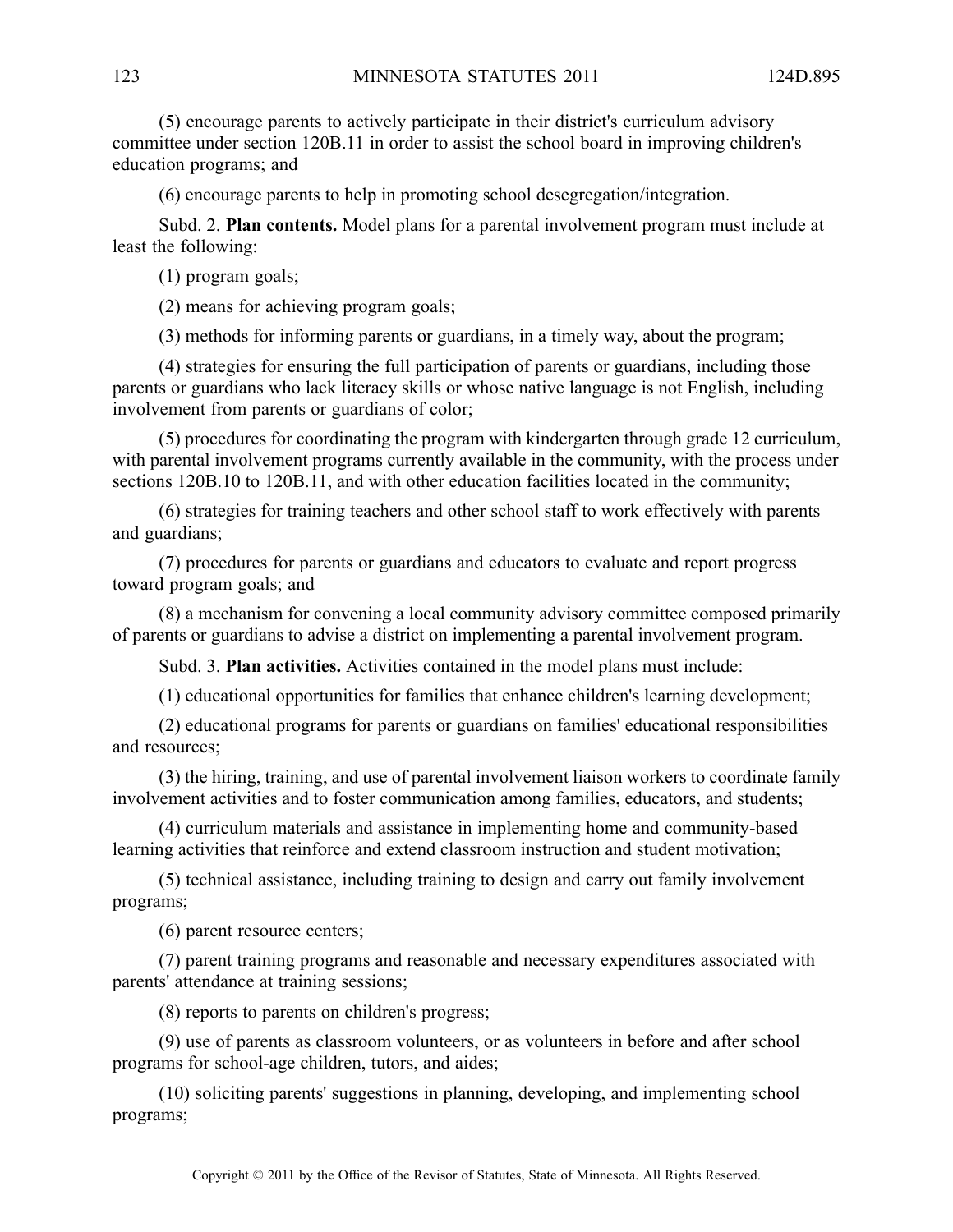(5) encourage parents to actively participate in their district's curriculum advisory committee under section 120B.11 in order to assist the school board in improving children's education programs; and

(6) encourage parents to help in promoting school desegregation/integration.

Subd. 2. **Plan contents.** Model plans for <sup>a</sup> parental involvement program must include at least the following:

(1) program goals;

(2) means for achieving program goals;

(3) methods for informing parents or guardians, in <sup>a</sup> timely way, about the program;

(4) strategies for ensuring the full participation of parents or guardians, including those parents or guardians who lack literacy skills or whose native language is not English, including involvement from parents or guardians of color;

(5) procedures for coordinating the program with kindergarten through grade 12 curriculum, with parental involvement programs currently available in the community, with the process under sections 120B.10 to 120B.11, and with other education facilities located in the community;

(6) strategies for training teachers and other school staff to work effectively with parents and guardians;

(7) procedures for parents or guardians and educators to evaluate and repor<sup>t</sup> progress toward program goals; and

(8) <sup>a</sup> mechanism for convening <sup>a</sup> local community advisory committee composed primarily of parents or guardians to advise <sup>a</sup> district on implementing <sup>a</sup> parental involvement program.

Subd. 3. **Plan activities.** Activities contained in the model plans must include:

(1) educational opportunities for families that enhance children's learning development;

(2) educational programs for parents or guardians on families' educational responsibilities and resources;

(3) the hiring, training, and use of parental involvement liaison workers to coordinate family involvement activities and to foster communication among families, educators, and students;

(4) curriculum materials and assistance in implementing home and community-based learning activities that reinforce and extend classroom instruction and student motivation;

(5) technical assistance, including training to design and carry out family involvement programs;

(6) paren<sup>t</sup> resource centers;

(7) paren<sup>t</sup> training programs and reasonable and necessary expenditures associated with parents' attendance at training sessions;

(8) reports to parents on children's progress;

(9) use of parents as classroom volunteers, or as volunteers in before and after school programs for school-age children, tutors, and aides;

(10) soliciting parents' suggestions in planning, developing, and implementing school programs;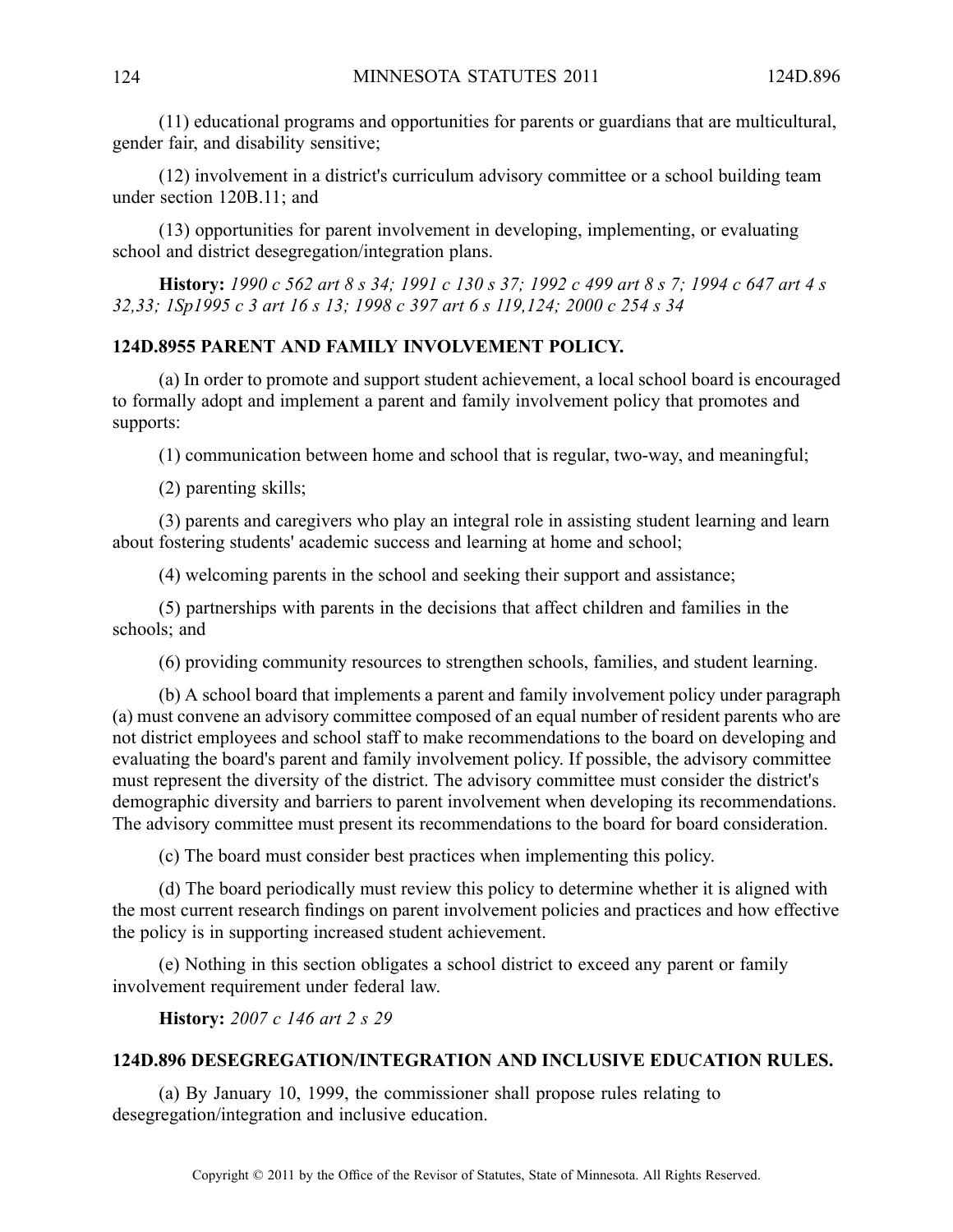(11) educational programs and opportunities for parents or guardians that are multicultural, gender fair, and disability sensitive;

(12) involvement in <sup>a</sup> district's curriculum advisory committee or <sup>a</sup> school building team under section 120B.11; and

(13) opportunities for paren<sup>t</sup> involvement in developing, implementing, or evaluating school and district desegregation/integration plans.

History: 1990 c 562 art 8 s 34; 1991 c 130 s 37; 1992 c 499 art 8 s 7; 1994 c 647 art 4 s *32,33; 1Sp1995 <sup>c</sup> 3 art 16 <sup>s</sup> 13; 1998 <sup>c</sup> 397 art 6 <sup>s</sup> 119,124; 2000 <sup>c</sup> 254 <sup>s</sup> 34*

# **124D.8955 PARENT AND FAMILY INVOLVEMENT POLICY.**

(a) In order to promote and suppor<sup>t</sup> student achievement, <sup>a</sup> local school board is encouraged to formally adopt and implement <sup>a</sup> paren<sup>t</sup> and family involvement policy that promotes and supports:

(1) communication between home and school that is regular, two-way, and meaningful;

(2) parenting skills;

(3) parents and caregivers who play an integral role in assisting student learning and learn about fostering students' academic success and learning at home and school;

(4) welcoming parents in the school and seeking their suppor<sup>t</sup> and assistance;

(5) partnerships with parents in the decisions that affect children and families in the schools; and

(6) providing community resources to strengthen schools, families, and student learning.

(b) A school board that implements <sup>a</sup> paren<sup>t</sup> and family involvement policy under paragraph (a) must convene an advisory committee composed of an equal number of resident parents who are not district employees and school staff to make recommendations to the board on developing and evaluating the board's paren<sup>t</sup> and family involvement policy. If possible, the advisory committee must represen<sup>t</sup> the diversity of the district. The advisory committee must consider the district's demographic diversity and barriers to paren<sup>t</sup> involvement when developing its recommendations. The advisory committee must presen<sup>t</sup> its recommendations to the board for board consideration.

(c) The board must consider best practices when implementing this policy.

(d) The board periodically must review this policy to determine whether it is aligned with the most current research findings on paren<sup>t</sup> involvement policies and practices and how effective the policy is in supporting increased student achievement.

(e) Nothing in this section obligates <sup>a</sup> school district to exceed any paren<sup>t</sup> or family involvement requirement under federal law.

**History:** *2007 <sup>c</sup> 146 art 2 <sup>s</sup> 29*

#### **124D.896 DESEGREGATION/INTEGRATION AND INCLUSIVE EDUCATION RULES.**

(a) By January 10, 1999, the commissioner shall propose rules relating to desegregation/integration and inclusive education.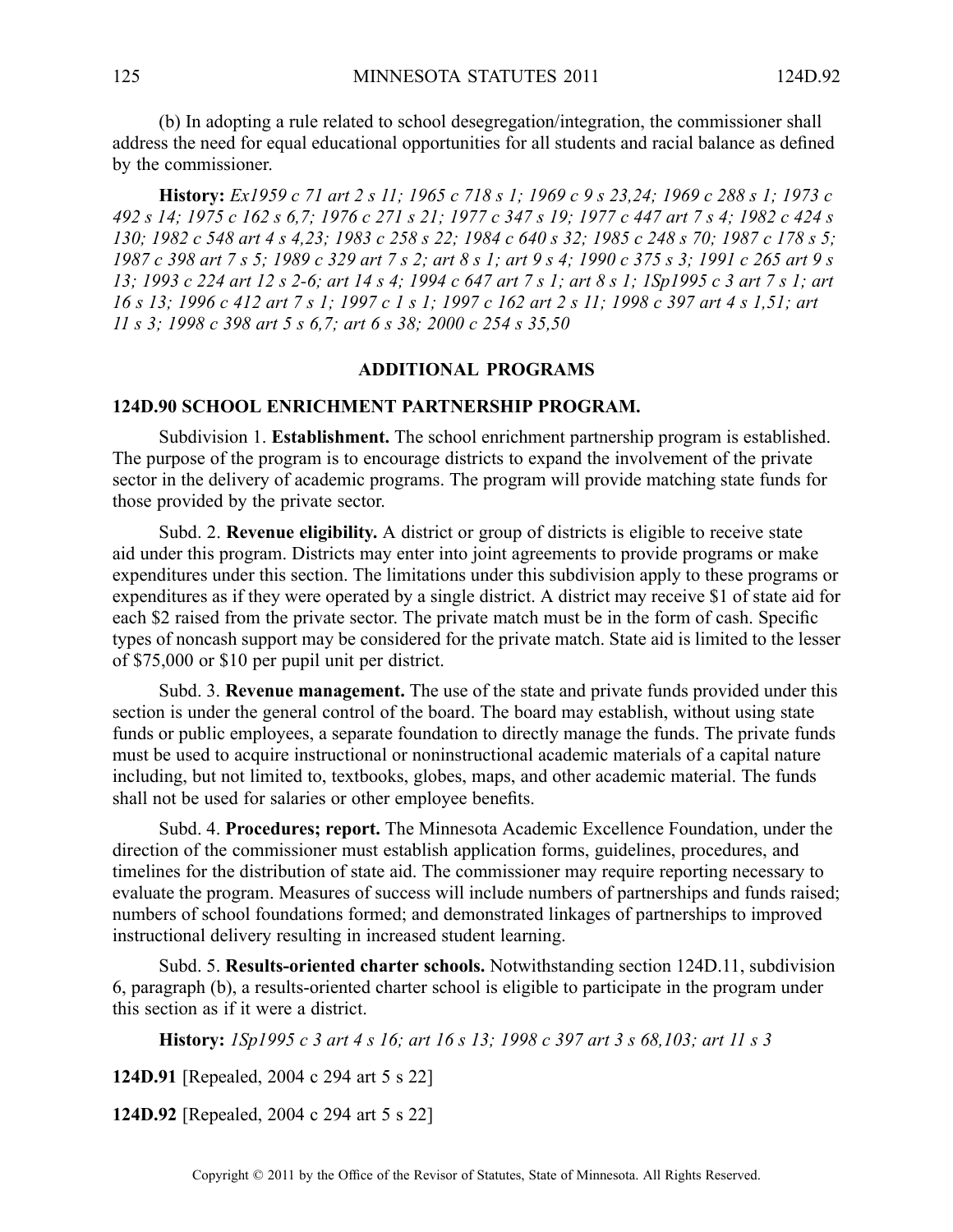(b) In adopting <sup>a</sup> rule related to school desegregation/integration, the commissioner shall address the need for equal educational opportunities for all students and racial balance as defined by the commissioner.

History: Ex1959 c 71 art 2 s 11; 1965 c 718 s 1; 1969 c 9 s 23,24; 1969 c 288 s 1; 1973 c 492 s 14; 1975 c 162 s 6,7; 1976 c 271 s 21; 1977 c 347 s 19; 1977 c 447 art 7 s 4; 1982 c 424 s 130; 1982 c 548 art 4 s 4.23; 1983 c 258 s 22; 1984 c 640 s 32; 1985 c 248 s 70; 1987 c 178 s 5; 1987 c 398 art 7 s 5; 1989 c 329 art 7 s 2; art 8 s 1; art 9 s 4; 1990 c 375 s 3; 1991 c 265 art 9 s 13; 1993 c 224 art 12 s 2-6; art 14 s 4; 1994 c 647 art 7 s 1; art 8 s 1; 1Sp1995 c 3 art 7 s 1; art 16 s 13; 1996 c 412 art 7 s 1; 1997 c 1 s 1; 1997 c 162 art 2 s 11; 1998 c 397 art 4 s 1.51; art *11 <sup>s</sup> 3; 1998 <sup>c</sup> 398 art 5 <sup>s</sup> 6,7; art 6 <sup>s</sup> 38; 2000 <sup>c</sup> 254 <sup>s</sup> 35,50*

#### **ADDITIONAL PROGRAMS**

#### **124D.90 SCHOOL ENRICHMENT PARTNERSHIP PROGRAM.**

Subdivision 1. **Establishment.** The school enrichment partnership program is established. The purpose of the program is to encourage districts to expand the involvement of the private sector in the delivery of academic programs. The program will provide matching state funds for those provided by the private sector.

Subd. 2. **Revenue eligibility.** A district or group of districts is eligible to receive state aid under this program. Districts may enter into joint agreements to provide programs or make expenditures under this section. The limitations under this subdivision apply to these programs or expenditures as if they were operated by <sup>a</sup> single district. A district may receive \$1 of state aid for each \$2 raised from the private sector. The private match must be in the form of cash. Specific types of noncash suppor<sup>t</sup> may be considered for the private match. State aid is limited to the lesser of \$75,000 or \$10 per pupil unit per district.

Subd. 3. **Revenue management.** The use of the state and private funds provided under this section is under the general control of the board. The board may establish, without using state funds or public employees, <sup>a</sup> separate foundation to directly manage the funds. The private funds must be used to acquire instructional or noninstructional academic materials of <sup>a</sup> capital nature including, but not limited to, textbooks, globes, maps, and other academic material. The funds shall not be used for salaries or other employee benefits.

Subd. 4. **Procedures; report.** The Minnesota Academic Excellence Foundation, under the direction of the commissioner must establish application forms, guidelines, procedures, and timelines for the distribution of state aid. The commissioner may require reporting necessary to evaluate the program. Measures of success will include numbers of partnerships and funds raised; numbers of school foundations formed; and demonstrated linkages of partnerships to improved instructional delivery resulting in increased student learning.

Subd. 5. **Results-oriented charter schools.** Notwithstanding section 124D.11, subdivision 6, paragraph (b), <sup>a</sup> results-oriented charter school is eligible to participate in the program under this section as if it were <sup>a</sup> district.

**History:** 1Sp1995 c 3 art 4 s 16; art 16 s 13; 1998 c 397 art 3 s 68,103; art 11 s 3

**124D.91** [Repealed, 2004 <sup>c</sup> 294 art 5 <sup>s</sup> 22]

**124D.92** [Repealed, 2004 <sup>c</sup> 294 art 5 <sup>s</sup> 22]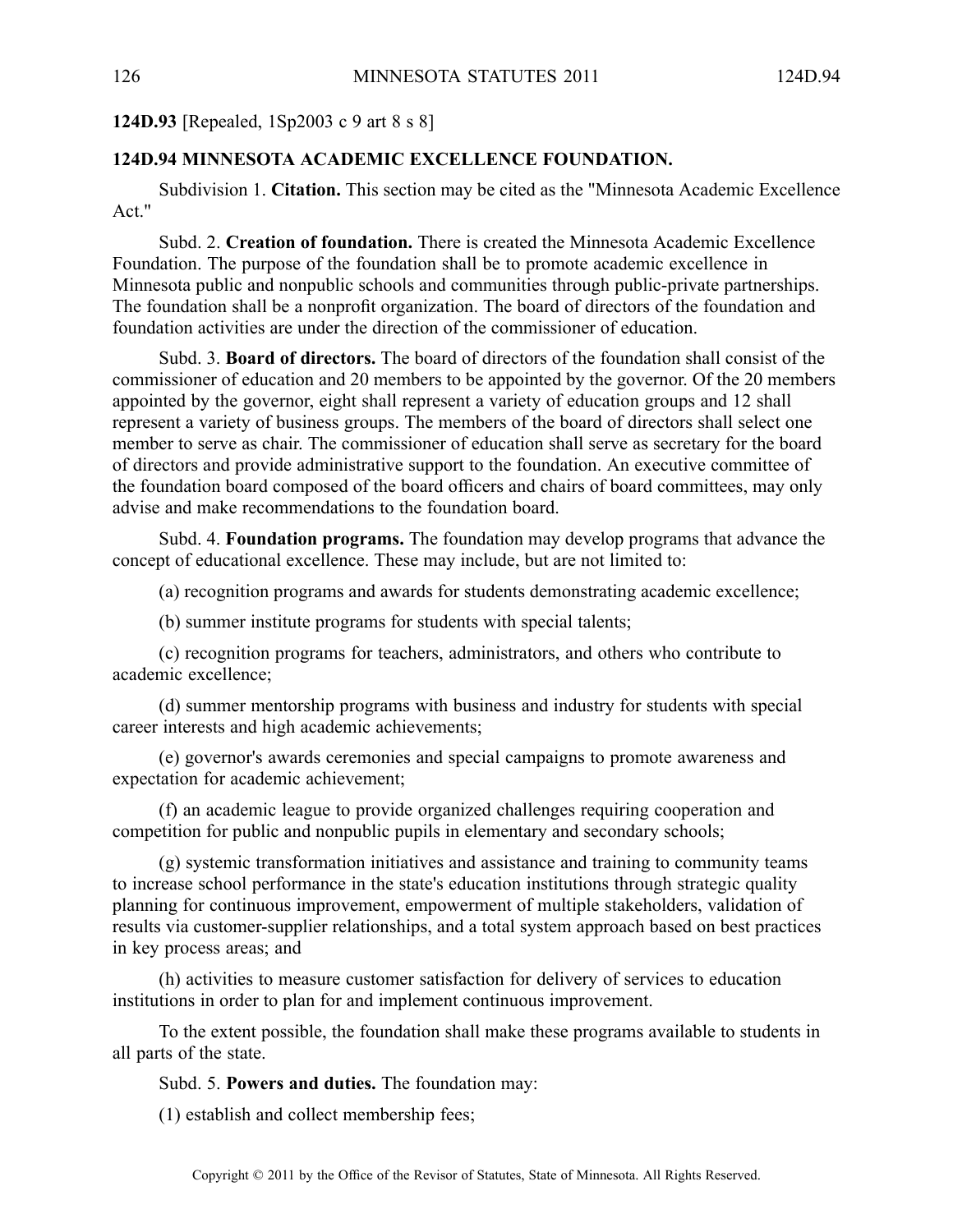**124D.93** [Repealed, 1Sp2003 <sup>c</sup> 9 art 8 <sup>s</sup> 8]

## **124D.94 MINNESOTA ACADEMIC EXCELLENCE FOUNDATION.**

Subdivision 1. **Citation.** This section may be cited as the "Minnesota Academic Excellence Act<sup>"</sup>

Subd. 2. **Creation of foundation.** There is created the Minnesota Academic Excellence Foundation. The purpose of the foundation shall be to promote academic excellence in Minnesota public and nonpublic schools and communities through public-private partnerships. The foundation shall be <sup>a</sup> nonprofit organization. The board of directors of the foundation and foundation activities are under the direction of the commissioner of education.

Subd. 3. **Board of directors.** The board of directors of the foundation shall consist of the commissioner of education and 20 members to be appointed by the governor. Of the 20 members appointed by the governor, eight shall represen<sup>t</sup> <sup>a</sup> variety of education groups and 12 shall represen<sup>t</sup> <sup>a</sup> variety of business groups. The members of the board of directors shall select one member to serve as chair. The commissioner of education shall serve as secretary for the board of directors and provide administrative suppor<sup>t</sup> to the foundation. An executive committee of the foundation board composed of the board officers and chairs of board committees, may only advise and make recommendations to the foundation board.

Subd. 4. **Foundation programs.** The foundation may develop programs that advance the concep<sup>t</sup> of educational excellence. These may include, but are not limited to:

(a) recognition programs and awards for students demonstrating academic excellence;

(b) summer institute programs for students with special talents;

(c) recognition programs for teachers, administrators, and others who contribute to academic excellence;

(d) summer mentorship programs with business and industry for students with special career interests and high academic achievements;

(e) governor's awards ceremonies and special campaigns to promote awareness and expectation for academic achievement;

(f) an academic league to provide organized challenges requiring cooperation and competition for public and nonpublic pupils in elementary and secondary schools;

(g) systemic transformation initiatives and assistance and training to community teams to increase school performance in the state's education institutions through strategic quality planning for continuous improvement, empowermen<sup>t</sup> of multiple stakeholders, validation of results via customer-supplier relationships, and <sup>a</sup> total system approach based on best practices in key process areas; and

(h) activities to measure customer satisfaction for delivery of services to education institutions in order to plan for and implement continuous improvement.

To the extent possible, the foundation shall make these programs available to students in all parts of the state.

Subd. 5. **Powers and duties.** The foundation may:

(1) establish and collect membership fees;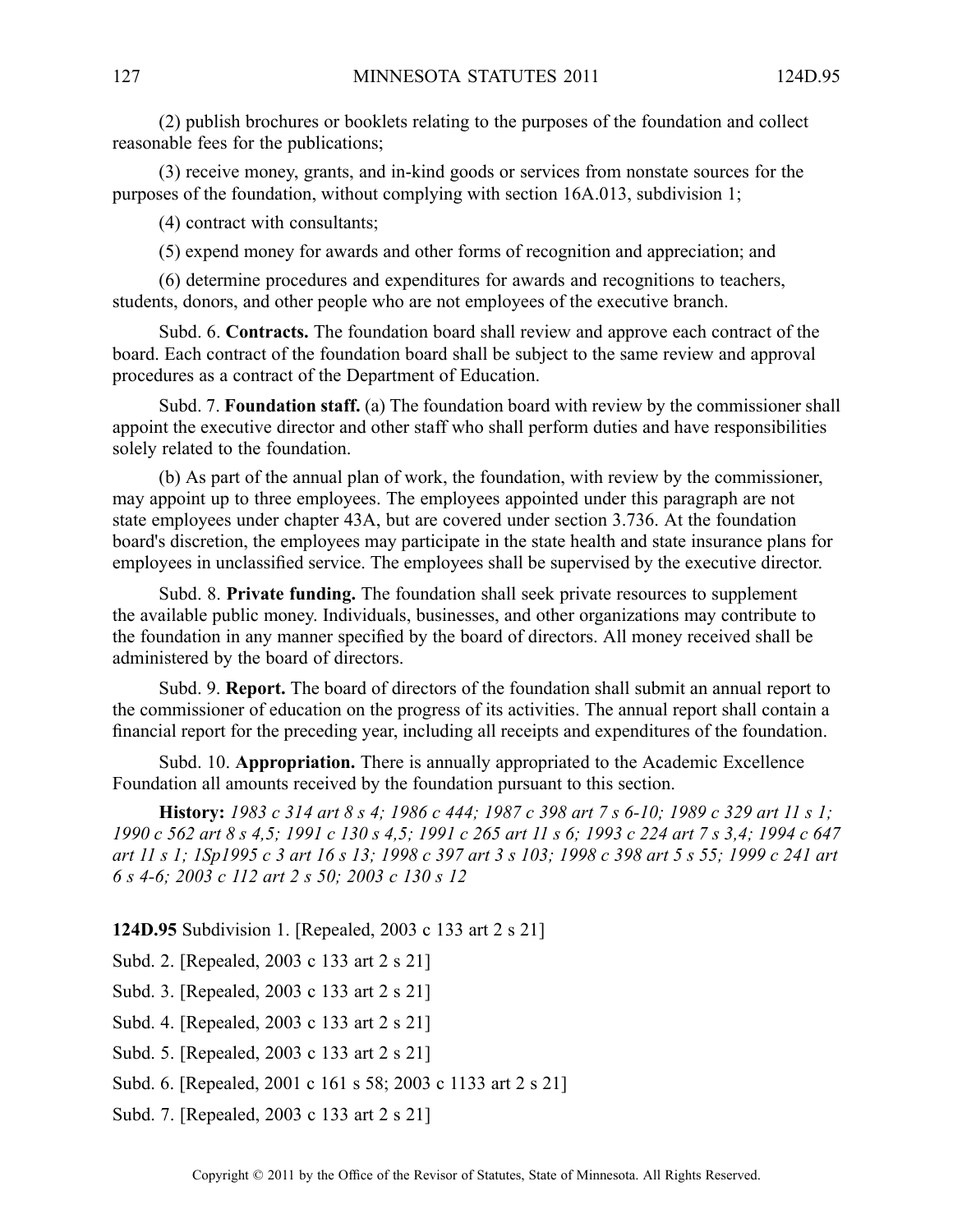(2) publish brochures or booklets relating to the purposes of the foundation and collect reasonable fees for the publications;

(3) receive money, grants, and in-kind goods or services from nonstate sources for the purposes of the foundation, without complying with section 16A.013, subdivision 1;

(4) contract with consultants;

(5) expend money for awards and other forms of recognition and appreciation; and

(6) determine procedures and expenditures for awards and recognitions to teachers, students, donors, and other people who are not employees of the executive branch.

Subd. 6. **Contracts.** The foundation board shall review and approve each contract of the board. Each contract of the foundation board shall be subject to the same review and approval procedures as <sup>a</sup> contract of the Department of Education.

Subd. 7. **Foundation staff.** (a) The foundation board with review by the commissioner shall appoint the executive director and other staff who shall perform duties and have responsibilities solely related to the foundation.

(b) As par<sup>t</sup> of the annual plan of work, the foundation, with review by the commissioner, may appoint up to three employees. The employees appointed under this paragraph are not state employees under chapter 43A, but are covered under section 3.736. At the foundation board's discretion, the employees may participate in the state health and state insurance plans for employees in unclassified service. The employees shall be supervised by the executive director.

Subd. 8. **Private funding.** The foundation shall seek private resources to supplement the available public money. Individuals, businesses, and other organizations may contribute to the foundation in any manner specified by the board of directors. All money received shall be administered by the board of directors.

Subd. 9. **Report.** The board of directors of the foundation shall submit an annual repor<sup>t</sup> to the commissioner of education on the progress of its activities. The annual repor<sup>t</sup> shall contain <sup>a</sup> financial repor<sup>t</sup> for the preceding year, including all receipts and expenditures of the foundation.

Subd. 10. **Appropriation.** There is annually appropriated to the Academic Excellence Foundation all amounts received by the foundation pursuan<sup>t</sup> to this section.

**History:** 1983 c 314 art 8 s 4: 1986 c 444: 1987 c 398 art 7 s 6-10: 1989 c 329 art 11 s 1: 1990 c 562 art 8 s 4,5; 1991 c 130 s 4,5; 1991 c 265 art 11 s 6; 1993 c 224 art 7 s 3,4; 1994 c 647 art 11 s 1; 1Sp1995 c 3 art 16 s 13; 1998 c 397 art 3 s 103; 1998 c 398 art 5 s 55; 1999 c 241 art *6 <sup>s</sup> 4-6; 2003 <sup>c</sup> 112 art 2 <sup>s</sup> 50; 2003 <sup>c</sup> 130 <sup>s</sup> 12*

**124D.95** Subdivision 1. [Repealed, 2003 <sup>c</sup> 133 art 2 <sup>s</sup> 21]

Subd. 2. [Repealed, 2003 <sup>c</sup> 133 art 2 <sup>s</sup> 21]

Subd. 3. [Repealed, 2003 <sup>c</sup> 133 art 2 <sup>s</sup> 21]

Subd. 4. [Repealed, 2003 <sup>c</sup> 133 art 2 <sup>s</sup> 21]

Subd. 5. [Repealed, 2003 <sup>c</sup> 133 art 2 <sup>s</sup> 21]

Subd. 6. [Repealed, 2001 <sup>c</sup> 161 <sup>s</sup> 58; 2003 <sup>c</sup> 1133 art 2 <sup>s</sup> 21]

Subd. 7. [Repealed, 2003 <sup>c</sup> 133 art 2 <sup>s</sup> 21]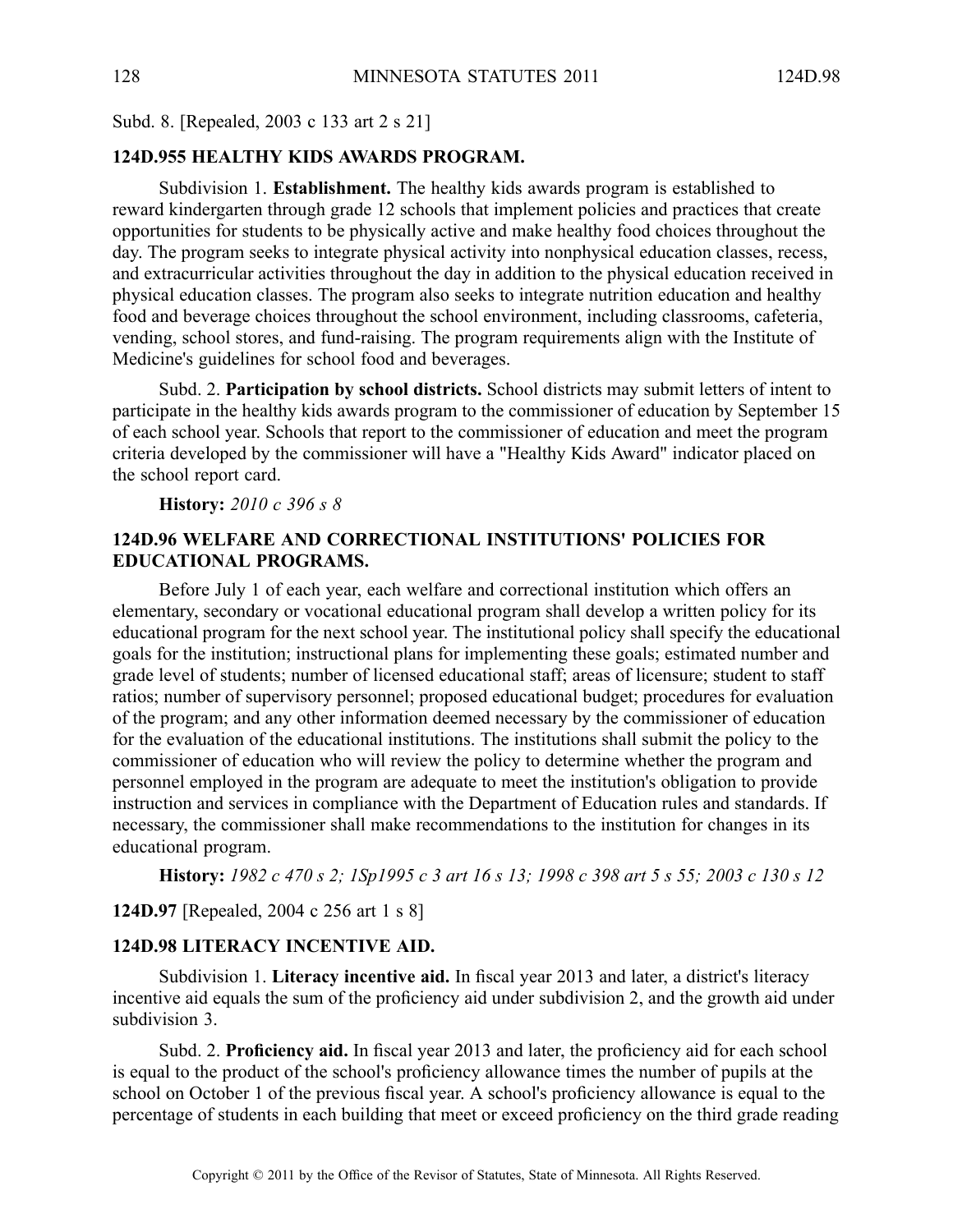Subd. 8. [Repealed, 2003 <sup>c</sup> 133 art 2 <sup>s</sup> 21]

# **124D.955 HEALTHY KIDS AWARDS PROGRAM.**

Subdivision 1. **Establishment.** The healthy kids awards program is established to reward kindergarten through grade 12 schools that implement policies and practices that create opportunities for students to be physically active and make healthy food choices throughout the day. The program seeks to integrate physical activity into nonphysical education classes, recess, and extracurricular activities throughout the day in addition to the physical education received in physical education classes. The program also seeks to integrate nutrition education and healthy food and beverage choices throughout the school environment, including classrooms, cafeteria, vending, school stores, and fund-raising. The program requirements align with the Institute of Medicine's guidelines for school food and beverages.

Subd. 2. **Participation by school districts.** School districts may submit letters of intent to participate in the healthy kids awards program to the commissioner of education by September 15 of each school year. Schools that repor<sup>t</sup> to the commissioner of education and meet the program criteria developed by the commissioner will have <sup>a</sup> "Healthy Kids Award" indicator placed on the school repor<sup>t</sup> card.

**History:** *2010 <sup>c</sup> 396 <sup>s</sup> 8*

# **124D.96 WELFARE AND CORRECTIONAL INSTITUTIONS' POLICIES FOR EDUCATIONAL PROGRAMS.**

Before July 1 of each year, each welfare and correctional institution which offers an elementary, secondary or vocational educational program shall develop <sup>a</sup> written policy for its educational program for the next school year. The institutional policy shall specify the educational goals for the institution; instructional plans for implementing these goals; estimated number and grade level of students; number of licensed educational staff; areas of licensure; student to staff ratios; number of supervisory personnel; proposed educational budget; procedures for evaluation of the program; and any other information deemed necessary by the commissioner of education for the evaluation of the educational institutions. The institutions shall submit the policy to the commissioner of education who will review the policy to determine whether the program and personnel employed in the program are adequate to meet the institution's obligation to provide instruction and services in compliance with the Department of Education rules and standards. If necessary, the commissioner shall make recommendations to the institution for changes in its educational program.

History: 1982 c 470 s 2; 1Sp1995 c 3 art 16 s 13; 1998 c 398 art 5 s 55; 2003 c 130 s 12

**124D.97** [Repealed, 2004 <sup>c</sup> 256 art 1 <sup>s</sup> 8]

#### **124D.98 LITERACY INCENTIVE AID.**

Subdivision 1. **Literacy incentive aid.** In fiscal year 2013 and later, <sup>a</sup> district's literacy incentive aid equals the sum of the proficiency aid under subdivision 2, and the growth aid under subdivision 3.

Subd. 2. **Proficiency aid.** In fiscal year 2013 and later, the proficiency aid for each school is equal to the product of the school's proficiency allowance times the number of pupils at the school on October 1 of the previous fiscal year. A school's proficiency allowance is equal to the percentage of students in each building that meet or exceed proficiency on the third grade reading